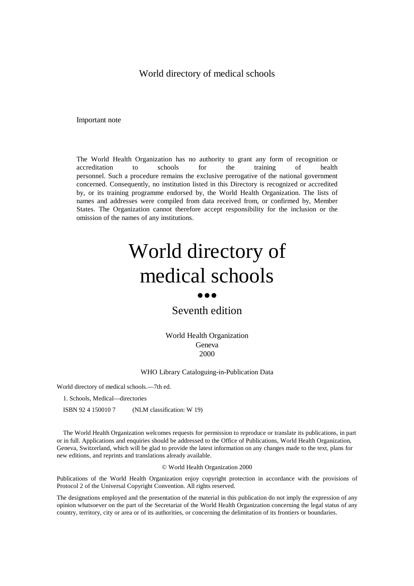# World directory of medical schools

Important note

The World Health Organization has no authority to grant any form of recognition or accreditation to schools for the training of health personnel. Such a procedure remains the exclusive prerogative of the national government concerned. Consequently, no institution listed in this Directory is recognized or accredited by, or its training programme endorsed by, the World Health Organization. The lists of names and addresses were compiled from data received from, or confirmed by, Member States. The Organization cannot therefore accept responsibility for the inclusion or the omission of the names of any institutions.

# World directory of medical schools

#### $\bullet\bullet\bullet$

# Seventh edition

World Health Organization Geneva 2000

#### WHO Library Cataloguing-in-Publication Data

World directory of medical schools.— 7th ed.

1. Schools, Medical— directories

ISBN 92 4 150010 7 (NLM classification: W 19)

The World Health Organization welcomes requests for permission to reproduce or translate its publications, in part or in full. Applications and enquiries should be addressed to the Office of Publications, World Health Organization, Geneva, Switzerland, which will be glad to provide the latest information on any changes made to the text, plans for new editions, and reprints and translations already available.

#### © World Health Organization 2000

Publications of the World Health Organization enjoy copyright protection in accordance with the provisions of Protocol 2 of the Universal Copyright Convention. All rights reserved.

The designations employed and the presentation of the material in this publication do not imply the expression of any opinion whatsoever on the part of the Secretariat of the World Health Organization concerning the legal status of any country, territory, city or area or of its authorities, or concerning the delimitation of its frontiers or boundaries.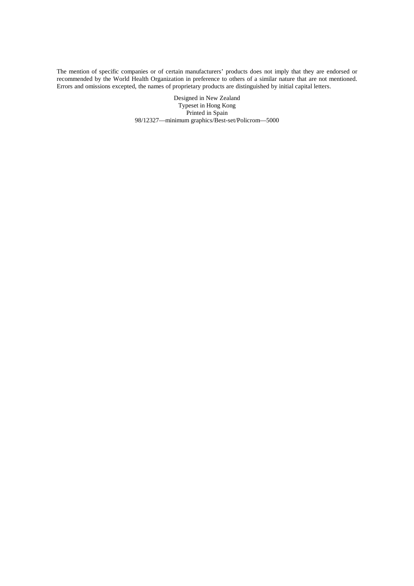The mention of specific companies or of certain manufacturers' products does not imply that they are endorsed or recommended by the World Health Organization in preference to others of a similar nature that are not mentioned. Errors and omissions excepted, the names of proprietary products are distinguished by initial capital letters.

> Designed in New Zealand Typeset in Hong Kong Printed in Spain 98/12327— minimum graphics/Best-set/Policrom— 5000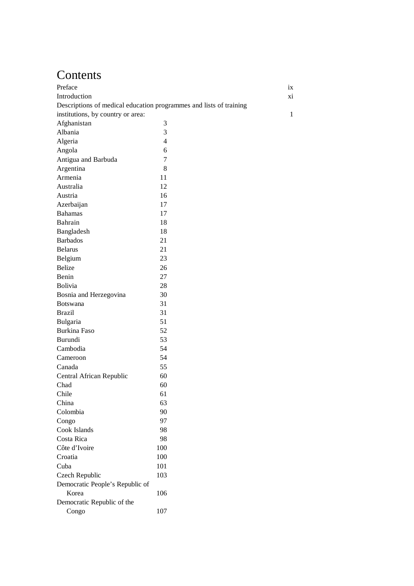# Contents

| Preface                                                            |                | ix |
|--------------------------------------------------------------------|----------------|----|
| Introduction                                                       |                | xi |
| Descriptions of medical education programmes and lists of training |                |    |
| institutions, by country or area:                                  |                | 1  |
| Afghanistan                                                        | 3              |    |
| Albania                                                            | 3              |    |
| Algeria                                                            | $\overline{4}$ |    |
| Angola                                                             | 6              |    |
| Antigua and Barbuda                                                | 7              |    |
| Argentina                                                          | 8              |    |
| Armenia                                                            | 11             |    |
| Australia                                                          | 12             |    |
| Austria                                                            | 16             |    |
| Azerbaijan                                                         | 17             |    |
| <b>Bahamas</b>                                                     | 17             |    |
| Bahrain                                                            | 18             |    |
| Bangladesh                                                         | 18             |    |
| <b>Barbados</b>                                                    | 21             |    |
| <b>Belarus</b>                                                     | 21             |    |
| Belgium                                                            | 23             |    |
| <b>Belize</b>                                                      | 26             |    |
| Benin                                                              | 27             |    |
| <b>Bolivia</b>                                                     | 28             |    |
| Bosnia and Herzegovina                                             | 30             |    |
| <b>Botswana</b>                                                    | 31             |    |
| <b>Brazil</b>                                                      | 31             |    |
| Bulgaria                                                           | 51             |    |
| Burkina Faso                                                       | 52             |    |
| Burundi                                                            | 53             |    |
| Cambodia                                                           | 54             |    |
| Cameroon                                                           | 54             |    |
| Canada                                                             | 55             |    |
| Central African Republic                                           | 60             |    |
| Chad                                                               | 60             |    |
| Chile                                                              | 61             |    |
| China                                                              | 63             |    |
| Colombia                                                           | 90             |    |
| Congo                                                              | 97             |    |
| Cook Islands<br>Costa Rica                                         | 98             |    |
|                                                                    | 98             |    |
| Côte d'Ivoire                                                      | 100            |    |
| Croatia<br>Cuba                                                    | 100<br>101     |    |
|                                                                    | 103            |    |
| Czech Republic<br>Democratic People's Republic of                  |                |    |
| Korea                                                              | 106            |    |
| Democratic Republic of the                                         |                |    |
| Congo                                                              | 107            |    |
|                                                                    |                |    |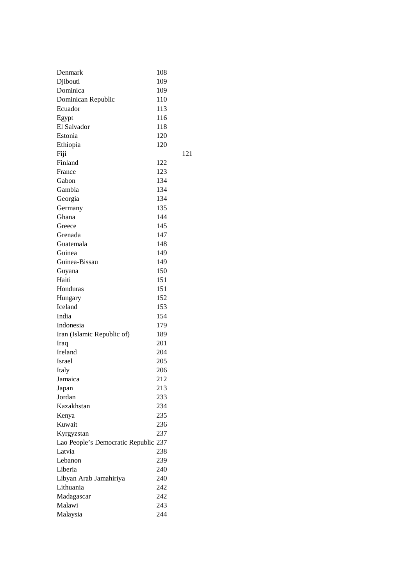| Denmark                              | 108        |     |
|--------------------------------------|------------|-----|
| Djibouti                             | 109        |     |
| Dominica                             | 109        |     |
| Dominican Republic                   | 110        |     |
| Ecuador                              | 113        |     |
| Egypt                                | 116        |     |
| El Salvador                          | 118        |     |
| Estonia                              | 120        |     |
| Ethiopia                             | 120        |     |
| Fiji                                 |            | 121 |
| Finland                              | 122        |     |
| France                               | 123        |     |
| Gabon                                | 134        |     |
| Gambia                               | 134        |     |
| Georgia                              | 134        |     |
| Germany                              | 135        |     |
| Ghana                                | 144        |     |
| Greece                               | 145        |     |
| Grenada                              | 147        |     |
| Guatemala                            | 148        |     |
| Guinea                               | 149        |     |
| Guinea-Bissau                        | 149        |     |
| Guyana                               | 150        |     |
| Haiti                                | 151        |     |
| Honduras                             | 151        |     |
| Hungary                              | 152        |     |
| Iceland                              | 153        |     |
| India                                | 154        |     |
| Indonesia                            | 179        |     |
| Iran (Islamic Republic of)           | 189        |     |
| Iraq                                 | 201        |     |
| Ireland                              | 204        |     |
| Israel                               | 205        |     |
| Italy                                | 206        |     |
| Jamaica                              | 212        |     |
| Japan                                | 213        |     |
| Jordan                               | 233        |     |
| Kazakhstan                           | 234        |     |
| Kenya                                | 235        |     |
| Kuwait                               | 236        |     |
| Kyrgyzstan                           | 237        |     |
| Lao People's Democratic Republic 237 |            |     |
| Latvia                               | 238        |     |
| Lebanon                              | 239        |     |
| Liberia                              | 240        |     |
|                                      |            |     |
| Libyan Arab Jamahiriya<br>Lithuania  | 240<br>242 |     |
|                                      |            |     |
| Madagascar                           | 242        |     |
| Malawi                               | 243        |     |
| Malaysia                             | 244        |     |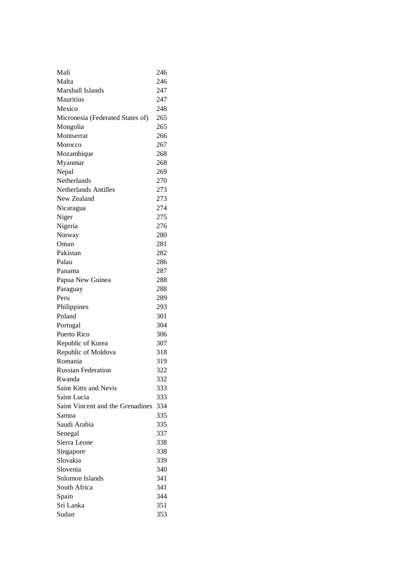| Mali                             | 246 |
|----------------------------------|-----|
| Malta                            | 246 |
| Marshall Islands                 | 247 |
| Mauritius                        | 247 |
| Mexico                           | 248 |
| Micronesia (Federated States of) | 265 |
| Mongolia                         | 265 |
| Montserrat                       | 266 |
| Morocco                          | 267 |
| Mozambique                       | 268 |
| Myanmar                          | 268 |
| Nepal                            | 269 |
| Netherlands                      | 270 |
| <b>Netherlands Antilles</b>      | 273 |
| New Zealand                      | 273 |
| Nicaragua                        | 274 |
| Niger                            | 275 |
| Nigeria                          | 276 |
| Norway                           | 280 |
| Oman                             | 281 |
| Pakistan                         | 282 |
| Palau                            | 286 |
| Panama                           | 287 |
| Papua New Guinea                 | 288 |
| Paraguay                         | 288 |
| Peru                             | 289 |
| Philippines                      | 293 |
| Poland                           | 301 |
| Portugal                         | 304 |
| Puerto Rico                      | 306 |
| Republic of Korea                | 307 |
| Republic of Moldova              | 318 |
| Romania                          | 319 |
| <b>Russian Federation</b>        | 322 |
| Rwanda                           | 332 |
| Saint Kitts and Nevis            | 333 |
| Saint Lucia                      | 333 |
| Saint Vincent and the Grenadines | 334 |
| Samoa                            | 335 |
| Saudi Arabia                     | 335 |
| Senegal                          | 337 |
| Sierra Leone                     | 338 |
| Singapore                        | 338 |
| Slovakia                         | 339 |
| Slovenia                         | 340 |
| Solomon Islands                  | 341 |
| South Africa                     | 341 |
| Spain                            | 344 |
| Sri Lanka                        | 351 |
| Sudan                            | 353 |
|                                  |     |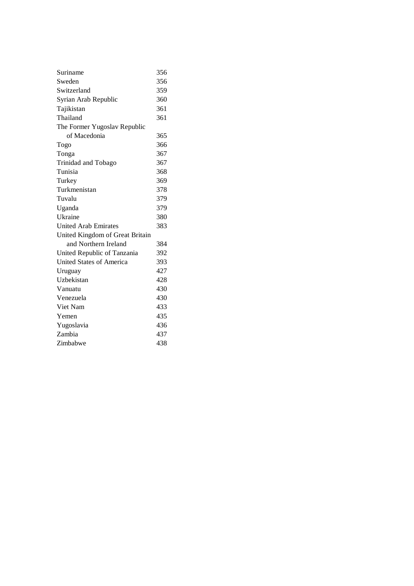| Suriname                        | 356 |
|---------------------------------|-----|
| Sweden                          | 356 |
| Switzerland                     | 359 |
| Syrian Arab Republic            | 360 |
| Tajikistan                      | 361 |
| Thailand                        | 361 |
| The Former Yugoslav Republic    |     |
| of Macedonia                    | 365 |
| Togo                            | 366 |
| Tonga                           | 367 |
| Trinidad and Tobago             | 367 |
| Tunisia                         | 368 |
| Turkey                          | 369 |
| Turkmenistan                    | 378 |
| Tuvalu                          | 379 |
| Uganda                          | 379 |
| Ukraine                         | 380 |
| <b>United Arab Emirates</b>     | 383 |
| United Kingdom of Great Britain |     |
| and Northern Ireland            | 384 |
| United Republic of Tanzania     | 392 |
| <b>United States of America</b> | 393 |
| Uruguay                         | 427 |
| Uzbekistan                      | 428 |
| Vanuatu                         | 430 |
| Venezuela                       | 430 |
| Viet Nam                        | 433 |
| Yemen                           | 435 |
| Yugoslavia                      | 436 |
| Zambia                          | 437 |
| Zimbabwe                        | 438 |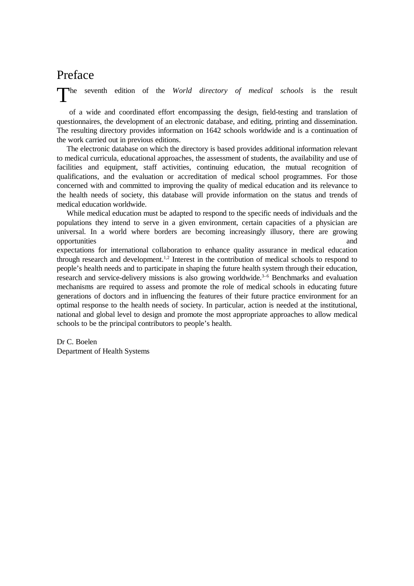# Preface

T he seventh edition of the *World directory of medical schools* is the result

of a wide and coordinated effort encompassing the design, field-testing and translation of questionnaires, the development of an electronic database, and editing, printing and dissemination. The resulting directory provides information on 1642 schools worldwide and is a continuation of the work carried out in previous editions.

The electronic database on which the directory is based provides additional information relevant to medical curricula, educational approaches, the assessment of students, the availability and use of facilities and equipment, staff activities, continuing education, the mutual recognition of qualifications, and the evaluation or accreditation of medical school programmes. For those concerned with and committed to improving the quality of medical education and its relevance to the health needs of society, this database will provide information on the status and trends of medical education worldwide.

While medical education must be adapted to respond to the specific needs of individuals and the populations they intend to serve in a given environment, certain capacities of a physician are universal. In a world where borders are becoming increasingly illusory, there are growing opportunities and

expectations for international collaboration to enhance quality assurance in medical education through research and development.1,2 Interest in the contribution of medical schools to respond to people's health needs and to participate in shaping the future health system through their education, research and service-delivery missions is also growing worldwide.<sup>3-6</sup> Benchmarks and evaluation mechanisms are required to assess and promote the role of medical schools in educating future generations of doctors and in influencing the features of their future practice environment for an optimal response to the health needs of society. In particular, action is needed at the institutional, national and global level to design and promote the most appropriate approaches to allow medical schools to be the principal contributors to people's health.

Dr C. Boelen Department of Health Systems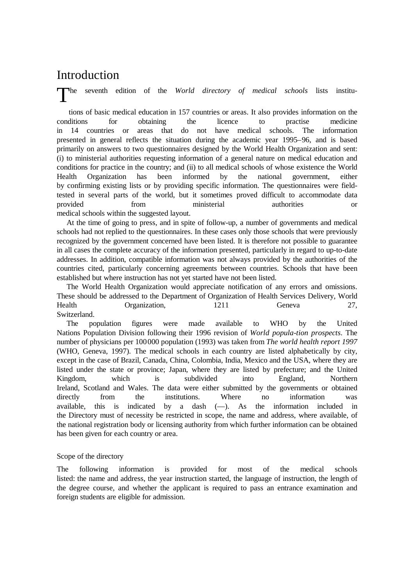# Introduction

The he seventh edition of the *World directory of medical schools* lists institu-

tions of basic medical education in 157 countries or areas. It also provides information on the conditions for obtaining the licence to practise medicine in 14 countries or areas that do not have medical schools. The information presented in general reflects the situation during the academic year 1995–96, and is based primarily on answers to two questionnaires designed by the World Health Organization and sent: (i) to ministerial authorities requesting information of a general nature on medical education and conditions for practice in the country; and (ii) to all medical schools of whose existence the World Health Organization has been informed by the national government, either by confirming existing lists or by providing specific information. The questionnaires were fieldtested in several parts of the world, but it sometimes proved difficult to accommodate data provided from ministerial authorities or medical schools within the suggested layout.

At the time of going to press, and in spite of follow-up, a number of governments and medical schools had not replied to the questionnaires. In these cases only those schools that were previously recognized by the government concerned have been listed. It is therefore not possible to guarantee in all cases the complete accuracy of the information presented, particularly in regard to up-to-date addresses. In addition, compatible information was not always provided by the authorities of the countries cited, particularly concerning agreements between countries. Schools that have been established but where instruction has not yet started have not been listed.

The World Health Organization would appreciate notification of any errors and omissions. These should be addressed to the Department of Organization of Health Services Delivery, World Health Organization, 1211 Geneva 27, Switzerland.

The population figures were made available to WHO by the United Nations Population Division following their 1996 revision of *World popula-tion prospects*. The number of physicians per 100000 population (1993) was taken from *The world health report 1997* (WHO, Geneva, 1997). The medical schools in each country are listed alphabetically by city, except in the case of Brazil, Canada, China, Colombia, India, Mexico and the USA, where they are listed under the state or province; Japan, where they are listed by prefecture; and the United Kingdom, which is subdivided into England, Northern Ireland, Scotland and Wales. The data were either submitted by the governments or obtained directly from the institutions. Where no information was available, this is indicated by a dash  $(-)$ . As the information included in the Directory must of necessity be restricted in scope, the name and address, where available, of the national registration body or licensing authority from which further information can be obtained has been given for each country or area.

# Scope of the directory

The following information is provided for most of the medical schools listed: the name and address, the year instruction started, the language of instruction, the length of the degree course, and whether the applicant is required to pass an entrance examination and foreign students are eligible for admission.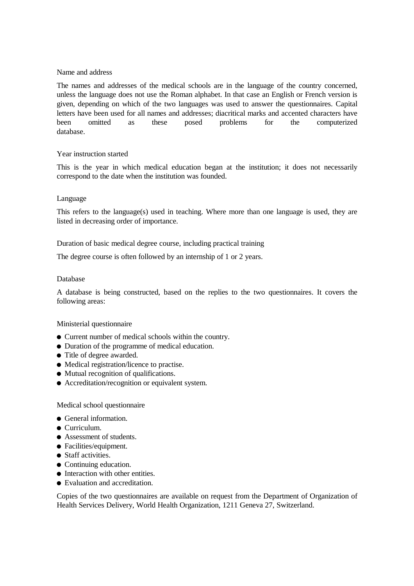#### Name and address

The names and addresses of the medical schools are in the language of the country concerned, unless the language does not use the Roman alphabet. In that case an English or French version is given, depending on which of the two languages was used to answer the questionnaires. Capital letters have been used for all names and addresses; diacritical marks and accented characters have been omitted as these posed problems for the computerized database.

# Year instruction started

This is the year in which medical education began at the institution; it does not necessarily correspond to the date when the institution was founded.

#### Language

This refers to the language(s) used in teaching. Where more than one language is used, they are listed in decreasing order of importance.

Duration of basic medical degree course, including practical training

The degree course is often followed by an internship of 1 or 2 years.

#### Database

A database is being constructed, based on the replies to the two questionnaires. It covers the following areas:

#### Ministerial questionnaire

- l Current number of medical schools within the country.
- Duration of the programme of medical education.
- Title of degree awarded.
- Medical registration/licence to practise.
- Mutual recognition of qualifications.
- Accreditation/recognition or equivalent system.

#### Medical school questionnaire

- **General information.**
- $\bullet$  Curriculum.
- Assessment of students.
- Facilities/equipment.
- $\bullet$  Staff activities.
- $\bullet$  Continuing education.
- $\bullet$  Interaction with other entities.
- Evaluation and accreditation.

Copies of the two questionnaires are available on request from the Department of Organization of Health Services Delivery, World Health Organization, 1211 Geneva 27, Switzerland.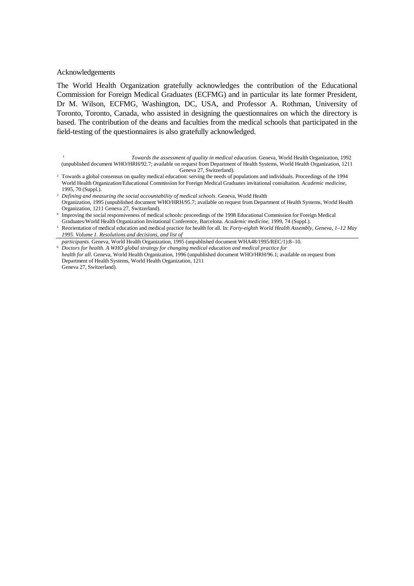#### Acknowledgements

The World Health Organization gratefully acknowledges the contribution of the Educational Commission for Foreign Medical Graduates (ECFMG) and in particular its late former President, Dr M. Wilson, ECFMG, Washington, DC, USA, and Professor A. Rothman, University of Toronto, Toronto, Canada, who assisted in designing the questionnaires on which the directory is based. The contribution of the deans and faculties from the medical schools that participated in the field-testing of the questionnaires is also gratefully acknowledged.

<sup>1</sup> *Towards the assessment of quality in medical education*. Geneva, World Health Organization, 1992 (unpublished document WHO/HRH/92.7; available on request from Department of Health Systems, World Health Organization, 1211 Geneva 27, Switzerland).

- <sup>2</sup> Towards a global consensus on quality medical education: serving the needs of populations and individuals. Proceedings of the 1994 World Health Organization/Educational Commission for Foreign Medical Graduates invitational consultation. *Academic medicine*, 1995, 70 (Suppl.).
- <sup>3</sup> *Defining and measuring the social accountability of medical schools*. Geneva, World Health Organization, 1995 (unpublished document WHO/HRH/95.7; available on request from Department of Health Systems, World Health Organization, 1211 Geneva 27, Switzerland).
- 4 Improving the social responsiveness of medical schools: proceedings of the 1998 Educational Commission for Foreign Medical Graduates/World Health Organization Invitational Conference, Barcelona. *Academic medicine*, 1999, 74 (Suppl.).
- <sup>5</sup> Reorientation of medical education and medical practice for health for all. In: *Forty-eighth World Health Assembly, Geneva, 1–12 May 1995. Volume 1. Resolutions and decisions, and list of*

*participants*. Geneva, World Health Organization, 1995 (unpublished document WHA48/1995/REC/1):8–10. <sup>6</sup> *Doctors for health. A WHO global strategy for changing medical education and medical practice for health for all.* Geneva, World Health Organization, 1996 (unpublished document WHO/HRH/96.1; available on request from Department of Health Systems, World Health Organization, 1211 Geneva 27, Switzerland).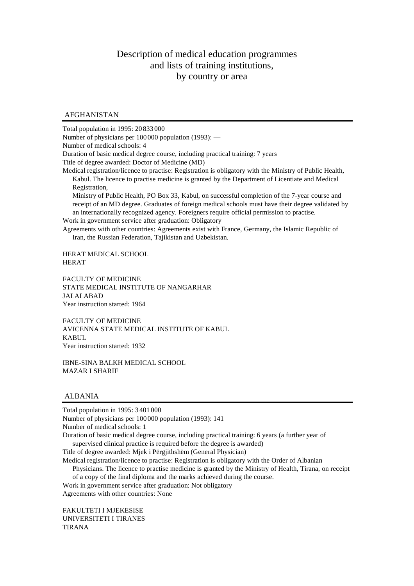# Description of medical education programmes and lists of training institutions, by country or area

# AFGHANISTAN

Total population in 1995: 20 833 000

Number of physicians per 100 000 population (1993): —

Number of medical schools: 4

Duration of basic medical degree course, including practical training: 7 years

Title of degree awarded: Doctor of Medicine (MD)

Medical registration/licence to practise: Registration is obligatory with the Ministry of Public Health, Kabul. The licence to practise medicine is granted by the Department of Licentiate and Medical Registration,

Ministry of Public Health, PO Box 33, Kabul, on successful completion of the 7-year course and receipt of an MD degree. Graduates of foreign medical schools must have their degree validated by an internationally recognized agency. Foreigners require official permission to practise. Work in government service after graduation: Obligatory

Agreements with other countries: Agreements exist with France, Germany, the Islamic Republic of Iran, the Russian Federation, Tajikistan and Uzbekistan.

HERAT MEDICAL SCHOOL HERAT

FACULTY OF MEDICINE STATE MEDICAL INSTITUTE OF NANGARHAR JALALABAD Year instruction started: 1964

FACULTY OF MEDICINE AVICENNA STATE MEDICAL INSTITUTE OF KABUL KABUL Year instruction started: 1932

IBNE-SINA BALKH MEDICAL SCHOOL MAZAR I SHARIF

#### ALBANIA

Total population in 1995: 3 401 000 Number of physicians per 100 000 population (1993): 141 Number of medical schools: 1

Duration of basic medical degree course, including practical training: 6 years (a further year of supervised clinical practice is required before the degree is awarded)

Title of degree awarded: Mjek i Përgjithshëm (General Physician)

Medical registration/licence to practise: Registration is obligatory with the Order of Albanian

Physicians. The licence to practise medicine is granted by the Ministry of Health, Tirana, on receipt of a copy of the final diploma and the marks achieved during the course.

Work in government service after graduation: Not obligatory Agreements with other countries: None

FAKULTETI I MJEKESISE UNIVERSITETI I TIRANES TIRANA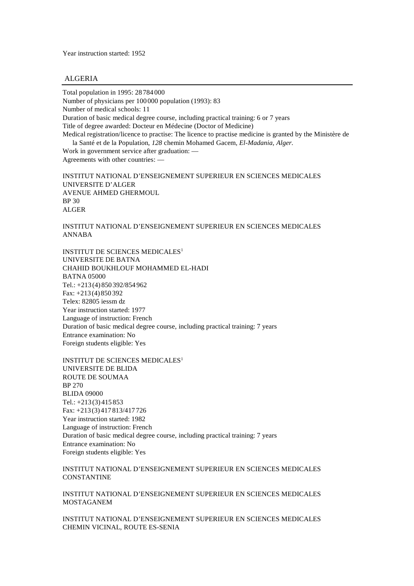Year instruction started: 1952

#### ALGERIA

Total population in 1995: 28 784 000 Number of physicians per 100 000 population (1993): 83 Number of medical schools: 11 Duration of basic medical degree course, including practical training: 6 or 7 years Title of degree awarded: Docteur en Médecine (Doctor of Medicine) Medical registration/licence to practise: The licence to practise medicine is granted by the Ministère de la Santé et de la Population, *128* chemin Mohamed Gacem*, El-Madania, Alger.*

Work in government service after graduation: — Agreements with other countries: —

INSTITUT NATIONAL D'ENSEIGNEMENT SUPERIEUR EN SCIENCES MEDICALES UNIVERSITE D'ALGER AVENUE AHMED GHERMOUL BP 30 ALGER

INSTITUT NATIONAL D'ENSEIGNEMENT SUPERIEUR EN SCIENCES MEDICALES ANNABA

INSTITUT DE SCIENCES MEDICALES<sup>1</sup> UNIVERSITE DE BATNA CHAHID BOUKHLOUF MOHAMMED EL-HADI BATNA 05000 Tel.: +213 (4) 850 392/854 962 Fax: +213 (4) 850 392 Telex: 82805 iessm dz Year instruction started: 1977 Language of instruction: French Duration of basic medical degree course, including practical training: 7 years Entrance examination: No Foreign students eligible: Yes

INSTITUT DE SCIENCES MEDICALES<sup>1</sup> UNIVERSITE DE BLIDA ROUTE DE SOUMAA BP 270 BLIDA 09000 Tel.: +213 (3) 415 853 Fax: +213 (3) 417 813/417 726 Year instruction started: 1982 Language of instruction: French Duration of basic medical degree course, including practical training: 7 years Entrance examination: No Foreign students eligible: Yes

INSTITUT NATIONAL D'ENSEIGNEMENT SUPERIEUR EN SCIENCES MEDICALES **CONSTANTINE** 

INSTITUT NATIONAL D'ENSEIGNEMENT SUPERIEUR EN SCIENCES MEDICALES MOSTAGANEM

INSTITUT NATIONAL D'ENSEIGNEMENT SUPERIEUR EN SCIENCES MEDICALES CHEMIN VICINAL, ROUTE ES-SENIA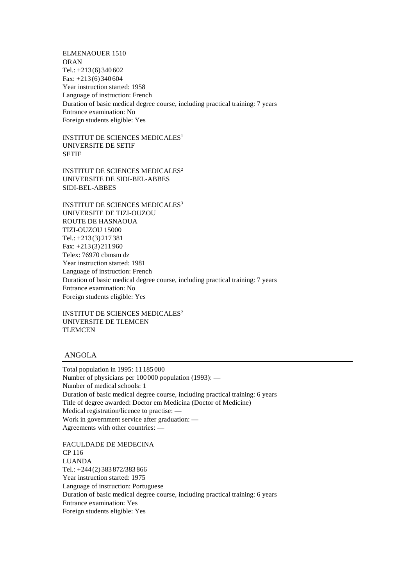ELMENAOUER 1510 ORAN Tel.: +213 (6) 340 602 Fax: +213 (6) 340 604 Year instruction started: 1958 Language of instruction: French Duration of basic medical degree course, including practical training: 7 years Entrance examination: No Foreign students eligible: Yes

INSTITUT DE SCIENCES MEDICALES<sup>1</sup> UNIVERSITE DE SETIF SETIF

INSTITUT DE SCIENCES MEDICALES<sup>2</sup> UNIVERSITE DE SIDI-BEL-ABBES SIDI-BEL-ABBES

INSTITUT DE SCIENCES MEDICALES<sup>3</sup> UNIVERSITE DE TIZI-OUZOU ROUTE DE HASNAOUA TIZI-OUZOU 15000 Tel.: +213 (3) 217 381 Fax: +213 (3) 211 960 Telex: 76970 cbmsm dz Year instruction started: 1981 Language of instruction: French Duration of basic medical degree course, including practical training: 7 years Entrance examination: No Foreign students eligible: Yes

INSTITUT DE SCIENCES MEDICALES<sup>2</sup> UNIVERSITE DE TLEMCEN TLEMCEN

#### ANGOLA

Total population in 1995: 11 185 000 Number of physicians per 100 000 population (1993): — Number of medical schools: 1 Duration of basic medical degree course, including practical training: 6 years Title of degree awarded: Doctor em Medicina (Doctor of Medicine) Medical registration/licence to practise: — Work in government service after graduation: — Agreements with other countries: —

FACULDADE DE MEDECINA CP 116 LUANDA Tel.: +244 (2) 383 872/383 866 Year instruction started: 1975 Language of instruction: Portuguese Duration of basic medical degree course, including practical training: 6 years Entrance examination: Yes Foreign students eligible: Yes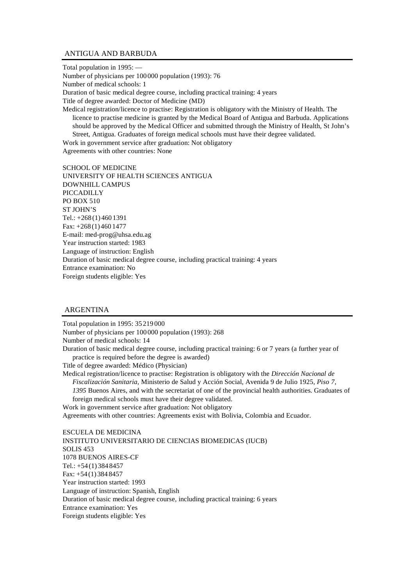#### ANTIGUA AND BARBUDA

Total population in 1995: — Number of physicians per 100 000 population (1993): 76 Number of medical schools: 1 Duration of basic medical degree course, including practical training: 4 years Title of degree awarded: Doctor of Medicine (MD) Medical registration/licence to practise: Registration is obligatory with the Ministry of Health. The licence to practise medicine is granted by the Medical Board of Antigua and Barbuda. Applications should be approved by the Medical Officer and submitted through the Ministry of Health, St John's Street, Antigua. Graduates of foreign medical schools must have their degree validated.

Work in government service after graduation: Not obligatory Agreements with other countries: None

SCHOOL OF MEDICINE UNIVERSITY OF HEALTH SCIENCES ANTIGUA DOWNHILL CAMPUS PICCADILLY PO BOX 510 ST JOHN'S Tel.: +268 (1) 460 1391 Fax: +268 (1) 460 1477 E-mail: med-prog@uhsa.edu.ag Year instruction started: 1983 Language of instruction: English Duration of basic medical degree course, including practical training: 4 years Entrance examination: No Foreign students eligible: Yes

# ARGENTINA

Total population in 1995: 35 219 000 Number of physicians per 100 000 population (1993): 268 Number of medical schools: 14 Duration of basic medical degree course, including practical training: 6 or 7 years (a further year of practice is required before the degree is awarded) Title of degree awarded: Médico (Physician) Medical registration/licence to practise: Registration is obligatory with the *Dirección Nacional de Fiscalización Sanitaria,* Ministerio de Salud y Acción Social, Avenida 9 de Julio 1925, *Piso 7, 1395* Buenos Aires, and with the secretariat of one of the provincial health authorities*.* Graduates of foreign medical schools must have their degree validated. Work in government service after graduation: Not obligatory Agreements with other countries: Agreements exist with Bolivia, Colombia and Ecuador. ESCUELA DE MEDICINA INSTITUTO UNIVERSITARIO DE CIENCIAS BIOMEDICAS (IUCB) SOLIS 453 1078 BUENOS AIRES-CF Tel.: +54 (1) 384 8457 Fax: +54 (1) 384 8457 Year instruction started: 1993 Language of instruction: Spanish, English Duration of basic medical degree course, including practical training: 6 years Entrance examination: Yes Foreign students eligible: Yes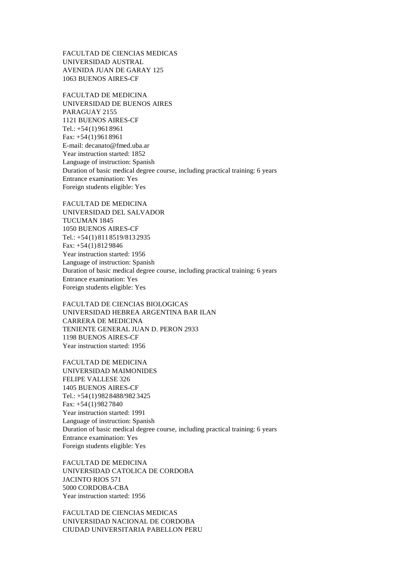FACULTAD DE CIENCIAS MEDICAS UNIVERSIDAD AUSTRAL AVENIDA JUAN DE GARAY 125 1063 BUENOS AIRES-CF

FACULTAD DE MEDICINA UNIVERSIDAD DE BUENOS AIRES PARAGUAY 2155 1121 BUENOS AIRES-CF Tel.: +54 (1) 961 8961 Fax: +54 (1) 961 8961 E-mail: decanato@fmed.uba.ar Year instruction started: 1852 Language of instruction: Spanish Duration of basic medical degree course, including practical training: 6 years Entrance examination: Yes Foreign students eligible: Yes

FACULTAD DE MEDICINA UNIVERSIDAD DEL SALVADOR TUCUMAN 1845 1050 BUENOS AIRES-CF Tel.: +54 (1) 811 8519/813 2935 Fax: +54 (1) 812 9846 Year instruction started: 1956 Language of instruction: Spanish Duration of basic medical degree course, including practical training: 6 years Entrance examination: Yes Foreign students eligible: Yes

FACULTAD DE CIENCIAS BIOLOGICAS UNIVERSIDAD HEBREA ARGENTINA BAR ILAN CARRERA DE MEDICINA TENIENTE GENERAL JUAN D. PERON 2933 1198 BUENOS AIRES-CF Year instruction started: 1956

FACULTAD DE MEDICINA UNIVERSIDAD MAIMONIDES FELIPE VALLESE 326 1405 BUENOS AIRES-CF Tel.: +54 (1) 982 8488/982 3425 Fax: +54 (1) 982 7840 Year instruction started: 1991 Language of instruction: Spanish Duration of basic medical degree course, including practical training: 6 years Entrance examination: Yes Foreign students eligible: Yes

FACULTAD DE MEDICINA UNIVERSIDAD CATOLICA DE CORDOBA JACINTO RIOS 571 5000 CORDOBA-CBA Year instruction started: 1956

FACULTAD DE CIENCIAS MEDICAS UNIVERSIDAD NACIONAL DE CORDOBA CIUDAD UNIVERSITARIA PABELLON PERU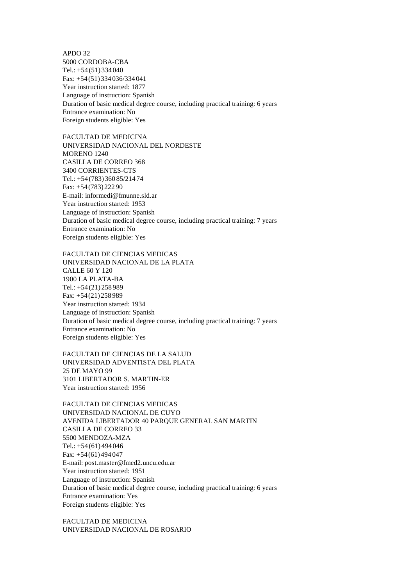APDO 32 5000 CORDOBA-CBA Tel.: +54 (51) 334 040 Fax: +54 (51) 334 036/334 041 Year instruction started: 1877 Language of instruction: Spanish Duration of basic medical degree course, including practical training: 6 years Entrance examination: No Foreign students eligible: Yes

FACULTAD DE MEDICINA UNIVERSIDAD NACIONAL DEL NORDESTE MORENO 1240 CASILLA DE CORREO 368 3400 CORRIENTES-CTS Tel.: +54 (783) 360 85/214 74 Fax: +54 (783) 222 90 E-mail: informedi@fmunne.sld.ar Year instruction started: 1953 Language of instruction: Spanish Duration of basic medical degree course, including practical training: 7 years Entrance examination: No Foreign students eligible: Yes

FACULTAD DE CIENCIAS MEDICAS UNIVERSIDAD NACIONAL DE LA PLATA CALLE 60 Y 120 1900 LA PLATA-BA Tel.: +54 (21) 258 989 Fax: +54 (21) 258 989 Year instruction started: 1934 Language of instruction: Spanish Duration of basic medical degree course, including practical training: 7 years Entrance examination: No Foreign students eligible: Yes

FACULTAD DE CIENCIAS DE LA SALUD UNIVERSIDAD ADVENTISTA DEL PLATA 25 DE MAYO 99 3101 LIBERTADOR S. MARTIN-ER Year instruction started: 1956

FACULTAD DE CIENCIAS MEDICAS UNIVERSIDAD NACIONAL DE CUYO AVENIDA LIBERTADOR 40 PARQUE GENERAL SAN MARTIN CASILLA DE CORREO 33 5500 MENDOZA-MZA Tel.: +54 (61) 494 046 Fax: +54 (61) 494 047 E-mail: post.master@fmed2.uncu.edu.ar Year instruction started: 1951 Language of instruction: Spanish Duration of basic medical degree course, including practical training: 6 years Entrance examination: Yes Foreign students eligible: Yes

FACULTAD DE MEDICINA UNIVERSIDAD NACIONAL DE ROSARIO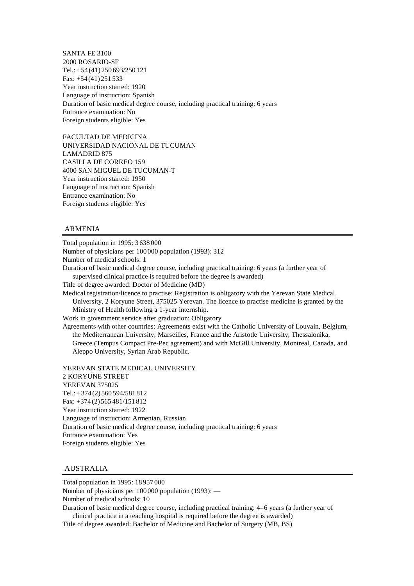SANTA FE 3100 2000 ROSARIO-SF Tel.: +54 (41) 250 693/250 121 Fax: +54 (41) 251 533 Year instruction started: 1920 Language of instruction: Spanish Duration of basic medical degree course, including practical training: 6 years Entrance examination: No Foreign students eligible: Yes

FACULTAD DE MEDICINA UNIVERSIDAD NACIONAL DE TUCUMAN LAMADRID 875 CASILLA DE CORREO 159 4000 SAN MIGUEL DE TUCUMAN-T Year instruction started: 1950 Language of instruction: Spanish Entrance examination: No Foreign students eligible: Yes

#### ARMENIA

Total population in 1995: 3 638 000 Number of physicians per 100 000 population (1993): 312 Number of medical schools: 1 Duration of basic medical degree course, including practical training: 6 years (a further year of supervised clinical practice is required before the degree is awarded) Title of degree awarded: Doctor of Medicine (MD) Medical registration/licence to practise: Registration is obligatory with the Yerevan State Medical University, 2 Koryune Street, 375025 Yerevan. The licence to practise medicine is granted by the Ministry of Health following a 1-year internship. Work in government service after graduation: Obligatory Agreements with other countries: Agreements exist with the Catholic University of Louvain, Belgium, the Mediterranean University, Marseilles, France and the Aristotle University, Thessalonika, Greece (Tempus Compact Pre-Pec agreement) and with McGill University, Montreal, Canada, and Aleppo University, Syrian Arab Republic. YEREVAN STATE MEDICAL UNIVERSITY 2 KORYUNE STREET YEREVAN 375025 Tel.: +374 (2) 560 594/581 812 Fax: +374 (2) 565 481/151 812 Year instruction started: 1922 Language of instruction: Armenian, Russian

Duration of basic medical degree course, including practical training: 6 years Entrance examination: Yes Foreign students eligible: Yes

#### AUSTRALIA

Total population in 1995: 18 957 000

Number of physicians per 100 000 population (1993): —

Number of medical schools: 10

Duration of basic medical degree course, including practical training: 4–6 years (a further year of clinical practice in a teaching hospital is required before the degree is awarded)

Title of degree awarded: Bachelor of Medicine and Bachelor of Surgery (MB, BS)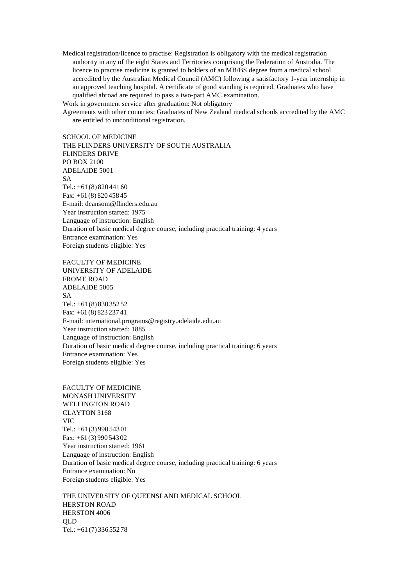Medical registration/licence to practise: Registration is obligatory with the medical registration authority in any of the eight States and Territories comprising the Federation of Australia. The licence to practise medicine is granted to holders of an MB/BS degree from a medical school accredited by the Australian Medical Council (AMC) following a satisfactory 1-year internship in an approved teaching hospital. A certificate of good standing is required. Graduates who have qualified abroad are required to pass a two-part AMC examination. Work in government service after graduation: Not obligatory

Agreements with other countries: Graduates of New Zealand medical schools accredited by the AMC are entitled to unconditional registration.

SCHOOL OF MEDICINE THE FLINDERS UNIVERSITY OF SOUTH AUSTRALIA FLINDERS DRIVE PO BOX 2100 ADELAIDE 5001 SA Tel.: +61 (8) 820 441 60 Fax: +61 (8) 820 458 45 E-mail: deansom@flinders.edu.au Year instruction started: 1975 Language of instruction: English Duration of basic medical degree course, including practical training: 4 years Entrance examination: Yes Foreign students eligible: Yes

FACULTY OF MEDICINE UNIVERSITY OF ADELAIDE FROME ROAD ADELAIDE 5005 SA Tel.: +61 (8) 830 352 52 Fax: +61 (8) 823 237 41 E-mail: international.programs@registry.adelaide.edu.au Year instruction started: 1885 Language of instruction: English Duration of basic medical degree course, including practical training: 6 years Entrance examination: Yes Foreign students eligible: Yes

FACULTY OF MEDICINE MONASH UNIVERSITY WELLINGTON ROAD CLAYTON 3168 VIC Tel.: +61 (3) 990 543 01 Fax: +61 (3) 990 543 02 Year instruction started: 1961 Language of instruction: English Duration of basic medical degree course, including practical training: 6 years Entrance examination: No Foreign students eligible: Yes

THE UNIVERSITY OF QUEENSLAND MEDICAL SCHOOL HERSTON ROAD HERSTON 4006 QLD Tel.: +61 (7) 336 552 78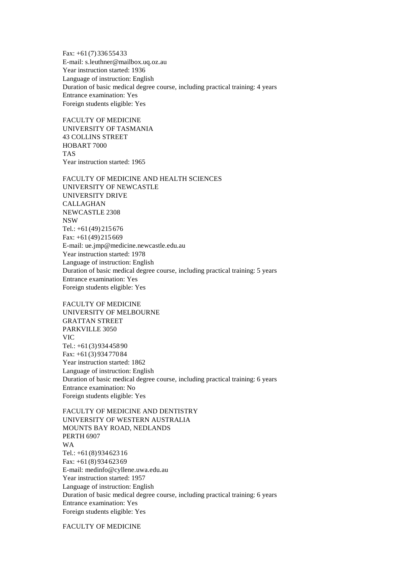Fax: +61 (7) 336 554 33 E-mail: s.leuthner@mailbox.uq.oz.au Year instruction started: 1936 Language of instruction: English Duration of basic medical degree course, including practical training: 4 years Entrance examination: Yes Foreign students eligible: Yes

FACULTY OF MEDICINE UNIVERSITY OF TASMANIA 43 COLLINS STREET HOBART 7000 TAS Year instruction started: 1965

FACULTY OF MEDICINE AND HEALTH SCIENCES UNIVERSITY OF NEWCASTLE UNIVERSITY DRIVE CALLAGHAN NEWCASTLE 2308 NSW Tel.: +61 (49) 215 676 Fax: +61 (49) 215 669 E-mail: ue.jmp@medicine.newcastle.edu.au Year instruction started: 1978 Language of instruction: English Duration of basic medical degree course, including practical training: 5 years Entrance examination: Yes Foreign students eligible: Yes

FACULTY OF MEDICINE UNIVERSITY OF MELBOURNE GRATTAN STREET PARKVILLE 3050 VIC Tel.: +61 (3) 934 458 90 Fax: +61 (3) 934 770 84 Year instruction started: 1862 Language of instruction: English Duration of basic medical degree course, including practical training: 6 years Entrance examination: No Foreign students eligible: Yes

FACULTY OF MEDICINE AND DENTISTRY UNIVERSITY OF WESTERN AUSTRALIA MOUNTS BAY ROAD, NEDLANDS PERTH 6907 WA Tel.: +61 (8) 934 623 16 Fax: +61 (8) 934 623 69 E-mail: medinfo@cyllene.uwa.edu.au Year instruction started: 1957 Language of instruction: English Duration of basic medical degree course, including practical training: 6 years Entrance examination: Yes Foreign students eligible: Yes

FACULTY OF MEDICINE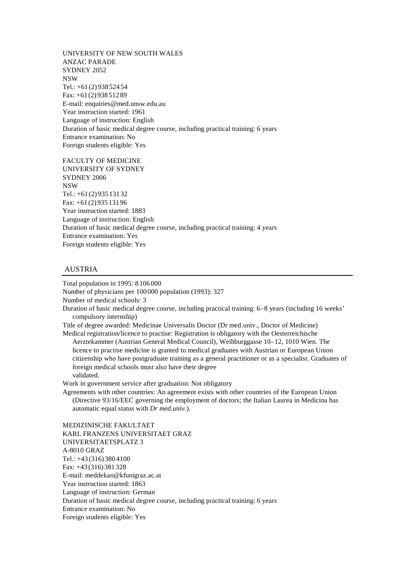UNIVERSITY OF NEW SOUTH WALES ANZAC PARADE SYDNEY 2052 NSW Tel.: +61 (2) 938 524 54 Fax: +61 (2) 938 512 89 E-mail: enquiries@med.unsw.edu.au Year instruction started: 1961 Language of instruction: English Duration of basic medical degree course, including practical training: 6 years Entrance examination: No Foreign students eligible: Yes

FACULTY OF MEDICINE UNIVERSITY OF SYDNEY SYDNEY 2006 NSW Tel.: +61 (2) 935 131 32 Fax: +61 (2) 935 131 96 Year instruction started: 1883 Language of instruction: English Duration of basic medical degree course, including practical training: 4 years Entrance examination: Yes Foreign students eligible: Yes

#### AUSTRIA

Total population in 1995: 8 106 000

Number of physicians per 100 000 population (1993): 327

Number of medical schools: 3

Duration of basic medical degree course, including practical training: 6–8 years (including 16 weeks' compulsory internship)

Title of degree awarded: Medicinae Universalis Doctor (Dr med.univ., Doctor of Medicine) Medical registration/licence to practise: Registration is obligatory with the Oesterreichische

Aerztekammer (Austrian General Medical Council), Weihburggasse 10–12, 1010 Wien. The licence to practise medicine is granted to medical graduates with Austrian or European Union citizenship who have postgraduate training as a general practitioner or as a specialist. Graduates of foreign medical schools must also have their degree validated.

Work in government service after graduation: Not obligatory

Agreements with other countries: An agreement exists with other countries of the European Union (Directive 93/16/EEC governing the employment of doctors; the Italian Laurea in Medicina has automatic equal status with *Dr med.univ.*).

MEDIZINISCHE FAKULTAET KARL FRANZENS UNIVERSITAET GRAZ UNIVERSITAETSPLATZ 3 A-8010 GRAZ Tel.: +43 (316) 380 4100 Fax: +43 (316) 381 328 E-mail: meddekan@kfunigraz.ac.at Year instruction started: 1863 Language of instruction: German Duration of basic medical degree course, including practical training: 6 years Entrance examination: No Foreign students eligible: Yes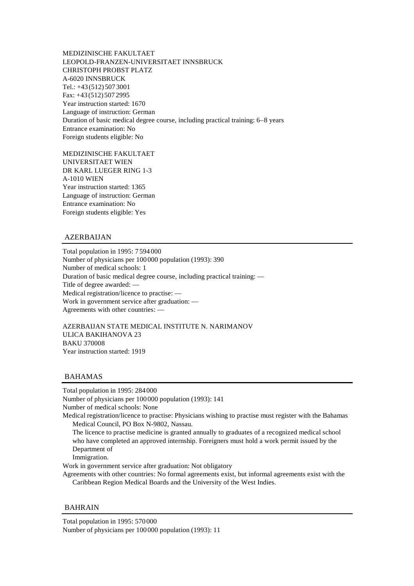MEDIZINISCHE FAKULTAET LEOPOLD-FRANZEN-UNIVERSITAET INNSBRUCK CHRISTOPH PROBST PLATZ A-6020 INNSBRUCK Tel.: +43 (512) 507 3001 Fax: +43 (512) 507 2995 Year instruction started: 1670 Language of instruction: German Duration of basic medical degree course, including practical training: 6–8 years Entrance examination: No Foreign students eligible: No

MEDIZINISCHE FAKULTAET UNIVERSITAET WIEN DR KARL LUEGER RING 1-3 A-1010 WIEN Year instruction started: 1365 Language of instruction: German Entrance examination: No Foreign students eligible: Yes

#### AZERBAIJAN

Total population in 1995: 7 594 000 Number of physicians per 100 000 population (1993): 390 Number of medical schools: 1 Duration of basic medical degree course, including practical training: — Title of degree awarded: — Medical registration/licence to practise: — Work in government service after graduation: — Agreements with other countries: —

AZERBAIJAN STATE MEDICAL INSTITUTE N. NARIMANOV ULICA BAKIHANOVA 23 BAKU 370008 Year instruction started: 1919

#### BAHAMAS

Total population in 1995: 284 000 Number of physicians per 100 000 population (1993): 141 Number of medical schools: None Medical registration/licence to practise: Physicians wishing to practise must register with the Bahamas Medical Council, PO Box N-9802, Nassau. The licence to practise medicine is granted annually to graduates of a recognized medical school who have completed an approved internship. Foreigners must hold a work permit issued by the Department of Immigration.

Work in government service after graduation: Not obligatory

Agreements with other countries: No formal agreements exist, but informal agreements exist with the Caribbean Region Medical Boards and the University of the West Indies.

#### **BAHRAIN**

Total population in 1995: 570 000 Number of physicians per 100 000 population (1993): 11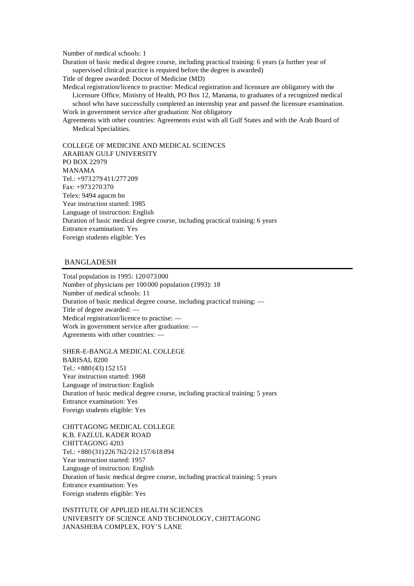Number of medical schools: 1

Duration of basic medical degree course, including practical training: 6 years (a further year of supervised clinical practice is required before the degree is awarded)

Title of degree awarded: Doctor of Medicine (MD)

Medical registration/licence to practise: Medical registration and licensure are obligatory with the Licensure Office, Ministry of Health, PO Box 12, Manama, to graduates of a recognized medical school who have successfully completed an internship year and passed the licensure examination. Work in government service after graduation: Not obligatory

Agreements with other countries: Agreements exist with all Gulf States and with the Arab Board of Medical Specialities.

COLLEGE OF MEDICINE AND MEDICAL SCIENCES ARABIAN GULF UNIVERSITY PO BOX 22979 MANAMA Tel.: +973 279 411/277 209 Fax: +973 270 370 Telex: 9494 agucm bn Year instruction started: 1985 Language of instruction: English Duration of basic medical degree course, including practical training: 6 years Entrance examination: Yes Foreign students eligible: Yes

### BANGLADESH

Total population in 1995: 120 073 000 Number of physicians per 100 000 population (1993): 18 Number of medical schools: 11 Duration of basic medical degree course, including practical training: — Title of degree awarded: — Medical registration/licence to practise: — Work in government service after graduation: — Agreements with other countries: —

SHER-E-BANGLA MEDICAL COLLEGE BARISAL 8200 Tel.: +880 (43) 152 151 Year instruction started: 1968 Language of instruction: English Duration of basic medical degree course, including practical training: 5 years Entrance examination: Yes Foreign students eligible: Yes

CHITTAGONG MEDICAL COLLEGE K.B. FAZLUL KADER ROAD CHITTAGONG 4203 Tel.: +880 (31) 226 762/212 157/618 894 Year instruction started: 1957 Language of instruction: English Duration of basic medical degree course, including practical training: 5 years Entrance examination: Yes Foreign students eligible: Yes

INSTITUTE OF APPLIED HEALTH SCIENCES UNIVERSITY OF SCIENCE AND TECHNOLOGY, CHITTAGONG JANASHEBA COMPLEX, FOY'S LANE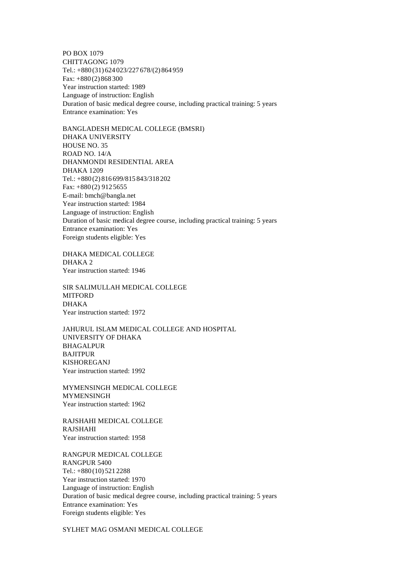PO BOX 1079 CHITTAGONG 1079 Tel.: +880 (31) 624 023/227 678/(2) 864 959 Fax: +880 (2) 868 300 Year instruction started: 1989 Language of instruction: English Duration of basic medical degree course, including practical training: 5 years Entrance examination: Yes

BANGLADESH MEDICAL COLLEGE (BMSRI) DHAKA UNIVERSITY HOUSE NO. 35 ROAD NO. 14/A DHANMONDI RESIDENTIAL AREA DHAKA 1209 Tel.: +880 (2) 816 699/815 843/318 202 Fax: +880 (2) 912 5655 E-mail: bmch@bangla.net Year instruction started: 1984 Language of instruction: English Duration of basic medical degree course, including practical training: 5 years Entrance examination: Yes Foreign students eligible: Yes

DHAKA MEDICAL COLLEGE DHAKA 2 Year instruction started: 1946

SIR SALIMULLAH MEDICAL COLLEGE **MITFORD** DHAKA Year instruction started: 1972

JAHURUL ISLAM MEDICAL COLLEGE AND HOSPITAL UNIVERSITY OF DHAKA BHAGALPUR BAJITPUR KISHOREGANJ Year instruction started: 1992

MYMENSINGH MEDICAL COLLEGE MYMENSINGH Year instruction started: 1962

RAJSHAHI MEDICAL COLLEGE RAJSHAHI Year instruction started: 1958

RANGPUR MEDICAL COLLEGE RANGPUR 5400 Tel.: +880 (10) 521 2288 Year instruction started: 1970 Language of instruction: English Duration of basic medical degree course, including practical training: 5 years Entrance examination: Yes Foreign students eligible: Yes

SYLHET MAG OSMANI MEDICAL COLLEGE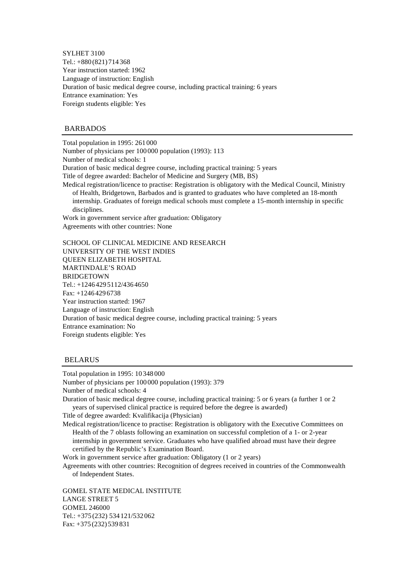SYLHET 3100 Tel.: +880 (821) 714 368 Year instruction started: 1962 Language of instruction: English Duration of basic medical degree course, including practical training: 6 years Entrance examination: Yes Foreign students eligible: Yes

#### BARBADOS

Total population in 1995: 261 000 Number of physicians per 100 000 population (1993): 113 Number of medical schools: 1 Duration of basic medical degree course, including practical training: 5 years Title of degree awarded: Bachelor of Medicine and Surgery (MB, BS) Medical registration/licence to practise: Registration is obligatory with the Medical Council, Ministry of Health, Bridgetown, Barbados and is granted to graduates who have completed an 18-month internship. Graduates of foreign medical schools must complete a 15-month internship in specific disciplines. Work in government service after graduation: Obligatory Agreements with other countries: None

SCHOOL OF CLINICAL MEDICINE AND RESEARCH UNIVERSITY OF THE WEST INDIES QUEEN ELIZABETH HOSPITAL MARTINDALE'S ROAD BRIDGETOWN Tel.: +1246 429 5112/436 4650 Fax: +1246 429 6738 Year instruction started: 1967 Language of instruction: English Duration of basic medical degree course, including practical training: 5 years Entrance examination: No Foreign students eligible: Yes

#### **BELARUS**

Total population in 1995: 10 348 000 Number of physicians per 100 000 population (1993): 379 Number of medical schools: 4 Duration of basic medical degree course, including practical training: 5 or 6 years (a further 1 or 2 years of supervised clinical practice is required before the degree is awarded) Title of degree awarded: Kvalifikacija (Physician) Medical registration/licence to practise: Registration is obligatory with the Executive Committees on Health of the 7 oblasts following an examination on successful completion of a 1- or 2-year internship in government service. Graduates who have qualified abroad must have their degree certified by the Republic's Examination Board. Work in government service after graduation: Obligatory (1 or 2 years) Agreements with other countries: Recognition of degrees received in countries of the Commonwealth of Independent States.

GOMEL STATE MEDICAL INSTITUTE LANGE STREET 5 GOMEL 246000 Tel.: +375 (232) 534 121/532 062 Fax: +375 (232) 539 831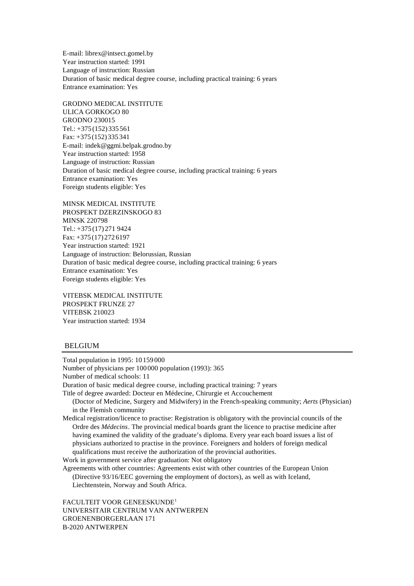E-mail: librex@intsect.gomel.by Year instruction started: 1991 Language of instruction: Russian Duration of basic medical degree course, including practical training: 6 years Entrance examination: Yes

GRODNO MEDICAL INSTITUTE ULICA GORKOGO 80 GRODNO 230015 Tel.: +375 (152) 335 561 Fax: +375 (152) 335 341 E-mail: indek@ggmi.belpak.grodno.by Year instruction started: 1958 Language of instruction: Russian Duration of basic medical degree course, including practical training: 6 years Entrance examination: Yes Foreign students eligible: Yes

MINSK MEDICAL INSTITUTE PROSPEKT DZERZINSKOGO 83 MINSK 220798 Tel.: +375 (17) 271 9424 Fax: +375 (17) 272 6197 Year instruction started: 1921 Language of instruction: Belorussian, Russian Duration of basic medical degree course, including practical training: 6 years Entrance examination: Yes Foreign students eligible: Yes

VITEBSK MEDICAL INSTITUTE PROSPEKT FRUNZE 27 VITEBSK 210023 Year instruction started: 1934

### BELGIUM

Total population in 1995: 10 159 000 Number of physicians per 100 000 population (1993): 365 Number of medical schools: 11 Duration of basic medical degree course, including practical training: 7 years Title of degree awarded: Docteur en Médecine, Chirurgie et Accouchement (Doctor of Medicine, Surgery and Midwifery) in the French-speaking community; *Aerts* (Physician) in the Flemish community Medical registration/licence to practise: Registration is obligatory with the provincial councils of the Ordre des *Médecins*. The provincial medical boards grant the licence to practise medicine after having examined the validity of the graduate's diploma. Every year each board issues a list of physicians authorized to practise in the province. Foreigners and holders of foreign medical qualifications must receive the authorization of the provincial authorities. Work in government service after graduation: Not obligatory Agreements with other countries: Agreements exist with other countries of the European Union (Directive 93/16/EEC governing the employment of doctors), as well as with Iceland, Liechtenstein, Norway and South Africa. FACULTEIT VOOR GENEESKUNDE<sup>1</sup>

UNIVERSITAIR CENTRUM VAN ANTWERPEN GROENENBORGERLAAN 171 B-2020 ANTWERPEN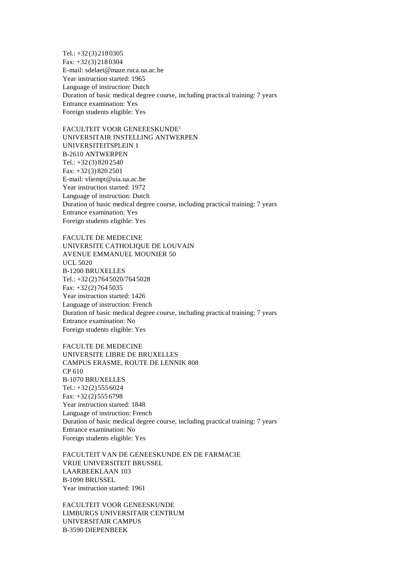Tel.: +32 (3) 218 0305 Fax: +32 (3) 218 0304 E-mail: sdelaet@maze.ruca.ua.ac.be Year instruction started: 1965 Language of instruction: Dutch Duration of basic medical degree course, including practical training: 7 years Entrance examination: Yes Foreign students eligible: Yes

FACULTEIT VOOR GENEEESKUNDE<sup>1</sup> UNIVERSITAIR INSTELLING ANTWERPEN UNIVERSITEITSPLEIN 1 B-2610 ANTWERPEN Tel.: +32 (3) 820 2540 Fax: +32 (3) 820 2501 E-mail: vliempt@uia.ua.ac.be Year instruction started: 1972 Language of instruction: Dutch Duration of basic medical degree course, including practical training: 7 years Entrance examination: Yes Foreign students eligible: Yes

FACULTE DE MEDECINE UNIVERSITE CATHOLIQUE DE LOUVAIN AVENUE EMMANUEL MOUNIER 50 UCL 5020 B-1200 BRUXELLES Tel.: +32 (2) 764 5020/764 5028 Fax: +32 (2) 764 5035 Year instruction started: 1426 Language of instruction: French Duration of basic medical degree course, including practical training: 7 years Entrance examination: No Foreign students eligible: Yes

FACULTE DE MEDECINE UNIVERSITE LIBRE DE BRUXELLES CAMPUS ERASME, ROUTE DE LENNIK 808 CP 610 B-1070 BRUXELLES Tel.: +32 (2) 555 6024 Fax: +32 (2) 555 6798 Year instruction started: 1848 Language of instruction: French Duration of basic medical degree course, including practical training: 7 years Entrance examination: No Foreign students eligible: Yes

FACULTEIT VAN DE GENEESKUNDE EN DE FARMACIE VRIJE UNIVERSITEIT BRUSSEL LAARBEEKLAAN 103 B-1090 BRUSSEL Year instruction started: 1961

FACULTEIT VOOR GENEESKUNDE LIMBURGS UNIVERSITAIR CENTRUM UNIVERSITAIR CAMPUS B-3590 DIEPENBEEK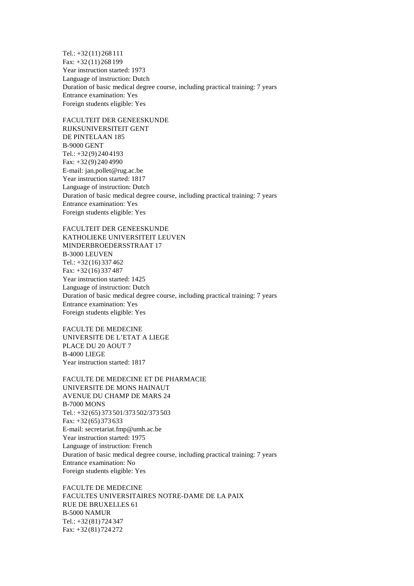Tel.: +32 (11) 268 111 Fax: +32 (11) 268 199 Year instruction started: 1973 Language of instruction: Dutch Duration of basic medical degree course, including practical training: 7 years Entrance examination: Yes Foreign students eligible: Yes

FACULTEIT DER GENEESKUNDE RIJKSUNIVERSITEIT GENT DE PINTELAAN 185 B-9000 GENT Tel.: +32 (9) 240 4193 Fax: +32 (9) 240 4990 E-mail: jan.pollet@rug.ac.be Year instruction started: 1817 Language of instruction: Dutch Duration of basic medical degree course, including practical training: 7 years Entrance examination: Yes Foreign students eligible: Yes

FACULTEIT DER GENEESKUNDE KATHOLIEKE UNIVERSITEIT LEUVEN MINDERBROEDERSSTRAAT 17 B-3000 LEUVEN Tel.: +32 (16) 337 462 Fax: +32 (16) 337 487 Year instruction started: 1425 Language of instruction: Dutch Duration of basic medical degree course, including practical training: 7 years Entrance examination: Yes Foreign students eligible: Yes

FACULTE DE MEDECINE UNIVERSITE DE L'ETAT A LIEGE PLACE DU 20 AOUT 7 B-4000 LIEGE Year instruction started: 1817

FACULTE DE MEDECINE ET DE PHARMACIE UNIVERSITE DE MONS HAINAUT AVENUE DU CHAMP DE MARS 24 B-7000 MONS Tel.: +32 (65) 373 501/373 502/373 503 Fax: +32 (65) 373 633 E-mail: secretariat.fmp@umh.ac.be Year instruction started: 1975 Language of instruction: French Duration of basic medical degree course, including practical training: 7 years Entrance examination: No Foreign students eligible: Yes

FACULTE DE MEDECINE FACULTES UNIVERSITAIRES NOTRE-DAME DE LA PAIX RUE DE BRUXELLES 61 B-5000 NAMUR Tel.: +32 (81) 724 347 Fax: +32 (81) 724 272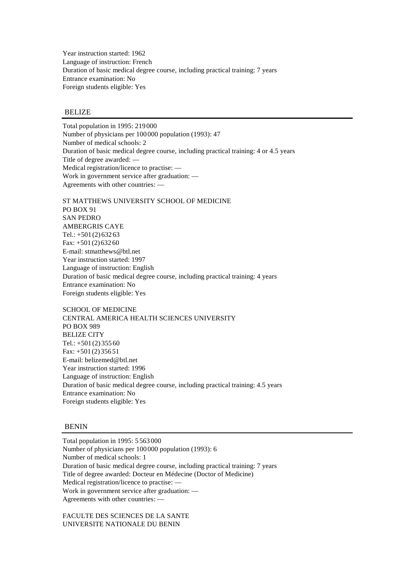Year instruction started: 1962 Language of instruction: French Duration of basic medical degree course, including practical training: 7 years Entrance examination: No Foreign students eligible: Yes

# **BELIZE**

Total population in 1995: 219 000 Number of physicians per 100 000 population (1993): 47 Number of medical schools: 2 Duration of basic medical degree course, including practical training: 4 or 4.5 years Title of degree awarded: — Medical registration/licence to practise: — Work in government service after graduation: — Agreements with other countries: —

ST MATTHEWS UNIVERSITY SCHOOL OF MEDICINE PO BOX 91 SAN PEDRO AMBERGRIS CAYE Tel.:  $+501(2)63263$ Fax: +501 (2) 632 60 E-mail: stmatthews@btl.net Year instruction started: 1997 Language of instruction: English Duration of basic medical degree course, including practical training: 4 years Entrance examination: No Foreign students eligible: Yes

SCHOOL OF MEDICINE CENTRAL AMERICA HEALTH SCIENCES UNIVERSITY PO BOX 989 BELIZE CITY Tel.:  $+501(2)35560$ Fax: +501 (2) 356 51 E-mail: belizemed@btl.net Year instruction started: 1996 Language of instruction: English Duration of basic medical degree course, including practical training: 4.5 years Entrance examination: No Foreign students eligible: Yes

#### **BENIN**

Total population in 1995: 5 563 000 Number of physicians per 100 000 population (1993): 6 Number of medical schools: 1 Duration of basic medical degree course, including practical training: 7 years Title of degree awarded: Docteur en Médecine (Doctor of Medicine) Medical registration/licence to practise: — Work in government service after graduation: — Agreements with other countries: —

FACULTE DES SCIENCES DE LA SANTE UNIVERSITE NATIONALE DU BENIN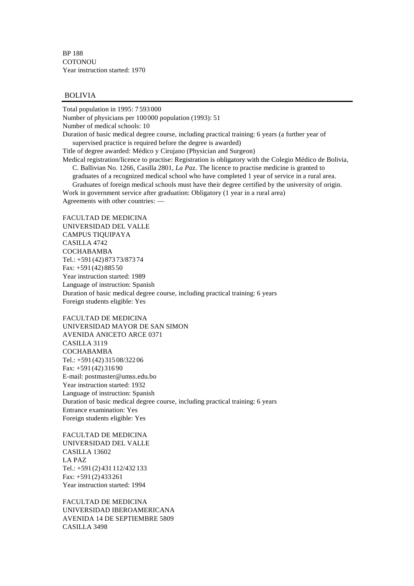BP 188 **COTONOU** Year instruction started: 1970

#### BOLIVIA

Total population in 1995: 7 593 000

Number of physicians per 100 000 population (1993): 51

Number of medical schools: 10

Duration of basic medical degree course, including practical training: 6 years (a further year of supervised practice is required before the degree is awarded)

Title of degree awarded: Médico y Cirujano (Physician and Surgeon)

Medical registration/licence to practise: Registration is obligatory with the Colegio Médico de Bolivia, C. Ballivian No. 1266, Casilla 2801, *La Pa*z. The licence to practise medicine is granted to graduates of a recognized medical school who have completed 1 year of service in a rural area.

Graduates of foreign medical schools must have their degree certified by the university of origin. Work in government service after graduation: Obligatory (1 year in a rural area)

Agreements with other countries: —

FACULTAD DE MEDICINA UNIVERSIDAD DEL VALLE CAMPUS TIQUIPAYA CASILLA 4742 COCHABAMBA Tel.: +591 (42) 873 73/873 74 Fax: +591 (42) 885 50 Year instruction started: 1989 Language of instruction: Spanish Duration of basic medical degree course, including practical training: 6 years Foreign students eligible: Yes

FACULTAD DE MEDICINA UNIVERSIDAD MAYOR DE SAN SIMON AVENIDA ANICETO ARCE 0371 CASILLA 3119 COCHABAMBA Tel.: +591 (42) 315 08/322 06 Fax: +591 (42) 316 90 E-mail: postmaster@umss.edu.bo Year instruction started: 1932 Language of instruction: Spanish Duration of basic medical degree course, including practical training: 6 years Entrance examination: Yes Foreign students eligible: Yes

FACULTAD DE MEDICINA UNIVERSIDAD DEL VALLE CASILLA 13602 LA PAZ Tel.: +591 (2) 431 112/432 133 Fax: +591 (2) 433 261 Year instruction started: 1994

FACULTAD DE MEDICINA UNIVERSIDAD IBEROAMERICANA AVENIDA 14 DE SEPTIEMBRE 5809 CASILLA 3498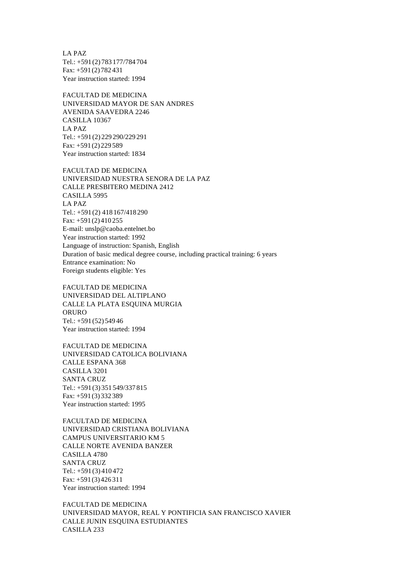LA PAZ Tel.: +591 (2) 783 177/784 704 Fax: +591 (2) 782 431 Year instruction started: 1994

FACULTAD DE MEDICINA UNIVERSIDAD MAYOR DE SAN ANDRES AVENIDA SAAVEDRA 2246 CASILLA 10367 LA PAZ Tel.: +591 (2) 229 290/229 291 Fax: +591 (2) 229 589 Year instruction started: 1834

FACULTAD DE MEDICINA UNIVERSIDAD NUESTRA SENORA DE LA PAZ CALLE PRESBITERO MEDINA 2412 CASILLA 5995 LA PAZ Tel.: +591 (2) 418 167/418 290 Fax: +591 (2) 410 255 E-mail: unslp@caoba.entelnet.bo Year instruction started: 1992 Language of instruction: Spanish, English Duration of basic medical degree course, including practical training: 6 years Entrance examination: No Foreign students eligible: Yes

FACULTAD DE MEDICINA UNIVERSIDAD DEL ALTIPLANO CALLE LA PLATA ESQUINA MURGIA ORURO Tel.: +591 (52) 549 46 Year instruction started: 1994

FACULTAD DE MEDICINA UNIVERSIDAD CATOLICA BOLIVIANA CALLE ESPANA 368 CASILLA 3201 SANTA CRUZ Tel.: +591 (3) 351 549/337 815 Fax: +591 (3) 332 389 Year instruction started: 1995

FACULTAD DE MEDICINA UNIVERSIDAD CRISTIANA BOLIVIANA CAMPUS UNIVERSITARIO KM 5 CALLE NORTE AVENIDA BANZER CASILLA 4780 SANTA CRUZ Tel.: +591 (3) 410 472 Fax: +591 (3) 426 311 Year instruction started: 1994

FACULTAD DE MEDICINA UNIVERSIDAD MAYOR, REAL Y PONTIFICIA SAN FRANCISCO XAVIER CALLE JUNIN ESQUINA ESTUDIANTES CASILLA 233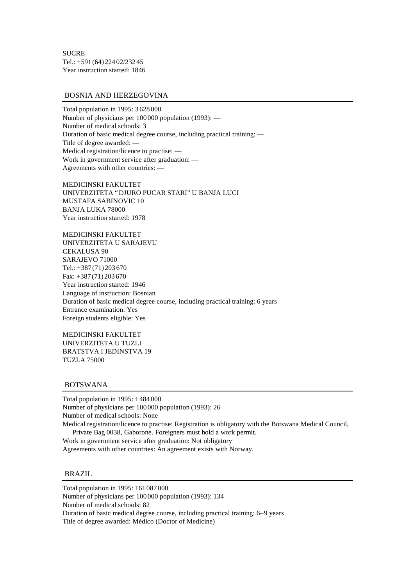**SUCRE** Tel.: +591 (64) 224 02/232 45 Year instruction started: 1846

#### BOSNIA AND HERZEGOVINA

Total population in 1995: 3 628 000 Number of physicians per 100 000 population (1993): — Number of medical schools: 3 Duration of basic medical degree course, including practical training: — Title of degree awarded: — Medical registration/licence to practise: — Work in government service after graduation: — Agreements with other countries: —

MEDICINSKI FAKULTET UNIVERZITETA "DJURO PUCAR STARI" U BANJA LUCI MUSTAFA SABINOVIC 10 BANJA LUKA 78000 Year instruction started: 1978

MEDICINSKI FAKULTET UNIVERZITETA U SARAJEVU CEKALUSA 90 SARAJEVO 71000 Tel.: +387 (71) 203 670 Fax: +387 (71) 203 670 Year instruction started: 1946 Language of instruction: Bosnian Duration of basic medical degree course, including practical training: 6 years Entrance examination: Yes Foreign students eligible: Yes

MEDICINSKI FAKULTET UNIVERZITETA U TUZLI BRATSTVA I JEDINSTVA 19 TUZLA 75000

BOTSWANA

Total population in 1995: 1 484 000 Number of physicians per 100 000 population (1993): 26 Number of medical schools: None Medical registration/licence to practise: Registration is obligatory with the Botswana Medical Council, Private Bag 0038, Gaborone. Foreigners must hold a work permit.

Work in government service after graduation: Not obligatory Agreements with other countries: An agreement exists with Norway.

#### BRAZIL

Total population in 1995: 161 087 000

Number of physicians per 100 000 population (1993): 134

Number of medical schools: 82

Duration of basic medical degree course, including practical training: 6–9 years Title of degree awarded: Médico (Doctor of Medicine)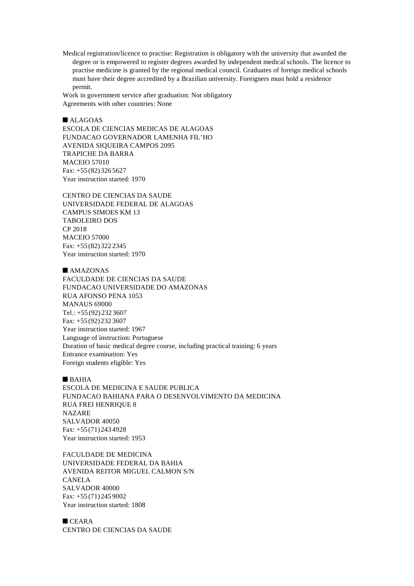Medical registration/licence to practise: Registration is obligatory with the university that awarded the degree or is empowered to register degrees awarded by independent medical schools. The licence to practise medicine is granted by the regional medical council. Graduates of foreign medical schools must have their degree accredited by a Brazilian university. Foreigners must hold a residence permit.

Work in government service after graduation: Not obligatory Agreements with other countries: None

 $\n **ALAGOAS**\n$ ESCOLA DE CIENCIAS MEDICAS DE ALAGOAS FUNDACAO GOVERNADOR LAMENHA FIL'HO AVENIDA SIQUEIRA CAMPOS 2095 TRAPICHE DA BARRA MACEIO 57010 Fax: +55 (82) 326 5627 Year instruction started: 1970

CENTRO DE CIENCIAS DA SAUDE UNIVERSIDADE FEDERAL DE ALAGOAS CAMPUS SIMOES KM 13 TABOLEIRO DOS CP 2018 MACEIO 57000 Fax: +55 (82) 322 2345 Year instruction started: 1970

 $MAXONAS$ 

FACULDADE DE CIENCIAS DA SAUDE FUNDACAO UNIVERSIDADE DO AMAZONAS RUA AFONSO PENA 1053 MANAUS 69000 Tel.: +55 (92) 232 3607 Fax: +55 (92) 232 3607 Year instruction started: 1967 Language of instruction: Portuguese Duration of basic medical degree course, including practical training: 6 years Entrance examination: Yes Foreign students eligible: Yes

 $B$ AHIA

ESCOLA DE MEDICINA E SAUDE PUBLICA FUNDACAO BAHIANA PARA O DESENVOLVIMENTO DA MEDICINA RUA FREI HENRIQUE 8 NAZARE SALVADOR 40050 Fax: +55 (71) 243 4928 Year instruction started: 1953

FACULDADE DE MEDICINA UNIVERSIDADE FEDERAL DA BAHIA AVENIDA REITOR MIGUEL CALMON S/N CANELA SALVADOR 40000 Fax: +55 (71) 245 9002 Year instruction started: 1808

 $CEARA$ CENTRO DE CIENCIAS DA SAUDE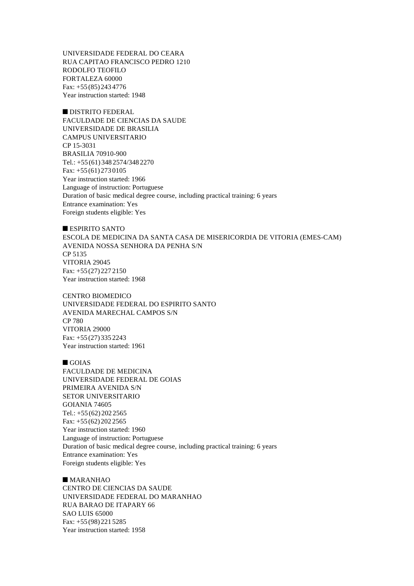UNIVERSIDADE FEDERAL DO CEARA RUA CAPITAO FRANCISCO PEDRO 1210 RODOLFO TEOFILO FORTALEZA 60000 Fax: +55 (85) 243 4776 Year instruction started: 1948

 $\blacksquare$  DISTRITO FEDERAL FACULDADE DE CIENCIAS DA SAUDE UNIVERSIDADE DE BRASILIA CAMPUS UNIVERSITARIO CP 15-3031 BRASILIA 70910-900 Tel.: +55 (61) 348 2574/348 2270 Fax: +55 (61) 273 0105 Year instruction started: 1966 Language of instruction: Portuguese Duration of basic medical degree course, including practical training: 6 years Entrance examination: Yes Foreign students eligible: Yes

#### $\blacksquare$  ESPIRITO SANTO

ESCOLA DE MEDICINA DA SANTA CASA DE MISERICORDIA DE VITORIA (EMES-CAM) AVENIDA NOSSA SENHORA DA PENHA S/N CP 5135 VITORIA 29045 Fax: +55 (27) 227 2150 Year instruction started: 1968

CENTRO BIOMEDICO UNIVERSIDADE FEDERAL DO ESPIRITO SANTO AVENIDA MARECHAL CAMPOS S/N CP 780 VITORIA 29000 Fax: +55 (27) 335 2243 Year instruction started: 1961

#### $\blacksquare$  GOIAS

FACULDADE DE MEDICINA UNIVERSIDADE FEDERAL DE GOIAS PRIMEIRA AVENIDA S/N SETOR UNIVERSITARIO GOIANIA 74605 Tel.: +55 (62) 202 2565 Fax: +55 (62) 202 2565 Year instruction started: 1960 Language of instruction: Portuguese Duration of basic medical degree course, including practical training: 6 years Entrance examination: Yes Foreign students eligible: Yes

#### $MARANHAO$

CENTRO DE CIENCIAS DA SAUDE UNIVERSIDADE FEDERAL DO MARANHAO RUA BARAO DE ITAPARY 66 SAO LUIS 65000 Fax: +55 (98) 221 5285 Year instruction started: 1958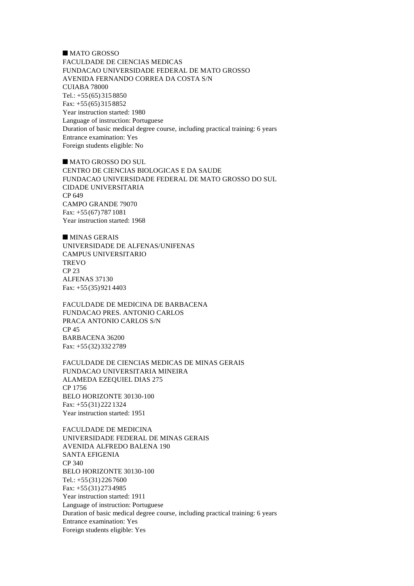$MATO$  GROSSO FACULDADE DE CIENCIAS MEDICAS FUNDACAO UNIVERSIDADE FEDERAL DE MATO GROSSO AVENIDA FERNANDO CORREA DA COSTA S/N CUIABA 78000 Tel.: +55 (65) 315 8850 Fax: +55 (65) 315 8852 Year instruction started: 1980 Language of instruction: Portuguese Duration of basic medical degree course, including practical training: 6 years Entrance examination: Yes Foreign students eligible: No

**NATO GROSSO DO SUL** CENTRO DE CIENCIAS BIOLOGICAS E DA SAUDE FUNDACAO UNIVERSIDADE FEDERAL DE MATO GROSSO DO SUL CIDADE UNIVERSITARIA CP 649 CAMPO GRANDE 79070 Fax: +55 (67) 787 1081 Year instruction started: 1968

 $MINAS GERAIS$ UNIVERSIDADE DE ALFENAS/UNIFENAS CAMPUS UNIVERSITARIO **TREVO** CP 23 ALFENAS 37130 Fax: +55 (35) 921 4403

FACULDADE DE MEDICINA DE BARBACENA FUNDACAO PRES. ANTONIO CARLOS PRACA ANTONIO CARLOS S/N CP 45 BARBACENA 36200 Fax: +55 (32) 332 2789

FACULDADE DE CIENCIAS MEDICAS DE MINAS GERAIS FUNDACAO UNIVERSITARIA MINEIRA ALAMEDA EZEQUIEL DIAS 275 CP 1756 BELO HORIZONTE 30130-100 Fax: +55 (31) 222 1324 Year instruction started: 1951

FACULDADE DE MEDICINA UNIVERSIDADE FEDERAL DE MINAS GERAIS AVENIDA ALFREDO BALENA 190 SANTA EFIGENIA CP 340 BELO HORIZONTE 30130-100 Tel.: +55 (31) 226 7600 Fax: +55 (31) 273 4985 Year instruction started: 1911 Language of instruction: Portuguese Duration of basic medical degree course, including practical training: 6 years Entrance examination: Yes Foreign students eligible: Yes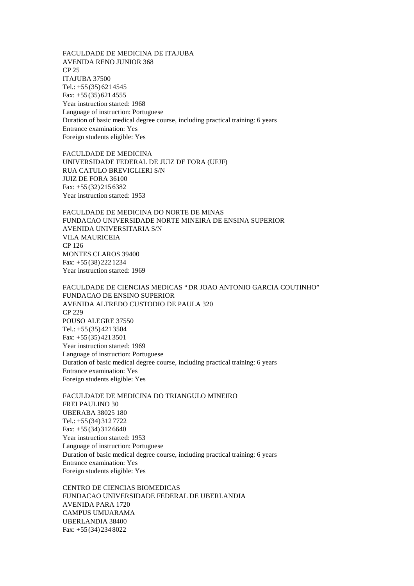FACULDADE DE MEDICINA DE ITAJUBA AVENIDA RENO JUNIOR 368 CP 25 ITAJUBA 37500 Tel.: +55 (35) 621 4545 Fax: +55 (35) 621 4555 Year instruction started: 1968 Language of instruction: Portuguese Duration of basic medical degree course, including practical training: 6 years Entrance examination: Yes Foreign students eligible: Yes

FACULDADE DE MEDICINA UNIVERSIDADE FEDERAL DE JUIZ DE FORA (UFJF) RUA CATULO BREVIGLIERI S/N JUIZ DE FORA 36100 Fax: +55 (32) 215 6382 Year instruction started: 1953

FACULDADE DE MEDICINA DO NORTE DE MINAS FUNDACAO UNIVERSIDADE NORTE MINEIRA DE ENSINA SUPERIOR AVENIDA UNIVERSITARIA S/N VILA MAURICEIA CP 126 MONTES CLAROS 39400 Fax: +55 (38) 222 1234 Year instruction started: 1969

FACULDADE DE CIENCIAS MEDICAS "DR JOAO ANTONIO GARCIA COUTINHO" FUNDACAO DE ENSINO SUPERIOR AVENIDA ALFREDO CUSTODIO DE PAULA 320 CP 229 POUSO ALEGRE 37550 Tel.: +55 (35) 421 3504 Fax: +55 (35) 421 3501 Year instruction started: 1969 Language of instruction: Portuguese Duration of basic medical degree course, including practical training: 6 years Entrance examination: Yes Foreign students eligible: Yes

FACULDADE DE MEDICINA DO TRIANGULO MINEIRO FREI PAULINO 30 UBERABA 38025 180 Tel.: +55 (34) 312 7722 Fax: +55 (34) 312 6640 Year instruction started: 1953 Language of instruction: Portuguese Duration of basic medical degree course, including practical training: 6 years Entrance examination: Yes Foreign students eligible: Yes

CENTRO DE CIENCIAS BIOMEDICAS FUNDACAO UNIVERSIDADE FEDERAL DE UBERLANDIA AVENIDA PARA 1720 CAMPUS UMUARAMA UBERLANDIA 38400 Fax: +55 (34) 234 8022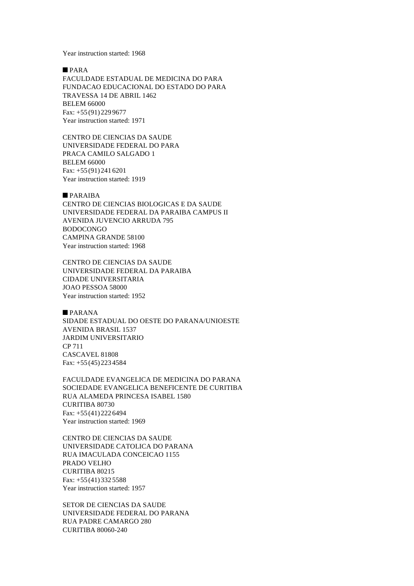Year instruction started: 1968

 $PARA$ 

FACULDADE ESTADUAL DE MEDICINA DO PARA FUNDACAO EDUCACIONAL DO ESTADO DO PARA TRAVESSA 14 DE ABRIL 1462 BELEM 66000 Fax: +55 (91) 229 9677 Year instruction started: 1971

CENTRO DE CIENCIAS DA SAUDE UNIVERSIDADE FEDERAL DO PARA PRACA CAMILO SALGADO 1 BELEM 66000 Fax: +55 (91) 241 6201 Year instruction started: 1919

#### $PARAIBA$

CENTRO DE CIENCIAS BIOLOGICAS E DA SAUDE UNIVERSIDADE FEDERAL DA PARAIBA CAMPUS II AVENIDA JUVENCIO ARRUDA 795 BODOCONGO CAMPINA GRANDE 58100 Year instruction started: 1968

CENTRO DE CIENCIAS DA SAUDE UNIVERSIDADE FEDERAL DA PARAIBA CIDADE UNIVERSITARIA JOAO PESSOA 58000 Year instruction started: 1952

 $\n **PARANA**\n$ SIDADE ESTADUAL DO OESTE DO PARANA/UNIOESTE AVENIDA BRASIL 1537 JARDIM UNIVERSITARIO CP 711 CASCAVEL 81808 Fax: +55 (45) 223 4584

FACULDADE EVANGELICA DE MEDICINA DO PARANA SOCIEDADE EVANGELICA BENEFICENTE DE CURITIBA RUA ALAMEDA PRINCESA ISABEL 1580 CURITIBA 80730 Fax: +55 (41) 222 6494 Year instruction started: 1969

CENTRO DE CIENCIAS DA SAUDE UNIVERSIDADE CATOLICA DO PARANA RUA IMACULADA CONCEICAO 1155 PRADO VELHO CURITIBA 80215 Fax: +55 (41) 332 5588 Year instruction started: 1957

SETOR DE CIENCIAS DA SAUDE UNIVERSIDADE FEDERAL DO PARANA RUA PADRE CAMARGO 280 CURITIBA 80060-240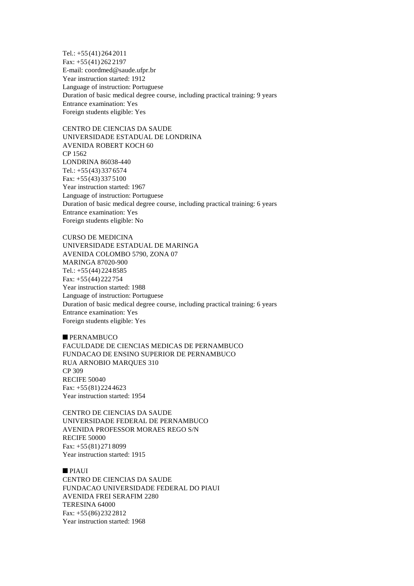Tel.: +55 (41) 264 2011 Fax: +55 (41) 262 2197 E-mail: coordmed@saude.ufpr.br Year instruction started: 1912 Language of instruction: Portuguese Duration of basic medical degree course, including practical training: 9 years Entrance examination: Yes Foreign students eligible: Yes

CENTRO DE CIENCIAS DA SAUDE UNIVERSIDADE ESTADUAL DE LONDRINA AVENIDA ROBERT KOCH 60 CP 1562 LONDRINA 86038-440 Tel.: +55 (43) 337 6574 Fax: +55 (43) 337 5100 Year instruction started: 1967 Language of instruction: Portuguese Duration of basic medical degree course, including practical training: 6 years Entrance examination: Yes Foreign students eligible: No

CURSO DE MEDICINA UNIVERSIDADE ESTADUAL DE MARINGA AVENIDA COLOMBO 5790, ZONA 07 MARINGA 87020-900 Tel.: +55 (44) 224 8585 Fax: +55 (44) 222 754 Year instruction started: 1988 Language of instruction: Portuguese Duration of basic medical degree course, including practical training: 6 years Entrance examination: Yes Foreign students eligible: Yes

### $\blacksquare$  PERNAMBUCO

FACULDADE DE CIENCIAS MEDICAS DE PERNAMBUCO FUNDACAO DE ENSINO SUPERIOR DE PERNAMBUCO RUA ARNOBIO MARQUES 310 CP 309 RECIFE 50040 Fax: +55 (81) 224 4623 Year instruction started: 1954

CENTRO DE CIENCIAS DA SAUDE UNIVERSIDADE FEDERAL DE PERNAMBUCO AVENIDA PROFESSOR MORAES REGO S/N RECIFE 50000 Fax: +55 (81) 271 8099 Year instruction started: 1915

### $PIAUI$

CENTRO DE CIENCIAS DA SAUDE FUNDACAO UNIVERSIDADE FEDERAL DO PIAUI AVENIDA FREI SERAFIM 2280 TERESINA 64000 Fax: +55 (86) 232 2812 Year instruction started: 1968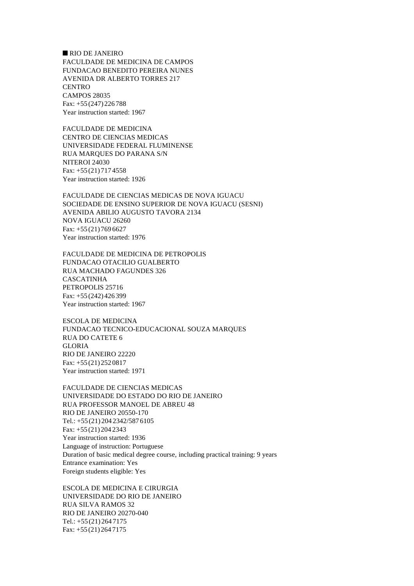$\blacksquare$  RIO DE JANEIRO FACULDADE DE MEDICINA DE CAMPOS FUNDACAO BENEDITO PEREIRA NUNES AVENIDA DR ALBERTO TORRES 217 **CENTRO** CAMPOS 28035 Fax: +55 (247) 226 788 Year instruction started: 1967

FACULDADE DE MEDICINA CENTRO DE CIENCIAS MEDICAS UNIVERSIDADE FEDERAL FLUMINENSE RUA MARQUES DO PARANA S/N NITEROI 24030 Fax: +55 (21) 717 4558 Year instruction started: 1926

FACULDADE DE CIENCIAS MEDICAS DE NOVA IGUACU SOCIEDADE DE ENSINO SUPERIOR DE NOVA IGUACU (SESNI) AVENIDA ABILIO AUGUSTO TAVORA 2134 NOVA IGUACU 26260 Fax: +55 (21) 769 6627 Year instruction started: 1976

FACULDADE DE MEDICINA DE PETROPOLIS FUNDACAO OTACILIO GUALBERTO RUA MACHADO FAGUNDES 326 CASCATINHA PETROPOLIS 25716 Fax: +55 (242) 426 399 Year instruction started: 1967

ESCOLA DE MEDICINA FUNDACAO TECNICO-EDUCACIONAL SOUZA MARQUES RUA DO CATETE 6 GLORIA RIO DE JANEIRO 22220 Fax: +55 (21) 252 0817 Year instruction started: 1971

FACULDADE DE CIENCIAS MEDICAS UNIVERSIDADE DO ESTADO DO RIO DE JANEIRO RUA PROFESSOR MANOEL DE ABREU 48 RIO DE JANEIRO 20550-170 Tel.: +55 (21) 204 2342/587 6105 Fax: +55 (21) 204 2343 Year instruction started: 1936 Language of instruction: Portuguese Duration of basic medical degree course, including practical training: 9 years Entrance examination: Yes Foreign students eligible: Yes

ESCOLA DE MEDICINA E CIRURGIA UNIVERSIDADE DO RIO DE JANEIRO RUA SILVA RAMOS 32 RIO DE JANEIRO 20270-040 Tel.: +55 (21) 264 7175 Fax: +55 (21) 264 7175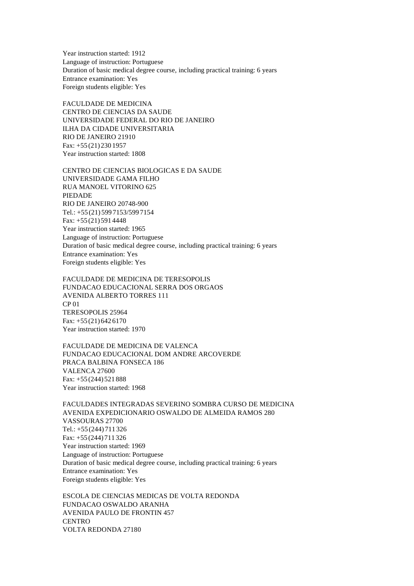Year instruction started: 1912 Language of instruction: Portuguese Duration of basic medical degree course, including practical training: 6 years Entrance examination: Yes Foreign students eligible: Yes

FACULDADE DE MEDICINA CENTRO DE CIENCIAS DA SAUDE UNIVERSIDADE FEDERAL DO RIO DE JANEIRO ILHA DA CIDADE UNIVERSITARIA RIO DE JANEIRO 21910 Fax: +55 (21) 230 1957 Year instruction started: 1808

CENTRO DE CIENCIAS BIOLOGICAS E DA SAUDE UNIVERSIDADE GAMA FILHO RUA MANOEL VITORINO 625 PIEDADE RIO DE JANEIRO 20748-900 Tel.: +55 (21) 599 7153/599 7154 Fax: +55 (21) 591 4448 Year instruction started: 1965 Language of instruction: Portuguese Duration of basic medical degree course, including practical training: 6 years Entrance examination: Yes Foreign students eligible: Yes

FACULDADE DE MEDICINA DE TERESOPOLIS FUNDACAO EDUCACIONAL SERRA DOS ORGAOS AVENIDA ALBERTO TORRES 111 CP 01 TERESOPOLIS 25964 Fax: +55 (21) 642 6170 Year instruction started: 1970

FACULDADE DE MEDICINA DE VALENCA FUNDACAO EDUCACIONAL DOM ANDRE ARCOVERDE PRACA BALBINA FONSECA 186 VALENCA 27600 Fax: +55 (244) 521 888 Year instruction started: 1968

FACULDADES INTEGRADAS SEVERINO SOMBRA CURSO DE MEDICINA AVENIDA EXPEDICIONARIO OSWALDO DE ALMEIDA RAMOS 280 VASSOURAS 27700 Tel.: +55 (244) 711 326 Fax: +55 (244) 711 326 Year instruction started: 1969 Language of instruction: Portuguese Duration of basic medical degree course, including practical training: 6 years Entrance examination: Yes Foreign students eligible: Yes

ESCOLA DE CIENCIAS MEDICAS DE VOLTA REDONDA FUNDACAO OSWALDO ARANHA AVENIDA PAULO DE FRONTIN 457 **CENTRO** VOLTA REDONDA 27180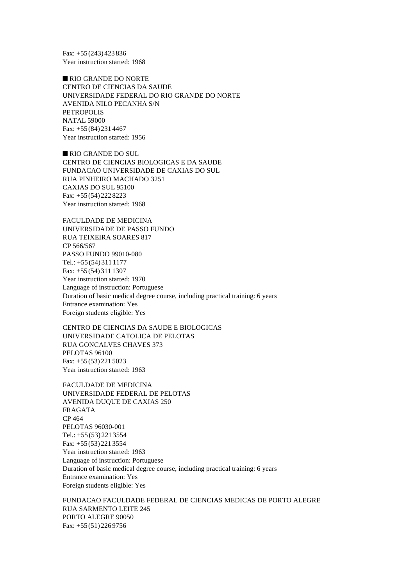Fax: +55 (243) 423 836 Year instruction started: 1968

RIO GRANDE DO NORTE CENTRO DE CIENCIAS DA SAUDE UNIVERSIDADE FEDERAL DO RIO GRANDE DO NORTE AVENIDA NILO PECANHA S/N PETROPOLIS NATAL 59000 Fax: +55 (84) 231 4467 Year instruction started: 1956

RIO GRANDE DO SUL CENTRO DE CIENCIAS BIOLOGICAS E DA SAUDE FUNDACAO UNIVERSIDADE DE CAXIAS DO SUL RUA PINHEIRO MACHADO 3251 CAXIAS DO SUL 95100 Fax: +55 (54) 222 8223 Year instruction started: 1968

FACULDADE DE MEDICINA UNIVERSIDADE DE PASSO FUNDO RUA TEIXEIRA SOARES 817 CP 566/567 PASSO FUNDO 99010-080 Tel.: +55 (54) 311 1177 Fax: +55 (54) 311 1307 Year instruction started: 1970 Language of instruction: Portuguese Duration of basic medical degree course, including practical training: 6 years Entrance examination: Yes Foreign students eligible: Yes

CENTRO DE CIENCIAS DA SAUDE E BIOLOGICAS UNIVERSIDADE CATOLICA DE PELOTAS RUA GONCALVES CHAVES 373 PELOTAS 96100 Fax: +55 (53) 221 5023 Year instruction started: 1963

FACULDADE DE MEDICINA UNIVERSIDADE FEDERAL DE PELOTAS AVENIDA DUQUE DE CAXIAS 250 FRAGATA CP 464 PELOTAS 96030-001 Tel.: +55 (53) 221 3554 Fax: +55 (53) 221 3554 Year instruction started: 1963 Language of instruction: Portuguese Duration of basic medical degree course, including practical training: 6 years Entrance examination: Yes Foreign students eligible: Yes

FUNDACAO FACULDADE FEDERAL DE CIENCIAS MEDICAS DE PORTO ALEGRE RUA SARMENTO LEITE 245 PORTO ALEGRE 90050 Fax: +55 (51) 226 9756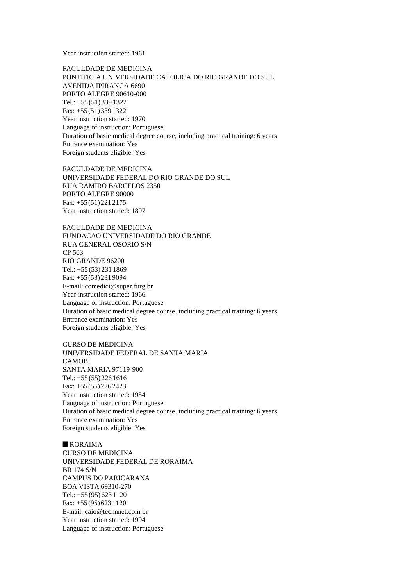Year instruction started: 1961

FACULDADE DE MEDICINA PONTIFICIA UNIVERSIDADE CATOLICA DO RIO GRANDE DO SUL AVENIDA IPIRANGA 6690 PORTO ALEGRE 90610-000 Tel.: +55 (51) 339 1322 Fax: +55 (51) 339 1322 Year instruction started: 1970 Language of instruction: Portuguese Duration of basic medical degree course, including practical training: 6 years Entrance examination: Yes Foreign students eligible: Yes

FACULDADE DE MEDICINA UNIVERSIDADE FEDERAL DO RIO GRANDE DO SUL RUA RAMIRO BARCELOS 2350 PORTO ALEGRE 90000 Fax: +55 (51) 221 2175 Year instruction started: 1897

FACULDADE DE MEDICINA FUNDACAO UNIVERSIDADE DO RIO GRANDE RUA GENERAL OSORIO S/N CP 503 RIO GRANDE 96200 Tel.: +55 (53) 231 1869 Fax: +55 (53) 231 9094 E-mail: comedici@super.furg.br Year instruction started: 1966 Language of instruction: Portuguese Duration of basic medical degree course, including practical training: 6 years Entrance examination: Yes Foreign students eligible: Yes

CURSO DE MEDICINA UNIVERSIDADE FEDERAL DE SANTA MARIA CAMOBI SANTA MARIA 97119-900 Tel.: +55 (55) 226 1616 Fax: +55 (55) 226 2423 Year instruction started: 1954 Language of instruction: Portuguese Duration of basic medical degree course, including practical training: 6 years Entrance examination: Yes Foreign students eligible: Yes

 $RORAINA$ CURSO DE MEDICINA UNIVERSIDADE FEDERAL DE RORAIMA BR 174 S/N CAMPUS DO PARICARANA BOA VISTA 69310-270 Tel.: +55 (95) 623 1120 Fax: +55 (95) 623 1120 E-mail: caio@technnet.com.br Year instruction started: 1994 Language of instruction: Portuguese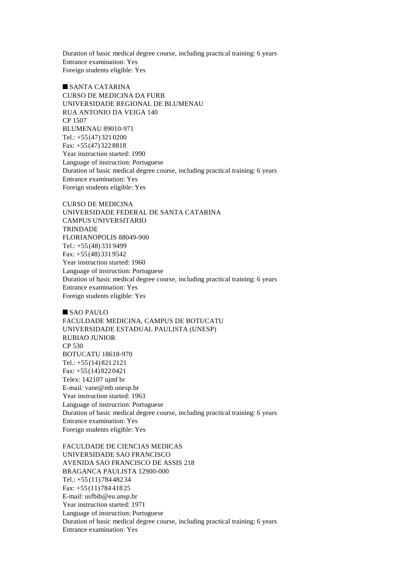Duration of basic medical degree course, including practical training: 6 years Entrance examination: Yes Foreign students eligible: Yes

 $\blacksquare$  SANTA CATARINA CURSO DE MEDICINA DA FURB UNIVERSIDADE REGIONAL DE BLUMENAU RUA ANTONIO DA VEIGA 140 CP 1507 BLUMENAU 89010-971 Tel.: +55 (47) 321 0200 Fax: +55 (47) 322 8818 Year instruction started: 1990 Language of instruction: Portuguese Duration of basic medical degree course, including practical training: 6 years Entrance examination: Yes Foreign students eligible: Yes

CURSO DE MEDICINA UNIVERSIDADE FEDERAL DE SANTA CATARINA CAMPUS UNIVERSITARIO **TRINDADE** FLORIANOPOLIS 88049-900 Tel.: +55 (48) 331 9499 Fax: +55 (48) 331 9542 Year instruction started: 1960 Language of instruction: Portuguese Duration of basic medical degree course, including practical training: 6 years Entrance examination: Yes Foreign students eligible: Yes

 $$ FACULDADE MEDICINA, CAMPUS DE BOTUCATU UNIVERSIDADE ESTADUAL PAULISTA (UNESP) RUBIAO JUNIOR CP 530 BOTUCATU 18618-970 Tel.: +55 (14) 821 2121 Fax: +55 (14) 822 0421 Telex: 142107 ujmf br E-mail: vane@mb.unesp.br Year instruction started: 1963 Language of instruction: Portuguese Duration of basic medical degree course, including practical training: 6 years Entrance examination: Yes Foreign students eligible: Yes

FACULDADE DE CIENCIAS MEDICAS UNIVERSIDADE SAO FRANCISCO AVENIDA SAO FRANCISCO DE ASSIS 218 BRAGANCA PAULISTA 12900-000 Tel.: +55 (11) 784 482 34 Fax: +55 (11) 784 418 25 E-mail: usfbib@eu.ansp.br Year instruction started: 1971 Language of instruction: Portuguese Duration of basic medical degree course, including practical training: 6 years Entrance examination: Yes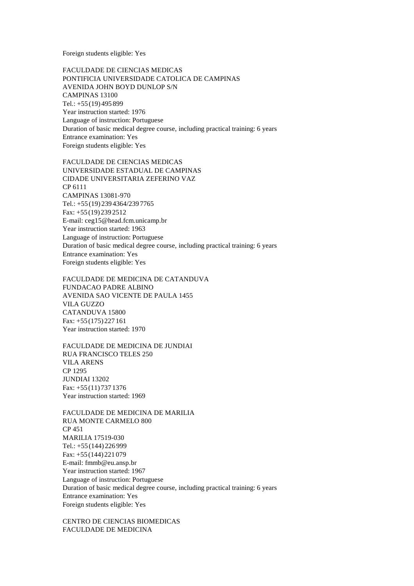Foreign students eligible: Yes

FACULDADE DE CIENCIAS MEDICAS PONTIFICIA UNIVERSIDADE CATOLICA DE CAMPINAS AVENIDA JOHN BOYD DUNLOP S/N CAMPINAS 13100 Tel.: +55 (19) 495 899 Year instruction started: 1976 Language of instruction: Portuguese Duration of basic medical degree course, including practical training: 6 years Entrance examination: Yes Foreign students eligible: Yes

FACULDADE DE CIENCIAS MEDICAS UNIVERSIDADE ESTADUAL DE CAMPINAS CIDADE UNIVERSITARIA ZEFERINO VAZ CP 6111 CAMPINAS 13081-970 Tel.: +55 (19) 239 4364/239 7765 Fax: +55 (19) 239 2512 E-mail: ceg15@head.fcm.unicamp.br Year instruction started: 1963 Language of instruction: Portuguese Duration of basic medical degree course, including practical training: 6 years Entrance examination: Yes Foreign students eligible: Yes

FACULDADE DE MEDICINA DE CATANDUVA FUNDACAO PADRE ALBINO AVENIDA SAO VICENTE DE PAULA 1455 VILA GUZZO CATANDUVA 15800 Fax: +55 (175) 227 161 Year instruction started: 1970

FACULDADE DE MEDICINA DE JUNDIAI RUA FRANCISCO TELES 250 VILA ARENS CP 1295 JUNDIAI 13202 Fax: +55 (11) 737 1376 Year instruction started: 1969

FACULDADE DE MEDICINA DE MARILIA RUA MONTE CARMELO 800 CP 451 MARILIA 17519-030 Tel.: +55 (144) 226 999 Fax: +55 (144) 221 079 E-mail: fmmb@eu.ansp.br Year instruction started: 1967 Language of instruction: Portuguese Duration of basic medical degree course, including practical training: 6 years Entrance examination: Yes Foreign students eligible: Yes

CENTRO DE CIENCIAS BIOMEDICAS FACULDADE DE MEDICINA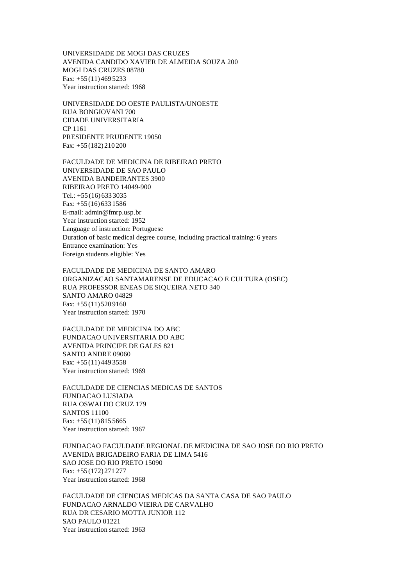UNIVERSIDADE DE MOGI DAS CRUZES AVENIDA CANDIDO XAVIER DE ALMEIDA SOUZA 200 MOGI DAS CRUZES 08780 Fax: +55 (11) 469 5233 Year instruction started: 1968

UNIVERSIDADE DO OESTE PAULISTA/UNOESTE RUA BONGIOVANI 700 CIDADE UNIVERSITARIA CP 1161 PRESIDENTE PRUDENTE 19050 Fax: +55 (182) 210 200

FACULDADE DE MEDICINA DE RIBEIRAO PRETO UNIVERSIDADE DE SAO PAULO AVENIDA BANDEIRANTES 3900 RIBEIRAO PRETO 14049-900 Tel.: +55 (16) 633 3035 Fax: +55 (16) 633 1586 E-mail: admin@fmrp.usp.br Year instruction started: 1952 Language of instruction: Portuguese Duration of basic medical degree course, including practical training: 6 years Entrance examination: Yes Foreign students eligible: Yes

FACULDADE DE MEDICINA DE SANTO AMARO ORGANIZACAO SANTAMARENSE DE EDUCACAO E CULTURA (OSEC) RUA PROFESSOR ENEAS DE SIQUEIRA NETO 340 SANTO AMARO 04829 Fax:  $+55(11)5209160$ Year instruction started: 1970

FACULDADE DE MEDICINA DO ABC FUNDACAO UNIVERSITARIA DO ABC AVENIDA PRINCIPE DE GALES 821 SANTO ANDRE 09060 Fax: +55 (11) 449 3558 Year instruction started: 1969

FACULDADE DE CIENCIAS MEDICAS DE SANTOS FUNDACAO LUSIADA RUA OSWALDO CRUZ 179 SANTOS 11100 Fax: +55 (11) 815 5665 Year instruction started: 1967

FUNDACAO FACULDADE REGIONAL DE MEDICINA DE SAO JOSE DO RIO PRETO AVENIDA BRIGADEIRO FARIA DE LIMA 5416 SAO JOSE DO RIO PRETO 15090 Fax: +55 (172) 271 277 Year instruction started: 1968

FACULDADE DE CIENCIAS MEDICAS DA SANTA CASA DE SAO PAULO FUNDACAO ARNALDO VIEIRA DE CARVALHO RUA DR CESARIO MOTTA JUNIOR 112 SAO PAULO 01221 Year instruction started: 1963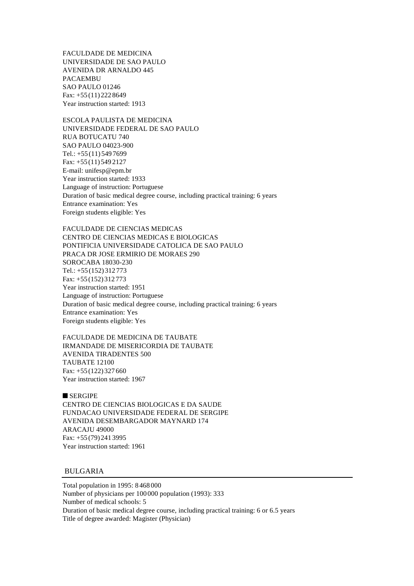FACULDADE DE MEDICINA UNIVERSIDADE DE SAO PAULO AVENIDA DR ARNALDO 445 PACAEMBU SAO PAULO 01246 Fax: +55 (11) 222 8649 Year instruction started: 1913

ESCOLA PAULISTA DE MEDICINA UNIVERSIDADE FEDERAL DE SAO PAULO RUA BOTUCATU 740 SAO PAULO 04023-900 Tel.: +55 (11) 549 7699 Fax: +55 (11) 549 2127 E-mail: unifesp@epm.br Year instruction started: 1933 Language of instruction: Portuguese Duration of basic medical degree course, including practical training: 6 years Entrance examination: Yes Foreign students eligible: Yes

FACULDADE DE CIENCIAS MEDICAS CENTRO DE CIENCIAS MEDICAS E BIOLOGICAS PONTIFICIA UNIVERSIDADE CATOLICA DE SAO PAULO PRACA DR JOSE ERMIRIO DE MORAES 290 SOROCABA 18030-230 Tel.: +55 (152) 312 773 Fax: +55 (152) 312 773 Year instruction started: 1951 Language of instruction: Portuguese Duration of basic medical degree course, including practical training: 6 years Entrance examination: Yes Foreign students eligible: Yes

FACULDADE DE MEDICINA DE TAUBATE IRMANDADE DE MISERICORDIA DE TAUBATE AVENIDA TIRADENTES 500 TAUBATE 12100 Fax: +55 (122) 327 660 Year instruction started: 1967

## $SERGIPE$

CENTRO DE CIENCIAS BIOLOGICAS E DA SAUDE FUNDACAO UNIVERSIDADE FEDERAL DE SERGIPE AVENIDA DESEMBARGADOR MAYNARD 174 ARACAJU 49000 Fax: +55 (79) 241 3995 Year instruction started: 1961

# BULGARIA

Total population in 1995: 8 468 000 Number of physicians per 100 000 population (1993): 333 Number of medical schools: 5 Duration of basic medical degree course, including practical training: 6 or 6.5 years Title of degree awarded: Magister (Physician)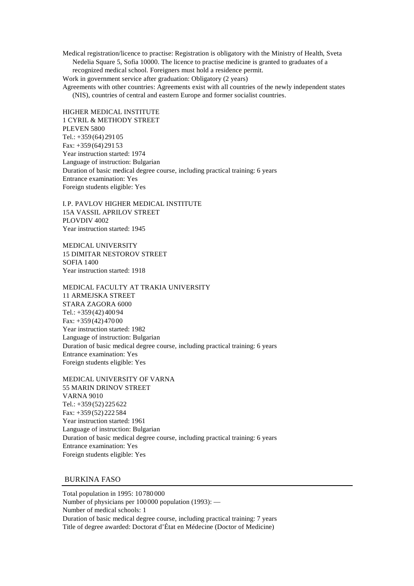Medical registration/licence to practise: Registration is obligatory with the Ministry of Health, Sveta Nedelia Square 5, Sofia 10000. The licence to practise medicine is granted to graduates of a recognized medical school. Foreigners must hold a residence permit.

Work in government service after graduation: Obligatory (2 years)

Agreements with other countries: Agreements exist with all countries of the newly independent states (NIS), countries of central and eastern Europe and former socialist countries.

HIGHER MEDICAL INSTITUTE 1 CYRIL & METHODY STREET PLEVEN 5800 Tel.: +359 (64) 291 05 Fax: +359 (64) 291 53 Year instruction started: 1974 Language of instruction: Bulgarian Duration of basic medical degree course, including practical training: 6 years Entrance examination: Yes Foreign students eligible: Yes

I.P. PAVLOV HIGHER MEDICAL INSTITUTE 15A VASSIL APRILOV STREET PLOVDIV 4002 Year instruction started: 1945

MEDICAL UNIVERSITY 15 DIMITAR NESTOROV STREET SOFIA 1400 Year instruction started: 1918

MEDICAL FACULTY AT TRAKIA UNIVERSITY 11 ARMEJSKA STREET STARA ZAGORA 6000 Tel.: +359 (42) 400 94 Fax: +359 (42) 470 00 Year instruction started: 1982 Language of instruction: Bulgarian Duration of basic medical degree course, including practical training: 6 years Entrance examination: Yes Foreign students eligible: Yes

MEDICAL UNIVERSITY OF VARNA 55 MARIN DRINOV STREET VARNA 9010 Tel.: +359 (52) 225 622 Fax: +359 (52) 222 584 Year instruction started: 1961 Language of instruction: Bulgarian Duration of basic medical degree course, including practical training: 6 years Entrance examination: Yes Foreign students eligible: Yes

# BURKINA FASO

Total population in 1995: 10 780 000 Number of physicians per 100 000 population (1993): — Number of medical schools: 1 Duration of basic medical degree course, including practical training: 7 years Title of degree awarded: Doctorat d'État en Médecine (Doctor of Medicine)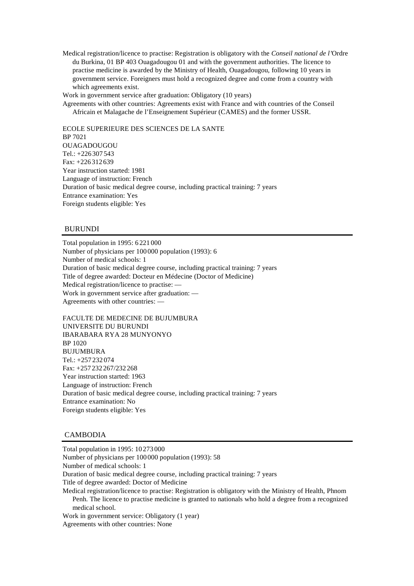Medical registration/licence to practise: Registration is obligatory with the *Conseil national de l'*Ordre du Burkina, 01 BP 403 Ouagadougou 01 and with the government authorities. The licence to practise medicine is awarded by the Ministry of Health, Ouagadougou, following 10 years in government service. Foreigners must hold a recognized degree and come from a country with which agreements exist.

Work in government service after graduation: Obligatory (10 years)

Agreements with other countries: Agreements exist with France and with countries of the Conseil Africain et Malagache de l'Enseignement Supérieur (CAMES) and the former USSR.

ECOLE SUPERIEURE DES SCIENCES DE LA SANTE BP 7021 OUAGADOUGOU Tel.: +226 307 543 Fax: +226 312 639 Year instruction started: 1981 Language of instruction: French Duration of basic medical degree course, including practical training: 7 years Entrance examination: Yes Foreign students eligible: Yes

# BURUNDI

Total population in 1995: 6 221 000 Number of physicians per 100 000 population (1993): 6 Number of medical schools: 1 Duration of basic medical degree course, including practical training: 7 years Title of degree awarded: Docteur en Médecine (Doctor of Medicine) Medical registration/licence to practise: — Work in government service after graduation: — Agreements with other countries: —

FACULTE DE MEDECINE DE BUJUMBURA UNIVERSITE DU BURUNDI IBARABARA RYA 28 MUNYONYO BP 1020 BUJUMBURA Tel.: +257 232 074 Fax: +257 232 267/232 268 Year instruction started: 1963 Language of instruction: French Duration of basic medical degree course, including practical training: 7 years Entrance examination: No Foreign students eligible: Yes

### CAMBODIA

Total population in 1995: 10 273 000 Number of physicians per 100 000 population (1993): 58 Number of medical schools: 1 Duration of basic medical degree course, including practical training: 7 years Title of degree awarded: Doctor of Medicine Medical registration/licence to practise: Registration is obligatory with the Ministry of Health, Phnom Penh. The licence to practise medicine is granted to nationals who hold a degree from a recognized medical school. Work in government service: Obligatory (1 year) Agreements with other countries: None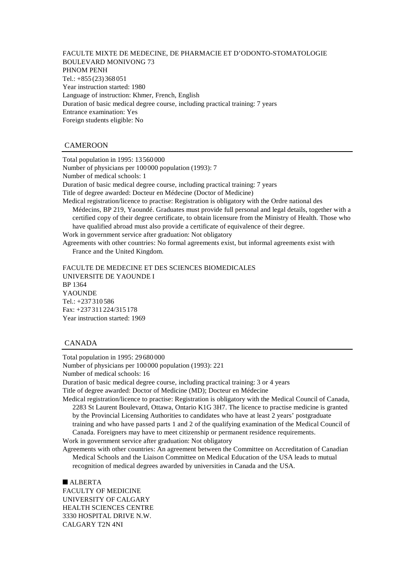FACULTE MIXTE DE MEDECINE, DE PHARMACIE ET D'ODONTO-STOMATOLOGIE BOULEVARD MONIVONG 73 PHNOM PENH Tel.: +855 (23) 368 051 Year instruction started: 1980 Language of instruction: Khmer, French, English Duration of basic medical degree course, including practical training: 7 years Entrance examination: Yes Foreign students eligible: No

## CAMEROON

Total population in 1995: 13 560 000 Number of physicians per 100 000 population (1993): 7 Number of medical schools: 1 Duration of basic medical degree course, including practical training: 7 years Title of degree awarded: Docteur en Médecine (Doctor of Medicine) Medical registration/licence to practise: Registration is obligatory with the Ordre national des Médecins, BP 219, Yaoundé. Graduates must provide full personal and legal details, together with a certified copy of their degree certificate, to obtain licensure from the Ministry of Health. Those who have qualified abroad must also provide a certificate of equivalence of their degree. Work in government service after graduation: Not obligatory Agreements with other countries: No formal agreements exist, but informal agreements exist with France and the United Kingdom.

FACULTE DE MEDECINE ET DES SCIENCES BIOMEDICALES UNIVERSITE DE YAOUNDE I BP 1364 YAOUNDE Tel.: +237 310 586 Fax: +237 311 224/315 178 Year instruction started: 1969

## CANADA

Total population in 1995: 29 680 000 Number of physicians per 100 000 population (1993): 221 Number of medical schools: 16 Duration of basic medical degree course, including practical training: 3 or 4 years Title of degree awarded: Doctor of Medicine (MD); Docteur en Médecine Medical registration/licence to practise: Registration is obligatory with the Medical Council of Canada, 2283 St Laurent Boulevard, Ottawa, Ontario K1G 3H7. The licence to practise medicine is granted

by the Provincial Licensing Authorities to candidates who have at least 2 years' postgraduate training and who have passed parts 1 and 2 of the qualifying examination of the Medical Council of Canada. Foreigners may have to meet citizenship or permanent residence requirements.

Work in government service after graduation: Not obligatory

Agreements with other countries: An agreement between the Committee on Accreditation of Canadian Medical Schools and the Liaison Committee on Medical Education of the USA leads to mutual recognition of medical degrees awarded by universities in Canada and the USA.

 $ALBERTA$ FACULTY OF MEDICINE UNIVERSITY OF CALGARY HEALTH SCIENCES CENTRE 3330 HOSPITAL DRIVE N.W. CALGARY T2N 4NI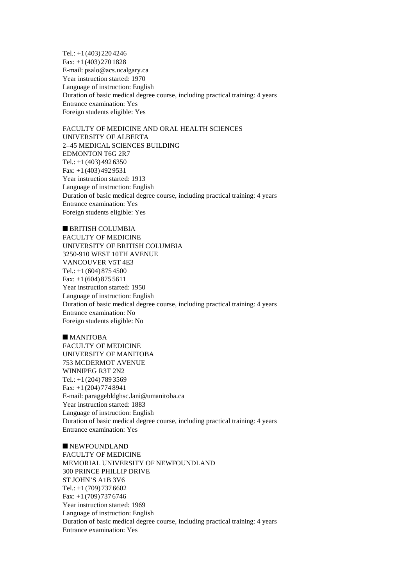Tel.: +1 (403) 220 4246 Fax: +1 (403) 270 1828 E-mail: psalo@acs.ucalgary.ca Year instruction started: 1970 Language of instruction: English Duration of basic medical degree course, including practical training: 4 years Entrance examination: Yes Foreign students eligible: Yes

FACULTY OF MEDICINE AND ORAL HEALTH SCIENCES UNIVERSITY OF ALBERTA 2–45 MEDICAL SCIENCES BUILDING EDMONTON T6G 2R7 Tel.:  $+1(403)4926350$ Fax: +1 (403) 492 9531 Year instruction started: 1913 Language of instruction: English Duration of basic medical degree course, including practical training: 4 years Entrance examination: Yes Foreign students eligible: Yes

 $n$  BRITISH COLUMBIA FACULTY OF MEDICINE UNIVERSITY OF BRITISH COLUMBIA 3250-910 WEST 10TH AVENUE VANCOUVER V5T 4E3 Tel.: +1 (604) 875 4500 Fax: +1 (604) 875 5611 Year instruction started: 1950 Language of instruction: English Duration of basic medical degree course, including practical training: 4 years Entrance examination: No Foreign students eligible: No

# $M$  MANITOBA FACULTY OF MEDICINE

UNIVERSITY OF MANITOBA 753 MCDERMOT AVENUE WINNIPEG R3T 2N2 Tel.: +1 (204) 789 3569 Fax: +1 (204) 774 8941 E-mail: paraggebldghsc.lani@umanitoba.ca Year instruction started: 1883 Language of instruction: English Duration of basic medical degree course, including practical training: 4 years Entrance examination: Yes

 $\blacksquare$  NEWFOUNDLAND FACULTY OF MEDICINE MEMORIAL UNIVERSITY OF NEWFOUNDLAND 300 PRINCE PHILLIP DRIVE ST JOHN'S A1B 3V6 Tel.: +1 (709) 737 6602 Fax: +1 (709) 737 6746 Year instruction started: 1969 Language of instruction: English Duration of basic medical degree course, including practical training: 4 years Entrance examination: Yes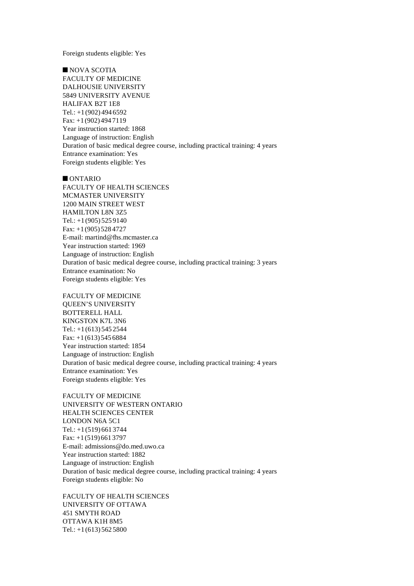Foreign students eligible: Yes

 $\blacksquare$  NOVA SCOTIA FACULTY OF MEDICINE DALHOUSIE UNIVERSITY 5849 UNIVERSITY AVENUE HALIFAX B2T 1E8 Tel.: +1 (902) 494 6592 Fax: +1 (902) 494 7119 Year instruction started: 1868 Language of instruction: English Duration of basic medical degree course, including practical training: 4 years Entrance examination: Yes Foreign students eligible: Yes

 $\blacksquare$  ONTARIO FACULTY OF HEALTH SCIENCES MCMASTER UNIVERSITY 1200 MAIN STREET WEST HAMILTON L8N 3Z5 Tel.: +1 (905) 525 9140 Fax: +1 (905) 528 4727 E-mail: martind@fhs.mcmaster.ca Year instruction started: 1969 Language of instruction: English Duration of basic medical degree course, including practical training: 3 years Entrance examination: No Foreign students eligible: Yes

FACULTY OF MEDICINE QUEEN'S UNIVERSITY BOTTERELL HALL KINGSTON K7L 3N6 Tel.:  $+1(613)$  545 2544 Fax: +1 (613) 545 6884 Year instruction started: 1854 Language of instruction: English Duration of basic medical degree course, including practical training: 4 years Entrance examination: Yes Foreign students eligible: Yes

FACULTY OF MEDICINE UNIVERSITY OF WESTERN ONTARIO HEALTH SCIENCES CENTER LONDON N6A 5C1 Tel.: +1 (519) 661 3744 Fax: +1 (519) 661 3797 E-mail: admissions@do.med.uwo.ca Year instruction started: 1882 Language of instruction: English Duration of basic medical degree course, including practical training: 4 years Foreign students eligible: No

FACULTY OF HEALTH SCIENCES UNIVERSITY OF OTTAWA 451 SMYTH ROAD OTTAWA K1H 8M5 Tel.: +1 (613) 562 5800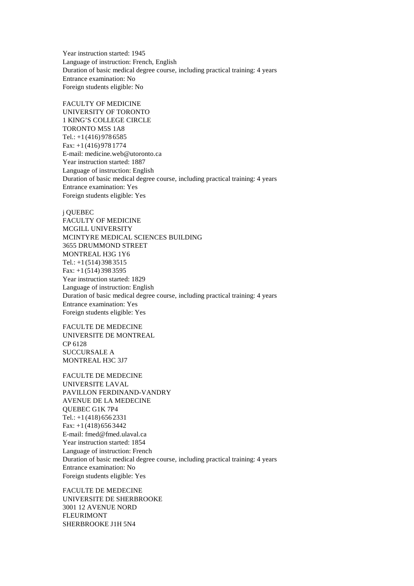Year instruction started: 1945 Language of instruction: French, English Duration of basic medical degree course, including practical training: 4 years Entrance examination: No Foreign students eligible: No

FACULTY OF MEDICINE UNIVERSITY OF TORONTO 1 KING'S COLLEGE CIRCLE TORONTO M5S 1A8 Tel.:  $+1$  (416) 978 6585 Fax: +1 (416) 978 1774 E-mail: medicine.web@utoronto.ca Year instruction started: 1887 Language of instruction: English Duration of basic medical degree course, including practical training: 4 years Entrance examination: Yes Foreign students eligible: Yes

j QUEBEC FACULTY OF MEDICINE MCGILL UNIVERSITY MCINTYRE MEDICAL SCIENCES BUILDING 3655 DRUMMOND STREET MONTREAL H3G 1Y6 Tel.: +1 (514) 398 3515 Fax: +1 (514) 398 3595 Year instruction started: 1829 Language of instruction: English Duration of basic medical degree course, including practical training: 4 years Entrance examination: Yes Foreign students eligible: Yes

FACULTE DE MEDECINE UNIVERSITE DE MONTREAL CP 6128 SUCCURSALE A MONTREAL H3C 3J7

FACULTE DE MEDECINE UNIVERSITE LAVAL PAVILLON FERDINAND-VANDRY AVENUE DE LA MEDECINE QUEBEC G1K 7P4 Tel.:  $+1$  (418) 656 2331 Fax: +1 (418) 656 3442 E-mail: fmed@fmed.ulaval.ca Year instruction started: 1854 Language of instruction: French Duration of basic medical degree course, including practical training: 4 years Entrance examination: No Foreign students eligible: Yes

FACULTE DE MEDECINE UNIVERSITE DE SHERBROOKE 3001 12 AVENUE NORD FLEURIMONT SHERBROOKE J1H 5N4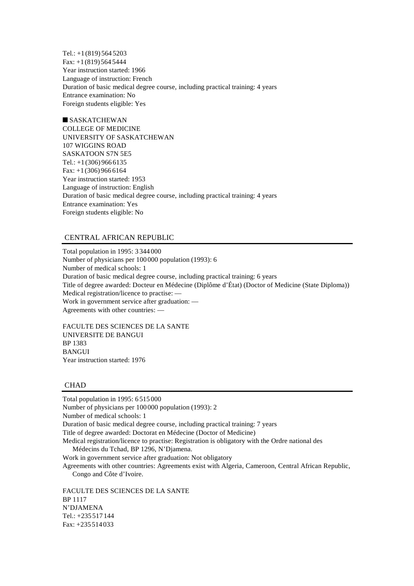Tel.: +1 (819) 564 5203 Fax: +1 (819) 564 5444 Year instruction started: 1966 Language of instruction: French Duration of basic medical degree course, including practical training: 4 years Entrance examination: No Foreign students eligible: Yes

 $\square$  SASKATCHEWAN COLLEGE OF MEDICINE UNIVERSITY OF SASKATCHEWAN 107 WIGGINS ROAD SASKATOON S7N 5E5 Tel.: +1 (306) 966 6135 Fax: +1 (306) 966 6164 Year instruction started: 1953 Language of instruction: English Duration of basic medical degree course, including practical training: 4 years Entrance examination: Yes Foreign students eligible: No

### CENTRAL AFRICAN REPUBLIC

Total population in 1995: 3 344 000 Number of physicians per 100 000 population (1993): 6 Number of medical schools: 1 Duration of basic medical degree course, including practical training: 6 years Title of degree awarded: Docteur en Médecine (Diplôme d'État) (Doctor of Medicine (State Diploma)) Medical registration/licence to practise: — Work in government service after graduation: — Agreements with other countries: —

FACULTE DES SCIENCES DE LA SANTE UNIVERSITE DE BANGUI BP 1383 **BANGUI** Year instruction started: 1976

# **CHAD**

Total population in 1995: 6 515 000 Number of physicians per 100 000 population (1993): 2 Number of medical schools: 1 Duration of basic medical degree course, including practical training: 7 years Title of degree awarded: Doctorat en Médecine (Doctor of Medicine) Medical registration/licence to practise: Registration is obligatory with the Ordre national des

Médecins du Tchad, BP 1296, N'Djamena.

Work in government service after graduation: Not obligatory

Agreements with other countries: Agreements exist with Algeria, Cameroon, Central African Republic, Congo and Côte d'Ivoire.

FACULTE DES SCIENCES DE LA SANTE BP 1117 N'DJAMENA Tel.: +235 517 144 Fax: +235 514 033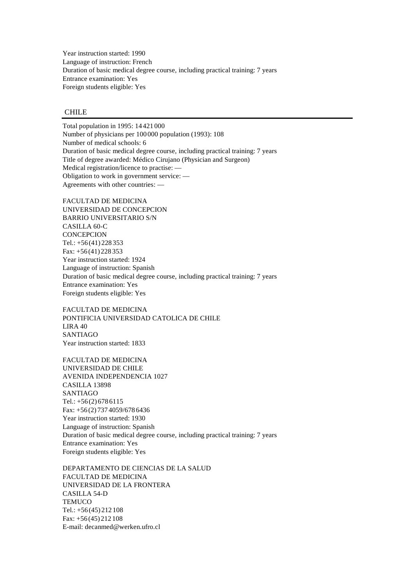Year instruction started: 1990 Language of instruction: French Duration of basic medical degree course, including practical training: 7 years Entrance examination: Yes Foreign students eligible: Yes

# CHILE

Total population in 1995: 14 421 000 Number of physicians per 100 000 population (1993): 108 Number of medical schools: 6 Duration of basic medical degree course, including practical training: 7 years Title of degree awarded: Médico Cirujano (Physician and Surgeon) Medical registration/licence to practise: — Obligation to work in government service: — Agreements with other countries: —

FACULTAD DE MEDICINA UNIVERSIDAD DE CONCEPCION BARRIO UNIVERSITARIO S/N CASILLA 60-C **CONCEPCION** Tel.: +56 (41) 228 353 Fax: +56 (41) 228 353 Year instruction started: 1924 Language of instruction: Spanish Duration of basic medical degree course, including practical training: 7 years Entrance examination: Yes Foreign students eligible: Yes

FACULTAD DE MEDICINA PONTIFICIA UNIVERSIDAD CATOLICA DE CHILE LIRA 40 SANTIAGO Year instruction started: 1833

FACULTAD DE MEDICINA UNIVERSIDAD DE CHILE AVENIDA INDEPENDENCIA 1027 CASILLA 13898 SANTIAGO Tel.:  $+56(2)6786115$ Fax: +56 (2) 737 4059/678 6436 Year instruction started: 1930 Language of instruction: Spanish Duration of basic medical degree course, including practical training: 7 years Entrance examination: Yes Foreign students eligible: Yes

DEPARTAMENTO DE CIENCIAS DE LA SALUD FACULTAD DE MEDICINA UNIVERSIDAD DE LA FRONTERA CASILLA 54-D **TEMUCO** Tel.: +56 (45) 212 108 Fax: +56 (45) 212 108 E-mail: decanmed@werken.ufro.cl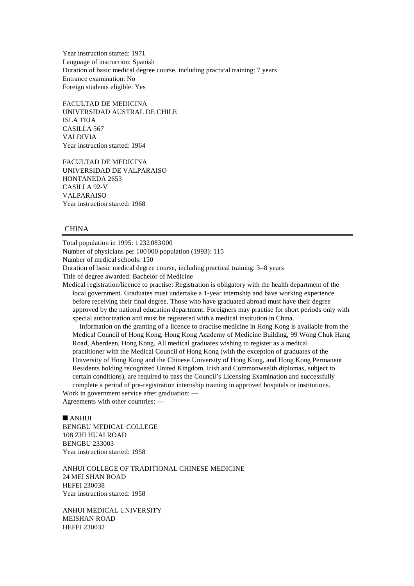Year instruction started: 1971 Language of instruction: Spanish Duration of basic medical degree course, including practical training: 7 years Entrance examination: No Foreign students eligible: Yes

FACULTAD DE MEDICINA UNIVERSIDAD AUSTRAL DE CHILE ISLA TEJA CASILLA 567 VALDIVIA Year instruction started: 1964

FACULTAD DE MEDICINA UNIVERSIDAD DE VALPARAISO HONTANEDA 2653 CASILLA 92-V VALPARAISO Year instruction started: 1968

## CHINA

Total population in 1995: 1 232 083 000 Number of physicians per 100 000 population (1993): 115 Number of medical schools: 150 Duration of basic medical degree course, including practical training: 3–8 years Title of degree awarded: Bachelor of Medicine

Medical registration/licence to practise: Registration is obligatory with the health department of the local government. Graduates must undertake a 1-year internship and have working experience before receiving their final degree. Those who have graduated abroad must have their degree approved by the national education department. Foreigners may practise for short periods only with special authorization and must be registered with a medical institution in China.

Information on the granting of a licence to practise medicine in Hong Kong is available from the Medical Council of Hong Kong, Hong Kong Academy of Medicine Building, 99 Wong Chuk Hang Road, Aberdeen, Hong Kong. All medical graduates wishing to register as a medical practitioner with the Medical Council of Hong Kong (with the exception of graduates of the University of Hong Kong and the Chinese University of Hong Kong, and Hong Kong Permanent Residents holding recognized United Kingdom, Irish and Commonwealth diplomas, subject to certain conditions), are required to pass the Council's Licensing Examination and successfully complete a period of pre-registration internship training in approved hospitals or institutions. Work in government service after graduation: —

Agreements with other countries: —

## $\blacksquare$  ANHUI

BENGBU MEDICAL COLLEGE 108 ZHI HUAI ROAD BENGBU 233003 Year instruction started: 1958

ANHUI COLLEGE OF TRADITIONAL CHINESE MEDICINE 24 MEI SHAN ROAD HEFEI 230038 Year instruction started: 1958

ANHUI MEDICAL UNIVERSITY MEISHAN ROAD HEFEI 230032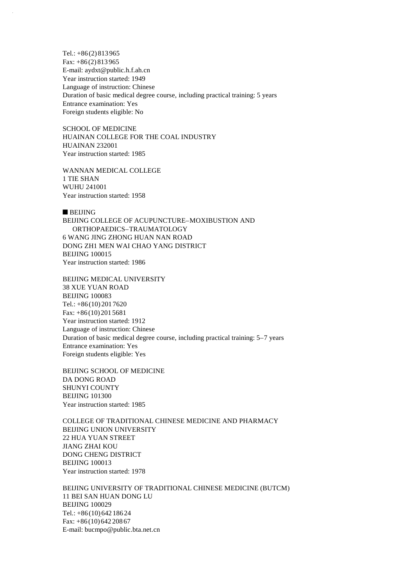Tel.: +86 (2) 813 965 Fax: +86 (2) 813 965 E-mail: aydxt@public.h.f.ah.cn Year instruction started: 1949 Language of instruction: Chinese Duration of basic medical degree course, including practical training: 5 years Entrance examination: Yes Foreign students eligible: No

SCHOOL OF MEDICINE HUAINAN COLLEGE FOR THE COAL INDUSTRY HUAINAN 232001 Year instruction started: 1985

WANNAN MEDICAL COLLEGE 1 TIE SHAN WUHU 241001 Year instruction started: 1958

 $B$  BEIJING BEIJING COLLEGE OF ACUPUNCTURE–MOXIBUSTION AND ORTHOPAEDICS–TRAUMATOLOGY 6 WANG JING ZHONG HUAN NAN ROAD DONG ZH1 MEN WAI CHAO YANG DISTRICT BEIJING 100015 Year instruction started: 1986

BEIJING MEDICAL UNIVERSITY 38 XUE YUAN ROAD BEIJING 100083 Tel.: +86 (10) 201 7620 Fax: +86 (10) 201 5681 Year instruction started: 1912 Language of instruction: Chinese Duration of basic medical degree course, including practical training: 5–7 years Entrance examination: Yes Foreign students eligible: Yes

BEIJING SCHOOL OF MEDICINE DA DONG ROAD SHUNYI COUNTY BEIJING 101300 Year instruction started: 1985

COLLEGE OF TRADITIONAL CHINESE MEDICINE AND PHARMACY BEIJING UNION UNIVERSITY 22 HUA YUAN STREET JIANG ZHAI KOU DONG CHENG DISTRICT BEIJING 100013 Year instruction started: 1978

BEIJING UNIVERSITY OF TRADITIONAL CHINESE MEDICINE (BUTCM) 11 BEI SAN HUAN DONG LU BEIJING 100029 Tel.: +86 (10) 642 186 24 Fax: +86 (10) 642 208 67 E-mail: bucmpo@public.bta.net.cn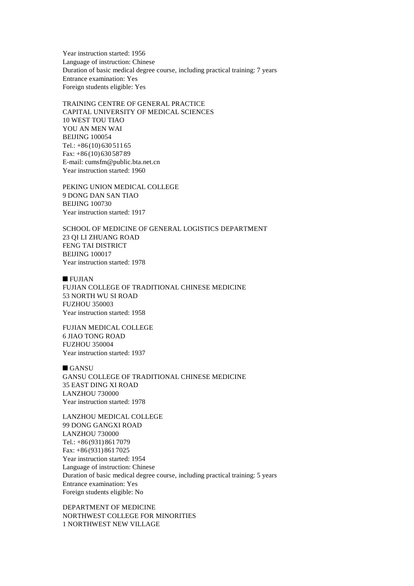Year instruction started: 1956 Language of instruction: Chinese Duration of basic medical degree course, including practical training: 7 years Entrance examination: Yes Foreign students eligible: Yes

TRAINING CENTRE OF GENERAL PRACTICE CAPITAL UNIVERSITY OF MEDICAL SCIENCES 10 WEST TOU TIAO YOU AN MEN WAI BEIJING 100054 Tel.: +86 (10) 630 511 65 Fax: +86 (10) 630 587 89 E-mail: cumsfm@public.bta.net.cn Year instruction started: 1960

PEKING UNION MEDICAL COLLEGE 9 DONG DAN SAN TIAO BEIJING 100730 Year instruction started: 1917

SCHOOL OF MEDICINE OF GENERAL LOGISTICS DEPARTMENT 23 QI LI ZHUANG ROAD FENG TAI DISTRICT BEIJING 100017 Year instruction started: 1978

 $\blacksquare$  FUJIAN FUJIAN COLLEGE OF TRADITIONAL CHINESE MEDICINE 53 NORTH WU SI ROAD FUZHOU 350003 Year instruction started: 1958

FUJIAN MEDICAL COLLEGE 6 JIAO TONG ROAD FUZHOU 350004 Year instruction started: 1937

 $GANSU$ GANSU COLLEGE OF TRADITIONAL CHINESE MEDICINE 35 EAST DING XI ROAD LANZHOU 730000 Year instruction started: 1978

LANZHOU MEDICAL COLLEGE 99 DONG GANGXI ROAD LANZHOU 730000 Tel.: +86 (931) 861 7079 Fax: +86 (931) 861 7025 Year instruction started: 1954 Language of instruction: Chinese Duration of basic medical degree course, including practical training: 5 years Entrance examination: Yes Foreign students eligible: No

DEPARTMENT OF MEDICINE NORTHWEST COLLEGE FOR MINORITIES 1 NORTHWEST NEW VILLAGE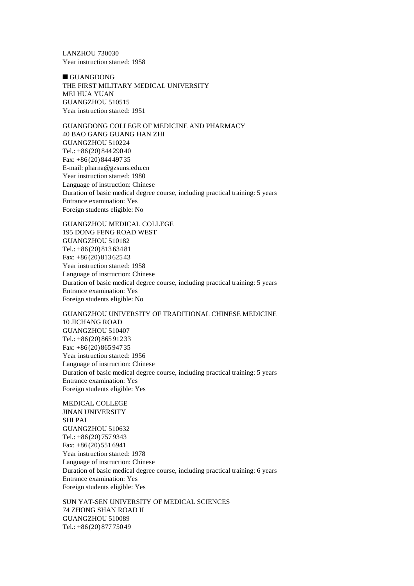LANZHOU 730030 Year instruction started: 1958

 $\blacksquare$  GUANGDONG THE FIRST MILITARY MEDICAL UNIVERSITY MEI HUA YUAN GUANGZHOU 510515 Year instruction started: 1951

GUANGDONG COLLEGE OF MEDICINE AND PHARMACY 40 BAO GANG GUANG HAN ZHI GUANGZHOU 510224 Tel.: +86 (20) 844 290 40 Fax: +86 (20) 844 497 35 E-mail: pharna@gzsuns.edu.cn Year instruction started: 1980 Language of instruction: Chinese Duration of basic medical degree course, including practical training: 5 years Entrance examination: Yes Foreign students eligible: No

GUANGZHOU MEDICAL COLLEGE 195 DONG FENG ROAD WEST GUANGZHOU 510182 Tel.: +86 (20) 813 634 81 Fax: +86 (20) 813 625 43 Year instruction started: 1958 Language of instruction: Chinese Duration of basic medical degree course, including practical training: 5 years Entrance examination: Yes Foreign students eligible: No

GUANGZHOU UNIVERSITY OF TRADITIONAL CHINESE MEDICINE 10 JICHANG ROAD GUANGZHOU 510407 Tel.: +86 (20) 865 912 33 Fax: +86 (20) 865 947 35 Year instruction started: 1956 Language of instruction: Chinese Duration of basic medical degree course, including practical training: 5 years Entrance examination: Yes Foreign students eligible: Yes

MEDICAL COLLEGE JINAN UNIVERSITY SHI PAI GUANGZHOU 510632 Tel.: +86 (20) 757 9343 Fax: +86 (20) 551 6941 Year instruction started: 1978 Language of instruction: Chinese Duration of basic medical degree course, including practical training: 6 years Entrance examination: Yes Foreign students eligible: Yes

SUN YAT-SEN UNIVERSITY OF MEDICAL SCIENCES 74 ZHONG SHAN ROAD II GUANGZHOU 510089 Tel.: +86 (20) 877 750 49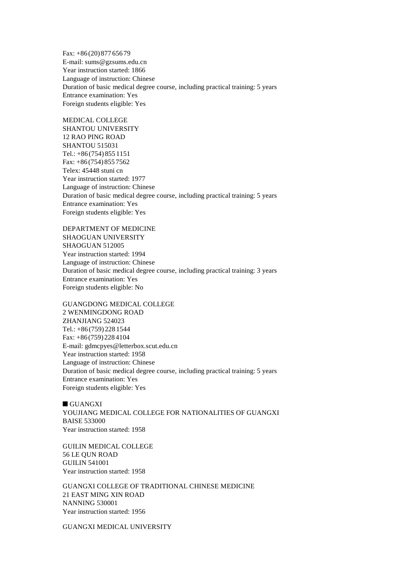Fax: +86 (20) 877 656 79 E-mail: sums@gzsums.edu.cn Year instruction started: 1866 Language of instruction: Chinese Duration of basic medical degree course, including practical training: 5 years Entrance examination: Yes Foreign students eligible: Yes

MEDICAL COLLEGE SHANTOU UNIVERSITY 12 RAO PING ROAD SHANTOU 515031 Tel.: +86 (754) 855 1151 Fax: +86 (754) 855 7562 Telex: 45448 stuni cn Year instruction started: 1977 Language of instruction: Chinese Duration of basic medical degree course, including practical training: 5 years Entrance examination: Yes Foreign students eligible: Yes

DEPARTMENT OF MEDICINE SHAOGUAN UNIVERSITY SHAOGUAN 512005 Year instruction started: 1994 Language of instruction: Chinese Duration of basic medical degree course, including practical training: 3 years Entrance examination: Yes Foreign students eligible: No

GUANGDONG MEDICAL COLLEGE 2 WENMINGDONG ROAD ZHANJIANG 524023 Tel.: +86 (759) 228 1544 Fax: +86 (759) 228 4104 E-mail: gdmcpyes@letterbox.scut.edu.cn Year instruction started: 1958 Language of instruction: Chinese Duration of basic medical degree course, including practical training: 5 years Entrance examination: Yes Foreign students eligible: Yes

 $\blacksquare$  GUANGXI YOUJIANG MEDICAL COLLEGE FOR NATIONALITIES OF GUANGXI BAISE 533000 Year instruction started: 1958

GUILIN MEDICAL COLLEGE 56 LE QUN ROAD GUILIN 541001 Year instruction started: 1958

GUANGXI COLLEGE OF TRADITIONAL CHINESE MEDICINE 21 EAST MING XIN ROAD NANNING 530001 Year instruction started: 1956

GUANGXI MEDICAL UNIVERSITY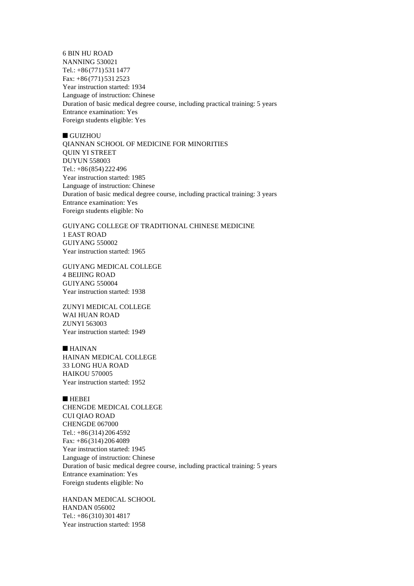6 BIN HU ROAD NANNING 530021 Tel.: +86 (771) 531 1477 Fax: +86 (771) 531 2523 Year instruction started: 1934 Language of instruction: Chinese Duration of basic medical degree course, including practical training: 5 years Entrance examination: Yes Foreign students eligible: Yes

### $\blacksquare$  GUIZHOU

QIANNAN SCHOOL OF MEDICINE FOR MINORITIES QUIN YI STREET DUYUN 558003 Tel.: +86 (854) 222 496 Year instruction started: 1985 Language of instruction: Chinese Duration of basic medical degree course, including practical training: 3 years Entrance examination: Yes Foreign students eligible: No

GUIYANG COLLEGE OF TRADITIONAL CHINESE MEDICINE 1 EAST ROAD GUIYANG 550002 Year instruction started: 1965

GUIYANG MEDICAL COLLEGE 4 BEIJING ROAD GUIYANG 550004 Year instruction started: 1938

ZUNYI MEDICAL COLLEGE WAI HUAN ROAD ZUNYI 563003 Year instruction started: 1949

 $HAINAN$ HAINAN MEDICAL COLLEGE 33 LONG HUA ROAD HAIKOU 570005 Year instruction started: 1952

### **n** HEBEI

CHENGDE MEDICAL COLLEGE CUI QIAO ROAD CHENGDE 067000 Tel.: +86 (314) 206 4592 Fax: +86 (314) 206 4089 Year instruction started: 1945 Language of instruction: Chinese Duration of basic medical degree course, including practical training: 5 years Entrance examination: Yes Foreign students eligible: No

HANDAN MEDICAL SCHOOL HANDAN 056002 Tel.: +86 (310) 301 4817 Year instruction started: 1958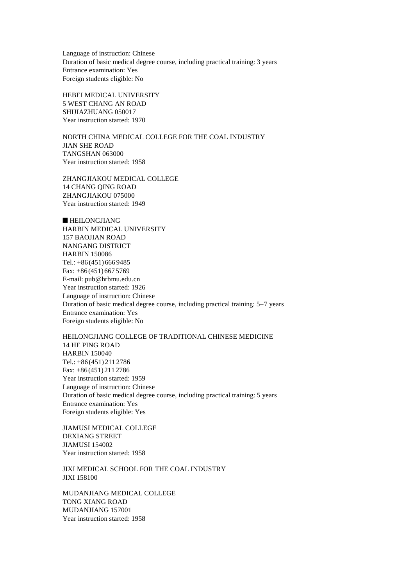Language of instruction: Chinese Duration of basic medical degree course, including practical training: 3 years Entrance examination: Yes Foreign students eligible: No

HEBEI MEDICAL UNIVERSITY 5 WEST CHANG AN ROAD SHIJIAZHUANG 050017 Year instruction started: 1970

NORTH CHINA MEDICAL COLLEGE FOR THE COAL INDUSTRY JIAN SHE ROAD TANGSHAN 063000 Year instruction started: 1958

ZHANGJIAKOU MEDICAL COLLEGE 14 CHANG QING ROAD ZHANGJIAKOU 075000 Year instruction started: 1949

 $\blacksquare$  HEILONGJIANG HARBIN MEDICAL UNIVERSITY 157 BAOJIAN ROAD NANGANG DISTRICT HARBIN 150086 Tel.: +86 (451) 666 9485 Fax: +86 (451) 667 5769 E-mail: pub@hrbmu.edu.cn Year instruction started: 1926 Language of instruction: Chinese Duration of basic medical degree course, including practical training: 5–7 years Entrance examination: Yes Foreign students eligible: No

HEILONGJIANG COLLEGE OF TRADITIONAL CHINESE MEDICINE 14 HE PING ROAD HARBIN 150040 Tel.: +86 (451) 211 2786 Fax: +86 (451) 211 2786 Year instruction started: 1959 Language of instruction: Chinese Duration of basic medical degree course, including practical training: 5 years Entrance examination: Yes Foreign students eligible: Yes

JIAMUSI MEDICAL COLLEGE DEXIANG STREET JIAMUSI 154002 Year instruction started: 1958

JIXI MEDICAL SCHOOL FOR THE COAL INDUSTRY JIXI 158100

MUDANJIANG MEDICAL COLLEGE TONG XIANG ROAD MUDANJIANG 157001 Year instruction started: 1958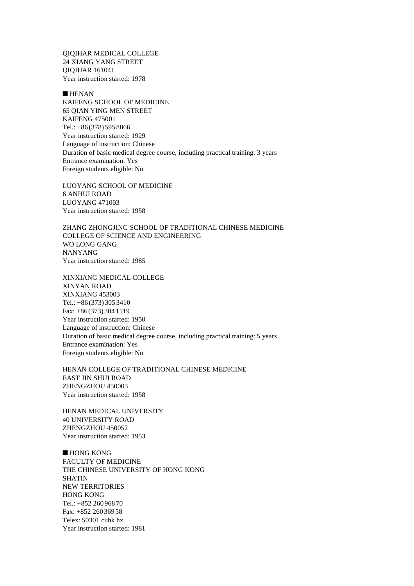QIQIHAR MEDICAL COLLEGE 24 XIANG YANG STREET QIQIHAR 161041 Year instruction started: 1978

 $HENAN$ KAIFENG SCHOOL OF MEDICINE 65 QIAN YING MEN STREET KAIFENG 475001 Tel.: +86 (378) 595 8866 Year instruction started: 1929 Language of instruction: Chinese Duration of basic medical degree course, including practical training: 3 years Entrance examination: Yes Foreign students eligible: No

LUOYANG SCHOOL OF MEDICINE 6 ANHUI ROAD LUOYANG 471003 Year instruction started: 1958

ZHANG ZHONGJING SCHOOL OF TRADITIONAL CHINESE MEDICINE COLLEGE OF SCIENCE AND ENGINEERING WO LONG GANG NANYANG Year instruction started: 1985

XINXIANG MEDICAL COLLEGE XINYAN ROAD XINXIANG 453003 Tel.: +86 (373) 305 3410 Fax: +86 (373) 304 1119 Year instruction started: 1950 Language of instruction: Chinese Duration of basic medical degree course, including practical training: 5 years Entrance examination: Yes Foreign students eligible: No

HENAN COLLEGE OF TRADITIONAL CHINESE MEDICINE EAST JIN SHUI ROAD ZHENGZHOU 450003 Year instruction started: 1958

HENAN MEDICAL UNIVERSITY 40 UNIVERSITY ROAD ZHENGZHOU 450052 Year instruction started: 1953

 $\blacksquare$  HONG KONG FACULTY OF MEDICINE THE CHINESE UNIVERSITY OF HONG KONG SHATIN NEW TERRITORIES HONG KONG Tel.: +852 260 968 70 Fax: +852 260 369 58 Telex: 50301 cuhk hx Year instruction started: 1981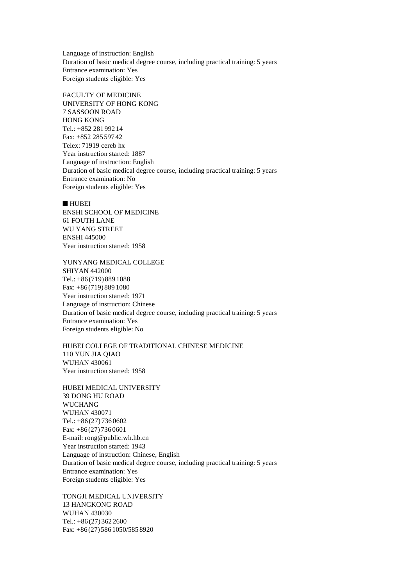Language of instruction: English Duration of basic medical degree course, including practical training: 5 years Entrance examination: Yes Foreign students eligible: Yes

FACULTY OF MEDICINE UNIVERSITY OF HONG KONG 7 SASSOON ROAD HONG KONG Tel.: +852 281 992 14 Fax: +852 285 597 42 Telex: 71919 cereb hx Year instruction started: 1887 Language of instruction: English Duration of basic medical degree course, including practical training: 5 years Entrance examination: No Foreign students eligible: Yes

n HUBEI

ENSHI SCHOOL OF MEDICINE 61 FOUTH LANE WU YANG STREET ENSHI 445000 Year instruction started: 1958

YUNYANG MEDICAL COLLEGE SHIYAN 442000 Tel.: +86 (719) 889 1088 Fax: +86 (719) 889 1080 Year instruction started: 1971 Language of instruction: Chinese Duration of basic medical degree course, including practical training: 5 years Entrance examination: Yes Foreign students eligible: No

HUBEI COLLEGE OF TRADITIONAL CHINESE MEDICINE 110 YUN JIA QIAO WUHAN 430061 Year instruction started: 1958

HUBEI MEDICAL UNIVERSITY 39 DONG HU ROAD WUCHANG WUHAN 430071 Tel.: +86 (27) 736 0602 Fax: +86 (27) 736 0601 E-mail: rong@public.wh.hb.cn Year instruction started: 1943 Language of instruction: Chinese, English Duration of basic medical degree course, including practical training: 5 years Entrance examination: Yes Foreign students eligible: Yes

TONGJI MEDICAL UNIVERSITY 13 HANGKONG ROAD WUHAN 430030 Tel.: +86 (27) 362 2600 Fax: +86 (27) 586 1050/585 8920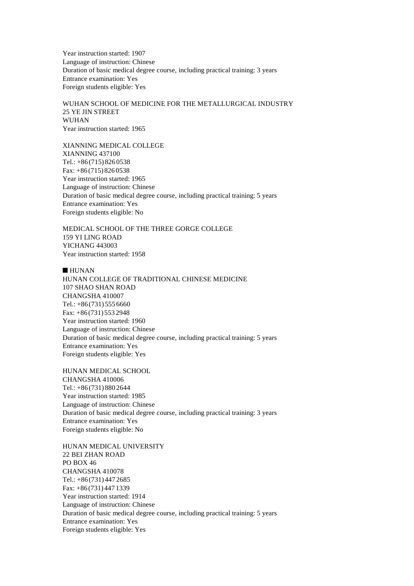Year instruction started: 1907 Language of instruction: Chinese Duration of basic medical degree course, including practical training: 3 years Entrance examination: Yes Foreign students eligible: Yes

WUHAN SCHOOL OF MEDICINE FOR THE METALLURGICAL INDUSTRY 25 YE JIN STREET WUHAN Year instruction started: 1965

XIANNING MEDICAL COLLEGE XIANNING 437100 Tel.:  $+86(715)8260538$ Fax: +86 (715) 826 0538 Year instruction started: 1965 Language of instruction: Chinese Duration of basic medical degree course, including practical training: 5 years Entrance examination: Yes Foreign students eligible: No

MEDICAL SCHOOL OF THE THREE GORGE COLLEGE 159 YI LING ROAD YICHANG 443003 Year instruction started: 1958

 $HUNAN$ 

HUNAN COLLEGE OF TRADITIONAL CHINESE MEDICINE 107 SHAO SHAN ROAD CHANGSHA 410007 Tel.:  $+86(731)5556660$ Fax: +86 (731) 553 2948 Year instruction started: 1960 Language of instruction: Chinese Duration of basic medical degree course, including practical training: 5 years Entrance examination: Yes Foreign students eligible: Yes

HUNAN MEDICAL SCHOOL CHANGSHA 410006 Tel.: +86 (731) 880 2644 Year instruction started: 1985 Language of instruction: Chinese Duration of basic medical degree course, including practical training: 3 years Entrance examination: Yes Foreign students eligible: No

HUNAN MEDICAL UNIVERSITY 22 BEI ZHAN ROAD PO BOX 46 CHANGSHA 410078 Tel.: +86 (731) 447 2685 Fax: +86 (731) 447 1339 Year instruction started: 1914 Language of instruction: Chinese Duration of basic medical degree course, including practical training: 5 years Entrance examination: Yes Foreign students eligible: Yes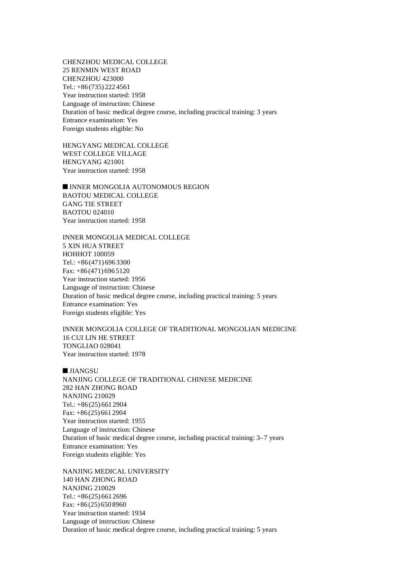CHENZHOU MEDICAL COLLEGE 25 RENMIN WEST ROAD CHENZHOU 423000 Tel.: +86 (735) 222 4561 Year instruction started: 1958 Language of instruction: Chinese Duration of basic medical degree course, including practical training: 3 years Entrance examination: Yes Foreign students eligible: No

HENGYANG MEDICAL COLLEGE WEST COLLEGE VILLAGE HENGYANG 421001 Year instruction started: 1958

 $\blacksquare$  INNER MONGOLIA AUTONOMOUS REGION BAOTOU MEDICAL COLLEGE GANG TIE STREET BAOTOU 024010 Year instruction started: 1958

INNER MONGOLIA MEDICAL COLLEGE 5 XIN HUA STREET HOHHOT 100059 Tel.: +86 (471) 696 3300 Fax: +86 (471) 696 5120 Year instruction started: 1956 Language of instruction: Chinese Duration of basic medical degree course, including practical training: 5 years Entrance examination: Yes Foreign students eligible: Yes

INNER MONGOLIA COLLEGE OF TRADITIONAL MONGOLIAN MEDICINE 16 CUI LIN HE STREET TONGLIAO 028041 Year instruction started: 1978

**n** JIANGSU NANJING COLLEGE OF TRADITIONAL CHINESE MEDICINE 282 HAN ZHONG ROAD NANJING 210029 Tel.: +86 (25) 661 2904 Fax: +86 (25) 661 2904 Year instruction started: 1955 Language of instruction: Chinese Duration of basic medical degree course, including practical training: 3–7 years Entrance examination: Yes Foreign students eligible: Yes

NANJING MEDICAL UNIVERSITY 140 HAN ZHONG ROAD NANJING 210029 Tel.: +86 (25) 661 2696 Fax: +86 (25) 650 8960 Year instruction started: 1934 Language of instruction: Chinese Duration of basic medical degree course, including practical training: 5 years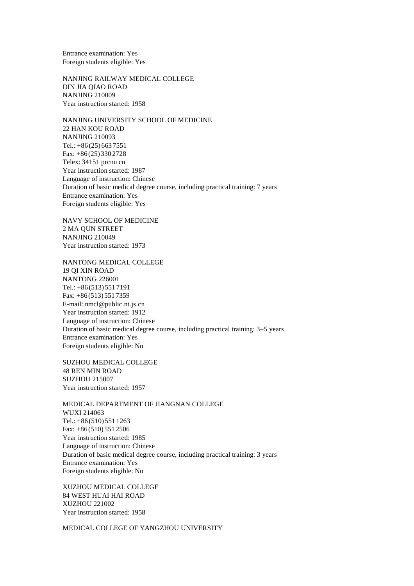Entrance examination: Yes Foreign students eligible: Yes

NANJING RAILWAY MEDICAL COLLEGE DIN JIA QIAO ROAD NANJING 210009 Year instruction started: 1958

NANJING UNIVERSITY SCHOOL OF MEDICINE 22 HAN KOU ROAD NANJING 210093 Tel.: +86 (25) 663 7551 Fax: +86 (25) 330 2728 Telex: 34151 prcnu cn Year instruction started: 1987 Language of instruction: Chinese Duration of basic medical degree course, including practical training: 7 years Entrance examination: Yes Foreign students eligible: Yes

NAVY SCHOOL OF MEDICINE 2 MA QUN STREET NANJING 210049 Year instruction started: 1973

NANTONG MEDICAL COLLEGE 19 QI XIN ROAD NANTONG 226001 Tel.: +86 (513) 551 7191 Fax: +86 (513) 551 7359 E-mail: nmcl@public.nt.js.cn Year instruction started: 1912 Language of instruction: Chinese Duration of basic medical degree course, including practical training: 3–5 years Entrance examination: Yes Foreign students eligible: No

SUZHOU MEDICAL COLLEGE 48 REN MIN ROAD SUZHOU 215007 Year instruction started: 1957

MEDICAL DEPARTMENT OF JIANGNAN COLLEGE WUXI 214063 Tel.: +86 (510) 551 1263 Fax: +86 (510) 551 2506 Year instruction started: 1985 Language of instruction: Chinese Duration of basic medical degree course, including practical training: 3 years Entrance examination: Yes Foreign students eligible: No

XUZHOU MEDICAL COLLEGE 84 WEST HUAI HAI ROAD XUZHOU 221002 Year instruction started: 1958

MEDICAL COLLEGE OF YANGZHOU UNIVERSITY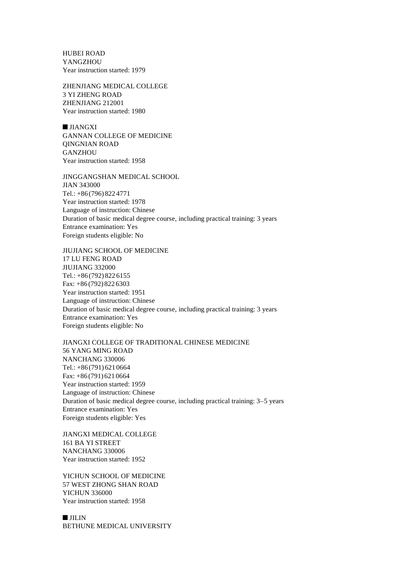HUBEI ROAD YANGZHOU Year instruction started: 1979

ZHENJIANG MEDICAL COLLEGE 3 YI ZHENG ROAD ZHENJIANG 212001 Year instruction started: 1980

 $\blacksquare$  JIANGXI GANNAN COLLEGE OF MEDICINE QINGNIAN ROAD GANZHOU Year instruction started: 1958

JINGGANGSHAN MEDICAL SCHOOL JIAN 343000 Tel.: +86 (796) 822 4771 Year instruction started: 1978 Language of instruction: Chinese Duration of basic medical degree course, including practical training: 3 years Entrance examination: Yes Foreign students eligible: No

JIUJIANG SCHOOL OF MEDICINE 17 LU FENG ROAD JIUJIANG 332000 Tel.: +86 (792) 822 6155 Fax: +86 (792) 822 6303 Year instruction started: 1951 Language of instruction: Chinese Duration of basic medical degree course, including practical training: 3 years Entrance examination: Yes Foreign students eligible: No

JIANGXI COLLEGE OF TRADITIONAL CHINESE MEDICINE 56 YANG MING ROAD NANCHANG 330006 Tel.: +86 (791) 621 0664 Fax: +86 (791) 621 0664 Year instruction started: 1959 Language of instruction: Chinese Duration of basic medical degree course, including practical training: 3–5 years Entrance examination: Yes Foreign students eligible: Yes

JIANGXI MEDICAL COLLEGE 161 BA YI STREET NANCHANG 330006 Year instruction started: 1952

YICHUN SCHOOL OF MEDICINE 57 WEST ZHONG SHAN ROAD YICHUN 336000 Year instruction started: 1958

 $I$  JILIN BETHUNE MEDICAL UNIVERSITY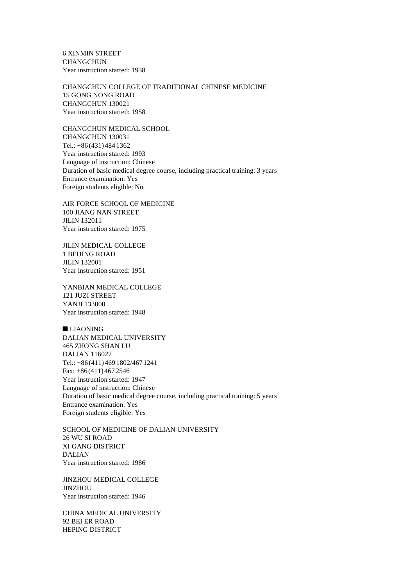6 XINMIN STREET CHANGCHUN Year instruction started: 1938

CHANGCHUN COLLEGE OF TRADITIONAL CHINESE MEDICINE 15 GONG NONG ROAD CHANGCHUN 130021 Year instruction started: 1958

CHANGCHUN MEDICAL SCHOOL CHANGCHUN 130031 Tel.: +86 (431) 484 1362 Year instruction started: 1993 Language of instruction: Chinese Duration of basic medical degree course, including practical training: 3 years Entrance examination: Yes Foreign students eligible: No

AIR FORCE SCHOOL OF MEDICINE 100 JIANG NAN STREET JILIN 132011 Year instruction started: 1975

JILIN MEDICAL COLLEGE 1 BEIJING ROAD JILIN 132001 Year instruction started: 1951

YANBIAN MEDICAL COLLEGE 121 JUZI STREET YANJI 133000 Year instruction started: 1948

 $LIAONING$ DALIAN MEDICAL UNIVERSITY 465 ZHONG SHAN LU DALIAN 116027 Tel.: +86 (411) 469 1802/467 1241 Fax: +86 (411) 467 2546 Year instruction started: 1947 Language of instruction: Chinese Duration of basic medical degree course, including practical training: 5 years Entrance examination: Yes Foreign students eligible: Yes

SCHOOL OF MEDICINE OF DALIAN UNIVERSITY 26 WU SI ROAD XI GANG DISTRICT DALIAN Year instruction started: 1986

JINZHOU MEDICAL COLLEGE **JINZHOU** Year instruction started: 1946

CHINA MEDICAL UNIVERSITY 92 BEI ER ROAD HEPING DISTRICT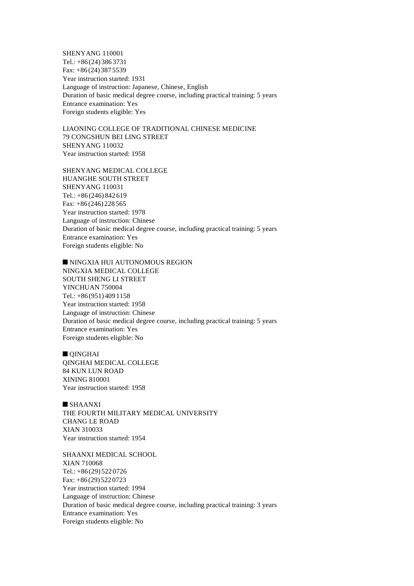SHENYANG 110001 Tel.: +86 (24) 386 3731 Fax: +86 (24) 387 5539 Year instruction started: 1931 Language of instruction: Japanese, Chinese, English Duration of basic medical degree course, including practical training: 5 years Entrance examination: Yes Foreign students eligible: Yes

LIAONING COLLEGE OF TRADITIONAL CHINESE MEDICINE 79 CONGSHUN BEI LING STREET SHENYANG 110032 Year instruction started: 1958

SHENYANG MEDICAL COLLEGE HUANGHE SOUTH STREET SHENYANG 110031 Tel.: +86 (246) 842 619 Fax: +86 (246) 228 565 Year instruction started: 1978 Language of instruction: Chinese Duration of basic medical degree course, including practical training: 5 years Entrance examination: Yes Foreign students eligible: No

 $\blacksquare$ NINGXIA HUI AUTONOMOUS REGION NINGXIA MEDICAL COLLEGE SOUTH SHENG LI STREET YINCHUAN 750004 Tel.: +86 (951) 409 1158 Year instruction started: 1958 Language of instruction: Chinese Duration of basic medical degree course, including practical training: 5 years Entrance examination: Yes Foreign students eligible: No

 $\blacksquare$  QINGHAI QINGHAI MEDICAL COLLEGE 84 KUN LUN ROAD XINING 810001 Year instruction started: 1958

 $\blacksquare$  SHAANXI THE FOURTH MILITARY MEDICAL UNIVERSITY CHANG LE ROAD XIAN 310033 Year instruction started: 1954

SHAANXI MEDICAL SCHOOL XIAN 710068 Tel.: +86 (29) 522 0726 Fax: +86 (29) 522 0723 Year instruction started: 1994 Language of instruction: Chinese Duration of basic medical degree course, including practical training: 3 years Entrance examination: Yes Foreign students eligible: No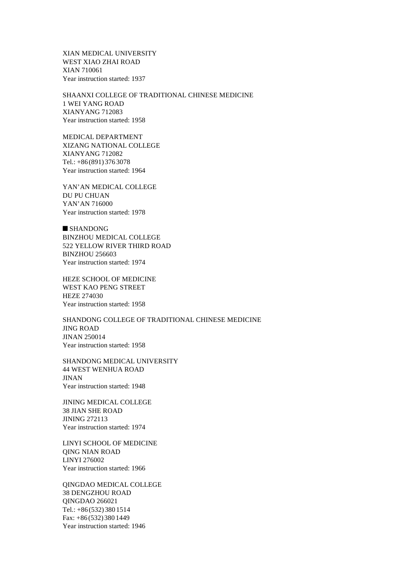XIAN MEDICAL UNIVERSITY WEST XIAO ZHAI ROAD XIAN 710061 Year instruction started: 1937

SHAANXI COLLEGE OF TRADITIONAL CHINESE MEDICINE 1 WEI YANG ROAD XIANYANG 712083 Year instruction started: 1958

MEDICAL DEPARTMENT XIZANG NATIONAL COLLEGE XIANYANG 712082 Tel.: +86 (891) 376 3078 Year instruction started: 1964

YAN'AN MEDICAL COLLEGE DU PU CHUAN YAN'AN 716000 Year instruction started: 1978

 $\blacksquare$  SHANDONG BINZHOU MEDICAL COLLEGE 522 YELLOW RIVER THIRD ROAD BINZHOU 256603 Year instruction started: 1974

HEZE SCHOOL OF MEDICINE WEST KAO PENG STREET HEZE 274030 Year instruction started: 1958

SHANDONG COLLEGE OF TRADITIONAL CHINESE MEDICINE JING ROAD JINAN 250014 Year instruction started: 1958

SHANDONG MEDICAL UNIVERSITY 44 WEST WENHUA ROAD JINAN Year instruction started: 1948

JINING MEDICAL COLLEGE 38 JIAN SHE ROAD JINING 272113 Year instruction started: 1974

LINYI SCHOOL OF MEDICINE QING NIAN ROAD LINYI 276002 Year instruction started: 1966

QINGDAO MEDICAL COLLEGE 38 DENGZHOU ROAD QINGDAO 266021 Tel.: +86 (532) 380 1514 Fax: +86 (532) 380 1449 Year instruction started: 1946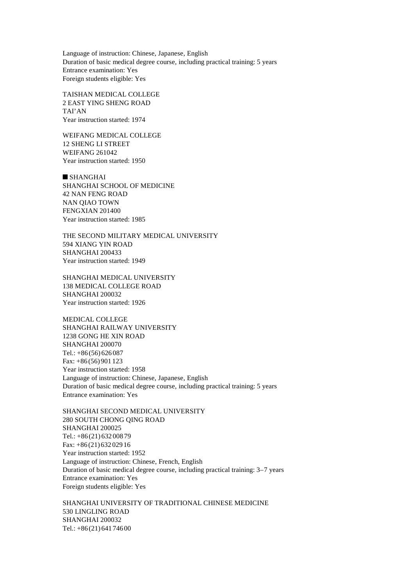Language of instruction: Chinese, Japanese, English Duration of basic medical degree course, including practical training: 5 years Entrance examination: Yes Foreign students eligible: Yes

TAISHAN MEDICAL COLLEGE 2 EAST YING SHENG ROAD TAI'AN Year instruction started: 1974

WEIFANG MEDICAL COLLEGE 12 SHENG LI STREET WEIFANG 261042 Year instruction started: 1950

 $\blacksquare$  SHANGHAI SHANGHAI SCHOOL OF MEDICINE 42 NAN FENG ROAD NAN QIAO TOWN FENGXIAN 201400 Year instruction started: 1985

THE SECOND MILITARY MEDICAL UNIVERSITY 594 XIANG YIN ROAD SHANGHAI 200433 Year instruction started: 1949

SHANGHAI MEDICAL UNIVERSITY 138 MEDICAL COLLEGE ROAD SHANGHAI 200032 Year instruction started: 1926

MEDICAL COLLEGE SHANGHAI RAILWAY UNIVERSITY 1238 GONG HE XIN ROAD SHANGHAI 200070 Tel.: +86 (56) 626 087 Fax: +86 (56) 901 123 Year instruction started: 1958 Language of instruction: Chinese, Japanese, English Duration of basic medical degree course, including practical training: 5 years Entrance examination: Yes

SHANGHAI SECOND MEDICAL UNIVERSITY 280 SOUTH CHONG QING ROAD SHANGHAI 200025 Tel.: +86 (21) 632 008 79 Fax: +86 (21) 632 029 16 Year instruction started: 1952 Language of instruction: Chinese, French, English Duration of basic medical degree course, including practical training: 3–7 years Entrance examination: Yes Foreign students eligible: Yes

SHANGHAI UNIVERSITY OF TRADITIONAL CHINESE MEDICINE 530 LINGLING ROAD SHANGHAI 200032 Tel.: +86 (21) 641 746 00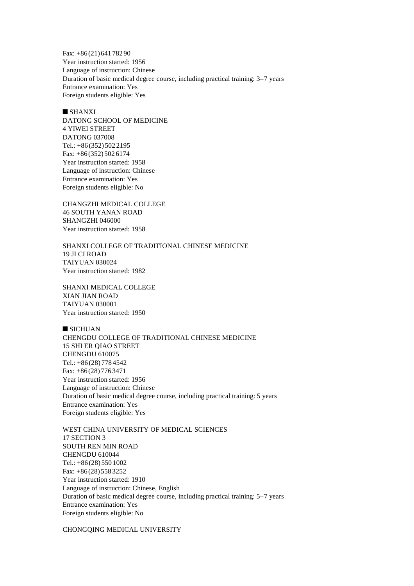Fax: +86 (21) 641 782 90 Year instruction started: 1956 Language of instruction: Chinese Duration of basic medical degree course, including practical training: 3–7 years Entrance examination: Yes Foreign students eligible: Yes

# $\blacksquare$  SHANXI

DATONG SCHOOL OF MEDICINE 4 YIWEI STREET DATONG 037008 Tel.: +86 (352) 502 2195 Fax: +86 (352) 502 6174 Year instruction started: 1958 Language of instruction: Chinese Entrance examination: Yes Foreign students eligible: No

CHANGZHI MEDICAL COLLEGE 46 SOUTH YANAN ROAD SHANGZHI 046000 Year instruction started: 1958

SHANXI COLLEGE OF TRADITIONAL CHINESE MEDICINE 19 JI CI ROAD TAIYUAN 030024 Year instruction started: 1982

SHANXI MEDICAL COLLEGE XIAN JIAN ROAD TAIYUAN 030001 Year instruction started: 1950

 $\blacksquare$  SICHUAN CHENGDU COLLEGE OF TRADITIONAL CHINESE MEDICINE 15 SHI ER QIAO STREET CHENGDU 610075 Tel.: +86 (28) 778 4542 Fax: +86 (28) 776 3471 Year instruction started: 1956 Language of instruction: Chinese Duration of basic medical degree course, including practical training: 5 years Entrance examination: Yes Foreign students eligible: Yes

WEST CHINA UNIVERSITY OF MEDICAL SCIENCES 17 SECTION 3 SOUTH REN MIN ROAD CHENGDU 610044 Tel.: +86 (28) 550 1002 Fax: +86 (28) 558 3252 Year instruction started: 1910 Language of instruction: Chinese, English Duration of basic medical degree course, including practical training: 5–7 years Entrance examination: Yes Foreign students eligible: No

CHONGQING MEDICAL UNIVERSITY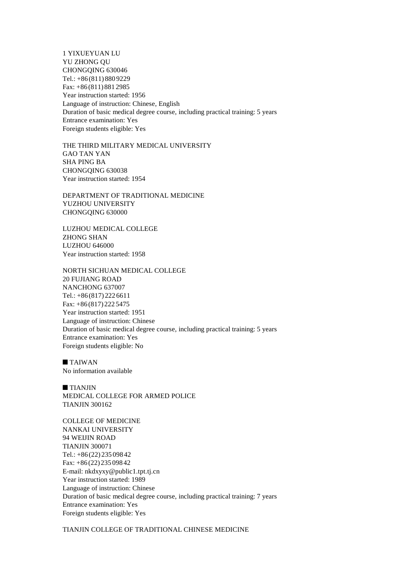1 YIXUEYUAN LU YU ZHONG QU CHONGQING 630046 Tel.: +86 (811) 880 9229 Fax: +86 (811) 881 2985 Year instruction started: 1956 Language of instruction: Chinese, English Duration of basic medical degree course, including practical training: 5 years Entrance examination: Yes Foreign students eligible: Yes

THE THIRD MILITARY MEDICAL UNIVERSITY GAO TAN YAN SHA PING BA CHONGQING 630038 Year instruction started: 1954

DEPARTMENT OF TRADITIONAL MEDICINE YUZHOU UNIVERSITY CHONGQING 630000

LUZHOU MEDICAL COLLEGE ZHONG SHAN LUZHOU 646000 Year instruction started: 1958

NORTH SICHUAN MEDICAL COLLEGE 20 FUJIANG ROAD NANCHONG 637007 Tel.: +86 (817) 222 6611 Fax: +86 (817) 222 5475 Year instruction started: 1951 Language of instruction: Chinese Duration of basic medical degree course, including practical training: 5 years Entrance examination: Yes Foreign students eligible: No

 $\blacksquare$  TAIWAN No information available

 $\blacksquare$  TIANJIN MEDICAL COLLEGE FOR ARMED POLICE TIANJIN 300162

COLLEGE OF MEDICINE NANKAI UNIVERSITY 94 WEIJIN ROAD TIANJIN 300071 Tel.: +86 (22) 235 098 42 Fax: +86 (22) 235 098 42 E-mail: nkdxyxy@public1.tpt.tj.cn Year instruction started: 1989 Language of instruction: Chinese Duration of basic medical degree course, including practical training: 7 years Entrance examination: Yes Foreign students eligible: Yes

TIANJIN COLLEGE OF TRADITIONAL CHINESE MEDICINE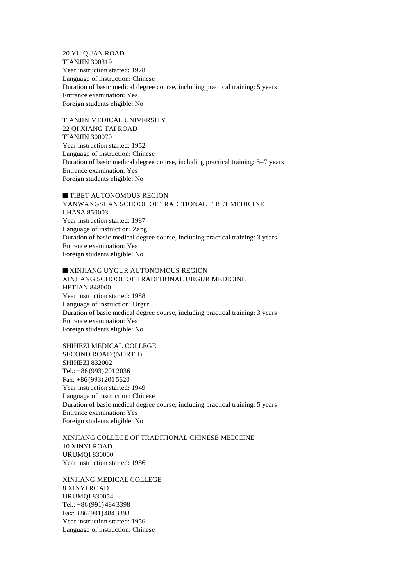20 YU QUAN ROAD TIANJIN 300319 Year instruction started: 1978 Language of instruction: Chinese Duration of basic medical degree course, including practical training: 5 years Entrance examination: Yes Foreign students eligible: No

TIANJIN MEDICAL UNIVERSITY 22 QI XIANG TAI ROAD TIANJIN 300070 Year instruction started: 1952 Language of instruction: Chinese Duration of basic medical degree course, including practical training: 5–7 years Entrance examination: Yes Foreign students eligible: No

**n** TIBET AUTONOMOUS REGION YANWANGSHAN SCHOOL OF TRADITIONAL TIBET MEDICINE LHASA 850003 Year instruction started: 1987 Language of instruction: Zang Duration of basic medical degree course, including practical training: 3 years Entrance examination: Yes Foreign students eligible: No

**NEXINJIANG UYGUR AUTONOMOUS REGION** XINJIANG SCHOOL OF TRADITIONAL URGUR MEDICINE HETIAN 848000 Year instruction started: 1988 Language of instruction: Urgur Duration of basic medical degree course, including practical training: 3 years Entrance examination: Yes Foreign students eligible: No

SHIHEZI MEDICAL COLLEGE SECOND ROAD (NORTH) SHIHEZI 832002 Tel.: +86 (993) 201 2036 Fax: +86 (993) 201 5620 Year instruction started: 1949 Language of instruction: Chinese Duration of basic medical degree course, including practical training: 5 years Entrance examination: Yes Foreign students eligible: No

XINJIANG COLLEGE OF TRADITIONAL CHINESE MEDICINE 10 XINYI ROAD URUMQI 830000 Year instruction started: 1986

XINJIANG MEDICAL COLLEGE 8 XINYI ROAD URUMQI 830054 Tel.: +86 (991) 484 3398 Fax: +86 (991) 484 3398 Year instruction started: 1956 Language of instruction: Chinese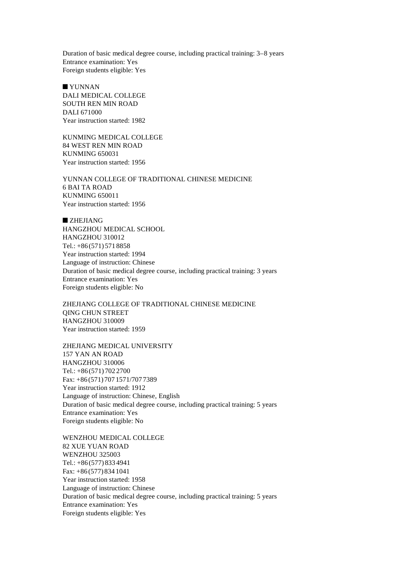Duration of basic medical degree course, including practical training: 3–8 years Entrance examination: Yes Foreign students eligible: Yes

 $\blacksquare$  YUNNAN DALI MEDICAL COLLEGE SOUTH REN MIN ROAD DALI 671000 Year instruction started: 1982

KUNMING MEDICAL COLLEGE 84 WEST REN MIN ROAD KUNMING 650031 Year instruction started: 1956

YUNNAN COLLEGE OF TRADITIONAL CHINESE MEDICINE 6 BAI TA ROAD KUNMING 650011 Year instruction started: 1956

 $ZHEJIANG$ HANGZHOU MEDICAL SCHOOL HANGZHOU 310012 Tel.: +86 (571) 571 8858 Year instruction started: 1994 Language of instruction: Chinese Duration of basic medical degree course, including practical training: 3 years Entrance examination: Yes Foreign students eligible: No

ZHEJIANG COLLEGE OF TRADITIONAL CHINESE MEDICINE QING CHUN STREET HANGZHOU 310009 Year instruction started: 1959

ZHEJIANG MEDICAL UNIVERSITY 157 YAN AN ROAD HANGZHOU 310006 Tel.: +86 (571) 702 2700 Fax: +86 (571) 707 1571/707 7389 Year instruction started: 1912 Language of instruction: Chinese, English Duration of basic medical degree course, including practical training: 5 years Entrance examination: Yes Foreign students eligible: No

WENZHOU MEDICAL COLLEGE 82 XUE YUAN ROAD WENZHOU 325003 Tel.: +86 (577) 833 4941 Fax: +86 (577) 834 1041 Year instruction started: 1958 Language of instruction: Chinese Duration of basic medical degree course, including practical training: 5 years Entrance examination: Yes Foreign students eligible: Yes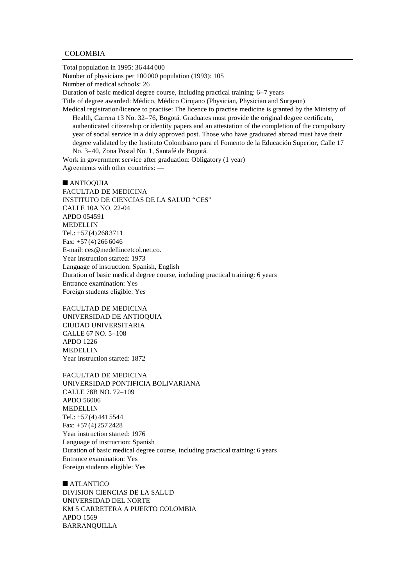#### COLOMBIA

Total population in 1995: 36 444 000 Number of physicians per 100 000 population (1993): 105 Number of medical schools: 26 Duration of basic medical degree course, including practical training: 6–7 years Title of degree awarded: Médico, Médico Cirujano (Physician, Physician and Surgeon) Medical registration/licence to practise: The licence to practise medicine is granted by the Ministry of Health, Carrera 13 No. 32–76, Bogotá. Graduates must provide the original degree certificate, authenticated citizenship or identity papers and an attestation of the completion of the compulsory year of social service in a duly approved post. Those who have graduated abroad must have their

degree validated by the Instituto Colombiano para el Fomento de la Educación Superior, Calle 17 No. 3–40, Zona Postal No. 1, Santafé de Bogotá.

Work in government service after graduation: Obligatory (1 year) Agreements with other countries: —

 $\blacksquare$  ANTIOQUIA FACULTAD DE MEDICINA INSTITUTO DE CIENCIAS DE LA SALUD "CES" CALLE 10A NO. 22-04 APDO 054591 MEDELLIN Tel.: +57 (4) 268 3711 Fax:  $+57(4)2666046$ E-mail: ces@medellincetcol.net.co. Year instruction started: 1973 Language of instruction: Spanish, English Duration of basic medical degree course, including practical training: 6 years Entrance examination: Yes Foreign students eligible: Yes

FACULTAD DE MEDICINA UNIVERSIDAD DE ANTIOQUIA CIUDAD UNIVERSITARIA CALLE 67 NO. 5–108 APDO 1226 MEDELLIN Year instruction started: 1872

FACULTAD DE MEDICINA UNIVERSIDAD PONTIFICIA BOLIVARIANA CALLE 78B NO. 72–109 APDO 56006 **MEDELLIN** Tel.: +57 (4) 441 5544 Fax: +57 (4) 257 2428 Year instruction started: 1976 Language of instruction: Spanish Duration of basic medical degree course, including practical training: 6 years Entrance examination: Yes Foreign students eligible: Yes

 $\blacksquare$  ATLANTICO DIVISION CIENCIAS DE LA SALUD UNIVERSIDAD DEL NORTE KM 5 CARRETERA A PUERTO COLOMBIA APDO 1569 BARRANQUILLA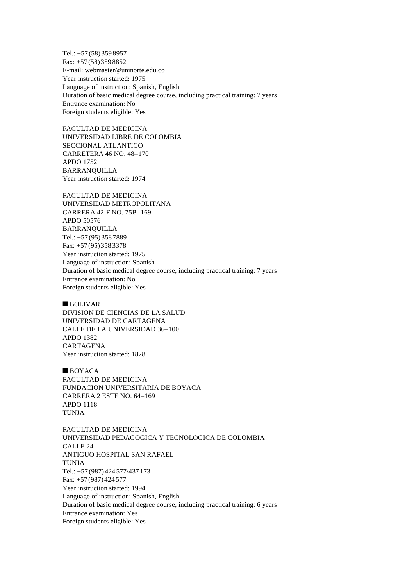Tel.: +57 (58) 359 8957 Fax: +57 (58) 359 8852 E-mail: webmaster@uninorte.edu.co Year instruction started: 1975 Language of instruction: Spanish, English Duration of basic medical degree course, including practical training: 7 years Entrance examination: No Foreign students eligible: Yes

FACULTAD DE MEDICINA UNIVERSIDAD LIBRE DE COLOMBIA SECCIONAL ATLANTICO CARRETERA 46 NO. 48–170 APDO 1752 BARRANQUILLA Year instruction started: 1974

FACULTAD DE MEDICINA UNIVERSIDAD METROPOLITANA CARRERA 42-F NO. 75B–169 APDO 50576 BARRANQUILLA Tel.: +57 (95) 358 7889 Fax: +57 (95) 358 3378 Year instruction started: 1975 Language of instruction: Spanish Duration of basic medical degree course, including practical training: 7 years Entrance examination: No Foreign students eligible: Yes

## $\blacksquare$  BOLIVAR

DIVISION DE CIENCIAS DE LA SALUD UNIVERSIDAD DE CARTAGENA CALLE DE LA UNIVERSIDAD 36–100 APDO 1382 CARTAGENA Year instruction started: 1828

 $\blacksquare$  BOYACA FACULTAD DE MEDICINA FUNDACION UNIVERSITARIA DE BOYACA CARRERA 2 ESTE NO. 64–169 APDO 1118 TUNJA

FACULTAD DE MEDICINA UNIVERSIDAD PEDAGOGICA Y TECNOLOGICA DE COLOMBIA CALLE 24 ANTIGUO HOSPITAL SAN RAFAEL TUNJA Tel.: +57 (987) 424 577/437 173 Fax: +57 (987) 424 577 Year instruction started: 1994 Language of instruction: Spanish, English Duration of basic medical degree course, including practical training: 6 years Entrance examination: Yes Foreign students eligible: Yes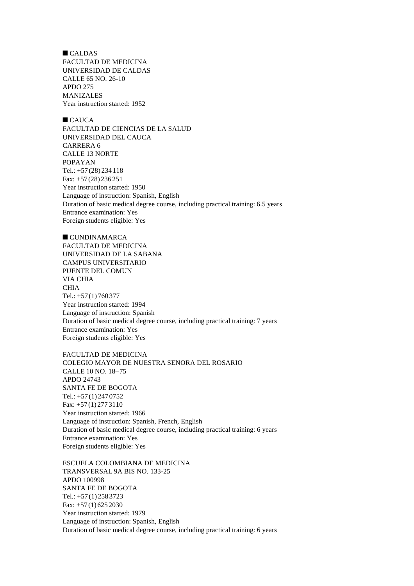$\blacksquare$  CALDAS FACULTAD DE MEDICINA UNIVERSIDAD DE CALDAS CALLE 65 NO. 26-10 APDO 275 MANIZALES Year instruction started: 1952

 $CAIICA$ FACULTAD DE CIENCIAS DE LA SALUD UNIVERSIDAD DEL CAUCA CARRERA 6 CALLE 13 NORTE POPAYAN Tel.: +57 (28) 234 118 Fax: +57 (28) 236 251 Year instruction started: 1950 Language of instruction: Spanish, English Duration of basic medical degree course, including practical training: 6.5 years Entrance examination: Yes Foreign students eligible: Yes

 $C$ UNDINAMARCA FACULTAD DE MEDICINA UNIVERSIDAD DE LA SABANA CAMPUS UNIVERSITARIO PUENTE DEL COMUN VIA CHIA CHIA Tel.: +57 (1) 760 377 Year instruction started: 1994 Language of instruction: Spanish Duration of basic medical degree course, including practical training: 7 years Entrance examination: Yes Foreign students eligible: Yes

FACULTAD DE MEDICINA COLEGIO MAYOR DE NUESTRA SENORA DEL ROSARIO CALLE 10 NO. 18–75 APDO 24743 SANTA FE DE BOGOTA Tel.: +57 (1) 247 0752 Fax: +57 (1) 277 3110 Year instruction started: 1966 Language of instruction: Spanish, French, English Duration of basic medical degree course, including practical training: 6 years Entrance examination: Yes Foreign students eligible: Yes

ESCUELA COLOMBIANA DE MEDICINA TRANSVERSAL 9A BIS NO. 133-25 APDO 100998 SANTA FE DE BOGOTA Tel.: +57 (1) 258 3723 Fax: +57 (1) 625 2030 Year instruction started: 1979 Language of instruction: Spanish, English Duration of basic medical degree course, including practical training: 6 years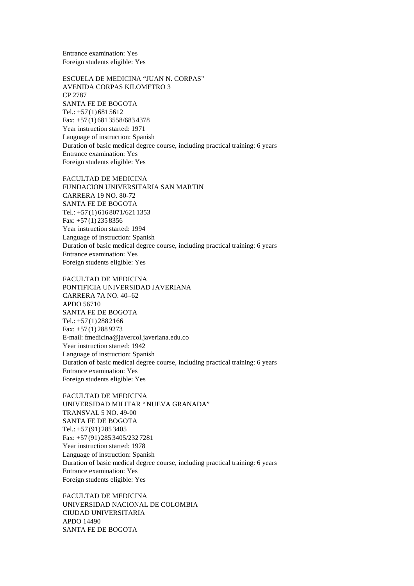Entrance examination: Yes Foreign students eligible: Yes

ESCUELA DE MEDICINA "JUAN N. CORPAS" AVENIDA CORPAS KILOMETRO 3 CP 2787 SANTA FE DE BOGOTA Tel.: +57 (1) 681 5612 Fax: +57 (1) 681 3558/683 4378 Year instruction started: 1971 Language of instruction: Spanish Duration of basic medical degree course, including practical training: 6 years Entrance examination: Yes Foreign students eligible: Yes

FACULTAD DE MEDICINA FUNDACION UNIVERSITARIA SAN MARTIN CARRERA 19 NO. 80-72 SANTA FE DE BOGOTA Tel.: +57 (1) 616 8071/621 1353 Fax: +57 (1) 235 8356 Year instruction started: 1994 Language of instruction: Spanish Duration of basic medical degree course, including practical training: 6 years Entrance examination: Yes Foreign students eligible: Yes

FACULTAD DE MEDICINA PONTIFICIA UNIVERSIDAD JAVERIANA CARRERA 7A NO. 40–62 APDO 56710 SANTA FE DE BOGOTA Tel.: +57 (1) 288 2166 Fax: +57 (1) 288 9273 E-mail: fmedicina@javercol.javeriana.edu.co Year instruction started: 1942 Language of instruction: Spanish Duration of basic medical degree course, including practical training: 6 years Entrance examination: Yes Foreign students eligible: Yes

FACULTAD DE MEDICINA UNIVERSIDAD MILITAR "NUEVA GRANADA" TRANSVAL 5 NO. 49-00 SANTA FE DE BOGOTA Tel.: +57 (91) 285 3405 Fax: +57 (91) 285 3405/232 7281 Year instruction started: 1978 Language of instruction: Spanish Duration of basic medical degree course, including practical training: 6 years Entrance examination: Yes Foreign students eligible: Yes

FACULTAD DE MEDICINA UNIVERSIDAD NACIONAL DE COLOMBIA CIUDAD UNIVERSITARIA APDO 14490 SANTA FE DE BOGOTA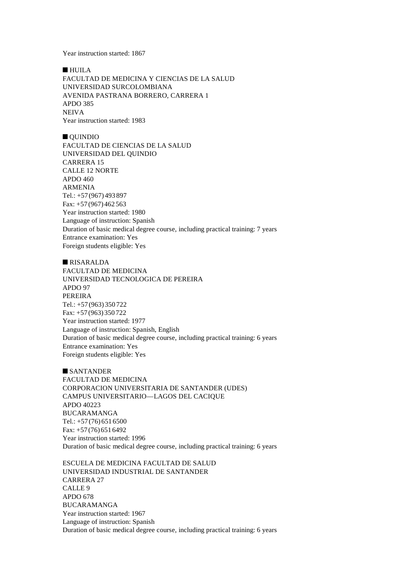Year instruction started: 1867

 $\blacksquare$  HUILA FACULTAD DE MEDICINA Y CIENCIAS DE LA SALUD UNIVERSIDAD SURCOLOMBIANA AVENIDA PASTRANA BORRERO, CARRERA 1 APDO 385 NEIVA Year instruction started: 1983

 $\blacksquare$  QUINDIO FACULTAD DE CIENCIAS DE LA SALUD UNIVERSIDAD DEL QUINDIO CARRERA 15 CALLE 12 NORTE APDO 460 ARMENIA Tel.: +57 (967) 493 897 Fax: +57 (967) 462 563 Year instruction started: 1980 Language of instruction: Spanish Duration of basic medical degree course, including practical training: 7 years Entrance examination: Yes Foreign students eligible: Yes

#### **NISARALDA**

FACULTAD DE MEDICINA UNIVERSIDAD TECNOLOGICA DE PEREIRA APDO 97 PEREIRA Tel.: +57 (963) 350 722 Fax: +57 (963) 350 722 Year instruction started: 1977 Language of instruction: Spanish, English Duration of basic medical degree course, including practical training: 6 years Entrance examination: Yes Foreign students eligible: Yes

 $SANTANDER$ FACULTAD DE MEDICINA CORPORACION UNIVERSITARIA DE SANTANDER (UDES) CAMPUS UNIVERSITARIO— LAGOS DEL CACIQUE APDO 40223 BUCARAMANGA Tel.: +57 (76) 651 6500 Fax: +57 (76) 651 6492 Year instruction started: 1996 Duration of basic medical degree course, including practical training: 6 years

ESCUELA DE MEDICINA FACULTAD DE SALUD UNIVERSIDAD INDUSTRIAL DE SANTANDER CARRERA 27 CALLE 9 APDO 678 BUCARAMANGA Year instruction started: 1967 Language of instruction: Spanish Duration of basic medical degree course, including practical training: 6 years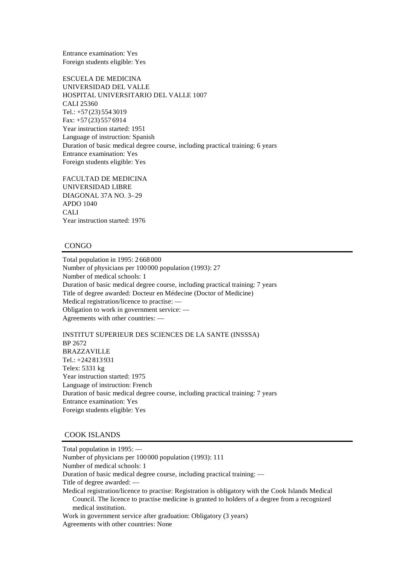Entrance examination: Yes Foreign students eligible: Yes

ESCUELA DE MEDICINA UNIVERSIDAD DEL VALLE HOSPITAL UNIVERSITARIO DEL VALLE 1007 CALI 25360 Tel.: +57 (23) 554 3019 Fax: +57 (23) 557 6914 Year instruction started: 1951 Language of instruction: Spanish Duration of basic medical degree course, including practical training: 6 years Entrance examination: Yes Foreign students eligible: Yes

FACULTAD DE MEDICINA UNIVERSIDAD LIBRE DIAGONAL 37A NO. 3–29 APDO 1040 CALI Year instruction started: 1976

#### **CONGO**

Total population in 1995: 2 668 000 Number of physicians per 100 000 population (1993): 27 Number of medical schools: 1 Duration of basic medical degree course, including practical training: 7 years Title of degree awarded: Docteur en Médecine (Doctor of Medicine) Medical registration/licence to practise: — Obligation to work in government service: — Agreements with other countries: —

INSTITUT SUPERIEUR DES SCIENCES DE LA SANTE (INSSSA) BP 2672 BRAZZAVILLE Tel.: +242 813 931 Telex: 5331 kg Year instruction started: 1975 Language of instruction: French Duration of basic medical degree course, including practical training: 7 years Entrance examination: Yes Foreign students eligible: Yes

### COOK ISLANDS

Total population in 1995: — Number of physicians per 100 000 population (1993): 111 Number of medical schools: 1 Duration of basic medical degree course, including practical training: — Title of degree awarded: — Medical registration/licence to practise: Registration is obligatory with the Cook Islands Medical Council. The licence to practise medicine is granted to holders of a degree from a recognized medical institution. Work in government service after graduation: Obligatory (3 years) Agreements with other countries: None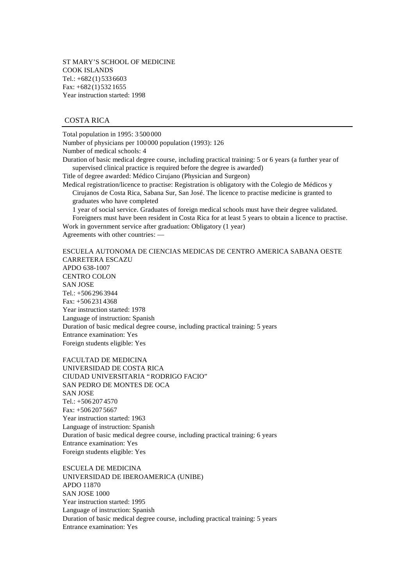ST MARY'S SCHOOL OF MEDICINE COOK ISLANDS Tel.:  $+682(1)$  533 6603 Fax: +682 (1) 532 1655 Year instruction started: 1998

## COSTA RICA

Total population in 1995: 3 500 000

Number of physicians per 100 000 population (1993): 126

Number of medical schools: 4

Duration of basic medical degree course, including practical training: 5 or 6 years (a further year of supervised clinical practice is required before the degree is awarded)

Title of degree awarded: Médico Cirujano (Physician and Surgeon)

Medical registration/licence to practise: Registration is obligatory with the Colegio de Médicos y Cirujanos de Costa Rica, Sabana Sur, San José. The licence to practise medicine is granted to graduates who have completed

1 year of social service. Graduates of foreign medical schools must have their degree validated. Foreigners must have been resident in Costa Rica for at least 5 years to obtain a licence to practise. Work in government service after graduation: Obligatory (1 year)

Agreements with other countries: —

ESCUELA AUTONOMA DE CIENCIAS MEDICAS DE CENTRO AMERICA SABANA OESTE CARRETERA ESCAZU APDO 638-1007 CENTRO COLON SAN JOSE Tel.: +506 296 3944 Fax: +506 231 4368 Year instruction started: 1978 Language of instruction: Spanish Duration of basic medical degree course, including practical training: 5 years Entrance examination: Yes Foreign students eligible: Yes

FACULTAD DE MEDICINA UNIVERSIDAD DE COSTA RICA CIUDAD UNIVERSITARIA "RODRIGO FACIO" SAN PEDRO DE MONTES DE OCA SAN JOSE Tel.: +506 207 4570 Fax: +506 207 5667 Year instruction started: 1963 Language of instruction: Spanish Duration of basic medical degree course, including practical training: 6 years Entrance examination: Yes Foreign students eligible: Yes

ESCUELA DE MEDICINA UNIVERSIDAD DE IBEROAMERICA (UNIBE) APDO 11870 SAN JOSE 1000 Year instruction started: 1995 Language of instruction: Spanish Duration of basic medical degree course, including practical training: 5 years Entrance examination: Yes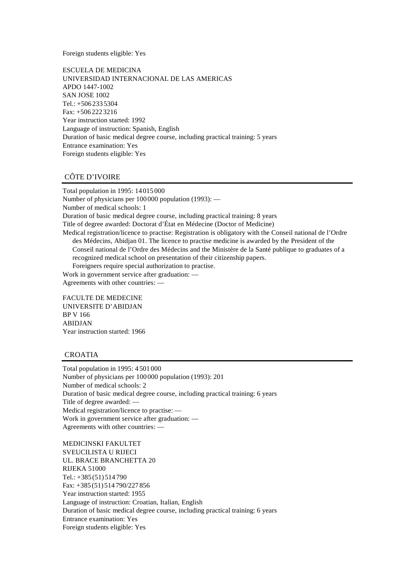Foreign students eligible: Yes

ESCUELA DE MEDICINA UNIVERSIDAD INTERNACIONAL DE LAS AMERICAS APDO 1447-1002 SAN JOSE 1002 Tel.: +506 233 5304 Fax: +506 222 3216 Year instruction started: 1992 Language of instruction: Spanish, English Duration of basic medical degree course, including practical training: 5 years Entrance examination: Yes Foreign students eligible: Yes

## CÔTE D'IVOIRE

Total population in 1995: 14 015 000 Number of physicians per 100 000 population (1993): — Number of medical schools: 1 Duration of basic medical degree course, including practical training: 8 years Title of degree awarded: Doctorat d'État en Médecine (Doctor of Medicine) Medical registration/licence to practise: Registration is obligatory with the Conseil national de l'Ordre des Médecins, Abidjan 01. The licence to practise medicine is awarded by the President of the Conseil national de l'Ordre des Médecins and the Ministère de la Santé publique to graduates of a recognized medical school on presentation of their citizenship papers. Foreigners require special authorization to practise. Work in government service after graduation: — Agreements with other countries: —

FACULTE DE MEDECINE UNIVERSITE D'ABIDJAN BP V 166 ABIDJAN Year instruction started: 1966

# CROATIA

Total population in 1995: 4 501 000 Number of physicians per 100 000 population (1993): 201 Number of medical schools: 2 Duration of basic medical degree course, including practical training: 6 years Title of degree awarded: — Medical registration/licence to practise: — Work in government service after graduation: — Agreements with other countries: —

MEDICINSKI FAKULTET SVEUCILISTA U RIJECI UL. BRACE BRANCHETTA 20 RIJEKA 51000 Tel.: +385 (51) 514 790 Fax: +385 (51) 514 790/227 856 Year instruction started: 1955 Language of instruction: Croatian, Italian, English Duration of basic medical degree course, including practical training: 6 years Entrance examination: Yes Foreign students eligible: Yes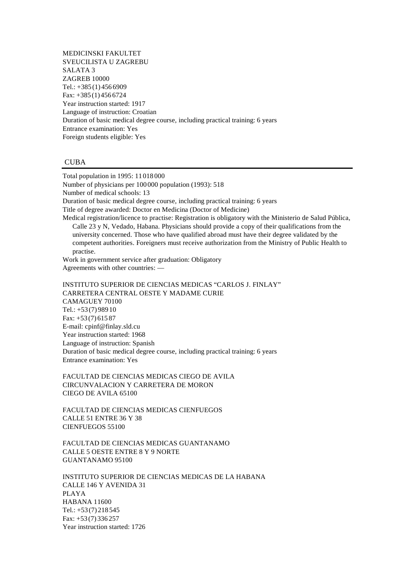MEDICINSKI FAKULTET SVEUCILISTA U ZAGREBU SALATA 3 ZAGREB 10000 Tel.: +385 (1) 456 6909 Fax: +385 (1) 456 6724 Year instruction started: 1917 Language of instruction: Croatian Duration of basic medical degree course, including practical training: 6 years Entrance examination: Yes Foreign students eligible: Yes

#### **CUBA**

Total population in 1995: 11 018 000 Number of physicians per 100 000 population (1993): 518 Number of medical schools: 13 Duration of basic medical degree course, including practical training: 6 years Title of degree awarded: Doctor en Medicina (Doctor of Medicine) Medical registration/licence to practise: Registration is obligatory with the Ministerio de Salud Pública, Calle 23 y N, Vedado, Habana. Physicians should provide a copy of their qualifications from the university concerned. Those who have qualified abroad must have their degree validated by the competent authorities. Foreigners must receive authorization from the Ministry of Public Health to practise. Work in government service after graduation: Obligatory Agreements with other countries: — INSTITUTO SUPERIOR DE CIENCIAS MEDICAS "CARLOS J. FINLAY"

CARRETERA CENTRAL OESTE Y MADAME CURIE CAMAGUEY 70100 Tel.: +53 (7) 989 10 Fax: +53 (7) 615 87 E-mail: cpinf@finlay.sld.cu Year instruction started: 1968 Language of instruction: Spanish Duration of basic medical degree course, including practical training: 6 years Entrance examination: Yes

FACULTAD DE CIENCIAS MEDICAS CIEGO DE AVILA CIRCUNVALACION Y CARRETERA DE MORON CIEGO DE AVILA 65100

FACULTAD DE CIENCIAS MEDICAS CIENFUEGOS CALLE 51 ENTRE 36 Y 38 CIENFUEGOS 55100

FACULTAD DE CIENCIAS MEDICAS GUANTANAMO CALLE 5 OESTE ENTRE 8 Y 9 NORTE GUANTANAMO 95100

INSTITUTO SUPERIOR DE CIENCIAS MEDICAS DE LA HABANA CALLE 146 Y AVENIDA 31 PLAYA HABANA 11600  $Tel.: +53(7)218545$ Fax: +53 (7) 336 257 Year instruction started: 1726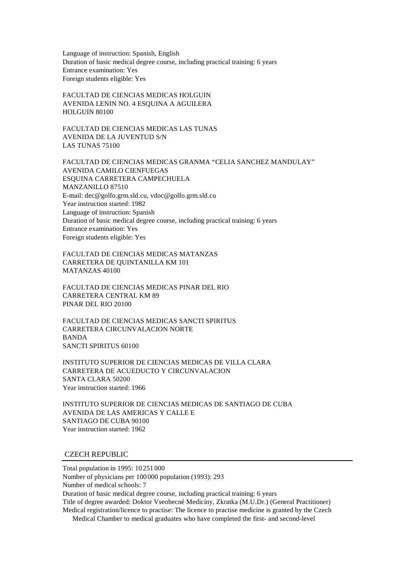Language of instruction: Spanish, English Duration of basic medical degree course, including practical training: 6 years Entrance examination: Yes Foreign students eligible: Yes

FACULTAD DE CIENCIAS MEDICAS HOLGUIN AVENIDA LENIN NO. 4 ESQUINA A AGUILERA HOLGUIN 80100

FACULTAD DE CIENCIAS MEDICAS LAS TUNAS AVENIDA DE LA JUVENTUD S/N LAS TUNAS 75100

FACULTAD DE CIENCIAS MEDICAS GRANMA "CELIA SANCHEZ MANDULAY" AVENIDA CAMILO CIENFUEGAS ESQUINA CARRETERA CAMPECHUELA MANZANILLO 87510 E-mail: dec@golfo.grm.sld.cu, vdoc@golfo.grm.sld.cu Year instruction started: 1982 Language of instruction: Spanish Duration of basic medical degree course, including practical training: 6 years Entrance examination: Yes Foreign students eligible: Yes

FACULTAD DE CIENCIAS MEDICAS MATANZAS CARRETERA DE QUINTANILLA KM 101 MATANZAS 40100

FACULTAD DE CIENCIAS MEDICAS PINAR DEL RIO CARRETERA CENTRAL KM 89 PINAR DEL RIO 20100

FACULTAD DE CIENCIAS MEDICAS SANCTI SPIRITUS CARRETERA CIRCUNVALACION NORTE BANDA SANCTI SPIRITUS 60100

INSTITUTO SUPERIOR DE CIENCIAS MEDICAS DE VILLA CLARA CARRETERA DE ACUEDUCTO Y CIRCUNVALACION SANTA CLARA 50200 Year instruction started: 1966

INSTITUTO SUPERIOR DE CIENCIAS MEDICAS DE SANTIAGO DE CUBA AVENIDA DE LAS AMERICAS Y CALLE E SANTIAGO DE CUBA 90100 Year instruction started: 1962

## CZECH REPUBLIC

Total population in 1995: 10 251 000 Number of physicians per 100 000 population (1993): 293 Number of medical schools: 7 Duration of basic medical degree course, including practical training: 6 years Title of degree awarded: Doktor Vseobecné Medicíny, Zkratka (M.U.Dr.) (General Practitioner) Medical registration/licence to practise: The licence to practise medicine is granted by the Czech Medical Chamber to medical graduates who have completed the first- and second-level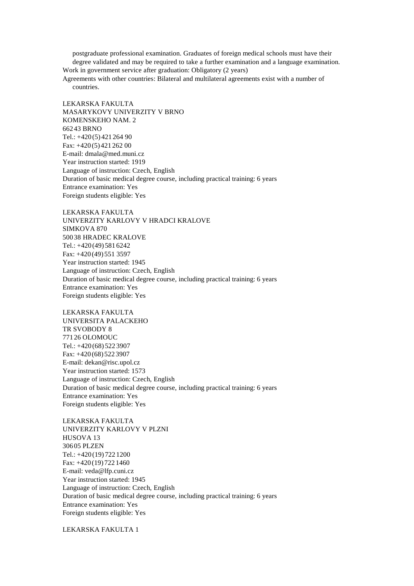postgraduate professional examination. Graduates of foreign medical schools must have their

degree validated and may be required to take a further examination and a language examination. Work in government service after graduation: Obligatory (2 years)

Agreements with other countries: Bilateral and multilateral agreements exist with a number of countries.

LEKARSKA FAKULTA MASARYKOVY UNIVERZITY V BRNO KOMENSKEHO NAM. 2 662 43 BRNO Tel.: +420 (5) 421 264 90 Fax: +420 (5) 421 262 00 E-mail: dmala@med.muni.cz Year instruction started: 1919 Language of instruction: Czech, English Duration of basic medical degree course, including practical training: 6 years Entrance examination: Yes Foreign students eligible: Yes

LEKARSKA FAKULTA UNIVERZITY KARLOVY V HRADCI KRALOVE SIMKOVA 870 500 38 HRADEC KRALOVE Tel.: +420 (49) 581 6242 Fax: +420 (49) 551 3597 Year instruction started: 1945 Language of instruction: Czech, English Duration of basic medical degree course, including practical training: 6 years Entrance examination: Yes Foreign students eligible: Yes

LEKARSKA FAKULTA UNIVERSITA PALACKEHO TR SVOBODY 8 771 26 OLOMOUC Tel.: +420 (68) 522 3907 Fax: +420 (68) 522 3907 E-mail: dekan@risc.upol.cz Year instruction started: 1573 Language of instruction: Czech, English Duration of basic medical degree course, including practical training: 6 years Entrance examination: Yes Foreign students eligible: Yes

LEKARSKA FAKULTA UNIVERZITY KARLOVY V PLZNI HUSOVA 13 306 05 PLZEN Tel.: +420 (19) 722 1200 Fax: +420 (19) 722 1460 E-mail: veda@lfp.cuni.cz Year instruction started: 1945 Language of instruction: Czech, English Duration of basic medical degree course, including practical training: 6 years Entrance examination: Yes Foreign students eligible: Yes

LEKARSKA FAKULTA 1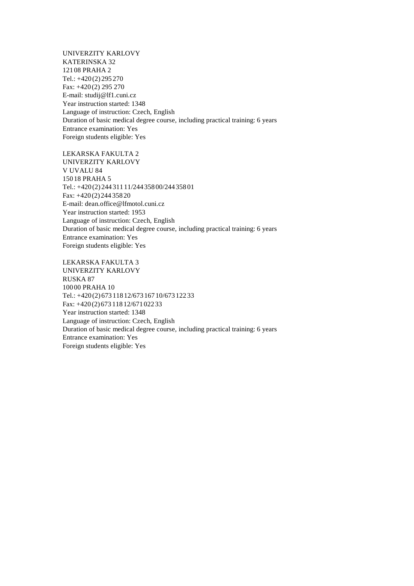UNIVERZITY KARLOVY KATERINSKA 32 121 08 PRAHA 2 Tel.: +420 (2) 295 270 Fax: +420 (2) 295 270 E-mail: studij@lf1.cuni.cz Year instruction started: 1348 Language of instruction: Czech, English Duration of basic medical degree course, including practical training: 6 years Entrance examination: Yes Foreign students eligible: Yes

LEKARSKA FAKULTA 2 UNIVERZITY KARLOVY V UVALU 84 150 18 PRAHA 5 Tel.: +420 (2) 244 311 11/244 358 00/244 358 01 Fax: +420 (2) 244 358 20 E-mail: dean.office@lfmotol.cuni.cz Year instruction started: 1953 Language of instruction: Czech, English Duration of basic medical degree course, including practical training: 6 years Entrance examination: Yes Foreign students eligible: Yes

LEKARSKA FAKULTA 3 UNIVERZITY KARLOVY RUSKA 87 100 00 PRAHA 10 Tel.: +420 (2) 673 118 12/673 167 10/673 122 33 Fax: +420 (2) 673 118 12/671 022 33 Year instruction started: 1348 Language of instruction: Czech, English Duration of basic medical degree course, including practical training: 6 years Entrance examination: Yes Foreign students eligible: Yes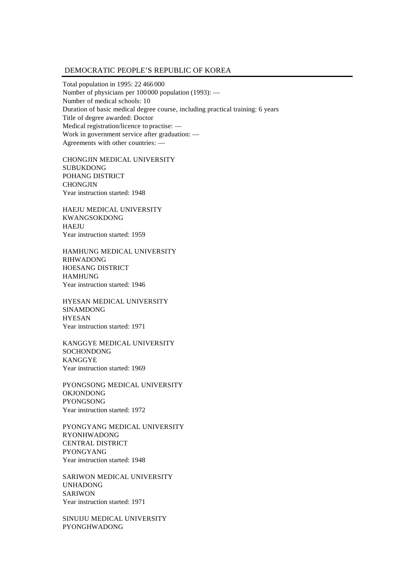#### DEMOCRATIC PEOPLE'S REPUBLIC OF KOREA

Total population in 1995: 22 466 000 Number of physicians per 100000 population (1993): — Number of medical schools: 10 Duration of basic medical degree course, including practical training: 6 years Title of degree awarded: Doctor Medical registration/licence to practise: — Work in government service after graduation: — Agreements with other countries: —

CHONGJIN MEDICAL UNIVERSITY SUBUKDONG POHANG DISTRICT CHONGJIN Year instruction started: 1948

HAEJU MEDICAL UNIVERSITY KWANGSOKDONG HAEJU Year instruction started: 1959

HAMHUNG MEDICAL UNIVERSITY RIHWADONG HOESANG DISTRICT HAMHUNG Year instruction started: 1946

HYESAN MEDICAL UNIVERSITY SINAMDONG HYESAN Year instruction started: 1971

KANGGYE MEDICAL UNIVERSITY SOCHONDONG KANGGYE Year instruction started: 1969

PYONGSONG MEDICAL UNIVERSITY OKJONDONG PYONGSONG Year instruction started: 1972

PYONGYANG MEDICAL UNIVERSITY RYONHWADONG CENTRAL DISTRICT PYONGYANG Year instruction started: 1948

SARIWON MEDICAL UNIVERSITY UNHADONG SARIWON Year instruction started: 1971

SINUIJU MEDICAL UNIVERSITY PYONGHWADONG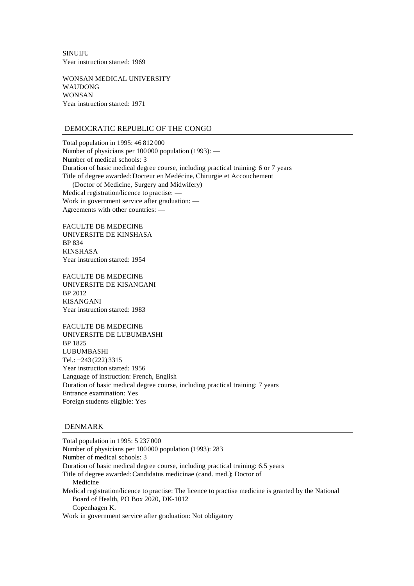SINUIJU Year instruction started: 1969

WONSAN MEDICAL UNIVERSITY WAUDONG WONSAN Year instruction started: 1971

## DEMOCRATIC REPUBLIC OF THE CONGO

Total population in 1995: 46 812 000 Number of physicians per 100000 population (1993): — Number of medical schools: 3 Duration of basic medical degree course, including practical training: 6 or 7 years Title of degree awarded: Docteur en Medécine, Chirurgie et Accouchement (Doctor of Medicine, Surgery and Midwifery) Medical registration/licence to practise: —

Work in government service after graduation: — Agreements with other countries: —

FACULTE DE MEDECINE UNIVERSITE DE KINSHASA BP 834 KINSHASA Year instruction started: 1954

FACULTE DE MEDECINE UNIVERSITE DE KISANGANI BP 2012 KISANGANI Year instruction started: 1983

FACULTE DE MEDECINE UNIVERSITE DE LUBUMBASHI BP 1825 LUBUMBASHI Tel.: +243 (222) 3315 Year instruction started: 1956 Language of instruction: French, English Duration of basic medical degree course, including practical training: 7 years Entrance examination: Yes Foreign students eligible: Yes

### DENMARK

Total population in 1995: 5 237 000 Number of physicians per 100000 population (1993): 283 Number of medical schools: 3 Duration of basic medical degree course, including practical training: 6.5 years Title of degree awarded: Candidatus medicinae (cand. med.); Doctor of Medicine Medical registration/licence to practise: The licence to practise medicine is granted by the National Board of Health, PO Box 2020, DK-1012 Copenhagen K. Work in government service after graduation: Not obligatory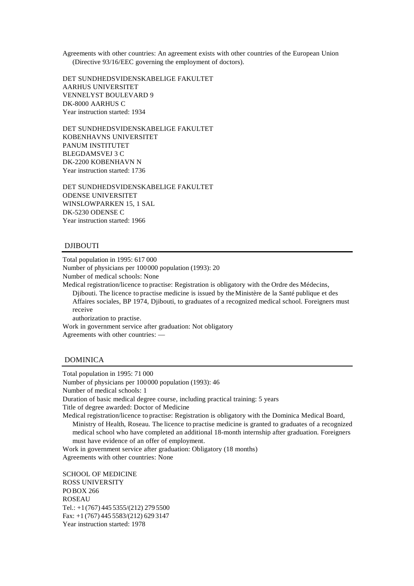Agreements with other countries: An agreement exists with other countries of the European Union (Directive 93/16/EEC governing the employment of doctors).

DET SUNDHEDSVIDENSKABELIGE FAKULTET AARHUS UNIVERSITET VENNELYST BOULEVARD 9 DK-8000 AARHUS C Year instruction started: 1934

DET SUNDHEDSVIDENSKABELIGE FAKULTET KOBENHAVNS UNIVERSITET PANUM INSTITUTET BLEGDAMSVEJ 3 C DK-2200 KOBENHAVN N Year instruction started: 1736

DET SUNDHEDSVIDENSKABELIGE FAKULTET ODENSE UNIVERSITET WINSLOWPARKEN 15, 1 SAL DK-5230 ODENSE C Year instruction started: 1966

## DJIBOUTI

Total population in 1995: 617 000

Number of physicians per 100000 population (1993): 20 Number of medical schools: None

Medical registration/licence to practise: Registration is obligatory with the Ordre des Médecins, Djibouti. The licence to practise medicine is issued by the Ministère de la Santé publique et des Affaires sociales, BP 1974, Djibouti, to graduates of a recognized medical school. Foreigners must receive

authorization to practise.

Work in government service after graduation: Not obligatory Agreements with other countries: —

#### DOMINICA

Total population in 1995: 71 000 Number of physicians per 100000 population (1993): 46 Number of medical schools: 1 Duration of basic medical degree course, including practical training: 5 years Title of degree awarded: Doctor of Medicine Medical registration/licence to practise: Registration is obligatory with the Dominica Medical Board, Ministry of Health, Roseau. The licence to practise medicine is granted to graduates of a recognized medical school who have completed an additional 18-month internship after graduation. Foreigners must have evidence of an offer of employment. Work in government service after graduation: Obligatory (18 months)

Agreements with other countries: None

SCHOOL OF MEDICINE ROSS UNIVERSITY POBOX 266 ROSEAU Tel.: +1(767) 445 5355/(212) 279 5500 Fax: +1 (767) 445 5583/(212) 629 3147 Year instruction started: 1978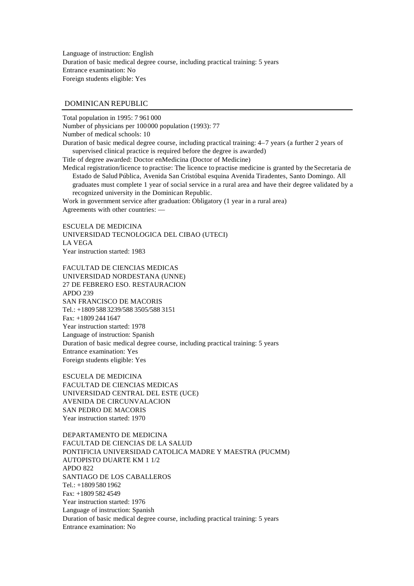Language of instruction: English Duration of basic medical degree course, including practical training: 5 years Entrance examination: No Foreign students eligible: Yes

#### DOMINICAN REPUBLIC

Total population in 1995: 7 961 000

Number of physicians per 100000 population (1993): 77 Number of medical schools: 10 Duration of basic medical degree course, including practical training: 4–7 years (a further 2 years of

supervised clinical practice is required before the degree is awarded)

Title of degree awarded: Doctor en Medicina (Doctor of Medicine)

Medical registration/licence to practise: The licence to practise medicine is granted by the Secretaria de Estado de Salud Pública, Avenida San Cristóbal esquina Avenida Tiradentes, Santo Domingo. All graduates must complete 1 year of social service in a rural area and have their degree validated by a recognized university in the Dominican Republic.

Work in government service after graduation: Obligatory (1 year in a rural area) Agreements with other countries: —

ESCUELA DE MEDICINA UNIVERSIDAD TECNOLOGICA DEL CIBAO (UTECI) LA VEGA Year instruction started: 1983

FACULTAD DE CIENCIAS MEDICAS UNIVERSIDAD NORDESTANA (UNNE) 27 DE FEBRERO ESO. RESTAURACION APDO 239 SAN FRANCISCO DE MACORIS Tel.: +1809 588 3239/588 3505/588 3151 Fax: +1809 244 1647 Year instruction started: 1978 Language of instruction: Spanish Duration of basic medical degree course, including practical training: 5 years Entrance examination: Yes Foreign students eligible: Yes

ESCUELA DE MEDICINA FACULTAD DE CIENCIAS MEDICAS UNIVERSIDAD CENTRAL DEL ESTE (UCE) AVENIDA DE CIRCUNVALACION SAN PEDRO DE MACORIS Year instruction started: 1970

DEPARTAMENTO DE MEDICINA FACULTAD DE CIENCIAS DE LA SALUD PONTIFICIA UNIVERSIDAD CATOLICA MADRE Y MAESTRA (PUCMM) AUTOPISTO DUARTE KM 1 1/2 APDO 822 SANTIAGO DE LOS CABALLEROS  $Tel + 1809 580 1962$ Fax: +1809 582 4549 Year instruction started: 1976 Language of instruction: Spanish Duration of basic medical degree course, including practical training: 5 years Entrance examination: No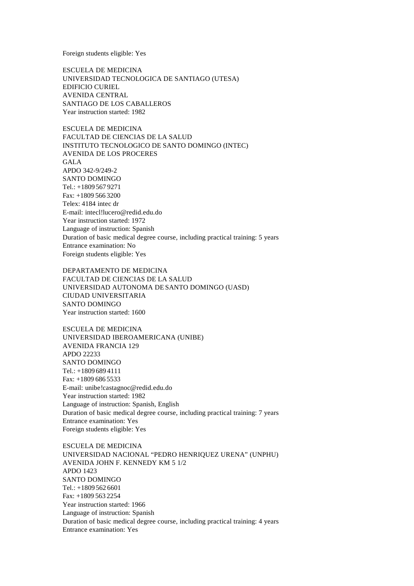Foreign students eligible: Yes

ESCUELA DE MEDICINA UNIVERSIDAD TECNOLOGICA DE SANTIAGO (UTESA) EDIFICIO CURIEL AVENIDA CENTRAL SANTIAGO DE LOS CABALLEROS Year instruction started: 1982

ESCUELA DE MEDICINA FACULTAD DE CIENCIAS DE LA SALUD INSTITUTO TECNOLOGICO DE SANTO DOMINGO (INTEC) AVENIDA DE LOS PROCERES GALA APDO 342-9/249-2 SANTO DOMINGO Tel.: +1809 567 9271 Fax: +1809 566 3200 Telex: 4184 intec dr E-mail: intecl!lucero@redid.edu.do Year instruction started: 1972 Language of instruction: Spanish Duration of basic medical degree course, including practical training: 5 years Entrance examination: No Foreign students eligible: Yes

DEPARTAMENTO DE MEDICINA FACULTAD DE CIENCIAS DE LA SALUD UNIVERSIDAD AUTONOMA DE SANTO DOMINGO (UASD) CIUDAD UNIVERSITARIA SANTO DOMINGO Year instruction started: 1600

ESCUELA DE MEDICINA UNIVERSIDAD IBEROAMERICANA (UNIBE) AVENIDA FRANCIA 129 APDO 22233 SANTO DOMINGO Tel.: +1809 689 4111 Fax: +1809 686 5533 E-mail: unibe!castagnoc@redid.edu.do Year instruction started: 1982 Language of instruction: Spanish, English Duration of basic medical degree course, including practical training: 7 years Entrance examination: Yes Foreign students eligible: Yes

ESCUELA DE MEDICINA UNIVERSIDAD NACIONAL "PEDRO HENRIQUEZ URENA" (UNPHU) AVENIDA JOHN F. KENNEDY KM 5 1/2 APDO 1423 SANTO DOMINGO Tel.: +1809 562 6601 Fax: +1809 563 2254 Year instruction started: 1966 Language of instruction: Spanish Duration of basic medical degree course, including practical training: 4 years Entrance examination: Yes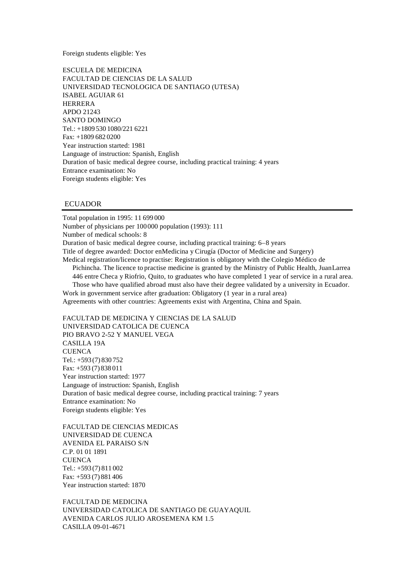Foreign students eligible: Yes

ESCUELA DE MEDICINA FACULTAD DE CIENCIAS DE LA SALUD UNIVERSIDAD TECNOLOGICA DE SANTIAGO (UTESA) ISABEL AGUIAR 61 HERRERA APDO 21243 SANTO DOMINGO Tel.: +1809 530 1080/221 6221 Fax: +1809 682 0200 Year instruction started: 1981 Language of instruction: Spanish, English Duration of basic medical degree course, including practical training: 4 years Entrance examination: No Foreign students eligible: Yes

## **ECUADOR**

Total population in 1995: 11 699 000 Number of physicians per 100000 population (1993): 111 Number of medical schools: 8 Duration of basic medical degree course, including practical training: 6–8 years Title of degree awarded: Doctor en Medicina y Cirugía (Doctor of Medicine and Surgery) Medical registration/licence to practise: Registration is obligatory with the Colegio Médico de Pichincha. The licence to practise medicine is granted by the Ministry of Public Health, Juan Larrea 446 entre Checa y Riofrio, Quito, to graduates who have completed 1 year of service in a rural area. Those who have qualified abroad must also have their degree validated by a university in Ecuador. Work in government service after graduation: Obligatory (1 year in a rural area) Agreements with other countries: Agreements exist with Argentina, China and Spain.

FACULTAD DE MEDICINA Y CIENCIAS DE LA SALUD UNIVERSIDAD CATOLICA DE CUENCA PIO BRAVO 2-52 Y MANUEL VEGA CASILLA 19A **CUENCA** Tel.: +593 (7) 830 752 Fax: +593 (7) 838 011 Year instruction started: 1977 Language of instruction: Spanish, English Duration of basic medical degree course, including practical training: 7 years Entrance examination: No Foreign students eligible: Yes

FACULTAD DE CIENCIAS MEDICAS UNIVERSIDAD DE CUENCA AVENIDA EL PARAISO S/N C.P. 01 01 1891 **CUENCA** Tel.: +593 (7) 811 002 Fax: +593 (7) 881 406 Year instruction started: 1870

FACULTAD DE MEDICINA UNIVERSIDAD CATOLICA DE SANTIAGO DE GUAYAQUIL AVENIDA CARLOS JULIO AROSEMENA KM 1.5 CASILLA 09-01-4671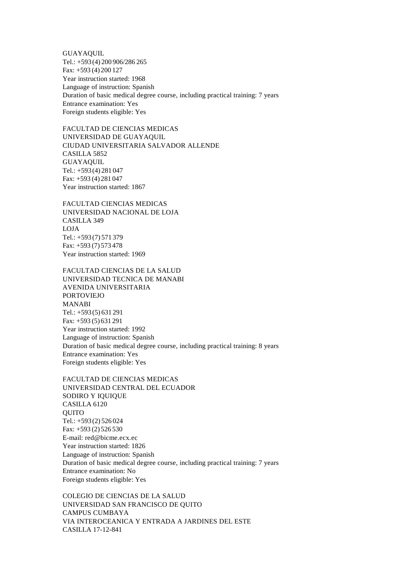GUAYAQUIL Tel.: +593 (4) 200 906/286 265 Fax: +593 (4) 200 127 Year instruction started: 1968 Language of instruction: Spanish Duration of basic medical degree course, including practical training: 7 years Entrance examination: Yes Foreign students eligible: Yes

FACULTAD DE CIENCIAS MEDICAS UNIVERSIDAD DE GUAYAQUIL CIUDAD UNIVERSITARIA SALVADOR ALLENDE CASILLA 5852 GUAYAQUIL Tel.: +593 (4) 281 047 Fax: +593 (4) 281 047 Year instruction started: 1867

FACULTAD CIENCIAS MEDICAS UNIVERSIDAD NACIONAL DE LOJA CASILLA 349 LOJA Tel.: +593 (7) 571 379 Fax: +593 (7) 573 478 Year instruction started: 1969

FACULTAD CIENCIAS DE LA SALUD UNIVERSIDAD TECNICA DE MANABI AVENIDA UNIVERSITARIA PORTOVIEJO MANABI Tel.: +593 (5) 631 291 Fax: +593 (5) 631 291 Year instruction started: 1992 Language of instruction: Spanish Duration of basic medical degree course, including practical training: 8 years Entrance examination: Yes Foreign students eligible: Yes

FACULTAD DE CIENCIAS MEDICAS UNIVERSIDAD CENTRAL DEL ECUADOR SODIRO Y IQUIQUE CASILLA 6120 **OUITO** Tel.: +593 (2) 526 024 Fax: +593 (2) 526 530 E-mail: red@bicme.ecx.ec Year instruction started: 1826 Language of instruction: Spanish Duration of basic medical degree course, including practical training: 7 years Entrance examination: No Foreign students eligible: Yes

COLEGIO DE CIENCIAS DE LA SALUD UNIVERSIDAD SAN FRANCISCO DE QUITO CAMPUS CUMBAYA VIA INTEROCEANICA Y ENTRADA A JARDINES DEL ESTE CASILLA 17-12-841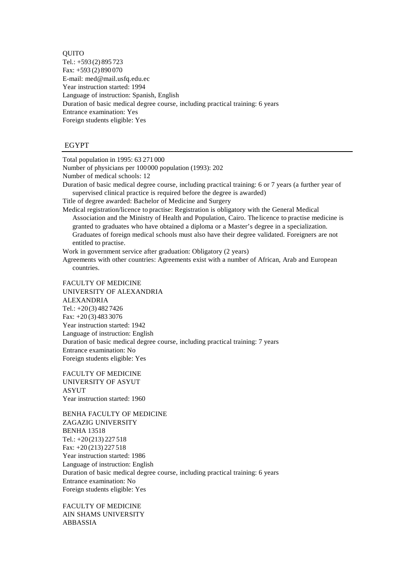QUITO Tel.: +593 (2) 895 723 Fax: +593 (2) 890 070 E-mail: med@mail.usfq.edu.ec Year instruction started: 1994 Language of instruction: Spanish, English Duration of basic medical degree course, including practical training: 6 years Entrance examination: Yes Foreign students eligible: Yes

#### EGYPT

Total population in 1995: 63 271 000

Number of physicians per 100000 population (1993): 202 Number of medical schools: 12

Duration of basic medical degree course, including practical training: 6 or 7 years (a further year of supervised clinical practice is required before the degree is awarded)

Title of degree awarded: Bachelor of Medicine and Surgery

Medical registration/licence to practise: Registration is obligatory with the General Medical Association and the Ministry of Health and Population, Cairo. The licence to practise medicine is granted to graduates who have obtained a diploma or a Master's degree in a specialization. Graduates of foreign medical schools must also have their degree validated. Foreigners are not entitled to practise.

Work in government service after graduation: Obligatory (2 years)

Agreements with other countries: Agreements exist with a number of African, Arab and European countries.

FACULTY OF MEDICINE UNIVERSITY OF ALEXANDRIA ALEXANDRIA Tel.: +20(3) 482 7426 Fax: +20 (3) 483 3076 Year instruction started: 1942 Language of instruction: English Duration of basic medical degree course, including practical training: 7 years Entrance examination: No Foreign students eligible: Yes

FACULTY OF MEDICINE UNIVERSITY OF ASYUT ASYUT Year instruction started: 1960

BENHA FACULTY OF MEDICINE ZAGAZIG UNIVERSITY BENHA 13518 Tel.: +20(213) 227 518 Fax: +20 (213) 227 518 Year instruction started: 1986 Language of instruction: English Duration of basic medical degree course, including practical training: 6 years Entrance examination: No Foreign students eligible: Yes

FACULTY OF MEDICINE AIN SHAMS UNIVERSITY ABBASSIA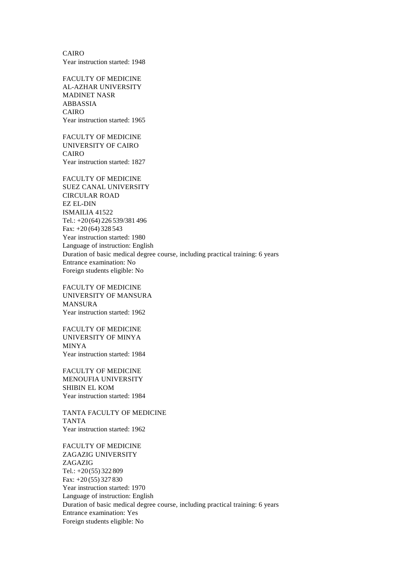CAIRO Year instruction started: 1948

FACULTY OF MEDICINE AL-AZHAR UNIVERSITY MADINET NASR ABBASSIA CAIRO Year instruction started: 1965

FACULTY OF MEDICINE UNIVERSITY OF CAIRO CAIRO Year instruction started: 1827

FACULTY OF MEDICINE SUEZ CANAL UNIVERSITY CIRCULAR ROAD EZ EL-DIN ISMAILIA 41522 Tel.: +20(64) 226 539/381 496 Fax: +20 (64) 328 543 Year instruction started: 1980 Language of instruction: English Duration of basic medical degree course, including practical training: 6 years Entrance examination: No Foreign students eligible: No

FACULTY OF MEDICINE UNIVERSITY OF MANSURA MANSURA Year instruction started: 1962

FACULTY OF MEDICINE UNIVERSITY OF MINYA MINYA Year instruction started: 1984

FACULTY OF MEDICINE MENOUFIA UNIVERSITY SHIBIN EL KOM Year instruction started: 1984

TANTA FACULTY OF MEDICINE TANTA Year instruction started: 1962

FACULTY OF MEDICINE ZAGAZIG UNIVERSITY ZAGAZIG Tel.: +20(55) 322 809 Fax: +20 (55) 327 830 Year instruction started: 1970 Language of instruction: English Duration of basic medical degree course, including practical training: 6 years Entrance examination: Yes Foreign students eligible: No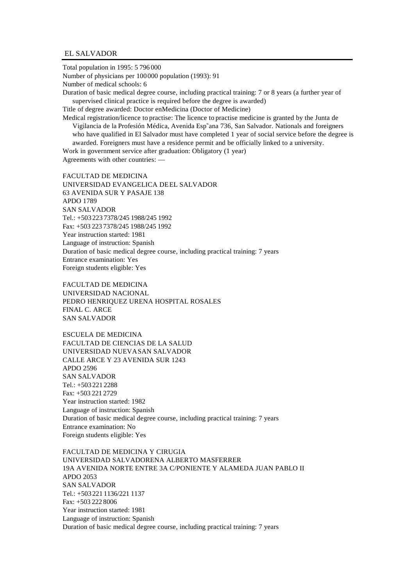#### EL SALVADOR

Total population in 1995: 5 796 000 Number of physicians per 100000 population (1993): 91 Number of medical schools: 6 Duration of basic medical degree course, including practical training: 7 or 8 years (a further year of supervised clinical practice is required before the degree is awarded) Title of degree awarded: Doctor en Medicina (Doctor of Medicine) Medical registration/licence to practise: The licence to practise medicine is granted by the Junta de Vigilancia de la Profesión Médica, Avenida Esp˜ana 736, San Salvador. Nationals and foreigners who have qualified in El Salvador must have completed 1 year of social service before the degree is awarded. Foreigners must have a residence permit and be officially linked to a university.

Work in government service after graduation: Obligatory (1 year) Agreements with other countries: —

FACULTAD DE MEDICINA UNIVERSIDAD EVANGELICA DEEL SALVADOR 63 AVENIDA SUR Y PASAJE 138 APDO 1789 SAN SALVADOR Tel.: +503 223 7378/245 1988/245 1992 Fax: +503 223 7378/245 1988/245 1992 Year instruction started: 1981 Language of instruction: Spanish Duration of basic medical degree course, including practical training: 7 years Entrance examination: Yes Foreign students eligible: Yes

FACULTAD DE MEDICINA UNIVERSIDAD NACIONAL PEDRO HENRIQUEZ URENA HOSPITAL ROSALES FINAL C. ARCE SAN SALVADOR

ESCUELA DE MEDICINA FACULTAD DE CIENCIAS DE LA SALUD UNIVERSIDAD NUEVA SAN SALVADOR CALLE ARCE Y 23 AVENIDA SUR 1243 APDO 2596 SAN SALVADOR Tel.: +503 221 2288 Fax: +503 221 2729 Year instruction started: 1982 Language of instruction: Spanish Duration of basic medical degree course, including practical training: 7 years Entrance examination: No Foreign students eligible: Yes

FACULTAD DE MEDICINA Y CIRUGIA UNIVERSIDAD SALVADORENA ALBERTO MASFERRER 19A AVENIDA NORTE ENTRE 3A C/PONIENTE Y ALAMEDA JUAN PABLO II APDO 2053 SAN SALVADOR Tel.: +503 221 1136/221 1137 Fax: +503 222 8006 Year instruction started: 1981 Language of instruction: Spanish Duration of basic medical degree course, including practical training: 7 years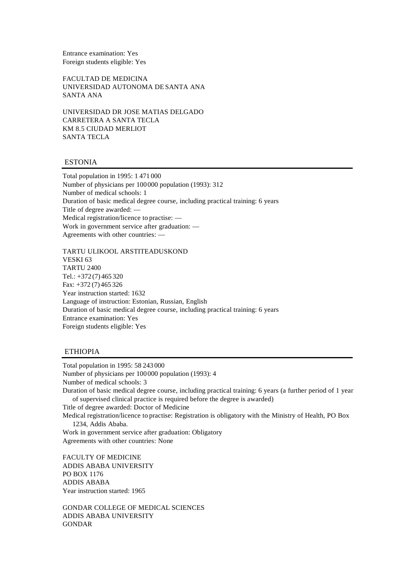Entrance examination: Yes Foreign students eligible: Yes

FACULTAD DE MEDICINA UNIVERSIDAD AUTONOMA DE SANTA ANA SANTA ANA

UNIVERSIDAD DR JOSE MATIAS DELGADO CARRETERA A SANTA TECLA KM 8.5 CIUDAD MERLIOT SANTA TECLA

#### ESTONIA

Total population in 1995: 1 471 000 Number of physicians per 100000 population (1993): 312 Number of medical schools: 1 Duration of basic medical degree course, including practical training: 6 years Title of degree awarded: — Medical registration/licence to practise: — Work in government service after graduation: — Agreements with other countries: —

TARTU ULIKOOL ARSTITEADUSKOND VESKI 63 TARTU 2400 Tel.: +372 (7) 465 320 Fax: +372 (7) 465 326 Year instruction started: 1632 Language of instruction: Estonian, Russian, English Duration of basic medical degree course, including practical training: 6 years Entrance examination: Yes Foreign students eligible: Yes

## ETHIOPIA

Total population in 1995: 58 243 000 Number of physicians per 100000 population (1993): 4 Number of medical schools: 3 Duration of basic medical degree course, including practical training: 6 years (a further period of 1 year of supervised clinical practice is required before the degree is awarded) Title of degree awarded: Doctor of Medicine Medical registration/licence to practise: Registration is obligatory with the Ministry of Health, PO Box 1234, Addis Ababa. Work in government service after graduation: Obligatory Agreements with other countries: None

FACULTY OF MEDICINE ADDIS ABABA UNIVERSITY PO BOX 1176 ADDIS ABABA Year instruction started: 1965

GONDAR COLLEGE OF MEDICAL SCIENCES ADDIS ABABA UNIVERSITY GONDAR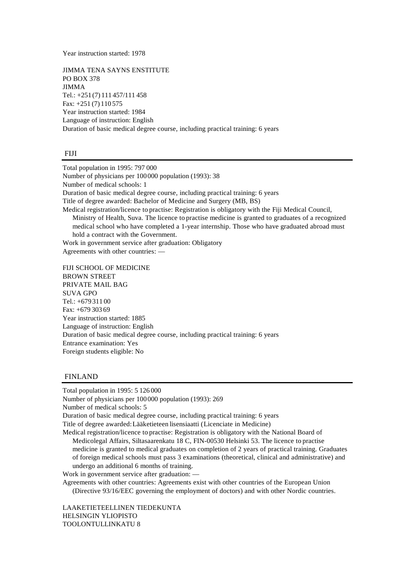Year instruction started: 1978

JIMMA TENA SAYNS ENSTITUTE PO BOX 378 JIMMA Tel.: +251 (7) 111 457/111 458 Fax: +251 (7) 110 575 Year instruction started: 1984 Language of instruction: English Duration of basic medical degree course, including practical training: 6 years

#### FIJI

Total population in 1995: 797 000 Number of physicians per 100000 population (1993): 38 Number of medical schools: 1 Duration of basic medical degree course, including practical training: 6 years Title of degree awarded: Bachelor of Medicine and Surgery (MB, BS) Medical registration/licence to practise: Registration is obligatory with the Fiji Medical Council, Ministry of Health, Suva. The licence to practise medicine is granted to graduates of a recognized medical school who have completed a 1-year internship. Those who have graduated abroad must hold a contract with the Government.

Work in government service after graduation: Obligatory

Agreements with other countries: —

FIJI SCHOOL OF MEDICINE BROWN STREET PRIVATE MAIL BAG SUVA GPO Tel.: +679 311 00 Fax: +679 303 69 Year instruction started: 1885 Language of instruction: English Duration of basic medical degree course, including practical training: 6 years Entrance examination: Yes Foreign students eligible: No

#### FINLAND

Total population in 1995: 5 126 000 Number of physicians per 100000 population (1993): 269 Number of medical schools: 5 Duration of basic medical degree course, including practical training: 6 years Title of degree awarded: Lääketieteen lisensiaatti (Licenciate in Medicine) Medical registration/licence to practise: Registration is obligatory with the National Board of Medicolegal Affairs, Siltasaarenkatu 18 C, FIN-00530 Helsinki 53. The licence to practise medicine is granted to medical graduates on completion of 2 years of practical training. Graduates of foreign medical schools must pass 3 examinations (theoretical, clinical and administrative) and undergo an additional 6 months of training. Work in government service after graduation: — Agreements with other countries: Agreements exist with other countries of the European Union (Directive 93/16/EEC governing the employment of doctors) and with other Nordic countries.

LAAKETIETEELLINEN TIEDEKUNTA HELSINGIN YLIOPISTO TOOLONTULLINKATU 8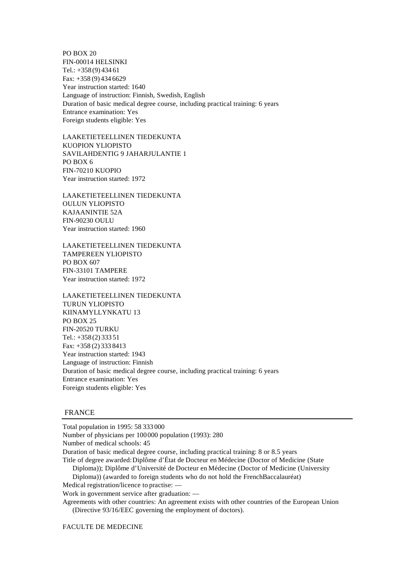PO BOX 20 FIN-00014 HELSINKI Tel.: +358 (9) 434 61 Fax: +358 (9) 434 6629 Year instruction started: 1640 Language of instruction: Finnish, Swedish, English Duration of basic medical degree course, including practical training: 6 years Entrance examination: Yes Foreign students eligible: Yes

LAAKETIETEELLINEN TIEDEKUNTA KUOPION YLIOPISTO SAVILAHDENTIG 9 JAHARJULANTIE 1 PO BOX 6 FIN-70210 KUOPIO Year instruction started: 1972

LAAKETIETEELLINEN TIEDEKUNTA OULUN YLIOPISTO KAJAANINTIE 52A FIN-90230 OULU Year instruction started: 1960

LAAKETIETEELLINEN TIEDEKUNTA TAMPEREEN YLIOPISTO PO BOX 607 FIN-33101 TAMPERE Year instruction started: 1972

LAAKETIETEELLINEN TIEDEKUNTA TURUN YLIOPISTO KIINAMYLLYNKATU 13 PO BOX 25 FIN-20520 TURKU Tel.: +358 (2) 333 51 Fax: +358 (2) 333 8413 Year instruction started: 1943 Language of instruction: Finnish Duration of basic medical degree course, including practical training: 6 years Entrance examination: Yes Foreign students eligible: Yes

#### FRANCE

Total population in 1995: 58 333 000

Number of physicians per 100000 population (1993): 280

Number of medical schools: 45

Duration of basic medical degree course, including practical training: 8 or 8.5 years

- Title of degree awarded: Diplôme d'État de Docteur en Médecine (Doctor of Medicine (State
	- Diploma)); Diplôme d'Université de Docteur en Médecine (Doctor of Medicine (University
- Diploma)) (awarded to foreign students who do not hold the French Baccalauréat)

Medical registration/licence to practise: —

Work in government service after graduation: —

Agreements with other countries: An agreement exists with other countries of the European Union (Directive 93/16/EEC governing the employment of doctors).

FACULTE DE MEDECINE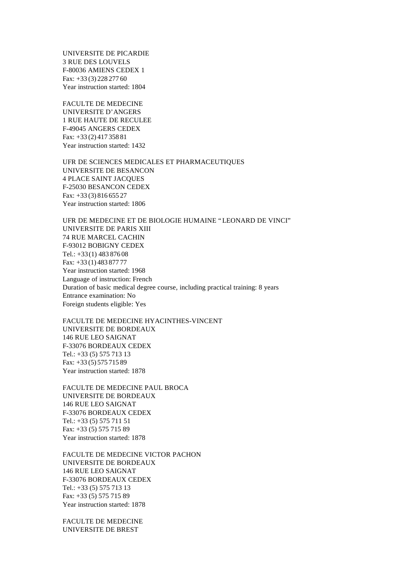UNIVERSITE DE PICARDIE 3 RUE DES LOUVELS F-80036 AMIENS CEDEX 1 Fax: +33 (3) 228 277 60 Year instruction started: 1804

FACULTE DE MEDECINE UNIVERSITE D'ANGERS 1 RUE HAUTE DE RECULEE F-49045 ANGERS CEDEX Fax: +33 (2) 417 358 81 Year instruction started: 1432

UFR DE SCIENCES MEDICALES ET PHARMACEUTIQUES UNIVERSITE DE BESANCON 4 PLACE SAINT JACQUES F-25030 BESANCON CEDEX Fax: +33 (3) 816 655 27 Year instruction started: 1806

UFR DE MEDECINE ET DE BIOLOGIE HUMAINE "LEONARD DE VINCI" UNIVERSITE DE PARIS XIII 74 RUE MARCEL CACHIN F-93012 BOBIGNY CEDEX Tel.: +33(1) 483 876 08 Fax: +33 (1) 483 877 77 Year instruction started: 1968 Language of instruction: French Duration of basic medical degree course, including practical training: 8 years Entrance examination: No Foreign students eligible: Yes

FACULTE DE MEDECINE HYACINTHES-VINCENT UNIVERSITE DE BORDEAUX 146 RUE LEO SAIGNAT F-33076 BORDEAUX CEDEX Tel.: +33 (5) 575 713 13 Fax: +33 (5) 575 715 89 Year instruction started: 1878

FACULTE DE MEDECINE PAUL BROCA UNIVERSITE DE BORDEAUX 146 RUE LEO SAIGNAT F-33076 BORDEAUX CEDEX Tel.: +33 (5) 575 711 51 Fax: +33 (5) 575 715 89 Year instruction started: 1878

FACULTE DE MEDECINE VICTOR PACHON UNIVERSITE DE BORDEAUX 146 RUE LEO SAIGNAT F-33076 BORDEAUX CEDEX Tel.: +33 (5) 575 713 13 Fax: +33 (5) 575 715 89 Year instruction started: 1878

FACULTE DE MEDECINE UNIVERSITE DE BREST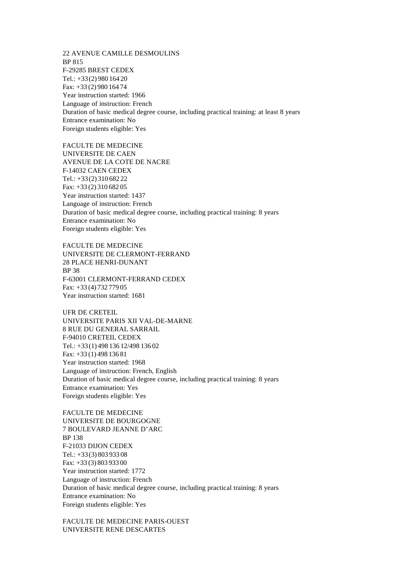22 AVENUE CAMILLE DESMOULINS BP 815 F-29285 BREST CEDEX Tel.: +33(2) 980 164 20 Fax: +33 (2) 980 164 74 Year instruction started: 1966 Language of instruction: French Duration of basic medical degree course, including practical training: at least 8 years Entrance examination: No Foreign students eligible: Yes

FACULTE DE MEDECINE UNIVERSITE DE CAEN AVENUE DE LA COTE DE NACRE F-14032 CAEN CEDEX Tel.: +33(2) 310 682 22 Fax: +33 (2) 310 682 05 Year instruction started: 1437 Language of instruction: French Duration of basic medical degree course, including practical training: 8 years Entrance examination: No Foreign students eligible: Yes

FACULTE DE MEDECINE UNIVERSITE DE CLERMONT-FERRAND 28 PLACE HENRI-DUNANT BP 38 F-63001 CLERMONT-FERRAND CEDEX Fax: +33 (4) 732 779 05 Year instruction started: 1681

UFR DE CRETEIL UNIVERSITE PARIS XII VAL-DE-MARNE 8 RUE DU GENERAL SARRAIL F-94010 CRETEIL CEDEX Tel.: +33(1) 498 136 12/498 136 02 Fax: +33 (1) 498 136 81 Year instruction started: 1968 Language of instruction: French, English Duration of basic medical degree course, including practical training: 8 years Entrance examination: Yes Foreign students eligible: Yes

FACULTE DE MEDECINE UNIVERSITE DE BOURGOGNE 7 BOULEVARD JEANNE D'ARC BP 138 F-21033 DIJON CEDEX Tel.: +33(3) 803 933 08 Fax: +33 (3) 803 933 00 Year instruction started: 1772 Language of instruction: French Duration of basic medical degree course, including practical training: 8 years Entrance examination: No Foreign students eligible: Yes

FACULTE DE MEDECINE PARIS-OUEST UNIVERSITE RENE DESCARTES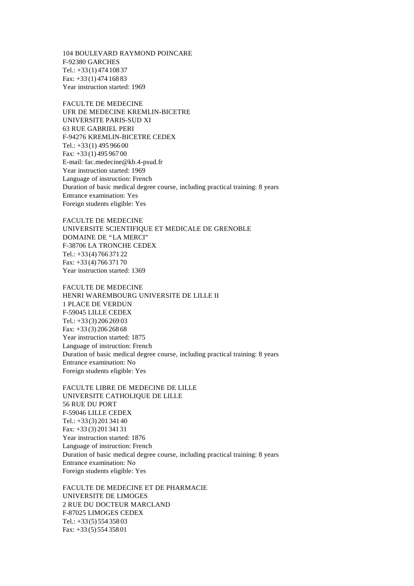104 BOULEVARD RAYMOND POINCARE F-92380 GARCHES Tel.: +33(1) 474 108 37 Fax: +33 (1) 474 168 83 Year instruction started: 1969

FACULTE DE MEDECINE UFR DE MEDECINE KREMLIN-BICETRE UNIVERSITE PARIS-SUD XI 63 RUE GABRIEL PERI F-94276 KREMLIN-BICETRE CEDEX Tel.: +33(1) 495 966 00 Fax: +33 (1) 495 967 00 E-mail: fac.medecine@kb.4-psud.fr Year instruction started: 1969 Language of instruction: French Duration of basic medical degree course, including practical training: 8 years Entrance examination: Yes Foreign students eligible: Yes

FACULTE DE MEDECINE UNIVERSITE SCIENTIFIQUE ET MEDICALE DE GRENOBLE DOMAINE DE "LA MERCI" F-38706 LA TRONCHE CEDEX Tel.: +33(4) 766 371 22 Fax: +33 (4) 766 371 70 Year instruction started: 1369

FACULTE DE MEDECINE HENRI WAREMBOURG UNIVERSITE DE LILLE II 1 PLACE DE VERDUN F-59045 LILLE CEDEX Tel.: +33(3) 206 269 03 Fax: +33 (3) 206 268 68 Year instruction started: 1875 Language of instruction: French Duration of basic medical degree course, including practical training: 8 years Entrance examination: No Foreign students eligible: Yes

FACULTE LIBRE DE MEDECINE DE LILLE UNIVERSITE CATHOLIQUE DE LILLE 56 RUE DU PORT F-59046 LILLE CEDEX Tel.: +33(3) 201 341 40 Fax: +33 (3) 201 341 31 Year instruction started: 1876 Language of instruction: French Duration of basic medical degree course, including practical training: 8 years Entrance examination: No Foreign students eligible: Yes

FACULTE DE MEDECINE ET DE PHARMACIE UNIVERSITE DE LIMOGES 2 RUE DU DOCTEUR MARCLAND F-87025 LIMOGES CEDEX Tel.: +33(5) 554 358 03 Fax: +33 (5) 554 358 01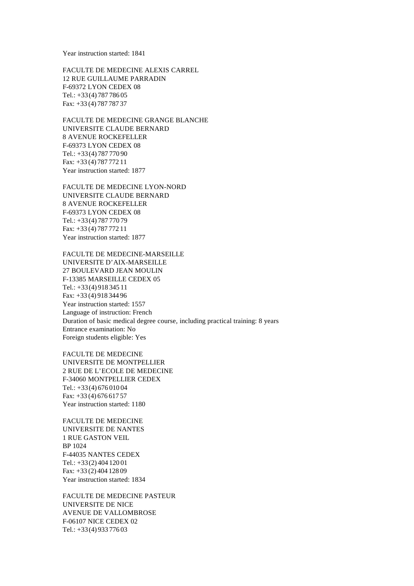Year instruction started: 1841

FACULTE DE MEDECINE ALEXIS CARREL 12 RUE GUILLAUME PARRADIN F-69372 LYON CEDEX 08 Tel.: +33(4) 787 786 05 Fax: +33 (4) 787 787 37

FACULTE DE MEDECINE GRANGE BLANCHE UNIVERSITE CLAUDE BERNARD 8 AVENUE ROCKEFELLER F-69373 LYON CEDEX 08 Tel.: +33(4) 787 770 90 Fax: +33 (4) 787 772 11 Year instruction started: 1877

FACULTE DE MEDECINE LYON-NORD UNIVERSITE CLAUDE BERNARD 8 AVENUE ROCKEFELLER F-69373 LYON CEDEX 08 Tel.: +33(4) 787 770 79 Fax: +33 (4) 787 772 11 Year instruction started: 1877

FACULTE DE MEDECINE-MARSEILLE UNIVERSITE D'AIX-MARSEILLE 27 BOULEVARD JEAN MOULIN F-13385 MARSEILLE CEDEX 05 Tel.: +33(4) 918 345 11 Fax: +33 (4) 918 344 96 Year instruction started: 1557 Language of instruction: French Duration of basic medical degree course, including practical training: 8 years Entrance examination: No Foreign students eligible: Yes

FACULTE DE MEDECINE UNIVERSITE DE MONTPELLIER 2 RUE DE L'ECOLE DE MEDECINE F-34060 MONTPELLIER CEDEX Tel.: +33(4) 676 010 04 Fax: +33 (4) 676 617 57 Year instruction started: 1180

FACULTE DE MEDECINE UNIVERSITE DE NANTES 1 RUE GASTON VEIL BP 1024 F-44035 NANTES CEDEX Tel.: +33(2) 404 120 01 Fax: +33 (2) 404 128 09 Year instruction started: 1834

FACULTE DE MEDECINE PASTEUR UNIVERSITE DE NICE AVENUE DE VALLOMBROSE F-06107 NICE CEDEX 02 Tel.: +33(4) 933 776 03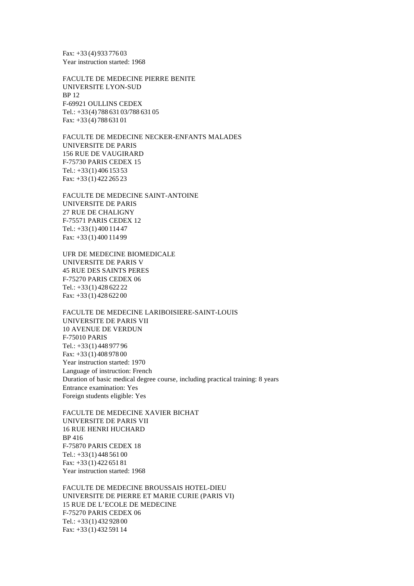Fax: +33 (4) 933 776 03 Year instruction started: 1968

FACULTE DE MEDECINE PIERRE BENITE UNIVERSITE LYON-SUD BP 12 F-69921 OULLINS CEDEX Tel.: +33(4) 788 631 03/788 631 05 Fax: +33 (4) 788 631 01

FACULTE DE MEDECINE NECKER-ENFANTS MALADES UNIVERSITE DE PARIS 156 RUE DE VAUGIRARD F-75730 PARIS CEDEX 15 Tel.: +33(1) 406 153 53 Fax: +33 (1) 422 265 23

FACULTE DE MEDECINE SAINT-ANTOINE UNIVERSITE DE PARIS 27 RUE DE CHALIGNY F-75571 PARIS CEDEX 12 Tel.: +33(1) 400 114 47 Fax: +33 (1) 400 114 99

UFR DE MEDECINE BIOMEDICALE UNIVERSITE DE PARIS V 45 RUE DES SAINTS PERES F-75270 PARIS CEDEX 06 Tel.: +33(1) 428 622 22 Fax: +33 (1) 428 622 00

FACULTE DE MEDECINE LARIBOISIERE-SAINT-LOUIS UNIVERSITE DE PARIS VII 10 AVENUE DE VERDUN F-75010 PARIS Tel.: +33(1) 448 977 96 Fax: +33 (1) 408 978 00 Year instruction started: 1970 Language of instruction: French Duration of basic medical degree course, including practical training: 8 years Entrance examination: Yes Foreign students eligible: Yes

FACULTE DE MEDECINE XAVIER BICHAT UNIVERSITE DE PARIS VII 16 RUE HENRI HUCHARD BP 416 F-75870 PARIS CEDEX 18 Tel.: +33(1) 448 561 00 Fax: +33 (1) 422 651 81 Year instruction started: 1968

FACULTE DE MEDECINE BROUSSAIS HOTEL-DIEU UNIVERSITE DE PIERRE ET MARIE CURIE (PARIS VI) 15 RUE DE L'ECOLE DE MEDECINE F-75270 PARIS CEDEX 06 Tel.: +33(1) 432 928 00 Fax: +33 (1) 432 591 14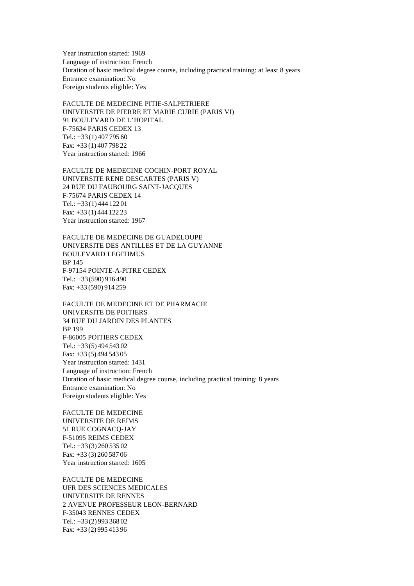Year instruction started: 1969 Language of instruction: French Duration of basic medical degree course, including practical training: at least 8 years Entrance examination: No Foreign students eligible: Yes

FACULTE DE MEDECINE PITIE-SALPETRIERE UNIVERSITE DE PIERRE ET MARIE CURIE (PARIS VI) 91 BOULEVARD DE L'HOPITAL F-75634 PARIS CEDEX 13 Tel.: +33(1) 407 795 60 Fax: +33 (1) 407 798 22 Year instruction started: 1966

FACULTE DE MEDECINE COCHIN-PORT ROYAL UNIVERSITE RENE DESCARTES (PARIS V) 24 RUE DU FAUBOURG SAINT-JACQUES F-75674 PARIS CEDEX 14 Tel.: +33(1) 444 122 01 Fax: +33 (1) 444 122 23 Year instruction started: 1967

FACULTE DE MEDECINE DE GUADELOUPE UNIVERSITE DES ANTILLES ET DE LA GUYANNE BOULEVARD LEGITIMUS BP 145 F-97154 POINTE-A-PITRE CEDEX Tel.: +33(590) 916 490 Fax: +33 (590) 914 259

FACULTE DE MEDECINE ET DE PHARMACIE UNIVERSITE DE POITIERS 34 RUE DU JARDIN DES PLANTES BP 199 F-86005 POITIERS CEDEX Tel.: +33(5) 494 543 02 Fax: +33 (5) 494 543 05 Year instruction started: 1431 Language of instruction: French Duration of basic medical degree course, including practical training: 8 years Entrance examination: No Foreign students eligible: Yes

FACULTE DE MEDECINE UNIVERSITE DE REIMS 51 RUE COGNACQ-JAY F-51095 REIMS CEDEX Tel.: +33(3) 260 535 02 Fax: +33 (3) 260 587 06 Year instruction started: 1605

FACULTE DE MEDECINE UFR DES SCIENCES MEDICALES UNIVERSITE DE RENNES 2 AVENUE PROFESSEUR LEON-BERNARD F-35043 RENNES CEDEX Tel.: +33(2) 993 368 02 Fax: +33 (2) 995 413 96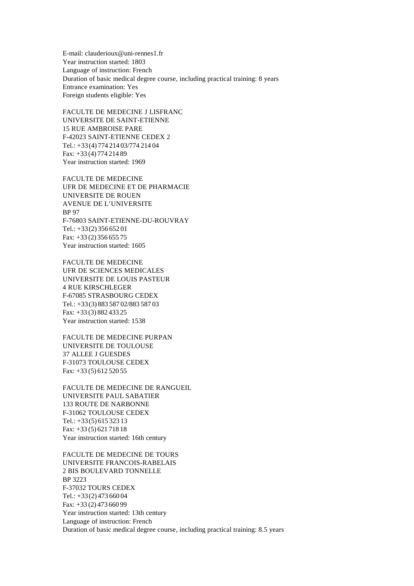E-mail: clauderioux@uni-rennes1.fr Year instruction started: 1803 Language of instruction: French Duration of basic medical degree course, including practical training: 8 years Entrance examination: Yes Foreign students eligible: Yes

FACULTE DE MEDECINE J LISFRANC UNIVERSITE DE SAINT-ETIENNE 15 RUE AMBROISE PARE F-42023 SAINT-ETIENNE CEDEX 2 Tel.: +33(4) 774 214 03/774 214 04 Fax: +33 (4) 774 214 89 Year instruction started: 1969

FACULTE DE MEDECINE UFR DE MEDECINE ET DE PHARMACIE UNIVERSITE DE ROUEN AVENUE DE L'UNIVERSITE BP 97 F-76803 SAINT-ETIENNE-DU-ROUVRAY Tel.: +33(2) 356 652 01 Fax: +33 (2) 356 655 75 Year instruction started: 1605

FACULTE DE MEDECINE UFR DE SCIENCES MEDICALES UNIVERSITE DE LOUIS PASTEUR 4 RUE KIRSCHLEGER F-67085 STRASBOURG CEDEX Tel.: +33(3) 883 587 02/883 587 03 Fax: +33 (3) 882 433 25 Year instruction started: 1538

FACULTE DE MEDECINE PURPAN UNIVERSITE DE TOULOUSE 37 ALLEE J GUESDES F-31073 TOULOUSE CEDEX Fax: +33 (5) 612 520 55

FACULTE DE MEDECINE DE RANGUEIL UNIVERSITE PAUL SABATIER 133 ROUTE DE NARBONNE F-31062 TOULOUSE CEDEX Tel.: +33(5) 615 323 13 Fax: +33 (5) 621 718 18 Year instruction started: 16th century

FACULTE DE MEDECINE DE TOURS UNIVERSITE FRANCOIS-RABELAIS 2 BIS BOULEVARD TONNELLE BP 3223 F-37032 TOURS CEDEX Tel.: +33(2) 473 660 04 Fax: +33 (2) 473 660 99 Year instruction started: 13th century Language of instruction: French Duration of basic medical degree course, including practical training: 8.5 years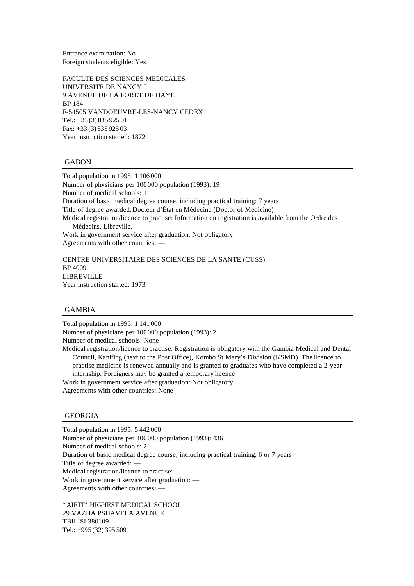Entrance examination: No Foreign students eligible: Yes

FACULTE DES SCIENCES MEDICALES UNIVERSITE DE NANCY I 9 AVENUE DE LA FORET DE HAYE BP 184 F-54505 VANDOEUVRE-LES-NANCY CEDEX Tel.: +33(3) 835 925 01 Fax: +33 (3) 835 925 03 Year instruction started: 1872

#### GABON

Total population in 1995: 1 106 000 Number of physicians per 100000 population (1993): 19 Number of medical schools: 1 Duration of basic medical degree course, including practical training: 7 years Title of degree awarded: Docteur d'État en Médecine (Doctor of Medicine) Medical registration/licence to practise: Information on registration is available from the Ordre des Médecins, Libreville. Work in government service after graduation: Not obligatory Agreements with other countries: —

CENTRE UNIVERSITAIRE DES SCIENCES DE LA SANTE (CUSS) BP 4009 LIBREVILLE Year instruction started: 1973

# GAMBIA

Total population in 1995: 1 141 000 Number of physicians per 100000 population (1993): 2 Number of medical schools: None Medical registration/licence to practise: Registration is obligatory with the Gambia Medical and Dental Council, Kanifing (next to the Post Office), Kombo St Mary's Division (KSMD). The licence to practise medicine is renewed annually and is granted to graduates who have completed a 2-year

internship. Foreigners may be granted a temporary licence. Work in government service after graduation: Not obligatory Agreements with other countries: None

## GEORGIA

Total population in 1995: 5 442 000 Number of physicians per 100000 population (1993): 436 Number of medical schools: 2 Duration of basic medical degree course, including practical training: 6 or 7 years Title of degree awarded: — Medical registration/licence to practise: — Work in government service after graduation: — Agreements with other countries: —

"AIETI" HIGHEST MEDICAL SCHOOL 29 VAZHA PSHAVELA AVENUE TBILISI 380109 Tel.: +995 (32) 395 509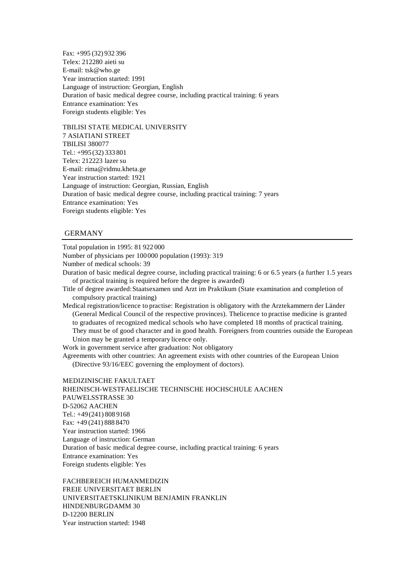Fax: +995 (32) 932 396 Telex: 212280 aieti su E-mail: tsk@who.ge Year instruction started: 1991 Language of instruction: Georgian, English Duration of basic medical degree course, including practical training: 6 years Entrance examination: Yes Foreign students eligible: Yes

TBILISI STATE MEDICAL UNIVERSITY 7 ASIATIANI STREET TBILISI 380077 Tel.: +995 (32) 333 801 Telex: 212223 lazer su E-mail: rima@ridmu.kheta.ge Year instruction started: 1921 Language of instruction: Georgian, Russian, English Duration of basic medical degree course, including practical training: 7 years Entrance examination: Yes Foreign students eligible: Yes

# GERMANY

Total population in 1995: 81 922 000 Number of physicians per 100000 population (1993): 319 Number of medical schools: 39 Duration of basic medical degree course, including practical training: 6 or 6.5 years (a further 1.5 years of practical training is required before the degree is awarded) Title of degree awarded: Staatsexamen und Arzt im Praktikum (State examination and completion of compulsory practical training) Medical registration/licence to practise: Registration is obligatory with the Arztekammern der Länder (General Medical Council of the respective provinces). The licence to practise medicine is granted to graduates of recognized medical schools who have completed 18 months of practical training. They must be of good character and in good health. Foreigners from countries outside the European Union may be granted a temporary licence only. Work in government service after graduation: Not obligatory Agreements with other countries: An agreement exists with other countries of the European Union (Directive 93/16/EEC governing the employment of doctors). MEDIZINISCHE FAKULTAET RHEINISCH-WESTFAELISCHE TECHNISCHE HOCHSCHULE AACHEN PAUWELSSTRASSE 30 D-52062 AACHEN Tel.: +49(241) 808 9168

Fax: +49 (241) 888 8470 Year instruction started: 1966 Language of instruction: German Duration of basic medical degree course, including practical training: 6 years Entrance examination: Yes Foreign students eligible: Yes

FACHBEREICH HUMANMEDIZIN FREIE UNIVERSITAET BERLIN UNIVERSITAETSKLINIKUM BENJAMIN FRANKLIN HINDENBURGDAMM 30 D-12200 BERLIN Year instruction started: 1948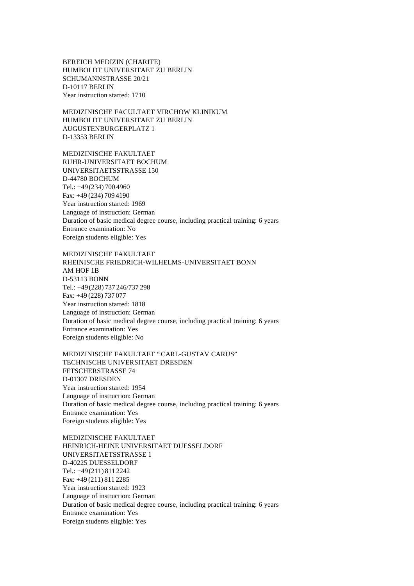BEREICH MEDIZIN (CHARITE) HUMBOLDT UNIVERSITAET ZU BERLIN SCHUMANNSTRASSE 20/21 D-10117 BERLIN Year instruction started: 1710

MEDIZINISCHE FACULTAET VIRCHOW KLINIKUM HUMBOLDT UNIVERSITAET ZU BERLIN AUGUSTENBURGERPLATZ 1 D-13353 BERLIN

MEDIZINISCHE FAKULTAET RUHR-UNIVERSITAET BOCHUM UNIVERSITAETSSTRASSE 150 D-44780 BOCHUM Tel.: +49(234) 700 4960 Fax: +49 (234) 709 4190 Year instruction started: 1969 Language of instruction: German Duration of basic medical degree course, including practical training: 6 years Entrance examination: No Foreign students eligible: Yes

MEDIZINISCHE FAKULTAET RHEINISCHE FRIEDRICH-WILHELMS-UNIVERSITAET BONN AM HOF 1B D-53113 BONN Tel.: +49(228) 737 246/737 298 Fax: +49 (228) 737 077 Year instruction started: 1818 Language of instruction: German Duration of basic medical degree course, including practical training: 6 years Entrance examination: Yes Foreign students eligible: No

MEDIZINISCHE FAKULTAET "CARL-GUSTAV CARUS" TECHNISCHE UNIVERSITAET DRESDEN FETSCHERSTRASSE 74 D-01307 DRESDEN Year instruction started: 1954 Language of instruction: German Duration of basic medical degree course, including practical training: 6 years Entrance examination: Yes Foreign students eligible: Yes

MEDIZINISCHE FAKULTAET HEINRICH-HEINE UNIVERSITAET DUESSELDORF UNIVERSITAETSSTRASSE 1 D-40225 DUESSELDORF Tel.: +49(211) 811 2242 Fax: +49 (211) 811 2285 Year instruction started: 1923 Language of instruction: German Duration of basic medical degree course, including practical training: 6 years Entrance examination: Yes Foreign students eligible: Yes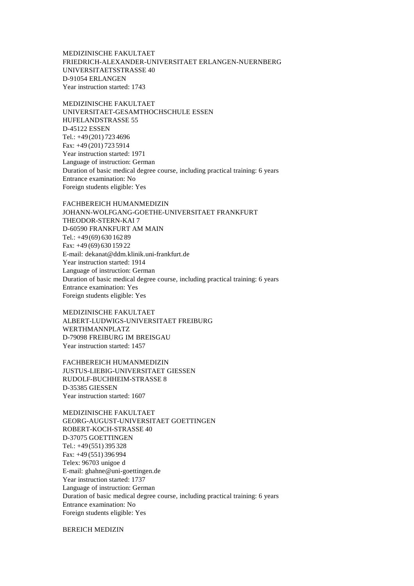MEDIZINISCHE FAKULTAET FRIEDRICH-ALEXANDER-UNIVERSITAET ERLANGEN-NUERNBERG UNIVERSITAETSSTRASSE 40 D-91054 ERLANGEN Year instruction started: 1743

MEDIZINISCHE FAKULTAET UNIVERSITAET-GESAMTHOCHSCHULE ESSEN HUFELANDSTRASSE 55 D-45122 ESSEN Tel.: +49(201) 723 4696 Fax: +49 (201) 723 5914 Year instruction started: 1971 Language of instruction: German Duration of basic medical degree course, including practical training: 6 years Entrance examination: No Foreign students eligible: Yes

FACHBEREICH HUMANMEDIZIN JOHANN-WOLFGANG-GOETHE-UNIVERSITAET FRANKFURT THEODOR-STERN-KAI 7 D-60590 FRANKFURT AM MAIN Tel.: +49(69) 630 162 89 Fax: +49 (69) 630 159 22 E-mail: dekanat@ddm.klinik.uni-frankfurt.de Year instruction started: 1914 Language of instruction: German Duration of basic medical degree course, including practical training: 6 years Entrance examination: Yes Foreign students eligible: Yes

MEDIZINISCHE FAKULTAET ALBERT-LUDWIGS-UNIVERSITAET FREIBURG WERTHMANNPLATZ D-79098 FREIBURG IM BREISGAU Year instruction started: 1457

FACHBEREICH HUMANMEDIZIN JUSTUS-LIEBIG-UNIVERSITAET GIESSEN RUDOLF-BUCHHEIM-STRASSE 8 D-35385 GIESSEN Year instruction started: 1607

MEDIZINISCHE FAKULTAET GEORG-AUGUST-UNIVERSITAET GOETTINGEN ROBERT-KOCH-STRASSE 40 D-37075 GOETTINGEN Tel.: +49(551) 395 328 Fax: +49 (551) 396 994 Telex: 96703 unigoe d E-mail: ghahne@uni-goettingen.de Year instruction started: 1737 Language of instruction: German Duration of basic medical degree course, including practical training: 6 years Entrance examination: No Foreign students eligible: Yes

BEREICH MEDIZIN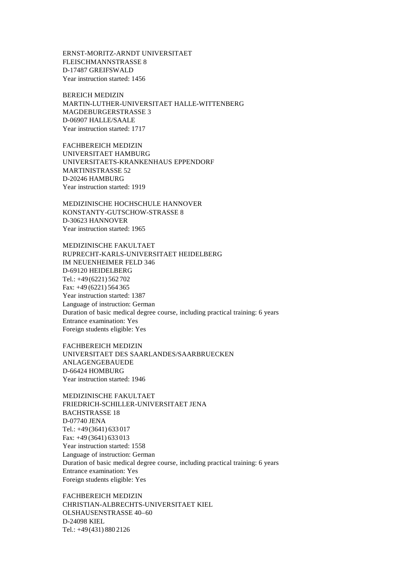ERNST-MORITZ-ARNDT UNIVERSITAET FLEISCHMANNSTRASSE 8 D-17487 GREIFSWALD Year instruction started: 1456

BEREICH MEDIZIN MARTIN-LUTHER-UNIVERSITAET HALLE-WITTENBERG MAGDEBURGERSTRASSE 3 D-06907 HALLE/SAALE Year instruction started: 1717

FACHBEREICH MEDIZIN UNIVERSITAET HAMBURG UNIVERSITAETS-KRANKENHAUS EPPENDORF MARTINISTRASSE 52 D-20246 HAMBURG Year instruction started: 1919

MEDIZINISCHE HOCHSCHULE HANNOVER KONSTANTY-GUTSCHOW-STRASSE 8 D-30623 HANNOVER Year instruction started: 1965

MEDIZINISCHE FAKULTAET RUPRECHT-KARLS-UNIVERSITAET HEIDELBERG IM NEUENHEIMER FELD 346 D-69120 HEIDELBERG Tel.: +49(6221) 562 702 Fax: +49 (6221) 564 365 Year instruction started: 1387 Language of instruction: German Duration of basic medical degree course, including practical training: 6 years Entrance examination: Yes Foreign students eligible: Yes

FACHBEREICH MEDIZIN UNIVERSITAET DES SAARLANDES/SAARBRUECKEN ANLAGENGEBAUEDE D-66424 HOMBURG Year instruction started: 1946

MEDIZINISCHE FAKULTAET FRIEDRICH-SCHILLER-UNIVERSITAET JENA BACHSTRASSE 18 D-07740 JENA Tel.: +49(3641) 633 017 Fax: +49 (3641) 633 013 Year instruction started: 1558 Language of instruction: German Duration of basic medical degree course, including practical training: 6 years Entrance examination: Yes Foreign students eligible: Yes

FACHBEREICH MEDIZIN CHRISTIAN-ALBRECHTS-UNIVERSITAET KIEL OLSHAUSENSTRASSE 40–60 D-24098 KIEL Tel.: +49(431) 880 2126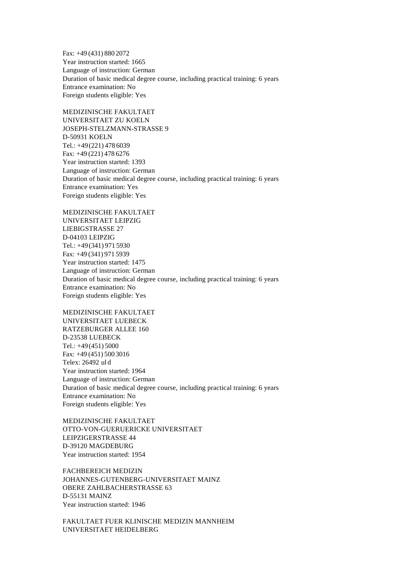Fax: +49 (431) 880 2072 Year instruction started: 1665 Language of instruction: German Duration of basic medical degree course, including practical training: 6 years Entrance examination: No Foreign students eligible: Yes

MEDIZINISCHE FAKULTAET UNIVERSITAET ZU KOELN JOSEPH-STELZMANN-STRASSE 9 D-50931 KOELN Tel.: +49(221) 478 6039 Fax: +49 (221) 478 6276 Year instruction started: 1393 Language of instruction: German Duration of basic medical degree course, including practical training: 6 years Entrance examination: Yes Foreign students eligible: Yes

MEDIZINISCHE FAKULTAET UNIVERSITAET LEIPZIG LIEBIGSTRASSE 27 D-04103 LEIPZIG Tel.: +49(341) 971 5930 Fax: +49 (341) 971 5939 Year instruction started: 1475 Language of instruction: German Duration of basic medical degree course, including practical training: 6 years Entrance examination: No Foreign students eligible: Yes

MEDIZINISCHE FAKULTAET UNIVERSITAET LUEBECK RATZEBURGER ALLEE 160 D-23538 LUEBECK Tel.: +49(451) 5000 Fax: +49 (451) 500 3016 Telex: 26492 ul d Year instruction started: 1964 Language of instruction: German Duration of basic medical degree course, including practical training: 6 years Entrance examination: No Foreign students eligible: Yes

MEDIZINISCHE FAKULTAET OTTO-VON-GUERUERICKE UNIVERSITAET LEIPZIGERSTRASSE 44 D-39120 MAGDEBURG Year instruction started: 1954

FACHBEREICH MEDIZIN JOHANNES-GUTENBERG-UNIVERSITAET MAINZ OBERE ZAHLBACHERSTRASSE 63 D-55131 MAINZ Year instruction started: 1946

FAKULTAET FUER KLINISCHE MEDIZIN MANNHEIM UNIVERSITAET HEIDELBERG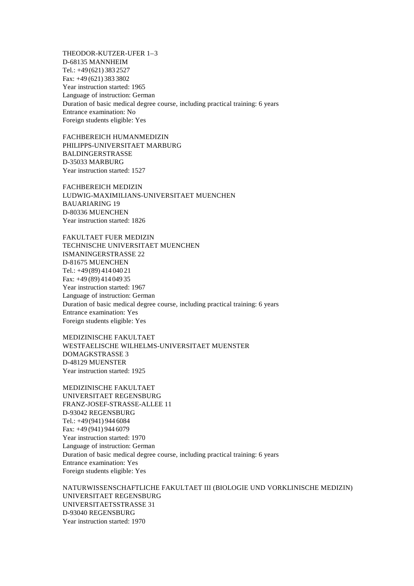THEODOR-KUTZER-UFER 1–3 D-68135 MANNHEIM Tel.: +49(621) 383 2527 Fax: +49 (621) 383 3802 Year instruction started: 1965 Language of instruction: German Duration of basic medical degree course, including practical training: 6 years Entrance examination: No Foreign students eligible: Yes

FACHBEREICH HUMANMEDIZIN PHILIPPS-UNIVERSITAET MARBURG BALDINGERSTRASSE D-35033 MARBURG Year instruction started: 1527

FACHBEREICH MEDIZIN LUDWIG-MAXIMILIANS-UNIVERSITAET MUENCHEN BAUARIARING 19 D-80336 MUENCHEN Year instruction started: 1826

FAKULTAET FUER MEDIZIN TECHNISCHE UNIVERSITAET MUENCHEN ISMANINGERSTRASSE 22 D-81675 MUENCHEN Tel.: +49(89) 414 040 21 Fax: +49 (89) 414 049 35 Year instruction started: 1967 Language of instruction: German Duration of basic medical degree course, including practical training: 6 years Entrance examination: Yes Foreign students eligible: Yes

MEDIZINISCHE FAKULTAET WESTFAELISCHE WILHELMS-UNIVERSITAET MUENSTER DOMAGKSTRASSE 3 D-48129 MUENSTER Year instruction started: 1925

MEDIZINISCHE FAKULTAET UNIVERSITAET REGENSBURG FRANZ-JOSEF-STRASSE-ALLEE 11 D-93042 REGENSBURG Tel.: +49(941) 944 6084 Fax: +49 (941) 944 6079 Year instruction started: 1970 Language of instruction: German Duration of basic medical degree course, including practical training: 6 years Entrance examination: Yes Foreign students eligible: Yes

NATURWISSENSCHAFTLICHE FAKULTAET III (BIOLOGIE UND VORKLINISCHE MEDIZIN) UNIVERSITAET REGENSBURG UNIVERSITAETSSTRASSE 31 D-93040 REGENSBURG Year instruction started: 1970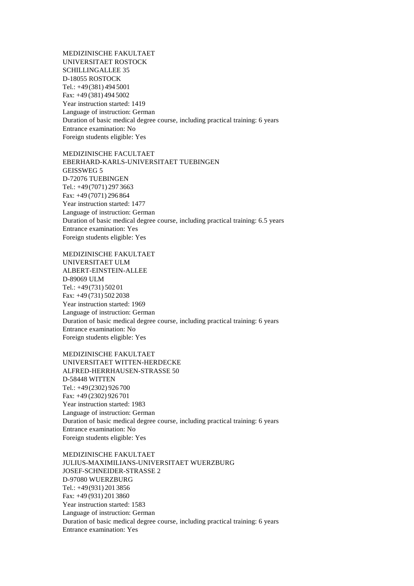MEDIZINISCHE FAKULTAET UNIVERSITAET ROSTOCK SCHILLINGALLEE 35 D-18055 ROSTOCK Tel.: +49(381) 494 5001 Fax: +49 (381) 494 5002 Year instruction started: 1419 Language of instruction: German Duration of basic medical degree course, including practical training: 6 years Entrance examination: No Foreign students eligible: Yes

MEDIZINISCHE FACULTAET EBERHARD-KARLS-UNIVERSITAET TUEBINGEN GEISSWEG 5 D-72076 TUEBINGEN Tel.: +49(7071) 297 3663 Fax: +49 (7071) 296 864 Year instruction started: 1477 Language of instruction: German Duration of basic medical degree course, including practical training: 6.5 years Entrance examination: Yes Foreign students eligible: Yes

MEDIZINISCHE FAKULTAET UNIVERSITAET ULM ALBERT-EINSTEIN-ALLEE D-89069 ULM Tel.: +49(731) 502 01 Fax: +49 (731) 502 2038 Year instruction started: 1969 Language of instruction: German Duration of basic medical degree course, including practical training: 6 years Entrance examination: No Foreign students eligible: Yes

MEDIZINISCHE FAKULTAET UNIVERSITAET WITTEN-HERDECKE ALFRED-HERRHAUSEN-STRASSE 50 D-58448 WITTEN Tel.: +49(2302) 926 700 Fax: +49 (2302) 926 701 Year instruction started: 1983 Language of instruction: German Duration of basic medical degree course, including practical training: 6 years Entrance examination: No Foreign students eligible: Yes

MEDIZINISCHE FAKULTAET JULIUS-MAXIMILIANS-UNIVERSITAET WUERZBURG JOSEF-SCHNEIDER-STRASSE 2 D-97080 WUERZBURG Tel.: +49(931) 201 3856 Fax: +49 (931) 201 3860 Year instruction started: 1583 Language of instruction: German Duration of basic medical degree course, including practical training: 6 years Entrance examination: Yes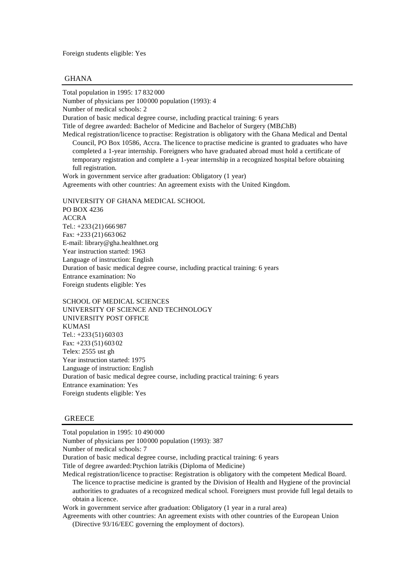Foreign students eligible: Yes

## GHANA

Total population in 1995: 17 832 000

Number of physicians per 100000 population (1993): 4

Number of medical schools: 2

Duration of basic medical degree course, including practical training: 6 years

Title of degree awarded: Bachelor of Medicine and Bachelor of Surgery (MBChB)

Medical registration/licence to practise: Registration is obligatory with the Ghana Medical and Dental Council, PO Box 10586, Accra. The licence to practise medicine is granted to graduates who have completed a 1-year internship. Foreigners who have graduated abroad must hold a certificate of temporary registration and complete a 1-year internship in a recognized hospital before obtaining full registration.

Work in government service after graduation: Obligatory (1 year) Agreements with other countries: An agreement exists with the United Kingdom.

UNIVERSITY OF GHANA MEDICAL SCHOOL PO BOX 4236 ACCRA Tel.: +233 (21) 666 987 Fax: +233 (21) 663 062 E-mail: library@gha.healthnet.org Year instruction started: 1963 Language of instruction: English Duration of basic medical degree course, including practical training: 6 years Entrance examination: No Foreign students eligible: Yes

SCHOOL OF MEDICAL SCIENCES UNIVERSITY OF SCIENCE AND TECHNOLOGY UNIVERSITY POST OFFICE KUMASI Tel.: +233 (51) 603 03 Fax: +233 (51) 603 02 Telex: 2555 ust gh Year instruction started: 1975 Language of instruction: English Duration of basic medical degree course, including practical training: 6 years Entrance examination: Yes Foreign students eligible: Yes

#### **GREECE**

Total population in 1995: 10 490 000 Number of physicians per 100000 population (1993): 387 Number of medical schools: 7 Duration of basic medical degree course, including practical training: 6 years Title of degree awarded: Ptychion latrikis (Diploma of Medicine) Medical registration/licence to practise: Registration is obligatory with the competent Medical Board. The licence to practise medicine is granted by the Division of Health and Hygiene of the provincial authorities to graduates of a recognized medical school. Foreigners must provide full legal details to obtain a licence. Work in government service after graduation: Obligatory (1 year in a rural area) Agreements with other countries: An agreement exists with other countries of the European Union (Directive 93/16/EEC governing the employment of doctors).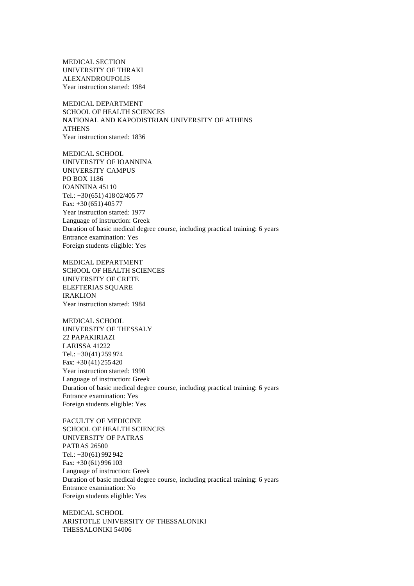MEDICAL SECTION UNIVERSITY OF THRAKI ALEXANDROUPOLIS Year instruction started: 1984

MEDICAL DEPARTMENT SCHOOL OF HEALTH SCIENCES NATIONAL AND KAPODISTRIAN UNIVERSITY OF ATHENS ATHENS Year instruction started: 1836

MEDICAL SCHOOL UNIVERSITY OF IOANNINA UNIVERSITY CAMPUS PO BOX 1186 IOANNINA 45110 Tel.: +30(651) 418 02/405 77 Fax: +30 (651) 405 77 Year instruction started: 1977 Language of instruction: Greek Duration of basic medical degree course, including practical training: 6 years Entrance examination: Yes Foreign students eligible: Yes

MEDICAL DEPARTMENT SCHOOL OF HEALTH SCIENCES UNIVERSITY OF CRETE ELEFTERIAS SQUARE IRAKLION Year instruction started: 1984

MEDICAL SCHOOL UNIVERSITY OF THESSALY 22 PAPAKIRIAZI LARISSA 41222 Tel.: +30(41) 259 974 Fax: +30 (41) 255 420 Year instruction started: 1990 Language of instruction: Greek Duration of basic medical degree course, including practical training: 6 years Entrance examination: Yes Foreign students eligible: Yes

FACULTY OF MEDICINE SCHOOL OF HEALTH SCIENCES UNIVERSITY OF PATRAS PATRAS 26500 Tel.: +30(61) 992 942 Fax: +30 (61) 996 103 Language of instruction: Greek Duration of basic medical degree course, including practical training: 6 years Entrance examination: No Foreign students eligible: Yes

MEDICAL SCHOOL ARISTOTLE UNIVERSITY OF THESSALONIKI THESSALONIKI 54006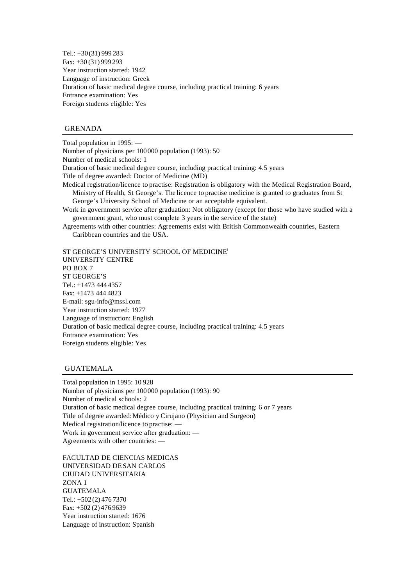Tel.: +30(31) 999 283 Fax: +30 (31) 999 293 Year instruction started: 1942 Language of instruction: Greek Duration of basic medical degree course, including practical training: 6 years Entrance examination: Yes Foreign students eligible: Yes

## GRENADA

Total population in 1995: — Number of physicians per 100000 population (1993): 50 Number of medical schools: 1 Duration of basic medical degree course, including practical training: 4.5 years Title of degree awarded: Doctor of Medicine (MD) Medical registration/licence to practise: Registration is obligatory with the Medical Registration Board, Ministry of Health, St George's. The licence to practise medicine is granted to graduates from St George's University School of Medicine or an acceptable equivalent. Work in government service after graduation: Not obligatory (except for those who have studied with a government grant, who must complete 3 years in the service of the state) Agreements with other countries: Agreements exist with British Commonwealth countries, Eastern Caribbean countries and the USA. ST GEORGE'S UNIVERSITY SCHOOL OF MEDICINE<sup>1</sup> UNIVERSITY CENTRE

PO BOX 7 ST GEORGE'S Tel.: +1473 444 4357 Fax: +1473 444 4823 E-mail: sgu-info@mssl.com Year instruction started: 1977 Language of instruction: English Duration of basic medical degree course, including practical training: 4.5 years Entrance examination: Yes Foreign students eligible: Yes

## GUATEMALA

Total population in 1995: 10 928 Number of physicians per 100000 population (1993): 90 Number of medical schools: 2 Duration of basic medical degree course, including practical training: 6 or 7 years Title of degree awarded: Médico y Cirujano (Physician and Surgeon) Medical registration/licence to practise: — Work in government service after graduation: — Agreements with other countries: —

FACULTAD DE CIENCIAS MEDICAS UNIVERSIDAD DE SAN CARLOS CIUDAD UNIVERSITARIA ZONA 1 GUATEMALA Tel.: +502 (2) 476 7370 Fax: +502 (2) 476 9639 Year instruction started: 1676 Language of instruction: Spanish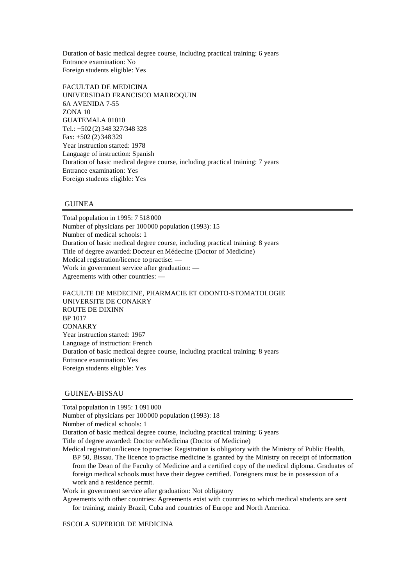Duration of basic medical degree course, including practical training: 6 years Entrance examination: No Foreign students eligible: Yes

FACULTAD DE MEDICINA UNIVERSIDAD FRANCISCO MARROQUIN 6A AVENIDA 7-55 ZONA 10 GUATEMALA 01010 Tel.: +502 (2) 348 327/348 328 Fax: +502 (2) 348 329 Year instruction started: 1978 Language of instruction: Spanish Duration of basic medical degree course, including practical training: 7 years Entrance examination: Yes Foreign students eligible: Yes

## GUINEA

Total population in 1995: 7 518 000 Number of physicians per 100000 population (1993): 15 Number of medical schools: 1 Duration of basic medical degree course, including practical training: 8 years Title of degree awarded: Docteur en Médecine (Doctor of Medicine) Medical registration/licence to practise: — Work in government service after graduation: — Agreements with other countries: —

FACULTE DE MEDECINE, PHARMACIE ET ODONTO-STOMATOLOGIE UNIVERSITE DE CONAKRY ROUTE DE DIXINN BP 1017 **CONAKRY** Year instruction started: 1967 Language of instruction: French Duration of basic medical degree course, including practical training: 8 years Entrance examination: Yes Foreign students eligible: Yes

# GUINEA-BISSAU

Total population in 1995: 1 091 000 Number of physicians per 100000 population (1993): 18 Number of medical schools: 1 Duration of basic medical degree course, including practical training: 6 years Title of degree awarded: Doctor en Medicina (Doctor of Medicine) Medical registration/licence to practise: Registration is obligatory with the Ministry of Public Health, BP 50, Bissau. The licence to practise medicine is granted by the Ministry on receipt of information from the Dean of the Faculty of Medicine and a certified copy of the medical diploma. Graduates of foreign medical schools must have their degree certified. Foreigners must be in possession of a work and a residence permit. Work in government service after graduation: Not obligatory Agreements with other countries: Agreements exist with countries to which medical students are sent for training, mainly Brazil, Cuba and countries of Europe and North America.

ESCOLA SUPERIOR DE MEDICINA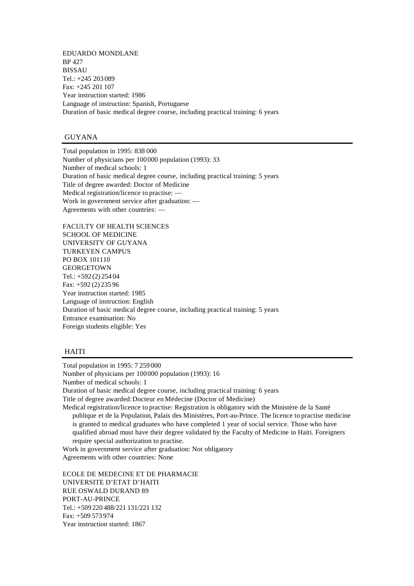EDUARDO MONDLANE BP 427 BISSAU Tel.: +245 203 089 Fax: +245 201 107 Year instruction started: 1986 Language of instruction: Spanish, Portuguese Duration of basic medical degree course, including practical training: 6 years

## GUYANA

Total population in 1995: 838 000 Number of physicians per 100000 population (1993): 33 Number of medical schools: 1 Duration of basic medical degree course, including practical training: 5 years Title of degree awarded: Doctor of Medicine Medical registration/licence to practise: — Work in government service after graduation: — Agreements with other countries: —

FACULTY OF HEALTH SCIENCES SCHOOL OF MEDICINE UNIVERSITY OF GUYANA TURKEYEN CAMPUS PO BOX 101110 GEORGETOWN Tel.: +592 (2) 254 04 Fax: +592 (2) 235 96 Year instruction started: 1985 Language of instruction: English Duration of basic medical degree course, including practical training: 5 years Entrance examination: No Foreign students eligible: Yes

#### HAITI

Total population in 1995: 7 259 000

Number of physicians per 100000 population (1993): 16

Number of medical schools: 1

Duration of basic medical degree course, including practical training: 6 years

Title of degree awarded: Docteur en Médecine (Doctor of Medicine)

Medical registration/licence to practise: Registration is obligatory with the Ministère de la Santé publique et de la Population, Palais des Ministères, Port-au-Prince. The licence to practise medicine is granted to medical graduates who have completed 1 year of social service. Those who have qualified abroad must have their degree validated by the Faculty of Medicine in Haiti. Foreigners require special authorization to practise.

Work in government service after graduation: Not obligatory Agreements with other countries: None

ECOLE DE MEDECINE ET DE PHARMACIE UNIVERSITE D'ETAT D'HAITI RUE OSWALD DURAND 89 PORT-AU-PRINCE Tel.: +509 220 488/221 131/221 132 Fax: +509 573 974 Year instruction started: 1867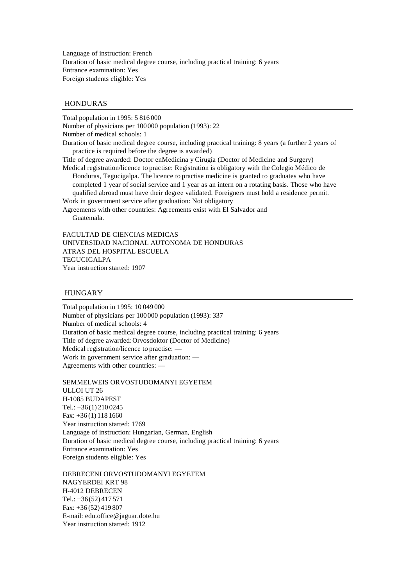Language of instruction: French Duration of basic medical degree course, including practical training: 6 years Entrance examination: Yes Foreign students eligible: Yes

#### HONDURAS

Total population in 1995: 5 816 000 Number of physicians per 100000 population (1993): 22 Number of medical schools: 1 Duration of basic medical degree course, including practical training: 8 years (a further 2 years of practice is required before the degree is awarded) Title of degree awarded: Doctor en Medicina y Cirugía (Doctor of Medicine and Surgery) Medical registration/licence to practise: Registration is obligatory with the Colegio Médico de Honduras, Tegucigalpa. The licence to practise medicine is granted to graduates who have completed 1 year of social service and 1 year as an intern on a rotating basis. Those who have qualified abroad must have their degree validated. Foreigners must hold a residence permit. Work in government service after graduation: Not obligatory Agreements with other countries: Agreements exist with El Salvador and Guatemala.

FACULTAD DE CIENCIAS MEDICAS UNIVERSIDAD NACIONAL AUTONOMA DE HONDURAS ATRAS DEL HOSPITAL ESCUELA **TEGUCIGALPA** Year instruction started: 1907

#### HUNGARY

Total population in 1995: 10 049 000 Number of physicians per 100000 population (1993): 337 Number of medical schools: 4 Duration of basic medical degree course, including practical training: 6 years Title of degree awarded: Orvosdoktor (Doctor of Medicine) Medical registration/licence to practise: — Work in government service after graduation: — Agreements with other countries: —

SEMMELWEIS ORVOSTUDOMANYI EGYETEM ULLOI UT 26 H-1085 BUDAPEST Tel.: +36(1) 210 0245 Fax: +36 (1) 118 1660 Year instruction started: 1769 Language of instruction: Hungarian, German, English Duration of basic medical degree course, including practical training: 6 years Entrance examination: Yes Foreign students eligible: Yes

DEBRECENI ORVOSTUDOMANYI EGYETEM NAGYERDEI KRT 98 H-4012 DEBRECEN Tel.: +36(52) 417 571 Fax: +36 (52) 419 807 E-mail: edu.office@jaguar.dote.hu Year instruction started: 1912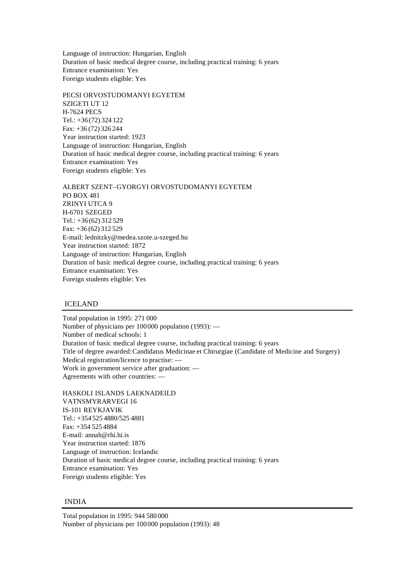Language of instruction: Hungarian, English Duration of basic medical degree course, including practical training: 6 years Entrance examination: Yes Foreign students eligible: Yes

PECSI ORVOSTUDOMANYI EGYETEM SZIGETI UT 12 H-7624 PECS Tel.: +36(72) 324 122 Fax: +36 (72) 326 244 Year instruction started: 1923 Language of instruction: Hungarian, English Duration of basic medical degree course, including practical training: 6 years Entrance examination: Yes Foreign students eligible: Yes

ALBERT SZENT–GYORGYI ORVOSTUDOMANYI EGYETEM PO BOX 481 ZRINYI UTCA 9 H-6701 SZEGED Tel.: +36(62) 312 529 Fax: +36 (62) 312 529 E-mail: lednitzky@medea.szote.u-szeged.hu Year instruction started: 1872 Language of instruction: Hungarian, English Duration of basic medical degree course, including practical training: 6 years Entrance examination: Yes Foreign students eligible: Yes

## ICELAND

Total population in 1995: 271 000 Number of physicians per 100000 population (1993): — Number of medical schools: 1 Duration of basic medical degree course, including practical training: 6 years Title of degree awarded: Candidatus Medicinae et Chirurgiae (Candidate of Medicine and Surgery) Medical registration/licence to practise: — Work in government service after graduation: — Agreements with other countries: —

HASKOLI ISLANDS LAEKNADEILD VATNSMYRARVEGI 16 IS-101 REYKJAVIK Tel.: +354 525 4880/525 4881 Fax: +354 525 4884 E-mail: annah@rhi.hi.is Year instruction started: 1876 Language of instruction: Icelandic Duration of basic medical degree course, including practical training: 6 years Entrance examination: Yes Foreign students eligible: Yes

## INDIA

Total population in 1995: 944 580 000 Number of physicians per 100000 population (1993): 48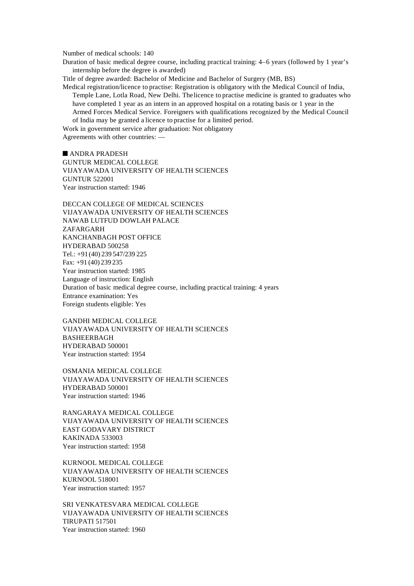Number of medical schools: 140

Duration of basic medical degree course, including practical training: 4–6 years (followed by 1 year's internship before the degree is awarded)

Title of degree awarded: Bachelor of Medicine and Bachelor of Surgery (MB, BS)

Medical registration/licence to practise: Registration is obligatory with the Medical Council of India, Temple Lane, Lotla Road, New Delhi. The licence to practise medicine is granted to graduates who have completed 1 year as an intern in an approved hospital on a rotating basis or 1 year in the Armed Forces Medical Service. Foreigners with qualifications recognized by the Medical Council of India may be granted a licence to practise for a limited period.

Work in government service after graduation: Not obligatory Agreements with other countries: —

 $\blacksquare$  ANDRA PRADESH GUNTUR MEDICAL COLLEGE VIJAYAWADA UNIVERSITY OF HEALTH SCIENCES GUNTUR 522001 Year instruction started: 1946

DECCAN COLLEGE OF MEDICAL SCIENCES VIJAYAWADA UNIVERSITY OF HEALTH SCIENCES NAWAB LUTFUD DOWLAH PALACE ZAFARGARH KANCHANBAGH POST OFFICE HYDERABAD 500258 Tel.: +91(40) 239 547/239 225 Fax: +91 (40) 239 235 Year instruction started: 1985 Language of instruction: English Duration of basic medical degree course, including practical training: 4 years Entrance examination: Yes Foreign students eligible: Yes

GANDHI MEDICAL COLLEGE VIJAYAWADA UNIVERSITY OF HEALTH SCIENCES BASHEERBAGH HYDERABAD 500001 Year instruction started: 1954

OSMANIA MEDICAL COLLEGE VIJAYAWADA UNIVERSITY OF HEALTH SCIENCES HYDERABAD 500001 Year instruction started: 1946

RANGARAYA MEDICAL COLLEGE VIJAYAWADA UNIVERSITY OF HEALTH SCIENCES EAST GODAVARY DISTRICT KAKINADA 533003 Year instruction started: 1958

KURNOOL MEDICAL COLLEGE VIJAYAWADA UNIVERSITY OF HEALTH SCIENCES KURNOOL 518001 Year instruction started: 1957

SRI VENKATESVARA MEDICAL COLLEGE VIJAYAWADA UNIVERSITY OF HEALTH SCIENCES TIRUPATI 517501 Year instruction started: 1960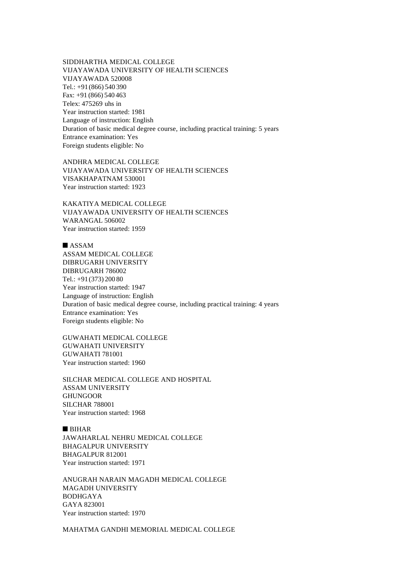SIDDHARTHA MEDICAL COLLEGE VIJAYAWADA UNIVERSITY OF HEALTH SCIENCES VIJAYAWADA 520008 Tel.: +91(866) 540 390 Fax: +91 (866) 540 463 Telex: 475269 uhs in Year instruction started: 1981 Language of instruction: English Duration of basic medical degree course, including practical training: 5 years Entrance examination: Yes Foreign students eligible: No

ANDHRA MEDICAL COLLEGE VIJAYAWADA UNIVERSITY OF HEALTH SCIENCES VISAKHAPATNAM 530001 Year instruction started: 1923

KAKATIYA MEDICAL COLLEGE VIJAYAWADA UNIVERSITY OF HEALTH SCIENCES WARANGAL 506002 Year instruction started: 1959

## $\n **ASSAM**\n$

ASSAM MEDICAL COLLEGE DIBRUGARH UNIVERSITY DIBRUGARH 786002 Tel.: +91(373) 200 80 Year instruction started: 1947 Language of instruction: English Duration of basic medical degree course, including practical training: 4 years Entrance examination: Yes Foreign students eligible: No

GUWAHATI MEDICAL COLLEGE GUWAHATI UNIVERSITY GUWAHATI 781001 Year instruction started: 1960

SILCHAR MEDICAL COLLEGE AND HOSPITAL ASSAM UNIVERSITY GHUNGOOR SILCHAR 788001 Year instruction started: 1968

## $BIHAR$

JAWAHARLAL NEHRU MEDICAL COLLEGE BHAGALPUR UNIVERSITY BHAGALPUR 812001 Year instruction started: 1971

ANUGRAH NARAIN MAGADH MEDICAL COLLEGE MAGADH UNIVERSITY BODHGAYA GAYA 823001 Year instruction started: 1970

MAHATMA GANDHI MEMORIAL MEDICAL COLLEGE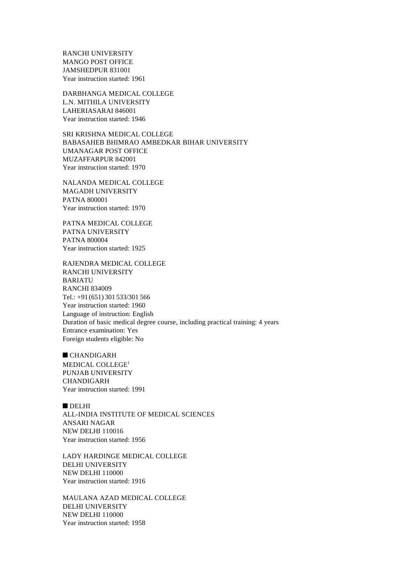RANCHI UNIVERSITY MANGO POST OFFICE JAMSHEDPUR 831001 Year instruction started: 1961

DARBHANGA MEDICAL COLLEGE L.N. MITHILA UNIVERSITY LAHERIASARAI 846001 Year instruction started: 1946

SRI KRISHNA MEDICAL COLLEGE BABASAHEB BHIMRAO AMBEDKAR BIHAR UNIVERSITY UMANAGAR POST OFFICE MUZAFFARPUR 842001 Year instruction started: 1970

NALANDA MEDICAL COLLEGE MAGADH UNIVERSITY PATNA 800001 Year instruction started: 1970

PATNA MEDICAL COLLEGE PATNA UNIVERSITY PATNA 800004 Year instruction started: 1925

RAJENDRA MEDICAL COLLEGE RANCHI UNIVERSITY BARIATU RANCHI 834009 Tel.: +91(651) 301 533/301 566 Year instruction started: 1960 Language of instruction: English Duration of basic medical degree course, including practical training: 4 years Entrance examination: Yes Foreign students eligible: No

 $C$ HANDIGARH MEDICAL COLLEGE<sup>1</sup> PUNJAB UNIVERSITY CHANDIGARH Year instruction started: 1991

 $DELHI$ ALL-INDIA INSTITUTE OF MEDICAL SCIENCES ANSARI NAGAR NEW DELHI 110016 Year instruction started: 1956

LADY HARDINGE MEDICAL COLLEGE DELHI UNIVERSITY NEW DELHI 110000 Year instruction started: 1916

MAULANA AZAD MEDICAL COLLEGE DELHI UNIVERSITY NEW DELHI 110000 Year instruction started: 1958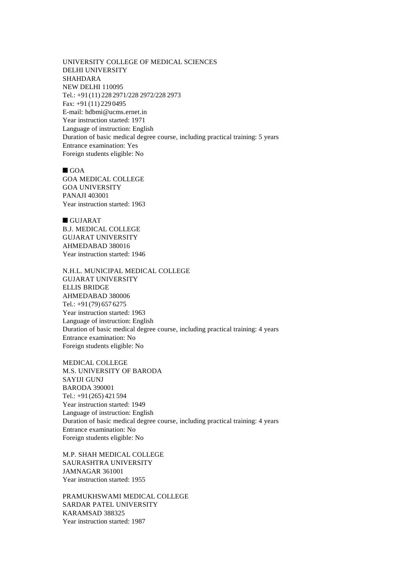UNIVERSITY COLLEGE OF MEDICAL SCIENCES DELHI UNIVERSITY SHAHDARA NEW DELHI 110095 Tel.: +91(11) 228 2971/228 2972/228 2973 Fax: +91 (11) 229 0495 E-mail: hdbmi@ucms.ernet.in Year instruction started: 1971 Language of instruction: English Duration of basic medical degree course, including practical training: 5 years Entrance examination: Yes Foreign students eligible: No

 $\blacksquare$  GOA GOA MEDICAL COLLEGE GOA UNIVERSITY PANAJI 403001 Year instruction started: 1963

 $\blacksquare$  GUJARAT B.J. MEDICAL COLLEGE GUJARAT UNIVERSITY AHMEDABAD 380016 Year instruction started: 1946

N.H.L. MUNICIPAL MEDICAL COLLEGE GUJARAT UNIVERSITY ELLIS BRIDGE AHMEDABAD 380006 Tel.: +91(79) 657 6275 Year instruction started: 1963 Language of instruction: English Duration of basic medical degree course, including practical training: 4 years Entrance examination: No Foreign students eligible: No

MEDICAL COLLEGE M.S. UNIVERSITY OF BARODA SAYIJI GUNJ BARODA 390001 Tel.: +91(265) 421 594 Year instruction started: 1949 Language of instruction: English Duration of basic medical degree course, including practical training: 4 years Entrance examination: No Foreign students eligible: No

M.P. SHAH MEDICAL COLLEGE SAURASHTRA UNIVERSITY JAMNAGAR 361001 Year instruction started: 1955

PRAMUKHSWAMI MEDICAL COLLEGE SARDAR PATEL UNIVERSITY KARAMSAD 388325 Year instruction started: 1987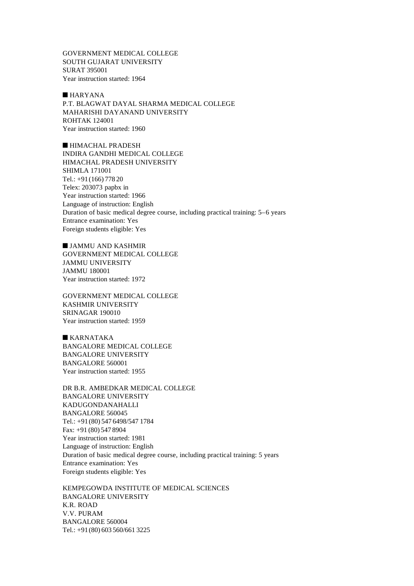GOVERNMENT MEDICAL COLLEGE SOUTH GUJARAT UNIVERSITY SURAT 395001 Year instruction started: 1964

 $HARYANA$ P.T. BLAGWAT DAYAL SHARMA MEDICAL COLLEGE MAHARISHI DAYANAND UNIVERSITY ROHTAK 124001 Year instruction started: 1960

 $\blacksquare$  HIMACHAL PRADESH INDIRA GANDHI MEDICAL COLLEGE HIMACHAL PRADESH UNIVERSITY SHIMLA 171001 Tel.: +91(166) 778 20 Telex: 203073 papbx in Year instruction started: 1966 Language of instruction: English Duration of basic medical degree course, including practical training: 5–6 years Entrance examination: Yes Foreign students eligible: Yes

 $\blacksquare$  JAMMU AND KASHMIR GOVERNMENT MEDICAL COLLEGE JAMMU UNIVERSITY JAMMU 180001 Year instruction started: 1972

GOVERNMENT MEDICAL COLLEGE KASHMIR UNIVERSITY SRINAGAR 190010 Year instruction started: 1959

 $KARNATAKA$ BANGALORE MEDICAL COLLEGE BANGALORE UNIVERSITY BANGALORE 560001 Year instruction started: 1955

DR B.R. AMBEDKAR MEDICAL COLLEGE BANGALORE UNIVERSITY KADUGONDANAHALLI BANGALORE 560045 Tel.: +91(80) 547 6498/547 1784 Fax: +91 (80) 547 8904 Year instruction started: 1981 Language of instruction: English Duration of basic medical degree course, including practical training: 5 years Entrance examination: Yes Foreign students eligible: Yes

KEMPEGOWDA INSTITUTE OF MEDICAL SCIENCES BANGALORE UNIVERSITY K.R. ROAD V.V. PURAM BANGALORE 560004 Tel.: +91(80) 603 560/661 3225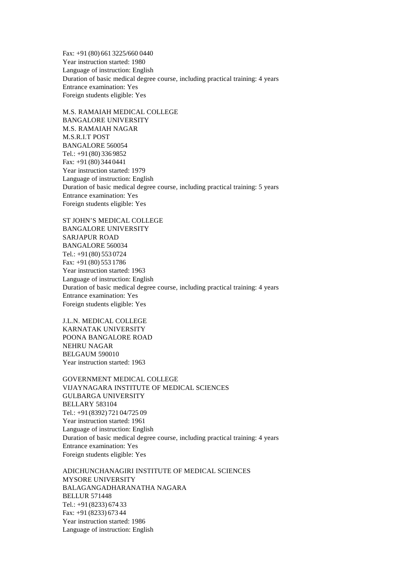Fax: +91 (80) 661 3225/660 0440 Year instruction started: 1980 Language of instruction: English Duration of basic medical degree course, including practical training: 4 years Entrance examination: Yes Foreign students eligible: Yes

M.S. RAMAIAH MEDICAL COLLEGE BANGALORE UNIVERSITY M.S. RAMAIAH NAGAR M.S.R.I.T POST BANGALORE 560054 Tel.: +91(80) 336 9852 Fax: +91 (80) 344 0441 Year instruction started: 1979 Language of instruction: English Duration of basic medical degree course, including practical training: 5 years Entrance examination: Yes Foreign students eligible: Yes

ST JOHN'S MEDICAL COLLEGE BANGALORE UNIVERSITY SARJAPUR ROAD BANGALORE 560034 Tel.: +91(80) 553 0724 Fax: +91 (80) 553 1786 Year instruction started: 1963 Language of instruction: English Duration of basic medical degree course, including practical training: 4 years Entrance examination: Yes Foreign students eligible: Yes

J.L.N. MEDICAL COLLEGE KARNATAK UNIVERSITY POONA BANGALORE ROAD NEHRU NAGAR BELGAUM 590010 Year instruction started: 1963

GOVERNMENT MEDICAL COLLEGE VIJAYNAGARA INSTITUTE OF MEDICAL SCIENCES GULBARGA UNIVERSITY BELLARY 583104 Tel.: +91(8392) 721 04/725 09 Year instruction started: 1961 Language of instruction: English Duration of basic medical degree course, including practical training: 4 years Entrance examination: Yes Foreign students eligible: Yes

ADICHUNCHANAGIRI INSTITUTE OF MEDICAL SCIENCES MYSORE UNIVERSITY BALAGANGADHARANATHA NAGARA BELLUR 571448 Tel.: +91(8233) 674 33 Fax: +91 (8233) 673 44 Year instruction started: 1986 Language of instruction: English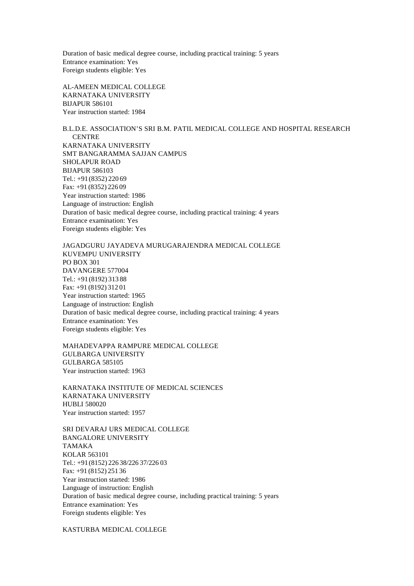Duration of basic medical degree course, including practical training: 5 years Entrance examination: Yes Foreign students eligible: Yes

AL-AMEEN MEDICAL COLLEGE KARNATAKA UNIVERSITY BIJAPUR 586101 Year instruction started: 1984

B.L.D.E. ASSOCIATION'S SRI B.M. PATIL MEDICAL COLLEGE AND HOSPITAL RESEARCH **CENTRE** KARNATAKA UNIVERSITY SMT BANGARAMMA SAJJAN CAMPUS SHOLAPUR ROAD BIJAPUR 586103 Tel.: +91(8352) 220 69 Fax: +91 (8352) 226 09 Year instruction started: 1986 Language of instruction: English Duration of basic medical degree course, including practical training: 4 years Entrance examination: Yes Foreign students eligible: Yes

JAGADGURU JAYADEVA MURUGARAJENDRA MEDICAL COLLEGE KUVEMPU UNIVERSITY PO BOX 301 DAVANGERE 577004 Tel.: +91(8192) 313 88 Fax: +91 (8192) 312 01 Year instruction started: 1965 Language of instruction: English Duration of basic medical degree course, including practical training: 4 years Entrance examination: Yes Foreign students eligible: Yes

MAHADEVAPPA RAMPURE MEDICAL COLLEGE GULBARGA UNIVERSITY GULBARGA 585105 Year instruction started: 1963

KARNATAKA INSTITUTE OF MEDICAL SCIENCES KARNATAKA UNIVERSITY HUBLI 580020 Year instruction started: 1957

SRI DEVARAJ URS MEDICAL COLLEGE BANGALORE UNIVERSITY TAMAKA KOLAR 563101 Tel.: +91(8152) 226 38/226 37/226 03 Fax: +91 (8152) 251 36 Year instruction started: 1986 Language of instruction: English Duration of basic medical degree course, including practical training: 5 years Entrance examination: Yes Foreign students eligible: Yes

KASTURBA MEDICAL COLLEGE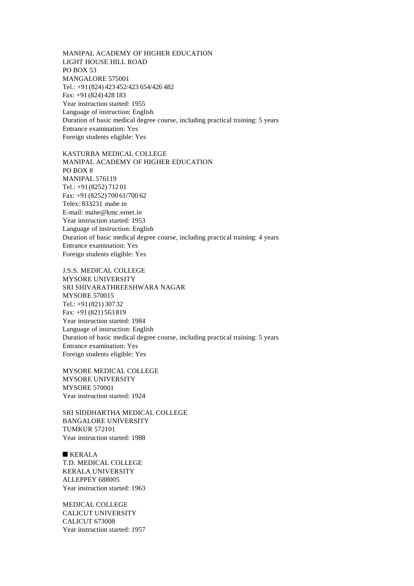MANIPAL ACADEMY OF HIGHER EDUCATION LIGHT HOUSE HILL ROAD PO BOX 53 MANGALORE 575001 Tel.: +91(824) 423 452/423 654/426 482 Fax: +91 (824) 428 183 Year instruction started: 1955 Language of instruction: English Duration of basic medical degree course, including practical training: 5 years Entrance examination: Yes Foreign students eligible: Yes

KASTURBA MEDICAL COLLEGE MANIPAL ACADEMY OF HIGHER EDUCATION PO BOX 8 MANIPAL 576119 Tel.: +91(8252) 712 01 Fax: +91 (8252) 700 61/700 62 Telex: 833231 mahe in E-mail: mahe@kmc.ernet.in Year instruction started: 1953 Language of instruction: English Duration of basic medical degree course, including practical training: 4 years Entrance examination: Yes Foreign students eligible: Yes

J.S.S. MEDICAL COLLEGE MYSORE UNIVERSITY SRI SHIVARATHREESHWARA NAGAR MYSORE 570015 Tel.: +91(821) 307 32 Fax: +91 (821) 563 819 Year instruction started: 1984 Language of instruction: English Duration of basic medical degree course, including practical training: 5 years Entrance examination: Yes Foreign students eligible: Yes

MYSORE MEDICAL COLLEGE MYSORE UNIVERSITY MYSORE 570001 Year instruction started: 1924

SRI SIDDHARTHA MEDICAL COLLEGE BANGALORE UNIVERSITY TUMKUR 572101 Year instruction started: 1988

 $KERALA$ T.D. MEDICAL COLLEGE KERALA UNIVERSITY ALLEPPEY 688005 Year instruction started: 1963

MEDICAL COLLEGE CALICUT UNIVERSITY CALICUT 673008 Year instruction started: 1957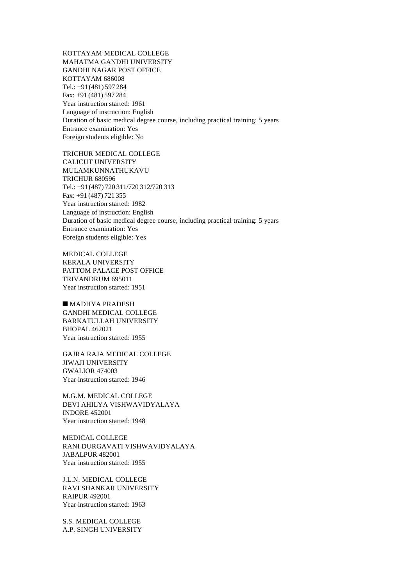KOTTAYAM MEDICAL COLLEGE MAHATMA GANDHI UNIVERSITY GANDHI NAGAR POST OFFICE KOTTAYAM 686008 Tel.: +91(481) 597 284 Fax: +91 (481) 597 284 Year instruction started: 1961 Language of instruction: English Duration of basic medical degree course, including practical training: 5 years Entrance examination: Yes Foreign students eligible: No

TRICHUR MEDICAL COLLEGE CALICUT UNIVERSITY MULAMKUNNATHUKAVU TRICHUR 680596 Tel.: +91(487) 720 311/720 312/720 313 Fax: +91 (487) 721 355 Year instruction started: 1982 Language of instruction: English Duration of basic medical degree course, including practical training: 5 years Entrance examination: Yes Foreign students eligible: Yes

MEDICAL COLLEGE KERALA UNIVERSITY PATTOM PALACE POST OFFICE TRIVANDRUM 695011 Year instruction started: 1951

 $M$ MADHYA PRADESH GANDHI MEDICAL COLLEGE BARKATULLAH UNIVERSITY BHOPAL 462021 Year instruction started: 1955

GAJRA RAJA MEDICAL COLLEGE JIWAJI UNIVERSITY GWALIOR 474003 Year instruction started: 1946

M.G.M. MEDICAL COLLEGE DEVI AHILYA VISHWAVIDYALAYA INDORE 452001 Year instruction started: 1948

MEDICAL COLLEGE RANI DURGAVATI VISHWAVIDYALAYA JABALPUR 482001 Year instruction started: 1955

J.L.N. MEDICAL COLLEGE RAVI SHANKAR UNIVERSITY RAIPUR 492001 Year instruction started: 1963

S.S. MEDICAL COLLEGE A.P. SINGH UNIVERSITY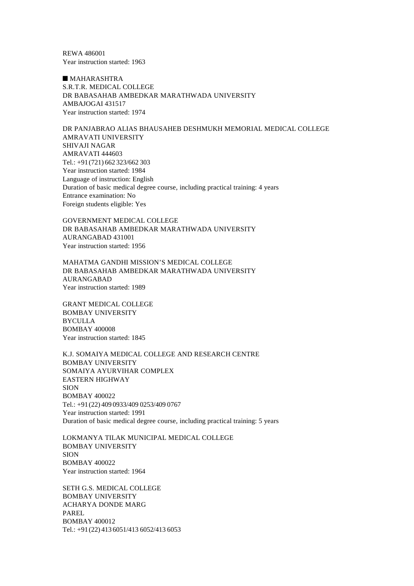REWA 486001 Year instruction started: 1963

 $MAHARASHTRA$ S.R.T.R. MEDICAL COLLEGE DR BABASAHAB AMBEDKAR MARATHWADA UNIVERSITY AMBAJOGAI 431517 Year instruction started: 1974

DR PANJABRAO ALIAS BHAUSAHEB DESHMUKH MEMORIAL MEDICAL COLLEGE AMRAVATI UNIVERSITY SHIVAJI NAGAR AMRAVATI 444603 Tel.: +91(721) 662 323/662 303 Year instruction started: 1984 Language of instruction: English Duration of basic medical degree course, including practical training: 4 years Entrance examination: No Foreign students eligible: Yes

GOVERNMENT MEDICAL COLLEGE DR BABASAHAB AMBEDKAR MARATHWADA UNIVERSITY AURANGABAD 431001 Year instruction started: 1956

MAHATMA GANDHI MISSION'S MEDICAL COLLEGE DR BABASAHAB AMBEDKAR MARATHWADA UNIVERSITY AURANGABAD Year instruction started: 1989

GRANT MEDICAL COLLEGE BOMBAY UNIVERSITY BYCULLA BOMBAY 400008 Year instruction started: 1845

K.J. SOMAIYA MEDICAL COLLEGE AND RESEARCH CENTRE BOMBAY UNIVERSITY SOMAIYA AYURVIHAR COMPLEX EASTERN HIGHWAY SION BOMBAY 400022 Tel.: +91(22) 409 0933/409 0253/409 0767 Year instruction started: 1991 Duration of basic medical degree course, including practical training: 5 years

LOKMANYA TILAK MUNICIPAL MEDICAL COLLEGE BOMBAY UNIVERSITY SION BOMBAY 400022 Year instruction started: 1964

SETH G.S. MEDICAL COLLEGE BOMBAY UNIVERSITY ACHARYA DONDE MARG PAREL BOMBAY 400012 Tel.: +91(22) 413 6051/413 6052/413 6053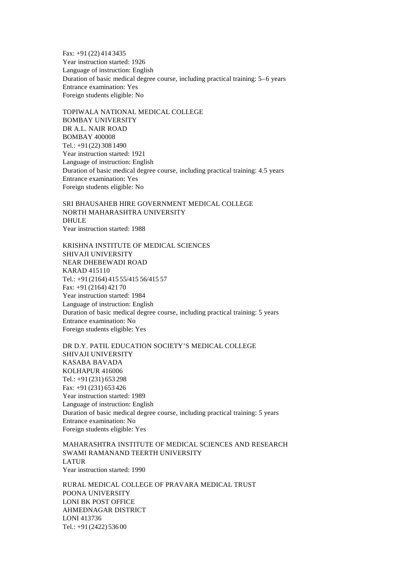Fax: +91 (22) 414 3435 Year instruction started: 1926 Language of instruction: English Duration of basic medical degree course, including practical training: 5–6 years Entrance examination: Yes Foreign students eligible: No

TOPIWALA NATIONAL MEDICAL COLLEGE BOMBAY UNIVERSITY DR A.L. NAIR ROAD BOMBAY 400008 Tel.: +91(22) 308 1490 Year instruction started: 1921 Language of instruction: English Duration of basic medical degree course, including practical training: 4.5 years Entrance examination: Yes Foreign students eligible: No

SRI BHAUSAHEB HIRE GOVERNMENT MEDICAL COLLEGE NORTH MAHARASHTRA UNIVERSITY DHULE Year instruction started: 1988

KRISHNA INSTITUTE OF MEDICAL SCIENCES SHIVAJI UNIVERSITY NEAR DHEBEWADI ROAD KARAD 415110 Tel.: +91(2164) 415 55/415 56/415 57 Fax: +91 (2164) 421 70 Year instruction started: 1984 Language of instruction: English Duration of basic medical degree course, including practical training: 5 years Entrance examination: No Foreign students eligible: Yes

DR D.Y. PATIL EDUCATION SOCIETY'S MEDICAL COLLEGE SHIVAJI UNIVERSITY KASABA BAVADA KOLHAPUR 416006 Tel.: +91(231) 653 298 Fax: +91 (231) 653 426 Year instruction started: 1989 Language of instruction: English Duration of basic medical degree course, including practical training: 5 years Entrance examination: No Foreign students eligible: Yes

MAHARASHTRA INSTITUTE OF MEDICAL SCIENCES AND RESEARCH SWAMI RAMANAND TEERTH UNIVERSITY LATUR Year instruction started: 1990

RURAL MEDICAL COLLEGE OF PRAVARA MEDICAL TRUST POONA UNIVERSITY LONI BK POST OFFICE AHMEDNAGAR DISTRICT LONI 413736 Tel.: +91(2422) 536 00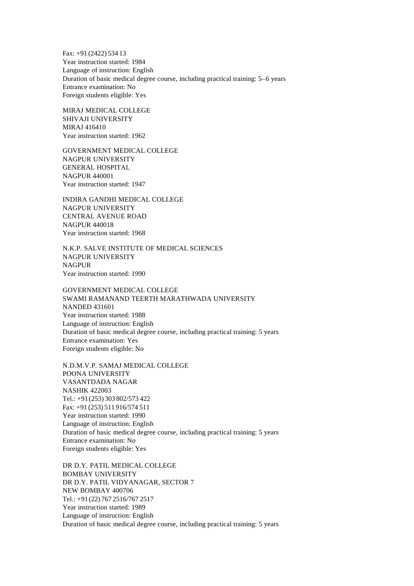Fax: +91 (2422) 534 13 Year instruction started: 1984 Language of instruction: English Duration of basic medical degree course, including practical training: 5–6 years Entrance examination: No Foreign students eligible: Yes

MIRAJ MEDICAL COLLEGE SHIVAJI UNIVERSITY MIRAJ 416410 Year instruction started: 1962

GOVERNMENT MEDICAL COLLEGE NAGPUR UNIVERSITY GENERAL HOSPITAL NAGPUR 440001 Year instruction started: 1947

INDIRA GANDHI MEDICAL COLLEGE NAGPUR UNIVERSITY CENTRAL AVENUE ROAD NAGPUR 440018 Year instruction started: 1968

N.K.P. SALVE INSTITUTE OF MEDICAL SCIENCES NAGPUR UNIVERSITY NAGPUR Year instruction started: 1990

GOVERNMENT MEDICAL COLLEGE SWAMI RAMANAND TEERTH MARATHWADA UNIVERSITY NANDED 431601 Year instruction started: 1988 Language of instruction: English Duration of basic medical degree course, including practical training: 5 years Entrance examination: Yes Foreign students eligible: No

N.D.M.V.P. SAMAJ MEDICAL COLLEGE POONA UNIVERSITY VASANTDADA NAGAR NASHIK 422003 Tel.: +91(253) 303 802/573 422 Fax: +91 (253) 511 916/574 511 Year instruction started: 1990 Language of instruction: English Duration of basic medical degree course, including practical training: 5 years Entrance examination: No Foreign students eligible: Yes

DR D.Y. PATIL MEDICAL COLLEGE BOMBAY UNIVERSITY DR D.Y. PATIL VIDYANAGAR, SECTOR 7 NEW BOMBAY 400706 Tel.: +91(22) 767 2516/767 2517 Year instruction started: 1989 Language of instruction: English Duration of basic medical degree course, including practical training: 5 years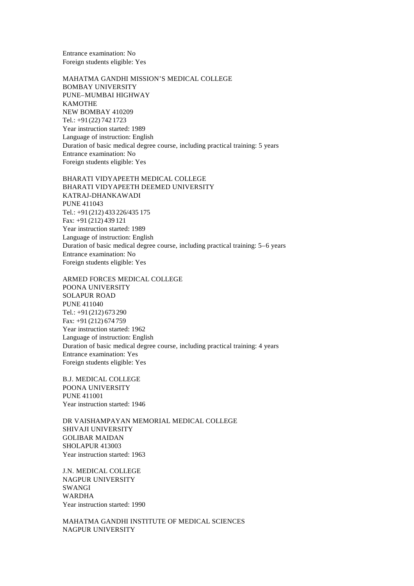Entrance examination: No Foreign students eligible: Yes

MAHATMA GANDHI MISSION'S MEDICAL COLLEGE BOMBAY UNIVERSITY PUNE–MUMBAI HIGHWAY KAMOTHE NEW BOMBAY 410209 Tel.: +91(22) 742 1723 Year instruction started: 1989 Language of instruction: English Duration of basic medical degree course, including practical training: 5 years Entrance examination: No Foreign students eligible: Yes

BHARATI VIDYAPEETH MEDICAL COLLEGE BHARATI VIDYAPEETH DEEMED UNIVERSITY KATRAJ-DHANKAWADI PUNE 411043 Tel.: +91(212) 433 226/435 175 Fax: +91 (212) 439 121 Year instruction started: 1989 Language of instruction: English Duration of basic medical degree course, including practical training: 5–6 years Entrance examination: No Foreign students eligible: Yes

ARMED FORCES MEDICAL COLLEGE POONA UNIVERSITY SOLAPUR ROAD PUNE 411040 Tel.: +91(212) 673 290 Fax: +91 (212) 674 759 Year instruction started: 1962 Language of instruction: English Duration of basic medical degree course, including practical training: 4 years Entrance examination: Yes Foreign students eligible: Yes

B.J. MEDICAL COLLEGE POONA UNIVERSITY PUNE 411001 Year instruction started: 1946

DR VAISHAMPAYAN MEMORIAL MEDICAL COLLEGE SHIVAJI UNIVERSITY GOLIBAR MAIDAN SHOLAPUR 413003 Year instruction started: 1963

J.N. MEDICAL COLLEGE NAGPUR UNIVERSITY SWANGI WARDHA Year instruction started: 1990

MAHATMA GANDHI INSTITUTE OF MEDICAL SCIENCES NAGPUR UNIVERSITY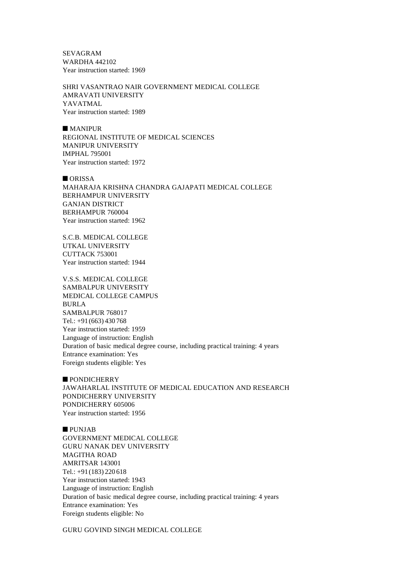SEVAGRAM WARDHA 442102 Year instruction started: 1969

SHRI VASANTRAO NAIR GOVERNMENT MEDICAL COLLEGE AMRAVATI UNIVERSITY YAVATMAL Year instruction started: 1989

 $M$ ANIPUR REGIONAL INSTITUTE OF MEDICAL SCIENCES MANIPUR UNIVERSITY IMPHAL 795001 Year instruction started: 1972

 $\blacksquare$  ORISSA MAHARAJA KRISHNA CHANDRA GAJAPATI MEDICAL COLLEGE BERHAMPUR UNIVERSITY GANJAN DISTRICT BERHAMPUR 760004 Year instruction started: 1962

S.C.B. MEDICAL COLLEGE UTKAL UNIVERSITY CUTTACK 753001 Year instruction started: 1944

V.S.S. MEDICAL COLLEGE SAMBALPUR UNIVERSITY MEDICAL COLLEGE CAMPUS BURLA SAMBALPUR 768017 Tel.: +91(663) 430 768 Year instruction started: 1959 Language of instruction: English Duration of basic medical degree course, including practical training: 4 years Entrance examination: Yes Foreign students eligible: Yes

**PONDICHERRY** JAWAHARLAL INSTITUTE OF MEDICAL EDUCATION AND RESEARCH PONDICHERRY UNIVERSITY PONDICHERRY 605006 Year instruction started: 1956

n PUNJAB GOVERNMENT MEDICAL COLLEGE GURU NANAK DEV UNIVERSITY MAGITHA ROAD AMRITSAR 143001 Tel.: +91(183) 220 618 Year instruction started: 1943 Language of instruction: English Duration of basic medical degree course, including practical training: 4 years Entrance examination: Yes Foreign students eligible: No

GURU GOVIND SINGH MEDICAL COLLEGE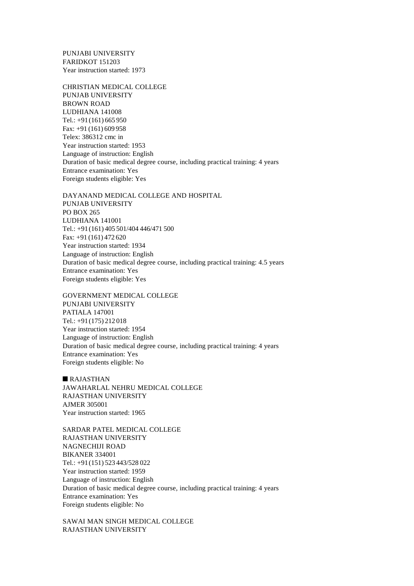PUNJABI UNIVERSITY FARIDKOT 151203 Year instruction started: 1973

CHRISTIAN MEDICAL COLLEGE PUNJAB UNIVERSITY BROWN ROAD LUDHIANA 141008 Tel.: +91(161) 665 950 Fax: +91 (161) 609 958 Telex: 386312 cmc in Year instruction started: 1953 Language of instruction: English Duration of basic medical degree course, including practical training: 4 years Entrance examination: Yes Foreign students eligible: Yes

DAYANAND MEDICAL COLLEGE AND HOSPITAL PUNJAB UNIVERSITY PO BOX 265 LUDHIANA 141001 Tel.: +91(161) 405 501/404 446/471 500 Fax: +91 (161) 472 620 Year instruction started: 1934 Language of instruction: English Duration of basic medical degree course, including practical training: 4.5 years Entrance examination: Yes Foreign students eligible: Yes

GOVERNMENT MEDICAL COLLEGE PUNJABI UNIVERSITY PATIALA 147001 Tel.: +91(175) 212 018 Year instruction started: 1954 Language of instruction: English Duration of basic medical degree course, including practical training: 4 years Entrance examination: Yes Foreign students eligible: No

 $R$ AJASTHAN JAWAHARLAL NEHRU MEDICAL COLLEGE RAJASTHAN UNIVERSITY AJMER 305001 Year instruction started: 1965

SARDAR PATEL MEDICAL COLLEGE RAJASTHAN UNIVERSITY NAGNECHIJI ROAD BIKANER 334001 Tel.: +91(151) 523 443/528 022 Year instruction started: 1959 Language of instruction: English Duration of basic medical degree course, including practical training: 4 years Entrance examination: Yes Foreign students eligible: No

SAWAI MAN SINGH MEDICAL COLLEGE RAJASTHAN UNIVERSITY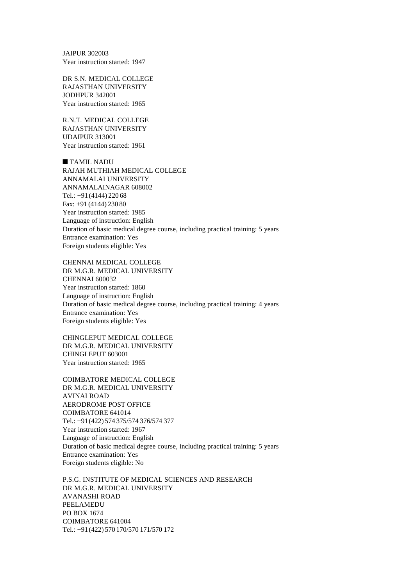JAIPUR 302003 Year instruction started: 1947

DR S.N. MEDICAL COLLEGE RAJASTHAN UNIVERSITY JODHPUR 342001 Year instruction started: 1965

R.N.T. MEDICAL COLLEGE RAJASTHAN UNIVERSITY UDAIPUR 313001 Year instruction started: 1961

 $\blacksquare$  TAMIL NADU RAJAH MUTHIAH MEDICAL COLLEGE ANNAMALAI UNIVERSITY ANNAMALAINAGAR 608002 Tel.: +91(4144) 220 68 Fax: +91 (4144) 230 80 Year instruction started: 1985 Language of instruction: English Duration of basic medical degree course, including practical training: 5 years Entrance examination: Yes Foreign students eligible: Yes

CHENNAI MEDICAL COLLEGE DR M.G.R. MEDICAL UNIVERSITY CHENNAI 600032 Year instruction started: 1860 Language of instruction: English Duration of basic medical degree course, including practical training: 4 years Entrance examination: Yes Foreign students eligible: Yes

CHINGLEPUT MEDICAL COLLEGE DR M.G.R. MEDICAL UNIVERSITY CHINGLEPUT 603001 Year instruction started: 1965

COIMBATORE MEDICAL COLLEGE DR M.G.R. MEDICAL UNIVERSITY AVINAI ROAD AERODROME POST OFFICE COIMBATORE 641014 Tel.: +91(422) 574 375/574 376/574 377 Year instruction started: 1967 Language of instruction: English Duration of basic medical degree course, including practical training: 5 years Entrance examination: Yes Foreign students eligible: No

P.S.G. INSTITUTE OF MEDICAL SCIENCES AND RESEARCH DR M.G.R. MEDICAL UNIVERSITY AVANASHI ROAD PEELAMEDU PO BOX 1674 COIMBATORE 641004 Tel.: +91(422) 570 170/570 171/570 172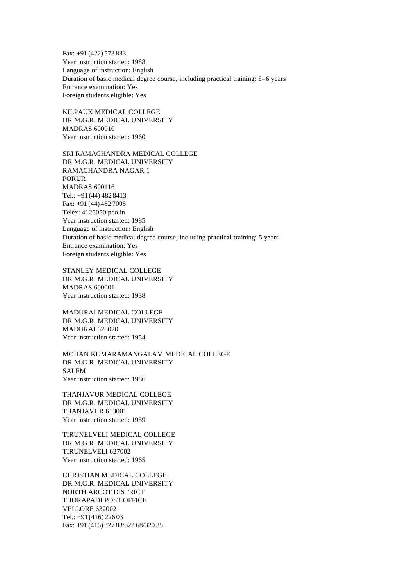Fax: +91 (422) 573 833 Year instruction started: 1988 Language of instruction: English Duration of basic medical degree course, including practical training: 5–6 years Entrance examination: Yes Foreign students eligible: Yes

KILPAUK MEDICAL COLLEGE DR M.G.R. MEDICAL UNIVERSITY MADRAS 600010 Year instruction started: 1960

SRI RAMACHANDRA MEDICAL COLLEGE DR M.G.R. MEDICAL UNIVERSITY RAMACHANDRA NAGAR 1 PORUR MADRAS 600116 Tel.: +91(44) 482 8413 Fax: +91 (44) 482 7008 Telex: 4125050 pco in Year instruction started: 1985 Language of instruction: English Duration of basic medical degree course, including practical training: 5 years Entrance examination: Yes Foreign students eligible: Yes

STANLEY MEDICAL COLLEGE DR M.G.R. MEDICAL UNIVERSITY MADRAS 600001 Year instruction started: 1938

MADURAI MEDICAL COLLEGE DR M.G.R. MEDICAL UNIVERSITY MADURAI 625020 Year instruction started: 1954

MOHAN KUMARAMANGALAM MEDICAL COLLEGE DR M.G.R. MEDICAL UNIVERSITY **SALEM** Year instruction started: 1986

THANJAVUR MEDICAL COLLEGE DR M.G.R. MEDICAL UNIVERSITY THANJAVUR 613001 Year instruction started: 1959

TIRUNELVELI MEDICAL COLLEGE DR M.G.R. MEDICAL UNIVERSITY TIRUNELVELI 627002 Year instruction started: 1965

CHRISTIAN MEDICAL COLLEGE DR M.G.R. MEDICAL UNIVERSITY NORTH ARCOT DISTRICT THORAPADI POST OFFICE VELLORE 632002 Tel.: +91(416) 226 03 Fax: +91 (416) 327 88/322 68/320 35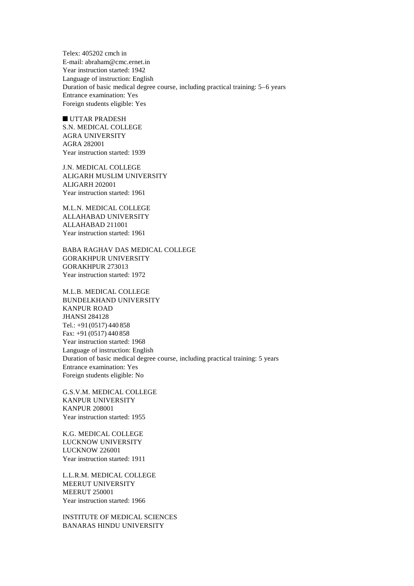Telex: 405202 cmch in E-mail: abraham@cmc.ernet.in Year instruction started: 1942 Language of instruction: English Duration of basic medical degree course, including practical training: 5–6 years Entrance examination: Yes Foreign students eligible: Yes

 $\blacksquare$  UTTAR PRADESH S.N. MEDICAL COLLEGE AGRA UNIVERSITY AGRA 282001 Year instruction started: 1939

J.N. MEDICAL COLLEGE ALIGARH MUSLIM UNIVERSITY ALIGARH 202001 Year instruction started: 1961

M.L.N. MEDICAL COLLEGE ALLAHABAD UNIVERSITY ALLAHABAD 211001 Year instruction started: 1961

BABA RAGHAV DAS MEDICAL COLLEGE GORAKHPUR UNIVERSITY GORAKHPUR 273013 Year instruction started: 1972

M.L.B. MEDICAL COLLEGE BUNDELKHAND UNIVERSITY KANPUR ROAD JHANSI 284128 Tel.: +91(0517) 440 858 Fax: +91 (0517) 440 858 Year instruction started: 1968 Language of instruction: English Duration of basic medical degree course, including practical training: 5 years Entrance examination: Yes Foreign students eligible: No

G.S.V.M. MEDICAL COLLEGE KANPUR UNIVERSITY KANPUR 208001 Year instruction started: 1955

K.G. MEDICAL COLLEGE LUCKNOW UNIVERSITY LUCKNOW 226001 Year instruction started: 1911

L.L.R.M. MEDICAL COLLEGE MEERUT UNIVERSITY MEERUT 250001 Year instruction started: 1966

INSTITUTE OF MEDICAL SCIENCES BANARAS HINDU UNIVERSITY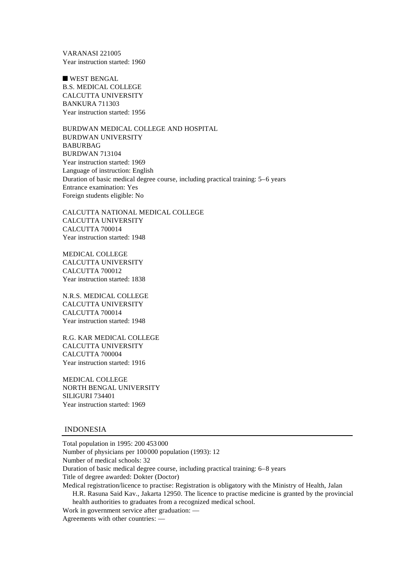VARANASI 221005 Year instruction started: 1960

 $\blacksquare$  WEST BENGAL B.S. MEDICAL COLLEGE CALCUTTA UNIVERSITY BANKURA 711303 Year instruction started: 1956

BURDWAN MEDICAL COLLEGE AND HOSPITAL BURDWAN UNIVERSITY BABURBAG BURDWAN 713104 Year instruction started: 1969 Language of instruction: English Duration of basic medical degree course, including practical training: 5–6 years Entrance examination: Yes Foreign students eligible: No

CALCUTTA NATIONAL MEDICAL COLLEGE CALCUTTA UNIVERSITY CALCUTTA 700014 Year instruction started: 1948

MEDICAL COLLEGE CALCUTTA UNIVERSITY CALCUTTA 700012 Year instruction started: 1838

N.R.S. MEDICAL COLLEGE CALCUTTA UNIVERSITY CALCUTTA 700014 Year instruction started: 1948

R.G. KAR MEDICAL COLLEGE CALCUTTA UNIVERSITY CALCUTTA 700004 Year instruction started: 1916

MEDICAL COLLEGE NORTH BENGAL UNIVERSITY SILIGURI 734401 Year instruction started: 1969

#### INDONESIA

Total population in 1995: 200 453 000 Number of physicians per 100000 population (1993): 12 Number of medical schools: 32 Duration of basic medical degree course, including practical training: 6–8 years Title of degree awarded: Dokter (Doctor) Medical registration/licence to practise: Registration is obligatory with the Ministry of Health, Jalan H.R. Rasuna Said Kav., Jakarta 12950. The licence to practise medicine is granted by the provincial health authorities to graduates from a recognized medical school. Work in government service after graduation: — Agreements with other countries: —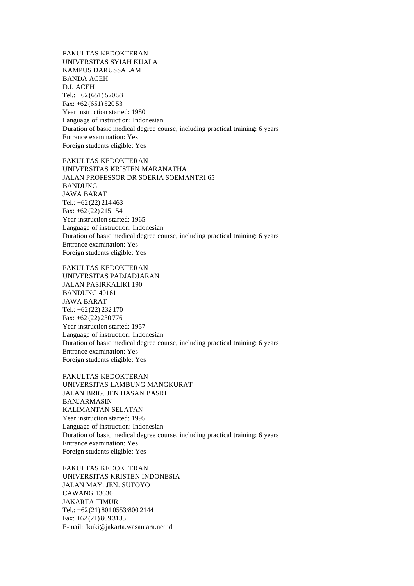FAKULTAS KEDOKTERAN UNIVERSITAS SYIAH KUALA KAMPUS DARUSSALAM BANDA ACEH D.I. ACEH Tel.: +62(651) 520 53 Fax: +62 (651) 520 53 Year instruction started: 1980 Language of instruction: Indonesian Duration of basic medical degree course, including practical training: 6 years Entrance examination: Yes Foreign students eligible: Yes

FAKULTAS KEDOKTERAN UNIVERSITAS KRISTEN MARANATHA JALAN PROFESSOR DR SOERIA SOEMANTRI 65 BANDUNG JAWA BARAT Tel.: +62(22) 214 463 Fax: +62 (22) 215 154 Year instruction started: 1965 Language of instruction: Indonesian Duration of basic medical degree course, including practical training: 6 years Entrance examination: Yes Foreign students eligible: Yes

FAKULTAS KEDOKTERAN UNIVERSITAS PADJADJARAN JALAN PASIRKALIKI 190 BANDUNG 40161 JAWA BARAT Tel.: +62(22) 232 170 Fax: +62 (22) 230 776 Year instruction started: 1957 Language of instruction: Indonesian Duration of basic medical degree course, including practical training: 6 years Entrance examination: Yes Foreign students eligible: Yes

FAKULTAS KEDOKTERAN UNIVERSITAS LAMBUNG MANGKURAT JALAN BRIG. JEN HASAN BASRI BANJARMASIN KALIMANTAN SELATAN Year instruction started: 1995 Language of instruction: Indonesian Duration of basic medical degree course, including practical training: 6 years Entrance examination: Yes Foreign students eligible: Yes

FAKULTAS KEDOKTERAN UNIVERSITAS KRISTEN INDONESIA JALAN MAY. JEN. SUTOYO CAWANG 13630 JAKARTA TIMUR Tel.: +62(21) 801 0553/800 2144 Fax: +62 (21) 809 3133 E-mail: fkuki@jakarta.wasantara.net.id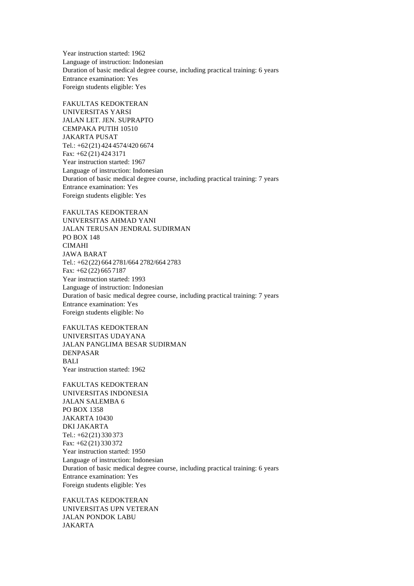Year instruction started: 1962 Language of instruction: Indonesian Duration of basic medical degree course, including practical training: 6 years Entrance examination: Yes Foreign students eligible: Yes

FAKULTAS KEDOKTERAN UNIVERSITAS YARSI JALAN LET. JEN. SUPRAPTO CEMPAKA PUTIH 10510 JAKARTA PUSAT Tel.: +62(21) 424 4574/420 6674 Fax: +62 (21) 424 3171 Year instruction started: 1967 Language of instruction: Indonesian Duration of basic medical degree course, including practical training: 7 years Entrance examination: Yes Foreign students eligible: Yes

FAKULTAS KEDOKTERAN UNIVERSITAS AHMAD YANI JALAN TERUSAN JENDRAL SUDIRMAN PO BOX 148 CIMAHI JAWA BARAT Tel.: +62(22) 664 2781/664 2782/664 2783 Fax: +62 (22) 665 7187 Year instruction started: 1993 Language of instruction: Indonesian Duration of basic medical degree course, including practical training: 7 years Entrance examination: Yes Foreign students eligible: No

FAKULTAS KEDOKTERAN UNIVERSITAS UDAYANA JALAN PANGLIMA BESAR SUDIRMAN DENPASAR BALI Year instruction started: 1962

FAKULTAS KEDOKTERAN UNIVERSITAS INDONESIA JALAN SALEMBA 6 PO BOX 1358 JAKARTA 10430 DKI JAKARTA Tel.: +62(21) 330 373 Fax: +62 (21) 330 372 Year instruction started: 1950 Language of instruction: Indonesian Duration of basic medical degree course, including practical training: 6 years Entrance examination: Yes Foreign students eligible: Yes

FAKULTAS KEDOKTERAN UNIVERSITAS UPN VETERAN JALAN PONDOK LABU JAKARTA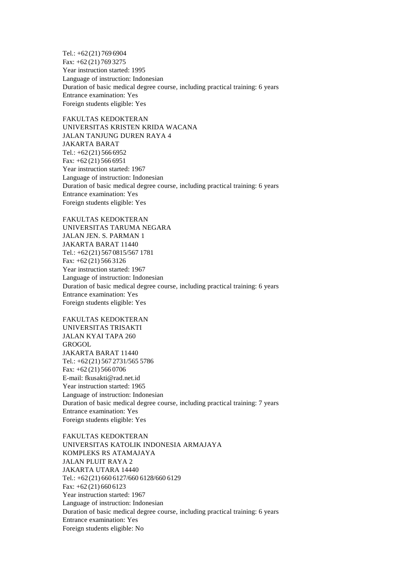Tel.: +62(21) 769 6904 Fax: +62 (21) 769 3275 Year instruction started: 1995 Language of instruction: Indonesian Duration of basic medical degree course, including practical training: 6 years Entrance examination: Yes Foreign students eligible: Yes

FAKULTAS KEDOKTERAN UNIVERSITAS KRISTEN KRIDA WACANA JALAN TANJUNG DUREN RAYA 4 JAKARTA BARAT Tel.:  $+62(21)$  566 6952 Fax: +62 (21) 566 6951 Year instruction started: 1967 Language of instruction: Indonesian Duration of basic medical degree course, including practical training: 6 years Entrance examination: Yes Foreign students eligible: Yes

FAKULTAS KEDOKTERAN UNIVERSITAS TARUMA NEGARA JALAN JEN. S. PARMAN 1 JAKARTA BARAT 11440 Tel.: +62(21) 567 0815/567 1781 Fax: +62 (21) 566 3126 Year instruction started: 1967 Language of instruction: Indonesian Duration of basic medical degree course, including practical training: 6 years Entrance examination: Yes Foreign students eligible: Yes

FAKULTAS KEDOKTERAN UNIVERSITAS TRISAKTI JALAN KYAI TAPA 260 GROGOL JAKARTA BARAT 11440 Tel.: +62(21) 567 2731/565 5786 Fax: +62 (21) 566 0706 E-mail: fkusakti@rad.net.id Year instruction started: 1965 Language of instruction: Indonesian Duration of basic medical degree course, including practical training: 7 years Entrance examination: Yes Foreign students eligible: Yes

FAKULTAS KEDOKTERAN UNIVERSITAS KATOLIK INDONESIA ARMAJAYA KOMPLEKS RS ATAMAJAYA JALAN PLUIT RAYA 2 JAKARTA UTARA 14440 Tel.: +62(21) 660 6127/660 6128/660 6129 Fax: +62 (21) 660 6123 Year instruction started: 1967 Language of instruction: Indonesian Duration of basic medical degree course, including practical training: 6 years Entrance examination: Yes Foreign students eligible: No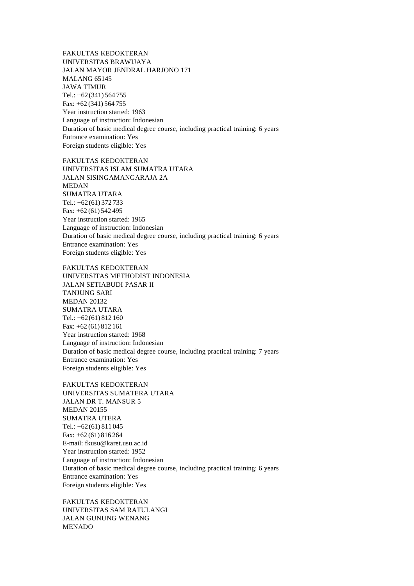FAKULTAS KEDOKTERAN UNIVERSITAS BRAWIJAYA JALAN MAYOR JENDRAL HARJONO 171 MALANG 65145 JAWA TIMUR Tel.: +62(341) 564 755 Fax: +62 (341) 564 755 Year instruction started: 1963 Language of instruction: Indonesian Duration of basic medical degree course, including practical training: 6 years Entrance examination: Yes Foreign students eligible: Yes

FAKULTAS KEDOKTERAN UNIVERSITAS ISLAM SUMATRA UTARA JALAN SISINGAMANGARAJA 2A MEDAN SUMATRA UTARA Tel.: +62(61) 372 733 Fax: +62 (61) 542 495 Year instruction started: 1965 Language of instruction: Indonesian Duration of basic medical degree course, including practical training: 6 years Entrance examination: Yes Foreign students eligible: Yes

FAKULTAS KEDOKTERAN UNIVERSITAS METHODIST INDONESIA JALAN SETIABUDI PASAR II TANJUNG SARI MEDAN 20132 SUMATRA UTARA Tel.: +62(61) 812 160 Fax: +62 (61) 812 161 Year instruction started: 1968 Language of instruction: Indonesian Duration of basic medical degree course, including practical training: 7 years Entrance examination: Yes Foreign students eligible: Yes

FAKULTAS KEDOKTERAN UNIVERSITAS SUMATERA UTARA JALAN DR T. MANSUR 5 MEDAN 20155 SUMATRA UTERA Tel.: +62(61) 811 045 Fax: +62 (61) 816 264 E-mail: fkusu@karet.usu.ac.id Year instruction started: 1952 Language of instruction: Indonesian Duration of basic medical degree course, including practical training: 6 years Entrance examination: Yes Foreign students eligible: Yes

FAKULTAS KEDOKTERAN UNIVERSITAS SAM RATULANGI JALAN GUNUNG WENANG MENADO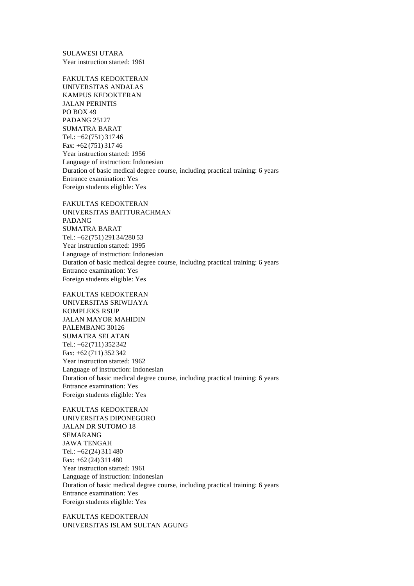SULAWESI UTARA Year instruction started: 1961

FAKULTAS KEDOKTERAN UNIVERSITAS ANDALAS KAMPUS KEDOKTERAN JALAN PERINTIS PO BOX 49 PADANG 25127 SUMATRA BARAT Tel.: +62(751) 317 46 Fax: +62 (751) 317 46 Year instruction started: 1956 Language of instruction: Indonesian Duration of basic medical degree course, including practical training: 6 years Entrance examination: Yes Foreign students eligible: Yes

FAKULTAS KEDOKTERAN UNIVERSITAS BAITTURACHMAN PADANG SUMATRA BARAT Tel.: +62(751) 291 34/280 53 Year instruction started: 1995 Language of instruction: Indonesian Duration of basic medical degree course, including practical training: 6 years Entrance examination: Yes Foreign students eligible: Yes

FAKULTAS KEDOKTERAN UNIVERSITAS SRIWIJAYA KOMPLEKS RSUP JALAN MAYOR MAHIDIN PALEMBANG 30126 SUMATRA SELATAN Tel.: +62(711) 352 342 Fax: +62 (711) 352 342 Year instruction started: 1962 Language of instruction: Indonesian Duration of basic medical degree course, including practical training: 6 years Entrance examination: Yes Foreign students eligible: Yes

FAKULTAS KEDOKTERAN UNIVERSITAS DIPONEGORO JALAN DR SUTOMO 18 SEMARANG JAWA TENGAH Tel.: +62(24) 311 480 Fax: +62 (24) 311 480 Year instruction started: 1961 Language of instruction: Indonesian Duration of basic medical degree course, including practical training: 6 years Entrance examination: Yes Foreign students eligible: Yes

FAKULTAS KEDOKTERAN UNIVERSITAS ISLAM SULTAN AGUNG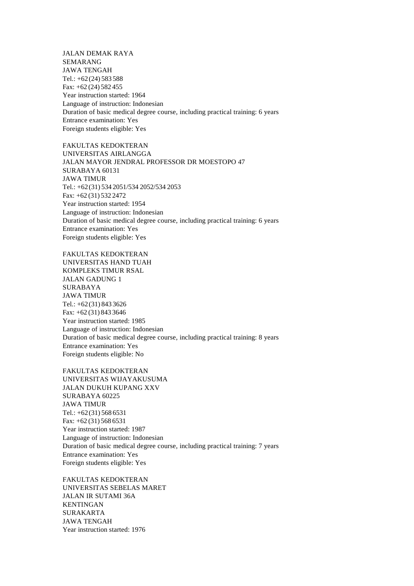JALAN DEMAK RAYA SEMARANG JAWA TENGAH Tel.: +62(24) 583 588 Fax: +62 (24) 582 455 Year instruction started: 1964 Language of instruction: Indonesian Duration of basic medical degree course, including practical training: 6 years Entrance examination: Yes Foreign students eligible: Yes

FAKULTAS KEDOKTERAN UNIVERSITAS AIRLANGGA JALAN MAYOR JENDRAL PROFESSOR DR MOESTOPO 47 SURABAYA 60131 JAWA TIMUR Tel.: +62(31) 534 2051/534 2052/534 2053 Fax: +62 (31) 532 2472 Year instruction started: 1954 Language of instruction: Indonesian Duration of basic medical degree course, including practical training: 6 years Entrance examination: Yes Foreign students eligible: Yes

FAKULTAS KEDOKTERAN UNIVERSITAS HAND TUAH KOMPLEKS TIMUR RSAL JALAN GADUNG 1 SURABAYA JAWA TIMUR Tel.: +62(31) 843 3626 Fax: +62 (31) 843 3646 Year instruction started: 1985 Language of instruction: Indonesian Duration of basic medical degree course, including practical training: 8 years Entrance examination: Yes Foreign students eligible: No

FAKULTAS KEDOKTERAN UNIVERSITAS WIJAYAKUSUMA JALAN DUKUH KUPANG XXV SURABAYA 60225 JAWA TIMUR Tel.: +62(31) 568 6531 Fax: +62 (31) 568 6531 Year instruction started: 1987 Language of instruction: Indonesian Duration of basic medical degree course, including practical training: 7 years Entrance examination: Yes Foreign students eligible: Yes

FAKULTAS KEDOKTERAN UNIVERSITAS SEBELAS MARET JALAN IR SUTAMI 36A KENTINGAN SURAKARTA JAWA TENGAH Year instruction started: 1976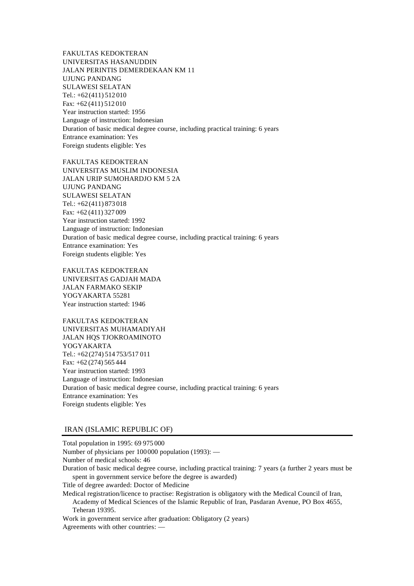FAKULTAS KEDOKTERAN UNIVERSITAS HASANUDDIN JALAN PERINTIS DEMERDEKAAN KM 11 UJUNG PANDANG SULAWESI SELATAN Tel.: +62(411) 512 010 Fax: +62 (411) 512 010 Year instruction started: 1956 Language of instruction: Indonesian Duration of basic medical degree course, including practical training: 6 years Entrance examination: Yes Foreign students eligible: Yes

FAKULTAS KEDOKTERAN UNIVERSITAS MUSLIM INDONESIA JALAN URIP SUMOHARDJO KM 5 2A UJUNG PANDANG SULAWESI SELATAN Tel.: +62(411) 873 018 Fax: +62 (411) 327 009 Year instruction started: 1992 Language of instruction: Indonesian Duration of basic medical degree course, including practical training: 6 years Entrance examination: Yes Foreign students eligible: Yes

FAKULTAS KEDOKTERAN UNIVERSITAS GADJAH MADA JALAN FARMAKO SEKIP YOGYAKARTA 55281 Year instruction started: 1946

FAKULTAS KEDOKTERAN UNIVERSITAS MUHAMADIYAH JALAN HQS TJOKROAMINOTO YOGYAKARTA Tel.: +62(274) 514 753/517 011 Fax: +62 (274) 565 444 Year instruction started: 1993 Language of instruction: Indonesian Duration of basic medical degree course, including practical training: 6 years Entrance examination: Yes Foreign students eligible: Yes

# IRAN (ISLAMIC REPUBLIC OF)

Total population in 1995: 69 975 000 Number of physicians per 100000 population (1993): — Number of medical schools: 46 Duration of basic medical degree course, including practical training: 7 years (a further 2 years must be spent in government service before the degree is awarded) Title of degree awarded: Doctor of Medicine Medical registration/licence to practise: Registration is obligatory with the Medical Council of Iran, Academy of Medical Sciences of the Islamic Republic of Iran, Pasdaran Avenue, PO Box 4655, Teheran 19395. Work in government service after graduation: Obligatory (2 years) Agreements with other countries: —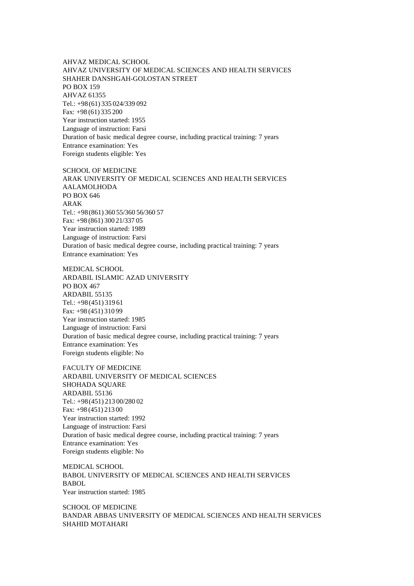AHVAZ MEDICAL SCHOOL AHVAZ UNIVERSITY OF MEDICAL SCIENCES AND HEALTH SERVICES SHAHER DANSHGAH-GOLOSTAN STREET PO BOX 159 AHVAZ 61355 Tel.: +98(61) 335 024/339 092 Fax: +98 (61) 335 200 Year instruction started: 1955 Language of instruction: Farsi Duration of basic medical degree course, including practical training: 7 years Entrance examination: Yes Foreign students eligible: Yes

SCHOOL OF MEDICINE ARAK UNIVERSITY OF MEDICAL SCIENCES AND HEALTH SERVICES AALAMOLHODA PO BOX 646 ARAK Tel.: +98(861) 360 55/360 56/360 57 Fax: +98 (861) 300 21/337 05 Year instruction started: 1989 Language of instruction: Farsi Duration of basic medical degree course, including practical training: 7 years Entrance examination: Yes

MEDICAL SCHOOL ARDABIL ISLAMIC AZAD UNIVERSITY PO BOX 467 ARDABIL 55135 Tel.: +98(451) 319 61 Fax: +98 (451) 310 99 Year instruction started: 1985 Language of instruction: Farsi Duration of basic medical degree course, including practical training: 7 years Entrance examination: Yes Foreign students eligible: No

FACULTY OF MEDICINE ARDABIL UNIVERSITY OF MEDICAL SCIENCES SHOHADA SQUARE ARDABIL 55136 Tel.: +98(451) 213 00/280 02 Fax: +98 (451) 213 00 Year instruction started: 1992 Language of instruction: Farsi Duration of basic medical degree course, including practical training: 7 years Entrance examination: Yes Foreign students eligible: No

MEDICAL SCHOOL BABOL UNIVERSITY OF MEDICAL SCIENCES AND HEALTH SERVICES BABOL Year instruction started: 1985

SCHOOL OF MEDICINE BANDAR ABBAS UNIVERSITY OF MEDICAL SCIENCES AND HEALTH SERVICES SHAHID MOTAHARI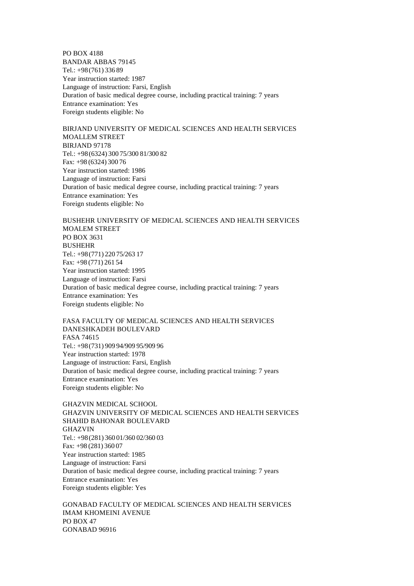PO BOX 4188 BANDAR ABBAS 79145 Tel.: +98(761) 336 89 Year instruction started: 1987 Language of instruction: Farsi, English Duration of basic medical degree course, including practical training: 7 years Entrance examination: Yes Foreign students eligible: No

BIRJAND UNIVERSITY OF MEDICAL SCIENCES AND HEALTH SERVICES MOALLEM STREET BIRJAND 97178 Tel.: +98(6324) 300 75/300 81/300 82 Fax: +98 (6324) 300 76 Year instruction started: 1986 Language of instruction: Farsi Duration of basic medical degree course, including practical training: 7 years Entrance examination: Yes Foreign students eligible: No

BUSHEHR UNIVERSITY OF MEDICAL SCIENCES AND HEALTH SERVICES MOALEM STREET PO BOX 3631 BUSHEHR Tel.: +98(771) 220 75/263 17 Fax: +98 (771) 261 54 Year instruction started: 1995 Language of instruction: Farsi Duration of basic medical degree course, including practical training: 7 years Entrance examination: Yes Foreign students eligible: No

FASA FACULTY OF MEDICAL SCIENCES AND HEALTH SERVICES DANESHKADEH BOULEVARD FASA 74615 Tel.: +98(731) 909 94/909 95/909 96 Year instruction started: 1978 Language of instruction: Farsi, English Duration of basic medical degree course, including practical training: 7 years Entrance examination: Yes Foreign students eligible: No

GHAZVIN MEDICAL SCHOOL GHAZVIN UNIVERSITY OF MEDICAL SCIENCES AND HEALTH SERVICES SHAHID BAHONAR BOULEVARD GHAZVIN Tel.: +98(281) 360 01/360 02/360 03 Fax: +98 (281) 360 07 Year instruction started: 1985 Language of instruction: Farsi Duration of basic medical degree course, including practical training: 7 years Entrance examination: Yes Foreign students eligible: Yes

GONABAD FACULTY OF MEDICAL SCIENCES AND HEALTH SERVICES IMAM KHOMEINI AVENUE PO BOX 47 GONABAD 96916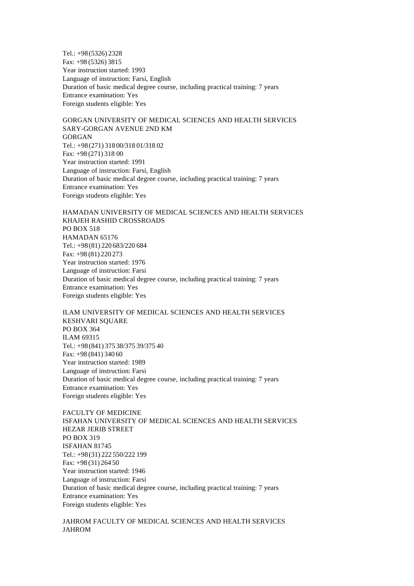Tel.: +98(5326) 2328 Fax: +98 (5326) 3815 Year instruction started: 1993 Language of instruction: Farsi, English Duration of basic medical degree course, including practical training: 7 years Entrance examination: Yes Foreign students eligible: Yes

GORGAN UNIVERSITY OF MEDICAL SCIENCES AND HEALTH SERVICES SARY-GORGAN AVENUE 2ND KM GORGAN Tel.: +98(271) 318 00/318 01/318 02 Fax: +98 (271) 318 00 Year instruction started: 1991 Language of instruction: Farsi, English Duration of basic medical degree course, including practical training: 7 years Entrance examination: Yes Foreign students eligible: Yes

HAMADAN UNIVERSITY OF MEDICAL SCIENCES AND HEALTH SERVICES KHAJEH RASHID CROSSROADS PO BOX 518 HAMADAN 65176 Tel.: +98(81) 220 683/220 684 Fax: +98 (81) 220 273 Year instruction started: 1976 Language of instruction: Farsi Duration of basic medical degree course, including practical training: 7 years Entrance examination: Yes Foreign students eligible: Yes

ILAM UNIVERSITY OF MEDICAL SCIENCES AND HEALTH SERVICES KESHVARI SQUARE PO BOX 364 ILAM 69315 Tel.: +98(841) 375 38/375 39/375 40 Fax: +98 (841) 340 60 Year instruction started: 1989 Language of instruction: Farsi Duration of basic medical degree course, including practical training: 7 years Entrance examination: Yes Foreign students eligible: Yes

FACULTY OF MEDICINE ISFAHAN UNIVERSITY OF MEDICAL SCIENCES AND HEALTH SERVICES HEZAR JERIB STREET PO BOX 319 ISFAHAN 81745 Tel.: +98(31) 222 550/222 199 Fax: +98 (31) 264 50 Year instruction started: 1946 Language of instruction: Farsi Duration of basic medical degree course, including practical training: 7 years Entrance examination: Yes Foreign students eligible: Yes

# JAHROM FACULTY OF MEDICAL SCIENCES AND HEALTH SERVICES JAHROM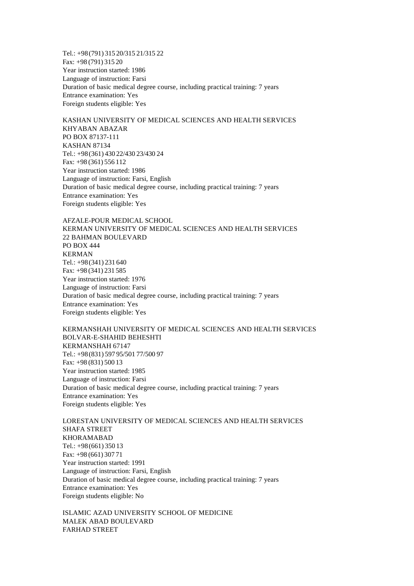Tel.: +98(791) 315 20/315 21/315 22 Fax: +98 (791) 315 20 Year instruction started: 1986 Language of instruction: Farsi Duration of basic medical degree course, including practical training: 7 years Entrance examination: Yes Foreign students eligible: Yes

KASHAN UNIVERSITY OF MEDICAL SCIENCES AND HEALTH SERVICES KHYABAN ABAZAR PO BOX 87137-111 KASHAN 87134 Tel.: +98(361) 430 22/430 23/430 24 Fax: +98 (361) 556 112 Year instruction started: 1986 Language of instruction: Farsi, English Duration of basic medical degree course, including practical training: 7 years Entrance examination: Yes Foreign students eligible: Yes

AFZALE-POUR MEDICAL SCHOOL KERMAN UNIVERSITY OF MEDICAL SCIENCES AND HEALTH SERVICES 22 BAHMAN BOULEVARD PO BOX 444 KERMAN Tel.: +98(341) 231 640 Fax: +98 (341) 231 585 Year instruction started: 1976 Language of instruction: Farsi Duration of basic medical degree course, including practical training: 7 years Entrance examination: Yes Foreign students eligible: Yes

KERMANSHAH UNIVERSITY OF MEDICAL SCIENCES AND HEALTH SERVICES BOLVAR-E-SHAHID BEHESHTI KERMANSHAH 67147 Tel.: +98(831) 597 95/501 77/500 97 Fax: +98 (831) 500 13 Year instruction started: 1985 Language of instruction: Farsi Duration of basic medical degree course, including practical training: 7 years Entrance examination: Yes Foreign students eligible: Yes

LORESTAN UNIVERSITY OF MEDICAL SCIENCES AND HEALTH SERVICES SHAFA STREET KHORAMABAD Tel.: +98(661) 350 13 Fax: +98 (661) 307 71 Year instruction started: 1991 Language of instruction: Farsi, English Duration of basic medical degree course, including practical training: 7 years Entrance examination: Yes Foreign students eligible: No

ISLAMIC AZAD UNIVERSITY SCHOOL OF MEDICINE MALEK ABAD BOULEVARD FARHAD STREET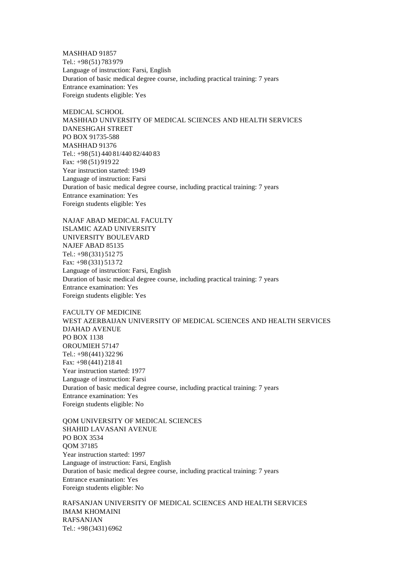MASHHAD 91857 Tel.: +98(51) 783 979 Language of instruction: Farsi, English Duration of basic medical degree course, including practical training: 7 years Entrance examination: Yes Foreign students eligible: Yes

MEDICAL SCHOOL MASHHAD UNIVERSITY OF MEDICAL SCIENCES AND HEALTH SERVICES DANESHGAH STREET PO BOX 91735-588 MASHHAD 91376 Tel.: +98(51) 440 81/440 82/440 83 Fax: +98 (51) 919 22 Year instruction started: 1949 Language of instruction: Farsi Duration of basic medical degree course, including practical training: 7 years Entrance examination: Yes Foreign students eligible: Yes

NAJAF ABAD MEDICAL FACULTY ISLAMIC AZAD UNIVERSITY UNIVERSITY BOULEVARD NAJEF ABAD 85135 Tel.: +98(331) 512 75 Fax: +98 (331) 513 72 Language of instruction: Farsi, English Duration of basic medical degree course, including practical training: 7 years Entrance examination: Yes Foreign students eligible: Yes

FACULTY OF MEDICINE WEST AZERBAIJAN UNIVERSITY OF MEDICAL SCIENCES AND HEALTH SERVICES DJAHAD AVENUE PO BOX 1138 OROUMIEH 57147 Tel.: +98(441) 322 96 Fax: +98 (441) 218 41 Year instruction started: 1977 Language of instruction: Farsi Duration of basic medical degree course, including practical training: 7 years Entrance examination: Yes Foreign students eligible: No

QOM UNIVERSITY OF MEDICAL SCIENCES SHAHID LAVASANI AVENUE PO BOX 3534 QOM 37185 Year instruction started: 1997 Language of instruction: Farsi, English Duration of basic medical degree course, including practical training: 7 years Entrance examination: Yes Foreign students eligible: No

RAFSANJAN UNIVERSITY OF MEDICAL SCIENCES AND HEALTH SERVICES IMAM KHOMAINI RAFSANJAN Tel.: +98(3431) 6962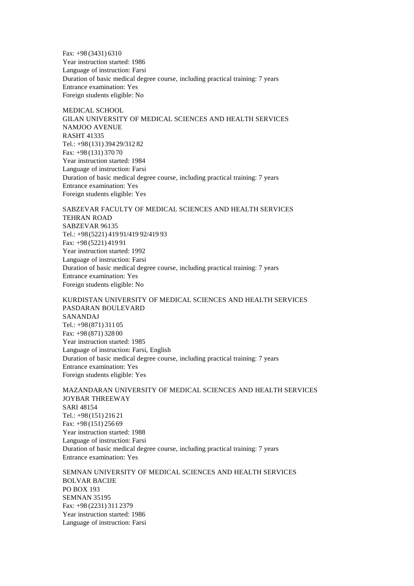Fax: +98 (3431) 6310 Year instruction started: 1986 Language of instruction: Farsi Duration of basic medical degree course, including practical training: 7 years Entrance examination: Yes Foreign students eligible: No

MEDICAL SCHOOL. GILAN UNIVERSITY OF MEDICAL SCIENCES AND HEALTH SERVICES NAMJOO AVENUE RASHT 41335 Tel.: +98(131) 394 29/312 82 Fax: +98 (131) 370 70 Year instruction started: 1984 Language of instruction: Farsi Duration of basic medical degree course, including practical training: 7 years Entrance examination: Yes Foreign students eligible: Yes

SABZEVAR FACULTY OF MEDICAL SCIENCES AND HEALTH SERVICES TEHRAN ROAD SABZEVAR 96135 Tel.: +98(5221) 419 91/419 92/419 93 Fax: +98 (5221) 419 91 Year instruction started: 1992 Language of instruction: Farsi Duration of basic medical degree course, including practical training: 7 years Entrance examination: Yes Foreign students eligible: No

KURDISTAN UNIVERSITY OF MEDICAL SCIENCES AND HEALTH SERVICES PASDARAN BOULEVARD SANANDAJ Tel.: +98(871) 311 05 Fax: +98 (871) 328 00 Year instruction started: 1985 Language of instruction: Farsi, English Duration of basic medical degree course, including practical training: 7 years Entrance examination: Yes Foreign students eligible: Yes

MAZANDARAN UNIVERSITY OF MEDICAL SCIENCES AND HEALTH SERVICES JOYBAR THREEWAY SARI 48154 Tel.: +98(151) 216 21 Fax: +98 (151) 256 69 Year instruction started: 1988 Language of instruction: Farsi Duration of basic medical degree course, including practical training: 7 years Entrance examination: Yes

SEMNAN UNIVERSITY OF MEDICAL SCIENCES AND HEALTH SERVICES BOLVAR BACIJE PO BOX 193 SEMNAN 35195 Fax: +98 (2231) 311 2379 Year instruction started: 1986 Language of instruction: Farsi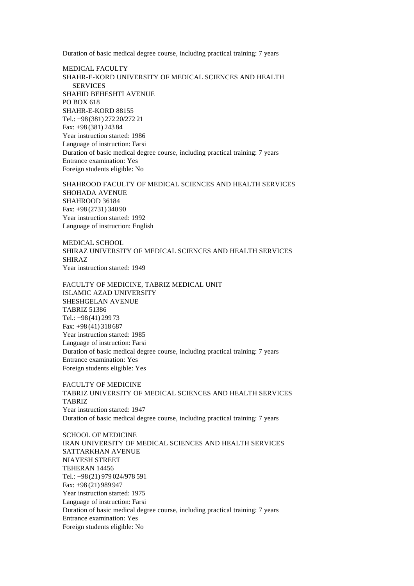Duration of basic medical degree course, including practical training: 7 years

MEDICAL FACULTY SHAHR-E-KORD UNIVERSITY OF MEDICAL SCIENCES AND HEALTH SERVICES SHAHID BEHESHTI AVENUE PO BOX 618 SHAHR-E-KORD 88155 Tel.: +98(381) 272 20/272 21 Fax: +98 (381) 243 84 Year instruction started: 1986 Language of instruction: Farsi Duration of basic medical degree course, including practical training: 7 years Entrance examination: Yes Foreign students eligible: No

SHAHROOD FACULTY OF MEDICAL SCIENCES AND HEALTH SERVICES SHOHADA AVENUE SHAHROOD 36184 Fax: +98 (2731) 340 90 Year instruction started: 1992 Language of instruction: English

MEDICAL SCHOOL SHIRAZ UNIVERSITY OF MEDICAL SCIENCES AND HEALTH SERVICES SHIRAZ Year instruction started: 1949

FACULTY OF MEDICINE, TABRIZ MEDICAL UNIT ISLAMIC AZAD UNIVERSITY SHESHGELAN AVENUE TABRIZ 51386 Tel.: +98(41) 299 73 Fax: +98 (41) 318 687 Year instruction started: 1985 Language of instruction: Farsi Duration of basic medical degree course, including practical training: 7 years Entrance examination: Yes Foreign students eligible: Yes

FACULTY OF MEDICINE TABRIZ UNIVERSITY OF MEDICAL SCIENCES AND HEALTH SERVICES TABRIZ Year instruction started: 1947 Duration of basic medical degree course, including practical training: 7 years

SCHOOL OF MEDICINE IRAN UNIVERSITY OF MEDICAL SCIENCES AND HEALTH SERVICES SATTARKHAN AVENUE NIAYESH STREET TEHERAN 14456 Tel.: +98(21) 979 024/978 591 Fax: +98 (21) 989 947 Year instruction started: 1975 Language of instruction: Farsi Duration of basic medical degree course, including practical training: 7 years Entrance examination: Yes Foreign students eligible: No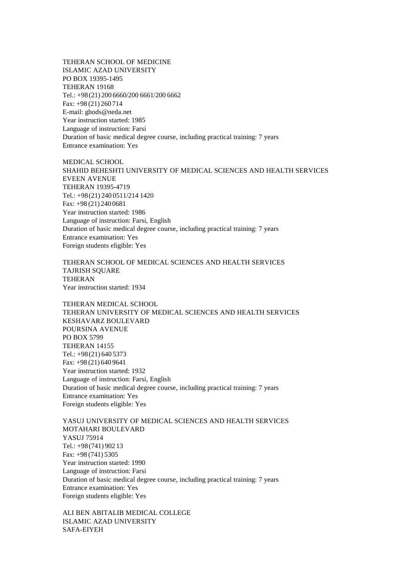TEHERAN SCHOOL OF MEDICINE ISLAMIC AZAD UNIVERSITY PO BOX 19395-1495 TEHERAN 19168 Tel.: +98(21) 200 6660/200 6661/200 6662 Fax: +98 (21) 260 714 E-mail: ghods@neda.net Year instruction started: 1985 Language of instruction: Farsi Duration of basic medical degree course, including practical training: 7 years Entrance examination: Yes

MEDICAL SCHOOL SHAHID BEHESHTI UNIVERSITY OF MEDICAL SCIENCES AND HEALTH SERVICES EVEEN AVENUE TEHERAN 19395-4719 Tel.: +98(21) 240 0511/214 1420 Fax: +98 (21) 240 0681 Year instruction started: 1986 Language of instruction: Farsi, English Duration of basic medical degree course, including practical training: 7 years Entrance examination: Yes Foreign students eligible: Yes

TEHERAN SCHOOL OF MEDICAL SCIENCES AND HEALTH SERVICES TAJRISH SQUARE **TEHERAN** Year instruction started: 1934

TEHERAN MEDICAL SCHOOL TEHERAN UNIVERSITY OF MEDICAL SCIENCES AND HEALTH SERVICES KESHAVARZ BOULEVARD POURSINA AVENUE PO BOX 5799 TEHERAN 14155 Tel.: +98(21) 640 5373 Fax: +98 (21) 640 9641 Year instruction started: 1932 Language of instruction: Farsi, English Duration of basic medical degree course, including practical training: 7 years Entrance examination: Yes Foreign students eligible: Yes

YASUJ UNIVERSITY OF MEDICAL SCIENCES AND HEALTH SERVICES MOTAHARI BOULEVARD YASUJ 75914 Tel.: +98(741) 902 13 Fax: +98 (741) 5305 Year instruction started: 1990 Language of instruction: Farsi Duration of basic medical degree course, including practical training: 7 years Entrance examination: Yes Foreign students eligible: Yes

ALI BEN ABITALIB MEDICAL COLLEGE ISLAMIC AZAD UNIVERSITY SAFA-EIYEH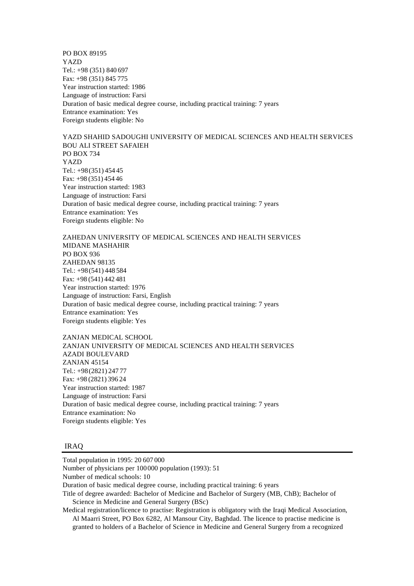PO BOX 89195 YAZD Tel.: +98 (351) 840 697 Fax: +98 (351) 845 775 Year instruction started: 1986 Language of instruction: Farsi Duration of basic medical degree course, including practical training: 7 years Entrance examination: Yes Foreign students eligible: No

YAZD SHAHID SADOUGHI UNIVERSITY OF MEDICAL SCIENCES AND HEALTH SERVICES BOU ALI STREET SAFAIEH PO BOX 734 YAZD Tel.: +98(351) 454 45 Fax: +98 (351) 454 46 Year instruction started: 1983 Language of instruction: Farsi Duration of basic medical degree course, including practical training: 7 years Entrance examination: Yes Foreign students eligible: No

ZAHEDAN UNIVERSITY OF MEDICAL SCIENCES AND HEALTH SERVICES MIDANE MASHAHIR PO BOX 936 ZAHEDAN 98135 Tel.: +98(541) 448 584 Fax: +98 (541) 442 481 Year instruction started: 1976 Language of instruction: Farsi, English Duration of basic medical degree course, including practical training: 7 years Entrance examination: Yes Foreign students eligible: Yes

ZANJAN MEDICAL SCHOOL ZANJAN UNIVERSITY OF MEDICAL SCIENCES AND HEALTH SERVICES AZADI BOULEVARD ZANJAN 45154 Tel.: +98(2821) 247 77 Fax: +98 (2821) 396 24 Year instruction started: 1987 Language of instruction: Farsi Duration of basic medical degree course, including practical training: 7 years Entrance examination: No Foreign students eligible: Yes

## IRAQ

Total population in 1995: 20 607 000

Number of physicians per 100000 population (1993): 51

Number of medical schools: 10

Duration of basic medical degree course, including practical training: 6 years

Title of degree awarded: Bachelor of Medicine and Bachelor of Surgery (MB, ChB); Bachelor of Science in Medicine and General Surgery (BSc)

Medical registration/licence to practise: Registration is obligatory with the Iraqi Medical Association, Al Maarri Street, PO Box 6282, Al Mansour City, Baghdad. The licence to practise medicine is granted to holders of a Bachelor of Science in Medicine and General Surgery from a recognized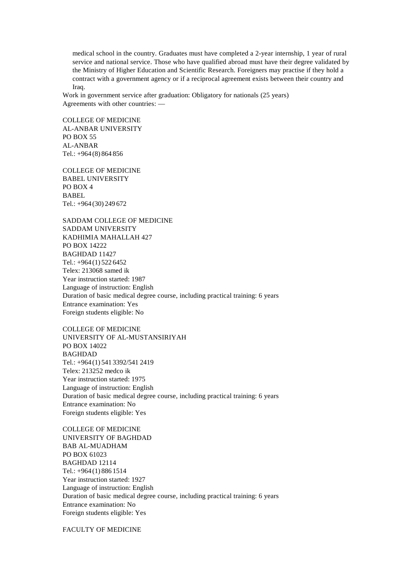medical school in the country. Graduates must have completed a 2-year internship, 1 year of rural service and national service. Those who have qualified abroad must have their degree validated by the Ministry of Higher Education and Scientific Research. Foreigners may practise if they hold a contract with a government agency or if a reciprocal agreement exists between their country and Iraq.

Work in government service after graduation: Obligatory for nationals (25 years) Agreements with other countries: —

COLLEGE OF MEDICINE AL-ANBAR UNIVERSITY PO BOX 55 AL-ANBAR Tel.: +964 (8) 864 856

COLLEGE OF MEDICINE BABEL UNIVERSITY PO BOX 4 **BABEL** Tel.: +964 (30) 249 672

SADDAM COLLEGE OF MEDICINE SADDAM UNIVERSITY KADHIMIA MAHALLAH 427 PO BOX 14222 BAGHDAD 11427 Tel.: +964 (1) 522 6452 Telex: 213068 samed ik Year instruction started: 1987 Language of instruction: English Duration of basic medical degree course, including practical training: 6 years Entrance examination: Yes Foreign students eligible: No

COLLEGE OF MEDICINE UNIVERSITY OF AL-MUSTANSIRIYAH PO BOX 14022 BAGHDAD Tel.: +964 (1) 541 3392/541 2419 Telex: 213252 medco ik Year instruction started: 1975 Language of instruction: English Duration of basic medical degree course, including practical training: 6 years Entrance examination: No Foreign students eligible: Yes

COLLEGE OF MEDICINE UNIVERSITY OF BAGHDAD BAB AL-MUADHAM PO BOX 61023 BAGHDAD 12114 Tel.: +964 (1) 886 1514 Year instruction started: 1927 Language of instruction: English Duration of basic medical degree course, including practical training: 6 years Entrance examination: No Foreign students eligible: Yes

FACULTY OF MEDICINE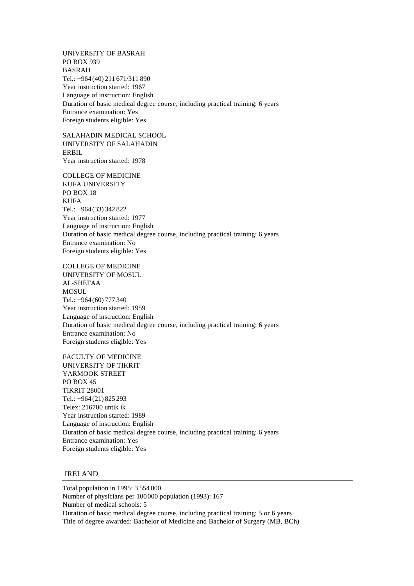UNIVERSITY OF BASRAH PO BOX 939 BASRAH Tel.: +964 (40) 211 671/311 890 Year instruction started: 1967 Language of instruction: English Duration of basic medical degree course, including practical training: 6 years Entrance examination: Yes Foreign students eligible: Yes

SALAHADIN MEDICAL SCHOOL UNIVERSITY OF SALAHADIN ERBIL Year instruction started: 1978

COLLEGE OF MEDICINE KUFA UNIVERSITY PO BOX 18 KUFA Tel.: +964 (33) 342 822 Year instruction started: 1977 Language of instruction: English Duration of basic medical degree course, including practical training: 6 years Entrance examination: No Foreign students eligible: Yes

COLLEGE OF MEDICINE UNIVERSITY OF MOSUL AL-SHEFAA **MOSUL** Tel.: +964 (60) 777 340 Year instruction started: 1959 Language of instruction: English Duration of basic medical degree course, including practical training: 6 years Entrance examination: No Foreign students eligible: Yes

FACULTY OF MEDICINE UNIVERSITY OF TIKRIT YARMOOK STREET PO BOX 45 TIKRIT 28001 Tel.: +964 (21) 825 293 Telex: 216700 untik ik Year instruction started: 1989 Language of instruction: English Duration of basic medical degree course, including practical training: 6 years Entrance examination: Yes Foreign students eligible: Yes

## IRELAND

Total population in 1995: 3 554 000 Number of physicians per 100000 population (1993): 167 Number of medical schools: 5 Duration of basic medical degree course, including practical training: 5 or 6 years Title of degree awarded: Bachelor of Medicine and Bachelor of Surgery (MB, BCh)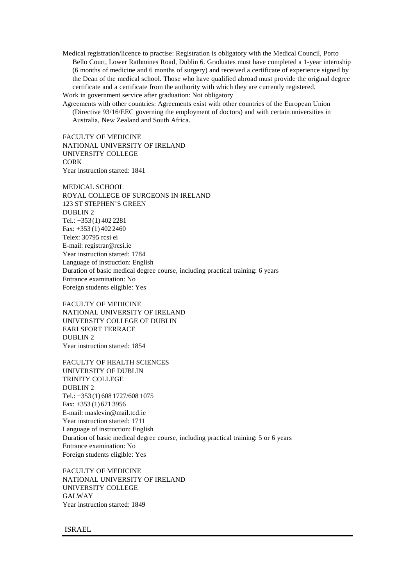Medical registration/licence to practise: Registration is obligatory with the Medical Council, Porto Bello Court, Lower Rathmines Road, Dublin 6. Graduates must have completed a 1-year internship (6 months of medicine and 6 months of surgery) and received a certificate of experience signed by the Dean of the medical school. Those who have qualified abroad must provide the original degree certificate and a certificate from the authority with which they are currently registered. Work in government service after graduation: Not obligatory

Agreements with other countries: Agreements exist with other countries of the European Union (Directive 93/16/EEC governing the employment of doctors) and with certain universities in Australia, New Zealand and South Africa.

FACULTY OF MEDICINE NATIONAL UNIVERSITY OF IRELAND UNIVERSITY COLLEGE CORK Year instruction started: 1841

MEDICAL SCHOOL ROYAL COLLEGE OF SURGEONS IN IRELAND 123 ST STEPHEN'S GREEN DUBLIN 2 Tel.: +353 (1) 402 2281 Fax: +353 (1) 402 2460 Telex: 30795 rcsi ei E-mail: registrar@rcsi.ie Year instruction started: 1784 Language of instruction: English Duration of basic medical degree course, including practical training: 6 years Entrance examination: No Foreign students eligible: Yes

FACULTY OF MEDICINE NATIONAL UNIVERSITY OF IRELAND UNIVERSITY COLLEGE OF DUBLIN EARLSFORT TERRACE DUBLIN 2 Year instruction started: 1854

FACULTY OF HEALTH SCIENCES UNIVERSITY OF DUBLIN TRINITY COLLEGE DUBLIN 2 Tel.: +353 (1) 608 1727/608 1075 Fax: +353 (1) 671 3956 E-mail: maslevin@mail.tcd.ie Year instruction started: 1711 Language of instruction: English Duration of basic medical degree course, including practical training: 5 or 6 years Entrance examination: No Foreign students eligible: Yes

FACULTY OF MEDICINE NATIONAL UNIVERSITY OF IRELAND UNIVERSITY COLLEGE GALWAY Year instruction started: 1849

ISRAEL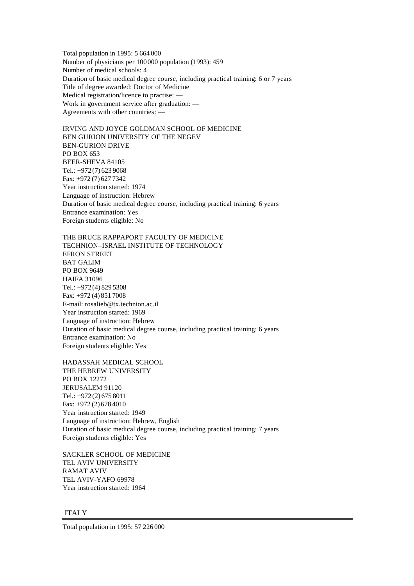Total population in 1995: 5 664 000 Number of physicians per 100000 population (1993): 459 Number of medical schools: 4 Duration of basic medical degree course, including practical training: 6 or 7 years Title of degree awarded: Doctor of Medicine Medical registration/licence to practise: — Work in government service after graduation: — Agreements with other countries: —

IRVING AND JOYCE GOLDMAN SCHOOL OF MEDICINE BEN GURION UNIVERSITY OF THE NEGEV BEN-GURION DRIVE PO BOX 653 BEER-SHEVA 84105 Tel.: +972 (7) 623 9068 Fax: +972 (7) 627 7342 Year instruction started: 1974 Language of instruction: Hebrew Duration of basic medical degree course, including practical training: 6 years Entrance examination: Yes Foreign students eligible: No

THE BRUCE RAPPAPORT FACULTY OF MEDICINE TECHNION–ISRAEL INSTITUTE OF TECHNOLOGY EFRON STREET BAT GALIM PO BOX 9649 HAIFA 31096 Tel.: +972 (4) 829 5308 Fax: +972 (4) 851 7008 E-mail: rosalieb@tx.technion.ac.il Year instruction started: 1969 Language of instruction: Hebrew Duration of basic medical degree course, including practical training: 6 years Entrance examination: No Foreign students eligible: Yes

HADASSAH MEDICAL SCHOOL THE HEBREW UNIVERSITY PO BOX 12272 JERUSALEM 91120 Tel.: +972 (2) 675 8011 Fax: +972 (2) 678 4010 Year instruction started: 1949 Language of instruction: Hebrew, English Duration of basic medical degree course, including practical training: 7 years Foreign students eligible: Yes

SACKLER SCHOOL OF MEDICINE TEL AVIV UNIVERSITY RAMAT AVIV TEL AVIV-YAFO 69978 Year instruction started: 1964

## ITALY

Total population in 1995: 57 226 000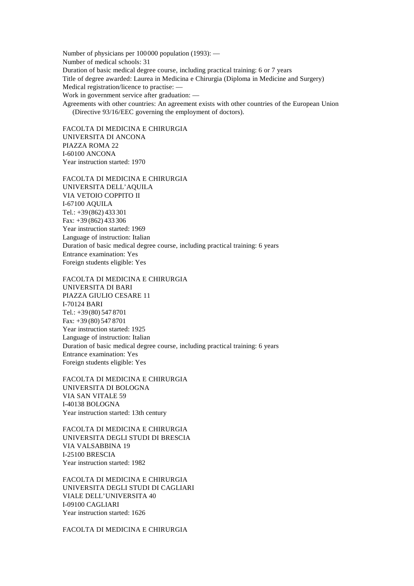Number of physicians per 100000 population (1993): — Number of medical schools: 31 Duration of basic medical degree course, including practical training: 6 or 7 years Title of degree awarded: Laurea in Medicina e Chirurgia (Diploma in Medicine and Surgery) Medical registration/licence to practise: — Work in government service after graduation: — Agreements with other countries: An agreement exists with other countries of the European Union (Directive 93/16/EEC governing the employment of doctors).

FACOLTA DI MEDICINA E CHIRURGIA UNIVERSITA DI ANCONA PIAZZA ROMA 22 I-60100 ANCONA Year instruction started: 1970

FACOLTA DI MEDICINA E CHIRURGIA UNIVERSITA DELL'AQUILA VIA VETOIO COPPITO II I-67100 AQUILA Tel.: +39(862) 433 301 Fax: +39 (862) 433 306 Year instruction started: 1969 Language of instruction: Italian Duration of basic medical degree course, including practical training: 6 years Entrance examination: Yes Foreign students eligible: Yes

FACOLTA DI MEDICINA E CHIRURGIA UNIVERSITA DI BARI PIAZZA GIULIO CESARE 11 I-70124 BARI Tel.: +39(80) 547 8701 Fax: +39 (80) 547 8701 Year instruction started: 1925 Language of instruction: Italian Duration of basic medical degree course, including practical training: 6 years Entrance examination: Yes Foreign students eligible: Yes

FACOLTA DI MEDICINA E CHIRURGIA UNIVERSITA DI BOLOGNA VIA SAN VITALE 59 I-40138 BOLOGNA Year instruction started: 13th century

FACOLTA DI MEDICINA E CHIRURGIA UNIVERSITA DEGLI STUDI DI BRESCIA VIA VALSABBINA 19 I-25100 BRESCIA Year instruction started: 1982

FACOLTA DI MEDICINA E CHIRURGIA UNIVERSITA DEGLI STUDI DI CAGLIARI VIALE DELL'UNIVERSITA 40 I-09100 CAGLIARI Year instruction started: 1626

FACOLTA DI MEDICINA E CHIRURGIA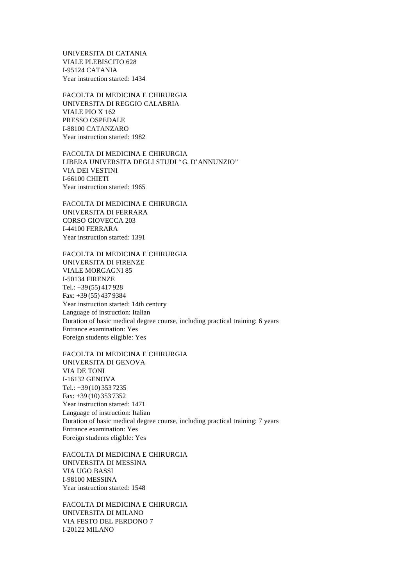UNIVERSITA DI CATANIA VIALE PLEBISCITO 628 I-95124 CATANIA Year instruction started: 1434

FACOLTA DI MEDICINA E CHIRURGIA UNIVERSITA DI REGGIO CALABRIA VIALE PIO X 162 PRESSO OSPEDALE I-88100 CATANZARO Year instruction started: 1982

FACOLTA DI MEDICINA E CHIRURGIA LIBERA UNIVERSITA DEGLI STUDI "G. D'ANNUNZIO" VIA DEI VESTINI I-66100 CHIETI Year instruction started: 1965

FACOLTA DI MEDICINA E CHIRURGIA UNIVERSITA DI FERRARA CORSO GIOVECCA 203 I-44100 FERRARA Year instruction started: 1391

FACOLTA DI MEDICINA E CHIRURGIA UNIVERSITA DI FIRENZE VIALE MORGAGNI 85 I-50134 FIRENZE Tel.: +39(55) 417 928 Fax: +39 (55) 437 9384 Year instruction started: 14th century Language of instruction: Italian Duration of basic medical degree course, including practical training: 6 years Entrance examination: Yes Foreign students eligible: Yes

FACOLTA DI MEDICINA E CHIRURGIA UNIVERSITA DI GENOVA VIA DE TONI I-16132 GENOVA Tel.: +39(10) 353 7235 Fax: +39 (10) 353 7352 Year instruction started: 1471 Language of instruction: Italian Duration of basic medical degree course, including practical training: 7 years Entrance examination: Yes Foreign students eligible: Yes

FACOLTA DI MEDICINA E CHIRURGIA UNIVERSITA DI MESSINA VIA UGO BASSI I-98100 MESSINA Year instruction started: 1548

FACOLTA DI MEDICINA E CHIRURGIA UNIVERSITA DI MILANO VIA FESTO DEL PERDONO 7 I-20122 MILANO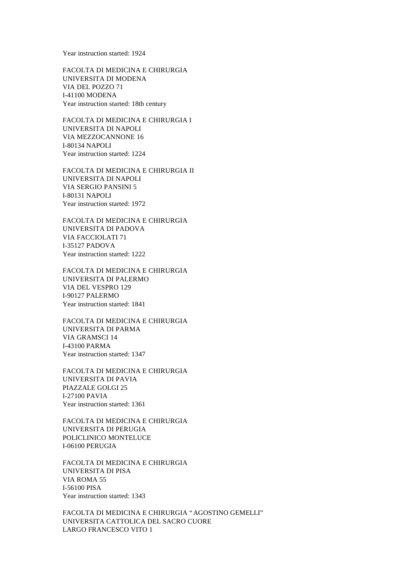Year instruction started: 1924

FACOLTA DI MEDICINA E CHIRURGIA UNIVERSITA DI MODENA VIA DEL POZZO 71 I-41100 MODENA Year instruction started: 18th century

FACOLTA DI MEDICINA E CHIRURGIA I UNIVERSITA DI NAPOLI VIA MEZZOCANNONE 16 I-80134 NAPOLI Year instruction started: 1224

FACOLTA DI MEDICINA E CHIRURGIA II UNIVERSITA DI NAPOLI VIA SERGIO PANSINI 5 I-80131 NAPOLI Year instruction started: 1972

FACOLTA DI MEDICINA E CHIRURGIA UNIVERSITA DI PADOVA VIA FACCIOLATI 71 I-35127 PADOVA Year instruction started: 1222

FACOLTA DI MEDICINA E CHIRURGIA UNIVERSITA DI PALERMO VIA DEL VESPRO 129 I-90127 PALERMO Year instruction started: 1841

FACOLTA DI MEDICINA E CHIRURGIA UNIVERSITA DI PARMA VIA GRAMSCI 14 I-43100 PARMA Year instruction started: 1347

FACOLTA DI MEDICINA E CHIRURGIA UNIVERSITA DI PAVIA PIAZZALE GOLGI 25 I-27100 PAVIA Year instruction started: 1361

FACOLTA DI MEDICINA E CHIRURGIA UNIVERSITA DI PERUGIA POLICLINICO MONTELUCE I-06100 PERUGIA

FACOLTA DI MEDICINA E CHIRURGIA UNIVERSITA DI PISA VIA ROMA 55 I-56100 PISA Year instruction started: 1343

FACOLTA DI MEDICINA E CHIRURGIA "AGOSTINO GEMELLI" UNIVERSITA CATTOLICA DEL SACRO CUORE LARGO FRANCESCO VITO 1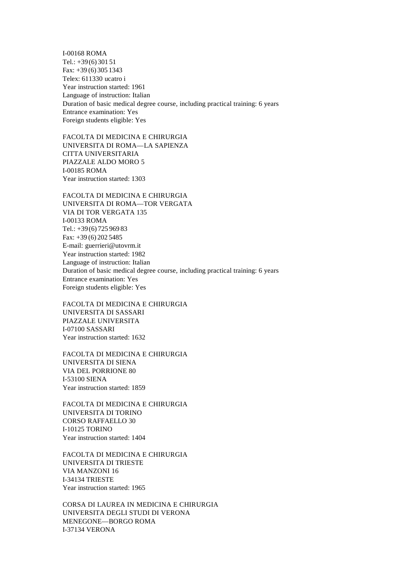I-00168 ROMA Tel.: +39(6) 301 51 Fax: +39 (6) 305 1343 Telex: 611330 ucatro i Year instruction started: 1961 Language of instruction: Italian Duration of basic medical degree course, including practical training: 6 years Entrance examination: Yes Foreign students eligible: Yes

FACOLTA DI MEDICINA E CHIRURGIA UNIVERSITA DI ROMA— LA SAPIENZA CITTA UNIVERSITARIA PIAZZALE ALDO MORO 5 I-00185 ROMA Year instruction started: 1303

FACOLTA DI MEDICINA E CHIRURGIA UNIVERSITA DI ROMA— TOR VERGATA VIA DI TOR VERGATA 135 I-00133 ROMA Tel.: +39(6) 725 969 83 Fax: +39 (6) 202 5485 E-mail: guerrieri@utovrm.it Year instruction started: 1982 Language of instruction: Italian Duration of basic medical degree course, including practical training: 6 years Entrance examination: Yes Foreign students eligible: Yes

FACOLTA DI MEDICINA E CHIRURGIA UNIVERSITA DI SASSARI PIAZZALE UNIVERSITA I-07100 SASSARI Year instruction started: 1632

FACOLTA DI MEDICINA E CHIRURGIA UNIVERSITA DI SIENA VIA DEL PORRIONE 80 I-53100 SIENA Year instruction started: 1859

FACOLTA DI MEDICINA E CHIRURGIA UNIVERSITA DI TORINO CORSO RAFFAELLO 30 I-10125 TORINO Year instruction started: 1404

FACOLTA DI MEDICINA E CHIRURGIA UNIVERSITA DI TRIESTE VIA MANZONI 16 I-34134 TRIESTE Year instruction started: 1965

CORSA DI LAUREA IN MEDICINA E CHIRURGIA UNIVERSITA DEGLI STUDI DI VERONA MENEGONE— BORGO ROMA I-37134 VERONA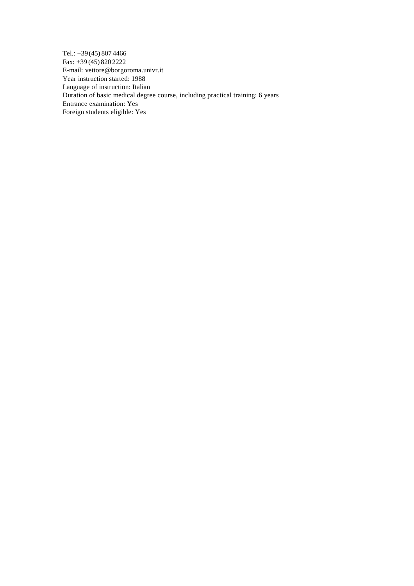Tel.: +39(45) 807 4466 Fax: +39 (45) 820 2222 E-mail: vettore@borgoroma.univr.it Year instruction started: 1988 Language of instruction: Italian Duration of basic medical degree course, including practical training: 6 years Entrance examination: Yes Foreign students eligible: Yes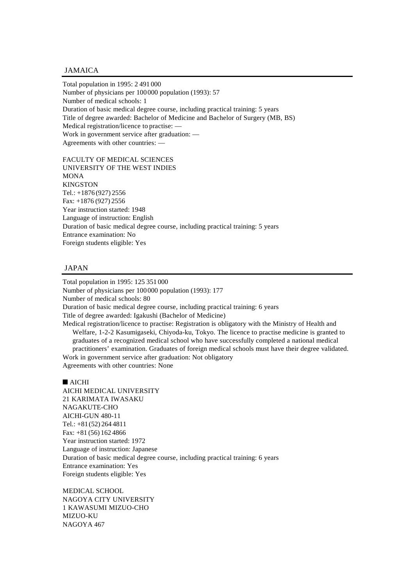# JAMAICA

Total population in 1995: 2 491 000 Number of physicians per 100000 population (1993): 57 Number of medical schools: 1 Duration of basic medical degree course, including practical training: 5 years Title of degree awarded: Bachelor of Medicine and Bachelor of Surgery (MB, BS) Medical registration/licence to practise: — Work in government service after graduation: — Agreements with other countries: —

FACULTY OF MEDICAL SCIENCES UNIVERSITY OF THE WEST INDIES **MONA** KINGSTON Tel.: +1876 (927) 2556 Fax: +1876 (927) 2556 Year instruction started: 1948 Language of instruction: English Duration of basic medical degree course, including practical training: 5 years Entrance examination: No Foreign students eligible: Yes

# JAPAN

Total population in 1995: 125 351 000 Number of physicians per 100000 population (1993): 177 Number of medical schools: 80 Duration of basic medical degree course, including practical training: 6 years Title of degree awarded: Igakushi (Bachelor of Medicine) Medical registration/licence to practise: Registration is obligatory with the Ministry of Health and Welfare, 1-2-2 Kasumigaseki, Chiyoda-ku, Tokyo. The licence to practise medicine is granted to graduates of a recognized medical school who have successfully completed a national medical practitioners' examination. Graduates of foreign medical schools must have their degree validated. Work in government service after graduation: Not obligatory Agreements with other countries: None

#### $\blacksquare$  AICHI

AICHI MEDICAL UNIVERSITY 21 KARIMATA IWASAKU NAGAKUTE-CHO AICHI-GUN 480-11 Tel.: +81(52) 264 4811 Fax: +81 (56) 162 4866 Year instruction started: 1972 Language of instruction: Japanese Duration of basic medical degree course, including practical training: 6 years Entrance examination: Yes Foreign students eligible: Yes

MEDICAL SCHOOL NAGOYA CITY UNIVERSITY 1 KAWASUMI MIZUO-CHO MIZUO-KU NAGOYA 467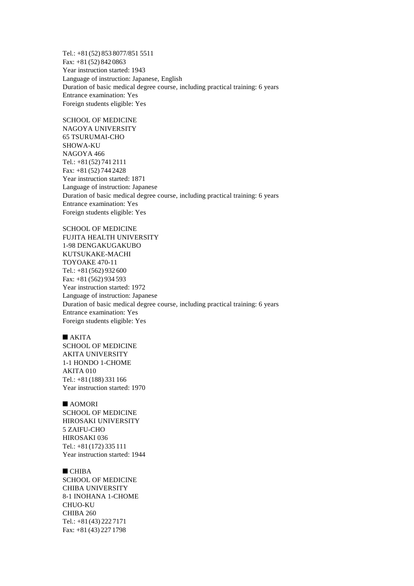Tel.: +81(52) 853 8077/851 5511 Fax: +81 (52) 842 0863 Year instruction started: 1943 Language of instruction: Japanese, English Duration of basic medical degree course, including practical training: 6 years Entrance examination: Yes Foreign students eligible: Yes

SCHOOL OF MEDICINE NAGOYA UNIVERSITY 65 TSURUMAI-CHO SHOWA-KU NAGOYA 466 Tel.: +81(52) 741 2111 Fax: +81 (52) 744 2428 Year instruction started: 1871 Language of instruction: Japanese Duration of basic medical degree course, including practical training: 6 years Entrance examination: Yes Foreign students eligible: Yes

SCHOOL OF MEDICINE FUJITA HEALTH UNIVERSITY 1-98 DENGAKUGAKUBO KUTSUKAKE-MACHI TOYOAKE 470-11 Tel.: +81(562) 932 600 Fax: +81 (562) 934 593 Year instruction started: 1972 Language of instruction: Japanese Duration of basic medical degree course, including practical training: 6 years Entrance examination: Yes Foreign students eligible: Yes

#### $\blacksquare$  AKITA

SCHOOL OF MEDICINE AKITA UNIVERSITY 1-1 HONDO 1-CHOME AKITA 010 Tel.: +81(188) 331 166 Year instruction started: 1970

#### $AOMORI$

SCHOOL OF MEDICINE HIROSAKI UNIVERSITY 5 ZAIFU-CHO HIROSAKI 036 Tel.: +81(172) 335 111 Year instruction started: 1944

## $C<sub>H</sub>IBA$

SCHOOL OF MEDICINE CHIBA UNIVERSITY 8-1 INOHANA 1-CHOME CHUO-KU CHIBA 260 Tel.: +81(43) 222 7171 Fax: +81 (43) 227 1798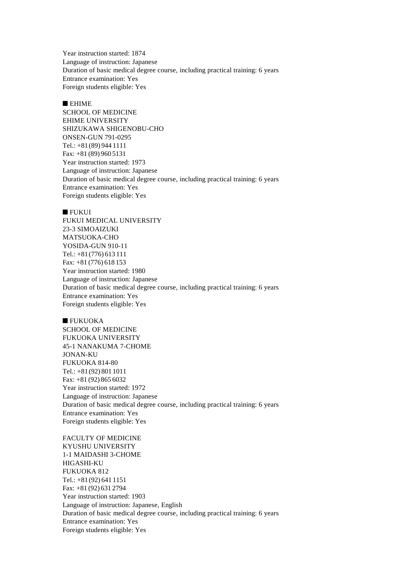Year instruction started: 1874 Language of instruction: Japanese Duration of basic medical degree course, including practical training: 6 years Entrance examination: Yes Foreign students eligible: Yes

## $E$  EHIME

SCHOOL OF MEDICINE EHIME UNIVERSITY SHIZUKAWA SHIGENOBU-CHO ONSEN-GUN 791-0295 Tel.: +81(89) 944 1111 Fax: +81 (89) 960 5131 Year instruction started: 1973 Language of instruction: Japanese Duration of basic medical degree course, including practical training: 6 years Entrance examination: Yes Foreign students eligible: Yes

#### $\blacksquare$  FUKUI

FUKUI MEDICAL UNIVERSITY 23-3 SIMOAIZUKI MATSUOKA-CHO YOSIDA-GUN 910-11 Tel.: +81(776) 613 111 Fax: +81 (776) 618 153 Year instruction started: 1980 Language of instruction: Japanese Duration of basic medical degree course, including practical training: 6 years Entrance examination: Yes Foreign students eligible: Yes

#### $\blacksquare$  FUKUOKA

SCHOOL OF MEDICINE FUKUOKA UNIVERSITY 45-1 NANAKUMA 7-CHOME JONAN-KU FUKUOKA 814-80 Tel.: +81(92) 801 1011 Fax: +81 (92) 865 6032 Year instruction started: 1972 Language of instruction: Japanese Duration of basic medical degree course, including practical training: 6 years Entrance examination: Yes Foreign students eligible: Yes

FACULTY OF MEDICINE KYUSHU UNIVERSITY 1-1 MAIDASHI 3-CHOME HIGASHI-KU FUKUOKA 812 Tel.: +81(92) 641 1151 Fax: +81 (92) 631 2794 Year instruction started: 1903 Language of instruction: Japanese, English Duration of basic medical degree course, including practical training: 6 years Entrance examination: Yes Foreign students eligible: Yes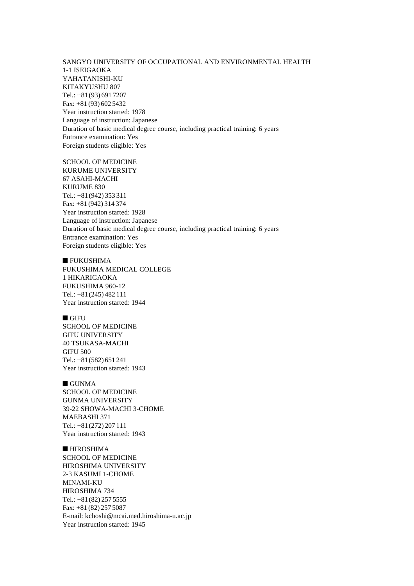SANGYO UNIVERSITY OF OCCUPATIONAL AND ENVIRONMENTAL HEALTH 1-1 ISEIGAOKA YAHATANISHI-KU KITAKYUSHU 807 Tel.: +81(93) 691 7207 Fax: +81 (93) 602 5432 Year instruction started: 1978 Language of instruction: Japanese Duration of basic medical degree course, including practical training: 6 years Entrance examination: Yes Foreign students eligible: Yes

SCHOOL OF MEDICINE KURUME UNIVERSITY 67 ASAHI-MACHI KURUME 830 Tel.: +81(942) 353 311 Fax: +81 (942) 314 374 Year instruction started: 1928 Language of instruction: Japanese Duration of basic medical degree course, including practical training: 6 years Entrance examination: Yes Foreign students eligible: Yes

## $\blacksquare$  FUKUSHIMA

FUKUSHIMA MEDICAL COLLEGE 1 HIKARIGAOKA FUKUSHIMA 960-12 Tel.: +81(245) 482 111 Year instruction started: 1944

#### $\blacksquare$  GIFU

SCHOOL OF MEDICINE GIFU UNIVERSITY 40 TSUKASA-MACHI GIFU 500 Tel.: +81(582) 651 241 Year instruction started: 1943

## $\blacksquare$  GUNMA

SCHOOL OF MEDICINE GUNMA UNIVERSITY 39-22 SHOWA-MACHI 3-CHOME MAEBASHI 371 Tel.: +81(272) 207 111 Year instruction started: 1943

 $\blacksquare$  HIROSHIMA SCHOOL OF MEDICINE HIROSHIMA UNIVERSITY 2-3 KASUMI 1-CHOME MINAMI-KU HIROSHIMA 734 Tel.: +81(82) 257 5555 Fax: +81 (82) 257 5087 E-mail: kchoshi@mcai.med.hiroshima-u.ac.jp Year instruction started: 1945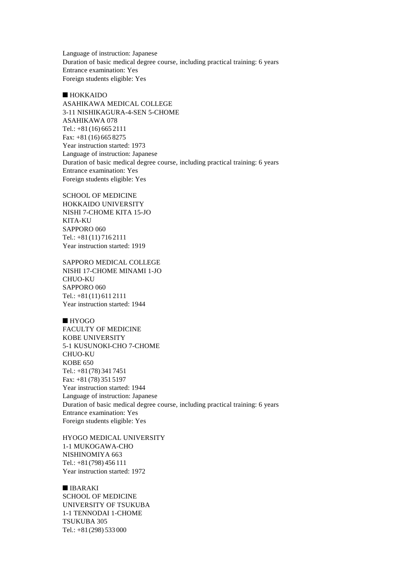Language of instruction: Japanese Duration of basic medical degree course, including practical training: 6 years Entrance examination: Yes Foreign students eligible: Yes

## $\blacksquare$  HOKKAIDO

ASAHIKAWA MEDICAL COLLEGE 3-11 NISHIKAGURA-4-SEN 5-CHOME ASAHIKAWA 078 Tel.: +81(16) 665 2111 Fax: +81 (16) 665 8275 Year instruction started: 1973 Language of instruction: Japanese Duration of basic medical degree course, including practical training: 6 years Entrance examination: Yes Foreign students eligible: Yes

SCHOOL OF MEDICINE HOKKAIDO UNIVERSITY NISHI 7-CHOME KITA 15-JO KITA-KU SAPPORO 060 Tel.: +81(11) 716 2111 Year instruction started: 1919

SAPPORO MEDICAL COLLEGE NISHI 17-CHOME MINAMI 1-JO CHUO-KU SAPPORO 060 Tel.: +81(11) 611 2111 Year instruction started: 1944

 $HYOGO$ FACULTY OF MEDICINE KOBE UNIVERSITY 5-1 KUSUNOKI-CHO 7-CHOME CHUO-KU KOBE 650 Tel.: +81(78) 341 7451 Fax: +81 (78) 351 5197 Year instruction started: 1944 Language of instruction: Japanese Duration of basic medical degree course, including practical training: 6 years Entrance examination: Yes Foreign students eligible: Yes

HYOGO MEDICAL UNIVERSITY 1-1 MUKOGAWA-CHO NISHINOMIYA 663 Tel.: +81(798) 456 111 Year instruction started: 1972

 $\blacksquare$  IBARAKI SCHOOL OF MEDICINE UNIVERSITY OF TSUKUBA 1-1 TENNODAI 1-CHOME TSUKUBA 305 Tel.: +81(298) 533 000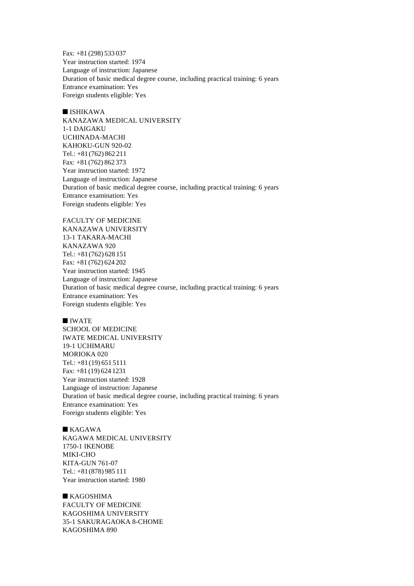Fax: +81 (298) 533 037 Year instruction started: 1974 Language of instruction: Japanese Duration of basic medical degree course, including practical training: 6 years Entrance examination: Yes Foreign students eligible: Yes

 $I$  ISHIKAWA KANAZAWA MEDICAL UNIVERSITY 1-1 DAIGAKU UCHINADA-MACHI KAHOKU-GUN 920-02 Tel.: +81(762) 862 211 Fax: +81 (762) 862 373 Year instruction started: 1972 Language of instruction: Japanese Duration of basic medical degree course, including practical training: 6 years Entrance examination: Yes Foreign students eligible: Yes

FACULTY OF MEDICINE KANAZAWA UNIVERSITY 13-1 TAKARA-MACHI KANAZAWA 920 Tel.: +81(762) 628 151 Fax: +81 (762) 624 202 Year instruction started: 1945 Language of instruction: Japanese Duration of basic medical degree course, including practical training: 6 years Entrance examination: Yes Foreign students eligible: Yes

#### $\n **IWATE**\n$

SCHOOL OF MEDICINE IWATE MEDICAL UNIVERSITY 19-1 UCHIMARU MORIOKA 020 Tel.: +81(19) 651 5111 Fax: +81 (19) 624 1231 Year instruction started: 1928 Language of instruction: Japanese Duration of basic medical degree course, including practical training: 6 years Entrance examination: Yes Foreign students eligible: Yes

 $\blacksquare$  KAGAWA

KAGAWA MEDICAL UNIVERSITY 1750-1 IKENOBE MIKI-CHO KITA-GUN 761-07 Tel.: +81(878) 985 111 Year instruction started: 1980

 $KAGOSHIMA$ FACULTY OF MEDICINE KAGOSHIMA UNIVERSITY 35-1 SAKURAGAOKA 8-CHOME KAGOSHIMA 890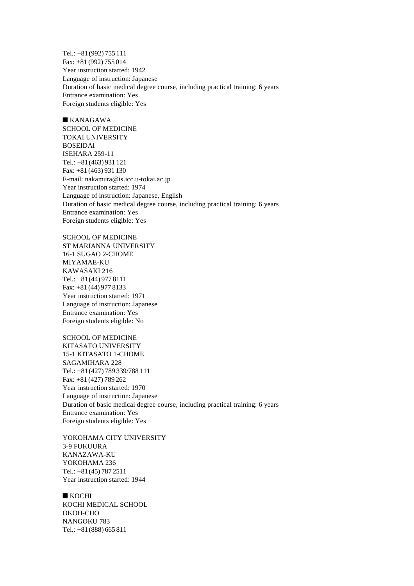Tel.: +81(992) 755 111 Fax: +81 (992) 755 014 Year instruction started: 1942 Language of instruction: Japanese Duration of basic medical degree course, including practical training: 6 years Entrance examination: Yes Foreign students eligible: Yes

 $KANAGAWA$ SCHOOL OF MEDICINE TOKAI UNIVERSITY BOSEIDAI ISEHARA 259-11 Tel.: +81(463) 931 121 Fax: +81 (463) 931 130 E-mail: nakamura@is.icc.u-tokai.ac.jp Year instruction started: 1974 Language of instruction: Japanese, English Duration of basic medical degree course, including practical training: 6 years Entrance examination: Yes Foreign students eligible: Yes

SCHOOL OF MEDICINE ST MARIANNA UNIVERSITY 16-1 SUGAO 2-CHOME MIYAMAE-KU KAWASAKI 216 Tel.: +81(44) 977 8111 Fax: +81 (44) 977 8133 Year instruction started: 1971 Language of instruction: Japanese Entrance examination: Yes Foreign students eligible: No

SCHOOL OF MEDICINE KITASATO UNIVERSITY 15-1 KITASATO 1-CHOME SAGAMIHARA 228 Tel.: +81(427) 789 339/788 111 Fax: +81 (427) 789 262 Year instruction started: 1970 Language of instruction: Japanese Duration of basic medical degree course, including practical training: 6 years Entrance examination: Yes Foreign students eligible: Yes

YOKOHAMA CITY UNIVERSITY 3-9 FUKUURA KANAZAWA-KU YOKOHAMA 236 Tel.: +81(45) 787 2511 Year instruction started: 1944

 $KOCHI$ KOCHI MEDICAL SCHOOL OKOH-CHO NANGOKU 783 Tel.: +81(888) 665 811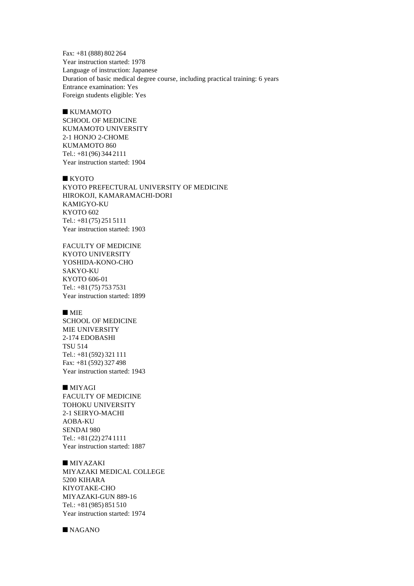Fax: +81 (888) 802 264 Year instruction started: 1978 Language of instruction: Japanese Duration of basic medical degree course, including practical training: 6 years Entrance examination: Yes Foreign students eligible: Yes

 $\blacksquare$  KUMAMOTO SCHOOL OF MEDICINE KUMAMOTO UNIVERSITY 2-1 HONJO 2-CHOME KUMAMOTO 860 Tel.: +81(96) 344 2111 Year instruction started: 1904

 $\blacksquare$  KYOTO KYOTO PREFECTURAL UNIVERSITY OF MEDICINE HIROKOJI, KAMARAMACHI-DORI KAMIGYO-KU KYOTO 602 Tel.: +81(75) 251 5111 Year instruction started: 1903

FACULTY OF MEDICINE KYOTO UNIVERSITY YOSHIDA-KONO-CHO SAKYO-KU KYOTO 606-01 Tel.: +81(75) 753 7531 Year instruction started: 1899

## $MIE$

SCHOOL OF MEDICINE MIE UNIVERSITY 2-174 EDOBASHI TSU 514 Tel.: +81(592) 321 111 Fax: +81 (592) 327 498 Year instruction started: 1943

# $\blacksquare$  MIYAGI

FACULTY OF MEDICINE TOHOKU UNIVERSITY 2-1 SEIRYO-MACHI AOBA-KU SENDAI 980 Tel.: +81(22) 274 1111 Year instruction started: 1887

 $MiyazAKI$ MIYAZAKI MEDICAL COLLEGE 5200 KIHARA KIYOTAKE-CHO MIYAZAKI-GUN 889-16 Tel.: +81(985) 851 510 Year instruction started: 1974

 $NAGANO$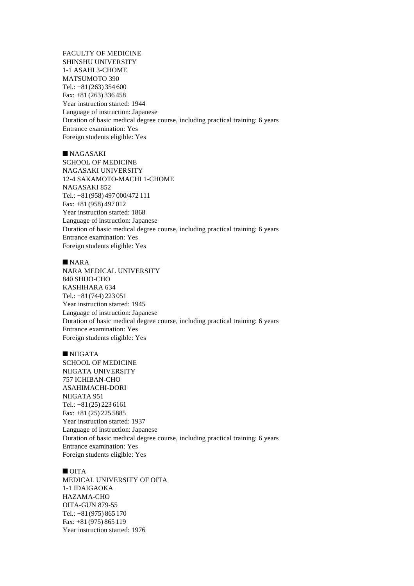FACULTY OF MEDICINE SHINSHU UNIVERSITY 1-1 ASAHI 3-CHOME MATSUMOTO 390 Tel.: +81(263) 354 600 Fax: +81 (263) 336 458 Year instruction started: 1944 Language of instruction: Japanese Duration of basic medical degree course, including practical training: 6 years Entrance examination: Yes Foreign students eligible: Yes

# $NAGASAKI$

SCHOOL OF MEDICINE NAGASAKI UNIVERSITY 12-4 SAKAMOTO-MACHI 1-CHOME NAGASAKI 852 Tel.: +81(958) 497 000/472 111 Fax: +81 (958) 497 012 Year instruction started: 1868 Language of instruction: Japanese Duration of basic medical degree course, including practical training: 6 years Entrance examination: Yes Foreign students eligible: Yes

## $NARA$

NARA MEDICAL UNIVERSITY 840 SHIJO-CHO KASHIHARA 634 Tel.: +81(744) 223 051 Year instruction started: 1945 Language of instruction: Japanese Duration of basic medical degree course, including practical training: 6 years Entrance examination: Yes Foreign students eligible: Yes

## $\blacksquare$  NIIGATA

SCHOOL OF MEDICINE NIIGATA UNIVERSITY 757 ICHIBAN-CHO ASAHIMACHI-DORI NIIGATA 951 Tel.: +81(25) 223 6161 Fax: +81 (25) 225 5885 Year instruction started: 1937 Language of instruction: Japanese Duration of basic medical degree course, including practical training: 6 years Entrance examination: Yes Foreign students eligible: Yes

# $\blacksquare$  OITA

MEDICAL UNIVERSITY OF OITA 1-1 IDAIGAOKA HAZAMA-CHO OITA-GUN 879-55 Tel.: +81(975) 865 170 Fax: +81 (975) 865 119 Year instruction started: 1976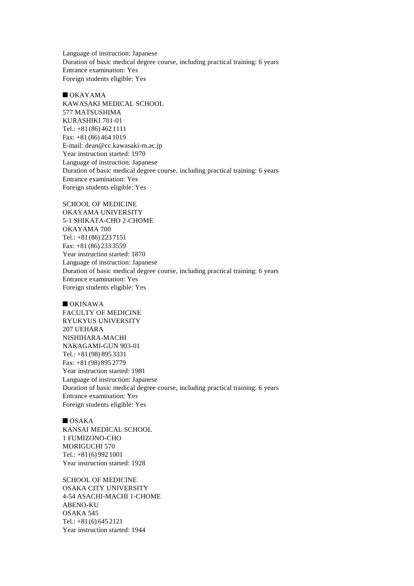Language of instruction: Japanese Duration of basic medical degree course, including practical training: 6 years Entrance examination: Yes Foreign students eligible: Yes

 $\blacksquare$  OKAYAMA KAWASAKI MEDICAL SCHOOL 577 MATSUSHIMA KURASHIKI 701-01 Tel.: +81(86) 462 1111 Fax: +81 (86) 464 1019 E-mail: dean@cc.kawasaki-m.ac.jp Year instruction started: 1970 Language of instruction: Japanese Duration of basic medical degree course, including practical training: 6 years Entrance examination: Yes Foreign students eligible: Yes

SCHOOL OF MEDICINE OKAYAMA UNIVERSITY 5-1 SHIKATA-CHO 2-CHOME OKAYAMA 700 Tel.: +81(86) 223 7151 Fax: +81 (86) 233 3559 Year instruction started: 1870 Language of instruction: Japanese Duration of basic medical degree course, including practical training: 6 years Entrance examination: Yes Foreign students eligible: Yes

 $\blacksquare$  OKINAWA FACULTY OF MEDICINE RYUKYUS UNIVERSITY 207 UEHARA NISHIHARA-MACHI NAKAGAMI-GUN 903-01 Tel.: +81(98) 895 3331 Fax: +81 (98) 895 2779 Year instruction started: 1981 Language of instruction: Japanese Duration of basic medical degree course, including practical training: 6 years Entrance examination: Yes Foreign students eligible: Yes

## $\blacksquare$  OSAKA

KANSAI MEDICAL SCHOOL 1 FUMIZONO-CHO MORIGUCHI 570 Tel.: +81(6) 992 1001 Year instruction started: 1928

SCHOOL OF MEDICINE OSAKA CITY UNIVERSITY 4-54 ASACHI-MACHI 1-CHOME ABENO-KU OSAKA 545 Tel.: +81(6) 645 2121 Year instruction started: 1944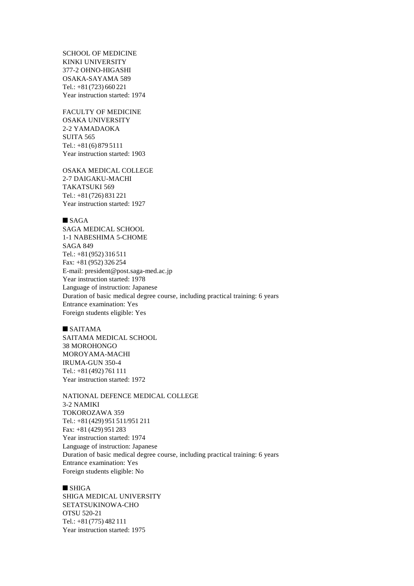SCHOOL OF MEDICINE KINKI UNIVERSITY 377-2 OHNO-HIGASHI OSAKA-SAYAMA 589 Tel.: +81(723) 660 221 Year instruction started: 1974

FACULTY OF MEDICINE OSAKA UNIVERSITY 2-2 YAMADAOKA SUITA 565 Tel.: +81(6) 879 5111 Year instruction started: 1903

OSAKA MEDICAL COLLEGE 2-7 DAIGAKU-MACHI TAKATSUKI 569 Tel.: +81(726) 831 221 Year instruction started: 1927

#### $SAGA$

SAGA MEDICAL SCHOOL 1-1 NABESHIMA 5-CHOME SAGA 849 Tel.: +81(952) 316 511 Fax: +81 (952) 326 254 E-mail: president@post.saga-med.ac.jp Year instruction started: 1978 Language of instruction: Japanese Duration of basic medical degree course, including practical training: 6 years Entrance examination: Yes Foreign students eligible: Yes

## $SAITAMA$

SAITAMA MEDICAL SCHOOL 38 MOROHONGO MOROYAMA-MACHI IRUMA-GUN 350-4 Tel.: +81(492) 761 111 Year instruction started: 1972

NATIONAL DEFENCE MEDICAL COLLEGE 3-2 NAMIKI TOKOROZAWA 359 Tel.: +81(429) 951 511/951 211 Fax: +81 (429) 951 283 Year instruction started: 1974 Language of instruction: Japanese Duration of basic medical degree course, including practical training: 6 years Entrance examination: Yes Foreign students eligible: No

## $\blacksquare$  SHIGA

SHIGA MEDICAL UNIVERSITY SETATSUKINOWA-CHO OTSU 520-21 Tel.: +81(775) 482 111 Year instruction started: 1975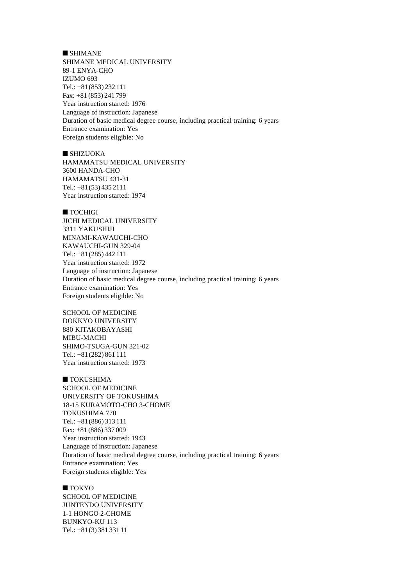$\blacksquare$  SHIMANE SHIMANE MEDICAL UNIVERSITY 89-1 ENYA-CHO IZUMO 693 Tel.: +81(853) 232 111 Fax: +81 (853) 241 799 Year instruction started: 1976 Language of instruction: Japanese Duration of basic medical degree course, including practical training: 6 years Entrance examination: Yes Foreign students eligible: No

 $\blacksquare$  SHIZUOKA HAMAMATSU MEDICAL UNIVERSITY 3600 HANDA-CHO HAMAMATSU 431-31 Tel.: +81(53) 435 2111 Year instruction started: 1974

 $\blacksquare$  TOCHIGI

JICHI MEDICAL UNIVERSITY 3311 YAKUSHIJI MINAMI-KAWAUCHI-CHO KAWAUCHI-GUN 329-04 Tel.: +81(285) 442 111 Year instruction started: 1972 Language of instruction: Japanese Duration of basic medical degree course, including practical training: 6 years Entrance examination: Yes Foreign students eligible: No

SCHOOL OF MEDICINE DOKKYO UNIVERSITY 880 KITAKOBAYASHI MIBU-MACHI SHIMO-TSUGA-GUN 321-02 Tel.: +81(282) 861 111 Year instruction started: 1973

 $\blacksquare$  TOKUSHIMA SCHOOL OF MEDICINE UNIVERSITY OF TOKUSHIMA 18-15 KURAMOTO-CHO 3-CHOME TOKUSHIMA 770 Tel.: +81(886) 313 111 Fax: +81 (886) 337 009 Year instruction started: 1943 Language of instruction: Japanese Duration of basic medical degree course, including practical training: 6 years Entrance examination: Yes Foreign students eligible: Yes

 $\blacksquare$  TOKYO SCHOOL OF MEDICINE JUNTENDO UNIVERSITY 1-1 HONGO 2-CHOME BUNKYO-KU 113 Tel.: +81(3) 381 331 11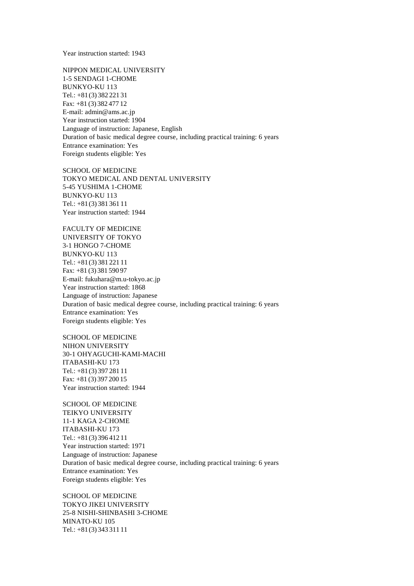Year instruction started: 1943

NIPPON MEDICAL UNIVERSITY 1-5 SENDAGI 1-CHOME BUNKYO-KU 113 Tel.: +81(3) 382 221 31 Fax: +81 (3) 382 477 12 E-mail: admin@ams.ac.jp Year instruction started: 1904 Language of instruction: Japanese, English Duration of basic medical degree course, including practical training: 6 years Entrance examination: Yes Foreign students eligible: Yes

SCHOOL OF MEDICINE TOKYO MEDICAL AND DENTAL UNIVERSITY 5-45 YUSHIMA 1-CHOME BUNKYO-KU 113 Tel.: +81(3) 381 361 11 Year instruction started: 1944

FACULTY OF MEDICINE UNIVERSITY OF TOKYO 3-1 HONGO 7-CHOME BUNKYO-KU 113 Tel.: +81(3) 381 221 11 Fax: +81 (3) 381 590 97 E-mail: fukuhara@m.u-tokyo.ac.jp Year instruction started: 1868 Language of instruction: Japanese Duration of basic medical degree course, including practical training: 6 years Entrance examination: Yes Foreign students eligible: Yes

SCHOOL OF MEDICINE NIHON UNIVERSITY 30-1 OHYAGUCHI-KAMI-MACHI ITABASHI-KU 173 Tel.: +81(3) 397 281 11 Fax: +81 (3) 397 200 15 Year instruction started: 1944

SCHOOL OF MEDICINE TEIKYO UNIVERSITY 11-1 KAGA 2-CHOME ITABASHI-KU 173 Tel.: +81(3) 396 412 11 Year instruction started: 1971 Language of instruction: Japanese Duration of basic medical degree course, including practical training: 6 years Entrance examination: Yes Foreign students eligible: Yes

SCHOOL OF MEDICINE TOKYO JIKEI UNIVERSITY 25-8 NISHI-SHINBASHI 3-CHOME MINATO-KU 105 Tel.: +81(3) 343 311 11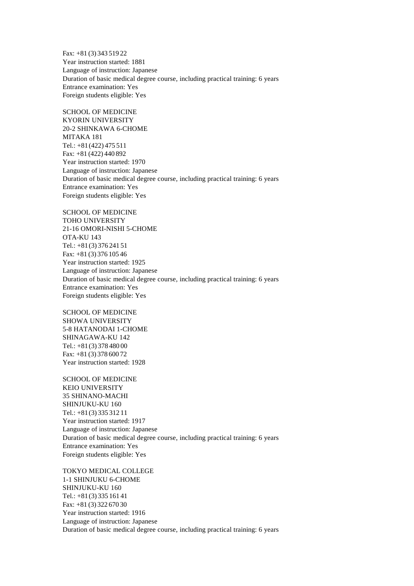Fax: +81 (3) 343 519 22 Year instruction started: 1881 Language of instruction: Japanese Duration of basic medical degree course, including practical training: 6 years Entrance examination: Yes Foreign students eligible: Yes

SCHOOL OF MEDICINE KYORIN UNIVERSITY 20-2 SHINKAWA 6-CHOME MITAKA 181 Tel.: +81(422) 475 511 Fax: +81 (422) 440 892 Year instruction started: 1970 Language of instruction: Japanese Duration of basic medical degree course, including practical training: 6 years Entrance examination: Yes Foreign students eligible: Yes

SCHOOL OF MEDICINE TOHO UNIVERSITY 21-16 OMORI-NISHI 5-CHOME OTA-KU 143 Tel.: +81(3) 376 241 51 Fax: +81 (3) 376 105 46 Year instruction started: 1925 Language of instruction: Japanese Duration of basic medical degree course, including practical training: 6 years Entrance examination: Yes Foreign students eligible: Yes

SCHOOL OF MEDICINE SHOWA UNIVERSITY 5-8 HATANODAI 1-CHOME SHINAGAWA-KU 142 Tel.: +81(3) 378 480 00 Fax: +81 (3) 378 600 72 Year instruction started: 1928

SCHOOL OF MEDICINE KEIO UNIVERSITY 35 SHINANO-MACHI SHINJUKU-KU 160 Tel.: +81(3) 335 312 11 Year instruction started: 1917 Language of instruction: Japanese Duration of basic medical degree course, including practical training: 6 years Entrance examination: Yes Foreign students eligible: Yes

TOKYO MEDICAL COLLEGE 1-1 SHINJUKU 6-CHOME SHINJUKU-KU 160 Tel.: +81(3) 335 161 41 Fax: +81 (3) 322 670 30 Year instruction started: 1916 Language of instruction: Japanese Duration of basic medical degree course, including practical training: 6 years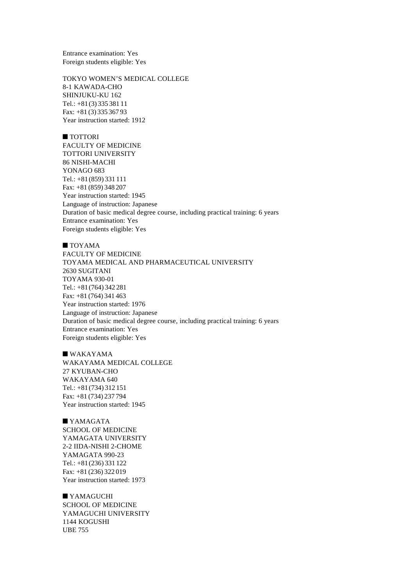Entrance examination: Yes Foreign students eligible: Yes

TOKYO WOMEN'S MEDICAL COLLEGE 8-1 KAWADA-CHO SHINJUKU-KU 162 Tel.: +81(3) 335 381 11 Fax: +81 (3) 335 367 93 Year instruction started: 1912

## ■ TOTTORI

FACULTY OF MEDICINE TOTTORI UNIVERSITY 86 NISHI-MACHI YONAGO 683 Tel.: +81(859) 331 111 Fax: +81 (859) 348 207 Year instruction started: 1945 Language of instruction: Japanese Duration of basic medical degree course, including practical training: 6 years Entrance examination: Yes Foreign students eligible: Yes

## $\blacksquare$  TOYAMA

FACULTY OF MEDICINE TOYAMA MEDICAL AND PHARMACEUTICAL UNIVERSITY 2630 SUGITANI TOYAMA 930-01 Tel.: +81(764) 342 281 Fax: +81 (764) 341 463 Year instruction started: 1976 Language of instruction: Japanese Duration of basic medical degree course, including practical training: 6 years Entrance examination: Yes Foreign students eligible: Yes

# $\blacksquare$  WAKAYAMA WAKAYAMA MEDICAL COLLEGE 27 KYUBAN-CHO WAKAYAMA 640 Tel.: +81(734) 312 151 Fax: +81 (734) 237 794 Year instruction started: 1945

 $\blacksquare$  YAMAGATA SCHOOL OF MEDICINE YAMAGATA UNIVERSITY 2-2 IIDA-NISHI 2-CHOME YAMAGATA 990-23 Tel.: +81(236) 331 122 Fax: +81 (236) 322 019 Year instruction started: 1973

 $\blacksquare$  YAMAGUCHI SCHOOL OF MEDICINE YAMAGUCHI UNIVERSITY 1144 KOGUSHI UBE 755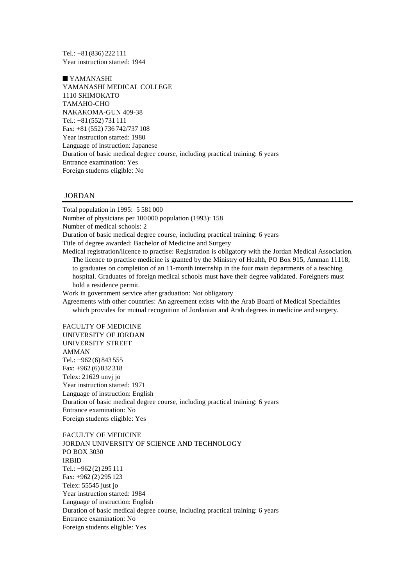Tel.: +81(836) 222 111 Year instruction started: 1944

 $\blacksquare$  YAMANASHI YAMANASHI MEDICAL COLLEGE 1110 SHIMOKATO TAMAHO-CHO NAKAKOMA-GUN 409-38 Tel.: +81(552) 731 111 Fax: +81 (552) 736 742/737 108 Year instruction started: 1980 Language of instruction: Japanese Duration of basic medical degree course, including practical training: 6 years Entrance examination: Yes Foreign students eligible: No

# JORDAN

Total population in 1995: 5 581 000 Number of physicians per 100000 population (1993): 158 Number of medical schools: 2 Duration of basic medical degree course, including practical training: 6 years Title of degree awarded: Bachelor of Medicine and Surgery Medical registration/licence to practise: Registration is obligatory with the Jordan Medical Association. The licence to practise medicine is granted by the Ministry of Health, PO Box 915, Amman 11118, to graduates on completion of an 11-month internship in the four main departments of a teaching hospital. Graduates of foreign medical schools must have their degree validated. Foreigners must hold a residence permit. Work in government service after graduation: Not obligatory Agreements with other countries: An agreement exists with the Arab Board of Medical Specialities which provides for mutual recognition of Jordanian and Arab degrees in medicine and surgery.

FACULTY OF MEDICINE UNIVERSITY OF JORDAN UNIVERSITY STREET AMMAN Tel.: +962 (6) 843 555 Fax: +962 (6) 832 318 Telex: 21629 unvj jo Year instruction started: 1971 Language of instruction: English Duration of basic medical degree course, including practical training: 6 years Entrance examination: No Foreign students eligible: Yes

FACULTY OF MEDICINE JORDAN UNIVERSITY OF SCIENCE AND TECHNOLOGY PO BOX 3030 IRBID Tel.: +962 (2) 295 111 Fax: +962 (2) 295 123 Telex: 55545 just jo Year instruction started: 1984 Language of instruction: English Duration of basic medical degree course, including practical training: 6 years Entrance examination: No Foreign students eligible: Yes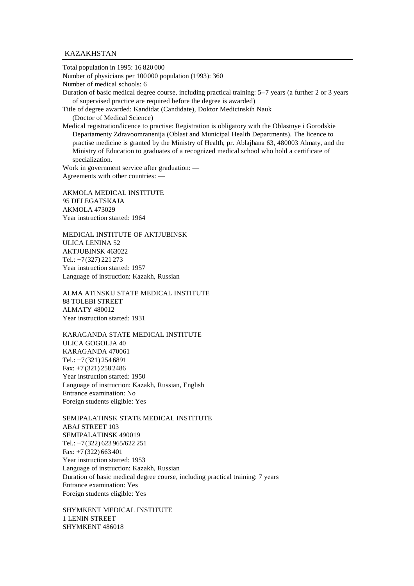## KAZAKHSTAN

Total population in 1995: 16 820 000 Number of physicians per 100000 population (1993): 360 Number of medical schools: 6 Duration of basic medical degree course, including practical training: 5–7 years (a further 2 or 3 years of supervised practice are required before the degree is awarded) Title of degree awarded: Kandidat (Candidate), Doktor Medicinskih Nauk (Doctor of Medical Science) Medical registration/licence to practise: Registration is obligatory with the Oblastnye i Gorodskie Departamenty Zdravoomranenija (Oblast and Municipal Health Departments). The licence to practise medicine is granted by the Ministry of Health, pr. Ablajhana 63, 480003 Almaty, and the Ministry of Education to graduates of a recognized medical school who hold a certificate of specialization. Work in government service after graduation: — Agreements with other countries: —

AKMOLA MEDICAL INSTITUTE 95 DELEGATSKAJA AKMOLA 473029 Year instruction started: 1964

MEDICAL INSTITUTE OF AKTJUBINSK ULICA LENINA 52 AKTJUBINSK 463022 Tel.: +7(327) 221 273 Year instruction started: 1957 Language of instruction: Kazakh, Russian

ALMA ATINSKIJ STATE MEDICAL INSTITUTE 88 TOLEBI STREET ALMATY 480012 Year instruction started: 1931

KARAGANDA STATE MEDICAL INSTITUTE ULICA GOGOLJA 40 KARAGANDA 470061 Tel.: +7(321) 254 6891 Fax: +7 (321) 258 2486 Year instruction started: 1950 Language of instruction: Kazakh, Russian, English Entrance examination: No Foreign students eligible: Yes

SEMIPALATINSK STATE MEDICAL INSTITUTE ABAJ STREET 103 SEMIPALATINSK 490019 Tel.: +7(322) 623 965/622 251 Fax: +7 (322) 663 401 Year instruction started: 1953 Language of instruction: Kazakh, Russian Duration of basic medical degree course, including practical training: 7 years Entrance examination: Yes Foreign students eligible: Yes

SHYMKENT MEDICAL INSTITUTE 1 LENIN STREET SHYMKENT 486018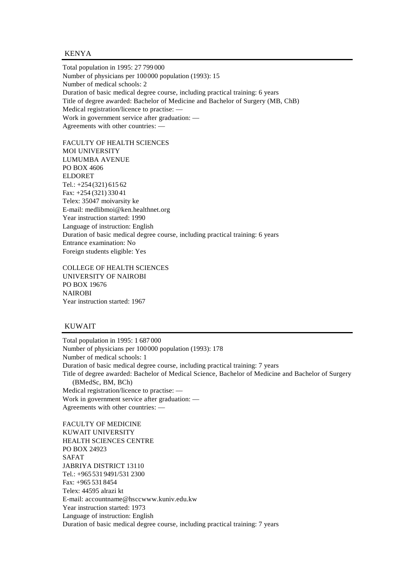KENYA

Total population in 1995: 27 799 000 Number of physicians per 100000 population (1993): 15 Number of medical schools: 2 Duration of basic medical degree course, including practical training: 6 years Title of degree awarded: Bachelor of Medicine and Bachelor of Surgery (MB, ChB) Medical registration/licence to practise: — Work in government service after graduation: — Agreements with other countries: —

FACULTY OF HEALTH SCIENCES MOI UNIVERSITY LUMUMBA AVENUE PO BOX 4606 ELDORET Tel.: +254 (321) 615 62 Fax: +254 (321) 330 41 Telex: 35047 moivarsity ke E-mail: medlibmoi@ken.healthnet.org Year instruction started: 1990 Language of instruction: English Duration of basic medical degree course, including practical training: 6 years Entrance examination: No Foreign students eligible: Yes

COLLEGE OF HEALTH SCIENCES UNIVERSITY OF NAIROBI PO BOX 19676 NAIROBI Year instruction started: 1967

### KUWAIT

Total population in 1995: 1 687 000 Number of physicians per 100000 population (1993): 178 Number of medical schools: 1 Duration of basic medical degree course, including practical training: 7 years Title of degree awarded: Bachelor of Medical Science, Bachelor of Medicine and Bachelor of Surgery (BMedSc, BM, BCh) Medical registration/licence to practise: — Work in government service after graduation: — Agreements with other countries: —

FACULTY OF MEDICINE KUWAIT UNIVERSITY HEALTH SCIENCES CENTRE PO BOX 24923 SAFAT JABRIYA DISTRICT 13110 Tel.: +965 531 9491/531 2300 Fax: +965 531 8454 Telex: 44595 alrazi kt E-mail: accountname@hsccwww.kuniv.edu.kw Year instruction started: 1973 Language of instruction: English Duration of basic medical degree course, including practical training: 7 years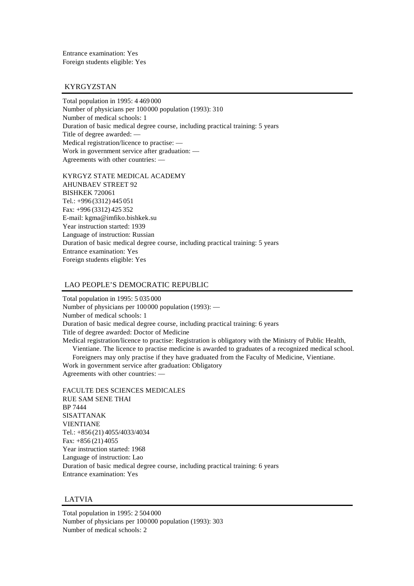Entrance examination: Yes Foreign students eligible: Yes

# KYRGYZSTAN

Total population in 1995: 4 469 000 Number of physicians per 100000 population (1993): 310 Number of medical schools: 1 Duration of basic medical degree course, including practical training: 5 years Title of degree awarded: — Medical registration/licence to practise: — Work in government service after graduation: — Agreements with other countries: —

KYRGYZ STATE MEDICAL ACADEMY AHUNBAEV STREET 92 BISHKEK 720061 Tel.: +996 (3312) 445 051 Fax: +996 (3312) 425 352 E-mail: kgma@imfiko.bishkek.su Year instruction started: 1939 Language of instruction: Russian Duration of basic medical degree course, including practical training: 5 years Entrance examination: Yes Foreign students eligible: Yes

## LAO PEOPLE'S DEMOCRATIC REPUBLIC

Total population in 1995: 5 035 000 Number of physicians per 100000 population (1993): — Number of medical schools: 1 Duration of basic medical degree course, including practical training: 6 years Title of degree awarded: Doctor of Medicine Medical registration/licence to practise: Registration is obligatory with the Ministry of Public Health, Vientiane. The licence to practise medicine is awarded to graduates of a recognized medical school.

Foreigners may only practise if they have graduated from the Faculty of Medicine, Vientiane. Work in government service after graduation: Obligatory Agreements with other countries: —

FACULTE DES SCIENCES MEDICALES RUE SAM SENE THAI BP 7444 SISATTANAK VIENTIANE Tel.: +856 (21) 4055/4033/4034 Fax: +856 (21) 4055 Year instruction started: 1968 Language of instruction: Lao Duration of basic medical degree course, including practical training: 6 years Entrance examination: Yes

# LATVIA

Total population in 1995: 2 504 000 Number of physicians per 100000 population (1993): 303 Number of medical schools: 2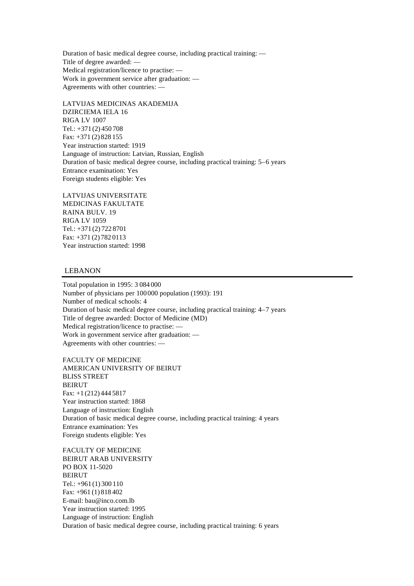Duration of basic medical degree course, including practical training: — Title of degree awarded: — Medical registration/licence to practise: — Work in government service after graduation: — Agreements with other countries: —

LATVIJAS MEDICINAS AKADEMIJA DZIRCIEMA IELA 16 RIGA LV 1007 Tel.: +371 (2) 450 708 Fax: +371 (2) 828 155 Year instruction started: 1919 Language of instruction: Latvian, Russian, English Duration of basic medical degree course, including practical training: 5–6 years Entrance examination: Yes Foreign students eligible: Yes

LATVIJAS UNIVERSITATE MEDICINAS FAKULTATE RAINA BULV. 19 RIGA LV 1059 Tel.: +371 (2) 722 8701 Fax: +371 (2) 782 0113 Year instruction started: 1998

# LEBANON

Total population in 1995: 3 084 000 Number of physicians per 100000 population (1993): 191 Number of medical schools: 4 Duration of basic medical degree course, including practical training: 4–7 years Title of degree awarded: Doctor of Medicine (MD) Medical registration/licence to practise: — Work in government service after graduation: — Agreements with other countries: —

FACULTY OF MEDICINE AMERICAN UNIVERSITY OF BEIRUT BLISS STREET BEIRUT Fax: +1 (212) 444 5817 Year instruction started: 1868 Language of instruction: English Duration of basic medical degree course, including practical training: 4 years Entrance examination: Yes Foreign students eligible: Yes

FACULTY OF MEDICINE BEIRUT ARAB UNIVERSITY PO BOX 11-5020 BEIRUT Tel.: +961 (1) 300 110 Fax: +961 (1) 818 402 E-mail: bau@inco.com.lb Year instruction started: 1995 Language of instruction: English Duration of basic medical degree course, including practical training: 6 years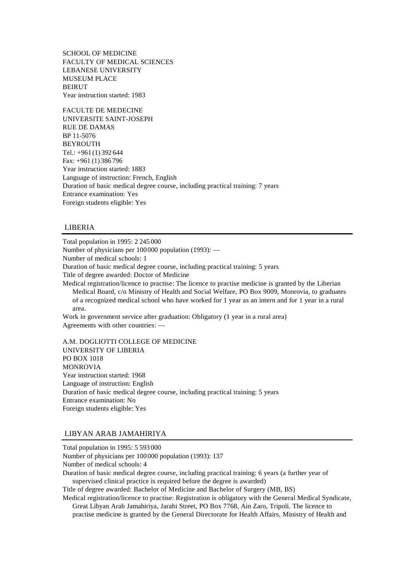SCHOOL OF MEDICINE FACULTY OF MEDICAL SCIENCES LEBANESE UNIVERSITY MUSEUM PLACE BEIRUT Year instruction started: 1983

FACULTE DE MEDECINE UNIVERSITE SAINT-JOSEPH RUE DE DAMAS BP 11-5076 BEYROUTH Tel.: +961 (1) 392 644 Fax: +961 (1) 386 796 Year instruction started: 1883 Language of instruction: French, English Duration of basic medical degree course, including practical training: 7 years Entrance examination: Yes Foreign students eligible: Yes

# LIBERIA

Total population in 1995: 2 245 000 Number of physicians per 100000 population (1993): — Number of medical schools: 1 Duration of basic medical degree course, including practical training: 5 years Title of degree awarded: Doctor of Medicine Medical registration/licence to practise: The licence to practise medicine is granted by the Liberian Medical Board, c/o Ministry of Health and Social Welfare, PO Box 9009, Monrovia, to graduates of a recognized medical school who have worked for 1 year as an intern and for 1 year in a rural area. Work in government service after graduation: Obligatory (1 year in a rural area) Agreements with other countries: —

A.M. DOGLIOTTI COLLEGE OF MEDICINE UNIVERSITY OF LIBERIA PO BOX 1018 MONROVIA Year instruction started: 1968 Language of instruction: English Duration of basic medical degree course, including practical training: 5 years Entrance examination: No Foreign students eligible: Yes

### LIBYAN ARAB JAMAHIRIYA

Total population in 1995: 5 593 000 Number of physicians per 100000 population (1993): 137 Number of medical schools: 4 Duration of basic medical degree course, including practical training: 6 years (a further year of supervised clinical practice is required before the degree is awarded) Title of degree awarded: Bachelor of Medicine and Bachelor of Surgery (MB, BS) Medical registration/licence to practise: Registration is obligatory with the General Medical Syndicate,

Great Libyan Arab Jamahiriya, Jarabi Street, PO Box 7768, Ain Zaro, Tripoli. The licence to practise medicine is granted by the General Directorate for Health Affairs, Ministry of Health and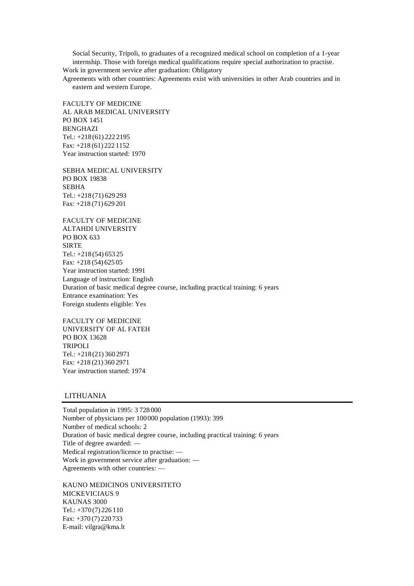Social Security, Tripoli, to graduates of a recognized medical school on completion of a 1-year internship. Those with foreign medical qualifications require special authorization to practise.

Work in government service after graduation: Obligatory

Agreements with other countries: Agreements exist with universities in other Arab countries and in eastern and western Europe.

FACULTY OF MEDICINE AL ARAB MEDICAL UNIVERSITY PO BOX 1451 BENGHAZI Tel.: +218 (61) 222 2195 Fax: +218 (61) 222 1152 Year instruction started: 1970

SEBHA MEDICAL UNIVERSITY PO BOX 19838 SEBHA Tel.: +218 (71) 629 293 Fax: +218 (71) 629 201

FACULTY OF MEDICINE ALTAHDI UNIVERSITY PO BOX 633 SIRTE Tel.: +218 (54) 653 25 Fax: +218 (54) 625 05 Year instruction started: 1991 Language of instruction: English Duration of basic medical degree course, including practical training: 6 years Entrance examination: Yes Foreign students eligible: Yes

FACULTY OF MEDICINE UNIVERSITY OF AL FATEH PO BOX 13628 TRIPOLI Tel.: +218 (21) 360 2971 Fax: +218 (21) 360 2971 Year instruction started: 1974

### LITHUANIA

Total population in 1995: 3 728 000 Number of physicians per 100000 population (1993): 399 Number of medical schools: 2 Duration of basic medical degree course, including practical training: 6 years Title of degree awarded: — Medical registration/licence to practise: — Work in government service after graduation: — Agreements with other countries: —

KAUNO MEDICINOS UNIVERSITETO MICKEVICIAUS 9 KAUNAS 3000 Tel.: +370 (7) 226 110 Fax: +370 (7) 220 733 E-mail: vilgra@kma.lt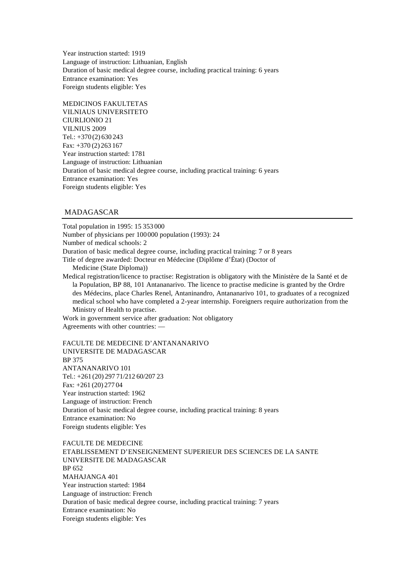Year instruction started: 1919 Language of instruction: Lithuanian, English Duration of basic medical degree course, including practical training: 6 years Entrance examination: Yes Foreign students eligible: Yes

MEDICINOS FAKULTETAS VILNIAUS UNIVERSITETO CIURLIONIO 21 VILNIUS 2009 Tel.: +370 (2) 630 243 Fax: +370 (2) 263 167 Year instruction started: 1781 Language of instruction: Lithuanian Duration of basic medical degree course, including practical training: 6 years Entrance examination: Yes Foreign students eligible: Yes

# MADAGASCAR

Total population in 1995: 15 353 000 Number of physicians per 100000 population (1993): 24 Number of medical schools: 2 Duration of basic medical degree course, including practical training: 7 or 8 years Title of degree awarded: Docteur en Médecine (Diplôme d'État) (Doctor of Medicine (State Diploma)) Medical registration/licence to practise: Registration is obligatory with the Ministère de la Santé et de la Population, BP 88, 101 Antananarivo. The licence to practise medicine is granted by the Ordre des Médecins, place Charles Renel, Antaninandro, Antananarivo 101, to graduates of a recognized medical school who have completed a 2-year internship. Foreigners require authorization from the

Ministry of Health to practise.

Work in government service after graduation: Not obligatory Agreements with other countries: —

FACULTE DE MEDECINE D'ANTANANARIVO UNIVERSITE DE MADAGASCAR

BP 375 ANTANANARIVO 101 Tel.: +261 (20) 297 71/212 60/207 23 Fax: +261 (20) 277 04 Year instruction started: 1962 Language of instruction: French Duration of basic medical degree course, including practical training: 8 years Entrance examination: No Foreign students eligible: Yes

FACULTE DE MEDECINE ETABLISSEMENT D'ENSEIGNEMENT SUPERIEUR DES SCIENCES DE LA SANTE UNIVERSITE DE MADAGASCAR BP 652 MAHAJANGA 401 Year instruction started: 1984 Language of instruction: French Duration of basic medical degree course, including practical training: 7 years Entrance examination: No Foreign students eligible: Yes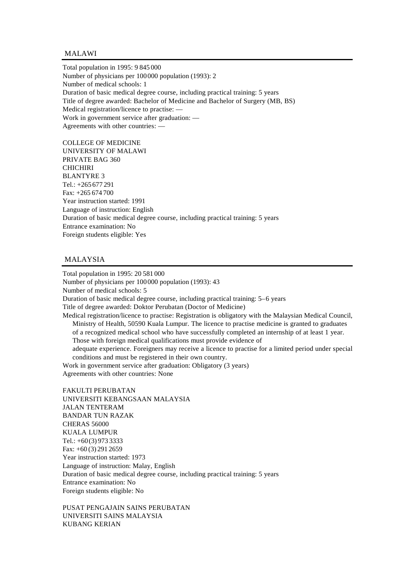# MALAWI

Total population in 1995: 9 845 000 Number of physicians per 100000 population (1993): 2 Number of medical schools: 1 Duration of basic medical degree course, including practical training: 5 years Title of degree awarded: Bachelor of Medicine and Bachelor of Surgery (MB, BS) Medical registration/licence to practise: — Work in government service after graduation: — Agreements with other countries: —

COLLEGE OF MEDICINE UNIVERSITY OF MALAWI PRIVATE BAG 360 **CHICHIRI** BLANTYRE 3 Tel.: +265 677 291 Fax: +265 674 700 Year instruction started: 1991 Language of instruction: English Duration of basic medical degree course, including practical training: 5 years Entrance examination: No Foreign students eligible: Yes

# MALAYSIA

Total population in 1995: 20 581 000 Number of physicians per 100000 population (1993): 43 Number of medical schools: 5 Duration of basic medical degree course, including practical training: 5–6 years Title of degree awarded: Doktor Perubatan (Doctor of Medicine) Medical registration/licence to practise: Registration is obligatory with the Malaysian Medical Council, Ministry of Health, 50590 Kuala Lumpur. The licence to practise medicine is granted to graduates of a recognized medical school who have successfully completed an internship of at least 1 year. Those with foreign medical qualifications must provide evidence of adequate experience. Foreigners may receive a licence to practise for a limited period under special conditions and must be registered in their own country. Work in government service after graduation: Obligatory (3 years)

Agreements with other countries: None

FAKULTI PERUBATAN UNIVERSITI KEBANGSAAN MALAYSIA JALAN TENTERAM BANDAR TUN RAZAK CHERAS 56000 KUALA LUMPUR Tel.: +60(3) 973 3333 Fax: +60 (3) 291 2659 Year instruction started: 1973 Language of instruction: Malay, English Duration of basic medical degree course, including practical training: 5 years Entrance examination: No Foreign students eligible: No

PUSAT PENGAJAIN SAINS PERUBATAN UNIVERSITI SAINS MALAYSIA KUBANG KERIAN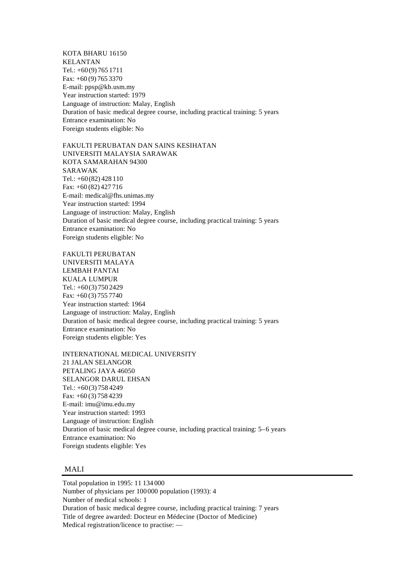KOTA BHARU 16150 KELANTAN Tel.: +60(9) 765 1711 Fax: +60 (9) 765 3370 E-mail: ppsp@kb.usm.my Year instruction started: 1979 Language of instruction: Malay, English Duration of basic medical degree course, including practical training: 5 years Entrance examination: No Foreign students eligible: No

FAKULTI PERUBATAN DAN SAINS KESIHATAN UNIVERSITI MALAYSIA SARAWAK KOTA SAMARAHAN 94300 SARAWAK Tel.: +60(82) 428 110 Fax: +60 (82) 427 716 E-mail: medical@fhs.unimas.my Year instruction started: 1994 Language of instruction: Malay, English Duration of basic medical degree course, including practical training: 5 years Entrance examination: No Foreign students eligible: No

FAKULTI PERUBATAN UNIVERSITI MALAYA LEMBAH PANTAI KUALA LUMPUR Tel.: +60(3) 750 2429 Fax: +60 (3) 755 7740 Year instruction started: 1964 Language of instruction: Malay, English Duration of basic medical degree course, including practical training: 5 years Entrance examination: No Foreign students eligible: Yes

INTERNATIONAL MEDICAL UNIVERSITY 21 JALAN SELANGOR PETALING JAYA 46050 SELANGOR DARUL EHSAN Tel.: +60(3) 758 4249 Fax: +60 (3) 758 4239 E-mail: imu@imu.edu.my Year instruction started: 1993 Language of instruction: English Duration of basic medical degree course, including practical training: 5–6 years Entrance examination: No Foreign students eligible: Yes

# MALI

Total population in 1995: 11 134 000 Number of physicians per 100000 population (1993): 4 Number of medical schools: 1 Duration of basic medical degree course, including practical training: 7 years Title of degree awarded: Docteur en Médecine (Doctor of Medicine) Medical registration/licence to practise: —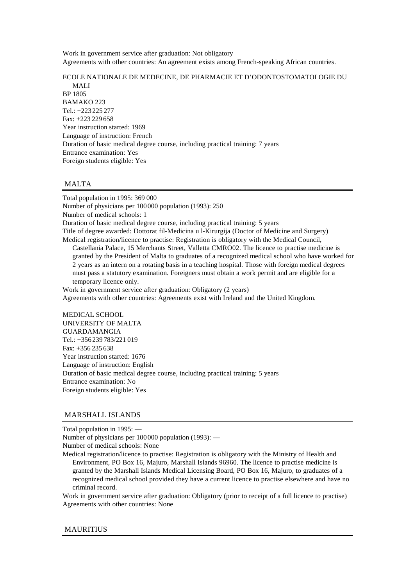Work in government service after graduation: Not obligatory Agreements with other countries: An agreement exists among French-speaking African countries.

# ECOLE NATIONALE DE MEDECINE, DE PHARMACIE ET D'ODONTOSTOMATOLOGIE DU MALI BP 1805 BAMAKO 223 Tel.: +223 225 277 Fax: +223 229 658 Year instruction started: 1969 Language of instruction: French Duration of basic medical degree course, including practical training: 7 years Entrance examination: Yes Foreign students eligible: Yes

# MALTA

Total population in 1995: 369 000 Number of physicians per 100000 population (1993): 250 Number of medical schools: 1 Duration of basic medical degree course, including practical training: 5 years Title of degree awarded: Dottorat fil-Medicina u l-Kirurgija (Doctor of Medicine and Surgery) Medical registration/licence to practise: Registration is obligatory with the Medical Council, Castellania Palace, 15 Merchants Street, Valletta CMRO02. The licence to practise medicine is granted by the President of Malta to graduates of a recognized medical school who have worked for 2 years as an intern on a rotating basis in a teaching hospital. Those with foreign medical degrees must pass a statutory examination. Foreigners must obtain a work permit and are eligible for a temporary licence only. Work in government service after graduation: Obligatory (2 years)

Agreements with other countries: Agreements exist with Ireland and the United Kingdom.

MEDICAL SCHOOL UNIVERSITY OF MALTA GUARDAMANGIA Tel.: +356 239 783/221 019 Fax: +356 235 638 Year instruction started: 1676 Language of instruction: English Duration of basic medical degree course, including practical training: 5 years Entrance examination: No Foreign students eligible: Yes

# MARSHALL ISLANDS

Total population in 1995: — Number of physicians per 100000 population (1993): — Number of medical schools: None

Medical registration/licence to practise: Registration is obligatory with the Ministry of Health and Environment, PO Box 16, Majuro, Marshall Islands 96960. The licence to practise medicine is granted by the Marshall Islands Medical Licensing Board, PO Box 16, Majuro, to graduates of a recognized medical school provided they have a current licence to practise elsewhere and have no criminal record.

Work in government service after graduation: Obligatory (prior to receipt of a full licence to practise) Agreements with other countries: None

## MAURITIUS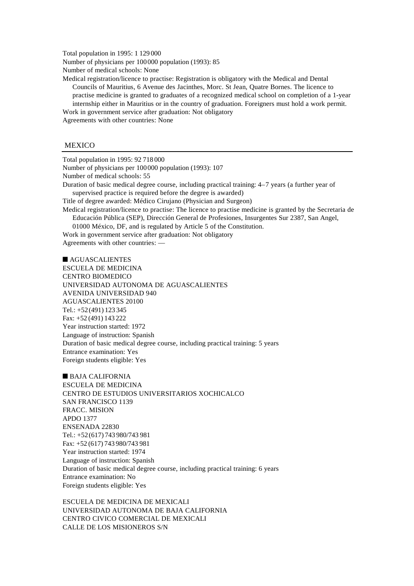Total population in 1995: 1 129 000 Number of physicians per 100000 population (1993): 85 Number of medical schools: None

Medical registration/licence to practise: Registration is obligatory with the Medical and Dental Councils of Mauritius, 6 Avenue des Jacinthes, Morc. St Jean, Quatre Bornes. The licence to practise medicine is granted to graduates of a recognized medical school on completion of a 1-year internship either in Mauritius or in the country of graduation. Foreigners must hold a work permit. Work in government service after graduation: Not obligatory

Agreements with other countries: None

### **MEXICO**

Total population in 1995: 92 718 000

Number of physicians per 100000 population (1993): 107 Number of medical schools: 55

Duration of basic medical degree course, including practical training: 4–7 years (a further year of supervised practice is required before the degree is awarded)

Title of degree awarded: Médico Cirujano (Physician and Surgeon)

Medical registration/licence to practise: The licence to practise medicine is granted by the Secretaria de Educación Pública (SEP), Dirección General de Profesiones, Insurgentes Sur 2387, San Angel,

01000 México, DF, and is regulated by Article 5 of the Constitution.

Work in government service after graduation: Not obligatory Agreements with other countries: —

 $\blacksquare$  AGUASCALIENTES ESCUELA DE MEDICINA CENTRO BIOMEDICO UNIVERSIDAD AUTONOMA DE AGUASCALIENTES AVENIDA UNIVERSIDAD 940 AGUASCALIENTES 20100 Tel.: +52(491) 123 345 Fax: +52 (491) 143 222 Year instruction started: 1972 Language of instruction: Spanish Duration of basic medical degree course, including practical training: 5 years Entrance examination: Yes Foreign students eligible: Yes

 $\blacksquare$  BAJA CALIFORNIA ESCUELA DE MEDICINA CENTRO DE ESTUDIOS UNIVERSITARIOS XOCHICALCO SAN FRANCISCO 1139 FRACC. MISION APDO 1377 ENSENADA 22830 Tel.: +52(617) 743 980/743 981 Fax: +52 (617) 743 980/743 981 Year instruction started: 1974 Language of instruction: Spanish Duration of basic medical degree course, including practical training: 6 years Entrance examination: No Foreign students eligible: Yes

ESCUELA DE MEDICINA DE MEXICALI UNIVERSIDAD AUTONOMA DE BAJA CALIFORNIA CENTRO CIVICO COMERCIAL DE MEXICALI CALLE DE LOS MISIONEROS S/N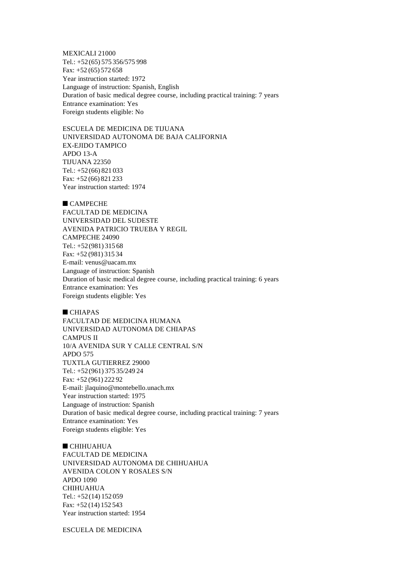MEXICALI 21000 Tel.: +52(65) 575 356/575 998 Fax: +52 (65) 572 658 Year instruction started: 1972 Language of instruction: Spanish, English Duration of basic medical degree course, including practical training: 7 years Entrance examination: Yes Foreign students eligible: No

ESCUELA DE MEDICINA DE TIJUANA UNIVERSIDAD AUTONOMA DE BAJA CALIFORNIA EX-EJIDO TAMPICO APDO 13-A TIJUANA 22350 Tel.: +52(66) 821 033 Fax: +52 (66) 821 233 Year instruction started: 1974

# $C$ AMPECHE

FACULTAD DE MEDICINA UNIVERSIDAD DEL SUDESTE AVENIDA PATRICIO TRUEBA Y REGIL CAMPECHE 24090 Tel.: +52(981) 315 68 Fax: +52 (981) 315 34 E-mail: venus@uacam.mx Language of instruction: Spanish Duration of basic medical degree course, including practical training: 6 years Entrance examination: Yes Foreign students eligible: Yes

#### $CHIAPAS$

FACULTAD DE MEDICINA HUMANA UNIVERSIDAD AUTONOMA DE CHIAPAS CAMPUS II 10/A AVENIDA SUR Y CALLE CENTRAL S/N APDO 575 TUXTLA GUTIERREZ 29000 Tel.: +52(961) 375 35/249 24 Fax: +52 (961) 222 92 E-mail: jlaquino@montebello.unach.mx Year instruction started: 1975 Language of instruction: Spanish Duration of basic medical degree course, including practical training: 7 years Entrance examination: Yes Foreign students eligible: Yes

 $\blacksquare$  CHIHUAHUA FACULTAD DE MEDICINA UNIVERSIDAD AUTONOMA DE CHIHUAHUA AVENIDA COLON Y ROSALES S/N APDO 1090 CHIHUAHUA Tel.: +52(14) 152 059 Fax: +52 (14) 152 543 Year instruction started: 1954

ESCUELA DE MEDICINA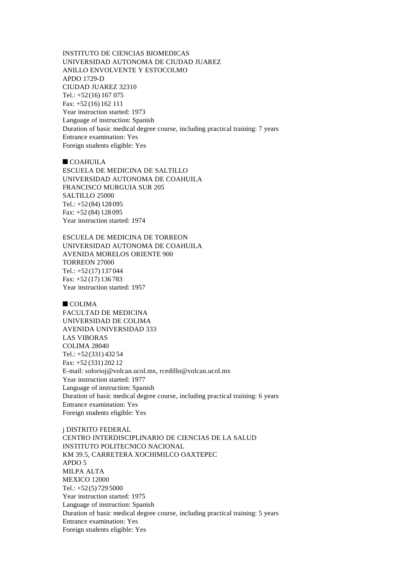INSTITUTO DE CIENCIAS BIOMEDICAS UNIVERSIDAD AUTONOMA DE CIUDAD JUAREZ ANILLO ENVOLVENTE Y ESTOCOLMO APDO 1729-D CIUDAD JUAREZ 32310 Tel.: +52(16) 167 075 Fax: +52 (16) 162 111 Year instruction started: 1973 Language of instruction: Spanish Duration of basic medical degree course, including practical training: 7 years Entrance examination: Yes Foreign students eligible: Yes

 $\blacksquare$  COAHUILA ESCUELA DE MEDICINA DE SALTILLO UNIVERSIDAD AUTONOMA DE COAHUILA FRANCISCO MURGUIA SUR 205 SALTILLO 25000 Tel.: +52(84) 128 095 Fax: +52 (84) 128 095 Year instruction started: 1974

ESCUELA DE MEDICINA DE TORREON UNIVERSIDAD AUTONOMA DE COAHUILA AVENIDA MORELOS ORIENTE 900 TORREON 27000 Tel.: +52(17) 137 044 Fax: +52 (17) 136 783 Year instruction started: 1957

 $COLIMA$ 

FACULTAD DE MEDICINA UNIVERSIDAD DE COLIMA AVENIDA UNIVERSIDAD 333 LAS VIBORAS COLIMA 28040 Tel.: +52(331) 432 54 Fax: +52 (331) 202 12 E-mail: solorioj@volcan.ucol.mx, rcedillo@volcan.ucol.mx Year instruction started: 1977 Language of instruction: Spanish Duration of basic medical degree course, including practical training: 6 years Entrance examination: Yes Foreign students eligible: Yes

j DISTRITO FEDERAL CENTRO INTERDISCIPLINARIO DE CIENCIAS DE LA SALUD INSTITUTO POLITECNICO NACIONAL KM 39.5, CARRETERA XOCHIMILCO OAXTEPEC APDO 5 MILPA ALTA MEXICO 12000 Tel.: +52(5) 729 5000 Year instruction started: 1975 Language of instruction: Spanish Duration of basic medical degree course, including practical training: 5 years Entrance examination: Yes Foreign students eligible: Yes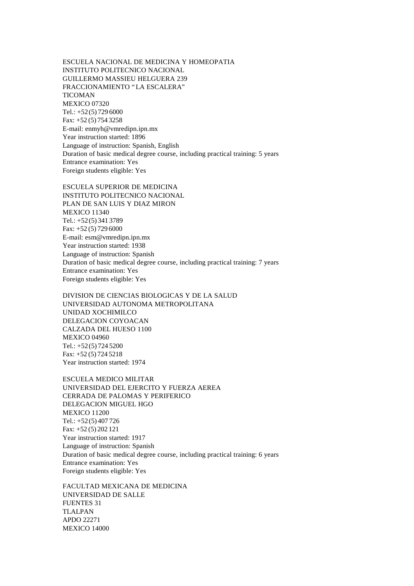ESCUELA NACIONAL DE MEDICINA Y HOMEOPATIA INSTITUTO POLITECNICO NACIONAL GUILLERMO MASSIEU HELGUERA 239 FRACCIONAMIENTO "LA ESCALERA" TICOMAN MEXICO 07320 Tel.: +52(5) 729 6000 Fax: +52 (5) 754 3258 E-mail: enmyh@vmredipn.ipn.mx Year instruction started: 1896 Language of instruction: Spanish, English Duration of basic medical degree course, including practical training: 5 years Entrance examination: Yes Foreign students eligible: Yes

ESCUELA SUPERIOR DE MEDICINA

INSTITUTO POLITECNICO NACIONAL PLAN DE SAN LUIS Y DIAZ MIRON MEXICO 11340 Tel.: +52(5) 341 3789 Fax: +52 (5) 729 6000 E-mail: esm@vmredipn.ipn.mx Year instruction started: 1938 Language of instruction: Spanish Duration of basic medical degree course, including practical training: 7 years Entrance examination: Yes Foreign students eligible: Yes

DIVISION DE CIENCIAS BIOLOGICAS Y DE LA SALUD UNIVERSIDAD AUTONOMA METROPOLITANA UNIDAD XOCHIMILCO DELEGACION COYOACAN CALZADA DEL HUESO 1100 MEXICO 04960 Tel.: +52(5) 724 5200 Fax: +52 (5) 724 5218 Year instruction started: 1974

ESCUELA MEDICO MILITAR UNIVERSIDAD DEL EJERCITO Y FUERZA AEREA CERRADA DE PALOMAS Y PERIFERICO DELEGACION MIGUEL HGO MEXICO 11200 Tel.: +52(5) 407 726 Fax: +52 (5) 202 121 Year instruction started: 1917 Language of instruction: Spanish Duration of basic medical degree course, including practical training: 6 years Entrance examination: Yes Foreign students eligible: Yes

FACULTAD MEXICANA DE MEDICINA UNIVERSIDAD DE SALLE FUENTES 31 TLALPAN APDO 22271 MEXICO 14000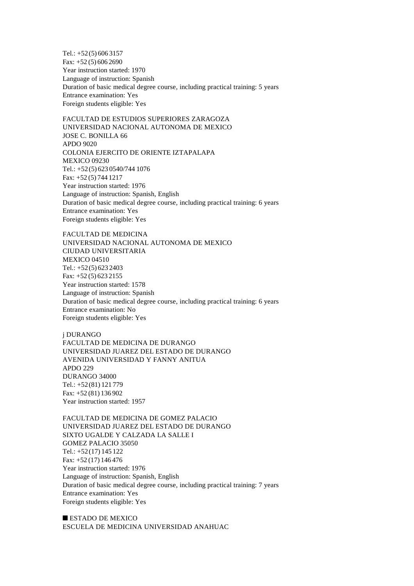Tel.: +52(5) 606 3157 Fax: +52 (5) 606 2690 Year instruction started: 1970 Language of instruction: Spanish Duration of basic medical degree course, including practical training: 5 years Entrance examination: Yes Foreign students eligible: Yes

FACULTAD DE ESTUDIOS SUPERIORES ZARAGOZA UNIVERSIDAD NACIONAL AUTONOMA DE MEXICO JOSE C. BONILLA 66 APDO 9020 COLONIA EJERCITO DE ORIENTE IZTAPALAPA MEXICO 09230 Tel.: +52(5) 623 0540/744 1076 Fax: +52 (5) 744 1217 Year instruction started: 1976 Language of instruction: Spanish, English Duration of basic medical degree course, including practical training: 6 years Entrance examination: Yes Foreign students eligible: Yes

FACULTAD DE MEDICINA UNIVERSIDAD NACIONAL AUTONOMA DE MEXICO CIUDAD UNIVERSITARIA MEXICO 04510 Tel.: +52(5) 623 2403 Fax: +52 (5) 623 2155 Year instruction started: 1578 Language of instruction: Spanish Duration of basic medical degree course, including practical training: 6 years Entrance examination: No Foreign students eligible: Yes

j DURANGO FACULTAD DE MEDICINA DE DURANGO UNIVERSIDAD JUAREZ DEL ESTADO DE DURANGO AVENIDA UNIVERSIDAD Y FANNY ANITUA APDO 229 DURANGO 34000 Tel.: +52(81) 121 779 Fax: +52 (81) 136 902 Year instruction started: 1957

FACULTAD DE MEDICINA DE GOMEZ PALACIO UNIVERSIDAD JUAREZ DEL ESTADO DE DURANGO SIXTO UGALDE Y CALZADA LA SALLE I GOMEZ PALACIO 35050 Tel.: +52(17) 145 122 Fax: +52 (17) 146 476 Year instruction started: 1976 Language of instruction: Spanish, English Duration of basic medical degree course, including practical training: 7 years Entrance examination: Yes Foreign students eligible: Yes

 $\blacksquare$  ESTADO DE MEXICO ESCUELA DE MEDICINA UNIVERSIDAD ANAHUAC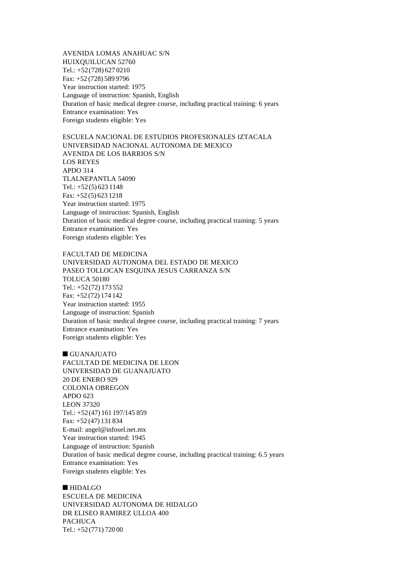AVENIDA LOMAS ANAHUAC S/N HUIXQUILUCAN 52760 Tel.: +52(728) 627 0210 Fax: +52 (728) 589 9796 Year instruction started: 1975 Language of instruction: Spanish, English Duration of basic medical degree course, including practical training: 6 years Entrance examination: Yes Foreign students eligible: Yes

ESCUELA NACIONAL DE ESTUDIOS PROFESIONALES IZTACALA UNIVERSIDAD NACIONAL AUTONOMA DE MEXICO AVENIDA DE LOS BARRIOS S/N LOS REYES APDO 314 TLALNEPANTLA 54090 Tel.:  $+52(5)6231148$ Fax: +52 (5) 623 1218 Year instruction started: 1975 Language of instruction: Spanish, English Duration of basic medical degree course, including practical training: 5 years Entrance examination: Yes Foreign students eligible: Yes

FACULTAD DE MEDICINA UNIVERSIDAD AUTONOMA DEL ESTADO DE MEXICO PASEO TOLLOCAN ESQUINA JESUS CARRANZA S/N TOLUCA 50180 Tel.: +52(72) 173 552 Fax: +52 (72) 174 142 Year instruction started: 1955 Language of instruction: Spanish Duration of basic medical degree course, including practical training: 7 years Entrance examination: Yes Foreign students eligible: Yes

# $\blacksquare$  GUANAJUATO

FACULTAD DE MEDICINA DE LEON UNIVERSIDAD DE GUANAJUATO 20 DE ENERO 929 COLONIA OBREGON APDO 623 LEON 37320 Tel.: +52(47) 161 197/145 859 Fax: +52 (47) 131 834 E-mail: angel@infosel.net.mx Year instruction started: 1945 Language of instruction: Spanish Duration of basic medical degree course, including practical training: 6.5 years Entrance examination: Yes Foreign students eligible: Yes

#### $\blacksquare$  HIDALGO

ESCUELA DE MEDICINA UNIVERSIDAD AUTONOMA DE HIDALGO DR ELISEO RAMIREZ ULLOA 400 PACHUCA Tel.: +52(771) 720 00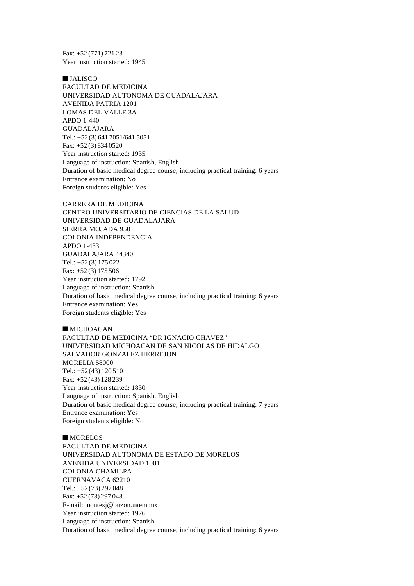Fax: +52 (771) 721 23 Year instruction started: 1945

 $I$  JALISCO FACULTAD DE MEDICINA UNIVERSIDAD AUTONOMA DE GUADALAJARA AVENIDA PATRIA 1201 LOMAS DEL VALLE 3A APDO 1-440 GUADALAJARA Tel.: +52(3) 641 7051/641 5051 Fax: +52 (3) 834 0520 Year instruction started: 1935 Language of instruction: Spanish, English Duration of basic medical degree course, including practical training: 6 years Entrance examination: No Foreign students eligible: Yes

CARRERA DE MEDICINA CENTRO UNIVERSITARIO DE CIENCIAS DE LA SALUD UNIVERSIDAD DE GUADALAJARA SIERRA MOJADA 950 COLONIA INDEPENDENCIA APDO 1-433 GUADALAJARA 44340 Tel.: +52(3) 175 022 Fax: +52 (3) 175 506 Year instruction started: 1792 Language of instruction: Spanish Duration of basic medical degree course, including practical training: 6 years Entrance examination: Yes Foreign students eligible: Yes

 $MICHOACAN$ FACULTAD DE MEDICINA "DR IGNACIO CHAVEZ" UNIVERSIDAD MICHOACAN DE SAN NICOLAS DE HIDALGO SALVADOR GONZALEZ HERREJON MORELIA 58000 Tel.: +52(43) 120 510 Fax: +52 (43) 128 239 Year instruction started: 1830 Language of instruction: Spanish, English Duration of basic medical degree course, including practical training: 7 years Entrance examination: Yes Foreign students eligible: No

 $MORELOS$ FACULTAD DE MEDICINA UNIVERSIDAD AUTONOMA DE ESTADO DE MORELOS AVENIDA UNIVERSIDAD 1001 COLONIA CHAMILPA CUERNAVACA 62210 Tel.: +52(73) 297 048 Fax: +52 (73) 297 048 E-mail: montesj@buzon.uaem.mx Year instruction started: 1976 Language of instruction: Spanish Duration of basic medical degree course, including practical training: 6 years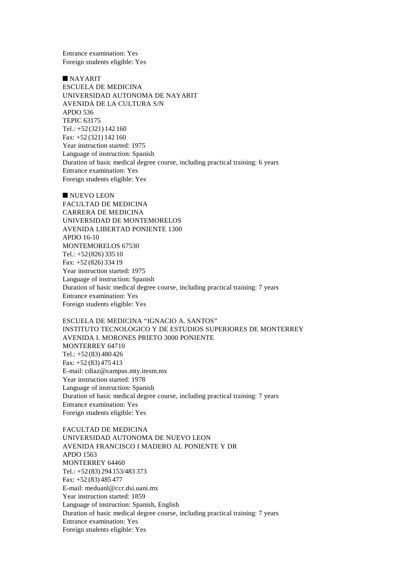Entrance examination: Yes Foreign students eligible: Yes

n NAYARIT ESCUELA DE MEDICINA UNIVERSIDAD AUTONOMA DE NAYARIT AVENIDA DE LA CULTURA S/N APDO 536 TEPIC 63175 Tel.: +52(321) 142 160 Fax: +52 (321) 142 160 Year instruction started: 1975 Language of instruction: Spanish Duration of basic medical degree course, including practical training: 6 years Entrance examination: Yes Foreign students eligible: Yes

 $\blacksquare$  NUEVO LEON FACULTAD DE MEDICINA CARRERA DE MEDICINA UNIVERSIDAD DE MONTEMORELOS AVENIDA LIBERTAD PONIENTE 1300 APDO 16-10 MONTEMORELOS 67530 Tel.: +52(826) 335 10 Fax: +52 (826) 334 19 Year instruction started: 1975 Language of instruction: Spanish Duration of basic medical degree course, including practical training: 7 years Entrance examination: Yes Foreign students eligible: Yes

ESCUELA DE MEDICINA "IGNACIO A. SANTOS" INSTITUTO TECNOLOGICO Y DE ESTUDIOS SUPERIORES DE MONTERREY AVENIDA I. MORONES PRIETO 3000 PONIENTE MONTERREY 64710 Tel.: +52(83) 480 426 Fax: +52 (83) 475 413 E-mail: cdiaz@campus.mty.itesm.mx Year instruction started: 1978 Language of instruction: Spanish Duration of basic medical degree course, including practical training: 7 years Entrance examination: Yes Foreign students eligible: Yes

FACULTAD DE MEDICINA UNIVERSIDAD AUTONOMA DE NUEVO LEON AVENIDA FRANCISCO I MADERO AL PONIENTE Y DR APDO 1563 MONTERREY 64460 Tel.: +52(83) 294 153/483 373 Fax: +52 (83) 485 477 E-mail: meduanl@ccr.dsi.uani.mx Year instruction started: 1859 Language of instruction: Spanish, English Duration of basic medical degree course, including practical training: 7 years Entrance examination: Yes Foreign students eligible: Yes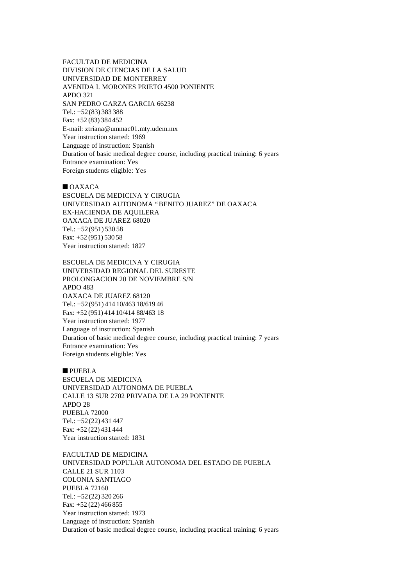FACULTAD DE MEDICINA DIVISION DE CIENCIAS DE LA SALUD UNIVERSIDAD DE MONTERREY AVENIDA I. MORONES PRIETO 4500 PONIENTE APDO 321 SAN PEDRO GARZA GARCIA 66238 Tel.: +52(83) 383 388 Fax: +52 (83) 384 452 E-mail: ztriana@ummac01.mty.udem.mx Year instruction started: 1969 Language of instruction: Spanish Duration of basic medical degree course, including practical training: 6 years Entrance examination: Yes Foreign students eligible: Yes

 $\blacksquare$  OAXACA

ESCUELA DE MEDICINA Y CIRUGIA UNIVERSIDAD AUTONOMA "BENITO JUAREZ" DE OAXACA EX-HACIENDA DE AQUILERA OAXACA DE JUAREZ 68020 Tel.: +52(951) 530 58 Fax: +52 (951) 530 58 Year instruction started: 1827

ESCUELA DE MEDICINA Y CIRUGIA UNIVERSIDAD REGIONAL DEL SURESTE PROLONGACION 20 DE NOVIEMBRE S/N  $APDO 483$ OAXACA DE JUAREZ 68120 Tel.: +52(951) 414 10/463 18/619 46 Fax: +52 (951) 414 10/414 88/463 18 Year instruction started: 1977 Language of instruction: Spanish Duration of basic medical degree course, including practical training: 7 years Entrance examination: Yes Foreign students eligible: Yes

**n** PUEBLA ESCUELA DE MEDICINA UNIVERSIDAD AUTONOMA DE PUEBLA CALLE 13 SUR 2702 PRIVADA DE LA 29 PONIENTE APDO 28 PUEBLA 72000 Tel.: +52(22) 431 447 Fax: +52 (22) 431 444 Year instruction started: 1831

FACULTAD DE MEDICINA UNIVERSIDAD POPULAR AUTONOMA DEL ESTADO DE PUEBLA CALLE 21 SUR 1103 COLONIA SANTIAGO PUEBLA 72160 Tel.: +52(22) 320 266 Fax: +52 (22) 466 855 Year instruction started: 1973 Language of instruction: Spanish Duration of basic medical degree course, including practical training: 6 years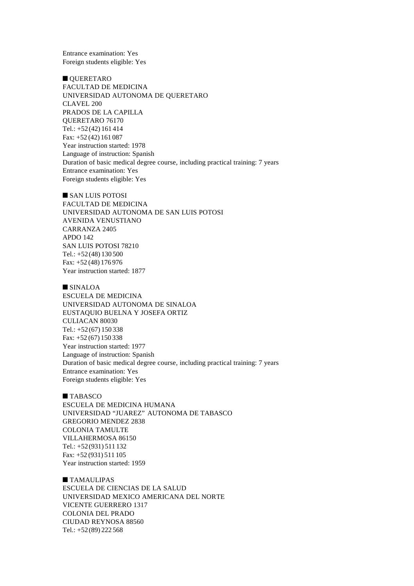Entrance examination: Yes Foreign students eligible: Yes

OUERETARO FACULTAD DE MEDICINA UNIVERSIDAD AUTONOMA DE QUERETARO CLAVEL 200 PRADOS DE LA CAPILLA QUERETARO 76170 Tel.: +52(42) 161 414 Fax: +52 (42) 161 087 Year instruction started: 1978 Language of instruction: Spanish Duration of basic medical degree course, including practical training: 7 years Entrance examination: Yes Foreign students eligible: Yes

 $\blacksquare$  SAN LUIS POTOSI

FACULTAD DE MEDICINA UNIVERSIDAD AUTONOMA DE SAN LUIS POTOSI AVENIDA VENUSTIANO CARRANZA 2405 APDO 142 SAN LUIS POTOSI 78210 Tel.: +52(48) 130 500 Fax: +52 (48) 176 976 Year instruction started: 1877

 $\blacksquare$  SINALOA ESCUELA DE MEDICINA UNIVERSIDAD AUTONOMA DE SINALOA EUSTAQUIO BUELNA Y JOSEFA ORTIZ CULIACAN 80030 Tel.: +52(67) 150 338 Fax: +52 (67) 150 338 Year instruction started: 1977 Language of instruction: Spanish Duration of basic medical degree course, including practical training: 7 years Entrance examination: Yes Foreign students eligible: Yes

### $\blacksquare$  TABASCO

ESCUELA DE MEDICINA HUMANA UNIVERSIDAD "JUAREZ" AUTONOMA DE TABASCO GREGORIO MENDEZ 2838 COLONIA TAMULTE VILLAHERMOSA 86150 Tel.: +52(931) 511 132 Fax: +52 (931) 511 105 Year instruction started: 1959

 $\blacksquare$  TAMAULIPAS ESCUELA DE CIENCIAS DE LA SALUD UNIVERSIDAD MEXICO AMERICANA DEL NORTE VICENTE GUERRERO 1317 COLONIA DEL PRADO CIUDAD REYNOSA 88560 Tel.: +52(89) 222 568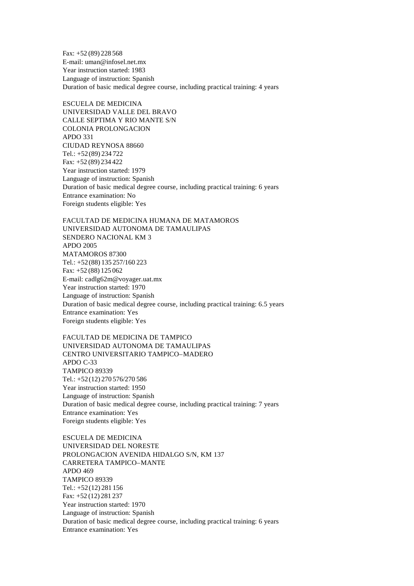Fax: +52 (89) 228 568 E-mail: uman@infosel.net.mx Year instruction started: 1983 Language of instruction: Spanish Duration of basic medical degree course, including practical training: 4 years

ESCUELA DE MEDICINA UNIVERSIDAD VALLE DEL BRAVO CALLE SEPTIMA Y RIO MANTE S/N COLONIA PROLONGACION APDO 331 CIUDAD REYNOSA 88660 Tel.: +52(89) 234 722 Fax: +52 (89) 234 422 Year instruction started: 1979 Language of instruction: Spanish Duration of basic medical degree course, including practical training: 6 years Entrance examination: No Foreign students eligible: Yes

FACULTAD DE MEDICINA HUMANA DE MATAMOROS UNIVERSIDAD AUTONOMA DE TAMAULIPAS SENDERO NACIONAL KM 3 APDO 2005 MATAMOROS 87300 Tel.: +52(88) 135 257/160 223 Fax: +52 (88) 125 062 E-mail: cadlg62m@voyager.uat.mx Year instruction started: 1970 Language of instruction: Spanish Duration of basic medical degree course, including practical training: 6.5 years Entrance examination: Yes Foreign students eligible: Yes

FACULTAD DE MEDICINA DE TAMPICO UNIVERSIDAD AUTONOMA DE TAMAULIPAS CENTRO UNIVERSITARIO TAMPICO–MADERO APDO C-33 TAMPICO 89339 Tel.: +52(12) 270 576/270 586 Year instruction started: 1950 Language of instruction: Spanish Duration of basic medical degree course, including practical training: 7 years Entrance examination: Yes Foreign students eligible: Yes

ESCUELA DE MEDICINA UNIVERSIDAD DEL NORESTE PROLONGACION AVENIDA HIDALGO S/N, KM 137 CARRETERA TAMPICO–MANTE APDO 469 TAMPICO 89339 Tel.: +52(12) 281 156 Fax: +52 (12) 281 237 Year instruction started: 1970 Language of instruction: Spanish Duration of basic medical degree course, including practical training: 6 years Entrance examination: Yes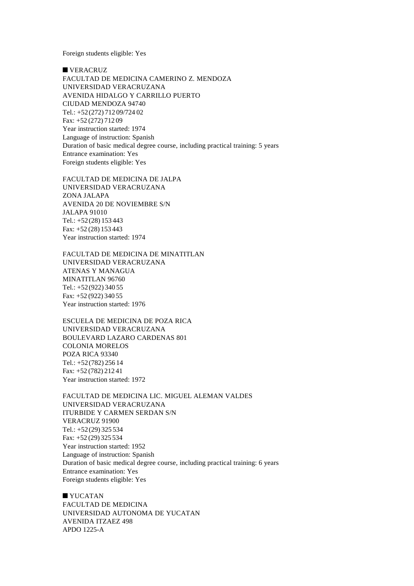Foreign students eligible: Yes

 $\blacksquare$  VERACRUZ

FACULTAD DE MEDICINA CAMERINO Z. MENDOZA UNIVERSIDAD VERACRUZANA AVENIDA HIDALGO Y CARRILLO PUERTO CIUDAD MENDOZA 94740 Tel.: +52(272) 712 09/724 02 Fax: +52 (272) 712 09 Year instruction started: 1974 Language of instruction: Spanish Duration of basic medical degree course, including practical training: 5 years Entrance examination: Yes Foreign students eligible: Yes

FACULTAD DE MEDICINA DE JALPA UNIVERSIDAD VERACRUZANA ZONA JALAPA AVENIDA 20 DE NOVIEMBRE S/N JALAPA 91010 Tel.: +52(28) 153 443 Fax: +52 (28) 153 443 Year instruction started: 1974

FACULTAD DE MEDICINA DE MINATITLAN UNIVERSIDAD VERACRUZANA ATENAS Y MANAGUA MINATITLAN 96760 Tel.: +52(922) 340 55 Fax: +52 (922) 340 55 Year instruction started: 1976

ESCUELA DE MEDICINA DE POZA RICA UNIVERSIDAD VERACRUZANA BOULEVARD LAZARO CARDENAS 801 COLONIA MORELOS POZA RICA 93340 Tel.: +52(782) 256 14 Fax: +52 (782) 212 41 Year instruction started: 1972

FACULTAD DE MEDICINA LIC. MIGUEL ALEMAN VALDES UNIVERSIDAD VERACRUZANA ITURBIDE Y CARMEN SERDAN S/N VERACRUZ 91900 Tel.: +52(29) 325 534 Fax: +52 (29) 325 534 Year instruction started: 1952 Language of instruction: Spanish Duration of basic medical degree course, including practical training: 6 years Entrance examination: Yes Foreign students eligible: Yes

 $\blacksquare$  YUCATAN FACULTAD DE MEDICINA UNIVERSIDAD AUTONOMA DE YUCATAN AVENIDA ITZAEZ 498 APDO 1225-A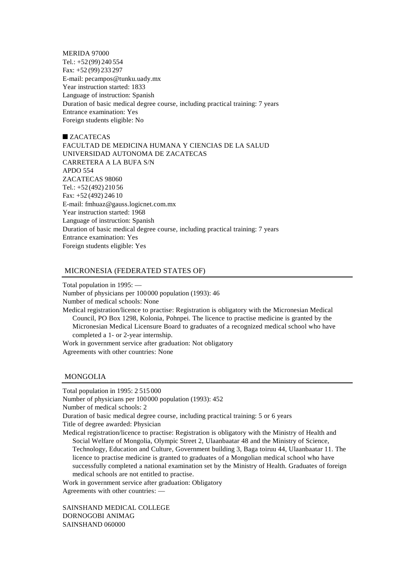MERIDA 97000 Tel.: +52(99) 240 554 Fax: +52 (99) 233 297 E-mail: pecampos@tunku.uady.mx Year instruction started: 1833 Language of instruction: Spanish Duration of basic medical degree course, including practical training: 7 years Entrance examination: Yes Foreign students eligible: No

 $\blacksquare$  ZACATECAS FACULTAD DE MEDICINA HUMANA Y CIENCIAS DE LA SALUD UNIVERSIDAD AUTONOMA DE ZACATECAS CARRETERA A LA BUFA S/N APDO 554 ZACATECAS 98060 Tel.: +52(492) 210 56 Fax: +52 (492) 246 10 E-mail: fmhuaz@gauss.logicnet.com.mx Year instruction started: 1968 Language of instruction: Spanish Duration of basic medical degree course, including practical training: 7 years Entrance examination: Yes Foreign students eligible: Yes

## MICRONESIA (FEDERATED STATES OF)

Total population in 1995: — Number of physicians per 100000 population (1993): 46 Number of medical schools: None Medical registration/licence to practise: Registration is obligatory with the Micronesian Medical Council, PO Box 1298, Kolonia, Pohnpei. The licence to practise medicine is granted by the Micronesian Medical Licensure Board to graduates of a recognized medical school who have completed a 1- or 2-year internship. Work in government service after graduation: Not obligatory Agreements with other countries: None

## MONGOLIA

Total population in 1995: 2 515 000 Number of physicians per 100000 population (1993): 452 Number of medical schools: 2 Duration of basic medical degree course, including practical training: 5 or 6 years Title of degree awarded: Physician Medical registration/licence to practise: Registration is obligatory with the Ministry of Health and Social Welfare of Mongolia, Olympic Street 2, Ulaanbaatar 48 and the Ministry of Science, Technology, Education and Culture, Government building 3, Baga toiruu 44, Ulaanbaatar 11. The licence to practise medicine is granted to graduates of a Mongolian medical school who have successfully completed a national examination set by the Ministry of Health. Graduates of foreign

medical schools are not entitled to practise.

Work in government service after graduation: Obligatory Agreements with other countries: —

SAINSHAND MEDICAL COLLEGE DORNOGOBI ANIMAG SAINSHAND 060000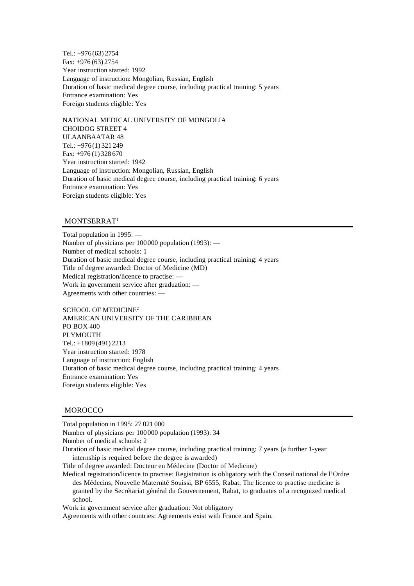Tel.: +976 (63) 2754 Fax: +976 (63) 2754 Year instruction started: 1992 Language of instruction: Mongolian, Russian, English Duration of basic medical degree course, including practical training: 5 years Entrance examination: Yes Foreign students eligible: Yes

NATIONAL MEDICAL UNIVERSITY OF MONGOLIA CHOIDOG STREET 4 ULAANBAATAR 48 Tel.: +976 (1) 321 249 Fax: +976 (1) 328 670 Year instruction started: 1942 Language of instruction: Mongolian, Russian, English Duration of basic medical degree course, including practical training: 6 years Entrance examination: Yes Foreign students eligible: Yes

# MONTSERRAT<sup>1</sup>

Total population in 1995: — Number of physicians per 100000 population (1993): — Number of medical schools: 1 Duration of basic medical degree course, including practical training: 4 years Title of degree awarded: Doctor of Medicine (MD) Medical registration/licence to practise: — Work in government service after graduation: — Agreements with other countries: —

SCHOOL OF MEDICINE<sup>2</sup> AMERICAN UNIVERSITY OF THE CARIBBEAN PO BOX 400 PLYMOUTH Tel.: +1809 (491) 2213 Year instruction started: 1978 Language of instruction: English Duration of basic medical degree course, including practical training: 4 years Entrance examination: Yes Foreign students eligible: Yes

#### **MOROCCO**

Total population in 1995: 27 021 000

Number of physicians per 100000 population (1993): 34

Number of medical schools: 2

Duration of basic medical degree course, including practical training: 7 years (a further 1-year internship is required before the degree is awarded)

Title of degree awarded: Docteur en Médecine (Doctor of Medicine)

Medical registration/licence to practise: Registration is obligatory with the Conseil national de l'Ordre des Médecins, Nouvelle Maternité Souissi, BP 6555, Rabat. The licence to practise medicine is granted by the Secrétariat général du Gouvernement, Rabat, to graduates of a recognized medical school.

Work in government service after graduation: Not obligatory

Agreements with other countries: Agreements exist with France and Spain.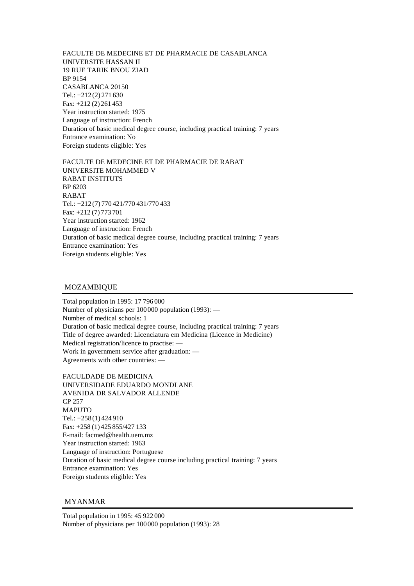FACULTE DE MEDECINE ET DE PHARMACIE DE CASABLANCA UNIVERSITE HASSAN II 19 RUE TARIK BNOU ZIAD BP 9154 CASABLANCA 20150 Tel.: +212 (2) 271 630 Fax: +212 (2) 261 453 Year instruction started: 1975 Language of instruction: French Duration of basic medical degree course, including practical training: 7 years Entrance examination: No Foreign students eligible: Yes

FACULTE DE MEDECINE ET DE PHARMACIE DE RABAT UNIVERSITE MOHAMMED V RABAT INSTITUTS BP 6203 RABAT Tel.: +212 (7) 770 421/770 431/770 433 Fax: +212 (7) 773 701 Year instruction started: 1962 Language of instruction: French Duration of basic medical degree course, including practical training: 7 years Entrance examination: Yes Foreign students eligible: Yes

# MOZAMBIQUE

Total population in 1995: 17 796 000 Number of physicians per 100000 population (1993): — Number of medical schools: 1 Duration of basic medical degree course, including practical training: 7 years Title of degree awarded: Licenciatura em Medicina (Licence in Medicine) Medical registration/licence to practise: — Work in government service after graduation: — Agreements with other countries: —

FACULDADE DE MEDICINA UNIVERSIDADE EDUARDO MONDLANE AVENIDA DR SALVADOR ALLENDE CP 257 MAPUTO Tel.: +258 (1) 424 910 Fax: +258 (1) 425 855/427 133 E-mail: facmed@health.uem.mz Year instruction started: 1963 Language of instruction: Portuguese Duration of basic medical degree course including practical training: 7 years Entrance examination: Yes Foreign students eligible: Yes

## MYANMAR

Total population in 1995: 45 922 000 Number of physicians per 100000 population (1993): 28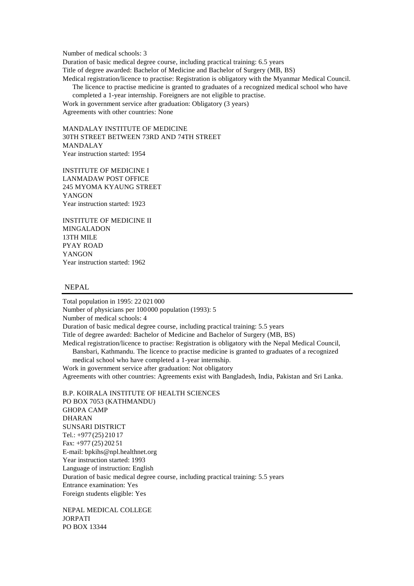Number of medical schools: 3

Duration of basic medical degree course, including practical training: 6.5 years Title of degree awarded: Bachelor of Medicine and Bachelor of Surgery (MB, BS) Medical registration/licence to practise: Registration is obligatory with the Myanmar Medical Council. The licence to practise medicine is granted to graduates of a recognized medical school who have

completed a 1-year internship. Foreigners are not eligible to practise. Work in government service after graduation: Obligatory (3 years)

Agreements with other countries: None

MANDALAY INSTITUTE OF MEDICINE 30TH STREET BETWEEN 73RD AND 74TH STREET MANDALAY Year instruction started: 1954

INSTITUTE OF MEDICINE I LANMADAW POST OFFICE 245 MYOMA KYAUNG STREET YANGON Year instruction started: 1923

INSTITUTE OF MEDICINE II MINGALADON 13TH MILE PYAY ROAD YANGON Year instruction started: 1962

### NEPAL

Total population in 1995: 22 021 000 Number of physicians per 100000 population (1993): 5 Number of medical schools: 4 Duration of basic medical degree course, including practical training: 5.5 years Title of degree awarded: Bachelor of Medicine and Bachelor of Surgery (MB, BS) Medical registration/licence to practise: Registration is obligatory with the Nepal Medical Council, Bansbari, Kathmandu. The licence to practise medicine is granted to graduates of a recognized medical school who have completed a 1-year internship. Work in government service after graduation: Not obligatory Agreements with other countries: Agreements exist with Bangladesh, India, Pakistan and Sri Lanka. B.P. KOIRALA INSTITUTE OF HEALTH SCIENCES PO BOX 7053 (KATHMANDU) GHOPA CAMP DHARAN SUNSARI DISTRICT Tel.: +977 (25) 210 17

Fax: +977 (25) 202 51 E-mail: bpkihs@npl.healthnet.org Year instruction started: 1993 Language of instruction: English Duration of basic medical degree course, including practical training: 5.5 years Entrance examination: Yes Foreign students eligible: Yes

NEPAL MEDICAL COLLEGE JORPATI PO BOX 13344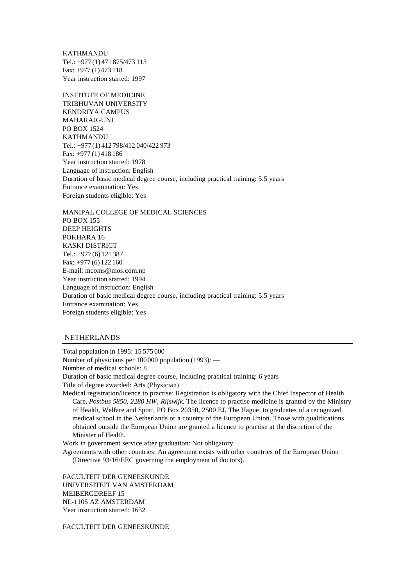KATHMANDU Tel.: +977 (1) 471 875/473 113 Fax: +977 (1) 473 118 Year instruction started: 1997

INSTITUTE OF MEDICINE TRIBHUVAN UNIVERSITY KENDRIYA CAMPUS MAHARAJGUNJ PO BOX 1524 KATHMANDU Tel.: +977 (1) 412 798/412 040/422 973 Fax: +977 (1) 418 186 Year instruction started: 1978 Language of instruction: English Duration of basic medical degree course, including practical training: 5.5 years Entrance examination: Yes Foreign students eligible: Yes

MANIPAL COLLEGE OF MEDICAL SCIENCES PO BOX 155 DEEP HEIGHTS POKHARA 16 KASKI DISTRICT Tel.: +977 (6) 121 387 Fax: +977 (6) 122 160 E-mail: mcoms@mos.com.np Year instruction started: 1994 Language of instruction: English Duration of basic medical degree course, including practical training: 5.5 years Entrance examination: Yes Foreign students eligible: Yes

### NETHERLANDS

Total population in 1995: 15 575 000 Number of physicians per 100000 population (1993): — Number of medical schools: 8 Duration of basic medical degree course, including practical training: 6 years Title of degree awarded: Arts (Physician)

Medical registration/licence to practise: Registration is obligatory with the Chief Inspector of Health Care, *Postbus 5850, 2280 HW, Rijswijk*. The licence to practise medicine is granted by the Ministry of Health, Welfare and Sport, PO Box 20350, 2500 EJ, The Hague, to graduates of a recognized medical school in the Netherlands or a country of the European Union. Those with qualifications obtained outside the European Union are granted a licence to practise at the discretion of the Minister of Health.

Work in government service after graduation: Not obligatory

Agreements with other countries: An agreement exists with other countries of the European Union (Directive 93/16/EEC governing the employment of doctors).

FACULTEIT DER GENEESKUNDE UNIVERSITEIT VAN AMSTERDAM MEIBERGDREEF 15 NL-1105 AZ AMSTERDAM Year instruction started: 1632

FACULTEIT DER GENEESKUNDE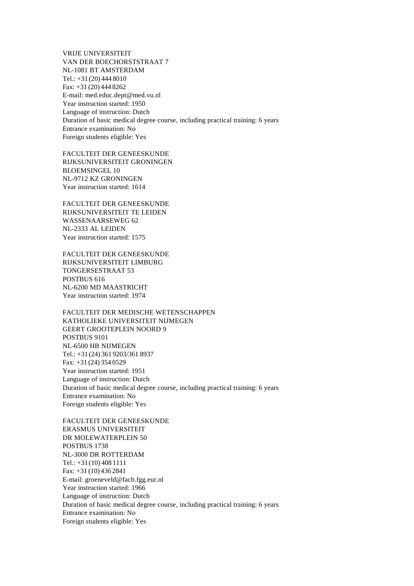VRIJE UNIVERSITEIT VAN DER BOECHORSTSTRAAT 7 NL-1081 BT AMSTERDAM Tel.: +31(20) 444 8010 Fax: +31 (20) 444 8262 E-mail: med.educ.dept@med.vu.nl Year instruction started: 1950 Language of instruction: Dutch Duration of basic medical degree course, including practical training: 6 years Entrance examination: No Foreign students eligible: Yes

FACULTEIT DER GENEESKUNDE RIJKSUNIVERSITEIT GRONINGEN BLOEMSINGEL 10 NL-9712 KZ GRONINGEN Year instruction started: 1614

FACULTEIT DER GENEESKUNDE RIJKSUNIVERSITEIT TE LEIDEN WASSENAARSEWEG 62 NL-2333 AL LEIDEN Year instruction started: 1575

FACULTEIT DER GENEESKUNDE RIJKSUNIVERSITEIT LIMBURG TONGERSESTRAAT 53 POSTBUS 616 NL-6200 MD MAASTRICHT Year instruction started: 1974

FACULTEIT DER MEDISCHE WETENSCHAPPEN KATHOLIEKE UNIVERSITEIT NIJMEGEN GEERT GROOTEPLEIN NOORD 9 POSTBUS 9101 NL-6500 HB NIJMEGEN Tel.: +31(24) 361 9203/361 8937 Fax: +31 (24) 354 0529 Year instruction started: 1951 Language of instruction: Dutch Duration of basic medical degree course, including practical training: 6 years Entrance examination: No Foreign students eligible: Yes

FACULTEIT DER GENEESKUNDE ERASMUS UNIVERSITEIT DR MOLEWATERPLEIN 50 POSTBUS 1738 NL-3000 DR ROTTERDAM Tel.: +31(10) 408 1111 Fax: +31 (10) 436 2841 E-mail: groeneveld@facb.fgg.eur.nl Year instruction started: 1966 Language of instruction: Dutch Duration of basic medical degree course, including practical training: 6 years Entrance examination: No Foreign students eligible: Yes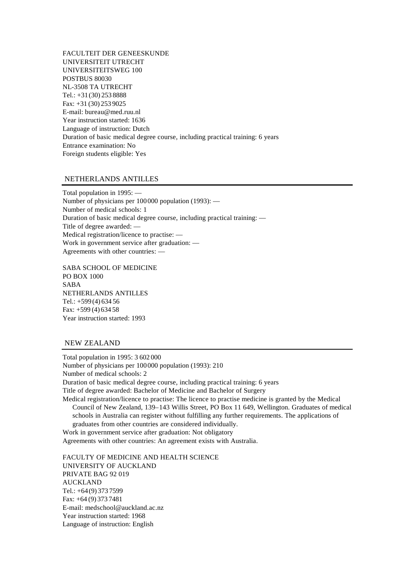FACULTEIT DER GENEESKUNDE UNIVERSITEIT UTRECHT UNIVERSITEITSWEG 100 POSTBUS 80030 NL-3508 TA UTRECHT Tel.: +31(30) 253 8888 Fax: +31 (30) 253 9025 E-mail: bureau@med.ruu.nl Year instruction started: 1636 Language of instruction: Dutch Duration of basic medical degree course, including practical training: 6 years Entrance examination: No Foreign students eligible: Yes

# NETHERLANDS ANTILLES

Total population in 1995: — Number of physicians per 100000 population (1993): — Number of medical schools: 1 Duration of basic medical degree course, including practical training: — Title of degree awarded: — Medical registration/licence to practise: — Work in government service after graduation: — Agreements with other countries: —

SABA SCHOOL OF MEDICINE PO BOX 1000 SABA NETHERLANDS ANTILLES Tel.:  $+599(4)63456$ Fax: +599 (4) 634 58 Year instruction started: 1993

## NEW ZEALAND

Total population in 1995: 3 602 000 Number of physicians per 100000 population (1993): 210 Number of medical schools: 2 Duration of basic medical degree course, including practical training: 6 years Title of degree awarded: Bachelor of Medicine and Bachelor of Surgery Medical registration/licence to practise: The licence to practise medicine is granted by the Medical Council of New Zealand, 139–143 Willis Street, PO Box 11 649, Wellington. Graduates of medical schools in Australia can register without fulfilling any further requirements. The applications of graduates from other countries are considered individually. Work in government service after graduation: Not obligatory Agreements with other countries: An agreement exists with Australia.

FACULTY OF MEDICINE AND HEALTH SCIENCE UNIVERSITY OF AUCKLAND PRIVATE BAG 92 019 AUCKLAND Tel.: +64(9) 373 7599 Fax: +64 (9) 373 7481 E-mail: medschool@auckland.ac.nz Year instruction started: 1968 Language of instruction: English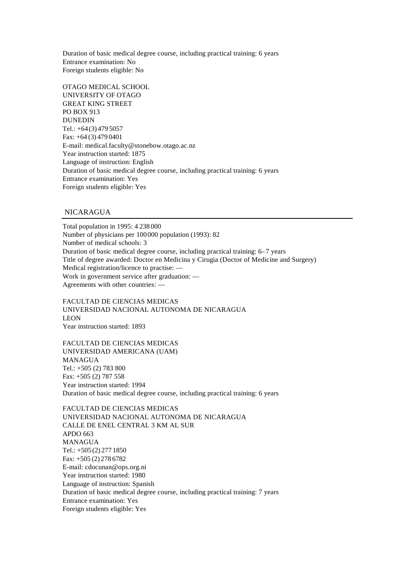Duration of basic medical degree course, including practical training: 6 years Entrance examination: No Foreign students eligible: No

OTAGO MEDICAL SCHOOL UNIVERSITY OF OTAGO GREAT KING STREET PO BOX 913 DUNEDIN Tel.: +64(3) 479 5057 Fax: +64 (3) 479 0401 E-mail: medical.faculty@stonebow.otago.ac.nz Year instruction started: 1875 Language of instruction: English Duration of basic medical degree course, including practical training: 6 years Entrance examination: Yes Foreign students eligible: Yes

# NICARAGUA

Total population in 1995: 4 238 000 Number of physicians per 100000 population (1993): 82 Number of medical schools: 3 Duration of basic medical degree course, including practical training: 6–7 years Title of degree awarded: Doctor en Medicina y Cirugia (Doctor of Medicine and Surgery) Medical registration/licence to practise: — Work in government service after graduation: — Agreements with other countries: —

FACULTAD DE CIENCIAS MEDICAS UNIVERSIDAD NACIONAL AUTONOMA DE NICARAGUA LEON Year instruction started: 1893

FACULTAD DE CIENCIAS MEDICAS UNIVERSIDAD AMERICANA (UAM) MANAGUA Tel.: +505 (2) 783 800 Fax: +505 (2) 787 558 Year instruction started: 1994 Duration of basic medical degree course, including practical training: 6 years

FACULTAD DE CIENCIAS MEDICAS UNIVERSIDAD NACIONAL AUTONOMA DE NICARAGUA CALLE DE ENEL CENTRAL 3 KM AL SUR APDO 663 MANAGUA Tel.: +505 (2) 277 1850 Fax: +505 (2) 278 6782 E-mail: cdocunan@ops.org.ni Year instruction started: 1980 Language of instruction: Spanish Duration of basic medical degree course, including practical training: 7 years Entrance examination: Yes Foreign students eligible: Yes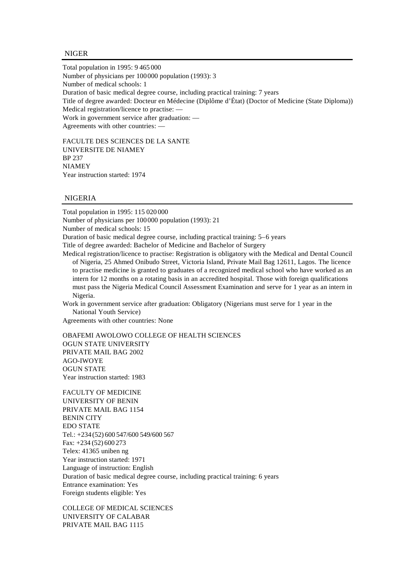### NIGER

Total population in 1995: 9 465 000 Number of physicians per 100000 population (1993): 3 Number of medical schools: 1 Duration of basic medical degree course, including practical training: 7 years Title of degree awarded: Docteur en Médecine (Diplôme d'État) (Doctor of Medicine (State Diploma)) Medical registration/licence to practise: — Work in government service after graduation: — Agreements with other countries: —

FACULTE DES SCIENCES DE LA SANTE UNIVERSITE DE NIAMEY BP 237 NIAMEY Year instruction started: 1974

## NIGERIA

Total population in 1995: 115 020 000 Number of physicians per 100000 population (1993): 21 Number of medical schools: 15 Duration of basic medical degree course, including practical training: 5–6 years Title of degree awarded: Bachelor of Medicine and Bachelor of Surgery Medical registration/licence to practise: Registration is obligatory with the Medical and Dental Council of Nigeria, 25 Ahmed Onibudo Street, Victoria Island, Private Mail Bag 12611, Lagos. The licence to practise medicine is granted to graduates of a recognized medical school who have worked as an intern for 12 months on a rotating basis in an accredited hospital. Those with foreign qualifications must pass the Nigeria Medical Council Assessment Examination and serve for 1 year as an intern in Nigeria.

Work in government service after graduation: Obligatory (Nigerians must serve for 1 year in the National Youth Service)

Agreements with other countries: None

OBAFEMI AWOLOWO COLLEGE OF HEALTH SCIENCES OGUN STATE UNIVERSITY PRIVATE MAIL BAG 2002 AGO-IWOYE OGUN STATE Year instruction started: 1983

FACULTY OF MEDICINE UNIVERSITY OF BENIN PRIVATE MAIL BAG 1154 BENIN CITY EDO STATE Tel.: +234 (52) 600 547/600 549/600 567 Fax: +234 (52) 600 273 Telex: 41365 uniben ng Year instruction started: 1971 Language of instruction: English Duration of basic medical degree course, including practical training: 6 years Entrance examination: Yes Foreign students eligible: Yes

COLLEGE OF MEDICAL SCIENCES UNIVERSITY OF CALABAR PRIVATE MAIL BAG 1115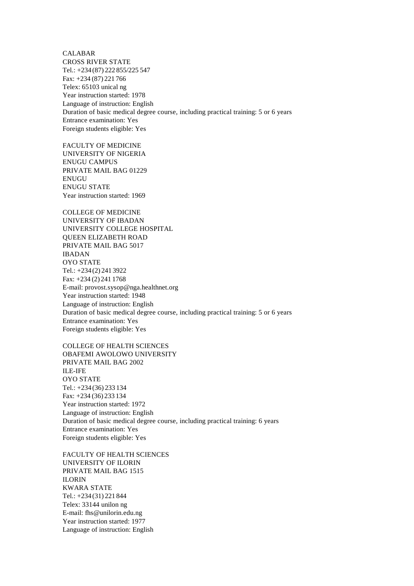CALABAR CROSS RIVER STATE Tel.: +234 (87) 222 855/225 547 Fax: +234 (87) 221 766 Telex: 65103 unical ng Year instruction started: 1978 Language of instruction: English Duration of basic medical degree course, including practical training: 5 or 6 years Entrance examination: Yes Foreign students eligible: Yes

FACULTY OF MEDICINE UNIVERSITY OF NIGERIA ENUGU CAMPUS PRIVATE MAIL BAG 01229 ENUGU ENUGU STATE Year instruction started: 1969

COLLEGE OF MEDICINE UNIVERSITY OF IBADAN UNIVERSITY COLLEGE HOSPITAL QUEEN ELIZABETH ROAD PRIVATE MAIL BAG 5017 IBADAN OYO STATE Tel.: +234 (2) 241 3922 Fax: +234 (2) 241 1768 E-mail: provost.sysop@nga.healthnet.org Year instruction started: 1948 Language of instruction: English Duration of basic medical degree course, including practical training: 5 or 6 years Entrance examination: Yes Foreign students eligible: Yes

COLLEGE OF HEALTH SCIENCES OBAFEMI AWOLOWO UNIVERSITY PRIVATE MAIL BAG 2002 ILE-IFE OYO STATE Tel.: +234 (36) 233 134 Fax: +234 (36) 233 134 Year instruction started: 1972 Language of instruction: English Duration of basic medical degree course, including practical training: 6 years Entrance examination: Yes Foreign students eligible: Yes

FACULTY OF HEALTH SCIENCES UNIVERSITY OF ILORIN PRIVATE MAIL BAG 1515 ILORIN KWARA STATE Tel.: +234 (31) 221 844 Telex: 33144 unilon ng E-mail: fhs@unilorin.edu.ng Year instruction started: 1977 Language of instruction: English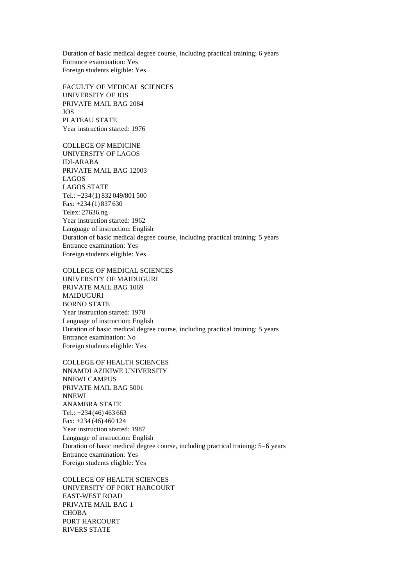Duration of basic medical degree course, including practical training: 6 years Entrance examination: Yes Foreign students eligible: Yes

FACULTY OF MEDICAL SCIENCES UNIVERSITY OF JOS PRIVATE MAIL BAG 2084 JOS PLATEAU STATE Year instruction started: 1976

COLLEGE OF MEDICINE UNIVERSITY OF LAGOS IDI-ARABA PRIVATE MAIL BAG 12003 LAGOS LAGOS STATE Tel.: +234 (1) 832 049/801 500 Fax: +234 (1) 837 630 Telex: 27636 ng Year instruction started: 1962 Language of instruction: English Duration of basic medical degree course, including practical training: 5 years Entrance examination: Yes Foreign students eligible: Yes

COLLEGE OF MEDICAL SCIENCES

UNIVERSITY OF MAIDUGURI PRIVATE MAIL BAG 1069 MAIDUGURI BORNO STATE Year instruction started: 1978 Language of instruction: English Duration of basic medical degree course, including practical training: 5 years Entrance examination: No Foreign students eligible: Yes

COLLEGE OF HEALTH SCIENCES NNAMDI AZIKIWE UNIVERSITY NNEWI CAMPUS PRIVATE MAIL BAG 5001 NNEWI ANAMBRA STATE Tel.: +234 (46) 463 663 Fax: +234 (46) 460 124 Year instruction started: 1987 Language of instruction: English Duration of basic medical degree course, including practical training: 5–6 years Entrance examination: Yes Foreign students eligible: Yes

COLLEGE OF HEALTH SCIENCES UNIVERSITY OF PORT HARCOURT EAST-WEST ROAD PRIVATE MAIL BAG 1 CHOBA PORT HARCOURT RIVERS STATE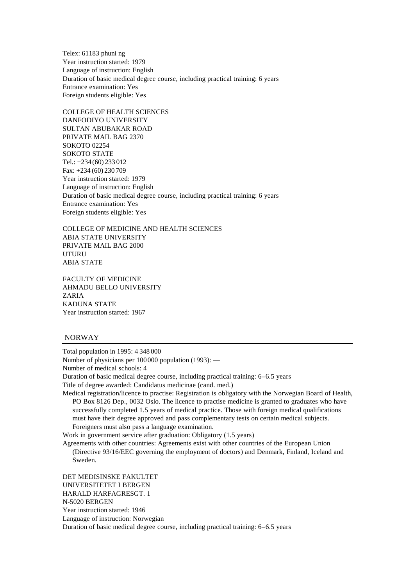Telex: 61183 phuni ng Year instruction started: 1979 Language of instruction: English Duration of basic medical degree course, including practical training: 6 years Entrance examination: Yes Foreign students eligible: Yes

COLLEGE OF HEALTH SCIENCES DANFODIYO UNIVERSITY SULTAN ABUBAKAR ROAD PRIVATE MAIL BAG 2370 SOKOTO 02254 SOKOTO STATE Tel.: +234 (60) 233 012 Fax: +234 (60) 230 709 Year instruction started: 1979 Language of instruction: English Duration of basic medical degree course, including practical training: 6 years Entrance examination: Yes Foreign students eligible: Yes

COLLEGE OF MEDICINE AND HEALTH SCIENCES ABIA STATE UNIVERSITY PRIVATE MAIL BAG 2000 UTURU ABIA STATE

FACULTY OF MEDICINE AHMADU BELLO UNIVERSITY ZARIA KADUNA STATE Year instruction started: 1967

### NORWAY

Total population in 1995: 4 348 000 Number of physicians per 100000 population (1993): — Number of medical schools: 4

Duration of basic medical degree course, including practical training: 6–6.5 years

Title of degree awarded: Candidatus medicinae (cand. med.)

Medical registration/licence to practise: Registration is obligatory with the Norwegian Board of Health, PO Box 8126 Dep., 0032 Oslo. The licence to practise medicine is granted to graduates who have successfully completed 1.5 years of medical practice. Those with foreign medical qualifications must have their degree approved and pass complementary tests on certain medical subjects. Foreigners must also pass a language examination.

Work in government service after graduation: Obligatory (1.5 years)

Agreements with other countries: Agreements exist with other countries of the European Union (Directive 93/16/EEC governing the employment of doctors) and Denmark, Finland, Iceland and Sweden.

DET MEDISINSKE FAKULTET UNIVERSITETET I BERGEN HARALD HARFAGRESGT. 1 N-5020 BERGEN Year instruction started: 1946 Language of instruction: Norwegian Duration of basic medical degree course, including practical training: 6–6.5 years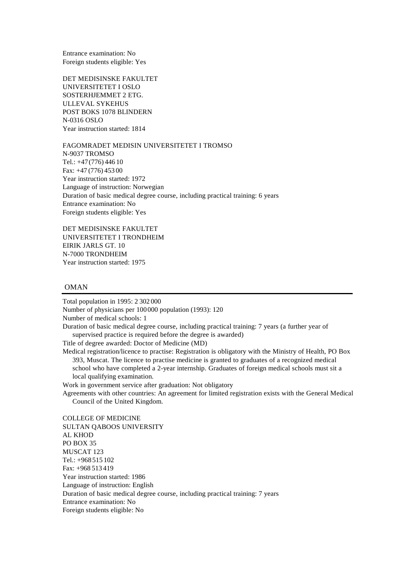Entrance examination: No Foreign students eligible: Yes

DET MEDISINSKE FAKULTET UNIVERSITETET I OSLO SOSTERHJEMMET 2 ETG. ULLEVAL SYKEHUS POST BOKS 1078 BLINDERN N-0316 OSLO Year instruction started: 1814

FAGOMRADET MEDISIN UNIVERSITETET I TROMSO N-9037 TROMSO Tel.: +47(776) 446 10 Fax: +47 (776) 453 00 Year instruction started: 1972 Language of instruction: Norwegian Duration of basic medical degree course, including practical training: 6 years Entrance examination: No Foreign students eligible: Yes

DET MEDISINSKE FAKULTET UNIVERSITETET I TRONDHEIM EIRIK JARLS GT. 10 N-7000 TRONDHEIM Year instruction started: 1975

### OMAN

Total population in 1995: 2 302 000 Number of physicians per 100000 population (1993): 120 Number of medical schools: 1 Duration of basic medical degree course, including practical training: 7 years (a further year of supervised practice is required before the degree is awarded) Title of degree awarded: Doctor of Medicine (MD) Medical registration/licence to practise: Registration is obligatory with the Ministry of Health, PO Box 393, Muscat. The licence to practise medicine is granted to graduates of a recognized medical school who have completed a 2-year internship. Graduates of foreign medical schools must sit a local qualifying examination. Work in government service after graduation: Not obligatory Agreements with other countries: An agreement for limited registration exists with the General Medical Council of the United Kingdom. COLLEGE OF MEDICINE SULTAN QABOOS UNIVERSITY AL KHOD PO BOX 35 MUSCAT 123 Tel.: +968 515 102 Fax: +968 513 419 Year instruction started: 1986 Language of instruction: English

Duration of basic medical degree course, including practical training: 7 years

Entrance examination: No

Foreign students eligible: No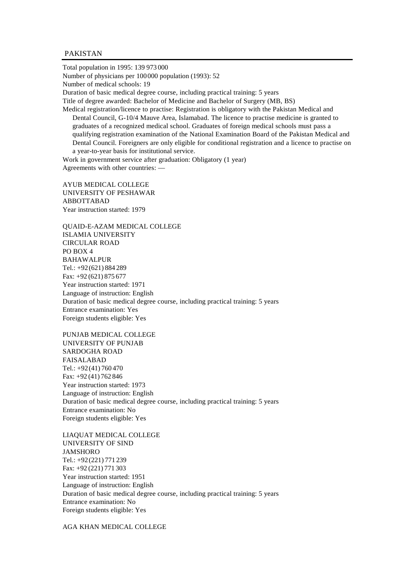### PAKISTAN

Total population in 1995: 139 973 000 Number of physicians per 100000 population (1993): 52 Number of medical schools: 19 Duration of basic medical degree course, including practical training: 5 years Title of degree awarded: Bachelor of Medicine and Bachelor of Surgery (MB, BS) Medical registration/licence to practise: Registration is obligatory with the Pakistan Medical and Dental Council, G-10/4 Mauve Area, Islamabad. The licence to practise medicine is granted to graduates of a recognized medical school. Graduates of foreign medical schools must pass a

qualifying registration examination of the National Examination Board of the Pakistan Medical and Dental Council. Foreigners are only eligible for conditional registration and a licence to practise on a year-to-year basis for institutional service.

Work in government service after graduation: Obligatory (1 year) Agreements with other countries: —

AYUB MEDICAL COLLEGE UNIVERSITY OF PESHAWAR ABBOTTABAD Year instruction started: 1979

QUAID-E-AZAM MEDICAL COLLEGE ISLAMIA UNIVERSITY CIRCULAR ROAD PO BOX 4 BAHAWALPUR Tel.: +92(621) 884 289 Fax: +92 (621) 875 677 Year instruction started: 1971 Language of instruction: English Duration of basic medical degree course, including practical training: 5 years Entrance examination: Yes Foreign students eligible: Yes

PUNJAB MEDICAL COLLEGE UNIVERSITY OF PUNJAB SARDOGHA ROAD FAISALABAD Tel.: +92(41) 760 470 Fax: +92 (41) 762 846 Year instruction started: 1973 Language of instruction: English Duration of basic medical degree course, including practical training: 5 years Entrance examination: No Foreign students eligible: Yes

LIAQUAT MEDICAL COLLEGE UNIVERSITY OF SIND JAMSHORO Tel.: +92(221) 771 239 Fax: +92 (221) 771 303 Year instruction started: 1951 Language of instruction: English Duration of basic medical degree course, including practical training: 5 years Entrance examination: No Foreign students eligible: Yes

AGA KHAN MEDICAL COLLEGE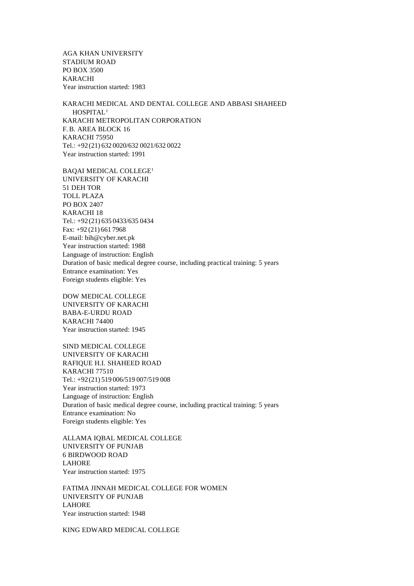AGA KHAN UNIVERSITY STADIUM ROAD PO BOX 3500 KARACHI Year instruction started: 1983

KARACHI MEDICAL AND DENTAL COLLEGE AND ABBASI SHAHEED HOSPITAL<sup>1</sup> KARACHI METROPOLITAN CORPORATION F.B. AREA BLOCK 16 KARACHI 75950 Tel.: +92(21) 632 0020/632 0021/632 0022 Year instruction started: 1991

BAQAI MEDICAL COLLEGE<sup>1</sup> UNIVERSITY OF KARACHI 51 DEH TOR TOLL PLAZA PO BOX 2407 KARACHI 18 Tel.: +92(21) 635 0433/635 0434 Fax: +92 (21) 661 7968 E-mail: bih@cyber.net.pk Year instruction started: 1988 Language of instruction: English Duration of basic medical degree course, including practical training: 5 years Entrance examination: Yes Foreign students eligible: Yes

DOW MEDICAL COLLEGE UNIVERSITY OF KARACHI BABA-E-URDU ROAD KARACHI 74400 Year instruction started: 1945

SIND MEDICAL COLLEGE UNIVERSITY OF KARACHI RAFIQUE H.I. SHAHEED ROAD KARACHI 77510 Tel.: +92(21) 519 006/519 007/519 008 Year instruction started: 1973 Language of instruction: English Duration of basic medical degree course, including practical training: 5 years Entrance examination: No Foreign students eligible: Yes

ALLAMA IQBAL MEDICAL COLLEGE UNIVERSITY OF PUNJAB 6 BIRDWOOD ROAD LAHORE Year instruction started: 1975

FATIMA JINNAH MEDICAL COLLEGE FOR WOMEN UNIVERSITY OF PUNJAB LAHORE Year instruction started: 1948

KING EDWARD MEDICAL COLLEGE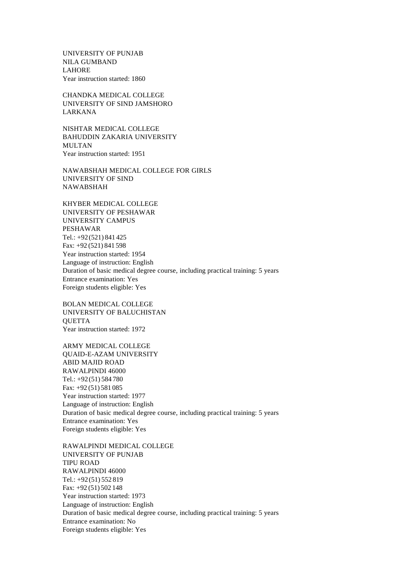UNIVERSITY OF PUNJAB NILA GUMBAND LAHORE Year instruction started: 1860

CHANDKA MEDICAL COLLEGE UNIVERSITY OF SIND JAMSHORO LARKANA

NISHTAR MEDICAL COLLEGE BAHUDDIN ZAKARIA UNIVERSITY MULTAN Year instruction started: 1951

NAWABSHAH MEDICAL COLLEGE FOR GIRLS UNIVERSITY OF SIND NAWABSHAH

KHYBER MEDICAL COLLEGE UNIVERSITY OF PESHAWAR UNIVERSITY CAMPUS PESHAWAR Tel.: +92(521) 841 425 Fax: +92 (521) 841 598 Year instruction started: 1954 Language of instruction: English Duration of basic medical degree course, including practical training: 5 years Entrance examination: Yes Foreign students eligible: Yes

BOLAN MEDICAL COLLEGE UNIVERSITY OF BALUCHISTAN **OUETTA** Year instruction started: 1972

ARMY MEDICAL COLLEGE QUAID-E-AZAM UNIVERSITY ABID MAJID ROAD RAWALPINDI 46000 Tel.: +92(51) 584 780 Fax: +92 (51) 581 085 Year instruction started: 1977 Language of instruction: English Duration of basic medical degree course, including practical training: 5 years Entrance examination: Yes Foreign students eligible: Yes

RAWALPINDI MEDICAL COLLEGE UNIVERSITY OF PUNJAB TIPU ROAD RAWALPINDI 46000 Tel.: +92(51) 552 819 Fax: +92 (51) 502 148 Year instruction started: 1973 Language of instruction: English Duration of basic medical degree course, including practical training: 5 years Entrance examination: No Foreign students eligible: Yes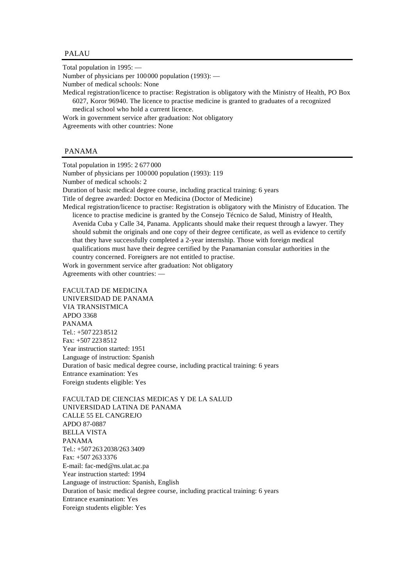### PALAU

Total population in 1995: —

Number of physicians per 100000 population (1993): —

Number of medical schools: None

Medical registration/licence to practise: Registration is obligatory with the Ministry of Health, PO Box 6027, Koror 96940. The licence to practise medicine is granted to graduates of a recognized medical school who hold a current licence.

Work in government service after graduation: Not obligatory

Agreements with other countries: None

## PANAMA

Total population in 1995: 2 677 000

Number of physicians per 100000 population (1993): 119

Number of medical schools: 2

Duration of basic medical degree course, including practical training: 6 years

Title of degree awarded: Doctor en Medicina (Doctor of Medicine)

Medical registration/licence to practise: Registration is obligatory with the Ministry of Education. The licence to practise medicine is granted by the Consejo Técnico de Salud, Ministry of Health, Avenida Cuba y Calle 34, Panama. Applicants should make their request through a lawyer. They should submit the originals and one copy of their degree certificate, as well as evidence to certify that they have successfully completed a 2-year internship. Those with foreign medical qualifications must have their degree certified by the Panamanian consular authorities in the country concerned. Foreigners are not entitled to practise.

Work in government service after graduation: Not obligatory Agreements with other countries: —

FACULTAD DE MEDICINA UNIVERSIDAD DE PANAMA VIA TRANSISTMICA APDO 3368 PANAMA Tel.: +507 223 8512  $Fax: +5072238512$ Year instruction started: 1951 Language of instruction: Spanish Duration of basic medical degree course, including practical training: 6 years Entrance examination: Yes Foreign students eligible: Yes

FACULTAD DE CIENCIAS MEDICAS Y DE LA SALUD UNIVERSIDAD LATINA DE PANAMA CALLE 55 EL CANGREJO APDO 87-0887 BELLA VISTA PANAMA Tel.: +507 263 2038/263 3409 Fax: +507 263 3376 E-mail: fac-med@ns.ulat.ac.pa Year instruction started: 1994 Language of instruction: Spanish, English Duration of basic medical degree course, including practical training: 6 years Entrance examination: Yes Foreign students eligible: Yes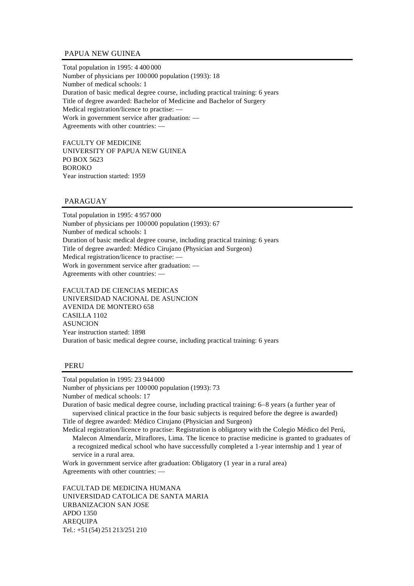# PAPUA NEW GUINEA

Total population in 1995: 4 400 000 Number of physicians per 100000 population (1993): 18 Number of medical schools: 1 Duration of basic medical degree course, including practical training: 6 years Title of degree awarded: Bachelor of Medicine and Bachelor of Surgery Medical registration/licence to practise: — Work in government service after graduation: — Agreements with other countries: —

FACULTY OF MEDICINE UNIVERSITY OF PAPUA NEW GUINEA PO BOX 5623 BOROKO Year instruction started: 1959

# PARAGUAY

Total population in 1995: 4 957 000 Number of physicians per 100000 population (1993): 67 Number of medical schools: 1 Duration of basic medical degree course, including practical training: 6 years Title of degree awarded: Médico Cirujano (Physician and Surgeon) Medical registration/licence to practise: — Work in government service after graduation: — Agreements with other countries: —

FACULTAD DE CIENCIAS MEDICAS UNIVERSIDAD NACIONAL DE ASUNCION AVENIDA DE MONTERO 658 CASILLA 1102 ASUNCION Year instruction started: 1898 Duration of basic medical degree course, including practical training: 6 years

## PERU

Total population in 1995: 23 944 000

Number of physicians per 100000 population (1993): 73 Number of medical schools: 17

Duration of basic medical degree course, including practical training: 6–8 years (a further year of supervised clinical practice in the four basic subjects is required before the degree is awarded) Title of degree awarded: Médico Cirujano (Physician and Surgeon)

Medical registration/licence to practise: Registration is obligatory with the Colegio Médico del Perú, Malecon Almendaríz, Miraflores, Lima. The licence to practise medicine is granted to graduates of a recognized medical school who have successfully completed a 1-year internship and 1 year of service in a rural area.

Work in government service after graduation: Obligatory (1 year in a rural area) Agreements with other countries: —

FACULTAD DE MEDICINA HUMANA UNIVERSIDAD CATOLICA DE SANTA MARIA URBANIZACION SAN JOSE APDO 1350 AREQUIPA Tel.: +51(54) 251 213/251 210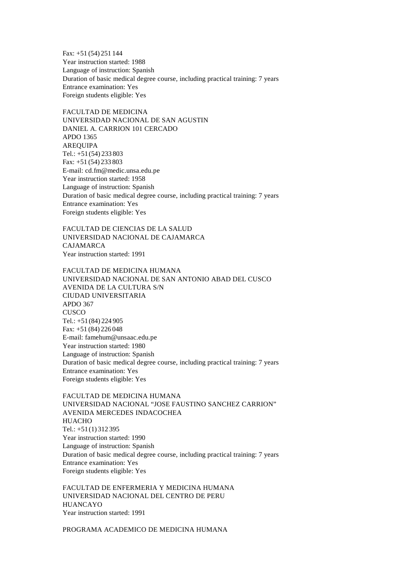Fax: +51 (54) 251 144 Year instruction started: 1988 Language of instruction: Spanish Duration of basic medical degree course, including practical training: 7 years Entrance examination: Yes Foreign students eligible: Yes

FACULTAD DE MEDICINA UNIVERSIDAD NACIONAL DE SAN AGUSTIN DANIEL A. CARRION 101 CERCADO APDO 1365 AREQUIPA Tel.: +51(54) 233 803 Fax: +51 (54) 233 803 E-mail: cd.fm@medic.unsa.edu.pe Year instruction started: 1958 Language of instruction: Spanish Duration of basic medical degree course, including practical training: 7 years Entrance examination: Yes Foreign students eligible: Yes

FACULTAD DE CIENCIAS DE LA SALUD UNIVERSIDAD NACIONAL DE CAJAMARCA CAJAMARCA Year instruction started: 1991

FACULTAD DE MEDICINA HUMANA UNIVERSIDAD NACIONAL DE SAN ANTONIO ABAD DEL CUSCO AVENIDA DE LA CULTURA S/N CIUDAD UNIVERSITARIA APDO 367 **CUSCO** Tel.: +51(84) 224 905 Fax: +51 (84) 226 048 E-mail: famehum@unsaac.edu.pe Year instruction started: 1980 Language of instruction: Spanish Duration of basic medical degree course, including practical training: 7 years Entrance examination: Yes Foreign students eligible: Yes

FACULTAD DE MEDICINA HUMANA UNIVERSIDAD NACIONAL "JOSE FAUSTINO SANCHEZ CARRION" AVENIDA MERCEDES INDACOCHEA HUACHO Tel.: +51(1) 312 395 Year instruction started: 1990 Language of instruction: Spanish Duration of basic medical degree course, including practical training: 7 years Entrance examination: Yes Foreign students eligible: Yes

FACULTAD DE ENFERMERIA Y MEDICINA HUMANA UNIVERSIDAD NACIONAL DEL CENTRO DE PERU HUANCAYO Year instruction started: 1991

PROGRAMA ACADEMICO DE MEDICINA HUMANA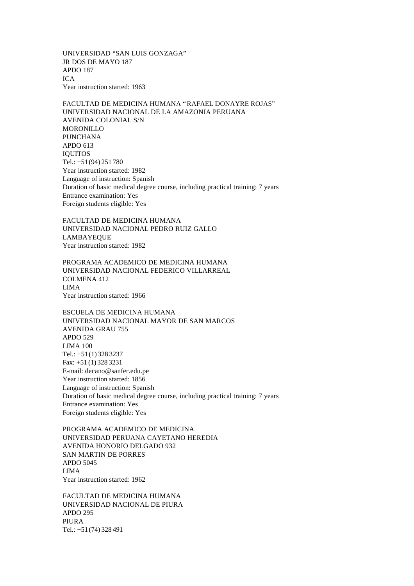UNIVERSIDAD "SAN LUIS GONZAGA" JR DOS DE MAYO 187 APDO 187 ICA Year instruction started: 1963

FACULTAD DE MEDICINA HUMANA "RAFAEL DONAYRE ROJAS" UNIVERSIDAD NACIONAL DE LA AMAZONIA PERUANA AVENIDA COLONIAL S/N MORONILLO PUNCHANA APDO 613 IQUITOS Tel.: +51(94) 251 780 Year instruction started: 1982 Language of instruction: Spanish Duration of basic medical degree course, including practical training: 7 years Entrance examination: Yes Foreign students eligible: Yes

FACULTAD DE MEDICINA HUMANA UNIVERSIDAD NACIONAL PEDRO RUIZ GALLO LAMBAYEQUE Year instruction started: 1982

PROGRAMA ACADEMICO DE MEDICINA HUMANA UNIVERSIDAD NACIONAL FEDERICO VILLARREAL COLMENA 412 LIMA Year instruction started: 1966

ESCUELA DE MEDICINA HUMANA UNIVERSIDAD NACIONAL MAYOR DE SAN MARCOS AVENIDA GRAU 755 APDO 529 LIMA 100 Tel.: +51(1) 328 3237 Fax: +51 (1) 328 3231 E-mail: decano@sanfer.edu.pe Year instruction started: 1856 Language of instruction: Spanish Duration of basic medical degree course, including practical training: 7 years Entrance examination: Yes Foreign students eligible: Yes

PROGRAMA ACADEMICO DE MEDICINA UNIVERSIDAD PERUANA CAYETANO HEREDIA AVENIDA HONORIO DELGADO 932 SAN MARTIN DE PORRES APDO 5045 LIMA Year instruction started: 1962

FACULTAD DE MEDICINA HUMANA UNIVERSIDAD NACIONAL DE PIURA APDO 295 PIURA Tel.: +51(74) 328 491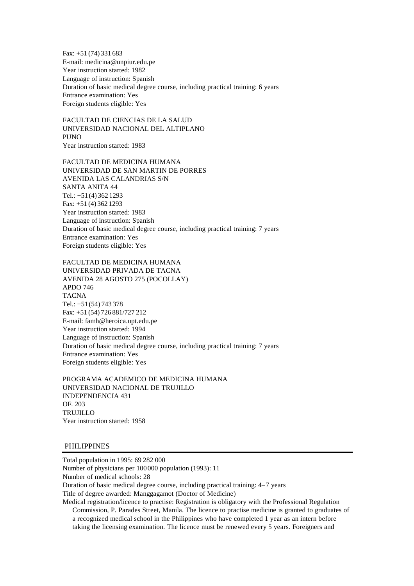Fax: +51 (74) 331 683 E-mail: medicina@unpiur.edu.pe Year instruction started: 1982 Language of instruction: Spanish Duration of basic medical degree course, including practical training: 6 years Entrance examination: Yes Foreign students eligible: Yes

FACULTAD DE CIENCIAS DE LA SALUD UNIVERSIDAD NACIONAL DEL ALTIPLANO **PUNO** Year instruction started: 1983

FACULTAD DE MEDICINA HUMANA UNIVERSIDAD DE SAN MARTIN DE PORRES AVENIDA LAS CALANDRIAS S/N SANTA ANITA 44 Tel.: +51(4) 362 1293 Fax: +51 (4) 362 1293 Year instruction started: 1983 Language of instruction: Spanish Duration of basic medical degree course, including practical training: 7 years Entrance examination: Yes Foreign students eligible: Yes

FACULTAD DE MEDICINA HUMANA UNIVERSIDAD PRIVADA DE TACNA AVENIDA 28 AGOSTO 275 (POCOLLAY) APDO 746 **TACNA** Tel.: +51(54) 743 378 Fax: +51 (54) 726 881/727 212 E-mail: famh@heroica.upt.edu.pe Year instruction started: 1994 Language of instruction: Spanish Duration of basic medical degree course, including practical training: 7 years Entrance examination: Yes Foreign students eligible: Yes

PROGRAMA ACADEMICO DE MEDICINA HUMANA UNIVERSIDAD NACIONAL DE TRUJILLO INDEPENDENCIA 431 OF. 203 TRUJILLO Year instruction started: 1958

## PHILIPPINES

Total population in 1995: 69 282 000 Number of physicians per 100000 population (1993): 11 Number of medical schools: 28 Duration of basic medical degree course, including practical training: 4–7 years Title of degree awarded: Manggagamot (Doctor of Medicine) Medical registration/licence to practise: Registration is obligatory with the Professional Regulation

Commission, P. Parades Street, Manila. The licence to practise medicine is granted to graduates of a recognized medical school in the Philippines who have completed 1 year as an intern before taking the licensing examination. The licence must be renewed every 5 years. Foreigners and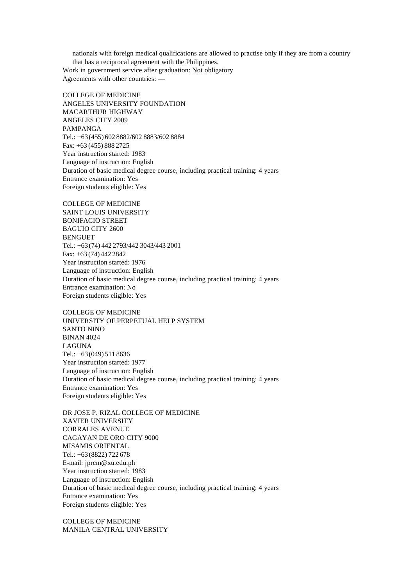nationals with foreign medical qualifications are allowed to practise only if they are from a country that has a reciprocal agreement with the Philippines. Work in government service after graduation: Not obligatory Agreements with other countries: —

COLLEGE OF MEDICINE ANGELES UNIVERSITY FOUNDATION MACARTHUR HIGHWAY ANGELES CITY 2009 PAMPANGA Tel.: +63(455) 602 8882/602 8883/602 8884 Fax: +63 (455) 888 2725 Year instruction started: 1983 Language of instruction: English Duration of basic medical degree course, including practical training: 4 years Entrance examination: Yes Foreign students eligible: Yes

COLLEGE OF MEDICINE SAINT LOUIS UNIVERSITY BONIFACIO STREET BAGUIO CITY 2600 **BENGUET** Tel.: +63(74) 442 2793/442 3043/443 2001 Fax: +63 (74) 442 2842 Year instruction started: 1976 Language of instruction: English Duration of basic medical degree course, including practical training: 4 years Entrance examination: No Foreign students eligible: Yes

COLLEGE OF MEDICINE UNIVERSITY OF PERPETUAL HELP SYSTEM SANTO NINO BINAN 4024 LAGUNA Tel.: +63(049) 511 8636 Year instruction started: 1977 Language of instruction: English Duration of basic medical degree course, including practical training: 4 years Entrance examination: Yes Foreign students eligible: Yes

DR JOSE P. RIZAL COLLEGE OF MEDICINE XAVIER UNIVERSITY CORRALES AVENUE CAGAYAN DE ORO CITY 9000 MISAMIS ORIENTAL Tel.: +63(8822) 722 678 E-mail: jprcm@xu.edu.ph Year instruction started: 1983 Language of instruction: English Duration of basic medical degree course, including practical training: 4 years Entrance examination: Yes Foreign students eligible: Yes

COLLEGE OF MEDICINE MANILA CENTRAL UNIVERSITY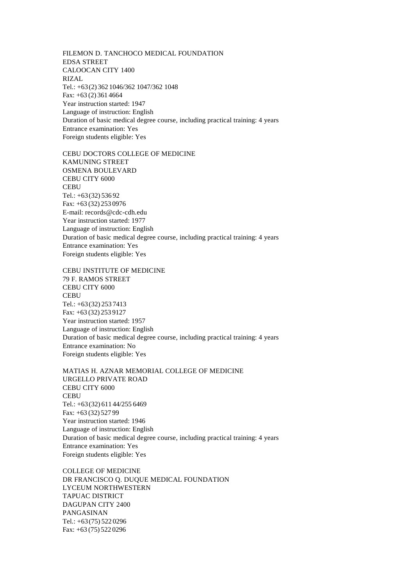FILEMON D. TANCHOCO MEDICAL FOUNDATION EDSA STREET CALOOCAN CITY 1400 RIZAL Tel.: +63(2) 362 1046/362 1047/362 1048 Fax: +63 (2) 361 4664 Year instruction started: 1947 Language of instruction: English Duration of basic medical degree course, including practical training: 4 years Entrance examination: Yes Foreign students eligible: Yes

CEBU DOCTORS COLLEGE OF MEDICINE KAMUNING STREET OSMENA BOULEVARD CEBU CITY 6000 **CEBU** Tel.: +63(32) 536 92 Fax: +63 (32) 253 0976 E-mail: records@cdc-cdh.edu Year instruction started: 1977 Language of instruction: English Duration of basic medical degree course, including practical training: 4 years Entrance examination: Yes Foreign students eligible: Yes

CEBU INSTITUTE OF MEDICINE 79 F. RAMOS STREET CEBU CITY 6000 **CEBU** Tel.: +63(32) 253 7413 Fax: +63 (32) 253 9127 Year instruction started: 1957 Language of instruction: English Duration of basic medical degree course, including practical training: 4 years Entrance examination: No Foreign students eligible: Yes

MATIAS H. AZNAR MEMORIAL COLLEGE OF MEDICINE URGELLO PRIVATE ROAD CEBU CITY 6000 **CEBU** Tel.: +63(32) 611 44/255 6469 Fax: +63 (32) 527 99 Year instruction started: 1946 Language of instruction: English Duration of basic medical degree course, including practical training: 4 years Entrance examination: Yes Foreign students eligible: Yes

COLLEGE OF MEDICINE DR FRANCISCO Q. DUQUE MEDICAL FOUNDATION LYCEUM NORTHWESTERN TAPUAC DISTRICT DAGUPAN CITY 2400 PANGASINAN Tel.: +63(75) 522 0296 Fax: +63 (75) 522 0296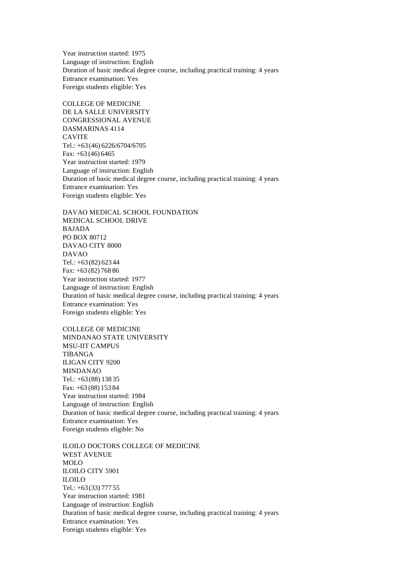Year instruction started: 1975 Language of instruction: English Duration of basic medical degree course, including practical training: 4 years Entrance examination: Yes Foreign students eligible: Yes

COLLEGE OF MEDICINE DE LA SALLE UNIVERSITY CONGRESSIONAL AVENUE DASMARINAS 4114 CAVITE Tel.: +63(46) 6226/6704/6705 Fax: +63 (46) 6465 Year instruction started: 1979 Language of instruction: English Duration of basic medical degree course, including practical training: 4 years Entrance examination: Yes Foreign students eligible: Yes

DAVAO MEDICAL SCHOOL FOUNDATION MEDICAL SCHOOL DRIVE BAJADA PO BOX 80712 DAVAO CITY 8000 DAVAO Tel.: +63(82) 623 44 Fax: +63 (82) 768 86 Year instruction started: 1977 Language of instruction: English Duration of basic medical degree course, including practical training: 4 years Entrance examination: Yes Foreign students eligible: Yes

COLLEGE OF MEDICINE MINDANAO STATE UNIVERSITY MSU-IIT CAMPUS TIBANGA ILIGAN CITY 9200 MINDANAO Tel.: +63(88) 138 35 Fax: +63 (88) 153 84 Year instruction started: 1984 Language of instruction: English Duration of basic medical degree course, including practical training: 4 years Entrance examination: Yes Foreign students eligible: No

ILOILO DOCTORS COLLEGE OF MEDICINE WEST AVENUE MOLO ILOILO CITY 5901 ILOILO Tel.: +63(33) 777 55 Year instruction started: 1981 Language of instruction: English Duration of basic medical degree course, including practical training: 4 years Entrance examination: Yes Foreign students eligible: Yes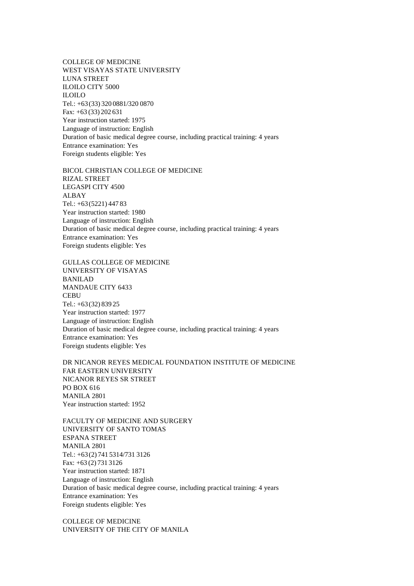COLLEGE OF MEDICINE WEST VISAYAS STATE UNIVERSITY LUNA STREET ILOILO CITY 5000 ILOILO Tel.: +63(33) 320 0881/320 0870 Fax: +63 (33) 202 631 Year instruction started: 1975 Language of instruction: English Duration of basic medical degree course, including practical training: 4 years Entrance examination: Yes Foreign students eligible: Yes

BICOL CHRISTIAN COLLEGE OF MEDICINE RIZAL STREET LEGASPI CITY 4500 ALBAY Tel.: +63(5221) 447 83 Year instruction started: 1980 Language of instruction: English Duration of basic medical degree course, including practical training: 4 years Entrance examination: Yes Foreign students eligible: Yes

GULLAS COLLEGE OF MEDICINE UNIVERSITY OF VISAYAS BANILAD MANDAUE CITY 6433 **CEBU** Tel.: +63(32) 839 25 Year instruction started: 1977 Language of instruction: English Duration of basic medical degree course, including practical training: 4 years Entrance examination: Yes Foreign students eligible: Yes

DR NICANOR REYES MEDICAL FOUNDATION INSTITUTE OF MEDICINE FAR EASTERN UNIVERSITY NICANOR REYES SR STREET PO BOX 616 MANILA 2801 Year instruction started: 1952

FACULTY OF MEDICINE AND SURGERY UNIVERSITY OF SANTO TOMAS ESPANA STREET MANILA 2801 Tel.: +63(2) 741 5314/731 3126 Fax: +63 (2) 731 3126 Year instruction started: 1871 Language of instruction: English Duration of basic medical degree course, including practical training: 4 years Entrance examination: Yes Foreign students eligible: Yes

COLLEGE OF MEDICINE UNIVERSITY OF THE CITY OF MANILA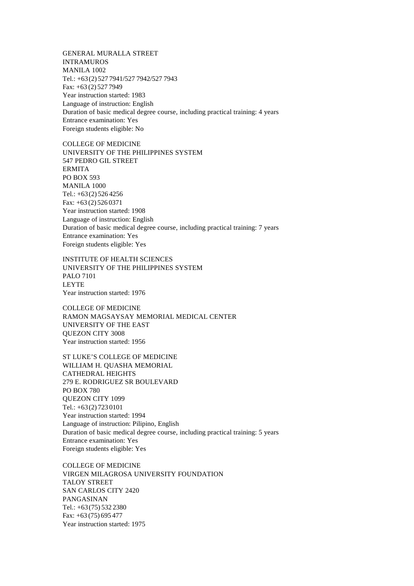GENERAL MURALLA STREET INTRAMUROS MANILA 1002 Tel.: +63(2) 527 7941/527 7942/527 7943 Fax: +63 (2) 527 7949 Year instruction started: 1983 Language of instruction: English Duration of basic medical degree course, including practical training: 4 years Entrance examination: Yes Foreign students eligible: No

COLLEGE OF MEDICINE UNIVERSITY OF THE PHILIPPINES SYSTEM 547 PEDRO GIL STREET ERMITA PO BOX 593 MANILA 1000 Tel.: +63(2) 526 4256 Fax: +63 (2) 526 0371 Year instruction started: 1908 Language of instruction: English Duration of basic medical degree course, including practical training: 7 years Entrance examination: Yes Foreign students eligible: Yes

INSTITUTE OF HEALTH SCIENCES UNIVERSITY OF THE PHILIPPINES SYSTEM PALO 7101 LEYTE Year instruction started: 1976

COLLEGE OF MEDICINE RAMON MAGSAYSAY MEMORIAL MEDICAL CENTER UNIVERSITY OF THE EAST QUEZON CITY 3008 Year instruction started: 1956

ST LUKE'S COLLEGE OF MEDICINE WILLIAM H. QUASHA MEMORIAL CATHEDRAL HEIGHTS 279 E. RODRIGUEZ SR BOULEVARD PO BOX 780 QUEZON CITY 1099 Tel.: +63(2) 723 0101 Year instruction started: 1994 Language of instruction: Pilipino, English Duration of basic medical degree course, including practical training: 5 years Entrance examination: Yes Foreign students eligible: Yes

COLLEGE OF MEDICINE VIRGEN MILAGROSA UNIVERSITY FOUNDATION TALOY STREET SAN CARLOS CITY 2420 PANGASINAN Tel.: +63(75) 532 2380 Fax: +63 (75) 695 477 Year instruction started: 1975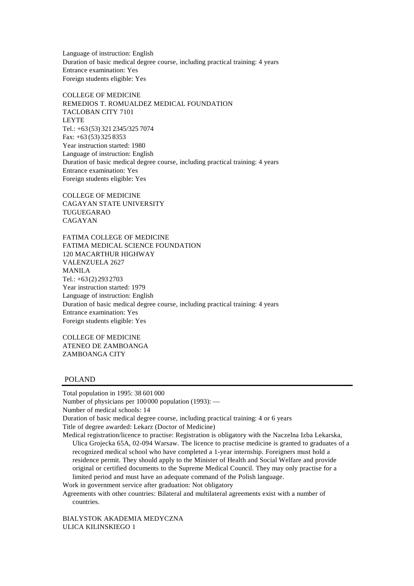Language of instruction: English Duration of basic medical degree course, including practical training: 4 years Entrance examination: Yes Foreign students eligible: Yes

COLLEGE OF MEDICINE REMEDIOS T. ROMUALDEZ MEDICAL FOUNDATION TACLOBAN CITY 7101 LEYTE Tel.: +63(53) 321 2345/325 7074 Fax: +63 (53) 325 8353 Year instruction started: 1980 Language of instruction: English Duration of basic medical degree course, including practical training: 4 years Entrance examination: Yes Foreign students eligible: Yes

COLLEGE OF MEDICINE CAGAYAN STATE UNIVERSITY TUGUEGARAO CAGAYAN

FATIMA COLLEGE OF MEDICINE FATIMA MEDICAL SCIENCE FOUNDATION 120 MACARTHUR HIGHWAY VALENZUELA 2627 MANILA Tel.:  $+63(2)$  293 2703 Year instruction started: 1979 Language of instruction: English Duration of basic medical degree course, including practical training: 4 years Entrance examination: Yes Foreign students eligible: Yes

COLLEGE OF MEDICINE ATENEO DE ZAMBOANGA ZAMBOANGA CITY

# POLAND

Total population in 1995: 38 601 000 Number of physicians per 100000 population (1993): — Number of medical schools: 14 Duration of basic medical degree course, including practical training: 4 or 6 years Title of degree awarded: Lekarz (Doctor of Medicine) Medical registration/licence to practise: Registration is obligatory with the Naczelna Izba Lekarska,

Ulica Grojecka 65A, 02-094 Warsaw. The licence to practise medicine is granted to graduates of a recognized medical school who have completed a 1-year internship. Foreigners must hold a residence permit. They should apply to the Minister of Health and Social Welfare and provide original or certified documents to the Supreme Medical Council. They may only practise for a limited period and must have an adequate command of the Polish language.

Work in government service after graduation: Not obligatory

Agreements with other countries: Bilateral and multilateral agreements exist with a number of countries.

BIALYSTOK AKADEMIA MEDYCZNA ULICA KILINSKIEGO 1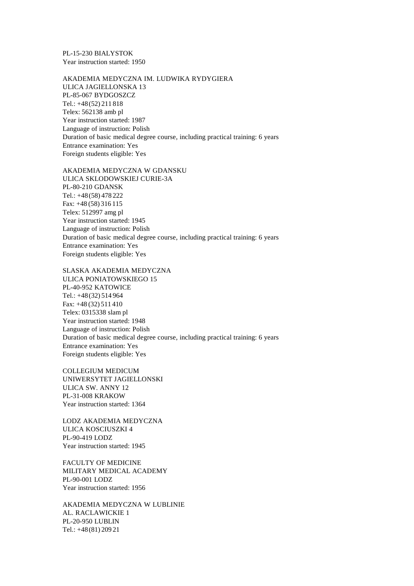PL-15-230 BIALYSTOK Year instruction started: 1950

AKADEMIA MEDYCZNA IM. LUDWIKA RYDYGIERA ULICA JAGIELLONSKA 13 PL-85-067 BYDGOSZCZ Tel.: +48(52) 211 818 Telex: 562138 amb pl Year instruction started: 1987 Language of instruction: Polish Duration of basic medical degree course, including practical training: 6 years Entrance examination: Yes Foreign students eligible: Yes

AKADEMIA MEDYCZNA W GDANSKU ULICA SKLODOWSKIEJ CURIE-3A PL-80-210 GDANSK Tel.: +48(58) 478 222 Fax: +48 (58) 316 115 Telex: 512997 amg pl Year instruction started: 1945 Language of instruction: Polish Duration of basic medical degree course, including practical training: 6 years Entrance examination: Yes Foreign students eligible: Yes

SLASKA AKADEMIA MEDYCZNA

ULICA PONIATOWSKIEGO 15 PL-40-952 KATOWICE Tel.: +48(32) 514 964 Fax: +48 (32) 511 410 Telex: 0315338 slam pl Year instruction started: 1948 Language of instruction: Polish Duration of basic medical degree course, including practical training: 6 years Entrance examination: Yes Foreign students eligible: Yes

COLLEGIUM MEDICUM UNIWERSYTET JAGIELLONSKI ULICA SW. ANNY 12 PL-31-008 KRAKOW Year instruction started: 1364

LODZ AKADEMIA MEDYCZNA ULICA KOSCIUSZKI 4 PL-90-419 LODZ Year instruction started: 1945

FACULTY OF MEDICINE MILITARY MEDICAL ACADEMY PL-90-001 LODZ Year instruction started: 1956

AKADEMIA MEDYCZNA W LUBLINIE AL. RACLAWICKIE 1 PL-20-950 LUBLIN Tel.: +48(81) 209 21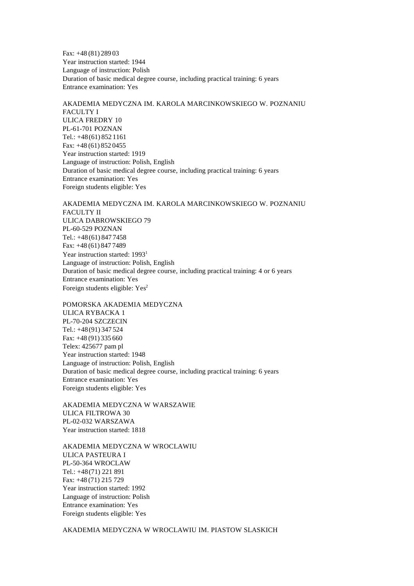Fax: +48 (81) 289 03 Year instruction started: 1944 Language of instruction: Polish Duration of basic medical degree course, including practical training: 6 years Entrance examination: Yes

AKADEMIA MEDYCZNA IM. KAROLA MARCINKOWSKIEGO W. POZNANIU FACULTY I ULICA FREDRY 10 PL-61-701 POZNAN Tel.: +48(61) 852 1161 Fax: +48 (61) 852 0455 Year instruction started: 1919 Language of instruction: Polish, English Duration of basic medical degree course, including practical training: 6 years Entrance examination: Yes Foreign students eligible: Yes

AKADEMIA MEDYCZNA IM. KAROLA MARCINKOWSKIEGO W. POZNANIU FACULTY II ULICA DABROWSKIEGO 79 PL-60-529 POZNAN Tel.: +48(61) 847 7458 Fax: +48 (61) 847 7489 Year instruction started: 1993<sup>1</sup> Language of instruction: Polish, English Duration of basic medical degree course, including practical training: 4 or 6 years Entrance examination: Yes Foreign students eligible: Yes<sup>2</sup>

POMORSKA AKADEMIA MEDYCZNA ULICA RYBACKA 1 PL-70-204 SZCZECIN Tel.: +48(91) 347 524 Fax: +48 (91) 335 660 Telex: 425677 pam pl Year instruction started: 1948 Language of instruction: Polish, English Duration of basic medical degree course, including practical training: 6 years Entrance examination: Yes Foreign students eligible: Yes

AKADEMIA MEDYCZNA W WARSZAWIE ULICA FILTROWA 30 PL-02-032 WARSZAWA Year instruction started: 1818

AKADEMIA MEDYCZNA W WROCLAWIU ULICA PASTEURA I PL-50-364 WROCLAW Tel.: +48(71) 221 891 Fax: +48 (71) 215 729 Year instruction started: 1992 Language of instruction: Polish Entrance examination: Yes Foreign students eligible: Yes

AKADEMIA MEDYCZNA W WROCLAWIU IM. PIASTOW SLASKICH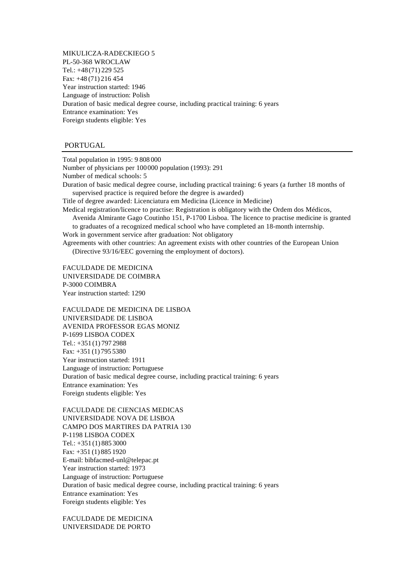MIKULICZA-RADECKIEGO 5 PL-50-368 WROCLAW Tel.: +48(71) 229 525 Fax: +48 (71) 216 454 Year instruction started: 1946 Language of instruction: Polish Duration of basic medical degree course, including practical training: 6 years Entrance examination: Yes Foreign students eligible: Yes

# PORTUGAL

Total population in 1995: 9 808 000

Number of physicians per 100000 population (1993): 291 Number of medical schools: 5

Duration of basic medical degree course, including practical training: 6 years (a further 18 months of supervised practice is required before the degree is awarded)

Title of degree awarded: Licenciatura em Medicina (Licence in Medicine)

Medical registration/licence to practise: Registration is obligatory with the Ordem dos Médicos, Avenida Almirante Gago Coutinho 151, P-1700 Lisboa. The licence to practise medicine is granted

to graduates of a recognized medical school who have completed an 18-month internship. Work in government service after graduation: Not obligatory

Agreements with other countries: An agreement exists with other countries of the European Union (Directive 93/16/EEC governing the employment of doctors).

FACULDADE DE MEDICINA UNIVERSIDADE DE COIMBRA P-3000 COIMBRA Year instruction started: 1290

FACULDADE DE MEDICINA DE LISBOA UNIVERSIDADE DE LISBOA AVENIDA PROFESSOR EGAS MONIZ P-1699 LISBOA CODEX Tel.: +351 (1) 797 2988 Fax: +351 (1) 795 5380 Year instruction started: 1911 Language of instruction: Portuguese Duration of basic medical degree course, including practical training: 6 years Entrance examination: Yes Foreign students eligible: Yes

FACULDADE DE CIENCIAS MEDICAS UNIVERSIDADE NOVA DE LISBOA CAMPO DOS MARTIRES DA PATRIA 130 P-1198 LISBOA CODEX Tel.: +351 (1) 885 3000 Fax: +351 (1) 885 1920 E-mail: bibfacmed-unl@telepac.pt Year instruction started: 1973 Language of instruction: Portuguese Duration of basic medical degree course, including practical training: 6 years Entrance examination: Yes Foreign students eligible: Yes

FACULDADE DE MEDICINA UNIVERSIDADE DE PORTO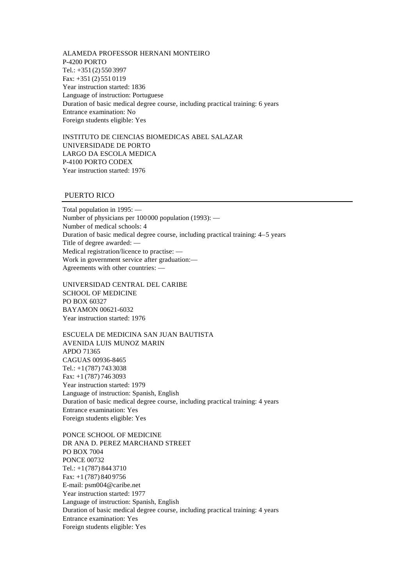ALAMEDA PROFESSOR HERNANI MONTEIRO P-4200 PORTO Tel.: +351 (2) 550 3997 Fax: +351 (2) 551 0119 Year instruction started: 1836 Language of instruction: Portuguese Duration of basic medical degree course, including practical training: 6 years Entrance examination: No Foreign students eligible: Yes

INSTITUTO DE CIENCIAS BIOMEDICAS ABEL SALAZAR UNIVERSIDADE DE PORTO LARGO DA ESCOLA MEDICA P-4100 PORTO CODEX Year instruction started: 1976

# PUERTO RICO

Total population in 1995: — Number of physicians per 100000 population (1993): — Number of medical schools: 4 Duration of basic medical degree course, including practical training: 4–5 years Title of degree awarded: — Medical registration/licence to practise: — Work in government service after graduation:— Agreements with other countries: —

UNIVERSIDAD CENTRAL DEL CARIBE SCHOOL OF MEDICINE PO BOX 60327 BAYAMON 00621-6032 Year instruction started: 1976

ESCUELA DE MEDICINA SAN JUAN BAUTISTA AVENIDA LUIS MUNOZ MARIN APDO 71365 CAGUAS 00936-8465 Tel.: +1(787) 743 3038 Fax: +1 (787) 746 3093 Year instruction started: 1979 Language of instruction: Spanish, English Duration of basic medical degree course, including practical training: 4 years Entrance examination: Yes Foreign students eligible: Yes

PONCE SCHOOL OF MEDICINE DR ANA D. PEREZ MARCHAND STREET PO BOX 7004 PONCE 00732 Tel.: +1(787) 844 3710 Fax: +1 (787) 840 9756 E-mail: psm004@caribe.net Year instruction started: 1977 Language of instruction: Spanish, English Duration of basic medical degree course, including practical training: 4 years Entrance examination: Yes Foreign students eligible: Yes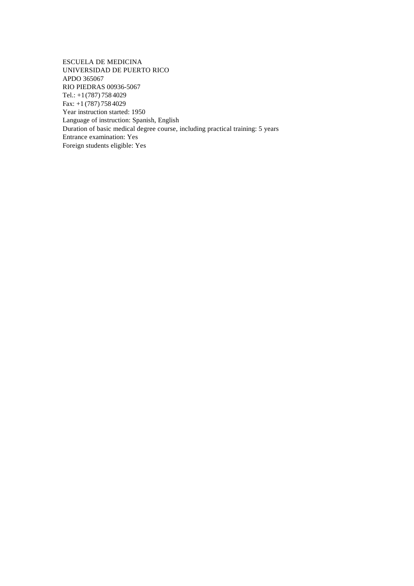ESCUELA DE MEDICINA UNIVERSIDAD DE PUERTO RICO APDO 365067 RIO PIEDRAS 00936-5067 Tel.: +1(787) 758 4029 Fax: +1 (787) 758 4029 Year instruction started: 1950 Language of instruction: Spanish, English Duration of basic medical degree course, including practical training: 5 years Entrance examination: Yes Foreign students eligible: Yes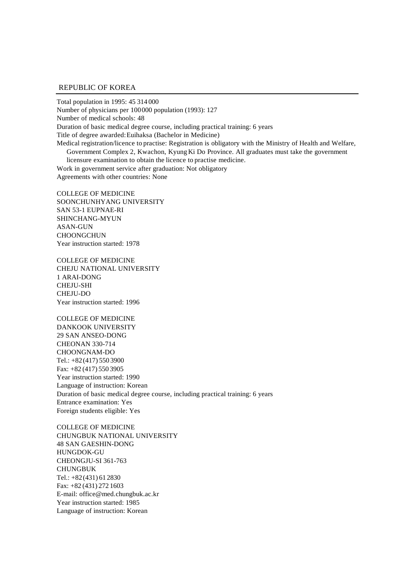#### REPUBLIC OF KOREA

Total population in 1995: 45 314 000 Number of physicians per 100000 population (1993): 127 Number of medical schools: 48 Duration of basic medical degree course, including practical training: 6 years Title of degree awarded: Euihaksa (Bachelor in Medicine) Medical registration/licence to practise: Registration is obligatory with the Ministry of Health and Welfare, Government Complex 2, Kwachon, Kyung Ki Do Province. All graduates must take the government licensure examination to obtain the licence to practise medicine. Work in government service after graduation: Not obligatory Agreements with other countries: None

COLLEGE OF MEDICINE SOONCHUNHYANG UNIVERSITY SAN 53-1 EUPNAE-RI SHINCHANG-MYUN ASAN-GUN **CHOONGCHUN** Year instruction started: 1978

COLLEGE OF MEDICINE CHEJU NATIONAL UNIVERSITY 1 ARAI-DONG CHEJU-SHI CHEJU-DO Year instruction started: 1996

COLLEGE OF MEDICINE DANKOOK UNIVERSITY 29 SAN ANSEO-DONG CHEONAN 330-714 CHOONGNAM-DO Tel.: +82(417) 550 3900 Fax: +82 (417) 550 3905 Year instruction started: 1990 Language of instruction: Korean Duration of basic medical degree course, including practical training: 6 years Entrance examination: Yes Foreign students eligible: Yes

COLLEGE OF MEDICINE CHUNGBUK NATIONAL UNIVERSITY 48 SAN GAESHIN-DONG HUNGDOK-GU CHEONGJU-SI 361-763 **CHUNGBUK** Tel.: +82(431) 61 2830 Fax: +82 (431) 272 1603 E-mail: office@med.chungbuk.ac.kr Year instruction started: 1985 Language of instruction: Korean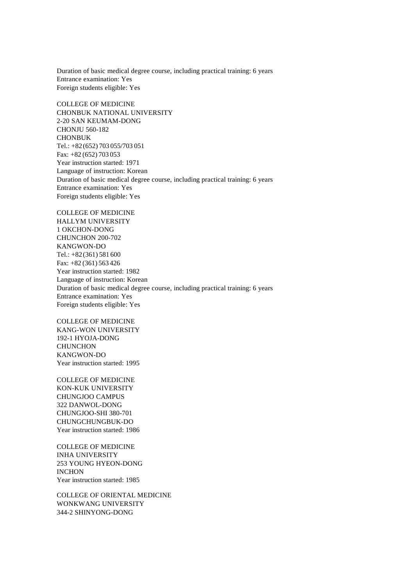Duration of basic medical degree course, including practical training: 6 years Entrance examination: Yes Foreign students eligible: Yes

COLLEGE OF MEDICINE CHONBUK NATIONAL UNIVERSITY 2-20 SAN KEUMAM-DONG CHONJU 560-182 **CHONBUK** Tel.: +82(652) 703 055/703 051 Fax: +82 (652) 703 053 Year instruction started: 1971 Language of instruction: Korean Duration of basic medical degree course, including practical training: 6 years Entrance examination: Yes Foreign students eligible: Yes

COLLEGE OF MEDICINE HALLYM UNIVERSITY 1 OKCHON-DONG CHUNCHON 200-702 KANGWON-DO Tel.: +82(361) 581 600 Fax: +82 (361) 563 426 Year instruction started: 1982 Language of instruction: Korean Duration of basic medical degree course, including practical training: 6 years Entrance examination: Yes Foreign students eligible: Yes

COLLEGE OF MEDICINE KANG-WON UNIVERSITY 192-1 HYOJA-DONG **CHUNCHON** KANGWON-DO Year instruction started: 1995

COLLEGE OF MEDICINE KON-KUK UNIVERSITY CHUNGJOO CAMPUS 322 DANWOL-DONG CHUNGJOO-SHI 380-701 CHUNGCHUNGBUK-DO Year instruction started: 1986

COLLEGE OF MEDICINE INHA UNIVERSITY 253 YOUNG HYEON-DONG INCHON Year instruction started: 1985

COLLEGE OF ORIENTAL MEDICINE WONKWANG UNIVERSITY 344-2 SHINYONG-DONG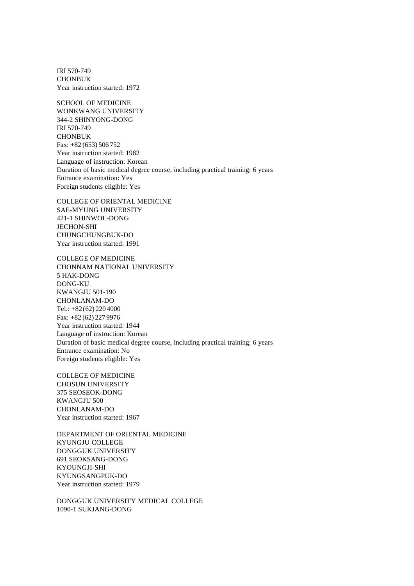IRI 570-749 **CHONBUK** Year instruction started: 1972

SCHOOL OF MEDICINE WONKWANG UNIVERSITY 344-2 SHINYONG-DONG IRI 570-749 **CHONBUK** Fax: +82 (653) 506 752 Year instruction started: 1982 Language of instruction: Korean Duration of basic medical degree course, including practical training: 6 years Entrance examination: Yes Foreign students eligible: Yes

COLLEGE OF ORIENTAL MEDICINE SAE-MYUNG UNIVERSITY 421-1 SHINWOL-DONG JECHON-SHI CHUNGCHUNGBUK-DO Year instruction started: 1991

COLLEGE OF MEDICINE CHONNAM NATIONAL UNIVERSITY 5 HAK-DONG DONG-KU KWANGJU 501-190 CHONLANAM-DO Tel.: +82(62) 220 4000 Fax: +82 (62) 227 9976 Year instruction started: 1944 Language of instruction: Korean Duration of basic medical degree course, including practical training: 6 years Entrance examination: No Foreign students eligible: Yes

COLLEGE OF MEDICINE CHOSUN UNIVERSITY 375 SEOSEOK-DONG KWANGJU 500 CHONLANAM-DO Year instruction started: 1967

DEPARTMENT OF ORIENTAL MEDICINE KYUNGJU COLLEGE DONGGUK UNIVERSITY 691 SEOKSANG-DONG KYOUNGJI-SHI KYUNGSANGPUK-DO Year instruction started: 1979

DONGGUK UNIVERSITY MEDICAL COLLEGE 1090-1 SUKJANG-DONG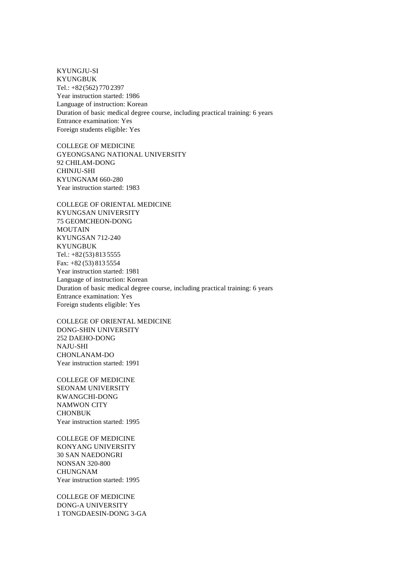KYUNGJU-SI KYUNGBUK Tel.: +82(562) 770 2397 Year instruction started: 1986 Language of instruction: Korean Duration of basic medical degree course, including practical training: 6 years Entrance examination: Yes Foreign students eligible: Yes

COLLEGE OF MEDICINE GYEONGSANG NATIONAL UNIVERSITY 92 CHILAM-DONG CHINJU-SHI KYUNGNAM 660-280 Year instruction started: 1983

COLLEGE OF ORIENTAL MEDICINE KYUNGSAN UNIVERSITY 75 GEOMCHEON-DONG MOUTAIN KYUNGSAN 712-240 KYUNGBUK Tel.: +82(53) 813 5555 Fax: +82 (53) 813 5554 Year instruction started: 1981 Language of instruction: Korean Duration of basic medical degree course, including practical training: 6 years Entrance examination: Yes Foreign students eligible: Yes

COLLEGE OF ORIENTAL MEDICINE DONG-SHIN UNIVERSITY 252 DAEHO-DONG NAJU-SHI CHONLANAM-DO Year instruction started: 1991

COLLEGE OF MEDICINE SEONAM UNIVERSITY KWANGCHI-DONG NAMWON CITY CHONBUK Year instruction started: 1995

COLLEGE OF MEDICINE KONYANG UNIVERSITY 30 SAN NAEDONGRI NONSAN 320-800 CHUNGNAM Year instruction started: 1995

COLLEGE OF MEDICINE DONG-A UNIVERSITY 1 TONGDAESIN-DONG 3-GA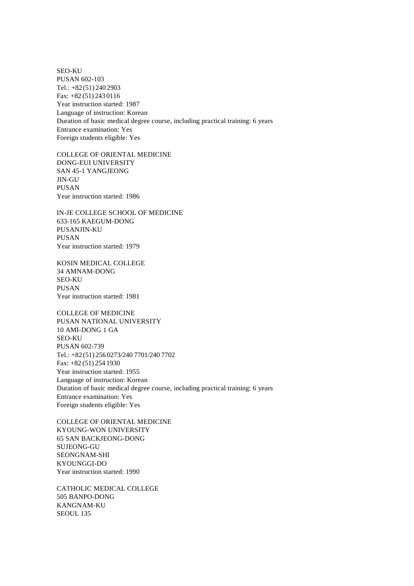SEO-KU PUSAN 602-103 Tel.: +82(51) 240 2903 Fax: +82 (51) 243 0116 Year instruction started: 1987 Language of instruction: Korean Duration of basic medical degree course, including practical training: 6 years Entrance examination: Yes Foreign students eligible: Yes

COLLEGE OF ORIENTAL MEDICINE DONG-EUI UNIVERSITY SAN 45-1 YANGJEONG JIN-GU PUSAN Year instruction started: 1986

IN-JE COLLEGE SCHOOL OF MEDICINE 633-165 KAEGUM-DONG PUSANJIN-KU PUSAN Year instruction started: 1979

KOSIN MEDICAL COLLEGE 34 AMNAM-DONG SEO-KU PUSAN Year instruction started: 1981

COLLEGE OF MEDICINE PUSAN NATIONAL UNIVERSITY 10 AMI-DONG 1 GA SEO-KU PUSAN 602-739 Tel.: +82(51) 256 0273/240 7701/240 7702 Fax: +82 (51) 254 1930 Year instruction started: 1955 Language of instruction: Korean Duration of basic medical degree course, including practical training: 6 years Entrance examination: Yes Foreign students eligible: Yes

COLLEGE OF ORIENTAL MEDICINE KYOUNG-WON UNIVERSITY 65 SAN BACKJEONG-DONG SUJEONG-GU SEONGNAM-SHI KYOUNGGI-DO Year instruction started: 1990

CATHOLIC MEDICAL COLLEGE 505 BANPO-DONG KANGNAM-KU SEOUL 135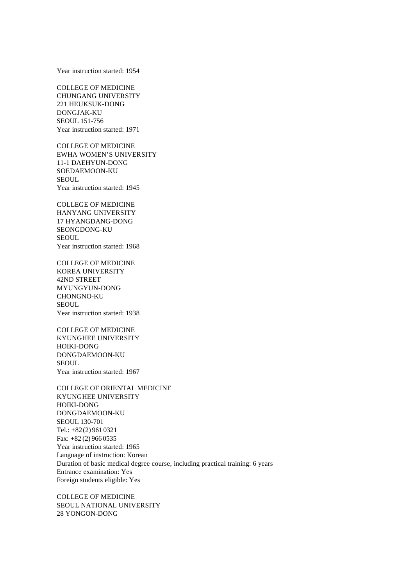Year instruction started: 1954

COLLEGE OF MEDICINE CHUNGANG UNIVERSITY 221 HEUKSUK-DONG DONGJAK-KU SEOUL 151-756 Year instruction started: 1971

COLLEGE OF MEDICINE EWHA WOMEN'S UNIVERSITY 11-1 DAEHYUN-DONG SOEDAEMOON-KU **SEOUL** Year instruction started: 1945

COLLEGE OF MEDICINE HANYANG UNIVERSITY 17 HYANGDANG-DONG SEONGDONG-KU SEOUL. Year instruction started: 1968

COLLEGE OF MEDICINE KOREA UNIVERSITY 42ND STREET MYUNGYUN-DONG CHONGNO-KU SEOUL. Year instruction started: 1938

COLLEGE OF MEDICINE KYUNGHEE UNIVERSITY HOIKI-DONG DONGDAEMOON-KU SEOUL. Year instruction started: 1967

COLLEGE OF ORIENTAL MEDICINE KYUNGHEE UNIVERSITY HOIKI-DONG DONGDAEMOON-KU SEOUL 130-701 Tel.: +82(2) 961 0321 Fax: +82 (2) 966 0535 Year instruction started: 1965 Language of instruction: Korean Duration of basic medical degree course, including practical training: 6 years Entrance examination: Yes Foreign students eligible: Yes

COLLEGE OF MEDICINE SEOUL NATIONAL UNIVERSITY 28 YONGON-DONG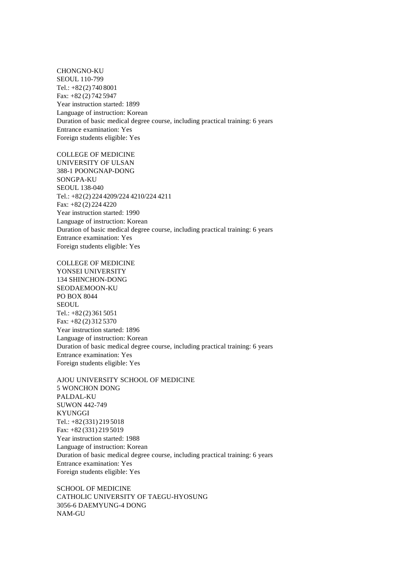CHONGNO-KU SEOUL 110-799 Tel.: +82(2) 740 8001 Fax: +82 (2) 742 5947 Year instruction started: 1899 Language of instruction: Korean Duration of basic medical degree course, including practical training: 6 years Entrance examination: Yes Foreign students eligible: Yes

COLLEGE OF MEDICINE UNIVERSITY OF ULSAN 388-1 POONGNAP-DONG SONGPA-KU SEOUL 138-040 Tel.: +82(2) 224 4209/224 4210/224 4211 Fax: +82 (2) 224 4220 Year instruction started: 1990 Language of instruction: Korean Duration of basic medical degree course, including practical training: 6 years Entrance examination: Yes Foreign students eligible: Yes

COLLEGE OF MEDICINE YONSEI UNIVERSITY 134 SHINCHON-DONG SEODAEMOON-KU PO BOX 8044 SEOUL. Tel.: +82(2) 361 5051 Fax: +82 (2) 312 5370 Year instruction started: 1896 Language of instruction: Korean Duration of basic medical degree course, including practical training: 6 years Entrance examination: Yes Foreign students eligible: Yes

AJOU UNIVERSITY SCHOOL OF MEDICINE 5 WONCHON DONG PALDAL-KU SUWON 442-749 KYUNGGI Tel.: +82(331) 219 5018 Fax: +82 (331) 219 5019 Year instruction started: 1988 Language of instruction: Korean Duration of basic medical degree course, including practical training: 6 years Entrance examination: Yes Foreign students eligible: Yes

SCHOOL OF MEDICINE CATHOLIC UNIVERSITY OF TAEGU-HYOSUNG 3056-6 DAEMYUNG-4 DONG NAM-GU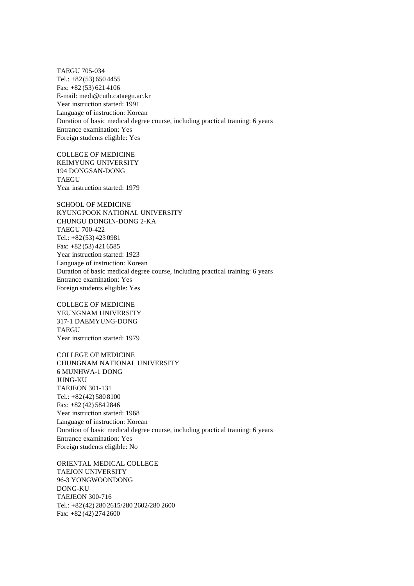TAEGU 705-034 Tel.: +82(53) 650 4455 Fax: +82 (53) 621 4106 E-mail: medi@cuth.cataegu.ac.kr Year instruction started: 1991 Language of instruction: Korean Duration of basic medical degree course, including practical training: 6 years Entrance examination: Yes Foreign students eligible: Yes

COLLEGE OF MEDICINE KEIMYUNG UNIVERSITY 194 DONGSAN-DONG TAEGU Year instruction started: 1979

SCHOOL OF MEDICINE KYUNGPOOK NATIONAL UNIVERSITY CHUNGU DONGIN-DONG 2-KA TAEGU 700-422 Tel.: +82(53) 423 0981 Fax: +82 (53) 421 6585 Year instruction started: 1923 Language of instruction: Korean Duration of basic medical degree course, including practical training: 6 years Entrance examination: Yes Foreign students eligible: Yes

COLLEGE OF MEDICINE YEUNGNAM UNIVERSITY 317-1 DAEMYUNG-DONG **TAEGU** Year instruction started: 1979

COLLEGE OF MEDICINE CHUNGNAM NATIONAL UNIVERSITY 6 MUNHWA-1 DONG JUNG-KU TAEJEON 301-131 Tel.: +82(42) 580 8100 Fax: +82 (42) 584 2846 Year instruction started: 1968 Language of instruction: Korean Duration of basic medical degree course, including practical training: 6 years Entrance examination: Yes Foreign students eligible: No

ORIENTAL MEDICAL COLLEGE TAEJON UNIVERSITY 96-3 YONGWOONDONG DONG-KU TAEJEON 300-716 Tel.: +82(42) 280 2615/280 2602/280 2600 Fax: +82 (42) 274 2600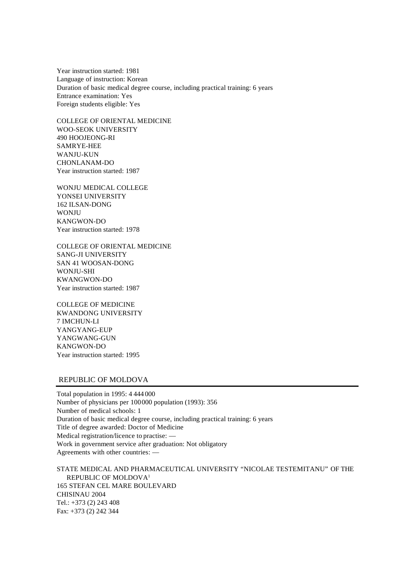Year instruction started: 1981 Language of instruction: Korean Duration of basic medical degree course, including practical training: 6 years Entrance examination: Yes Foreign students eligible: Yes

COLLEGE OF ORIENTAL MEDICINE WOO-SEOK UNIVERSITY 490 HOOJEONG-RI SAMRYE-HEE WANJU-KUN CHONLANAM-DO Year instruction started: 1987

WONJU MEDICAL COLLEGE YONSEI UNIVERSITY 162 ILSAN-DONG **WONJU** KANGWON-DO Year instruction started: 1978

COLLEGE OF ORIENTAL MEDICINE SANG-JI UNIVERSITY SAN 41 WOOSAN-DONG WONJU-SHI KWANGWON-DO Year instruction started: 1987

COLLEGE OF MEDICINE KWANDONG UNIVERSITY 7 IMCHUN-LI YANGYANG-EUP YANGWANG-GUN KANGWON-DO Year instruction started: 1995

# REPUBLIC OF MOLDOVA

Total population in 1995: 4 444 000 Number of physicians per 100000 population (1993): 356 Number of medical schools: 1 Duration of basic medical degree course, including practical training: 6 years Title of degree awarded: Doctor of Medicine Medical registration/licence to practise: — Work in government service after graduation: Not obligatory Agreements with other countries: —

STATE MEDICAL AND PHARMACEUTICAL UNIVERSITY "NICOLAE TESTEMITANU" OF THE REPUBLIC OF MOLDOVA<sup>1</sup> 165 STEFAN CEL MARE BOULEVARD CHISINAU 2004 Tel.: +373 (2) 243 408 Fax: +373 (2) 242 344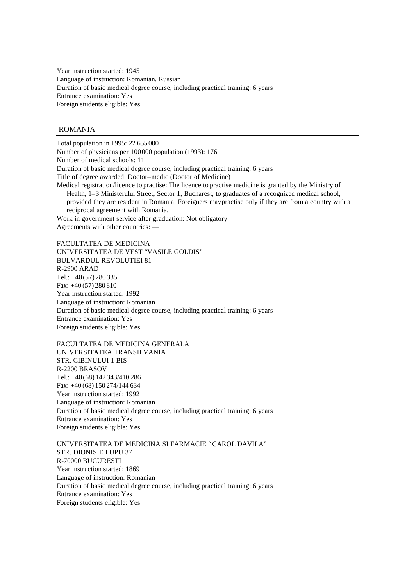Year instruction started: 1945 Language of instruction: Romanian, Russian Duration of basic medical degree course, including practical training: 6 years Entrance examination: Yes Foreign students eligible: Yes

## ROMANIA

Total population in 1995: 22 655 000 Number of physicians per 100000 population (1993): 176 Number of medical schools: 11 Duration of basic medical degree course, including practical training: 6 years Title of degree awarded: Doctor–medic (Doctor of Medicine) Medical registration/licence to practise: The licence to practise medicine is granted by the Ministry of Health, 1–3 Ministerului Street, Sector 1, Bucharest, to graduates of a recognized medical school, provided they are resident in Romania. Foreigners may practise only if they are from a country with a reciprocal agreement with Romania. Work in government service after graduation: Not obligatory

Agreements with other countries: —

FACULTATEA DE MEDICINA UNIVERSITATEA DE VEST "VASILE GOLDIS" BULVARDUL REVOLUTIEI 81 R-2900 ARAD Tel.: +40(57) 280 335 Fax: +40 (57) 280 810 Year instruction started: 1992 Language of instruction: Romanian Duration of basic medical degree course, including practical training: 6 years Entrance examination: Yes Foreign students eligible: Yes

FACULTATEA DE MEDICINA GENERALA UNIVERSITATEA TRANSILVANIA STR. CIBINULUI 1 BIS R-2200 BRASOV Tel.: +40(68) 142 343/410 286 Fax: +40 (68) 150 274/144 634 Year instruction started: 1992 Language of instruction: Romanian Duration of basic medical degree course, including practical training: 6 years Entrance examination: Yes Foreign students eligible: Yes

UNIVERSITATEA DE MEDICINA SI FARMACIE "CAROL DAVILA" STR. DIONISIE LUPU 37 R-70000 BUCURESTI Year instruction started: 1869 Language of instruction: Romanian Duration of basic medical degree course, including practical training: 6 years Entrance examination: Yes Foreign students eligible: Yes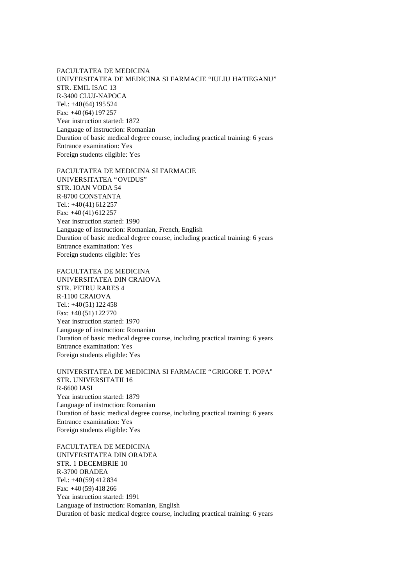FACULTATEA DE MEDICINA UNIVERSITATEA DE MEDICINA SI FARMACIE "IULIU HATIEGANU" STR. EMIL ISAC 13 R-3400 CLUJ-NAPOCA Tel.: +40(64) 195 524 Fax: +40 (64) 197 257 Year instruction started: 1872 Language of instruction: Romanian Duration of basic medical degree course, including practical training: 6 years Entrance examination: Yes Foreign students eligible: Yes

FACULTATEA DE MEDICINA SI FARMACIE UNIVERSITATEA "OVIDUS" STR. IOAN VODA 54 R-8700 CONSTANTA Tel.: +40(41) 612 257 Fax: +40 (41) 612 257 Year instruction started: 1990 Language of instruction: Romanian, French, English Duration of basic medical degree course, including practical training: 6 years Entrance examination: Yes Foreign students eligible: Yes

FACULTATEA DE MEDICINA UNIVERSITATEA DIN CRAIOVA STR. PETRU RARES 4 R-1100 CRAIOVA Tel.: +40(51) 122 458 Fax: +40 (51) 122 770 Year instruction started: 1970 Language of instruction: Romanian Duration of basic medical degree course, including practical training: 6 years Entrance examination: Yes Foreign students eligible: Yes

UNIVERSITATEA DE MEDICINA SI FARMACIE "GRIGORE T. POPA" STR. UNIVERSITATII 16 R-6600 IASI Year instruction started: 1879 Language of instruction: Romanian Duration of basic medical degree course, including practical training: 6 years Entrance examination: Yes Foreign students eligible: Yes

FACULTATEA DE MEDICINA UNIVERSITATEA DIN ORADEA STR. 1 DECEMBRIE 10 R-3700 ORADEA Tel.: +40(59) 412 834 Fax: +40 (59) 418 266 Year instruction started: 1991 Language of instruction: Romanian, English Duration of basic medical degree course, including practical training: 6 years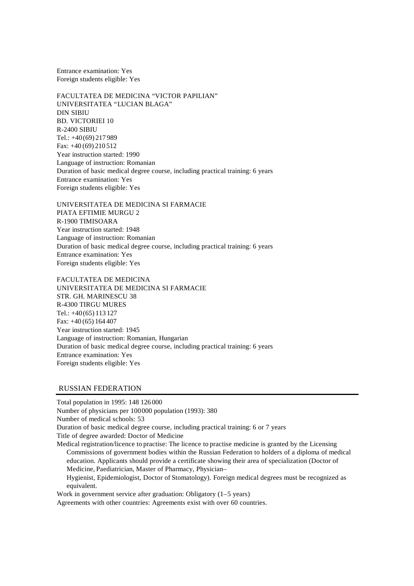Entrance examination: Yes Foreign students eligible: Yes

FACULTATEA DE MEDICINA "VICTOR PAPILIAN" UNIVERSITATEA "LUCIAN BLAGA" DIN SIBIU BD. VICTORIEI 10 R-2400 SIBIU Tel.: +40(69) 217 989 Fax: +40 (69) 210 512 Year instruction started: 1990 Language of instruction: Romanian Duration of basic medical degree course, including practical training: 6 years Entrance examination: Yes Foreign students eligible: Yes

UNIVERSITATEA DE MEDICINA SI FARMACIE PIATA EFTIMIE MURGU 2 R-1900 TIMISOARA Year instruction started: 1948 Language of instruction: Romanian Duration of basic medical degree course, including practical training: 6 years Entrance examination: Yes Foreign students eligible: Yes

FACULTATEA DE MEDICINA UNIVERSITATEA DE MEDICINA SI FARMACIE STR. GH. MARINESCU 38 R-4300 TIRGU MURES Tel.: +40(65) 113 127 Fax: +40 (65) 164 407 Year instruction started: 1945 Language of instruction: Romanian, Hungarian Duration of basic medical degree course, including practical training: 6 years Entrance examination: Yes Foreign students eligible: Yes

### RUSSIAN FEDERATION

Total population in 1995: 148 126 000 Number of physicians per 100000 population (1993): 380 Number of medical schools: 53 Duration of basic medical degree course, including practical training: 6 or 7 years Title of degree awarded: Doctor of Medicine

Medical registration/licence to practise: The licence to practise medicine is granted by the Licensing Commissions of government bodies within the Russian Federation to holders of a diploma of medical education. Applicants should provide a certificate showing their area of specialization (Doctor of Medicine, Paediatrician, Master of Pharmacy, Physician–

Hygienist, Epidemiologist, Doctor of Stomatology). Foreign medical degrees must be recognized as equivalent.

Work in government service after graduation: Obligatory (1–5 years)

Agreements with other countries: Agreements exist with over 60 countries.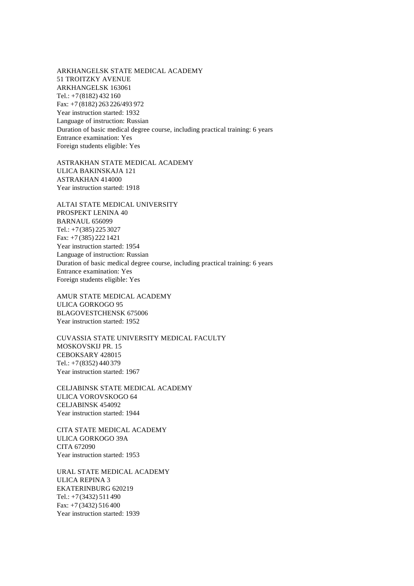ARKHANGELSK STATE MEDICAL ACADEMY 51 TROITZKY AVENUE ARKHANGELSK 163061 Tel.: +7(8182) 432 160 Fax: +7 (8182) 263 226/493 972 Year instruction started: 1932 Language of instruction: Russian Duration of basic medical degree course, including practical training: 6 years Entrance examination: Yes Foreign students eligible: Yes

ASTRAKHAN STATE MEDICAL ACADEMY ULICA BAKINSKAJA 121 ASTRAKHAN 414000 Year instruction started: 1918

ALTAI STATE MEDICAL UNIVERSITY PROSPEKT LENINA 40 BARNAUL 656099 Tel.: +7(385) 225 3027 Fax: +7 (385) 222 1421 Year instruction started: 1954 Language of instruction: Russian Duration of basic medical degree course, including practical training: 6 years Entrance examination: Yes Foreign students eligible: Yes

AMUR STATE MEDICAL ACADEMY ULICA GORKOGO 95 BLAGOVESTCHENSK 675006 Year instruction started: 1952

CUVASSIA STATE UNIVERSITY MEDICAL FACULTY MOSKOVSKIJ PR. 15 CEBOKSARY 428015 Tel.: +7(8352) 440 379 Year instruction started: 1967

CELJABINSK STATE MEDICAL ACADEMY ULICA VOROVSKOGO 64 CELJABINSK 454092 Year instruction started: 1944

CITA STATE MEDICAL ACADEMY ULICA GORKOGO 39A CITA 672090 Year instruction started: 1953

URAL STATE MEDICAL ACADEMY ULICA REPINA 3 EKATERINBURG 620219 Tel.: +7(3432) 511 490 Fax: +7 (3432) 516 400 Year instruction started: 1939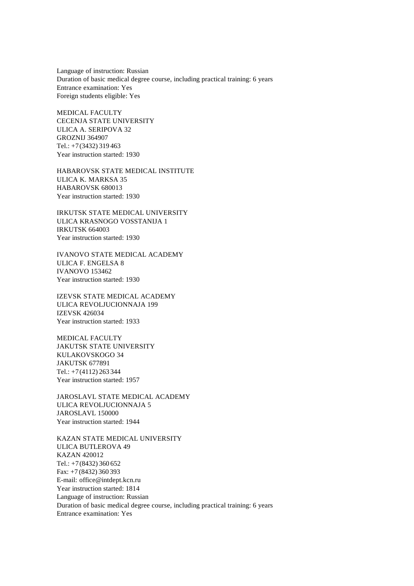Language of instruction: Russian Duration of basic medical degree course, including practical training: 6 years Entrance examination: Yes Foreign students eligible: Yes

MEDICAL FACULTY CECENJA STATE UNIVERSITY ULICA A. SERIPOVA 32 GROZNIJ 364907 Tel.: +7(3432) 319 463 Year instruction started: 1930

HABAROVSK STATE MEDICAL INSTITUTE ULICA K. MARKSA 35 HABAROVSK 680013 Year instruction started: 1930

IRKUTSK STATE MEDICAL UNIVERSITY ULICA KRASNOGO VOSSTANIJA 1 IRKUTSK 664003 Year instruction started: 1930

IVANOVO STATE MEDICAL ACADEMY ULICA F. ENGELSA 8 IVANOVO 153462 Year instruction started: 1930

IZEVSK STATE MEDICAL ACADEMY ULICA REVOLJUCIONNAJA 199 IZEVSK 426034 Year instruction started: 1933

MEDICAL FACULTY JAKUTSK STATE UNIVERSITY KULAKOVSKOGO 34 JAKUTSK 677891 Tel.: +7(4112) 263 344 Year instruction started: 1957

JAROSLAVL STATE MEDICAL ACADEMY ULICA REVOLJUCIONNAJA 5 JAROSLAVL 150000 Year instruction started: 1944

KAZAN STATE MEDICAL UNIVERSITY ULICA BUTLEROVA 49 KAZAN 420012 Tel.: +7(8432) 360 652 Fax: +7 (8432) 360 393 E-mail: office@intdept.kcn.ru Year instruction started: 1814 Language of instruction: Russian Duration of basic medical degree course, including practical training: 6 years Entrance examination: Yes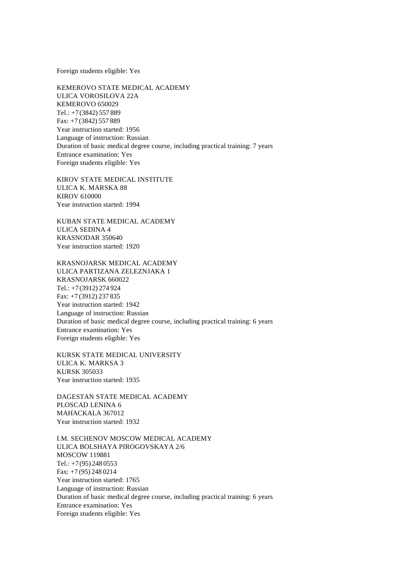Foreign students eligible: Yes

KEMEROVO STATE MEDICAL ACADEMY ULICA VOROSILOVA 22A KEMEROVO 650029 Tel.: +7(3842) 557 889 Fax: +7 (3842) 557 889 Year instruction started: 1956 Language of instruction: Russian Duration of basic medical degree course, including practical training: 7 years Entrance examination: Yes Foreign students eligible: Yes

KIROV STATE MEDICAL INSTITUTE ULICA K. MARSKA 88 KIROV 610000 Year instruction started: 1994

KUBAN STATE MEDICAL ACADEMY ULICA SEDINA 4 KRASNODAR 350640 Year instruction started: 1920

KRASNOJARSK MEDICAL ACADEMY ULICA PARTIZANA ZELEZNJAKA 1 KRASNOJARSK 660022 Tel.: +7(3912) 274 924 Fax: +7 (3912) 237 835 Year instruction started: 1942 Language of instruction: Russian Duration of basic medical degree course, including practical training: 6 years Entrance examination: Yes Foreign students eligible: Yes

KURSK STATE MEDICAL UNIVERSITY ULICA K. MARKSA 3 KURSK 305033 Year instruction started: 1935

DAGESTAN STATE MEDICAL ACADEMY PLOSCAD LENINA 6 MAHACKALA 367012 Year instruction started: 1932

I.M. SECHENOV MOSCOW MEDICAL ACADEMY ULICA BOLSHAYA PIROGOVSKAYA 2/6 MOSCOW 119881 Tel.: +7(95) 248 0553 Fax: +7 (95) 248 0214 Year instruction started: 1765 Language of instruction: Russian Duration of basic medical degree course, including practical training: 6 years Entrance examination: Yes Foreign students eligible: Yes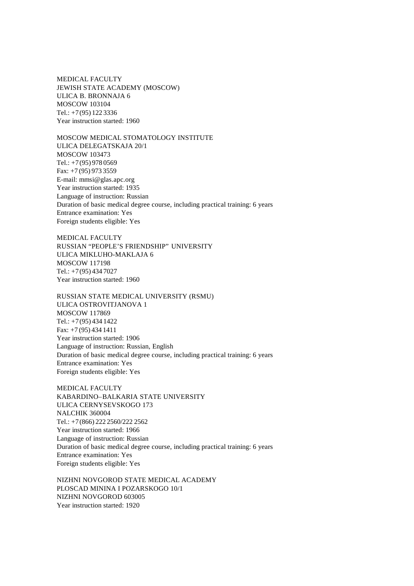MEDICAL FACULTY JEWISH STATE ACADEMY (MOSCOW) ULICA B. BRONNAJA 6 MOSCOW 103104 Tel.: +7(95) 122 3336 Year instruction started: 1960

MOSCOW MEDICAL STOMATOLOGY INSTITUTE ULICA DELEGATSKAJA 20/1 MOSCOW 103473 Tel.: +7(95) 978 0569 Fax: +7 (95) 973 3559 E-mail: mmsi@glas.apc.org Year instruction started: 1935 Language of instruction: Russian Duration of basic medical degree course, including practical training: 6 years Entrance examination: Yes Foreign students eligible: Yes

MEDICAL FACULTY RUSSIAN "PEOPLE'S FRIENDSHIP" UNIVERSITY ULICA MIKLUHO-MAKLAJA 6 MOSCOW 117198 Tel.: +7(95) 434 7027 Year instruction started: 1960

RUSSIAN STATE MEDICAL UNIVERSITY (RSMU) ULICA OSTROVITJANOVA 1 MOSCOW 117869 Tel.: +7(95) 434 1422 Fax: +7 (95) 434 1411 Year instruction started: 1906 Language of instruction: Russian, English Duration of basic medical degree course, including practical training: 6 years Entrance examination: Yes Foreign students eligible: Yes

MEDICAL FACULTY KABARDINO–BALKARIA STATE UNIVERSITY ULICA CERNYSEVSKOGO 173 NALCHIK 360004 Tel.: +7(866) 222 2560/222 2562 Year instruction started: 1966 Language of instruction: Russian Duration of basic medical degree course, including practical training: 6 years Entrance examination: Yes Foreign students eligible: Yes

NIZHNI NOVGOROD STATE MEDICAL ACADEMY PLOSCAD MININA I POZARSKOGO 10/1 NIZHNI NOVGOROD 603005 Year instruction started: 1920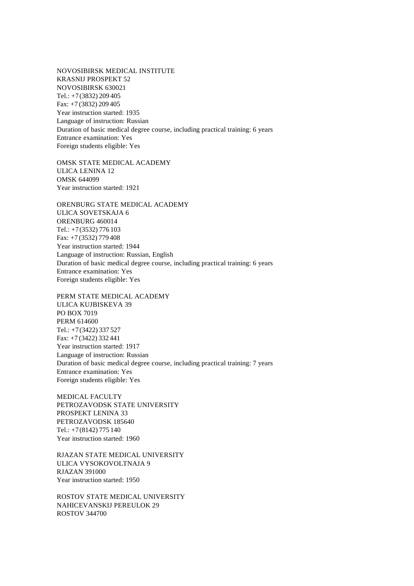NOVOSIBIRSK MEDICAL INSTITUTE KRASNIJ PROSPEKT 52 NOVOSIBIRSK 630021 Tel.: +7(3832) 209 405 Fax: +7 (3832) 209 405 Year instruction started: 1935 Language of instruction: Russian Duration of basic medical degree course, including practical training: 6 years Entrance examination: Yes Foreign students eligible: Yes

OMSK STATE MEDICAL ACADEMY ULICA LENINA 12 OMSK 644099 Year instruction started: 1921

ORENBURG STATE MEDICAL ACADEMY ULICA SOVETSKAJA 6 ORENBURG 460014 Tel.: +7(3532) 776 103 Fax: +7 (3532) 779 408 Year instruction started: 1944 Language of instruction: Russian, English Duration of basic medical degree course, including practical training: 6 years Entrance examination: Yes Foreign students eligible: Yes

PERM STATE MEDICAL ACADEMY ULICA KUJBISKEVA 39 PO BOX 7019 PERM 614600 Tel.: +7(3422) 337 527 Fax: +7 (3422) 332 441 Year instruction started: 1917 Language of instruction: Russian Duration of basic medical degree course, including practical training: 7 years Entrance examination: Yes Foreign students eligible: Yes

MEDICAL FACULTY PETROZAVODSK STATE UNIVERSITY PROSPEKT LENINA 33 PETROZAVODSK 185640 Tel.: +7(8142) 775 140 Year instruction started: 1960

RJAZAN STATE MEDICAL UNIVERSITY ULICA VYSOKOVOLTNAJA 9 RJAZAN 391000 Year instruction started: 1950

ROSTOV STATE MEDICAL UNIVERSITY NAHICEVANSKIJ PEREULOK 29 ROSTOV 344700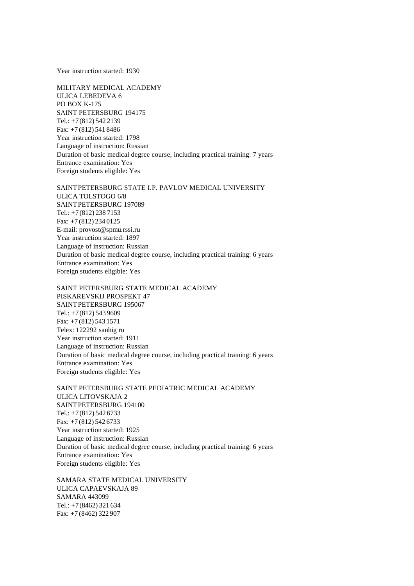Year instruction started: 1930

MILITARY MEDICAL ACADEMY ULICA LEBEDEVA 6 PO BOX K-175 SAINT PETERSBURG 194175 Tel.: +7(812) 542 2139 Fax: +7 (812) 541 8486 Year instruction started: 1798 Language of instruction: Russian Duration of basic medical degree course, including practical training: 7 years Entrance examination: Yes Foreign students eligible: Yes

SAINTPETERSBURG STATE I.P. PAVLOV MEDICAL UNIVERSITY ULICA TOLSTOGO 6/8 SAINTPETERSBURG 197089 Tel.: +7(812) 238 7153 Fax: +7 (812) 234 0125 E-mail: provost@spmu.rssi.ru Year instruction started: 1897 Language of instruction: Russian Duration of basic medical degree course, including practical training: 6 years Entrance examination: Yes Foreign students eligible: Yes

SAINT PETERSBURG STATE MEDICAL ACADEMY PISKAREVSKIJ PROSPEKT 47 SAINTPETERSBURG 195067 Tel.: +7(812) 543 9609 Fax: +7 (812) 543 1571 Telex: 122292 sanhig ru Year instruction started: 1911 Language of instruction: Russian Duration of basic medical degree course, including practical training: 6 years Entrance examination: Yes Foreign students eligible: Yes

SAINT PETERSBURG STATE PEDIATRIC MEDICAL ACADEMY ULICA LITOVSKAJA 2 SAINTPETERSBURG 194100 Tel.: +7(812) 542 6733 Fax: +7 (812) 542 6733 Year instruction started: 1925 Language of instruction: Russian Duration of basic medical degree course, including practical training: 6 years Entrance examination: Yes Foreign students eligible: Yes

SAMARA STATE MEDICAL UNIVERSITY ULICA CAPAEVSKAJA 89 SAMARA 443099 Tel.: +7(8462) 321 634 Fax: +7 (8462) 322 907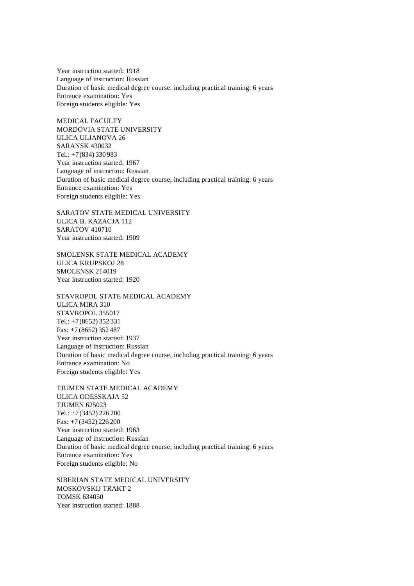Year instruction started: 1918 Language of instruction: Russian Duration of basic medical degree course, including practical training: 6 years Entrance examination: Yes Foreign students eligible: Yes

MEDICAL FACULTY MORDOVIA STATE UNIVERSITY ULICA ULJANOVA 26 SARANSK 430032 Tel.: +7(834) 330 983 Year instruction started: 1967 Language of instruction: Russian Duration of basic medical degree course, including practical training: 6 years Entrance examination: Yes Foreign students eligible: Yes

SARATOV STATE MEDICAL UNIVERSITY ULICA B. KAZACJA 112 SARATOV 410710 Year instruction started: 1909

SMOLENSK STATE MEDICAL ACADEMY ULICA KRUPSKOJ 28 SMOLENSK 214019 Year instruction started: 1920

STAVROPOL STATE MEDICAL ACADEMY ULICA MIRA 310 STAVROPOL 355017 Tel.: +7(8652) 352 331 Fax: +7 (8652) 352 487 Year instruction started: 1937 Language of instruction: Russian Duration of basic medical degree course, including practical training: 6 years Entrance examination: No Foreign students eligible: Yes

TJUMEN STATE MEDICAL ACADEMY ULICA ODESSKAJA 52 TJUMEN 625023 Tel.: +7(3452) 226 200 Fax: +7 (3452) 226 200 Year instruction started: 1963 Language of instruction: Russian Duration of basic medical degree course, including practical training: 6 years Entrance examination: Yes Foreign students eligible: No

SIBERIAN STATE MEDICAL UNIVERSITY MOSKOVSKIJ TRAKT 2 TOMSK 634050 Year instruction started: 1888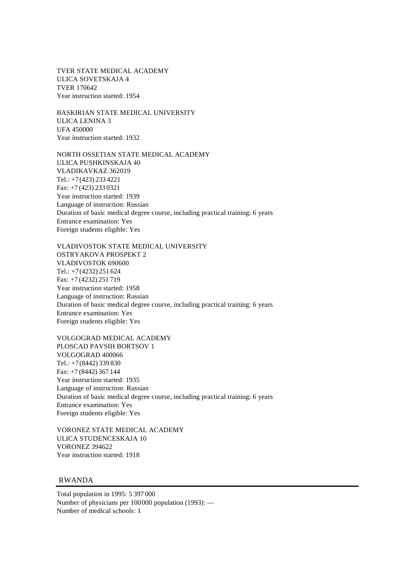TVER STATE MEDICAL ACADEMY ULICA SOVETSKAJA 4 TVER 170642 Year instruction started: 1954

BASKIRIAN STATE MEDICAL UNIVERSITY ULICA LENINA 3 UFA 450000 Year instruction started: 1932

NORTH OSSETIAN STATE MEDICAL ACADEMY ULICA PUSHKINSKAJA 40 VLADIKAVKAZ 362019 Tel.: +7(423) 233 4221 Fax: +7 (423) 233 0321 Year instruction started: 1939 Language of instruction: Russian Duration of basic medical degree course, including practical training: 6 years Entrance examination: Yes Foreign students eligible: Yes

VLADIVOSTOK STATE MEDICAL UNIVERSITY OSTRYAKOVA PROSPEKT 2 VLADIVOSTOK 690600 Tel.: +7(4232) 251 624 Fax: +7 (4232) 251 719 Year instruction started: 1958 Language of instruction: Russian Duration of basic medical degree course, including practical training: 6 years Entrance examination: Yes Foreign students eligible: Yes

VOLGOGRAD MEDICAL ACADEMY PLOSCAD PAVSIH BORTSOV 1 VOLGOGRAD 400066 Tel.: +7(8442) 339 830 Fax: +7 (8442) 367 144 Year instruction started: 1935 Language of instruction: Russian Duration of basic medical degree course, including practical training: 6 years Entrance examination: Yes Foreign students eligible: Yes

VORONEZ STATE MEDICAL ACADEMY ULICA STUDENCESKAJA 10 VORONEZ 394622 Year instruction started: 1918

RWANDA

Total population in 1995: 5 397 000 Number of physicians per 100000 population (1993): — Number of medical schools: 1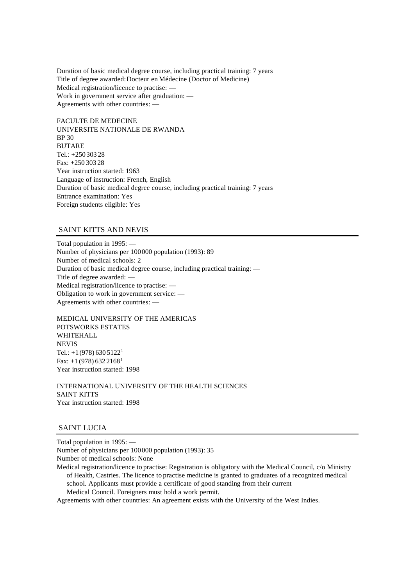Duration of basic medical degree course, including practical training: 7 years Title of degree awarded: Docteur en Médecine (Doctor of Medicine) Medical registration/licence to practise: — Work in government service after graduation: — Agreements with other countries: —

FACULTE DE MEDECINE UNIVERSITE NATIONALE DE RWANDA BP 30 BUTARE Tel.: +250 303 28 Fax: +250 303 28 Year instruction started: 1963 Language of instruction: French, English Duration of basic medical degree course, including practical training: 7 years Entrance examination: Yes Foreign students eligible: Yes

## SAINT KITTS AND NEVIS

Total population in 1995: — Number of physicians per 100000 population (1993): 89 Number of medical schools: 2 Duration of basic medical degree course, including practical training: — Title of degree awarded: — Medical registration/licence to practise: — Obligation to work in government service: — Agreements with other countries: —

MEDICAL UNIVERSITY OF THE AMERICAS POTSWORKS ESTATES **WHITEHALL NEVIS** Tel.:  $+1(978) 630 5122<sup>1</sup>$ Fax:  $+1$  (978) 632 2168<sup>1</sup> Year instruction started: 1998

INTERNATIONAL UNIVERSITY OF THE HEALTH SCIENCES SAINT KITTS Year instruction started: 1998

## SAINT LUCIA

Total population in 1995: — Number of physicians per 100000 population (1993): 35 Number of medical schools: None Medical registration/licence to practise: Registration is obligatory with the Medical Council, c/o Ministry of Health, Castries. The licence to practise medicine is granted to graduates of a recognized medical school. Applicants must provide a certificate of good standing from their current Medical Council. Foreigners must hold a work permit. Agreements with other countries: An agreement exists with the University of the West Indies.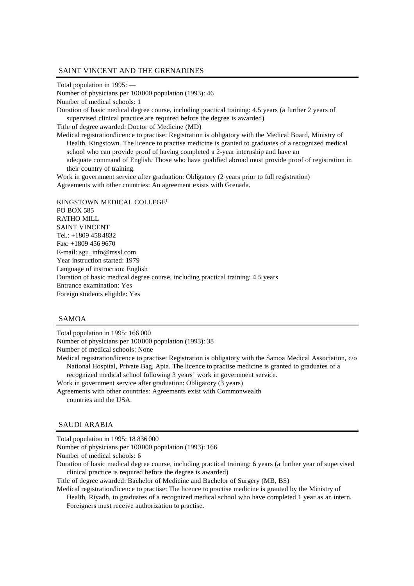## SAINT VINCENT AND THE GRENADINES

```
Total population in 1995: —
```
Number of physicians per 100000 population (1993): 46

Number of medical schools: 1

Duration of basic medical degree course, including practical training: 4.5 years (a further 2 years of supervised clinical practice are required before the degree is awarded)

Title of degree awarded: Doctor of Medicine (MD)

Medical registration/licence to practise: Registration is obligatory with the Medical Board, Ministry of Health, Kingstown. The licence to practise medicine is granted to graduates of a recognized medical school who can provide proof of having completed a 2-year internship and have an adequate command of English. Those who have qualified abroad must provide proof of registration in their country of training.

Work in government service after graduation: Obligatory (2 years prior to full registration) Agreements with other countries: An agreement exists with Grenada.

KINGSTOWN MEDICAL COLLEGE<sup>1</sup> PO BOX 585 RATHO MILL SAINT VINCENT Tel.: +1809 458 4832 Fax: +1809 456 9670 E-mail: sgu\_info@mssl.com Year instruction started: 1979 Language of instruction: English Duration of basic medical degree course, including practical training: 4.5 years Entrance examination: Yes Foreign students eligible: Yes

## SAMOA

Total population in 1995: 166 000 Number of physicians per 100000 population (1993): 38 Number of medical schools: None Medical registration/licence to practise: Registration is obligatory with the Samoa Medical Association, c/o National Hospital, Private Bag, Apia. The licence to practise medicine is granted to graduates of a recognized medical school following 3 years' work in government service. Work in government service after graduation: Obligatory (3 years) Agreements with other countries: Agreements exist with Commonwealth countries and the USA.

#### SAUDI ARABIA

Total population in 1995: 18 836 000

Number of physicians per 100000 population (1993): 166

Number of medical schools: 6

Duration of basic medical degree course, including practical training: 6 years (a further year of supervised clinical practice is required before the degree is awarded)

Title of degree awarded: Bachelor of Medicine and Bachelor of Surgery (MB, BS)

Medical registration/licence to practise: The licence to practise medicine is granted by the Ministry of Health, Riyadh, to graduates of a recognized medical school who have completed 1 year as an intern.

Foreigners must receive authorization to practise.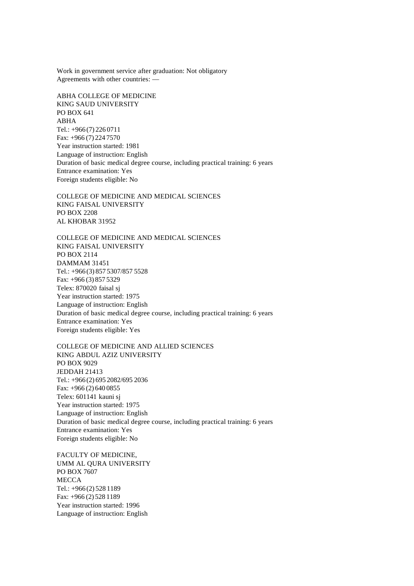Work in government service after graduation: Not obligatory Agreements with other countries: —

ABHA COLLEGE OF MEDICINE KING SAUD UNIVERSITY PO BOX 641 ABHA Tel.: +966 (7) 226 0711 Fax: +966 (7) 224 7570 Year instruction started: 1981 Language of instruction: English Duration of basic medical degree course, including practical training: 6 years Entrance examination: Yes Foreign students eligible: No

COLLEGE OF MEDICINE AND MEDICAL SCIENCES KING FAISAL UNIVERSITY PO BOX 2208 AL KHOBAR 31952

COLLEGE OF MEDICINE AND MEDICAL SCIENCES KING FAISAL UNIVERSITY PO BOX 2114 DAMMAM 31451 Tel.: +966 (3) 857 5307/857 5528 Fax: +966 (3) 857 5329 Telex: 870020 faisal sj Year instruction started: 1975 Language of instruction: English Duration of basic medical degree course, including practical training: 6 years Entrance examination: Yes Foreign students eligible: Yes

COLLEGE OF MEDICINE AND ALLIED SCIENCES KING ABDUL AZIZ UNIVERSITY PO BOX 9029 JEDDAH 21413 Tel.: +966 (2) 695 2082/695 2036 Fax: +966 (2) 640 0855 Telex: 601141 kauni sj Year instruction started: 1975 Language of instruction: English Duration of basic medical degree course, including practical training: 6 years Entrance examination: Yes Foreign students eligible: No

FACULTY OF MEDICINE, UMM AL QURA UNIVERSITY PO BOX 7607 **MECCA** Tel.: +966 (2) 528 1189 Fax: +966 (2) 528 1189 Year instruction started: 1996 Language of instruction: English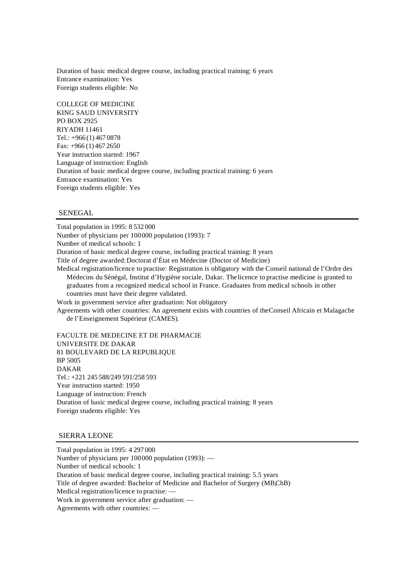Duration of basic medical degree course, including practical training: 6 years Entrance examination: Yes Foreign students eligible: No

COLLEGE OF MEDICINE KING SAUD UNIVERSITY PO BOX 2925 RIYADH 11461 Tel.: +966 (1) 467 0878 Fax: +966 (1) 467 2650 Year instruction started: 1967 Language of instruction: English Duration of basic medical degree course, including practical training: 6 years Entrance examination: Yes Foreign students eligible: Yes

# SENEGAL

Total population in 1995: 8 532 000 Number of physicians per 100000 population (1993): 7 Number of medical schools: 1 Duration of basic medical degree course, including practical training: 8 years Title of degree awarded: Doctorat d'État en Médecine (Doctor of Medicine) Medical registration/licence to practise: Registration is obligatory with the Conseil national de l'Ordre des Médecins du Sénégal, Institut d'Hygiène sociale, Dakar. The licence to practise medicine is granted to graduates from a recognized medical school in France. Graduates from medical schools in other countries must have their degree validated. Work in government service after graduation: Not obligatory Agreements with other countries: An agreement exists with countries of the Conseil Africain et Malagache de l'Enseignement Supérieur (CAMES). FACULTE DE MEDECINE ET DE PHARMACIE UNIVERSITE DE DAKAR 81 BOULEVARD DE LA REPUBLIQUE BP 5005 DAKAR Tel.: +221 245 588/249 591/258 593

Year instruction started: 1950 Language of instruction: French Duration of basic medical degree course, including practical training: 8 years Foreign students eligible: Yes

### SIERRA LEONE

Total population in 1995: 4 297 000 Number of physicians per 100000 population (1993): — Number of medical schools: 1 Duration of basic medical degree course, including practical training: 5.5 years Title of degree awarded: Bachelor of Medicine and Bachelor of Surgery (MBChB) Medical registration/licence to practise: — Work in government service after graduation: — Agreements with other countries: —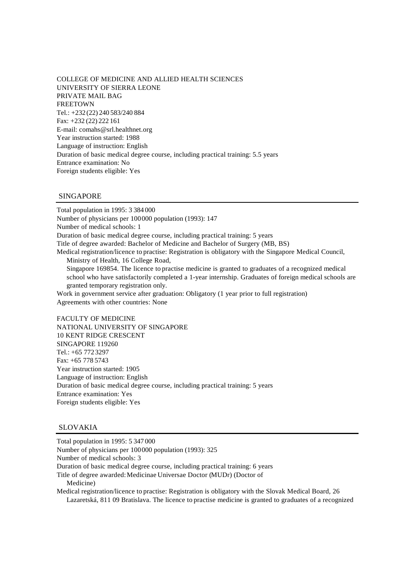COLLEGE OF MEDICINE AND ALLIED HEALTH SCIENCES UNIVERSITY OF SIERRA LEONE PRIVATE MAIL BAG **FREETOWN** Tel.: +232 (22) 240 583/240 884 Fax: +232 (22) 222 161 E-mail: comahs@srl.healthnet.org Year instruction started: 1988 Language of instruction: English Duration of basic medical degree course, including practical training: 5.5 years Entrance examination: No Foreign students eligible: Yes

# SINGAPORE

Total population in 1995: 3 384 000 Number of physicians per 100000 population (1993): 147 Number of medical schools: 1 Duration of basic medical degree course, including practical training: 5 years Title of degree awarded: Bachelor of Medicine and Bachelor of Surgery (MB, BS) Medical registration/licence to practise: Registration is obligatory with the Singapore Medical Council, Ministry of Health, 16 College Road, Singapore 169854. The licence to practise medicine is granted to graduates of a recognized medical school who have satisfactorily completed a 1-year internship. Graduates of foreign medical schools are granted temporary registration only. Work in government service after graduation: Obligatory (1 year prior to full registration) Agreements with other countries: None FACULTY OF MEDICINE NATIONAL UNIVERSITY OF SINGAPORE 10 KENT RIDGE CRESCENT

SINGAPORE 119260 Tel.: +65 772 3297 Fax: +65 778 5743 Year instruction started: 1905 Language of instruction: English Duration of basic medical degree course, including practical training: 5 years Entrance examination: Yes Foreign students eligible: Yes

#### SLOVAKIA

Total population in 1995: 5 347 000 Number of physicians per 100000 population (1993): 325 Number of medical schools: 3 Duration of basic medical degree course, including practical training: 6 years Title of degree awarded: Medicinae Universae Doctor (MUDr) (Doctor of Medicine) Medical registration/licence to practise: Registration is obligatory with the Slovak Medical Board, 26 Lazaretská, 811 09 Bratislava. The licence to practise medicine is granted to graduates of a recognized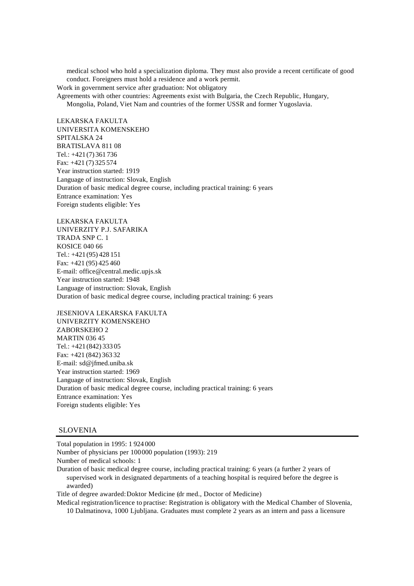medical school who hold a specialization diploma. They must also provide a recent certificate of good conduct. Foreigners must hold a residence and a work permit.

Work in government service after graduation: Not obligatory

Agreements with other countries: Agreements exist with Bulgaria, the Czech Republic, Hungary, Mongolia, Poland, Viet Nam and countries of the former USSR and former Yugoslavia.

LEKARSKA FAKULTA UNIVERSITA KOMENSKEHO SPITALSKA 24 BRATISLAVA 811 08 Tel.: +421 (7) 361 736 Fax: +421 (7) 325 574 Year instruction started: 1919 Language of instruction: Slovak, English Duration of basic medical degree course, including practical training: 6 years Entrance examination: Yes Foreign students eligible: Yes

LEKARSKA FAKULTA UNIVERZITY P.J. SAFARIKA TRADA SNP C. 1 KOSICE 040 66 Tel.: +421 (95) 428 151 Fax: +421 (95) 425 460 E-mail: office@central.medic.upjs.sk Year instruction started: 1948 Language of instruction: Slovak, English Duration of basic medical degree course, including practical training: 6 years

JESENIOVA LEKARSKA FAKULTA UNIVERZITY KOMENSKEHO ZABORSKEHO 2 MARTIN 036 45 Tel.: +421 (842) 333 05 Fax: +421 (842) 363 32 E-mail: sd@jfmed.uniba.sk Year instruction started: 1969 Language of instruction: Slovak, English Duration of basic medical degree course, including practical training: 6 years Entrance examination: Yes Foreign students eligible: Yes

# SLOVENIA

Total population in 1995: 1 924 000

Number of physicians per 100000 population (1993): 219

Number of medical schools: 1

Duration of basic medical degree course, including practical training: 6 years (a further 2 years of supervised work in designated departments of a teaching hospital is required before the degree is awarded)

Title of degree awarded: Doktor Medicine (dr med., Doctor of Medicine)

Medical registration/licence to practise: Registration is obligatory with the Medical Chamber of Slovenia, 10 Dalmatinova, 1000 Ljubljana. Graduates must complete 2 years as an intern and pass a licensure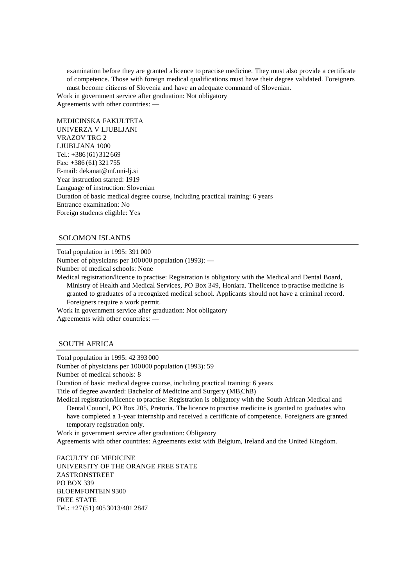examination before they are granted a licence to practise medicine. They must also provide a certificate of competence. Those with foreign medical qualifications must have their degree validated. Foreigners must become citizens of Slovenia and have an adequate command of Slovenian.

Work in government service after graduation: Not obligatory Agreements with other countries: —

MEDICINSKA FAKULTETA UNIVERZA V LJUBLJANI VRAZOV TRG 2 LJUBLJANA 1000 Tel.: +386 (61) 312 669 Fax: +386 (61) 321 755 E-mail: dekanat@mf.uni-lj.si Year instruction started: 1919 Language of instruction: Slovenian Duration of basic medical degree course, including practical training: 6 years Entrance examination: No Foreign students eligible: Yes

#### SOLOMON ISLANDS

Total population in 1995: 391 000

Number of physicians per 100000 population (1993): —

Number of medical schools: None

Medical registration/licence to practise: Registration is obligatory with the Medical and Dental Board, Ministry of Health and Medical Services, PO Box 349, Honiara. The licence to practise medicine is granted to graduates of a recognized medical school. Applicants should not have a criminal record. Foreigners require a work permit.

Work in government service after graduation: Not obligatory Agreements with other countries: —

# SOUTH AFRICA

Total population in 1995: 42 393 000 Number of physicians per 100000 population (1993): 59 Number of medical schools: 8 Duration of basic medical degree course, including practical training: 6 years Title of degree awarded: Bachelor of Medicine and Surgery (MB, ChB) Medical registration/licence to practise: Registration is obligatory with the South African Medical and Dental Council, PO Box 205, Pretoria. The licence to practise medicine is granted to graduates who have completed a 1-year internship and received a certificate of competence. Foreigners are granted temporary registration only. Work in government service after graduation: Obligatory Agreements with other countries: Agreements exist with Belgium, Ireland and the United Kingdom. FACULTY OF MEDICINE UNIVERSITY OF THE ORANGE FREE STATE ZASTRONSTREET PO BOX 339

BLOEMFONTEIN 9300 FREE STATE Tel.: +27(51) 405 3013/401 2847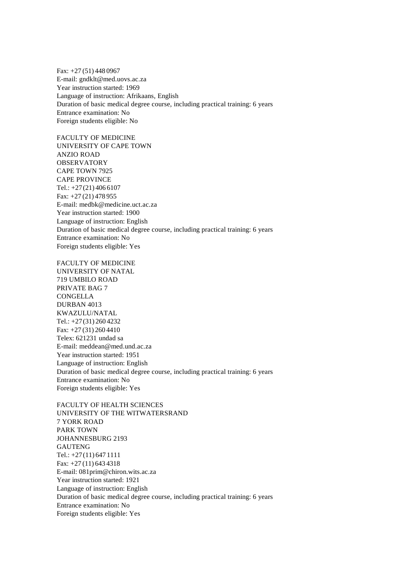Fax: +27 (51) 448 0967 E-mail: gndklt@med.uovs.ac.za Year instruction started: 1969 Language of instruction: Afrikaans, English Duration of basic medical degree course, including practical training: 6 years Entrance examination: No Foreign students eligible: No

FACULTY OF MEDICINE UNIVERSITY OF CAPE TOWN ANZIO ROAD **OBSERVATORY** CAPE TOWN 7925 CAPE PROVINCE Tel.: +27(21) 406 6107 Fax: +27 (21) 478 955 E-mail: medbk@medicine.uct.ac.za Year instruction started: 1900 Language of instruction: English Duration of basic medical degree course, including practical training: 6 years Entrance examination: No Foreign students eligible: Yes

FACULTY OF MEDICINE UNIVERSITY OF NATAL 719 UMBILO ROAD PRIVATE BAG 7 CONGELLA DURBAN 4013 KWAZULU/NATAL Tel.: +27(31) 260 4232 Fax: +27 (31) 260 4410 Telex: 621231 undad sa E-mail: meddean@med.und.ac.za Year instruction started: 1951 Language of instruction: English Duration of basic medical degree course, including practical training: 6 years Entrance examination: No Foreign students eligible: Yes

FACULTY OF HEALTH SCIENCES UNIVERSITY OF THE WITWATERSRAND 7 YORK ROAD PARK TOWN JOHANNESBURG 2193 GAUTENG Tel.: +27(11) 647 1111 Fax: +27 (11) 643 4318 E-mail: 081prim@chiron.wits.ac.za Year instruction started: 1921 Language of instruction: English Duration of basic medical degree course, including practical training: 6 years Entrance examination: No Foreign students eligible: Yes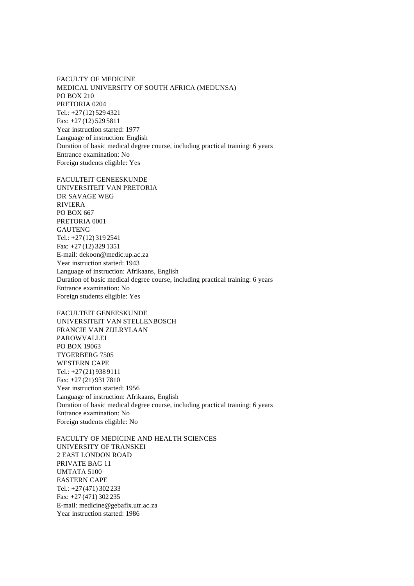FACULTY OF MEDICINE MEDICAL UNIVERSITY OF SOUTH AFRICA (MEDUNSA) PO BOX 210 PRETORIA 0204 Tel.: +27(12) 529 4321 Fax: +27 (12) 529 5811 Year instruction started: 1977 Language of instruction: English Duration of basic medical degree course, including practical training: 6 years Entrance examination: No Foreign students eligible: Yes

FACULTEIT GENEESKUNDE UNIVERSITEIT VAN PRETORIA DR SAVAGE WEG RIVIERA PO BOX 667 PRETORIA 0001 **GAUTENG** Tel.: +27(12) 319 2541 Fax: +27 (12) 329 1351 E-mail: dekoon@medic.up.ac.za Year instruction started: 1943 Language of instruction: Afrikaans, English Duration of basic medical degree course, including practical training: 6 years Entrance examination: No Foreign students eligible: Yes

FACULTEIT GENEESKUNDE UNIVERSITEIT VAN STELLENBOSCH FRANCIE VAN ZIJLRYLAAN PAROWVALLEI PO BOX 19063 TYGERBERG 7505 WESTERN CAPE Tel.: +27(21) 938 9111 Fax: +27 (21) 931 7810 Year instruction started: 1956 Language of instruction: Afrikaans, English Duration of basic medical degree course, including practical training: 6 years Entrance examination: No Foreign students eligible: No

FACULTY OF MEDICINE AND HEALTH SCIENCES UNIVERSITY OF TRANSKEI 2 EAST LONDON ROAD PRIVATE BAG 11 UMTATA 5100 EASTERN CAPE Tel.: +27(471) 302 233 Fax: +27 (471) 302 235 E-mail: medicine@gebafix.utr.ac.za Year instruction started: 1986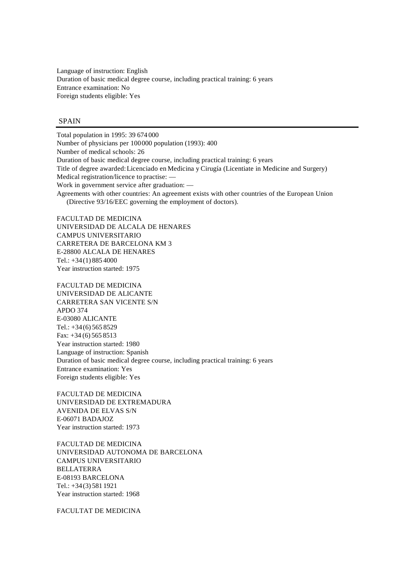Language of instruction: English Duration of basic medical degree course, including practical training: 6 years Entrance examination: No Foreign students eligible: Yes

#### SPAIN

Total population in 1995: 39 674 000 Number of physicians per 100000 population (1993): 400 Number of medical schools: 26 Duration of basic medical degree course, including practical training: 6 years Title of degree awarded: Licenciado en Medicina y Cirugía (Licentiate in Medicine and Surgery) Medical registration/licence to practise: — Work in government service after graduation: — Agreements with other countries: An agreement exists with other countries of the European Union (Directive 93/16/EEC governing the employment of doctors).

FACULTAD DE MEDICINA UNIVERSIDAD DE ALCALA DE HENARES CAMPUS UNIVERSITARIO CARRETERA DE BARCELONA KM 3 E-28800 ALCALA DE HENARES Tel.: +34(1) 885 4000 Year instruction started: 1975

FACULTAD DE MEDICINA UNIVERSIDAD DE ALICANTE CARRETERA SAN VICENTE S/N APDO 374 E-03080 ALICANTE Tel.:  $+34(6)$  565 8529 Fax:  $+34(6)5658513$ Year instruction started: 1980 Language of instruction: Spanish Duration of basic medical degree course, including practical training: 6 years Entrance examination: Yes Foreign students eligible: Yes

FACULTAD DE MEDICINA UNIVERSIDAD DE EXTREMADURA AVENIDA DE ELVAS S/N E-06071 BADAJOZ Year instruction started: 1973

FACULTAD DE MEDICINA UNIVERSIDAD AUTONOMA DE BARCELONA CAMPUS UNIVERSITARIO BELLATERRA E-08193 BARCELONA Tel.: +34(3) 581 1921 Year instruction started: 1968

FACULTAT DE MEDICINA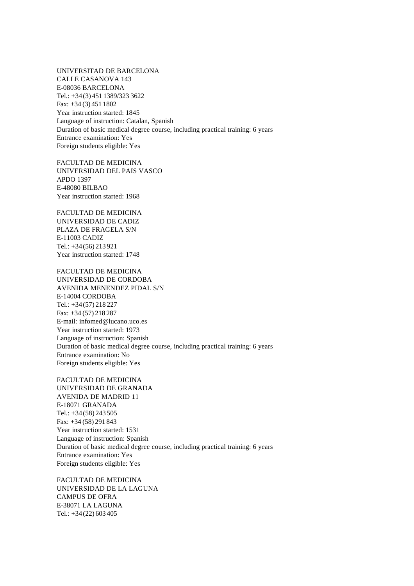UNIVERSITAD DE BARCELONA CALLE CASANOVA 143 E-08036 BARCELONA Tel.: +34(3) 451 1389/323 3622  $Fax: +34(3)4511802$ Year instruction started: 1845 Language of instruction: Catalan, Spanish Duration of basic medical degree course, including practical training: 6 years Entrance examination: Yes Foreign students eligible: Yes

FACULTAD DE MEDICINA UNIVERSIDAD DEL PAIS VASCO APDO 1397 E-48080 BILBAO Year instruction started: 1968

FACULTAD DE MEDICINA UNIVERSIDAD DE CADIZ PLAZA DE FRAGELA S/N E-11003 CADIZ Tel.: +34(56) 213 921 Year instruction started: 1748

FACULTAD DE MEDICINA UNIVERSIDAD DE CORDOBA AVENIDA MENENDEZ PIDAL S/N E-14004 CORDOBA Tel.: +34(57) 218 227 Fax: +34 (57) 218 287 E-mail: infomed@lucano.uco.es Year instruction started: 1973 Language of instruction: Spanish Duration of basic medical degree course, including practical training: 6 years Entrance examination: No Foreign students eligible: Yes

FACULTAD DE MEDICINA UNIVERSIDAD DE GRANADA AVENIDA DE MADRID 11 E-18071 GRANADA Tel.: +34(58) 243 505 Fax: +34 (58) 291 843 Year instruction started: 1531 Language of instruction: Spanish Duration of basic medical degree course, including practical training: 6 years Entrance examination: Yes Foreign students eligible: Yes

FACULTAD DE MEDICINA UNIVERSIDAD DE LA LAGUNA CAMPUS DE OFRA E-38071 LA LAGUNA Tel.: +34(22) 603 405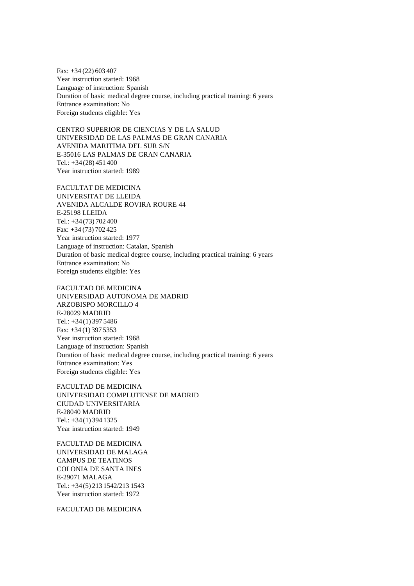Fax: +34 (22) 603 407 Year instruction started: 1968 Language of instruction: Spanish Duration of basic medical degree course, including practical training: 6 years Entrance examination: No Foreign students eligible: Yes

CENTRO SUPERIOR DE CIENCIAS Y DE LA SALUD UNIVERSIDAD DE LAS PALMAS DE GRAN CANARIA AVENIDA MARITIMA DEL SUR S/N E-35016 LAS PALMAS DE GRAN CANARIA  $Tel: +34(28)451400$ Year instruction started: 1989

FACULTAT DE MEDICINA UNIVERSITAT DE LLEIDA AVENIDA ALCALDE ROVIRA ROURE 44 E-25198 LLEIDA  $Tel: +34(73) 702 400$ Fax: +34 (73) 702 425 Year instruction started: 1977 Language of instruction: Catalan, Spanish Duration of basic medical degree course, including practical training: 6 years Entrance examination: No Foreign students eligible: Yes

FACULTAD DE MEDICINA UNIVERSIDAD AUTONOMA DE MADRID ARZOBISPO MORCILLO 4 E-28029 MADRID Tel.: +34(1) 397 5486 Fax: +34 (1) 397 5353 Year instruction started: 1968 Language of instruction: Spanish Duration of basic medical degree course, including practical training: 6 years Entrance examination: Yes Foreign students eligible: Yes

FACULTAD DE MEDICINA UNIVERSIDAD COMPLUTENSE DE MADRID CIUDAD UNIVERSITARIA E-28040 MADRID Tel.: +34(1) 394 1325 Year instruction started: 1949

FACULTAD DE MEDICINA UNIVERSIDAD DE MALAGA CAMPUS DE TEATINOS COLONIA DE SANTA INES E-29071 MALAGA Tel.: +34(5) 213 1542/213 1543 Year instruction started: 1972

FACULTAD DE MEDICINA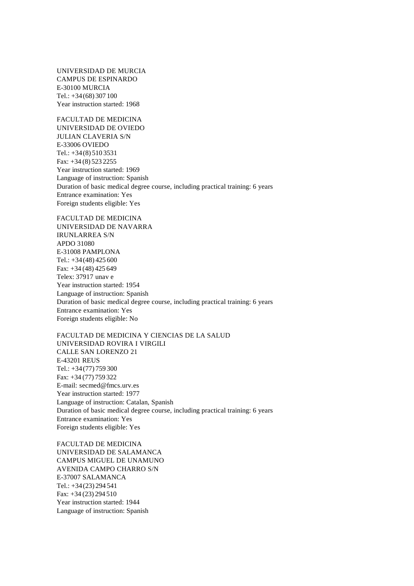UNIVERSIDAD DE MURCIA CAMPUS DE ESPINARDO E-30100 MURCIA Tel.: +34(68) 307 100 Year instruction started: 1968

FACULTAD DE MEDICINA UNIVERSIDAD DE OVIEDO JULIAN CLAVERIA S/N E-33006 OVIEDO Tel.: +34(8) 510 3531 Fax: +34 (8) 523 2255 Year instruction started: 1969 Language of instruction: Spanish Duration of basic medical degree course, including practical training: 6 years Entrance examination: Yes Foreign students eligible: Yes

FACULTAD DE MEDICINA UNIVERSIDAD DE NAVARRA IRUNLARREA S/N APDO 31080 E-31008 PAMPLONA Tel.: +34(48) 425 600 Fax: +34 (48) 425 649 Telex: 37917 unav e Year instruction started: 1954 Language of instruction: Spanish Duration of basic medical degree course, including practical training: 6 years Entrance examination: Yes Foreign students eligible: No

FACULTAD DE MEDICINA Y CIENCIAS DE LA SALUD UNIVERSIDAD ROVIRA I VIRGILI CALLE SAN LORENZO 21 E-43201 REUS Tel.: +34(77) 759 300 Fax: +34 (77) 759 322 E-mail: secmed@fmcs.urv.es Year instruction started: 1977 Language of instruction: Catalan, Spanish Duration of basic medical degree course, including practical training: 6 years Entrance examination: Yes Foreign students eligible: Yes

FACULTAD DE MEDICINA UNIVERSIDAD DE SALAMANCA CAMPUS MIGUEL DE UNAMUNO AVENIDA CAMPO CHARRO S/N E-37007 SALAMANCA Tel.: +34(23) 294 541 Fax: +34 (23) 294 510 Year instruction started: 1944 Language of instruction: Spanish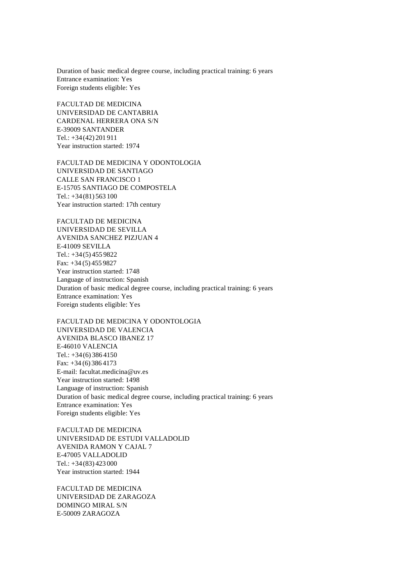Duration of basic medical degree course, including practical training: 6 years Entrance examination: Yes Foreign students eligible: Yes

FACULTAD DE MEDICINA UNIVERSIDAD DE CANTABRIA CARDENAL HERRERA ONA S/N E-39009 SANTANDER Tel.: +34(42) 201 911 Year instruction started: 1974

FACULTAD DE MEDICINA Y ODONTOLOGIA UNIVERSIDAD DE SANTIAGO CALLE SAN FRANCISCO 1 E-15705 SANTIAGO DE COMPOSTELA Tel.: +34(81) 563 100 Year instruction started: 17th century

FACULTAD DE MEDICINA UNIVERSIDAD DE SEVILLA AVENIDA SANCHEZ PIZJUAN 4 E-41009 SEVILLA Tel.: +34(5) 455 9822 Fax: +34 (5) 455 9827 Year instruction started: 1748 Language of instruction: Spanish Duration of basic medical degree course, including practical training: 6 years Entrance examination: Yes Foreign students eligible: Yes

FACULTAD DE MEDICINA Y ODONTOLOGIA UNIVERSIDAD DE VALENCIA AVENIDA BLASCO IBANEZ 17 E-46010 VALENCIA Tel.:  $+34(6)3864150$ Fax: +34 (6) 386 4173 E-mail: facultat.medicina@uv.es Year instruction started: 1498 Language of instruction: Spanish Duration of basic medical degree course, including practical training: 6 years Entrance examination: Yes Foreign students eligible: Yes

FACULTAD DE MEDICINA UNIVERSIDAD DE ESTUDI VALLADOLID AVENIDA RAMON Y CAJAL 7 E-47005 VALLADOLID Tel.: +34(83) 423 000 Year instruction started: 1944

FACULTAD DE MEDICINA UNIVERSIDAD DE ZARAGOZA DOMINGO MIRAL S/N E-50009 ZARAGOZA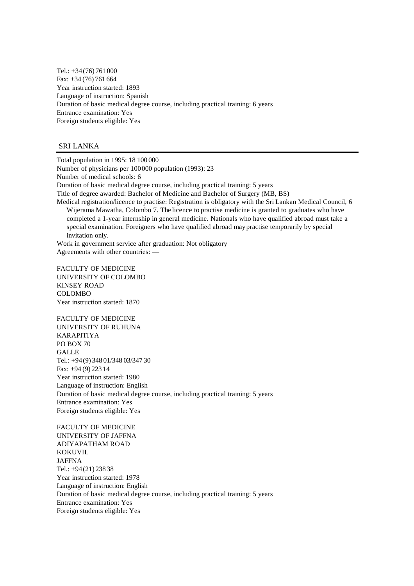Tel.: +34(76) 761 000 Fax: +34 (76) 761 664 Year instruction started: 1893 Language of instruction: Spanish Duration of basic medical degree course, including practical training: 6 years Entrance examination: Yes Foreign students eligible: Yes

## SRI LANKA

Total population in 1995: 18 100 000 Number of physicians per 100000 population (1993): 23 Number of medical schools: 6 Duration of basic medical degree course, including practical training: 5 years Title of degree awarded: Bachelor of Medicine and Bachelor of Surgery (MB, BS) Medical registration/licence to practise: Registration is obligatory with the Sri Lankan Medical Council, 6 Wijerama Mawatha, Colombo 7. The licence to practise medicine is granted to graduates who have completed a 1-year internship in general medicine. Nationals who have qualified abroad must take a special examination. Foreigners who have qualified abroad may practise temporarily by special invitation only. Work in government service after graduation: Not obligatory Agreements with other countries: — FACULTY OF MEDICINE UNIVERSITY OF COLOMBO KINSEY ROAD COLOMBO Year instruction started: 1870 FACULTY OF MEDICINE UNIVERSITY OF RUHUNA KARAPITIYA PO BOX 70 **GALLE** Tel.: +94(9) 348 01/348 03/347 30 Fax: +94 (9) 223 14 Year instruction started: 1980

Language of instruction: English Duration of basic medical degree course, including practical training: 5 years Entrance examination: Yes Foreign students eligible: Yes

FACULTY OF MEDICINE UNIVERSITY OF JAFFNA ADIYAPATHAM ROAD KOKUVIL JAFFNA Tel.: +94(21) 238 38 Year instruction started: 1978 Language of instruction: English Duration of basic medical degree course, including practical training: 5 years Entrance examination: Yes Foreign students eligible: Yes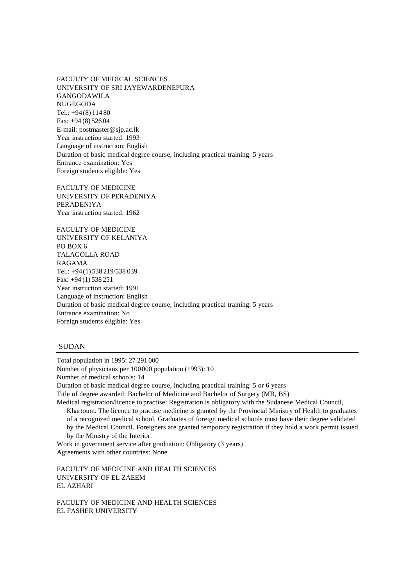FACULTY OF MEDICAL SCIENCES UNIVERSITY OF SRI JAYEWARDENEPURA GANGODAWILA NUGEGODA Tel.: +94(8) 114 80 Fax: +94 (8) 526 04 E-mail: postmaster@sjp.ac.lk Year instruction started: 1993 Language of instruction: English Duration of basic medical degree course, including practical training: 5 years Entrance examination: Yes Foreign students eligible: Yes

FACULTY OF MEDICINE UNIVERSITY OF PERADENIYA PERADENIYA Year instruction started: 1962

FACULTY OF MEDICINE UNIVERSITY OF KELANIYA PO BOX 6 TALAGOLLA ROAD RAGAMA Tel.: +94(1) 538 219/538 039 Fax: +94 (1) 538 251 Year instruction started: 1991 Language of instruction: English Duration of basic medical degree course, including practical training: 5 years Entrance examination: No Foreign students eligible: Yes

# SUDAN

Total population in 1995: 27 291 000 Number of physicians per 100000 population (1993): 10 Number of medical schools: 14 Duration of basic medical degree course, including practical training: 5 or 6 years Title of degree awarded: Bachelor of Medicine and Bachelor of Surgery (MB, BS) Medical registration/licence to practise: Registration is obligatory with the Sudanese Medical Council, Khartoum. The licence to practise medicine is granted by the Provincial Ministry of Health to graduates of a recognized medical school. Graduates of foreign medical schools must have their degree validated by the Medical Council. Foreigners are granted temporary registration if they hold a work permit issued by the Ministry of the Interior. Work in government service after graduation: Obligatory (3 years)

Agreements with other countries: None

FACULTY OF MEDICINE AND HEALTH SCIENCES UNIVERSITY OF EL ZAEEM EL AZHARI

FACULTY OF MEDICINE AND HEALTH SCIENCES EL FASHER UNIVERSITY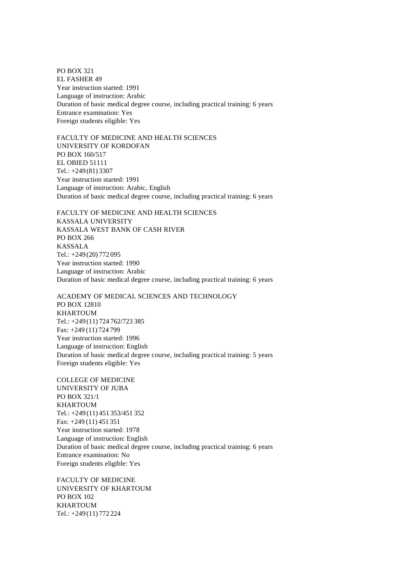PO BOX 321 EL FASHER 49 Year instruction started: 1991 Language of instruction: Arabic Duration of basic medical degree course, including practical training: 6 years Entrance examination: Yes Foreign students eligible: Yes

FACULTY OF MEDICINE AND HEALTH SCIENCES UNIVERSITY OF KORDOFAN PO BOX 160/517 EL OBIED 51111 Tel.: +249 (81) 3307 Year instruction started: 1991 Language of instruction: Arabic, English Duration of basic medical degree course, including practical training: 6 years

FACULTY OF MEDICINE AND HEALTH SCIENCES KASSALA UNIVERSITY KASSALA WEST BANK OF CASH RIVER PO BOX 266 KASSALA Tel.: +249 (20) 772 095 Year instruction started: 1990 Language of instruction: Arabic Duration of basic medical degree course, including practical training: 6 years

ACADEMY OF MEDICAL SCIENCES AND TECHNOLOGY PO BOX 12810 **KHARTOUM** Tel.: +249 (11) 724 762/723 385 Fax: +249 (11) 724 799 Year instruction started: 1996 Language of instruction: English Duration of basic medical degree course, including practical training: 5 years Foreign students eligible: Yes

COLLEGE OF MEDICINE UNIVERSITY OF JUBA PO BOX 321/1 KHARTOUM Tel.: +249 (11) 451 353/451 352 Fax: +249 (11) 451 351 Year instruction started: 1978 Language of instruction: English Duration of basic medical degree course, including practical training: 6 years Entrance examination: No Foreign students eligible: Yes

FACULTY OF MEDICINE UNIVERSITY OF KHARTOUM PO BOX 102 KHARTOUM Tel.: +249 (11) 772 224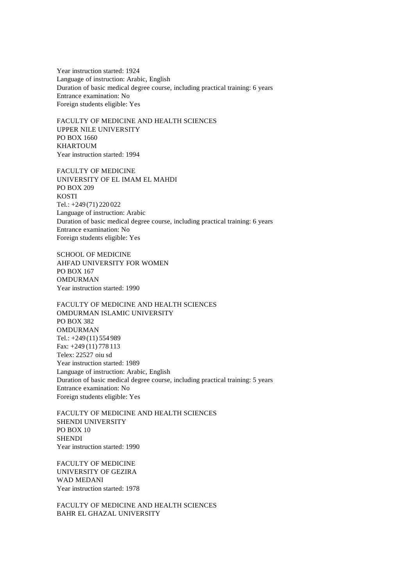Year instruction started: 1924 Language of instruction: Arabic, English Duration of basic medical degree course, including practical training: 6 years Entrance examination: No Foreign students eligible: Yes

FACULTY OF MEDICINE AND HEALTH SCIENCES UPPER NILE UNIVERSITY PO BOX 1660 KHARTOUM Year instruction started: 1994

FACULTY OF MEDICINE UNIVERSITY OF EL IMAM EL MAHDI PO BOX 209 **KOSTI** Tel.: +249 (71) 220 022 Language of instruction: Arabic Duration of basic medical degree course, including practical training: 6 years Entrance examination: No Foreign students eligible: Yes

SCHOOL OF MEDICINE AHFAD UNIVERSITY FOR WOMEN PO BOX 167 **OMDURMAN** Year instruction started: 1990

FACULTY OF MEDICINE AND HEALTH SCIENCES OMDURMAN ISLAMIC UNIVERSITY PO BOX 382 OMDURMAN Tel.: +249 (11) 554 989 Fax: +249 (11) 778 113 Telex: 22527 oiu sd Year instruction started: 1989 Language of instruction: Arabic, English Duration of basic medical degree course, including practical training: 5 years Entrance examination: No Foreign students eligible: Yes

FACULTY OF MEDICINE AND HEALTH SCIENCES SHENDI UNIVERSITY PO BOX 10 **SHENDI** Year instruction started: 1990

FACULTY OF MEDICINE UNIVERSITY OF GEZIRA WAD MEDANI Year instruction started: 1978

FACULTY OF MEDICINE AND HEALTH SCIENCES BAHR EL GHAZAL UNIVERSITY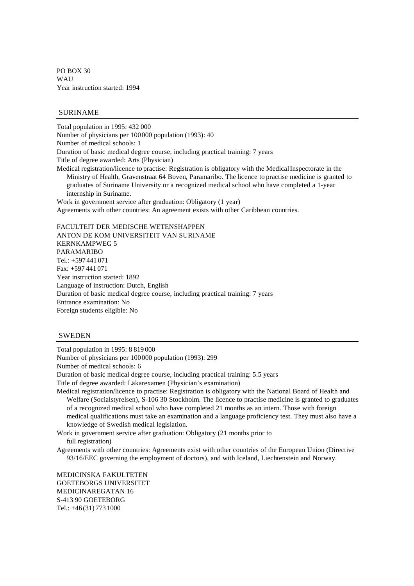PO BOX 30 **WAII** Year instruction started: 1994

## SURINAME

Total population in 1995: 432 000 Number of physicians per 100000 population (1993): 40 Number of medical schools: 1 Duration of basic medical degree course, including practical training: 7 years Title of degree awarded: Arts (Physician) Medical registration/licence to practise: Registration is obligatory with the Medical Inspectorate in the Ministry of Health, Gravenstraat 64 Boven, Paramaribo. The licence to practise medicine is granted to graduates of Suriname University or a recognized medical school who have completed a 1-year internship in Suriname. Work in government service after graduation: Obligatory (1 year) Agreements with other countries: An agreement exists with other Caribbean countries. FACULTEIT DER MEDISCHE WETENSHAPPEN ANTON DE KOM UNIVERSITEIT VAN SURINAME KERNKAMPWEG 5

PARAMARIBO Tel.: +597 441 071 Fax: +597 441 071 Year instruction started: 1892 Language of instruction: Dutch, English Duration of basic medical degree course, including practical training: 7 years Entrance examination: No Foreign students eligible: No

#### SWEDEN

Total population in 1995: 8 819 000 Number of physicians per 100000 population (1993): 299 Number of medical schools: 6 Duration of basic medical degree course, including practical training: 5.5 years Title of degree awarded: Läkarexamen (Physician's examination) Medical registration/licence to practise: Registration is obligatory with the National Board of Health and Welfare (Socialstyrelsen), S-106 30 Stockholm. The licence to practise medicine is granted to graduates of a recognized medical school who have completed 21 months as an intern. Those with foreign medical qualifications must take an examination and a language proficiency test. They must also have a knowledge of Swedish medical legislation. Work in government service after graduation: Obligatory (21 months prior to

full registration)

Agreements with other countries: Agreements exist with other countries of the European Union (Directive 93/16/EEC governing the employment of doctors), and with Iceland, Liechtenstein and Norway.

MEDICINSKA FAKULTETEN GOETEBORGS UNIVERSITET MEDICINAREGATAN 16 S-413 90 GOETEBORG Tel.: +46(31) 773 1000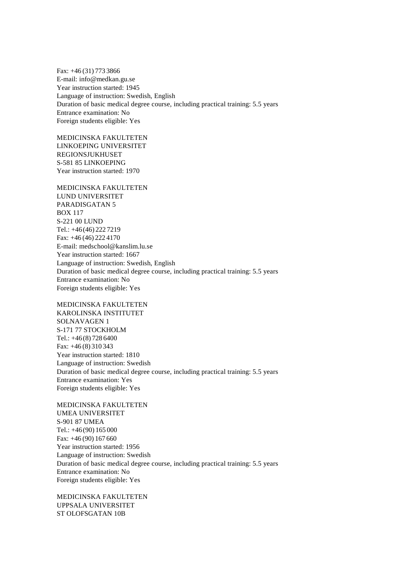Fax: +46 (31) 773 3866 E-mail: info@medkan.gu.se Year instruction started: 1945 Language of instruction: Swedish, English Duration of basic medical degree course, including practical training: 5.5 years Entrance examination: No Foreign students eligible: Yes

MEDICINSKA FAKULTETEN LINKOEPING UNIVERSITET REGIONSJUKHUSET S-581 85 LINKOEPING Year instruction started: 1970

MEDICINSKA FAKULTETEN LUND UNIVERSITET PARADISGATAN 5 BOX 117 S-221 00 LUND Tel.: +46(46) 222 7219 Fax: +46 (46) 222 4170 E-mail: medschool@kanslim.lu.se Year instruction started: 1667 Language of instruction: Swedish, English Duration of basic medical degree course, including practical training: 5.5 years Entrance examination: No Foreign students eligible: Yes

MEDICINSKA FAKULTETEN KAROLINSKA INSTITUTET SOLNAVAGEN 1 S-171 77 STOCKHOLM Tel.: +46(8) 728 6400 Fax: +46 (8) 310 343 Year instruction started: 1810 Language of instruction: Swedish Duration of basic medical degree course, including practical training: 5.5 years Entrance examination: Yes Foreign students eligible: Yes

MEDICINSKA FAKULTETEN UMEA UNIVERSITET S-901 87 UMEA Tel.: +46(90) 165 000 Fax: +46 (90) 167 660 Year instruction started: 1956 Language of instruction: Swedish Duration of basic medical degree course, including practical training: 5.5 years Entrance examination: No Foreign students eligible: Yes

MEDICINSKA FAKULTETEN UPPSALA UNIVERSITET ST OLOFSGATAN 10B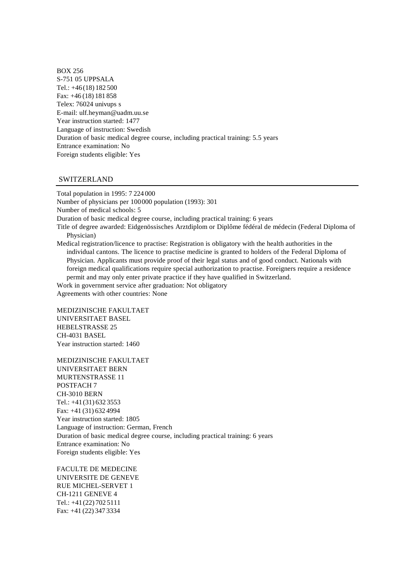BOX 256 S-751 05 UPPSALA Tel.: +46(18) 182 500 Fax: +46 (18) 181 858 Telex: 76024 univups s E-mail: ulf.heyman@uadm.uu.se Year instruction started: 1477 Language of instruction: Swedish Duration of basic medical degree course, including practical training: 5.5 years Entrance examination: No Foreign students eligible: Yes

### SWITZERLAND

Total population in 1995: 7 224 000 Number of physicians per 100000 population (1993): 301 Number of medical schools: 5 Duration of basic medical degree course, including practical training: 6 years Title of degree awarded: Eidgenössisches Arztdiplom or Diplôme fédéral de médecin (Federal Diploma of Physician) Medical registration/licence to practise: Registration is obligatory with the health authorities in the individual cantons. The licence to practise medicine is granted to holders of the Federal Diploma of Physician. Applicants must provide proof of their legal status and of good conduct. Nationals with foreign medical qualifications require special authorization to practise. Foreigners require a residence permit and may only enter private practice if they have qualified in Switzerland. Work in government service after graduation: Not obligatory Agreements with other countries: None

MEDIZINISCHE FAKULTAET UNIVERSITAET BASEL HEBELSTRASSE 25 CH-4031 BASEL Year instruction started: 1460

MEDIZINISCHE FAKULTAET UNIVERSITAET BERN MURTENSTRASSE 11 POSTFACH 7 CH-3010 BERN Tel.: +41(31) 632 3553 Fax: +41 (31) 632 4994 Year instruction started: 1805 Language of instruction: German, French Duration of basic medical degree course, including practical training: 6 years Entrance examination: No Foreign students eligible: Yes

FACULTE DE MEDECINE UNIVERSITE DE GENEVE RUE MICHEL-SERVET 1 CH-1211 GENEVE 4 Tel.: +41(22) 702 5111 Fax: +41 (22) 347 3334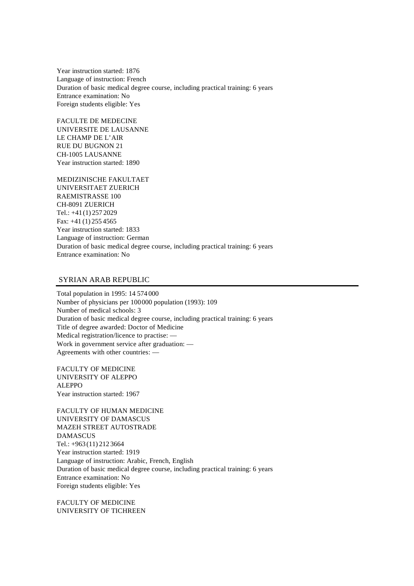Year instruction started: 1876 Language of instruction: French Duration of basic medical degree course, including practical training: 6 years Entrance examination: No Foreign students eligible: Yes

FACULTE DE MEDECINE UNIVERSITE DE LAUSANNE LE CHAMP DE L'AIR RUE DU BUGNON 21 CH-1005 LAUSANNE Year instruction started: 1890

MEDIZINISCHE FAKULTAET UNIVERSITAET ZUERICH RAEMISTRASSE 100 CH-8091 ZUERICH Tel.: +41(1) 257 2029 Fax: +41 (1) 255 4565 Year instruction started: 1833 Language of instruction: German Duration of basic medical degree course, including practical training: 6 years Entrance examination: No

# SYRIAN ARAB REPUBLIC

Total population in 1995: 14 574 000 Number of physicians per 100000 population (1993): 109 Number of medical schools: 3 Duration of basic medical degree course, including practical training: 6 years Title of degree awarded: Doctor of Medicine Medical registration/licence to practise: — Work in government service after graduation: — Agreements with other countries: —

FACULTY OF MEDICINE UNIVERSITY OF ALEPPO ALEPPO Year instruction started: 1967

FACULTY OF HUMAN MEDICINE UNIVERSITY OF DAMASCUS MAZEH STREET AUTOSTRADE DAMASCUS Tel.: +963 (11) 212 3664 Year instruction started: 1919 Language of instruction: Arabic, French, English Duration of basic medical degree course, including practical training: 6 years Entrance examination: No Foreign students eligible: Yes

FACULTY OF MEDICINE UNIVERSITY OF TICHREEN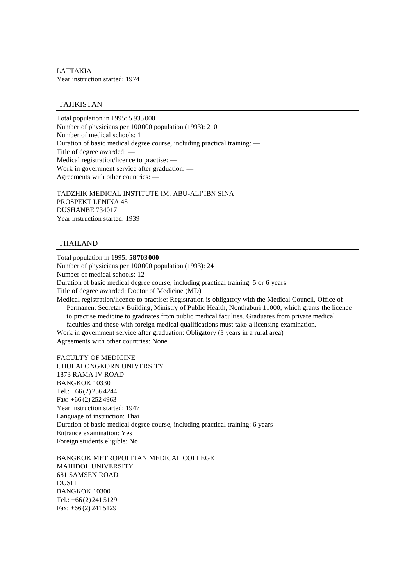LATTAKIA Year instruction started: 1974

# TAJIKISTAN

Total population in 1995: 5 935 000 Number of physicians per 100000 population (1993): 210 Number of medical schools: 1 Duration of basic medical degree course, including practical training: — Title of degree awarded: — Medical registration/licence to practise: — Work in government service after graduation: — Agreements with other countries: —

TADZHIK MEDICAL INSTITUTE IM. ABU-ALI'IBN SINA PROSPEKT LENINA 48 DUSHANBE 734017 Year instruction started: 1939

## THAILAND

Total population in 1995: **58703000** Number of physicians per 100000 population (1993): 24 Number of medical schools: 12 Duration of basic medical degree course, including practical training: 5 or 6 years Title of degree awarded: Doctor of Medicine (MD) Medical registration/licence to practise: Registration is obligatory with the Medical Council, Office of Permanent Secretary Building, Ministry of Public Health, Nonthaburi 11000, which grants the licence to practise medicine to graduates from public medical faculties. Graduates from private medical faculties and those with foreign medical qualifications must take a licensing examination. Work in government service after graduation: Obligatory (3 years in a rural area) Agreements with other countries: None

FACULTY OF MEDICINE CHULALONGKORN UNIVERSITY 1873 RAMA IV ROAD BANGKOK 10330 Tel.: +66(2) 256 4244 Fax: +66 (2) 252 4963 Year instruction started: 1947 Language of instruction: Thai Duration of basic medical degree course, including practical training: 6 years Entrance examination: Yes Foreign students eligible: No

BANGKOK METROPOLITAN MEDICAL COLLEGE MAHIDOL UNIVERSITY 681 SAMSEN ROAD DUSIT BANGKOK 10300 Tel.: +66(2) 241 5129 Fax: +66 (2) 241 5129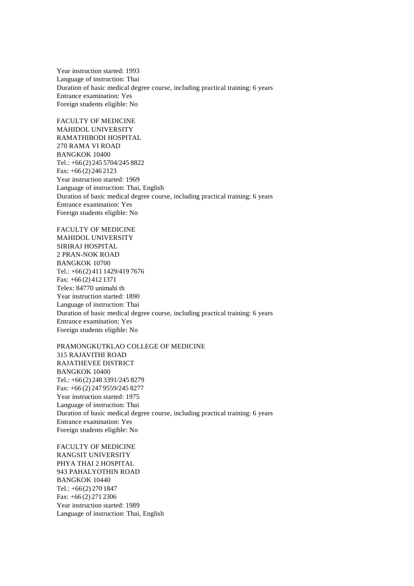Year instruction started: 1993 Language of instruction: Thai Duration of basic medical degree course, including practical training: 6 years Entrance examination: Yes Foreign students eligible: No

FACULTY OF MEDICINE MAHIDOL UNIVERSITY RAMATHIBODI HOSPITAL 270 RAMA VI ROAD BANGKOK 10400 Tel.: +66(2) 245 5704/245 8822 Fax: +66 (2) 246 2123 Year instruction started: 1969 Language of instruction: Thai, English Duration of basic medical degree course, including practical training: 6 years Entrance examination: Yes Foreign students eligible: No

FACULTY OF MEDICINE MAHIDOL UNIVERSITY SIRIRAJ HOSPITAL 2 PRAN-NOK ROAD BANGKOK 10700 Tel.: +66(2) 411 1429/419 7676 Fax: +66 (2) 412 1371 Telex: 84770 unimahi th Year instruction started: 1890 Language of instruction: Thai Duration of basic medical degree course, including practical training: 6 years Entrance examination: Yes Foreign students eligible: No

PRAMONGKUTKLAO COLLEGE OF MEDICINE 315 RAJAVITHI ROAD RAJATHEVEE DISTRICT BANGKOK 10400 Tel.: +66(2) 248 3391/245 8279 Fax: +66 (2) 247 9559/245 8277 Year instruction started: 1975 Language of instruction: Thai Duration of basic medical degree course, including practical training: 6 years Entrance examination: Yes Foreign students eligible: No

FACULTY OF MEDICINE RANGSIT UNIVERSITY PHYA THAI 2 HOSPITAL 943 PAHALYOTHIN ROAD BANGKOK 10440 Tel.: +66(2) 270 1847 Fax: +66 (2) 271 2306 Year instruction started: 1989 Language of instruction: Thai, English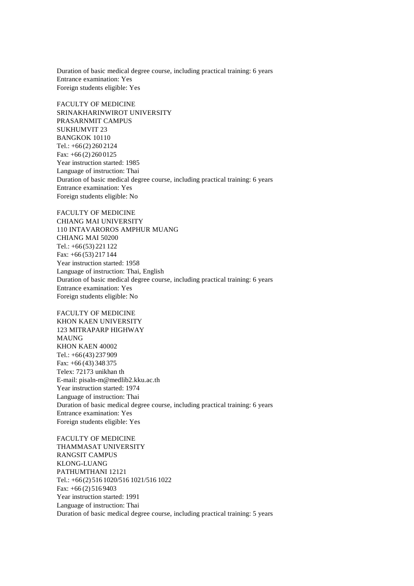Duration of basic medical degree course, including practical training: 6 years Entrance examination: Yes Foreign students eligible: Yes

FACULTY OF MEDICINE SRINAKHARINWIROT UNIVERSITY PRASARNMIT CAMPUS SUKHUMVIT 23 BANGKOK 10110 Tel.: +66(2) 260 2124 Fax: +66 (2) 260 0125 Year instruction started: 1985 Language of instruction: Thai Duration of basic medical degree course, including practical training: 6 years Entrance examination: Yes Foreign students eligible: No

FACULTY OF MEDICINE CHIANG MAI UNIVERSITY 110 INTAVAROROS AMPHUR MUANG CHIANG MAI 50200 Tel.: +66(53) 221 122 Fax: +66 (53) 217 144 Year instruction started: 1958 Language of instruction: Thai, English Duration of basic medical degree course, including practical training: 6 years Entrance examination: Yes Foreign students eligible: No

FACULTY OF MEDICINE KHON KAEN UNIVERSITY 123 MITRAPARP HIGHWAY MAUNG KHON KAEN 40002 Tel.: +66(43) 237 909 Fax: +66 (43) 348 375 Telex: 72173 unikhan th E-mail: pisaln-m@medlib2.kku.ac.th Year instruction started: 1974 Language of instruction: Thai Duration of basic medical degree course, including practical training: 6 years Entrance examination: Yes Foreign students eligible: Yes

FACULTY OF MEDICINE THAMMASAT UNIVERSITY RANGSIT CAMPUS KLONG-LUANG PATHUMTHANI 12121 Tel.: +66(2) 516 1020/516 1021/516 1022 Fax: +66 (2) 516 9403 Year instruction started: 1991 Language of instruction: Thai Duration of basic medical degree course, including practical training: 5 years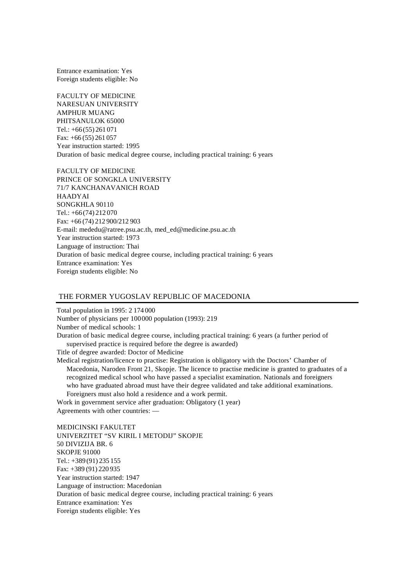Entrance examination: Yes Foreign students eligible: No

FACULTY OF MEDICINE NARESUAN UNIVERSITY AMPHUR MUANG PHITSANULOK 65000 Tel.: +66(55) 261 071 Fax: +66 (55) 261 057 Year instruction started: 1995 Duration of basic medical degree course, including practical training: 6 years

FACULTY OF MEDICINE PRINCE OF SONGKLA UNIVERSITY 71/7 KANCHANAVANICH ROAD HAADYAI SONGKHLA 90110 Tel.: +66(74) 212 070 Fax: +66 (74) 212 900/212 903 E-mail: mededu@ratree.psu.ac.th, med\_ed@medicine.psu.ac.th Year instruction started: 1973 Language of instruction: Thai Duration of basic medical degree course, including practical training: 6 years Entrance examination: Yes Foreign students eligible: No

### THE FORMER YUGOSLAV REPUBLIC OF MACEDONIA

Total population in 1995: 2 174 000 Number of physicians per 100000 population (1993): 219 Number of medical schools: 1 Duration of basic medical degree course, including practical training: 6 years (a further period of supervised practice is required before the degree is awarded) Title of degree awarded: Doctor of Medicine Medical registration/licence to practise: Registration is obligatory with the Doctors' Chamber of Macedonia, Naroden Front 21, Skopje. The licence to practise medicine is granted to graduates of a recognized medical school who have passed a specialist examination. Nationals and foreigners who have graduated abroad must have their degree validated and take additional examinations.

Foreigners must also hold a residence and a work permit.

Work in government service after graduation: Obligatory (1 year) Agreements with other countries: —

MEDICINSKI FAKULTET UNIVERZITET "SV KIRIL I METODIJ" SKOPJE 50 DIVIZIJA BR. 6 SKOPJE 91000 Tel.: +389 (91) 235 155 Fax: +389 (91) 220 935 Year instruction started: 1947 Language of instruction: Macedonian Duration of basic medical degree course, including practical training: 6 years Entrance examination: Yes Foreign students eligible: Yes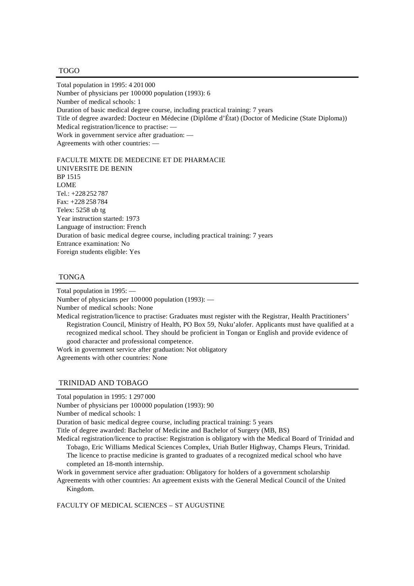#### TOGO

Total population in 1995: 4 201 000 Number of physicians per 100000 population (1993): 6 Number of medical schools: 1 Duration of basic medical degree course, including practical training: 7 years Title of degree awarded: Docteur en Médecine (Diplôme d'État) (Doctor of Medicine (State Diploma)) Medical registration/licence to practise: — Work in government service after graduation: — Agreements with other countries: —

FACULTE MIXTE DE MEDECINE ET DE PHARMACIE UNIVERSITE DE BENIN BP 1515 **LOME** Tel.: +228 252 787 Fax: +228 258 784 Telex: 5258 ub tg Year instruction started: 1973 Language of instruction: French Duration of basic medical degree course, including practical training: 7 years Entrance examination: No Foreign students eligible: Yes

## TONGA

Total population in 1995: — Number of physicians per 100000 population (1993): — Number of medical schools: None Medical registration/licence to practise: Graduates must register with the Registrar, Health Practitioners' Registration Council, Ministry of Health, PO Box 59, Nuku'alofer. Applicants must have qualified at a recognized medical school. They should be proficient in Tongan or English and provide evidence of good character and professional competence. Work in government service after graduation: Not obligatory

Agreements with other countries: None

## TRINIDAD AND TOBAGO

Total population in 1995: 1 297 000

Number of physicians per 100000 population (1993): 90

Number of medical schools: 1

Duration of basic medical degree course, including practical training: 5 years

Title of degree awarded: Bachelor of Medicine and Bachelor of Surgery (MB, BS)

Medical registration/licence to practise: Registration is obligatory with the Medical Board of Trinidad and Tobago, Eric Williams Medical Sciences Complex, Uriah Butler Highway, Champs Fleurs, Trinidad.

The licence to practise medicine is granted to graduates of a recognized medical school who have completed an 18-month internship.

Work in government service after graduation: Obligatory for holders of a government scholarship Agreements with other countries: An agreement exists with the General Medical Council of the United

Kingdom.

FACULTY OF MEDICAL SCIENCES – ST AUGUSTINE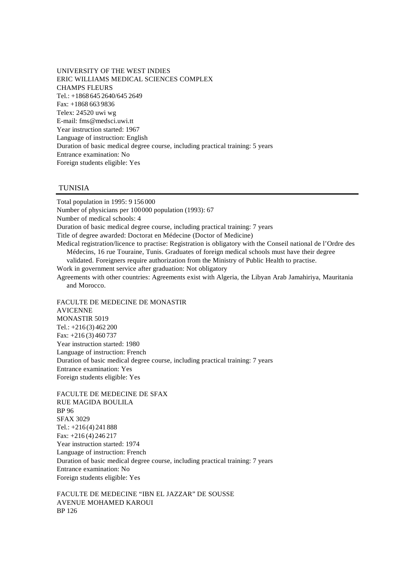UNIVERSITY OF THE WEST INDIES ERIC WILLIAMS MEDICAL SCIENCES COMPLEX CHAMPS FLEURS Tel.: +1868 645 2640/645 2649 Fax: +1868 663 9836 Telex: 24520 uwi wg E-mail: fms@medsci.uwi.tt Year instruction started: 1967 Language of instruction: English Duration of basic medical degree course, including practical training: 5 years Entrance examination: No Foreign students eligible: Yes

# TUNISIA

Total population in 1995: 9 156 000 Number of physicians per 100000 population (1993): 67 Number of medical schools: 4 Duration of basic medical degree course, including practical training: 7 years Title of degree awarded: Doctorat en Médecine (Doctor of Medicine) Medical registration/licence to practise: Registration is obligatory with the Conseil national de l'Ordre des Médecins, 16 rue Touraine, Tunis. Graduates of foreign medical schools must have their degree validated. Foreigners require authorization from the Ministry of Public Health to practise. Work in government service after graduation: Not obligatory Agreements with other countries: Agreements exist with Algeria, the Libyan Arab Jamahiriya, Mauritania and Morocco. FACULTE DE MEDECINE DE MONASTIR AVICENNE MONASTIR 5019 Tel.: +216 (3) 462 200 Fax: +216 (3) 460 737 Year instruction started: 1980 Language of instruction: French Duration of basic medical degree course, including practical training: 7 years

Entrance examination: Yes Foreign students eligible: Yes FACULTE DE MEDECINE DE SFAX RUE MAGIDA BOULILA BP 96 SFAX 3029

Tel.: +216 (4) 241 888 Fax: +216 (4) 246 217 Year instruction started: 1974 Language of instruction: French Duration of basic medical degree course, including practical training: 7 years Entrance examination: No Foreign students eligible: Yes

FACULTE DE MEDECINE "IBN EL JAZZAR" DE SOUSSE AVENUE MOHAMED KAROUI BP 126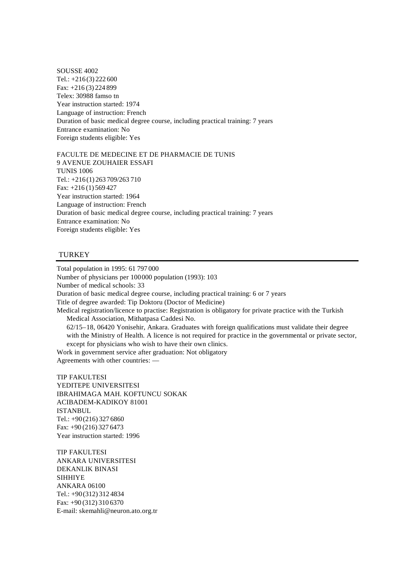SOUSSE 4002 Tel.: +216 (3) 222 600 Fax: +216 (3) 224 899 Telex: 30988 famso tn Year instruction started: 1974 Language of instruction: French Duration of basic medical degree course, including practical training: 7 years Entrance examination: No Foreign students eligible: Yes

FACULTE DE MEDECINE ET DE PHARMACIE DE TUNIS 9 AVENUE ZOUHAIER ESSAFI TUNIS 1006 Tel.: +216 (1) 263 709/263 710 Fax: +216 (1) 569 427 Year instruction started: 1964 Language of instruction: French Duration of basic medical degree course, including practical training: 7 years Entrance examination: No Foreign students eligible: Yes

## **TURKEY**

Total population in 1995: 61 797 000 Number of physicians per 100000 population (1993): 103 Number of medical schools: 33 Duration of basic medical degree course, including practical training: 6 or 7 years Title of degree awarded: Tip Doktoru (Doctor of Medicine) Medical registration/licence to practise: Registration is obligatory for private practice with the Turkish Medical Association, Mithatpasa Caddesi No. 62/15–18, 06420 Yonisehir, Ankara. Graduates with foreign qualifications must validate their degree with the Ministry of Health. A licence is not required for practice in the governmental or private sector, except for physicians who wish to have their own clinics. Work in government service after graduation: Not obligatory

Agreements with other countries: —

TIP FAKULTESI YEDITEPE UNIVERSITESI IBRAHIMAGA MAH. KOFTUNCU SOKAK ACIBADEM-KADIKOY 81001 ISTANBUL Tel.: +90(216) 327 6860 Fax: +90 (216) 327 6473 Year instruction started: 1996

TIP FAKULTESI ANKARA UNIVERSITESI DEKANLIK BINASI SIHHIYE ANKARA 06100 Tel.: +90(312) 312 4834 Fax: +90 (312) 310 6370 E-mail: skemahli@neuron.ato.org.tr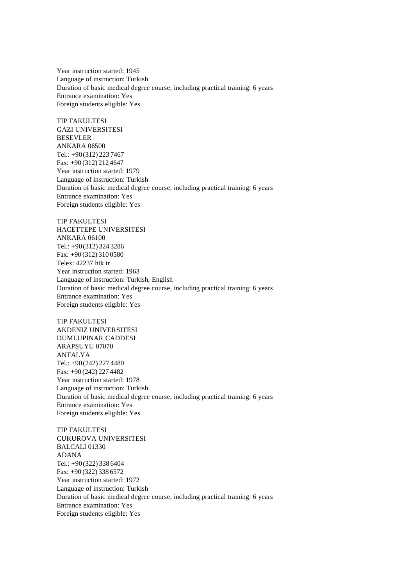Year instruction started: 1945 Language of instruction: Turkish Duration of basic medical degree course, including practical training: 6 years Entrance examination: Yes Foreign students eligible: Yes

TIP FAKULTESI GAZI UNIVERSITESI BESEVLER ANKARA 06500 Tel.: +90(312) 223 7467 Fax: +90 (312) 212 4647 Year instruction started: 1979 Language of instruction: Turkish Duration of basic medical degree course, including practical training: 6 years Entrance examination: Yes Foreign students eligible: Yes

TIP FAKULTESI HACETTEPE UNIVERSITESI ANKARA 06100 Tel.: +90(312) 324 3286 Fax: +90 (312) 310 0580 Telex: 42237 htk tr Year instruction started: 1963 Language of instruction: Turkish, English Duration of basic medical degree course, including practical training: 6 years Entrance examination: Yes Foreign students eligible: Yes

TIP FAKULTESI AKDENIZ UNIVERSITESI DUMLUPINAR CADDESI ARAPSUYU 07070 ANTALYA Tel.: +90(242) 227 4480 Fax: +90 (242) 227 4482 Year instruction started: 1978 Language of instruction: Turkish Duration of basic medical degree course, including practical training: 6 years Entrance examination: Yes Foreign students eligible: Yes

TIP FAKULTESI CUKUROVA UNIVERSITESI BALCALI 01330 ADANA Tel.: +90(322) 338 6404 Fax: +90 (322) 338 6572 Year instruction started: 1972 Language of instruction: Turkish Duration of basic medical degree course, including practical training: 6 years Entrance examination: Yes Foreign students eligible: Yes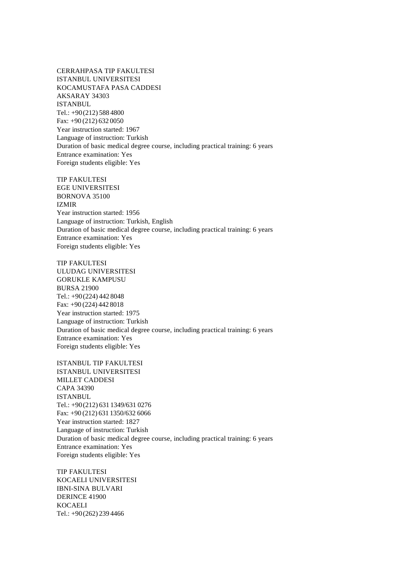CERRAHPASA TIP FAKULTESI ISTANBUL UNIVERSITESI KOCAMUSTAFA PASA CADDESI AKSARAY 34303 ISTANBUL Tel.: +90(212) 588 4800 Fax: +90 (212) 632 0050 Year instruction started: 1967 Language of instruction: Turkish Duration of basic medical degree course, including practical training: 6 years Entrance examination: Yes Foreign students eligible: Yes

TIP FAKULTESI EGE UNIVERSITESI BORNOVA 35100 IZMIR Year instruction started: 1956 Language of instruction: Turkish, English Duration of basic medical degree course, including practical training: 6 years Entrance examination: Yes Foreign students eligible: Yes

TIP FAKULTESI ULUDAG UNIVERSITESI GORUKLE KAMPUSU BURSA 21900 Tel.: +90(224) 442 8048 Fax: +90 (224) 442 8018 Year instruction started: 1975 Language of instruction: Turkish Duration of basic medical degree course, including practical training: 6 years Entrance examination: Yes Foreign students eligible: Yes

ISTANBUL TIP FAKULTESI ISTANBUL UNIVERSITESI MILLET CADDESI CAPA 34390 ISTANBUL Tel.: +90(212) 631 1349/631 0276 Fax: +90 (212) 631 1350/632 6066 Year instruction started: 1827 Language of instruction: Turkish Duration of basic medical degree course, including practical training: 6 years Entrance examination: Yes Foreign students eligible: Yes

TIP FAKULTESI KOCAELI UNIVERSITESI IBNI-SINA BULVARI DERINCE 41900 KOCAELI Tel.: +90(262) 239 4466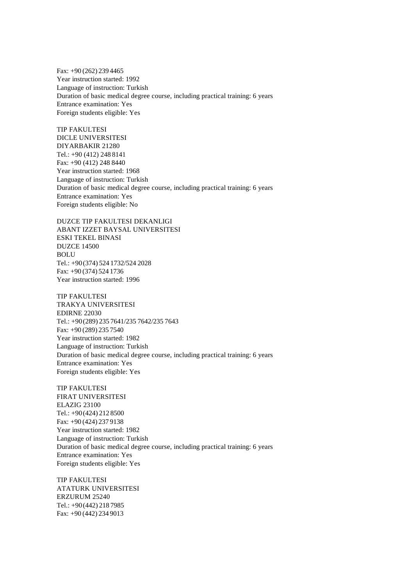Fax: +90 (262) 239 4465 Year instruction started: 1992 Language of instruction: Turkish Duration of basic medical degree course, including practical training: 6 years Entrance examination: Yes Foreign students eligible: Yes

TIP FAKULTESI DICLE UNIVERSITESI DIYARBAKIR 21280 Tel.: +90 (412) 248 8141 Fax: +90 (412) 248 8440 Year instruction started: 1968 Language of instruction: Turkish Duration of basic medical degree course, including practical training: 6 years Entrance examination: Yes Foreign students eligible: No

DUZCE TIP FAKULTESI DEKANLIGI ABANT IZZET BAYSAL UNIVERSITESI ESKI TEKEL BINASI DUZCE 14500 **BOLU** Tel.: +90(374) 524 1732/524 2028 Fax: +90 (374) 524 1736 Year instruction started: 1996

TIP FAKULTESI TRAKYA UNIVERSITESI EDIRNE 22030 Tel.: +90(289) 235 7641/235 7642/235 7643 Fax: +90 (289) 235 7540 Year instruction started: 1982 Language of instruction: Turkish Duration of basic medical degree course, including practical training: 6 years Entrance examination: Yes Foreign students eligible: Yes

TIP FAKULTESI FIRAT UNIVERSITESI ELAZIG 23100 Tel.: +90(424) 212 8500 Fax: +90 (424) 237 9138 Year instruction started: 1982 Language of instruction: Turkish Duration of basic medical degree course, including practical training: 6 years Entrance examination: Yes Foreign students eligible: Yes

TIP FAKULTESI ATATURK UNIVERSITESI ERZURUM 25240 Tel.: +90(442) 218 7985 Fax: +90 (442) 234 9013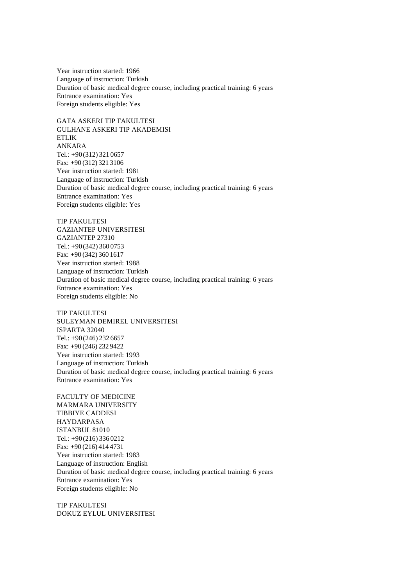Year instruction started: 1966 Language of instruction: Turkish Duration of basic medical degree course, including practical training: 6 years Entrance examination: Yes Foreign students eligible: Yes

GATA ASKERI TIP FAKULTESI GULHANE ASKERI TIP AKADEMISI ETLIK ANKARA Tel.: +90(312) 321 0657 Fax: +90 (312) 321 3106 Year instruction started: 1981 Language of instruction: Turkish Duration of basic medical degree course, including practical training: 6 years Entrance examination: Yes Foreign students eligible: Yes

TIP FAKULTESI GAZIANTEP UNIVERSITESI GAZIANTEP 27310 Tel.: +90(342) 360 0753 Fax: +90 (342) 360 1617 Year instruction started: 1988 Language of instruction: Turkish Duration of basic medical degree course, including practical training: 6 years Entrance examination: Yes Foreign students eligible: No

TIP FAKULTESI SULEYMAN DEMIREL UNIVERSITESI ISPARTA 32040 Tel.: +90(246) 232 6657 Fax: +90 (246) 232 9422 Year instruction started: 1993 Language of instruction: Turkish Duration of basic medical degree course, including practical training: 6 years Entrance examination: Yes

FACULTY OF MEDICINE MARMARA UNIVERSITY TIBBIYE CADDESI HAYDARPASA ISTANBUL 81010 Tel.: +90(216) 336 0212 Fax: +90 (216) 414 4731 Year instruction started: 1983 Language of instruction: English Duration of basic medical degree course, including practical training: 6 years Entrance examination: Yes Foreign students eligible: No

TIP FAKULTESI DOKUZ EYLUL UNIVERSITESI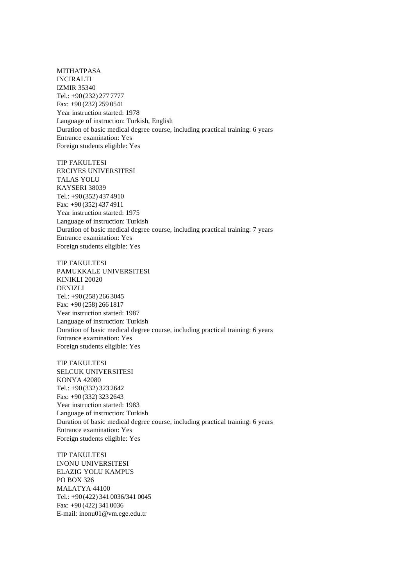MITHATPASA INCIRALTI IZMIR 35340 Tel.: +90(232) 277 7777 Fax: +90 (232) 259 0541 Year instruction started: 1978 Language of instruction: Turkish, English Duration of basic medical degree course, including practical training: 6 years Entrance examination: Yes Foreign students eligible: Yes

TIP FAKULTESI ERCIYES UNIVERSITESI TALAS YOLU KAYSERI 38039 Tel.: +90(352) 437 4910 Fax: +90 (352) 437 4911 Year instruction started: 1975 Language of instruction: Turkish Duration of basic medical degree course, including practical training: 7 years Entrance examination: Yes Foreign students eligible: Yes

TIP FAKULTESI PAMUKKALE UNIVERSITESI KINIKLI 20020 DENIZLI Tel.: +90(258) 266 3045 Fax: +90 (258) 266 1817 Year instruction started: 1987 Language of instruction: Turkish Duration of basic medical degree course, including practical training: 6 years Entrance examination: Yes Foreign students eligible: Yes

TIP FAKULTESI SELCUK UNIVERSITESI KONYA 42080 Tel.: +90(332) 323 2642 Fax: +90 (332) 323 2643 Year instruction started: 1983 Language of instruction: Turkish Duration of basic medical degree course, including practical training: 6 years Entrance examination: Yes Foreign students eligible: Yes

TIP FAKULTESI INONU UNIVERSITESI ELAZIG YOLU KAMPUS PO BOX 326 MALATYA 44100 Tel.: +90(422) 341 0036/341 0045 Fax: +90 (422) 341 0036 E-mail: inonu01@vm.ege.edu.tr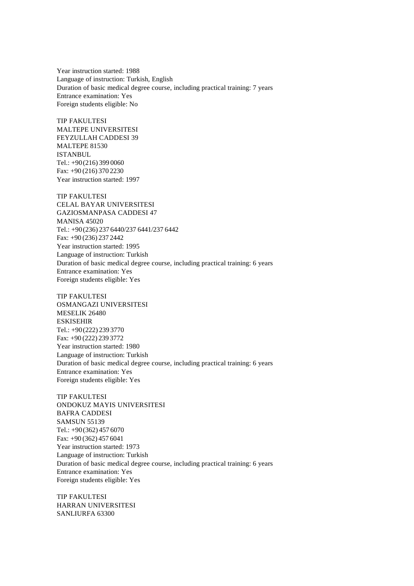Year instruction started: 1988 Language of instruction: Turkish, English Duration of basic medical degree course, including practical training: 7 years Entrance examination: Yes Foreign students eligible: No

TIP FAKULTESI MALTEPE UNIVERSITESI FEYZULLAH CADDESI 39 MALTEPE 81530 ISTANBUL Tel.: +90(216) 399 0060 Fax: +90 (216) 370 2230 Year instruction started: 1997

TIP FAKULTESI CELAL BAYAR UNIVERSITESI GAZIOSMANPASA CADDESI 47 MANISA 45020 Tel.: +90(236) 237 6440/237 6441/237 6442 Fax: +90 (236) 237 2442 Year instruction started: 1995 Language of instruction: Turkish Duration of basic medical degree course, including practical training: 6 years Entrance examination: Yes Foreign students eligible: Yes

TIP FAKULTESI OSMANGAZI UNIVERSITESI MESELIK 26480 ESKISEHIR Tel.: +90(222) 239 3770 Fax: +90 (222) 239 3772 Year instruction started: 1980 Language of instruction: Turkish Duration of basic medical degree course, including practical training: 6 years Entrance examination: Yes Foreign students eligible: Yes

TIP FAKULTESI ONDOKUZ MAYIS UNIVERSITESI BAFRA CADDESI SAMSUN 55139 Tel.: +90(362) 457 6070 Fax: +90 (362) 457 6041 Year instruction started: 1973 Language of instruction: Turkish Duration of basic medical degree course, including practical training: 6 years Entrance examination: Yes Foreign students eligible: Yes

TIP FAKULTESI HARRAN UNIVERSITESI SANLIURFA 63300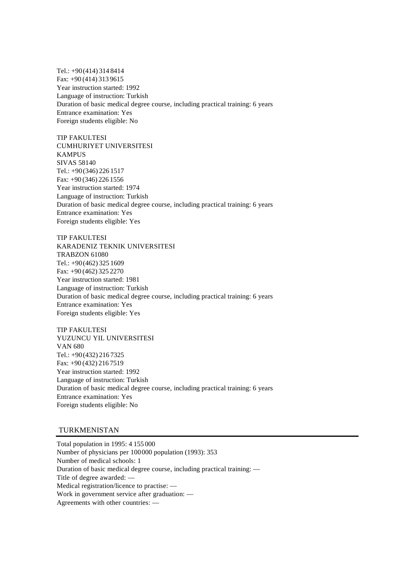Tel.: +90(414) 314 8414 Fax: +90 (414) 313 9615 Year instruction started: 1992 Language of instruction: Turkish Duration of basic medical degree course, including practical training: 6 years Entrance examination: Yes Foreign students eligible: No

TIP FAKULTESI CUMHURIYET UNIVERSITESI KAMPUS SIVAS 58140 Tel.: +90(346) 226 1517 Fax: +90 (346) 226 1556 Year instruction started: 1974 Language of instruction: Turkish Duration of basic medical degree course, including practical training: 6 years Entrance examination: Yes Foreign students eligible: Yes

TIP FAKULTESI KARADENIZ TEKNIK UNIVERSITESI TRABZON 61080 Tel.: +90(462) 325 1609 Fax: +90 (462) 325 2270 Year instruction started: 1981 Language of instruction: Turkish Duration of basic medical degree course, including practical training: 6 years Entrance examination: Yes Foreign students eligible: Yes

TIP FAKULTESI YUZUNCU YIL UNIVERSITESI VAN 680 Tel.: +90(432) 216 7325 Fax: +90 (432) 216 7519 Year instruction started: 1992 Language of instruction: Turkish Duration of basic medical degree course, including practical training: 6 years Entrance examination: Yes Foreign students eligible: No

# TURKMENISTAN

Total population in 1995: 4 155 000 Number of physicians per 100000 population (1993): 353 Number of medical schools: 1 Duration of basic medical degree course, including practical training: — Title of degree awarded: — Medical registration/licence to practise: — Work in government service after graduation: — Agreements with other countries: —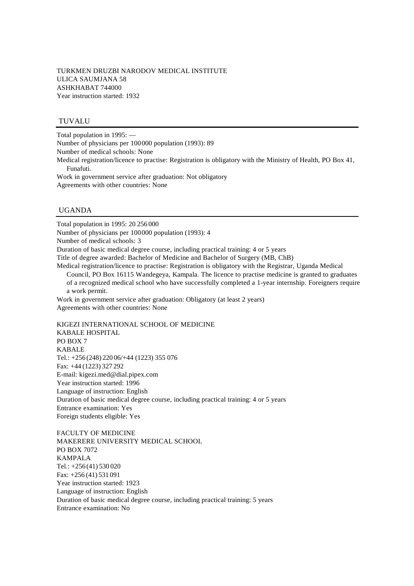## TUVALU

Total population in 1995: — Number of physicians per 100000 population (1993): 89 Number of medical schools: None Medical registration/licence to practise: Registration is obligatory with the Ministry of Health, PO Box 41, Funafuti. Work in government service after graduation: Not obligatory Agreements with other countries: None

# UGANDA

Total population in 1995: 20 256 000 Number of physicians per 100000 population (1993): 4 Number of medical schools: 3 Duration of basic medical degree course, including practical training: 4 or 5 years Title of degree awarded: Bachelor of Medicine and Bachelor of Surgery (MB, ChB) Medical registration/licence to practise: Registration is obligatory with the Registrar, Uganda Medical Council, PO Box 16115 Wandegeya, Kampala. The licence to practise medicine is granted to graduates of a recognized medical school who have successfully completed a 1-year internship. Foreigners require a work permit. Work in government service after graduation: Obligatory (at least 2 years) Agreements with other countries: None KIGEZI INTERNATIONAL SCHOOL OF MEDICINE

KABALE HOSPITAL PO BOX 7 KABALE Tel.: +256 (248) 220 06/+44 (1223) 355 076 Fax: +44 (1223) 327 292 E-mail: kigezi.med@dial.pipex.com Year instruction started: 1996 Language of instruction: English Duration of basic medical degree course, including practical training: 4 or 5 years Entrance examination: Yes Foreign students eligible: Yes

FACULTY OF MEDICINE MAKERERE UNIVERSITY MEDICAL SCHOOL PO BOX 7072 KAMPALA Tel.: +256 (41) 530 020 Fax: +256 (41) 531 091 Year instruction started: 1923 Language of instruction: English Duration of basic medical degree course, including practical training: 5 years Entrance examination: No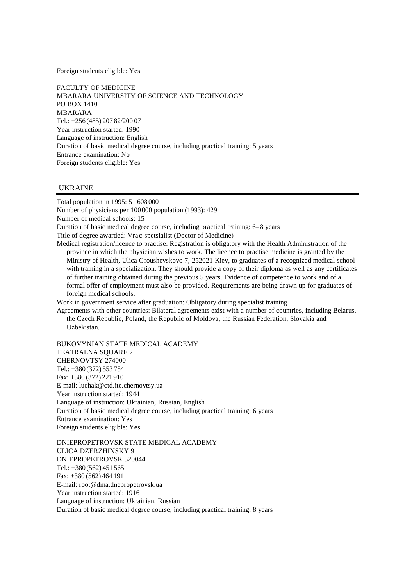Foreign students eligible: Yes

FACULTY OF MEDICINE MBARARA UNIVERSITY OF SCIENCE AND TECHNOLOGY PO BOX 1410 MBARARA Tel.: +256 (485) 207 82/200 07 Year instruction started: 1990 Language of instruction: English Duration of basic medical degree course, including practical training: 5 years Entrance examination: No Foreign students eligible: Yes

## UKRAINE

Total population in 1995: 51 608 000 Number of physicians per 100000 population (1993): 429 Number of medical schools: 15 Duration of basic medical degree course, including practical training: 6–8 years Title of degree awarded: Vra c-spetsialist (Doctor of Medicine) Medical registration/licence to practise: Registration is obligatory with the Health Administration of the province in which the physician wishes to work. The licence to practise medicine is granted by the Ministry of Health, Ulica Groushevskovo 7, 252021 Kiev, to graduates of a recognized medical school with training in a specialization. They should provide a copy of their diploma as well as any certificates of further training obtained during the previous 5 years. Evidence of competence to work and of a formal offer of employment must also be provided. Requirements are being drawn up for graduates of foreign medical schools.

Work in government service after graduation: Obligatory during specialist training

Agreements with other countries: Bilateral agreements exist with a number of countries, including Belarus, the Czech Republic, Poland, the Republic of Moldova, the Russian Federation, Slovakia and Uzbekistan.

BUKOVYNIAN STATE MEDICAL ACADEMY TEATRALNA SOUARE 2 CHERNOVTSY 274000 Tel.: +380 (372) 553 754 Fax: +380 (372) 221 910 E-mail: luchak@ctd.ite.chernovtsy.ua Year instruction started: 1944 Language of instruction: Ukrainian, Russian, English Duration of basic medical degree course, including practical training: 6 years Entrance examination: Yes Foreign students eligible: Yes

DNIEPROPETROVSK STATE MEDICAL ACADEMY ULICA DZERZHINSKY 9 DNIEPROPETROVSK 320044 Tel.: +380 (562) 451 565 Fax: +380 (562) 464 191 E-mail: root@dma.dnepropetrovsk.ua Year instruction started: 1916 Language of instruction: Ukrainian, Russian Duration of basic medical degree course, including practical training: 8 years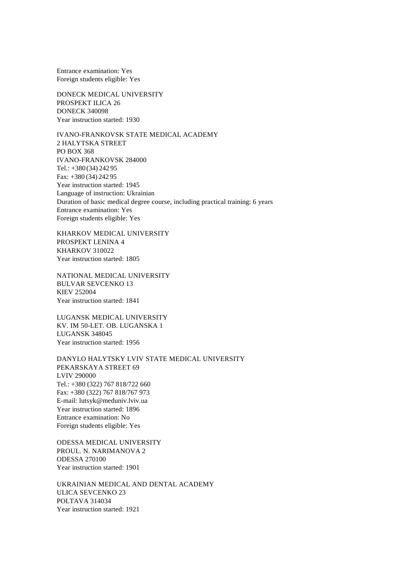Entrance examination: Yes Foreign students eligible: Yes

DONECK MEDICAL UNIVERSITY PROSPEKT ILICA 26 DONECK 340098 Year instruction started: 1930

IVANO-FRANKOVSK STATE MEDICAL ACADEMY 2 HALYTSKA STREET PO BOX 368 IVANO-FRANKOVSK 284000 Tel.: +380 (34) 242 95 Fax: +380 (34) 242 95 Year instruction started: 1945 Language of instruction: Ukrainian Duration of basic medical degree course, including practical training: 6 years Entrance examination: Yes Foreign students eligible: Yes

KHARKOV MEDICAL UNIVERSITY PROSPEKT LENINA 4 KHARKOV 310022 Year instruction started: 1805

NATIONAL MEDICAL UNIVERSITY BULVAR SEVCENKO 13 KIEV 252004 Year instruction started: 1841

LUGANSK MEDICAL UNIVERSITY KV. IM 50-LET. OB. LUGANSKA 1 LUGANSK 348045 Year instruction started: 1956

DANYLO HALYTSKY LVIV STATE MEDICAL UNIVERSITY PEKARSKAYA STREET 69 LVIV 290000 Tel.: +380 (322) 767 818/722 660 Fax: +380 (322) 767 818/767 973 E-mail: lutsyk@meduniv.lviv.ua Year instruction started: 1896 Entrance examination: No Foreign students eligible: Yes

ODESSA MEDICAL UNIVERSITY PROUL. N. NARIMANOVA 2 ODESSA 270100 Year instruction started: 1901

UKRAINIAN MEDICAL AND DENTAL ACADEMY ULICA SEVCENKO 23 POLTAVA 314034 Year instruction started: 1921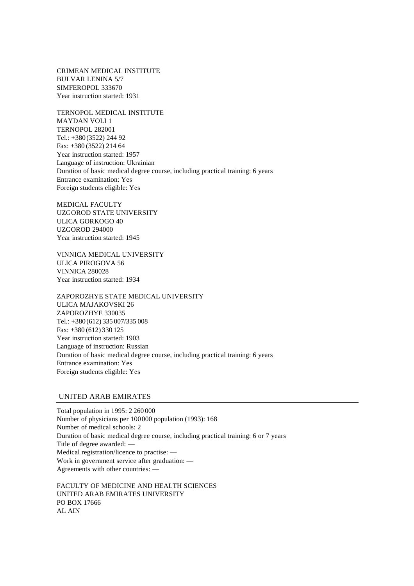CRIMEAN MEDICAL INSTITUTE BULVAR LENINA 5/7 SIMFEROPOL 333670 Year instruction started: 1931

TERNOPOL MEDICAL INSTITUTE MAYDAN VOLI 1 TERNOPOL 282001 Tel.: +380 (3522) 244 92 Fax: +380 (3522) 214 64 Year instruction started: 1957 Language of instruction: Ukrainian Duration of basic medical degree course, including practical training: 6 years Entrance examination: Yes Foreign students eligible: Yes

MEDICAL FACULTY UZGOROD STATE UNIVERSITY ULICA GORKOGO 40 UZGOROD 294000 Year instruction started: 1945

VINNICA MEDICAL UNIVERSITY ULICA PIROGOVA 56 VINNICA 280028 Year instruction started: 1934

ZAPOROZHYE STATE MEDICAL UNIVERSITY ULICA MAJAKOVSKI 26 ZAPOROZHYE 330035 Tel.: +380 (612) 335 007/335 008 Fax: +380 (612) 330 125 Year instruction started: 1903 Language of instruction: Russian Duration of basic medical degree course, including practical training: 6 years Entrance examination: Yes Foreign students eligible: Yes

## UNITED ARAB EMIRATES

Total population in 1995: 2 260 000 Number of physicians per 100000 population (1993): 168 Number of medical schools: 2 Duration of basic medical degree course, including practical training: 6 or 7 years Title of degree awarded: — Medical registration/licence to practise: — Work in government service after graduation: — Agreements with other countries: —

FACULTY OF MEDICINE AND HEALTH SCIENCES UNITED ARAB EMIRATES UNIVERSITY PO BOX 17666 AL AIN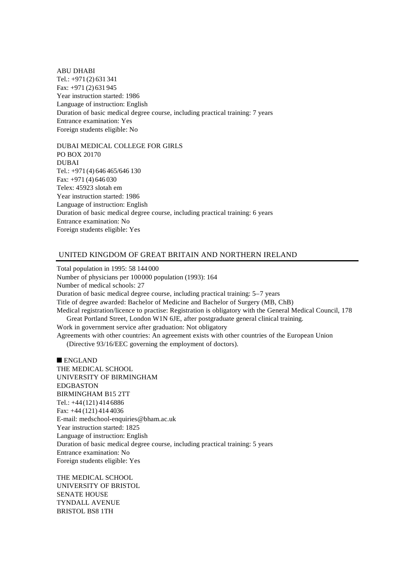ABU DHABI Tel.: +971 (2) 631 341 Fax: +971 (2) 631 945 Year instruction started: 1986 Language of instruction: English Duration of basic medical degree course, including practical training: 7 years Entrance examination: Yes Foreign students eligible: No

DUBAI MEDICAL COLLEGE FOR GIRLS PO BOX 20170 DUBAI Tel.: +971 (4) 646 465/646 130 Fax: +971 (4) 646 030 Telex: 45923 slotah em Year instruction started: 1986 Language of instruction: English Duration of basic medical degree course, including practical training: 6 years Entrance examination: No Foreign students eligible: Yes

## UNITED KINGDOM OF GREAT BRITAIN AND NORTHERN IRELAND

Total population in 1995: 58 144 000 Number of physicians per 100000 population (1993): 164 Number of medical schools: 27 Duration of basic medical degree course, including practical training: 5–7 years Title of degree awarded: Bachelor of Medicine and Bachelor of Surgery (MB, ChB) Medical registration/licence to practise: Registration is obligatory with the General Medical Council, 178 Great Portland Street, London W1N 6JE, after postgraduate general clinical training. Work in government service after graduation: Not obligatory Agreements with other countries: An agreement exists with other countries of the European Union (Directive 93/16/EEC governing the employment of doctors).

 $\blacksquare$  ENGLAND THE MEDICAL SCHOOL UNIVERSITY OF BIRMINGHAM EDGBASTON BIRMINGHAM B15 2TT Tel.: +44(121) 414 6886 Fax: +44 (121) 414 4036 E-mail: medschool-enquiries@bham.ac.uk Year instruction started: 1825 Language of instruction: English Duration of basic medical degree course, including practical training: 5 years Entrance examination: No Foreign students eligible: Yes

THE MEDICAL SCHOOL UNIVERSITY OF BRISTOL SENATE HOUSE TYNDALL AVENUE BRISTOL BS8 1TH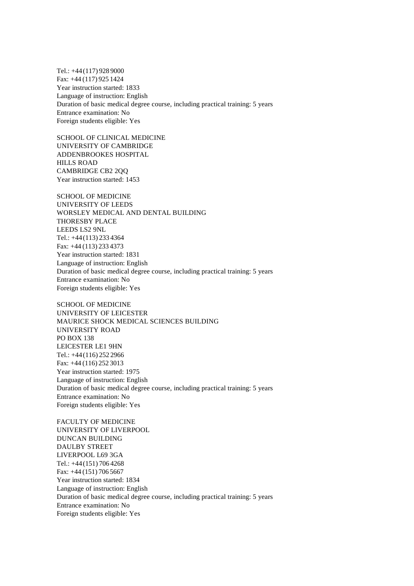Tel.: +44(117) 928 9000 Fax: +44 (117) 925 1424 Year instruction started: 1833 Language of instruction: English Duration of basic medical degree course, including practical training: 5 years Entrance examination: No Foreign students eligible: Yes

SCHOOL OF CLINICAL MEDICINE UNIVERSITY OF CAMBRIDGE ADDENBROOKES HOSPITAL HILLS ROAD CAMBRIDGE CB2 2QQ Year instruction started: 1453

SCHOOL OF MEDICINE UNIVERSITY OF LEEDS WORSLEY MEDICAL AND DENTAL BUILDING THORESBY PLACE LEEDS LS2 9NL Tel.: +44(113) 233 4364 Fax: +44 (113) 233 4373 Year instruction started: 1831 Language of instruction: English Duration of basic medical degree course, including practical training: 5 years Entrance examination: No Foreign students eligible: Yes

SCHOOL OF MEDICINE UNIVERSITY OF LEICESTER MAURICE SHOCK MEDICAL SCIENCES BUILDING UNIVERSITY ROAD PO BOX 138 LEICESTER LE1 9HN Tel.: +44(116) 252 2966 Fax: +44 (116) 252 3013 Year instruction started: 1975 Language of instruction: English Duration of basic medical degree course, including practical training: 5 years Entrance examination: No Foreign students eligible: Yes

FACULTY OF MEDICINE UNIVERSITY OF LIVERPOOL DUNCAN BUILDING DAULBY STREET LIVERPOOL L69 3GA Tel.: +44(151) 706 4268 Fax: +44 (151) 706 5667 Year instruction started: 1834 Language of instruction: English Duration of basic medical degree course, including practical training: 5 years Entrance examination: No Foreign students eligible: Yes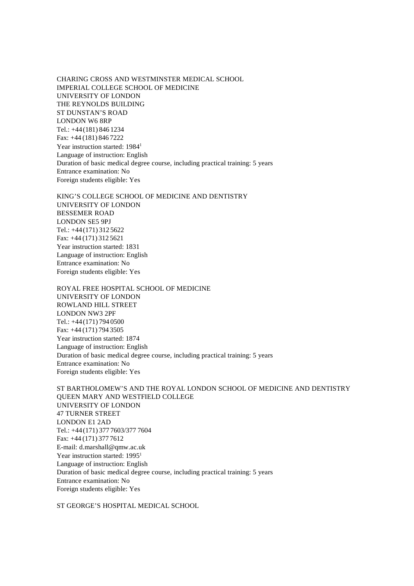CHARING CROSS AND WESTMINSTER MEDICAL SCHOOL IMPERIAL COLLEGE SCHOOL OF MEDICINE UNIVERSITY OF LONDON THE REYNOLDS BUILDING ST DUNSTAN'S ROAD LONDON W6 8RP Tel.: +44(181) 846 1234 Fax: +44 (181) 846 7222 Year instruction started: 1984<sup>1</sup> Language of instruction: English Duration of basic medical degree course, including practical training: 5 years Entrance examination: No Foreign students eligible: Yes

KING'S COLLEGE SCHOOL OF MEDICINE AND DENTISTRY UNIVERSITY OF LONDON BESSEMER ROAD LONDON SE5 9PJ Tel.: +44(171) 312 5622 Fax: +44 (171) 312 5621 Year instruction started: 1831 Language of instruction: English Entrance examination: No Foreign students eligible: Yes

ROYAL FREE HOSPITAL SCHOOL OF MEDICINE UNIVERSITY OF LONDON ROWLAND HILL STREET LONDON NW3 2PF Tel.: +44(171) 794 0500 Fax: +44 (171) 794 3505 Year instruction started: 1874 Language of instruction: English Duration of basic medical degree course, including practical training: 5 years Entrance examination: No Foreign students eligible: Yes

ST BARTHOLOMEW'S AND THE ROYAL LONDON SCHOOL OF MEDICINE AND DENTISTRY QUEEN MARY AND WESTFIELD COLLEGE UNIVERSITY OF LONDON 47 TURNER STREET LONDON E1 2AD Tel.: +44(171) 377 7603/377 7604 Fax: +44 (171) 377 7612 E-mail: d.marshall@qmw.ac.uk Year instruction started: 1995<sup>1</sup> Language of instruction: English Duration of basic medical degree course, including practical training: 5 years Entrance examination: No Foreign students eligible: Yes

ST GEORGE'S HOSPITAL MEDICAL SCHOOL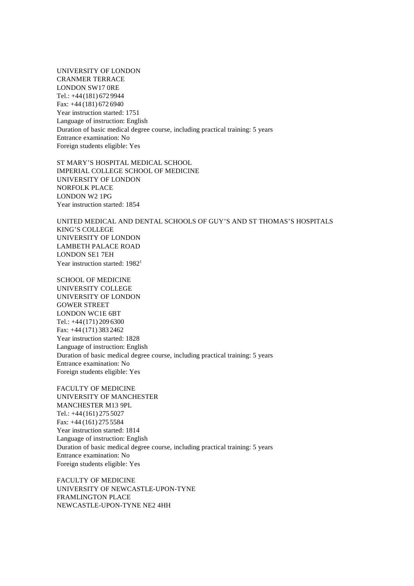UNIVERSITY OF LONDON CRANMER TERRACE LONDON SW17 0RE Tel.: +44(181) 672 9944 Fax: +44 (181) 672 6940 Year instruction started: 1751 Language of instruction: English Duration of basic medical degree course, including practical training: 5 years Entrance examination: No Foreign students eligible: Yes

ST MARY'S HOSPITAL MEDICAL SCHOOL IMPERIAL COLLEGE SCHOOL OF MEDICINE UNIVERSITY OF LONDON NORFOLK PLACE LONDON W2 1PG Year instruction started: 1854

UNITED MEDICAL AND DENTAL SCHOOLS OF GUY'S AND ST THOMAS'S HOSPITALS KING'S COLLEGE UNIVERSITY OF LONDON LAMBETH PALACE ROAD LONDON SE1 7EH Year instruction started: 1982<sup>1</sup>

SCHOOL OF MEDICINE UNIVERSITY COLLEGE UNIVERSITY OF LONDON GOWER STREET LONDON WC1E 6BT Tel.: +44(171) 209 6300 Fax: +44 (171) 383 2462 Year instruction started: 1828 Language of instruction: English Duration of basic medical degree course, including practical training: 5 years Entrance examination: No Foreign students eligible: Yes

FACULTY OF MEDICINE UNIVERSITY OF MANCHESTER MANCHESTER M13 9PL Tel.: +44(161) 275 5027 Fax: +44 (161) 275 5584 Year instruction started: 1814 Language of instruction: English Duration of basic medical degree course, including practical training: 5 years Entrance examination: No Foreign students eligible: Yes

FACULTY OF MEDICINE UNIVERSITY OF NEWCASTLE-UPON-TYNE FRAMLINGTON PLACE NEWCASTLE-UPON-TYNE NE2 4HH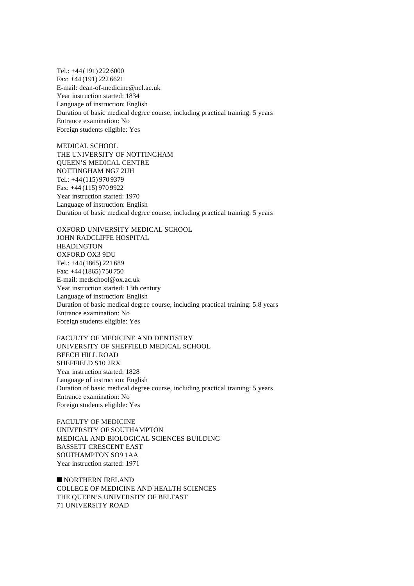Tel.: +44(191) 222 6000 Fax: +44 (191) 222 6621 E-mail: dean-of-medicine@ncl.ac.uk Year instruction started: 1834 Language of instruction: English Duration of basic medical degree course, including practical training: 5 years Entrance examination: No Foreign students eligible: Yes

MEDICAL SCHOOL THE UNIVERSITY OF NOTTINGHAM QUEEN'S MEDICAL CENTRE NOTTINGHAM NG7 2UH Tel.: +44(115) 970 9379 Fax: +44 (115) 970 9922 Year instruction started: 1970 Language of instruction: English Duration of basic medical degree course, including practical training: 5 years

OXFORD UNIVERSITY MEDICAL SCHOOL JOHN RADCLIFFE HOSPITAL **HEADINGTON** OXFORD OX3 9DU Tel.: +44(1865) 221 689 Fax: +44 (1865) 750 750 E-mail: medschool@ox.ac.uk Year instruction started: 13th century Language of instruction: English Duration of basic medical degree course, including practical training: 5.8 years Entrance examination: No Foreign students eligible: Yes

FACULTY OF MEDICINE AND DENTISTRY UNIVERSITY OF SHEFFIELD MEDICAL SCHOOL BEECH HILL ROAD SHEFFIELD S10 2RX Year instruction started: 1828 Language of instruction: English Duration of basic medical degree course, including practical training: 5 years Entrance examination: No Foreign students eligible: Yes

FACULTY OF MEDICINE UNIVERSITY OF SOUTHAMPTON MEDICAL AND BIOLOGICAL SCIENCES BUILDING BASSETT CRESCENT EAST SOUTHAMPTON SO9 1AA Year instruction started: 1971

 $\blacksquare$  NORTHERN IRELAND COLLEGE OF MEDICINE AND HEALTH SCIENCES THE QUEEN'S UNIVERSITY OF BELFAST 71 UNIVERSITY ROAD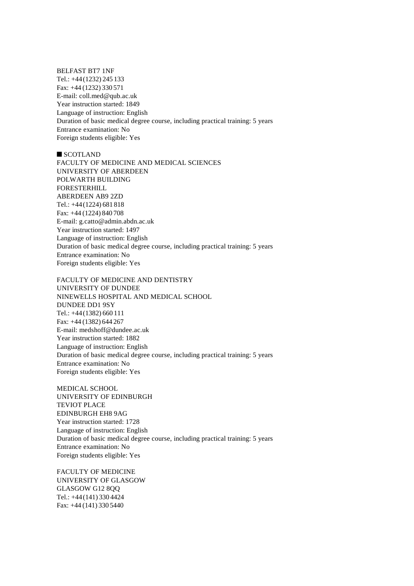BELFAST BT7 1NF Tel.: +44(1232) 245 133 Fax: +44 (1232) 330 571 E-mail: coll.med@qub.ac.uk Year instruction started: 1849 Language of instruction: English Duration of basic medical degree course, including practical training: 5 years Entrance examination: No Foreign students eligible: Yes

 $\blacksquare$  SCOTLAND FACULTY OF MEDICINE AND MEDICAL SCIENCES UNIVERSITY OF ABERDEEN POLWARTH BUILDING FORESTERHILL ABERDEEN AB9 2ZD Tel.: +44(1224) 681 818 Fax: +44 (1224) 840 708 E-mail: g.catto@admin.abdn.ac.uk Year instruction started: 1497 Language of instruction: English Duration of basic medical degree course, including practical training: 5 years Entrance examination: No Foreign students eligible: Yes

FACULTY OF MEDICINE AND DENTISTRY UNIVERSITY OF DUNDEE NINEWELLS HOSPITAL AND MEDICAL SCHOOL DUNDEE DD1 9SY Tel.: +44(1382) 660 111 Fax: +44 (1382) 644 267 E-mail: medshoff@dundee.ac.uk Year instruction started: 1882 Language of instruction: English Duration of basic medical degree course, including practical training: 5 years Entrance examination: No Foreign students eligible: Yes

MEDICAL SCHOOL UNIVERSITY OF EDINBURGH TEVIOT PLACE EDINBURGH EH8 9AG Year instruction started: 1728 Language of instruction: English Duration of basic medical degree course, including practical training: 5 years Entrance examination: No Foreign students eligible: Yes

FACULTY OF MEDICINE UNIVERSITY OF GLASGOW GLASGOW G12 8QQ Tel.: +44(141) 330 4424 Fax: +44 (141) 330 5440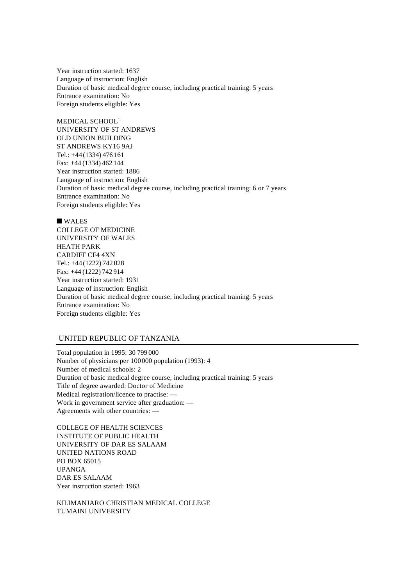Year instruction started: 1637 Language of instruction: English Duration of basic medical degree course, including practical training: 5 years Entrance examination: No Foreign students eligible: Yes

MEDICAL SCHOOL<sup>1</sup> UNIVERSITY OF ST ANDREWS OLD UNION BUILDING ST ANDREWS KY16 9AJ Tel.: +44(1334) 476 161 Fax: +44 (1334) 462 144 Year instruction started: 1886 Language of instruction: English Duration of basic medical degree course, including practical training: 6 or 7 years Entrance examination: No Foreign students eligible: Yes

 $\blacksquare$  WALES COLLEGE OF MEDICINE UNIVERSITY OF WALES HEATH PARK CARDIFF CF4 4XN Tel.: +44(1222) 742 028 Fax: +44 (1222) 742 914 Year instruction started: 1931 Language of instruction: English Duration of basic medical degree course, including practical training: 5 years Entrance examination: No Foreign students eligible: Yes

# UNITED REPUBLIC OF TANZANIA

Total population in 1995: 30 799 000 Number of physicians per 100000 population (1993): 4 Number of medical schools: 2 Duration of basic medical degree course, including practical training: 5 years Title of degree awarded: Doctor of Medicine Medical registration/licence to practise: — Work in government service after graduation: — Agreements with other countries: —

COLLEGE OF HEALTH SCIENCES INSTITUTE OF PUBLIC HEALTH UNIVERSITY OF DAR ES SALAAM UNITED NATIONS ROAD PO BOX 65015 UPANGA DAR ES SALAAM Year instruction started: 1963

KILIMANJARO CHRISTIAN MEDICAL COLLEGE TUMAINI UNIVERSITY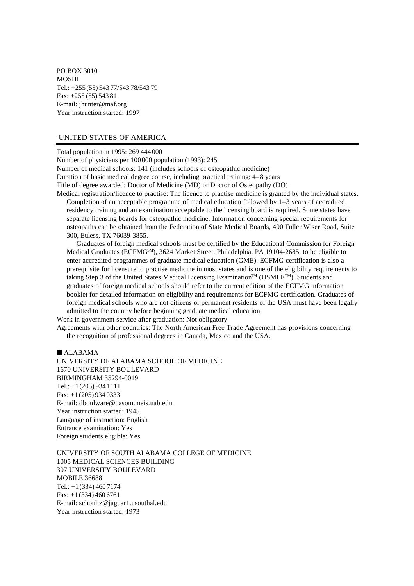PO BOX 3010 MOSHI Tel.: +255 (55) 543 77/543 78/543 79 Fax: +255 (55) 543 81 E-mail: jhunter@maf.org Year instruction started: 1997

# UNITED STATES OF AMERICA

Total population in 1995: 269 444 000 Number of physicians per 100000 population (1993): 245 Number of medical schools: 141 (includes schools of osteopathic medicine) Duration of basic medical degree course, including practical training: 4–8 years Title of degree awarded: Doctor of Medicine (MD) or Doctor of Osteopathy (DO) Medical registration/licence to practise: The licence to practise medicine is granted by the individual states.

Completion of an acceptable programme of medical education followed by 1–3 years of accredited residency training and an examination acceptable to the licensing board is required. Some states have separate licensing boards for osteopathic medicine. Information concerning special requirements for osteopaths can be obtained from the Federation of State Medical Boards, 400 Fuller Wiser Road, Suite 300, Euless, TX 76039-3855.

Graduates of foreign medical schools must be certified by the Educational Commission for Foreign Medical Graduates (ECFMG<sup>SM</sup>), 3624 Market Street, Philadelphia, PA 19104-2685, to be eligible to enter accredited programmes of graduate medical education (GME). ECFMG certification is also a prerequisite for licensure to practise medicine in most states and is one of the eligibility requirements to taking Step 3 of the United States Medical Licensing Examination™ (USMLE™). Students and graduates of foreign medical schools should refer to the current edition of the ECFMG information booklet for detailed information on eligibility and requirements for ECFMG certification. Graduates of foreign medical schools who are not citizens or permanent residents of the USA must have been legally admitted to the country before beginning graduate medical education.

Work in government service after graduation: Not obligatory

Agreements with other countries: The North American Free Trade Agreement has provisions concerning the recognition of professional degrees in Canada, Mexico and the USA.

 $AIABAMA$ 

UNIVERSITY OF ALABAMA SCHOOL OF MEDICINE 1670 UNIVERSITY BOULEVARD BIRMINGHAM 35294-0019 Tel.: +1(205) 934 1111 Fax: +1 (205) 934 0333 E-mail: dboulware@uasom.meis.uab.edu Year instruction started: 1945 Language of instruction: English Entrance examination: Yes Foreign students eligible: Yes

UNIVERSITY OF SOUTH ALABAMA COLLEGE OF MEDICINE 1005 MEDICAL SCIENCES BUILDING 307 UNIVERSITY BOULEVARD MOBILE 36688 Tel.: +1(334) 460 7174 Fax: +1 (334) 460 6761 E-mail: schoultz@jaguar1.usouthal.edu Year instruction started: 1973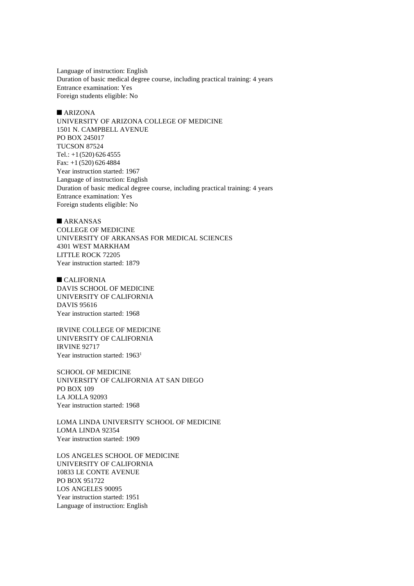Language of instruction: English Duration of basic medical degree course, including practical training: 4 years Entrance examination: Yes Foreign students eligible: No

#### $\n **ARIZONA**\n$

UNIVERSITY OF ARIZONA COLLEGE OF MEDICINE 1501 N. CAMPBELL AVENUE PO BOX 245017 TUCSON 87524 Tel.:  $+1(520)$  626 4555 Fax: +1 (520) 626 4884 Year instruction started: 1967 Language of instruction: English Duration of basic medical degree course, including practical training: 4 years Entrance examination: Yes Foreign students eligible: No

 $A$ RKANSAS COLLEGE OF MEDICINE UNIVERSITY OF ARKANSAS FOR MEDICAL SCIENCES 4301 WEST MARKHAM LITTLE ROCK 72205 Year instruction started: 1879

 $CALIFORNIA$ DAVIS SCHOOL OF MEDICINE UNIVERSITY OF CALIFORNIA DAVIS 95616 Year instruction started: 1968

IRVINE COLLEGE OF MEDICINE UNIVERSITY OF CALIFORNIA IRVINE 92717 Year instruction started: 1963<sup>1</sup>

SCHOOL OF MEDICINE UNIVERSITY OF CALIFORNIA AT SAN DIEGO PO BOX 109 LA JOLLA 92093 Year instruction started: 1968

LOMA LINDA UNIVERSITY SCHOOL OF MEDICINE LOMA LINDA 92354 Year instruction started: 1909

LOS ANGELES SCHOOL OF MEDICINE UNIVERSITY OF CALIFORNIA 10833 LE CONTE AVENUE PO BOX 951722 LOS ANGELES 90095 Year instruction started: 1951 Language of instruction: English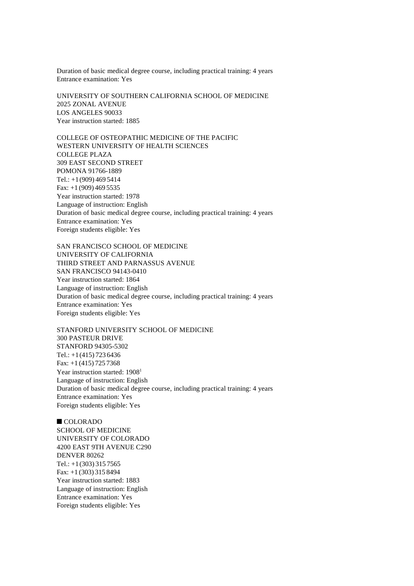Duration of basic medical degree course, including practical training: 4 years Entrance examination: Yes

UNIVERSITY OF SOUTHERN CALIFORNIA SCHOOL OF MEDICINE 2025 ZONAL AVENUE LOS ANGELES 90033 Year instruction started: 1885

COLLEGE OF OSTEOPATHIC MEDICINE OF THE PACIFIC WESTERN UNIVERSITY OF HEALTH SCIENCES COLLEGE PLAZA 309 EAST SECOND STREET POMONA 91766-1889 Tel.: +1(909) 469 5414 Fax: +1 (909) 469 5535 Year instruction started: 1978 Language of instruction: English Duration of basic medical degree course, including practical training: 4 years Entrance examination: Yes Foreign students eligible: Yes

SAN FRANCISCO SCHOOL OF MEDICINE UNIVERSITY OF CALIFORNIA THIRD STREET AND PARNASSUS AVENUE SAN FRANCISCO 94143-0410 Year instruction started: 1864 Language of instruction: English Duration of basic medical degree course, including practical training: 4 years Entrance examination: Yes Foreign students eligible: Yes

STANFORD UNIVERSITY SCHOOL OF MEDICINE 300 PASTEUR DRIVE STANFORD 94305-5302 Tel.: +1(415) 723 6436 Fax: +1 (415) 725 7368 Year instruction started: 1908<sup>1</sup> Language of instruction: English Duration of basic medical degree course, including practical training: 4 years Entrance examination: Yes Foreign students eligible: Yes

 $\blacksquare$  COLORADO SCHOOL OF MEDICINE UNIVERSITY OF COLORADO 4200 EAST 9TH AVENUE C290 DENVER 80262 Tel.:  $+1(303)$  315 7565 Fax: +1 (303) 315 8494 Year instruction started: 1883 Language of instruction: English Entrance examination: Yes Foreign students eligible: Yes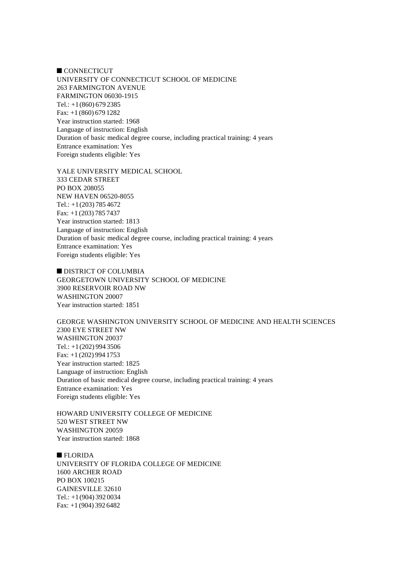**CONNECTICUT** UNIVERSITY OF CONNECTICUT SCHOOL OF MEDICINE 263 FARMINGTON AVENUE FARMINGTON 06030-1915 Tel.: +1(860) 679 2385 Fax: +1 (860) 679 1282 Year instruction started: 1968 Language of instruction: English Duration of basic medical degree course, including practical training: 4 years Entrance examination: Yes Foreign students eligible: Yes

YALE UNIVERSITY MEDICAL SCHOOL 333 CEDAR STREET PO BOX 208055 NEW HAVEN 06520-8055 Tel.:  $+1(203)$  785 4672 Fax: +1 (203) 785 7437 Year instruction started: 1813 Language of instruction: English Duration of basic medical degree course, including practical training: 4 years Entrance examination: Yes Foreign students eligible: Yes

DISTRICT OF COLUMBIA GEORGETOWN UNIVERSITY SCHOOL OF MEDICINE 3900 RESERVOIR ROAD NW WASHINGTON 20007 Year instruction started: 1851

GEORGE WASHINGTON UNIVERSITY SCHOOL OF MEDICINE AND HEALTH SCIENCES 2300 EYE STREET NW WASHINGTON 20037 Tel.: +1(202) 994 3506 Fax: +1 (202) 994 1753 Year instruction started: 1825 Language of instruction: English Duration of basic medical degree course, including practical training: 4 years Entrance examination: Yes Foreign students eligible: Yes

HOWARD UNIVERSITY COLLEGE OF MEDICINE 520 WEST STREET NW WASHINGTON 20059 Year instruction started: 1868

 $\blacksquare$  FLORIDA UNIVERSITY OF FLORIDA COLLEGE OF MEDICINE 1600 ARCHER ROAD PO BOX 100215 GAINESVILLE 32610 Tel.: +1(904) 392 0034 Fax: +1 (904) 392 6482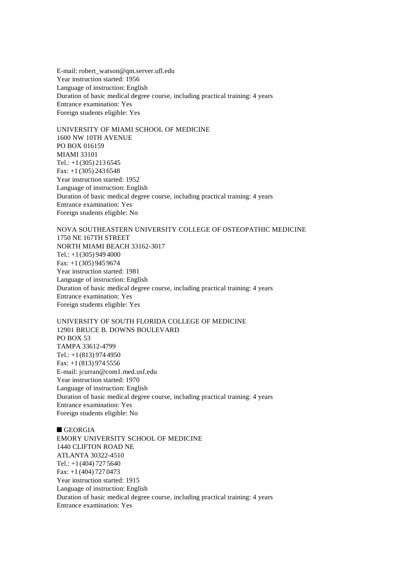E-mail: robert\_watson@qm.server.ufl.edu Year instruction started: 1956 Language of instruction: English Duration of basic medical degree course, including practical training: 4 years Entrance examination: Yes Foreign students eligible: Yes

UNIVERSITY OF MIAMI SCHOOL OF MEDICINE 1600 NW 10TH AVENUE PO BOX 016159 MIAMI 33101 Tel.: +1(305) 213 6545 Fax: +1 (305) 243 6548 Year instruction started: 1952 Language of instruction: English Duration of basic medical degree course, including practical training: 4 years Entrance examination: Yes Foreign students eligible: No

NOVA SOUTHEASTERN UNIVERSITY COLLEGE OF OSTEOPATHIC MEDICINE 1750 NE 167TH STREET NORTH MIAMI BEACH 33162-3017 Tel.: +1(305) 949 4000 Fax: +1 (305) 945 9674 Year instruction started: 1981 Language of instruction: English Duration of basic medical degree course, including practical training: 4 years Entrance examination: Yes Foreign students eligible: Yes

UNIVERSITY OF SOUTH FLORIDA COLLEGE OF MEDICINE 12901 BRUCE B. DOWNS BOULEVARD PO BOX 53 TAMPA 33612-4799 Tel.:  $+1(813)$  974 4950 Fax: +1 (813) 974 5556 E-mail: jcurran@com1.med.usf.edu Year instruction started: 1970 Language of instruction: English Duration of basic medical degree course, including practical training: 4 years Entrance examination: Yes Foreign students eligible: No

### $\blacksquare$  GEORGIA

EMORY UNIVERSITY SCHOOL OF MEDICINE 1440 CLIFTON ROAD NE ATLANTA 30322-4510 Tel.: +1(404) 727 5640 Fax: +1 (404) 727 0473 Year instruction started: 1915 Language of instruction: English Duration of basic medical degree course, including practical training: 4 years Entrance examination: Yes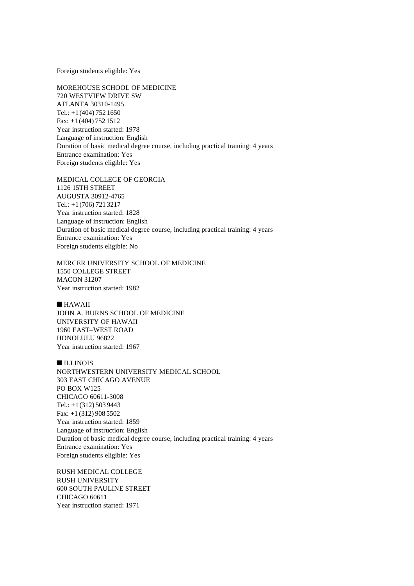Foreign students eligible: Yes

MOREHOUSE SCHOOL OF MEDICINE 720 WESTVIEW DRIVE SW ATLANTA 30310-1495 Tel.: +1(404) 752 1650 Fax: +1 (404) 752 1512 Year instruction started: 1978 Language of instruction: English Duration of basic medical degree course, including practical training: 4 years Entrance examination: Yes Foreign students eligible: Yes

MEDICAL COLLEGE OF GEORGIA 1126 15TH STREET AUGUSTA 30912-4765 Tel.: +1(706) 721 3217 Year instruction started: 1828 Language of instruction: English Duration of basic medical degree course, including practical training: 4 years Entrance examination: Yes Foreign students eligible: No

MERCER UNIVERSITY SCHOOL OF MEDICINE 1550 COLLEGE STREET MACON 31207 Year instruction started: 1982

## $HAWAII$

JOHN A. BURNS SCHOOL OF MEDICINE UNIVERSITY OF HAWAII 1960 EAST–WEST ROAD HONOLULU 96822 Year instruction started: 1967

**n** ILLINOIS

NORTHWESTERN UNIVERSITY MEDICAL SCHOOL 303 EAST CHICAGO AVENUE PO BOX W125 CHICAGO 60611-3008 Tel.: +1(312) 503 9443 Fax: +1 (312) 908 5502 Year instruction started: 1859 Language of instruction: English Duration of basic medical degree course, including practical training: 4 years Entrance examination: Yes Foreign students eligible: Yes

RUSH MEDICAL COLLEGE RUSH UNIVERSITY 600 SOUTH PAULINE STREET CHICAGO 60611 Year instruction started: 1971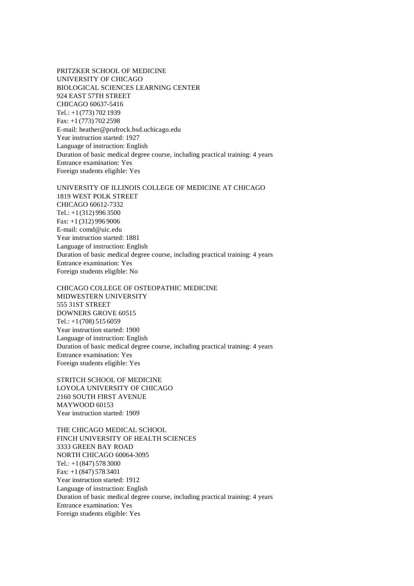PRITZKER SCHOOL OF MEDICINE UNIVERSITY OF CHICAGO BIOLOGICAL SCIENCES LEARNING CENTER 924 EAST 57TH STREET CHICAGO 60637-5416 Tel.: +1(773) 702 1939 Fax: +1 (773) 702 2598 E-mail: heather@prufrock.bsd.uchicago.edu Year instruction started: 1927 Language of instruction: English Duration of basic medical degree course, including practical training: 4 years Entrance examination: Yes Foreign students eligible: Yes

UNIVERSITY OF ILLINOIS COLLEGE OF MEDICINE AT CHICAGO 1819 WEST POLK STREET CHICAGO 60612-7332 Tel.: +1(312) 996 3500 Fax: +1 (312) 996 9006 E-mail: comd@uic.edu Year instruction started: 1881 Language of instruction: English Duration of basic medical degree course, including practical training: 4 years Entrance examination: Yes Foreign students eligible: No

CHICAGO COLLEGE OF OSTEOPATHIC MEDICINE MIDWESTERN UNIVERSITY 555 31ST STREET DOWNERS GROVE 60515 Tel.:  $+1(708)$  515 6059 Year instruction started: 1900 Language of instruction: English Duration of basic medical degree course, including practical training: 4 years Entrance examination: Yes Foreign students eligible: Yes

STRITCH SCHOOL OF MEDICINE LOYOLA UNIVERSITY OF CHICAGO 2160 SOUTH FIRST AVENUE MAYWOOD 60153 Year instruction started: 1909

THE CHICAGO MEDICAL SCHOOL FINCH UNIVERSITY OF HEALTH SCIENCES 3333 GREEN BAY ROAD NORTH CHICAGO 60064-3095 Tel.: +1(847) 578 3000 Fax: +1 (847) 578 3401 Year instruction started: 1912 Language of instruction: English Duration of basic medical degree course, including practical training: 4 years Entrance examination: Yes Foreign students eligible: Yes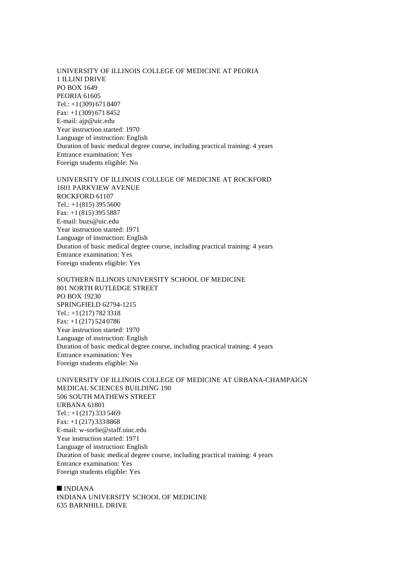UNIVERSITY OF ILLINOIS COLLEGE OF MEDICINE AT PEORIA 1 ILLINI DRIVE PO BOX 1649 PEORIA 61605 Tel.: +1(309) 671 8407 Fax: +1 (309) 671 8452 E-mail: ajp@uic.edu Year instruction started: 1970 Language of instruction: English Duration of basic medical degree course, including practical training: 4 years Entrance examination: Yes Foreign students eligible: No

UNIVERSITY OF ILLINOIS COLLEGE OF MEDICINE AT ROCKFORD 1601 PARKVIEW AVENUE ROCKFORD 61107 Tel.:  $+1(815)$  395 5600 Fax: +1 (815) 395 5887 E-mail: buzs@uic.edu Year instruction started: 1971 Language of instruction: English Duration of basic medical degree course, including practical training: 4 years Entrance examination: Yes Foreign students eligible: Yes

SOUTHERN ILLINOIS UNIVERSITY SCHOOL OF MEDICINE 801 NORTH RUTLEDGE STREET PO BOX 19230 SPRINGFIELD 62794-1215 Tel.: +1(217) 782 3318 Fax: +1 (217) 524 0786 Year instruction started: 1970 Language of instruction: English Duration of basic medical degree course, including practical training: 4 years Entrance examination: Yes Foreign students eligible: No

UNIVERSITY OF ILLINOIS COLLEGE OF MEDICINE AT URBANA-CHAMPAIGN MEDICAL SCIENCES BUILDING 190 506 SOUTH MATHEWS STREET URBANA 61801 Tel.:  $+1(217)$  333 5469 Fax: +1 (217) 333 8868 E-mail: w-sorlie@staff.uiuc.edu Year instruction started: 1971 Language of instruction: English Duration of basic medical degree course, including practical training: 4 years Entrance examination: Yes Foreign students eligible: Yes

 $\blacksquare$  INDIANA INDIANA UNIVERSITY SCHOOL OF MEDICINE 635 BARNHILL DRIVE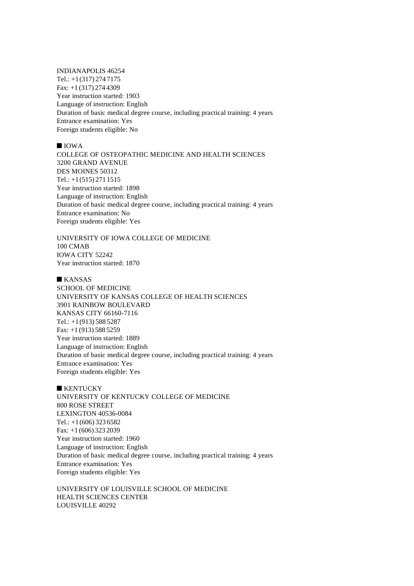INDIANAPOLIS 46254 Tel.: +1(317) 274 7175 Fax: +1 (317) 274 4309 Year instruction started: 1903 Language of instruction: English Duration of basic medical degree course, including practical training: 4 years Entrance examination: Yes Foreign students eligible: No

#### $\blacksquare$  IOWA

COLLEGE OF OSTEOPATHIC MEDICINE AND HEALTH SCIENCES 3200 GRAND AVENUE DES MOINES 50312 Tel.: +1(515) 271 1515 Year instruction started: 1898 Language of instruction: English Duration of basic medical degree course, including practical training: 4 years Entrance examination: No Foreign students eligible: Yes

UNIVERSITY OF IOWA COLLEGE OF MEDICINE 100 CMAB IOWA CITY 52242 Year instruction started: 1870

## $KANSAS$

SCHOOL OF MEDICINE UNIVERSITY OF KANSAS COLLEGE OF HEALTH SCIENCES 3901 RAINBOW BOULEVARD KANSAS CITY 66160-7116 Tel.: +1(913) 588 5287 Fax: +1 (913) 588 5259 Year instruction started: 1889 Language of instruction: English Duration of basic medical degree course, including practical training: 4 years Entrance examination: Yes Foreign students eligible: Yes

 $\blacksquare$  KENTUCKY UNIVERSITY OF KENTUCKY COLLEGE OF MEDICINE 800 ROSE STREET LEXINGTON 40536-0084 Tel.: +1(606) 323 6582 Fax: +1 (606) 323 2039 Year instruction started: 1960 Language of instruction: English Duration of basic medical degree course, including practical training: 4 years Entrance examination: Yes Foreign students eligible: Yes

UNIVERSITY OF LOUISVILLE SCHOOL OF MEDICINE HEALTH SCIENCES CENTER LOUISVILLE 40292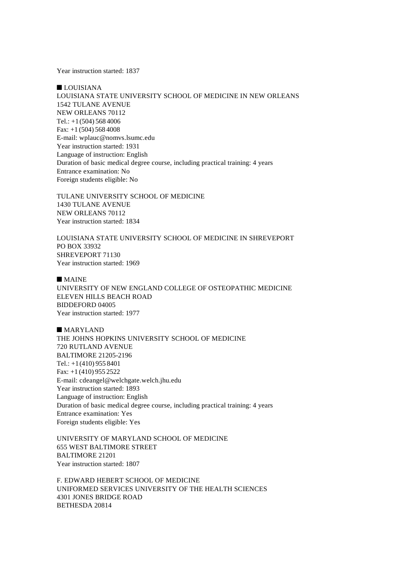Year instruction started: 1837

 $\blacksquare$  LOUISIANA LOUISIANA STATE UNIVERSITY SCHOOL OF MEDICINE IN NEW ORLEANS 1542 TULANE AVENUE NEW ORLEANS 70112 Tel.: +1(504) 568 4006 Fax: +1 (504) 568 4008 E-mail: wplauc@nomvs.lsumc.edu Year instruction started: 1931 Language of instruction: English Duration of basic medical degree course, including practical training: 4 years Entrance examination: No Foreign students eligible: No

TULANE UNIVERSITY SCHOOL OF MEDICINE 1430 TULANE AVENUE NEW ORLEANS 70112 Year instruction started: 1834

LOUISIANA STATE UNIVERSITY SCHOOL OF MEDICINE IN SHREVEPORT PO BOX 33932 SHREVEPORT 71130 Year instruction started: 1969

 $M$ MAINE

UNIVERSITY OF NEW ENGLAND COLLEGE OF OSTEOPATHIC MEDICINE ELEVEN HILLS BEACH ROAD BIDDEFORD 04005 Year instruction started: 1977

 $MARYLAND$ THE JOHNS HOPKINS UNIVERSITY SCHOOL OF MEDICINE 720 RUTLAND AVENUE BALTIMORE 21205-2196 Tel.: +1(410) 955 8401 Fax: +1 (410) 955 2522 E-mail: cdeangel@welchgate.welch.jhu.edu Year instruction started: 1893 Language of instruction: English Duration of basic medical degree course, including practical training: 4 years Entrance examination: Yes Foreign students eligible: Yes

UNIVERSITY OF MARYLAND SCHOOL OF MEDICINE 655 WEST BALTIMORE STREET BALTIMORE 21201 Year instruction started: 1807

F. EDWARD HEBERT SCHOOL OF MEDICINE UNIFORMED SERVICES UNIVERSITY OF THE HEALTH SCIENCES 4301 JONES BRIDGE ROAD BETHESDA 20814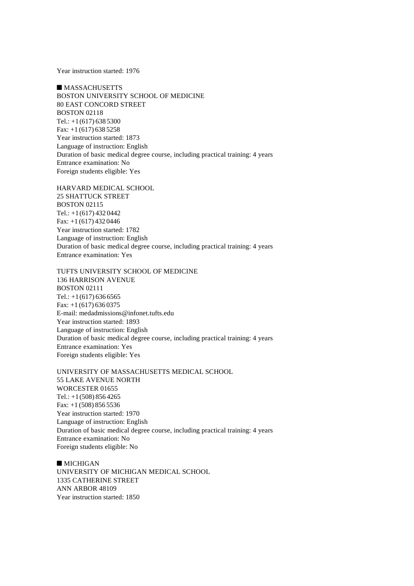Year instruction started: 1976

 $MASSACHUSETTS$ BOSTON UNIVERSITY SCHOOL OF MEDICINE 80 EAST CONCORD STREET BOSTON 02118 Tel.:  $+1(617)$  638 5300 Fax: +1 (617) 638 5258 Year instruction started: 1873 Language of instruction: English Duration of basic medical degree course, including practical training: 4 years Entrance examination: No Foreign students eligible: Yes

HARVARD MEDICAL SCHOOL 25 SHATTUCK STREET BOSTON 02115 Tel.:  $+1(617) 432 0442$ Fax: +1 (617) 432 0446 Year instruction started: 1782 Language of instruction: English Duration of basic medical degree course, including practical training: 4 years Entrance examination: Yes

TUFTS UNIVERSITY SCHOOL OF MEDICINE 136 HARRISON AVENUE BOSTON 02111 Tel.:  $+1(617) 636 6565$ Fax: +1 (617) 636 0375 E-mail: medadmissions@infonet.tufts.edu Year instruction started: 1893 Language of instruction: English Duration of basic medical degree course, including practical training: 4 years Entrance examination: Yes Foreign students eligible: Yes

UNIVERSITY OF MASSACHUSETTS MEDICAL SCHOOL 55 LAKE AVENUE NORTH WORCESTER 01655 Tel.: +1(508) 856 4265 Fax: +1 (508) 856 5536 Year instruction started: 1970 Language of instruction: English Duration of basic medical degree course, including practical training: 4 years Entrance examination: No Foreign students eligible: No

 $\blacksquare$  MICHIGAN UNIVERSITY OF MICHIGAN MEDICAL SCHOOL 1335 CATHERINE STREET ANN ARBOR 48109 Year instruction started: 1850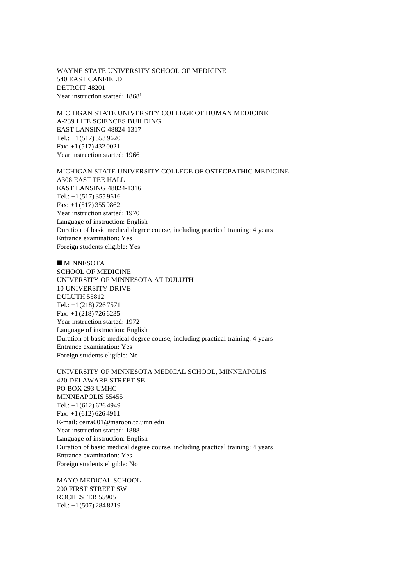WAYNE STATE UNIVERSITY SCHOOL OF MEDICINE 540 EAST CANFIELD DETROIT 48201 Year instruction started: 1868<sup>1</sup>

MICHIGAN STATE UNIVERSITY COLLEGE OF HUMAN MEDICINE A-239 LIFE SCIENCES BUILDING EAST LANSING 48824-1317 Tel.: +1(517) 353 9620 Fax: +1 (517) 432 0021 Year instruction started: 1966

MICHIGAN STATE UNIVERSITY COLLEGE OF OSTEOPATHIC MEDICINE A308 EAST FEE HALL EAST LANSING 48824-1316 Tel.:  $+1(517)$  355 9616 Fax: +1 (517) 355 9862 Year instruction started: 1970 Language of instruction: English Duration of basic medical degree course, including practical training: 4 years Entrance examination: Yes Foreign students eligible: Yes

 $MINNESOTA$ SCHOOL OF MEDICINE UNIVERSITY OF MINNESOTA AT DULUTH 10 UNIVERSITY DRIVE DULUTH 55812 Tel.: +1(218) 726 7571 Fax: +1 (218) 726 6235 Year instruction started: 1972 Language of instruction: English Duration of basic medical degree course, including practical training: 4 years Entrance examination: Yes Foreign students eligible: No

UNIVERSITY OF MINNESOTA MEDICAL SCHOOL, MINNEAPOLIS 420 DELAWARE STREET SE PO BOX 293 UMHC MINNEAPOLIS 55455 Tel.: +1(612) 626 4949 Fax: +1 (612) 626 4911 E-mail: cerra001@maroon.tc.umn.edu Year instruction started: 1888 Language of instruction: English Duration of basic medical degree course, including practical training: 4 years Entrance examination: Yes Foreign students eligible: No

MAYO MEDICAL SCHOOL 200 FIRST STREET SW ROCHESTER 55905 Tel.: +1(507) 284 8219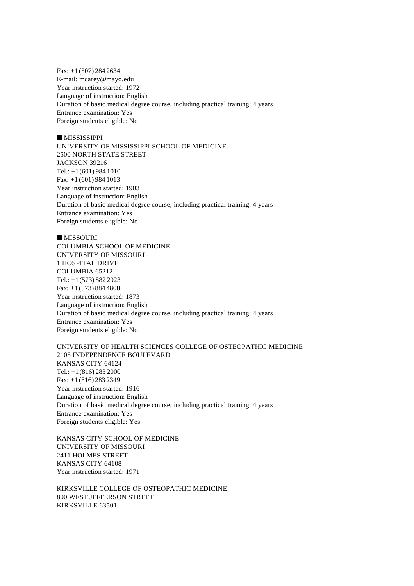Fax: +1 (507) 284 2634 E-mail: mcarey@mayo.edu Year instruction started: 1972 Language of instruction: English Duration of basic medical degree course, including practical training: 4 years Entrance examination: Yes Foreign students eligible: No

## **MISSISSIPPI**

UNIVERSITY OF MISSISSIPPI SCHOOL OF MEDICINE 2500 NORTH STATE STREET JACKSON 39216 Tel.: +1(601) 984 1010 Fax: +1 (601) 984 1013 Year instruction started: 1903 Language of instruction: English Duration of basic medical degree course, including practical training: 4 years Entrance examination: Yes Foreign students eligible: No

 $MISSOURI$ COLUMBIA SCHOOL OF MEDICINE UNIVERSITY OF MISSOURI 1 HOSPITAL DRIVE COLUMBIA 65212 Tel.: +1(573) 882 2923 Fax: +1 (573) 884 4808 Year instruction started: 1873 Language of instruction: English Duration of basic medical degree course, including practical training: 4 years Entrance examination: Yes Foreign students eligible: No

UNIVERSITY OF HEALTH SCIENCES COLLEGE OF OSTEOPATHIC MEDICINE 2105 INDEPENDENCE BOULEVARD KANSAS CITY 64124 Tel.: +1(816) 283 2000 Fax: +1 (816) 283 2349 Year instruction started: 1916 Language of instruction: English Duration of basic medical degree course, including practical training: 4 years Entrance examination: Yes Foreign students eligible: Yes

KANSAS CITY SCHOOL OF MEDICINE UNIVERSITY OF MISSOURI 2411 HOLMES STREET KANSAS CITY 64108 Year instruction started: 1971

KIRKSVILLE COLLEGE OF OSTEOPATHIC MEDICINE 800 WEST JEFFERSON STREET KIRKSVILLE 63501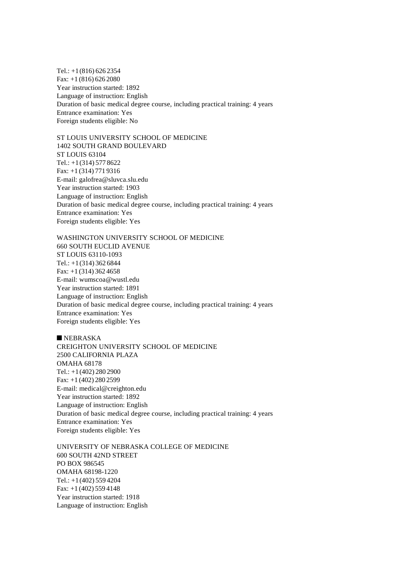Tel.: +1(816) 626 2354 Fax: +1 (816) 626 2080 Year instruction started: 1892 Language of instruction: English Duration of basic medical degree course, including practical training: 4 years Entrance examination: Yes Foreign students eligible: No

ST LOUIS UNIVERSITY SCHOOL OF MEDICINE 1402 SOUTH GRAND BOULEVARD ST LOUIS 63104 Tel.: +1(314) 577 8622 Fax: +1 (314) 771 9316 E-mail: galofrea@sluvca.slu.edu Year instruction started: 1903 Language of instruction: English Duration of basic medical degree course, including practical training: 4 years Entrance examination: Yes Foreign students eligible: Yes

WASHINGTON UNIVERSITY SCHOOL OF MEDICINE 660 SOUTH EUCLID AVENUE ST LOUIS 63110-1093 Tel.: +1(314) 362 6844 Fax: +1 (314) 362 4658 E-mail: wumscoa@wustl.edu Year instruction started: 1891 Language of instruction: English Duration of basic medical degree course, including practical training: 4 years Entrance examination: Yes Foreign students eligible: Yes

 $NEBRASKA$ CREIGHTON UNIVERSITY SCHOOL OF MEDICINE 2500 CALIFORNIA PLAZA OMAHA 68178 Tel.: +1(402) 280 2900 Fax: +1 (402) 280 2599 E-mail: medical@creighton.edu Year instruction started: 1892 Language of instruction: English Duration of basic medical degree course, including practical training: 4 years Entrance examination: Yes Foreign students eligible: Yes

UNIVERSITY OF NEBRASKA COLLEGE OF MEDICINE 600 SOUTH 42ND STREET PO BOX 986545 OMAHA 68198-1220 Tel.: +1(402) 559 4204 Fax: +1 (402) 559 4148 Year instruction started: 1918 Language of instruction: English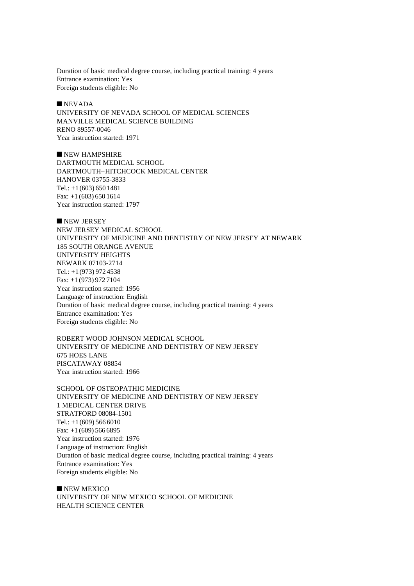Duration of basic medical degree course, including practical training: 4 years Entrance examination: Yes Foreign students eligible: No

 $NEVADA$ 

UNIVERSITY OF NEVADA SCHOOL OF MEDICAL SCIENCES MANVILLE MEDICAL SCIENCE BUILDING RENO 89557-0046 Year instruction started: 1971

 $\blacksquare$  NEW HAMPSHIRE DARTMOUTH MEDICAL SCHOOL DARTMOUTH–HITCHCOCK MEDICAL CENTER HANOVER 03755-3833 Tel.: +1(603) 650 1481 Fax: +1 (603) 650 1614 Year instruction started: 1797

NEW JERSEY NEW JERSEY MEDICAL SCHOOL UNIVERSITY OF MEDICINE AND DENTISTRY OF NEW JERSEY AT NEWARK 185 SOUTH ORANGE AVENUE UNIVERSITY HEIGHTS NEWARK 07103-2714 Tel.: +1(973) 972 4538 Fax: +1 (973) 972 7104 Year instruction started: 1956 Language of instruction: English Duration of basic medical degree course, including practical training: 4 years Entrance examination: Yes Foreign students eligible: No

ROBERT WOOD JOHNSON MEDICAL SCHOOL UNIVERSITY OF MEDICINE AND DENTISTRY OF NEW JERSEY 675 HOES LANE PISCATAWAY 08854 Year instruction started: 1966

SCHOOL OF OSTEOPATHIC MEDICINE UNIVERSITY OF MEDICINE AND DENTISTRY OF NEW JERSEY 1 MEDICAL CENTER DRIVE STRATFORD 08084-1501 Tel.:  $+1(609)$  566 6010 Fax: +1 (609) 566 6895 Year instruction started: 1976 Language of instruction: English Duration of basic medical degree course, including practical training: 4 years Entrance examination: Yes Foreign students eligible: No

 $\blacksquare$  NEW MEXICO UNIVERSITY OF NEW MEXICO SCHOOL OF MEDICINE HEALTH SCIENCE CENTER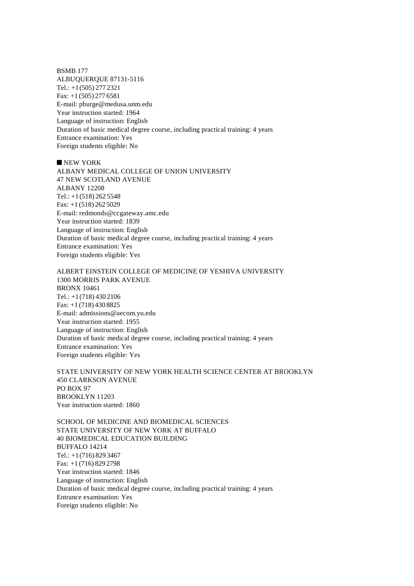BSMB 177 ALBUQUERQUE 87131-5116 Tel.: +1(505) 277 2321 Fax: +1 (505) 277 6581 E-mail: pburge@medusa.unm.edu Year instruction started: 1964 Language of instruction: English Duration of basic medical degree course, including practical training: 4 years Entrance examination: Yes Foreign students eligible: No

 $\blacksquare$  NEW YORK

ALBANY MEDICAL COLLEGE OF UNION UNIVERSITY 47 NEW SCOTLAND AVENUE ALBANY 12208 Tel.: +1(518) 262 5548 Fax: +1 (518) 262 5029 E-mail: redmonds@ccgateway.amc.edu Year instruction started: 1839 Language of instruction: English Duration of basic medical degree course, including practical training: 4 years Entrance examination: Yes Foreign students eligible: Yes

ALBERT EINSTEIN COLLEGE OF MEDICINE OF YESHIVA UNIVERSITY 1300 MORRIS PARK AVENUE BRONX 10461 Tel.: +1(718) 430 2106 Fax: +1 (718) 430 8825 E-mail: admissions@aecom.yu.edu Year instruction started: 1955 Language of instruction: English Duration of basic medical degree course, including practical training: 4 years Entrance examination: Yes Foreign students eligible: Yes

STATE UNIVERSITY OF NEW YORK HEALTH SCIENCE CENTER AT BROOKLYN 450 CLARKSON AVENUE PO BOX 97 BROOKLYN 11203 Year instruction started: 1860

SCHOOL OF MEDICINE AND BIOMEDICAL SCIENCES STATE UNIVERSITY OF NEW YORK AT BUFFALO 40 BIOMEDICAL EDUCATION BUILDING BUFFALO 14214 Tel.: +1(716) 829 3467 Fax: +1 (716) 829 2798 Year instruction started: 1846 Language of instruction: English Duration of basic medical degree course, including practical training: 4 years Entrance examination: Yes Foreign students eligible: No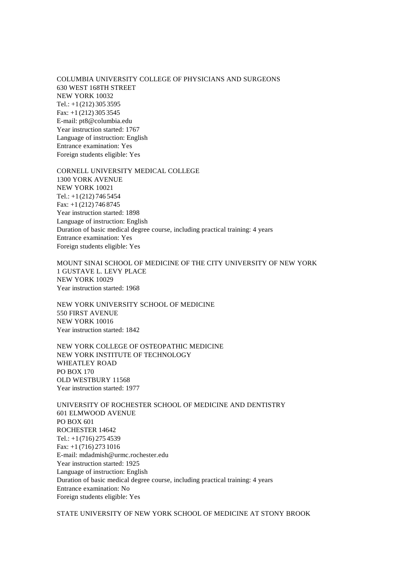COLUMBIA UNIVERSITY COLLEGE OF PHYSICIANS AND SURGEONS 630 WEST 168TH STREET NEW YORK 10032 Tel.: +1(212) 305 3595 Fax: +1 (212) 305 3545 E-mail: pt8@columbia.edu Year instruction started: 1767 Language of instruction: English Entrance examination: Yes Foreign students eligible: Yes

CORNELL UNIVERSITY MEDICAL COLLEGE 1300 YORK AVENUE NEW YORK 10021 Tel.: +1(212) 746 5454 Fax: +1 (212) 746 8745 Year instruction started: 1898 Language of instruction: English Duration of basic medical degree course, including practical training: 4 years Entrance examination: Yes Foreign students eligible: Yes

MOUNT SINAI SCHOOL OF MEDICINE OF THE CITY UNIVERSITY OF NEW YORK 1 GUSTAVE L. LEVY PLACE NEW YORK 10029 Year instruction started: 1968

NEW YORK UNIVERSITY SCHOOL OF MEDICINE 550 FIRST AVENUE NEW YORK 10016 Year instruction started: 1842

NEW YORK COLLEGE OF OSTEOPATHIC MEDICINE NEW YORK INSTITUTE OF TECHNOLOGY WHEATLEY ROAD PO BOX 170 OLD WESTBURY 11568 Year instruction started: 1977

UNIVERSITY OF ROCHESTER SCHOOL OF MEDICINE AND DENTISTRY 601 ELMWOOD AVENUE PO BOX 601 ROCHESTER 14642 Tel.: +1(716) 275 4539 Fax: +1 (716) 273 1016 E-mail: mdadmish@urmc.rochester.edu Year instruction started: 1925 Language of instruction: English Duration of basic medical degree course, including practical training: 4 years Entrance examination: No Foreign students eligible: Yes

STATE UNIVERSITY OF NEW YORK SCHOOL OF MEDICINE AT STONY BROOK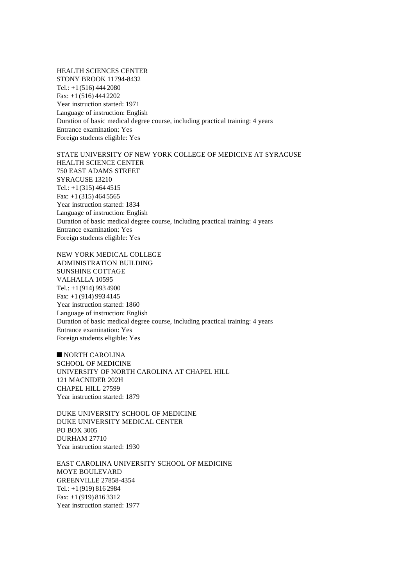HEALTH SCIENCES CENTER STONY BROOK 11794-8432 Tel.: +1(516) 444 2080 Fax: +1 (516) 444 2202 Year instruction started: 1971 Language of instruction: English Duration of basic medical degree course, including practical training: 4 years Entrance examination: Yes Foreign students eligible: Yes

STATE UNIVERSITY OF NEW YORK COLLEGE OF MEDICINE AT SYRACUSE HEALTH SCIENCE CENTER 750 EAST ADAMS STREET SYRACUSE 13210 Tel.:  $+1(315)$  464 4515 Fax: +1 (315) 464 5565 Year instruction started: 1834 Language of instruction: English Duration of basic medical degree course, including practical training: 4 years Entrance examination: Yes Foreign students eligible: Yes

NEW YORK MEDICAL COLLEGE ADMINISTRATION BUILDING SUNSHINE COTTAGE VALHALLA 10595  $Tel: +1(914) 993 4900$ Fax: +1 (914) 993 4145 Year instruction started: 1860 Language of instruction: English Duration of basic medical degree course, including practical training: 4 years Entrance examination: Yes Foreign students eligible: Yes

 $\blacksquare$  NORTH CAROLINA SCHOOL OF MEDICINE UNIVERSITY OF NORTH CAROLINA AT CHAPEL HILL 121 MACNIDER 202H CHAPEL HILL 27599 Year instruction started: 1879

DUKE UNIVERSITY SCHOOL OF MEDICINE DUKE UNIVERSITY MEDICAL CENTER PO BOX 3005 DURHAM 27710 Year instruction started: 1930

EAST CAROLINA UNIVERSITY SCHOOL OF MEDICINE MOYE BOULEVARD GREENVILLE 27858-4354 Tel.: +1(919) 816 2984 Fax: +1 (919) 816 3312 Year instruction started: 1977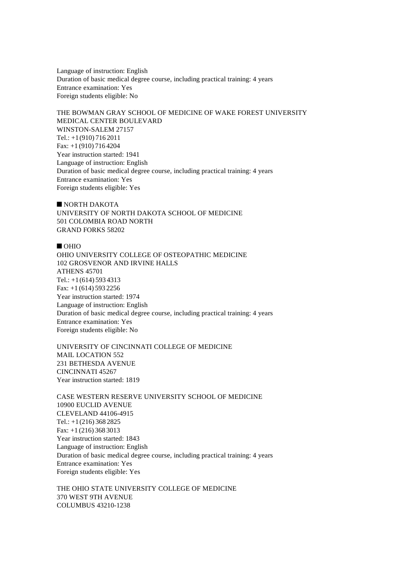Language of instruction: English Duration of basic medical degree course, including practical training: 4 years Entrance examination: Yes Foreign students eligible: No

THE BOWMAN GRAY SCHOOL OF MEDICINE OF WAKE FOREST UNIVERSITY MEDICAL CENTER BOULEVARD WINSTON-SALEM 27157 Tel.: +1(910) 716 2011 Fax: +1 (910) 716 4204 Year instruction started: 1941 Language of instruction: English Duration of basic medical degree course, including practical training: 4 years Entrance examination: Yes Foreign students eligible: Yes

 $\blacksquare$  NORTH DAKOTA UNIVERSITY OF NORTH DAKOTA SCHOOL OF MEDICINE 501 COLOMBIA ROAD NORTH GRAND FORKS 58202

#### $\blacksquare$  OHIO

OHIO UNIVERSITY COLLEGE OF OSTEOPATHIC MEDICINE 102 GROSVENOR AND IRVINE HALLS ATHENS 45701 Tel.: +1(614) 593 4313 Fax: +1 (614) 593 2256 Year instruction started: 1974 Language of instruction: English Duration of basic medical degree course, including practical training: 4 years Entrance examination: Yes Foreign students eligible: No

UNIVERSITY OF CINCINNATI COLLEGE OF MEDICINE MAIL LOCATION 552 231 BETHESDA AVENUE CINCINNATI 45267 Year instruction started: 1819

CASE WESTERN RESERVE UNIVERSITY SCHOOL OF MEDICINE 10900 EUCLID AVENUE CLEVELAND 44106-4915 Tel.: +1(216) 368 2825 Fax: +1 (216) 368 3013 Year instruction started: 1843 Language of instruction: English Duration of basic medical degree course, including practical training: 4 years Entrance examination: Yes Foreign students eligible: Yes

THE OHIO STATE UNIVERSITY COLLEGE OF MEDICINE 370 WEST 9TH AVENUE COLUMBUS 43210-1238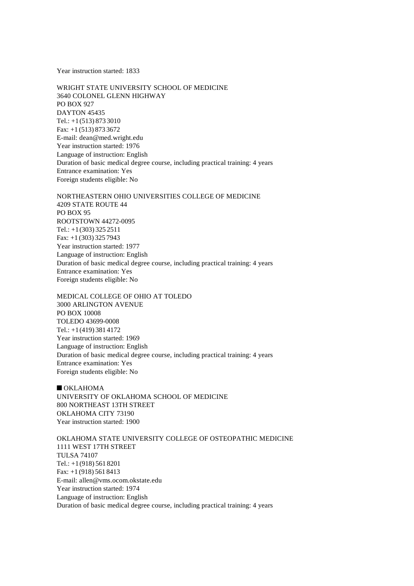Year instruction started: 1833

WRIGHT STATE UNIVERSITY SCHOOL OF MEDICINE 3640 COLONEL GLENN HIGHWAY PO BOX 927 DAYTON 45435 Tel.: +1(513) 873 3010 Fax: +1 (513) 873 3672 E-mail: dean@med.wright.edu Year instruction started: 1976 Language of instruction: English Duration of basic medical degree course, including practical training: 4 years Entrance examination: Yes Foreign students eligible: No

NORTHEASTERN OHIO UNIVERSITIES COLLEGE OF MEDICINE 4209 STATE ROUTE 44 PO BOX 95 ROOTSTOWN 44272-0095 Tel.: +1(303) 325 2511 Fax: +1 (303) 325 7943 Year instruction started: 1977 Language of instruction: English Duration of basic medical degree course, including practical training: 4 years Entrance examination: Yes Foreign students eligible: No

MEDICAL COLLEGE OF OHIO AT TOLEDO 3000 ARLINGTON AVENUE PO BOX 10008 TOLEDO 43699-0008 Tel.: +1(419) 381 4172 Year instruction started: 1969 Language of instruction: English Duration of basic medical degree course, including practical training: 4 years Entrance examination: Yes Foreign students eligible: No

 $\blacksquare$  OKLAHOMA UNIVERSITY OF OKLAHOMA SCHOOL OF MEDICINE 800 NORTHEAST 13TH STREET OKLAHOMA CITY 73190 Year instruction started: 1900

OKLAHOMA STATE UNIVERSITY COLLEGE OF OSTEOPATHIC MEDICINE 1111 WEST 17TH STREET TULSA 74107 Tel.: +1(918) 561 8201 Fax: +1 (918) 561 8413 E-mail: allen@vms.ocom.okstate.edu Year instruction started: 1974 Language of instruction: English Duration of basic medical degree course, including practical training: 4 years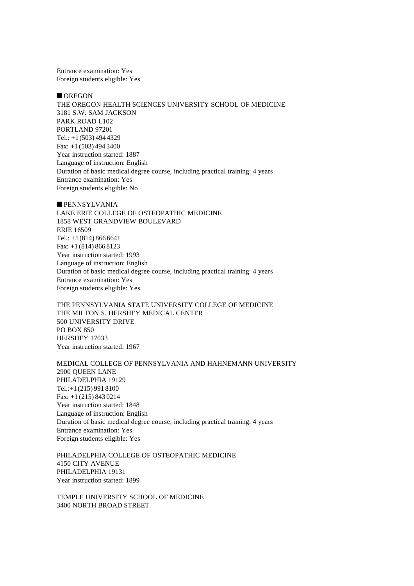Entrance examination: Yes Foreign students eligible: Yes

#### $\blacksquare$  OREGON

THE OREGON HEALTH SCIENCES UNIVERSITY SCHOOL OF MEDICINE 3181 S.W. SAM JACKSON PARK ROAD L102 PORTLAND 97201 Tel.:  $+1(503)$  494 4329 Fax: +1 (503) 494 3400 Year instruction started: 1887 Language of instruction: English Duration of basic medical degree course, including practical training: 4 years Entrance examination: Yes Foreign students eligible: No

 $\blacksquare$  PENNSYLVANIA LAKE ERIE COLLEGE OF OSTEOPATHIC MEDICINE 1858 WEST GRANDVIEW BOULEVARD ERIE 16509 Tel.: +1(814) 866 6641 Fax: +1 (814) 866 8123 Year instruction started: 1993 Language of instruction: English Duration of basic medical degree course, including practical training: 4 years Entrance examination: Yes Foreign students eligible: Yes

THE PENNSYLVANIA STATE UNIVERSITY COLLEGE OF MEDICINE THE MILTON S. HERSHEY MEDICAL CENTER 500 UNIVERSITY DRIVE PO BOX 850 HERSHEY 17033 Year instruction started: 1967

MEDICAL COLLEGE OF PENNSYLVANIA AND HAHNEMANN UNIVERSITY 2900 QUEEN LANE PHILADELPHIA 19129 Tel.:+1(215) 991 8100 Fax: +1 (215) 843 0214 Year instruction started: 1848 Language of instruction: English Duration of basic medical degree course, including practical training: 4 years Entrance examination: Yes Foreign students eligible: Yes

PHILADELPHIA COLLEGE OF OSTEOPATHIC MEDICINE 4150 CITY AVENUE PHILADELPHIA 19131 Year instruction started: 1899

TEMPLE UNIVERSITY SCHOOL OF MEDICINE 3400 NORTH BROAD STREET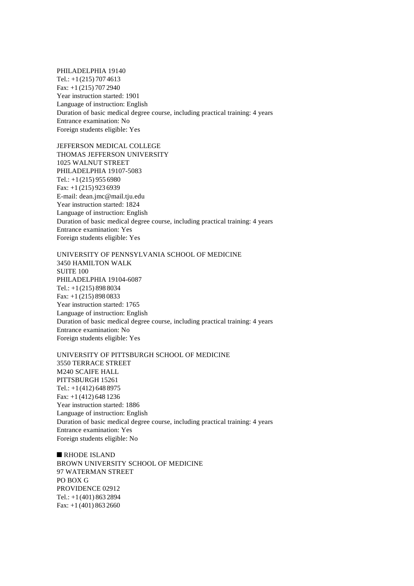PHILADELPHIA 19140 Tel.: +1(215) 707 4613 Fax: +1 (215) 707 2940 Year instruction started: 1901 Language of instruction: English Duration of basic medical degree course, including practical training: 4 years Entrance examination: No Foreign students eligible: Yes

JEFFERSON MEDICAL COLLEGE THOMAS JEFFERSON UNIVERSITY 1025 WALNUT STREET PHILADELPHIA 19107-5083 Tel.:  $+1(215)$  955 6980 Fax: +1 (215) 923 6939 E-mail: dean.jmc@mail.tju.edu Year instruction started: 1824 Language of instruction: English Duration of basic medical degree course, including practical training: 4 years Entrance examination: Yes Foreign students eligible: Yes

UNIVERSITY OF PENNSYLVANIA SCHOOL OF MEDICINE 3450 HAMILTON WALK SUITE 100 PHILADELPHIA 19104-6087 Tel.: +1(215) 898 8034 Fax: +1 (215) 898 0833 Year instruction started: 1765 Language of instruction: English Duration of basic medical degree course, including practical training: 4 years Entrance examination: No Foreign students eligible: Yes

UNIVERSITY OF PITTSBURGH SCHOOL OF MEDICINE 3550 TERRACE STREET M240 SCAIFE HALL PITTSBURGH 15261 Tel.: +1(412) 648 8975 Fax: +1 (412) 648 1236 Year instruction started: 1886 Language of instruction: English Duration of basic medical degree course, including practical training: 4 years Entrance examination: Yes Foreign students eligible: No

 $R$ HODE ISLAND BROWN UNIVERSITY SCHOOL OF MEDICINE 97 WATERMAN STREET PO BOX G PROVIDENCE 02912 Tel.: +1(401) 863 2894 Fax: +1 (401) 863 2660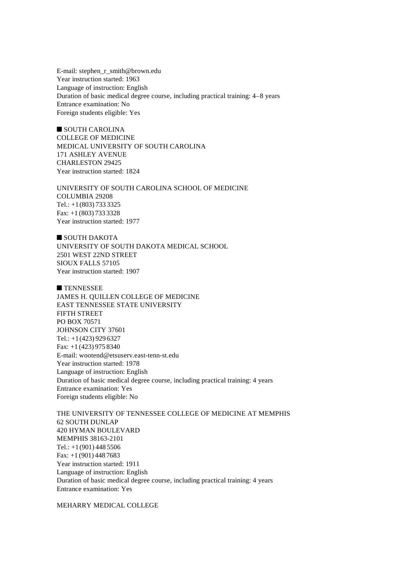E-mail: stephen\_r\_smith@brown.edu Year instruction started: 1963 Language of instruction: English Duration of basic medical degree course, including practical training: 4–8 years Entrance examination: No Foreign students eligible: Yes

 $\blacksquare$  SOUTH CAROLINA COLLEGE OF MEDICINE MEDICAL UNIVERSITY OF SOUTH CAROLINA 171 ASHLEY AVENUE CHARLESTON 29425 Year instruction started: 1824

UNIVERSITY OF SOUTH CAROLINA SCHOOL OF MEDICINE COLUMBIA 29208 Tel.: +1(803) 733 3325 Fax: +1 (803) 733 3328 Year instruction started: 1977

 $\blacksquare$  SOUTH DAKOTA UNIVERSITY OF SOUTH DAKOTA MEDICAL SCHOOL 2501 WEST 22ND STREET SIOUX FALLS 57105 Year instruction started: 1907

**n** TENNESSEE JAMES H. QUILLEN COLLEGE OF MEDICINE EAST TENNESSEE STATE UNIVERSITY FIFTH STREET PO BOX 70571 JOHNSON CITY 37601 Tel.: +1(423) 929 6327 Fax: +1 (423) 975 8340 E-mail: wootend@etsuserv.east-tenn-st.edu Year instruction started: 1978 Language of instruction: English Duration of basic medical degree course, including practical training: 4 years Entrance examination: Yes Foreign students eligible: No

THE UNIVERSITY OF TENNESSEE COLLEGE OF MEDICINE AT MEMPHIS 62 SOUTH DUNLAP 420 HYMAN BOULEVARD MEMPHIS 38163-2101 Tel.:  $+1(901)$  448 5506 Fax: +1 (901) 448 7683 Year instruction started: 1911 Language of instruction: English Duration of basic medical degree course, including practical training: 4 years Entrance examination: Yes

MEHARRY MEDICAL COLLEGE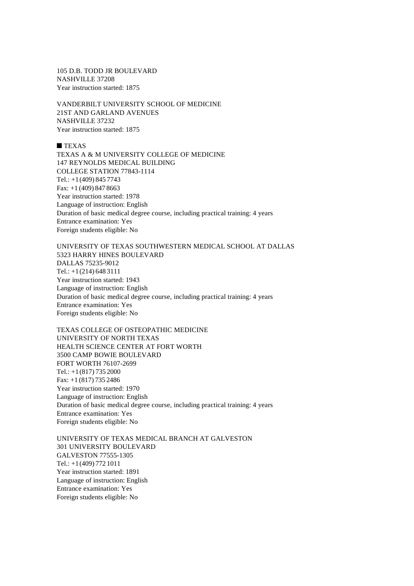105 D.B. TODD JR BOULEVARD NASHVILLE 37208 Year instruction started: 1875

VANDERBILT UNIVERSITY SCHOOL OF MEDICINE 21ST AND GARLAND AVENUES NASHVILLE 37232 Year instruction started: 1875

## $TEXAS$

TEXAS A & M UNIVERSITY COLLEGE OF MEDICINE 147 REYNOLDS MEDICAL BUILDING COLLEGE STATION 77843-1114 Tel.: +1(409) 845 7743 Fax: +1 (409) 847 8663 Year instruction started: 1978 Language of instruction: English Duration of basic medical degree course, including practical training: 4 years Entrance examination: Yes Foreign students eligible: No

## UNIVERSITY OF TEXAS SOUTHWESTERN MEDICAL SCHOOL AT DALLAS 5323 HARRY HINES BOULEVARD DALLAS 75235-9012 Tel.: +1(214) 648 3111 Year instruction started: 1943 Language of instruction: English Duration of basic medical degree course, including practical training: 4 years Entrance examination: Yes Foreign students eligible: No

TEXAS COLLEGE OF OSTEOPATHIC MEDICINE UNIVERSITY OF NORTH TEXAS HEALTH SCIENCE CENTER AT FORT WORTH 3500 CAMP BOWIE BOULEVARD FORT WORTH 76107-2699 Tel.: +1(817) 735 2000 Fax: +1 (817) 735 2486 Year instruction started: 1970 Language of instruction: English Duration of basic medical degree course, including practical training: 4 years Entrance examination: Yes Foreign students eligible: No

UNIVERSITY OF TEXAS MEDICAL BRANCH AT GALVESTON 301 UNIVERSITY BOULEVARD GALVESTON 77555-1305 Tel.: +1(409) 772 1011 Year instruction started: 1891 Language of instruction: English Entrance examination: Yes Foreign students eligible: No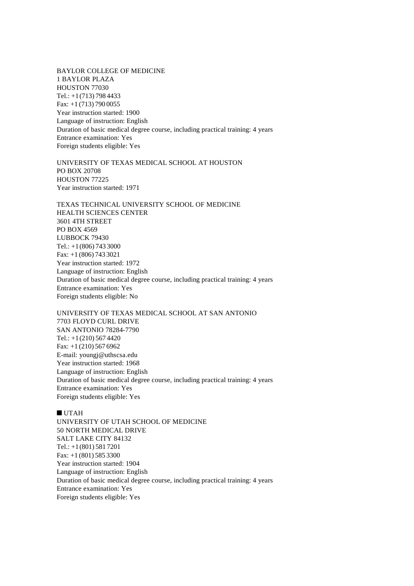BAYLOR COLLEGE OF MEDICINE 1 BAYLOR PLAZA HOUSTON 77030 Tel.: +1(713) 798 4433 Fax: +1 (713) 790 0055 Year instruction started: 1900 Language of instruction: English Duration of basic medical degree course, including practical training: 4 years Entrance examination: Yes Foreign students eligible: Yes

UNIVERSITY OF TEXAS MEDICAL SCHOOL AT HOUSTON PO BOX 20708 HOUSTON 77225 Year instruction started: 1971

TEXAS TECHNICAL UNIVERSITY SCHOOL OF MEDICINE HEALTH SCIENCES CENTER 3601 4TH STREET PO BOX 4569 LUBBOCK 79430 Tel.: +1(806) 743 3000 Fax: +1 (806) 743 3021 Year instruction started: 1972 Language of instruction: English Duration of basic medical degree course, including practical training: 4 years Entrance examination: Yes Foreign students eligible: No

UNIVERSITY OF TEXAS MEDICAL SCHOOL AT SAN ANTONIO 7703 FLOYD CURL DRIVE SAN ANTONIO 78284-7790 Tel.: +1(210) 567 4420 Fax: +1 (210) 567 6962 E-mail: youngj@uthscsa.edu Year instruction started: 1968 Language of instruction: English Duration of basic medical degree course, including practical training: 4 years Entrance examination: Yes Foreign students eligible: Yes

#### $\blacksquare$  UTAH

UNIVERSITY OF UTAH SCHOOL OF MEDICINE 50 NORTH MEDICAL DRIVE SALT LAKE CITY 84132 Tel.: +1(801) 581 7201 Fax: +1 (801) 585 3300 Year instruction started: 1904 Language of instruction: English Duration of basic medical degree course, including practical training: 4 years Entrance examination: Yes Foreign students eligible: Yes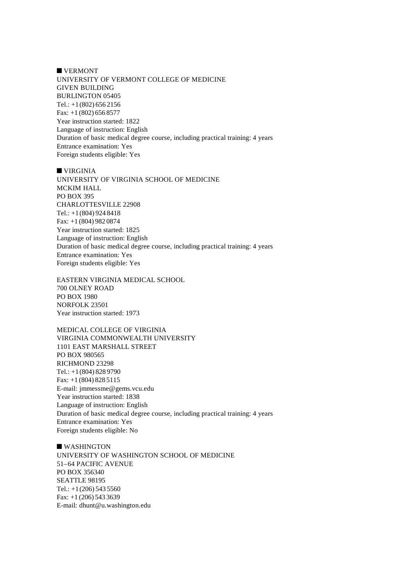$\blacksquare$  VERMONT UNIVERSITY OF VERMONT COLLEGE OF MEDICINE GIVEN BUILDING BURLINGTON 05405 Tel.: +1(802) 656 2156 Fax: +1 (802) 656 8577 Year instruction started: 1822 Language of instruction: English Duration of basic medical degree course, including practical training: 4 years Entrance examination: Yes Foreign students eligible: Yes

 $\blacksquare$  VIRGINIA UNIVERSITY OF VIRGINIA SCHOOL OF MEDICINE MCKIM HALL PO BOX 395 CHARLOTTESVILLE 22908 Tel.: +1(804) 924 8418 Fax: +1 (804) 982 0874 Year instruction started: 1825 Language of instruction: English Duration of basic medical degree course, including practical training: 4 years Entrance examination: Yes Foreign students eligible: Yes

EASTERN VIRGINIA MEDICAL SCHOOL 700 OLNEY ROAD PO BOX 1980 NORFOLK 23501 Year instruction started: 1973

MEDICAL COLLEGE OF VIRGINIA VIRGINIA COMMONWEALTH UNIVERSITY 1101 EAST MARSHALL STREET PO BOX 980565 RICHMOND 23298 Tel.: +1(804) 828 9790 Fax: +1 (804) 828 5115 E-mail: jmmessme@gems.vcu.edu Year instruction started: 1838 Language of instruction: English Duration of basic medical degree course, including practical training: 4 years Entrance examination: Yes Foreign students eligible: No

 $\blacksquare$  WASHINGTON UNIVERSITY OF WASHINGTON SCHOOL OF MEDICINE 51–64 PACIFIC AVENUE PO BOX 356340 SEATTLE 98195 Tel.:  $+1(206)$  543 5560 Fax: +1 (206) 543 3639 E-mail: dhunt@u.washington.edu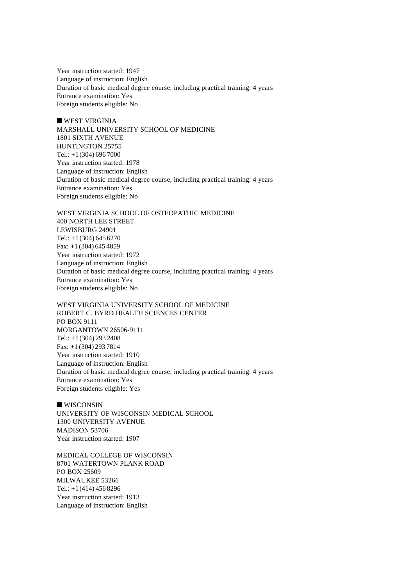Year instruction started: 1947 Language of instruction: English Duration of basic medical degree course, including practical training: 4 years Entrance examination: Yes Foreign students eligible: No

 $\blacksquare$  WEST VIRGINIA MARSHALL UNIVERSITY SCHOOL OF MEDICINE 1801 SIXTH AVENUE HUNTINGTON 25755 Tel.:  $+1(304)$  696 7000 Year instruction started: 1978 Language of instruction: English Duration of basic medical degree course, including practical training: 4 years Entrance examination: Yes Foreign students eligible: No

WEST VIRGINIA SCHOOL OF OSTEOPATHIC MEDICINE 400 NORTH LEE STREET LEWISBURG 24901 Tel.: +1(304) 645 6270 Fax: +1 (304) 645 4859 Year instruction started: 1972 Language of instruction: English Duration of basic medical degree course, including practical training: 4 years Entrance examination: Yes Foreign students eligible: No

WEST VIRGINIA UNIVERSITY SCHOOL OF MEDICINE ROBERT C. BYRD HEALTH SCIENCES CENTER PO BOX 9111 MORGANTOWN 26506-9111 Tel.: +1(304) 293 2408 Fax: +1 (304) 293 7814 Year instruction started: 1910 Language of instruction: English Duration of basic medical degree course, including practical training: 4 years Entrance examination: Yes Foreign students eligible: Yes

 $\blacksquare$  WISCONSIN UNIVERSITY OF WISCONSIN MEDICAL SCHOOL 1300 UNIVERSITY AVENUE MADISON 53706 Year instruction started: 1907

MEDICAL COLLEGE OF WISCONSIN 8701 WATERTOWN PLANK ROAD PO BOX 25609 MILWAUKEE 53266 Tel.: +1(414) 456 8296 Year instruction started: 1913 Language of instruction: English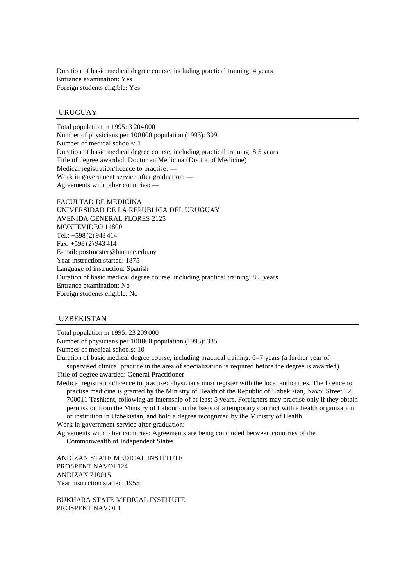Duration of basic medical degree course, including practical training: 4 years Entrance examination: Yes Foreign students eligible: Yes

## URUGUAY

Total population in 1995: 3 204 000 Number of physicians per 100000 population (1993): 309 Number of medical schools: 1 Duration of basic medical degree course, including practical training: 8.5 years Title of degree awarded: Doctor en Medicina (Doctor of Medicine) Medical registration/licence to practise: — Work in government service after graduation: — Agreements with other countries: —

FACULTAD DE MEDICINA UNIVERSIDAD DE LA REPUBLICA DEL URUGUAY AVENIDA GENERAL FLORES 2125 MONTEVIDEO 11800 Tel.: +598 (2) 943 414 Fax: +598 (2) 943 414 E-mail: postmaster@biname.edu.uy Year instruction started: 1875 Language of instruction: Spanish Duration of basic medical degree course, including practical training: 8.5 years Entrance examination: No Foreign students eligible: No

### UZBEKISTAN

Total population in 1995: 23 209 000 Number of physicians per 100000 population (1993): 335 Number of medical schools: 10 Duration of basic medical degree course, including practical training: 6–7 years (a further year of supervised clinical practice in the area of specialization is required before the degree is awarded) Title of degree awarded: General Practitioner Medical registration/licence to practise: Physicians must register with the local authorities. The licence to practise medicine is granted by the Ministry of Health of the Republic of Uzbekistan, Navoi Street 12, 700011 Tashkent, following an internship of at least 5 years. Foreigners may practise only if they obtain permission from the Ministry of Labour on the basis of a temporary contract with a health organization

or institution in Uzbekistan, and hold a degree recognized by the Ministry of Health Work in government service after graduation: —

Agreements with other countries: Agreements are being concluded between countries of the Commonwealth of Independent States.

ANDIZAN STATE MEDICAL INSTITUTE PROSPEKT NAVOI 124 ANDIZAN 710015 Year instruction started: 1955

BUKHARA STATE MEDICAL INSTITUTE PROSPEKT NAVOI 1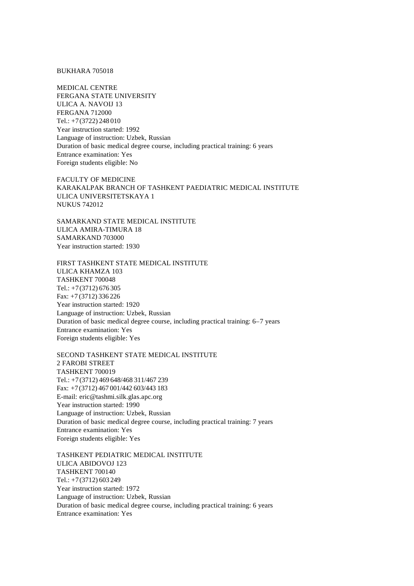BUKHARA 705018

MEDICAL CENTRE FERGANA STATE UNIVERSITY ULICA A. NAVOIJ 13 FERGANA 712000 Tel.: +7(3722) 248 010 Year instruction started: 1992 Language of instruction: Uzbek, Russian Duration of basic medical degree course, including practical training: 6 years Entrance examination: Yes Foreign students eligible: No

FACULTY OF MEDICINE KARAKALPAK BRANCH OF TASHKENT PAEDIATRIC MEDICAL INSTITUTE ULICA UNIVERSITETSKAYA 1 NUKUS 742012

SAMARKAND STATE MEDICAL INSTITUTE ULICA AMIRA-TIMURA 18 SAMARKAND 703000 Year instruction started: 1930

FIRST TASHKENT STATE MEDICAL INSTITUTE ULICA KHAMZA 103 TASHKENT 700048 Tel.: +7(3712) 676 305 Fax: +7 (3712) 336 226 Year instruction started: 1920 Language of instruction: Uzbek, Russian Duration of basic medical degree course, including practical training: 6–7 years Entrance examination: Yes Foreign students eligible: Yes

SECOND TASHKENT STATE MEDICAL INSTITUTE 2 FAROBI STREET TASHKENT 700019 Tel.: +7(3712) 469 648/468 311/467 239 Fax: +7(3712) 467 001/442 603/443 183 E-mail: eric@tashmi.silk.glas.apc.org Year instruction started: 1990 Language of instruction: Uzbek, Russian Duration of basic medical degree course, including practical training: 7 years Entrance examination: Yes Foreign students eligible: Yes

TASHKENT PEDIATRIC MEDICAL INSTITUTE ULICA ABIDOVOJ 123 TASHKENT 700140 Tel.: +7(3712) 603 249 Year instruction started: 1972 Language of instruction: Uzbek, Russian Duration of basic medical degree course, including practical training: 6 years Entrance examination: Yes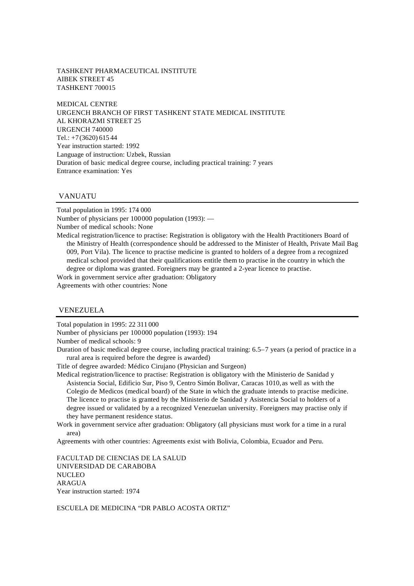### TASHKENT PHARMACEUTICAL INSTITUTE AIBEK STREET 45 TASHKENT 700015

MEDICAL CENTRE URGENCH BRANCH OF FIRST TASHKENT STATE MEDICAL INSTITUTE AL KHORAZMI STREET 25 URGENCH 740000 Tel.: +7(3620) 615 44 Year instruction started: 1992 Language of instruction: Uzbek, Russian Duration of basic medical degree course, including practical training: 7 years Entrance examination: Yes

# VANUATU

Total population in 1995: 174 000 Number of physicians per 100000 population (1993): — Number of medical schools: None Medical registration/licence to practise: Registration is obligatory with the Health Practitioners Board of the Ministry of Health (correspondence should be addressed to the Minister of Health, Private Mail Bag 009, Port Vila). The licence to practise medicine is granted to holders of a degree from a recognized medical school provided that their qualifications entitle them to practise in the country in which the degree or diploma was granted. Foreigners may be granted a 2-year licence to practise.

Work in government service after graduation: Obligatory

Agreements with other countries: None

#### VENEZUELA

Total population in 1995: 22 311 000

Number of physicians per 100000 population (1993): 194

Number of medical schools: 9

Duration of basic medical degree course, including practical training: 6.5–7 years (a period of practice in a rural area is required before the degree is awarded)

Title of degree awarded: Médico Cirujano (Physician and Surgeon)

Medical registration/licence to practise: Registration is obligatory with the Ministerio de Sanidad y Asistencia Social, Edificio Sur, Piso 9, Centro Simón Bolivar, Caracas 1010,as well as with the Colegio de Medicos (medical board) of the State in which the graduate intends to practise medicine. The licence to practise is granted by the Ministerio de Sanidad y Asistencia Social to holders of a degree issued or validated by a a recognized Venezuelan university. Foreigners may practise only if they have permanent residence status.

Work in government service after graduation: Obligatory (all physicians must work for a time in a rural area)

Agreements with other countries: Agreements exist with Bolivia, Colombia, Ecuador and Peru.

FACULTAD DE CIENCIAS DE LA SALUD UNIVERSIDAD DE CARABOBA **NUCLEO** ARAGUA Year instruction started: 1974

ESCUELA DE MEDICINA "DR PABLO ACOSTA ORTIZ"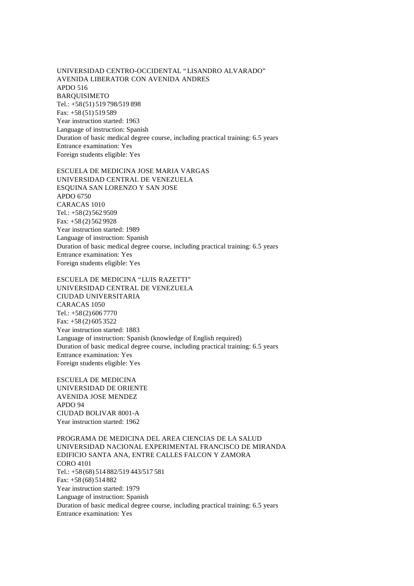UNIVERSIDAD CENTRO-OCCIDENTAL "LISANDRO ALVARADO" AVENIDA LIBERATOR CON AVENIDA ANDRES APDO 516 BARQUISIMETO Tel.: +58(51) 519 798/519 898 Fax: +58 (51) 519 589 Year instruction started: 1963 Language of instruction: Spanish Duration of basic medical degree course, including practical training: 6.5 years Entrance examination: Yes Foreign students eligible: Yes

ESCUELA DE MEDICINA JOSE MARIA VARGAS UNIVERSIDAD CENTRAL DE VENEZUELA ESQUINA SAN LORENZO Y SAN JOSE APDO 6750 CARACAS 1010 Tel.: +58(2) 562 9509 Fax: +58 (2) 562 9928 Year instruction started: 1989 Language of instruction: Spanish Duration of basic medical degree course, including practical training: 6.5 years Entrance examination: Yes Foreign students eligible: Yes

ESCUELA DE MEDICINA "LUIS RAZETTI" UNIVERSIDAD CENTRAL DE VENEZUELA CIUDAD UNIVERSITARIA CARACAS 1050 Tel.: +58(2) 606 7770 Fax: +58 (2) 605 3522 Year instruction started: 1883 Language of instruction: Spanish (knowledge of English required) Duration of basic medical degree course, including practical training: 6.5 years Entrance examination: Yes Foreign students eligible: Yes

ESCUELA DE MEDICINA UNIVERSIDAD DE ORIENTE AVENIDA JOSE MENDEZ APDO 94 CIUDAD BOLIVAR 8001-A Year instruction started: 1962

PROGRAMA DE MEDICINA DEL AREA CIENCIAS DE LA SALUD UNIVERSIDAD NACIONAL EXPERIMENTAL FRANCISCO DE MIRANDA EDIFICIO SANTA ANA, ENTRE CALLES FALCON Y ZAMORA CORO 4101 Tel.: +58(68) 514 882/519 443/517 581 Fax: +58 (68) 514 882 Year instruction started: 1979 Language of instruction: Spanish Duration of basic medical degree course, including practical training: 6.5 years Entrance examination: Yes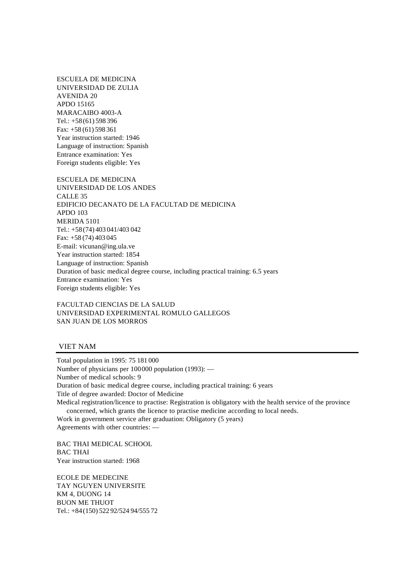ESCUELA DE MEDICINA UNIVERSIDAD DE ZULIA AVENIDA 20 APDO 15165 MARACAIBO 4003-A Tel.: +58(61) 598 396 Fax: +58 (61) 598 361 Year instruction started: 1946 Language of instruction: Spanish Entrance examination: Yes Foreign students eligible: Yes

ESCUELA DE MEDICINA UNIVERSIDAD DE LOS ANDES CALLE 35 EDIFICIO DECANATO DE LA FACULTAD DE MEDICINA APDO 103 MERIDA 5101 Tel.: +58(74) 403 041/403 042 Fax: +58 (74) 403 045 E-mail: vicunan@ing.ula.ve Year instruction started: 1854 Language of instruction: Spanish Duration of basic medical degree course, including practical training: 6.5 years Entrance examination: Yes Foreign students eligible: Yes

FACULTAD CIENCIAS DE LA SALUD UNIVERSIDAD EXPERIMENTAL ROMULO GALLEGOS SAN JUAN DE LOS MORROS

## VIET NAM

Total population in 1995: 75 181 000 Number of physicians per 100000 population (1993): — Number of medical schools: 9 Duration of basic medical degree course, including practical training: 6 years Title of degree awarded: Doctor of Medicine Medical registration/licence to practise: Registration is obligatory with the health service of the province concerned, which grants the licence to practise medicine according to local needs. Work in government service after graduation: Obligatory (5 years) Agreements with other countries: —

BAC THAI MEDICAL SCHOOL BAC THAI Year instruction started: 1968

ECOLE DE MEDECINE TAY NGUYEN UNIVERSITE KM 4, DUONG 14 BUON ME THUOT Tel.: +84(150) 522 92/524 94/555 72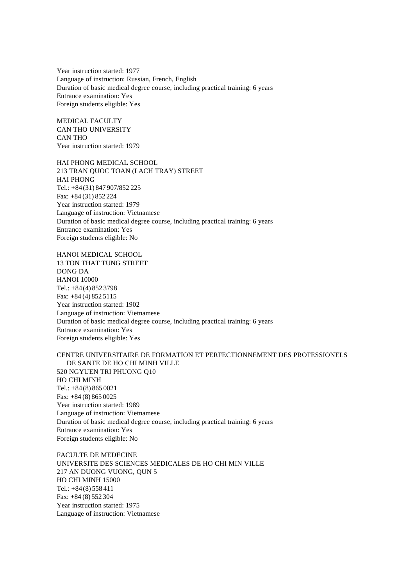Year instruction started: 1977 Language of instruction: Russian, French, English Duration of basic medical degree course, including practical training: 6 years Entrance examination: Yes Foreign students eligible: Yes

MEDICAL FACULTY CAN THO UNIVERSITY CAN THO Year instruction started: 1979

HAI PHONG MEDICAL SCHOOL 213 TRAN QUOC TOAN (LACH TRAY) STREET HAI PHONG Tel.: +84(31) 847 907/852 225 Fax: +84 (31) 852 224 Year instruction started: 1979 Language of instruction: Vietnamese Duration of basic medical degree course, including practical training: 6 years Entrance examination: Yes Foreign students eligible: No

HANOI MEDICAL SCHOOL 13 TON THAT TUNG STREET DONG DA HANOI 10000 Tel.: +84(4) 852 3798 Fax: +84 (4) 852 5115 Year instruction started: 1902 Language of instruction: Vietnamese Duration of basic medical degree course, including practical training: 6 years Entrance examination: Yes Foreign students eligible: Yes

# CENTRE UNIVERSITAIRE DE FORMATION ET PERFECTIONNEMENT DES PROFESSIONELS DE SANTE DE HO CHI MINH VILLE 520 NGYUEN TRI PHUONG Q10 HO CHI MINH Tel.: +84(8) 865 0021 Fax: +84 (8) 865 0025 Year instruction started: 1989 Language of instruction: Vietnamese Duration of basic medical degree course, including practical training: 6 years Entrance examination: Yes Foreign students eligible: No

FACULTE DE MEDECINE UNIVERSITE DES SCIENCES MEDICALES DE HO CHI MIN VILLE 217 AN DUONG VUONG, QUN 5 HO CHI MINH 15000 Tel.: +84(8) 558 411 Fax: +84 (8) 552 304 Year instruction started: 1975 Language of instruction: Vietnamese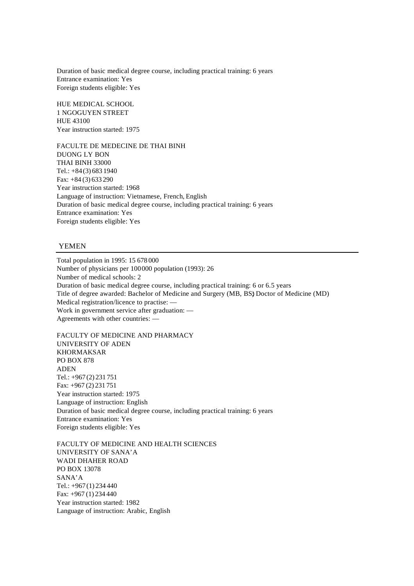Duration of basic medical degree course, including practical training: 6 years Entrance examination: Yes Foreign students eligible: Yes

HUE MEDICAL SCHOOL 1 NGOGUYEN STREET HUE 43100 Year instruction started: 1975

FACULTE DE MEDECINE DE THAI BINH DUONG LY BON THAI BINH 33000 Tel.: +84(3) 683 1940 Fax: +84 (3) 633 290 Year instruction started: 1968 Language of instruction: Vietnamese, French, English Duration of basic medical degree course, including practical training: 6 years Entrance examination: Yes Foreign students eligible: Yes

### YEMEN

Total population in 1995: 15 678 000 Number of physicians per 100000 population (1993): 26 Number of medical schools: 2 Duration of basic medical degree course, including practical training: 6 or 6.5 years Title of degree awarded: Bachelor of Medicine and Surgery (MB, BS) Doctor of Medicine (MD) Medical registration/licence to practise: — Work in government service after graduation: — Agreements with other countries: —

FACULTY OF MEDICINE AND PHARMACY UNIVERSITY OF ADEN KHORMAKSAR PO BOX 878 ADEN Tel.: +967 (2) 231 751 Fax: +967 (2) 231 751 Year instruction started: 1975 Language of instruction: English Duration of basic medical degree course, including practical training: 6 years Entrance examination: Yes Foreign students eligible: Yes

FACULTY OF MEDICINE AND HEALTH SCIENCES UNIVERSITY OF SANA'A WADI DHAHER ROAD PO BOX 13078 SANA'A Tel.: +967 (1) 234 440 Fax: +967 (1) 234 440 Year instruction started: 1982 Language of instruction: Arabic, English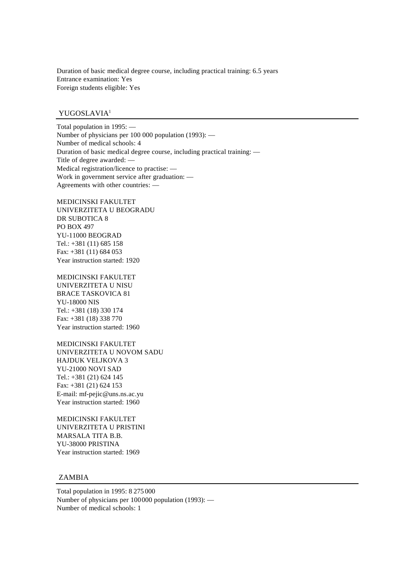Duration of basic medical degree course, including practical training: 6.5 years Entrance examination: Yes Foreign students eligible: Yes

## YUGOSLAVIA<sup>1</sup>

Total population in 1995: — Number of physicians per 100 000 population (1993): — Number of medical schools: 4 Duration of basic medical degree course, including practical training: — Title of degree awarded: — Medical registration/licence to practise: — Work in government service after graduation: — Agreements with other countries: —

MEDICINSKI FAKULTET UNIVERZITETA U BEOGRADU DR SUBOTICA 8 PO BOX 497 YU-11000 BEOGRAD Tel.: +381 (11) 685 158 Fax: +381 (11) 684 053 Year instruction started: 1920

MEDICINSKI FAKULTET UNIVERZITETA U NISU BRACE TASKOVICA 81 YU-18000 NIS Tel.: +381 (18) 330 174 Fax: +381 (18) 338 770 Year instruction started: 1960

MEDICINSKI FAKULTET UNIVERZITETA U NOVOM SADU HAJDUK VELJKOVA 3 YU-21000 NOVI SAD Tel.: +381 (21) 624 145 Fax: +381 (21) 624 153 E-mail: mf-pejic@uns.ns.ac.yu Year instruction started: 1960

MEDICINSKI FAKULTET UNIVERZITETA U PRISTINI MARSALA TITA B.B. YU-38000 PRISTINA Year instruction started: 1969

# ZAMBIA

Total population in 1995: 8 275 000 Number of physicians per 100000 population (1993): — Number of medical schools: 1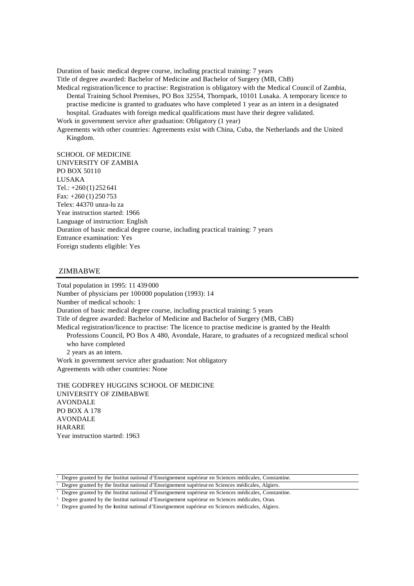Duration of basic medical degree course, including practical training: 7 years Title of degree awarded: Bachelor of Medicine and Bachelor of Surgery (MB, ChB)

Medical registration/licence to practise: Registration is obligatory with the Medical Council of Zambia, Dental Training School Premises, PO Box 32554, Thornpark, 10101 Lusaka. A temporary licence to practise medicine is granted to graduates who have completed 1 year as an intern in a designated hospital. Graduates with foreign medical qualifications must have their degree validated.

Work in government service after graduation: Obligatory (1 year)

Agreements with other countries: Agreements exist with China, Cuba, the Netherlands and the United Kingdom.

SCHOOL OF MEDICINE UNIVERSITY OF ZAMBIA PO BOX 50110 LUSAKA Tel.: +260 (1) 252 641 Fax: +260 (1) 250 753 Telex: 44370 unza-lu za Year instruction started: 1966 Language of instruction: English Duration of basic medical degree course, including practical training: 7 years Entrance examination: Yes Foreign students eligible: Yes

## ZIMBABWE

Total population in 1995: 11 439 000 Number of physicians per 100000 population (1993): 14 Number of medical schools: 1 Duration of basic medical degree course, including practical training: 5 years Title of degree awarded: Bachelor of Medicine and Bachelor of Surgery (MB, ChB) Medical registration/licence to practise: The licence to practise medicine is granted by the Health Professions Council, PO Box A 480, Avondale, Harare, to graduates of a recognized medical school who have completed 2 years as an intern. Work in government service after graduation: Not obligatory Agreements with other countries: None

THE GODFREY HUGGINS SCHOOL OF MEDICINE UNIVERSITY OF ZIMBABWE AVONDALE PO BOX A 178 AVONDALE HARARE Year instruction started: 1963

<sup>&</sup>lt;sup>1</sup> Degree granted by the Institut national d'Enseignement supérieur en Sciences médicales, Constantine.

<sup>&</sup>lt;sup>1</sup> Degree granted by the Institut national d'Enseignement supérieur en Sciences médicales, Algiers.

<sup>&</sup>lt;sup>1</sup> Degree granted by the Institut national d'Enseignement supérieur en Sciences médicales, Constantine.

<sup>2</sup> Degree granted by the Institut national d'Enseignement supérieur en Sciences médicales, Oran.

<sup>&</sup>lt;sup>3</sup> Degree granted by the Institut national d'Enseignement supérieur en Sciences médicales, Algiers.